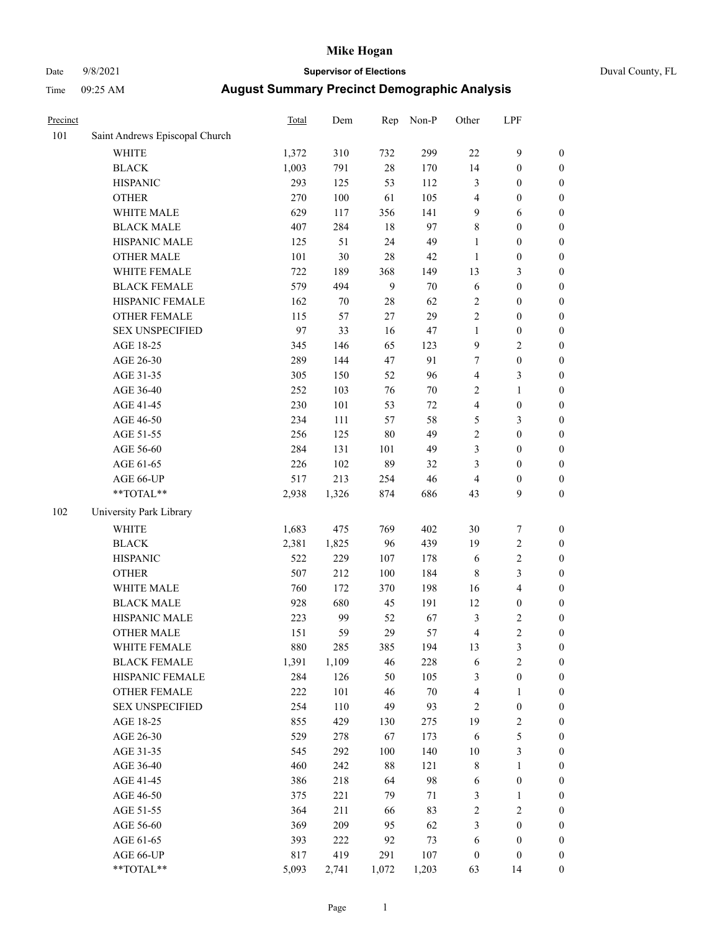# Date 9/8/2021 **Supervisor of Elections** Duval County, FL

| Precinct |                                | <b>Total</b> | Dem   | Rep            | Non-P  | Other                   | LPF                     |                  |
|----------|--------------------------------|--------------|-------|----------------|--------|-------------------------|-------------------------|------------------|
| 101      | Saint Andrews Episcopal Church |              |       |                |        |                         |                         |                  |
|          | <b>WHITE</b>                   | 1,372        | 310   | 732            | 299    | 22                      | $\mathbf{9}$            | 0                |
|          | <b>BLACK</b>                   | 1,003        | 791   | $28\,$         | 170    | 14                      | $\boldsymbol{0}$        | $\boldsymbol{0}$ |
|          | <b>HISPANIC</b>                | 293          | 125   | 53             | 112    | 3                       | $\boldsymbol{0}$        | $\boldsymbol{0}$ |
|          | <b>OTHER</b>                   | 270          | 100   | 61             | 105    | 4                       | $\boldsymbol{0}$        | $\boldsymbol{0}$ |
|          | WHITE MALE                     | 629          | 117   | 356            | 141    | 9                       | 6                       | $\boldsymbol{0}$ |
|          | <b>BLACK MALE</b>              | 407          | 284   | 18             | 97     | 8                       | $\boldsymbol{0}$        | $\boldsymbol{0}$ |
|          | HISPANIC MALE                  | 125          | 51    | 24             | 49     | $\mathbf{1}$            | $\boldsymbol{0}$        | $\boldsymbol{0}$ |
|          | <b>OTHER MALE</b>              | 101          | 30    | 28             | $42\,$ | $\mathbf{1}$            | $\boldsymbol{0}$        | $\boldsymbol{0}$ |
|          | WHITE FEMALE                   | 722          | 189   | 368            | 149    | 13                      | $\mathfrak{Z}$          | $\boldsymbol{0}$ |
|          | <b>BLACK FEMALE</b>            | 579          | 494   | $\overline{9}$ | $70\,$ | 6                       | $\boldsymbol{0}$        | $\boldsymbol{0}$ |
|          | HISPANIC FEMALE                | 162          | 70    | 28             | 62     | 2                       | $\boldsymbol{0}$        | $\boldsymbol{0}$ |
|          | <b>OTHER FEMALE</b>            | 115          | 57    | 27             | 29     | $\overline{2}$          | $\boldsymbol{0}$        | $\boldsymbol{0}$ |
|          | <b>SEX UNSPECIFIED</b>         | 97           | 33    | 16             | $47\,$ | $\mathbf{1}$            | $\boldsymbol{0}$        | $\boldsymbol{0}$ |
|          | AGE 18-25                      | 345          | 146   | 65             | 123    | 9                       | $\sqrt{2}$              | $\boldsymbol{0}$ |
|          | AGE 26-30                      | 289          | 144   | 47             | 91     | 7                       | $\boldsymbol{0}$        | $\boldsymbol{0}$ |
|          | AGE 31-35                      | 305          | 150   | 52             | 96     | $\overline{\mathbf{4}}$ | $\mathfrak{Z}$          | $\boldsymbol{0}$ |
|          | AGE 36-40                      | 252          | 103   | 76             | $70\,$ | 2                       | $\mathbf{1}$            | $\boldsymbol{0}$ |
|          | AGE 41-45                      | 230          | 101   | 53             | 72     | 4                       | $\boldsymbol{0}$        | $\boldsymbol{0}$ |
|          | AGE 46-50                      | 234          | 111   | 57             | 58     | 5                       | $\mathfrak{Z}$          | $\boldsymbol{0}$ |
|          | AGE 51-55                      | 256          | 125   | 80             | 49     | 2                       | $\boldsymbol{0}$        | $\boldsymbol{0}$ |
|          | AGE 56-60                      | 284          | 131   | 101            | 49     | 3                       | $\boldsymbol{0}$        | $\boldsymbol{0}$ |
|          | AGE 61-65                      | 226          | 102   | 89             | 32     | 3                       | $\boldsymbol{0}$        | $\boldsymbol{0}$ |
|          | AGE 66-UP                      | 517          | 213   | 254            | 46     | 4                       | $\boldsymbol{0}$        | $\boldsymbol{0}$ |
|          | **TOTAL**                      | 2,938        | 1,326 | 874            | 686    | 43                      | 9                       | $\boldsymbol{0}$ |
| 102      | University Park Library        |              |       |                |        |                         |                         |                  |
|          | <b>WHITE</b>                   | 1,683        | 475   | 769            | 402    | 30                      | $\boldsymbol{7}$        | $\boldsymbol{0}$ |
|          | <b>BLACK</b>                   | 2,381        | 1,825 | 96             | 439    | 19                      | $\sqrt{2}$              | $\boldsymbol{0}$ |
|          | <b>HISPANIC</b>                | 522          | 229   | 107            | 178    | 6                       | $\sqrt{2}$              | $\boldsymbol{0}$ |
|          | <b>OTHER</b>                   | 507          | 212   | 100            | 184    | $\,$ 8 $\,$             | 3                       | $\boldsymbol{0}$ |
|          | WHITE MALE                     | 760          | 172   | 370            | 198    | 16                      | $\overline{\mathbf{4}}$ | $\boldsymbol{0}$ |
|          | <b>BLACK MALE</b>              | 928          | 680   | 45             | 191    | 12                      | $\boldsymbol{0}$        | $\boldsymbol{0}$ |
|          | HISPANIC MALE                  | 223          | 99    | 52             | 67     | 3                       | $\sqrt{2}$              | $\boldsymbol{0}$ |
|          | OTHER MALE                     | 151          | 59    | 29             | 57     | 4                       | $\overline{c}$          | $\boldsymbol{0}$ |
|          | WHITE FEMALE                   | 880          | 285   | 385            | 194    | 13                      | 3                       | 0                |
|          | <b>BLACK FEMALE</b>            | 1,391        | 1,109 | 46             | 228    | 6                       | $\sqrt{2}$              | $\boldsymbol{0}$ |
|          | HISPANIC FEMALE                | 284          | 126   | 50             | 105    | 3                       | $\boldsymbol{0}$        | $\overline{0}$   |
|          | <b>OTHER FEMALE</b>            | 222          | 101   | 46             | $70\,$ | 4                       | $\mathbf{1}$            | $\overline{0}$   |
|          | <b>SEX UNSPECIFIED</b>         | 254          | 110   | 49             | 93     | 2                       | $\boldsymbol{0}$        | 0                |
|          | AGE 18-25                      | 855          | 429   | 130            | 275    | 19                      | $\sqrt{2}$              | 0                |
|          | AGE 26-30                      | 529          | 278   | 67             | 173    | 6                       | $\mathfrak s$           | 0                |
|          | AGE 31-35                      | 545          | 292   | 100            | 140    | $10\,$                  | $\mathfrak{Z}$          | 0                |
|          | AGE 36-40                      | 460          | 242   | $88\,$         | 121    | 8                       | $\mathbf{1}$            | 0                |
|          | AGE 41-45                      | 386          | 218   | 64             | 98     | 6                       | $\boldsymbol{0}$        | 0                |
|          | AGE 46-50                      | 375          | 221   | 79             | 71     | 3                       | $\mathbf{1}$            | 0                |
|          | AGE 51-55                      | 364          | 211   | 66             | 83     | 2                       | $\sqrt{2}$              | 0                |
|          | AGE 56-60                      | 369          | 209   | 95             | 62     | 3                       | $\boldsymbol{0}$        | $\overline{0}$   |
|          | AGE 61-65                      | 393          | 222   | 92             | 73     | 6                       | $\boldsymbol{0}$        | $\overline{0}$   |
|          | AGE 66-UP                      | 817          | 419   | 291            | 107    | $\boldsymbol{0}$        | $\boldsymbol{0}$        | 0                |
|          | $**TOTAL**$                    | 5,093        | 2,741 | 1,072          | 1,203  | 63                      | 14                      | $\boldsymbol{0}$ |
|          |                                |              |       |                |        |                         |                         |                  |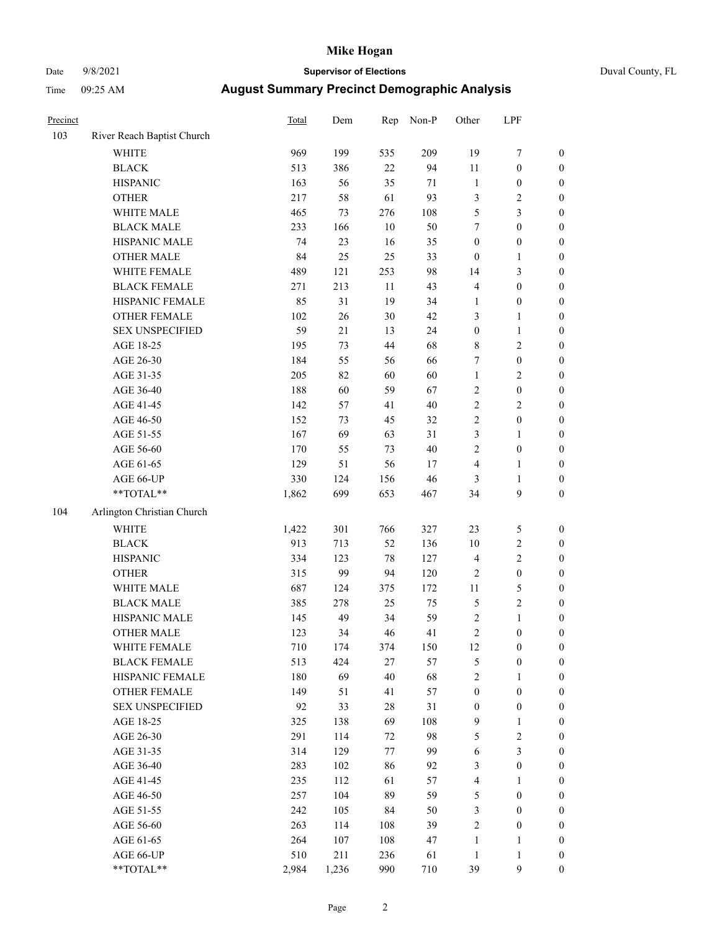# Date 9/8/2021 **Supervisor of Elections** Duval County, FL

| Precinct |                                                            | Total | Dem   | Rep    | Non-P  | Other            | LPF              |                  |
|----------|------------------------------------------------------------|-------|-------|--------|--------|------------------|------------------|------------------|
| 103      | River Reach Baptist Church                                 |       |       |        |        |                  |                  |                  |
|          | <b>WHITE</b>                                               | 969   | 199   | 535    | 209    | 19               | $\boldsymbol{7}$ | 0                |
|          | <b>BLACK</b>                                               | 513   | 386   | 22     | 94     | $11\,$           | $\boldsymbol{0}$ | $\boldsymbol{0}$ |
|          | <b>HISPANIC</b>                                            | 163   | 56    | 35     | $71\,$ | $\mathbf{1}$     | $\boldsymbol{0}$ | $\boldsymbol{0}$ |
|          | <b>OTHER</b>                                               | 217   | 58    | 61     | 93     | 3                | $\sqrt{2}$       | $\boldsymbol{0}$ |
|          | WHITE MALE                                                 | 465   | 73    | 276    | 108    | 5                | 3                | $\boldsymbol{0}$ |
|          | <b>BLACK MALE</b>                                          | 233   | 166   | 10     | 50     | 7                | $\boldsymbol{0}$ | $\boldsymbol{0}$ |
|          | HISPANIC MALE                                              | 74    | 23    | 16     | 35     | $\boldsymbol{0}$ | $\boldsymbol{0}$ | $\boldsymbol{0}$ |
|          | <b>OTHER MALE</b>                                          | 84    | 25    | 25     | 33     | $\boldsymbol{0}$ | $\mathbf{1}$     | $\boldsymbol{0}$ |
|          | WHITE FEMALE                                               | 489   | 121   | 253    | 98     | 14               | $\mathfrak{Z}$   | $\boldsymbol{0}$ |
|          | <b>BLACK FEMALE</b>                                        | 271   | 213   | $11\,$ | 43     | 4                | $\boldsymbol{0}$ | $\boldsymbol{0}$ |
|          | HISPANIC FEMALE                                            | 85    | 31    | 19     | 34     | 1                | $\boldsymbol{0}$ | $\boldsymbol{0}$ |
|          | OTHER FEMALE                                               | 102   | 26    | 30     | 42     | 3                | $\mathbf{1}$     | $\boldsymbol{0}$ |
|          | <b>SEX UNSPECIFIED</b>                                     | 59    | 21    | 13     | 24     | $\boldsymbol{0}$ | $\mathbf{1}$     | $\boldsymbol{0}$ |
|          | AGE 18-25                                                  | 195   | 73    | 44     | 68     | 8                | $\sqrt{2}$       | $\boldsymbol{0}$ |
|          | AGE 26-30                                                  | 184   | 55    | 56     | 66     | 7                | $\boldsymbol{0}$ | $\boldsymbol{0}$ |
|          | AGE 31-35                                                  | 205   | 82    | 60     | 60     | $\mathbf{1}$     | $\sqrt{2}$       | $\boldsymbol{0}$ |
|          | AGE 36-40                                                  | 188   | 60    | 59     | 67     | 2                | $\boldsymbol{0}$ | $\boldsymbol{0}$ |
|          | AGE 41-45                                                  | 142   | 57    | 41     | $40\,$ | $\overline{c}$   | $\mathbf{2}$     | $\boldsymbol{0}$ |
|          | AGE 46-50                                                  | 152   | 73    | 45     | 32     | $\overline{c}$   | $\boldsymbol{0}$ | $\boldsymbol{0}$ |
|          | AGE 51-55                                                  | 167   | 69    | 63     | 31     | 3                | 1                | $\boldsymbol{0}$ |
|          | AGE 56-60                                                  | 170   | 55    | 73     | 40     | $\overline{c}$   | $\boldsymbol{0}$ | 0                |
|          | AGE 61-65                                                  | 129   | 51    | 56     | 17     | 4                | 1                | 0                |
|          | AGE 66-UP                                                  | 330   | 124   | 156    | 46     | 3                | $\mathbf{1}$     | $\boldsymbol{0}$ |
|          | $\mathrm{*}\mathrm{*}\mathrm{TOTAL} \mathrm{*}\mathrm{*}$  | 1,862 | 699   | 653    | 467    | 34               | $\boldsymbol{9}$ | $\boldsymbol{0}$ |
| 104      | Arlington Christian Church                                 |       |       |        |        |                  |                  |                  |
|          | <b>WHITE</b>                                               | 1,422 | 301   | 766    | 327    | 23               | $\mathfrak{S}$   | $\boldsymbol{0}$ |
|          | <b>BLACK</b>                                               | 913   | 713   | 52     | 136    | 10               | $\sqrt{2}$       | $\boldsymbol{0}$ |
|          | <b>HISPANIC</b>                                            | 334   | 123   | 78     | 127    | 4                | $\sqrt{2}$       | $\boldsymbol{0}$ |
|          | <b>OTHER</b>                                               | 315   | 99    | 94     | 120    | 2                | $\boldsymbol{0}$ | $\boldsymbol{0}$ |
|          | WHITE MALE                                                 | 687   | 124   | 375    | 172    | $11\,$           | 5                | $\boldsymbol{0}$ |
|          | <b>BLACK MALE</b>                                          | 385   | 278   | 25     | 75     | 5                | $\sqrt{2}$       | $\boldsymbol{0}$ |
|          | HISPANIC MALE                                              | 145   | 49    | 34     | 59     | 2                | $\mathbf{1}$     | $\boldsymbol{0}$ |
|          | <b>OTHER MALE</b>                                          | 123   | 34    | 46     | 41     | $\overline{c}$   | $\boldsymbol{0}$ | $\boldsymbol{0}$ |
|          | WHITE FEMALE                                               | 710   | 174   | 374    | 150    | 12               | 0                | 0                |
|          | <b>BLACK FEMALE</b>                                        | 513   | 424   | 27     | 57     | 5                | $\boldsymbol{0}$ | $\overline{0}$   |
|          | HISPANIC FEMALE                                            | 180   | 69    | 40     | 68     | $\overline{c}$   | 1                | $\overline{0}$   |
|          | OTHER FEMALE                                               | 149   | 51    | 41     | 57     | $\boldsymbol{0}$ | $\boldsymbol{0}$ | 0                |
|          | <b>SEX UNSPECIFIED</b>                                     | 92    | 33    | 28     | 31     | $\boldsymbol{0}$ | $\boldsymbol{0}$ | 0                |
|          | AGE 18-25                                                  | 325   | 138   | 69     | 108    | 9                | $\mathbf{1}$     | 0                |
|          | AGE 26-30                                                  | 291   | 114   | 72     | 98     | 5                | $\sqrt{2}$       | 0                |
|          | AGE 31-35                                                  | 314   | 129   | 77     | 99     | 6                | 3                | 0                |
|          | AGE 36-40                                                  | 283   | 102   | 86     | 92     | 3                | $\boldsymbol{0}$ | 0                |
|          | AGE 41-45                                                  | 235   | 112   | 61     | 57     | 4                | 1                | 0                |
|          | AGE 46-50                                                  | 257   | 104   | 89     | 59     | 5                | $\boldsymbol{0}$ | 0                |
|          | AGE 51-55                                                  | 242   | 105   | 84     | 50     | 3                | $\boldsymbol{0}$ | 0                |
|          | AGE 56-60                                                  | 263   | 114   | 108    | 39     | $\overline{c}$   | $\boldsymbol{0}$ | $\overline{0}$   |
|          | AGE 61-65                                                  | 264   | 107   | 108    | 47     | 1                | 1                | 0                |
|          | AGE 66-UP                                                  | 510   | 211   | 236    | 61     | $\mathbf{1}$     | $\mathbf{1}$     | 0                |
|          | $\mathrm{*}\mathrm{*} \mathrm{TOTAL} \mathrm{*}\mathrm{*}$ | 2,984 | 1,236 | 990    | 710    | 39               | $\boldsymbol{9}$ | $\boldsymbol{0}$ |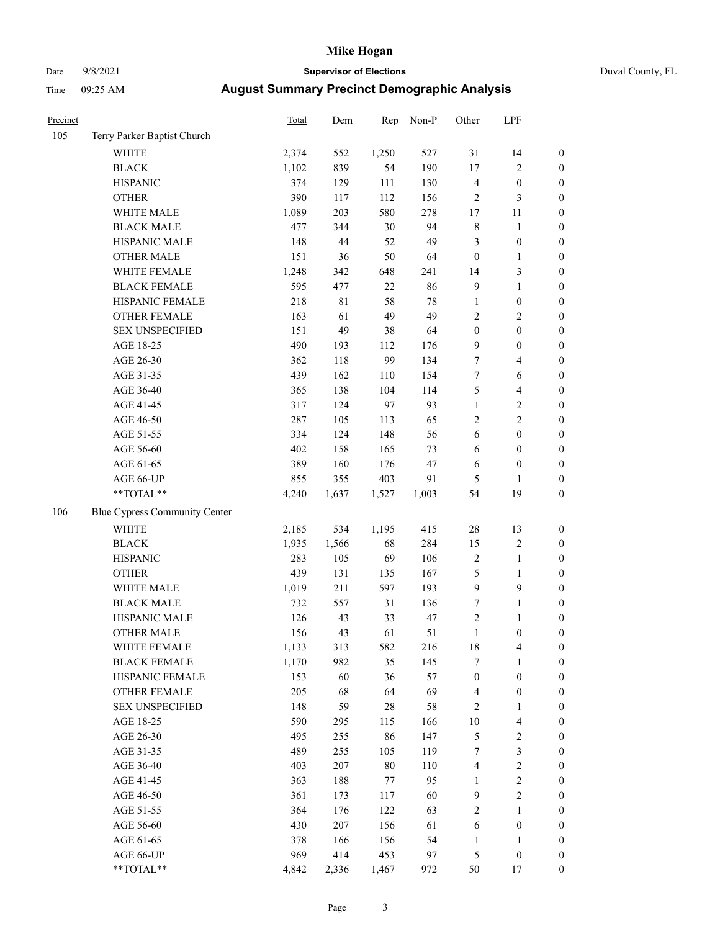# Date 9/8/2021 **Supervisor of Elections** Duval County, FL

| Precinct |                               | <b>Total</b> | Dem         | Rep    | Non-P  | Other            | LPF              |                  |
|----------|-------------------------------|--------------|-------------|--------|--------|------------------|------------------|------------------|
| 105      | Terry Parker Baptist Church   |              |             |        |        |                  |                  |                  |
|          | <b>WHITE</b>                  | 2,374        | 552         | 1,250  | 527    | 31               | 14               | 0                |
|          | <b>BLACK</b>                  | 1,102        | 839         | 54     | 190    | $17\,$           | $\sqrt{2}$       | $\boldsymbol{0}$ |
|          | <b>HISPANIC</b>               | 374          | 129         | 111    | 130    | 4                | $\boldsymbol{0}$ | $\boldsymbol{0}$ |
|          | <b>OTHER</b>                  | 390          | 117         | 112    | 156    | $\overline{c}$   | $\mathfrak{Z}$   | $\boldsymbol{0}$ |
|          | WHITE MALE                    | 1,089        | 203         | 580    | 278    | 17               | 11               | $\boldsymbol{0}$ |
|          | <b>BLACK MALE</b>             | 477          | 344         | 30     | 94     | $\,$ $\,$        | $\mathbf{1}$     | $\boldsymbol{0}$ |
|          | HISPANIC MALE                 | 148          | $44\,$      | 52     | 49     | 3                | $\boldsymbol{0}$ | $\boldsymbol{0}$ |
|          | <b>OTHER MALE</b>             | 151          | 36          | 50     | 64     | $\boldsymbol{0}$ | $\mathbf{1}$     | $\boldsymbol{0}$ |
|          | WHITE FEMALE                  | 1,248        | 342         | 648    | 241    | 14               | $\mathfrak{Z}$   | $\boldsymbol{0}$ |
|          | <b>BLACK FEMALE</b>           | 595          | 477         | $22\,$ | 86     | 9                | $\mathbf{1}$     | $\boldsymbol{0}$ |
|          | HISPANIC FEMALE               | 218          | $8\sqrt{1}$ | 58     | $78\,$ | $\mathbf{1}$     | $\boldsymbol{0}$ | 0                |
|          | <b>OTHER FEMALE</b>           | 163          | 61          | 49     | 49     | $\overline{c}$   | $\sqrt{2}$       | $\boldsymbol{0}$ |
|          | <b>SEX UNSPECIFIED</b>        | 151          | 49          | 38     | 64     | $\boldsymbol{0}$ | $\boldsymbol{0}$ | $\boldsymbol{0}$ |
|          | AGE 18-25                     | 490          | 193         | 112    | 176    | 9                | $\boldsymbol{0}$ | $\boldsymbol{0}$ |
|          | AGE 26-30                     | 362          | 118         | 99     | 134    | 7                | $\overline{4}$   | $\boldsymbol{0}$ |
|          | AGE 31-35                     | 439          | 162         | 110    | 154    | $\boldsymbol{7}$ | 6                | $\boldsymbol{0}$ |
|          | AGE 36-40                     | 365          | 138         | 104    | 114    | 5                | $\overline{4}$   | $\boldsymbol{0}$ |
|          | AGE 41-45                     | 317          | 124         | 97     | 93     | $\mathbf{1}$     | $\sqrt{2}$       | $\boldsymbol{0}$ |
|          | AGE 46-50                     | 287          | 105         | 113    | 65     | $\overline{c}$   | $\overline{c}$   | $\boldsymbol{0}$ |
|          | AGE 51-55                     | 334          | 124         | 148    | 56     | 6                | $\boldsymbol{0}$ | $\boldsymbol{0}$ |
|          | AGE 56-60                     | 402          | 158         | 165    | 73     | 6                | $\boldsymbol{0}$ | 0                |
|          | AGE 61-65                     | 389          | 160         | 176    | 47     | 6                | $\boldsymbol{0}$ | $\boldsymbol{0}$ |
|          | AGE 66-UP                     | 855          | 355         | 403    | 91     | 5                | 1                | $\boldsymbol{0}$ |
|          | $**TOTAL**$                   | 4,240        | 1,637       | 1,527  | 1,003  | 54               | 19               | $\boldsymbol{0}$ |
| 106      | Blue Cypress Community Center |              |             |        |        |                  |                  |                  |
|          | <b>WHITE</b>                  | 2,185        | 534         | 1,195  | 415    | $28\,$           | 13               | $\boldsymbol{0}$ |
|          | <b>BLACK</b>                  | 1,935        | 1,566       | 68     | 284    | 15               | $\sqrt{2}$       | $\boldsymbol{0}$ |
|          | <b>HISPANIC</b>               | 283          | 105         | 69     | 106    | 2                | $\mathbf{1}$     | $\boldsymbol{0}$ |
|          | <b>OTHER</b>                  | 439          | 131         | 135    | 167    | 5                | $\mathbf{1}$     | $\boldsymbol{0}$ |
|          | WHITE MALE                    | 1,019        | 211         | 597    | 193    | 9                | $\boldsymbol{9}$ | $\boldsymbol{0}$ |
|          | <b>BLACK MALE</b>             | 732          | 557         | 31     | 136    | 7                | $\mathbf{1}$     | $\boldsymbol{0}$ |
|          | HISPANIC MALE                 | 126          | 43          | 33     | 47     | 2                | 1                | $\boldsymbol{0}$ |
|          | <b>OTHER MALE</b>             | 156          | 43          | 61     | 51     | $\mathbf{1}$     | $\boldsymbol{0}$ | $\boldsymbol{0}$ |
|          | WHITE FEMALE                  | 1,133        | 313         | 582    | 216    | 18               | 4                | 0                |
|          | <b>BLACK FEMALE</b>           | 1,170        | 982         | 35     | 145    | 7                | $\mathbf{1}$     | $\boldsymbol{0}$ |
|          | HISPANIC FEMALE               | 153          | 60          | 36     | 57     | $\boldsymbol{0}$ | $\boldsymbol{0}$ | $\overline{0}$   |
|          | <b>OTHER FEMALE</b>           | 205          | 68          | 64     | 69     | 4                | $\boldsymbol{0}$ | $\overline{0}$   |
|          | <b>SEX UNSPECIFIED</b>        | 148          | 59          | 28     | 58     | 2                | $\mathbf{1}$     | 0                |
|          | AGE 18-25                     | 590          | 295         | 115    | 166    | $10\,$           | $\overline{4}$   | 0                |
|          | AGE 26-30                     | 495          | 255         | 86     | 147    | 5                | $\sqrt{2}$       | 0                |
|          | AGE 31-35                     | 489          | 255         | 105    | 119    | 7                | $\sqrt{3}$       | 0                |
|          | AGE 36-40                     | 403          | 207         | $80\,$ | 110    | 4                | $\sqrt{2}$       | 0                |
|          | AGE 41-45                     | 363          | 188         | 77     | 95     | $\mathbf{1}$     | $\sqrt{2}$       | 0                |
|          | AGE 46-50                     | 361          | 173         | 117    | 60     | 9                | $\sqrt{2}$       | 0                |
|          | AGE 51-55                     | 364          | 176         | 122    | 63     | 2                | $\mathbf{1}$     | 0                |
|          | AGE 56-60                     | 430          | 207         | 156    | 61     | 6                | $\boldsymbol{0}$ | 0                |
|          | AGE 61-65                     | 378          | 166         | 156    | 54     | 1                | 1                | 0                |
|          | AGE 66-UP                     | 969          | 414         | 453    | 97     | 5                | $\boldsymbol{0}$ | 0                |
|          | **TOTAL**                     | 4,842        | 2,336       | 1,467  | 972    | 50               | 17               | $\boldsymbol{0}$ |
|          |                               |              |             |        |        |                  |                  |                  |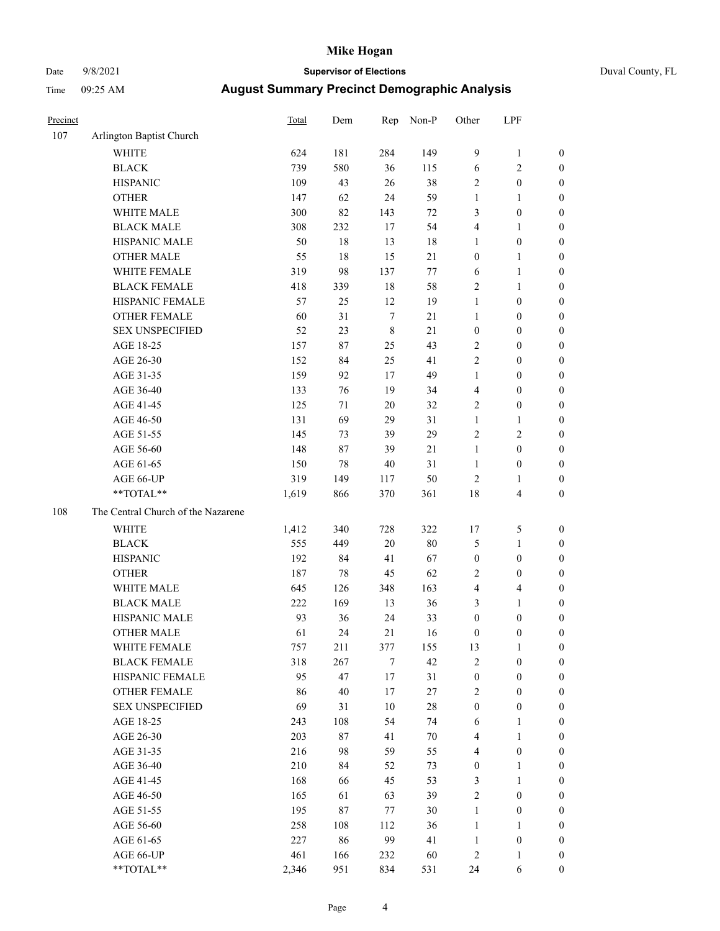# Date 9/8/2021 **Supervisor of Elections** Duval County, FL

| Precinct |                                    | Total | Dem    | Rep              | Non-P  | Other            | LPF                     |                  |
|----------|------------------------------------|-------|--------|------------------|--------|------------------|-------------------------|------------------|
| 107      | Arlington Baptist Church           |       |        |                  |        |                  |                         |                  |
|          | <b>WHITE</b>                       | 624   | 181    | 284              | 149    | $\overline{9}$   | $\mathbf{1}$            | 0                |
|          | <b>BLACK</b>                       | 739   | 580    | 36               | 115    | $\sqrt{6}$       | $\sqrt{2}$              | 0                |
|          | <b>HISPANIC</b>                    | 109   | 43     | 26               | 38     | 2                | $\boldsymbol{0}$        | $\boldsymbol{0}$ |
|          | <b>OTHER</b>                       | 147   | 62     | 24               | 59     | 1                | 1                       | $\boldsymbol{0}$ |
|          | WHITE MALE                         | 300   | 82     | 143              | $72\,$ | 3                | $\boldsymbol{0}$        | $\boldsymbol{0}$ |
|          | <b>BLACK MALE</b>                  | 308   | 232    | 17               | 54     | 4                | 1                       | $\boldsymbol{0}$ |
|          | HISPANIC MALE                      | 50    | $18\,$ | 13               | 18     | 1                | $\boldsymbol{0}$        | $\boldsymbol{0}$ |
|          | <b>OTHER MALE</b>                  | 55    | 18     | 15               | $21\,$ | $\boldsymbol{0}$ | $\mathbf{1}$            | $\boldsymbol{0}$ |
|          | WHITE FEMALE                       | 319   | 98     | 137              | $77\,$ | 6                | $\mathbf{1}$            | $\boldsymbol{0}$ |
|          | <b>BLACK FEMALE</b>                | 418   | 339    | 18               | 58     | 2                | $\mathbf{1}$            | 0                |
|          | HISPANIC FEMALE                    | 57    | 25     | 12               | 19     | $\mathbf{1}$     | $\boldsymbol{0}$        | 0                |
|          | OTHER FEMALE                       | 60    | 31     | $\boldsymbol{7}$ | 21     | $\mathbf{1}$     | $\boldsymbol{0}$        | $\boldsymbol{0}$ |
|          | <b>SEX UNSPECIFIED</b>             | 52    | 23     | $\,$ 8 $\,$      | 21     | $\boldsymbol{0}$ | $\boldsymbol{0}$        | $\boldsymbol{0}$ |
|          | AGE 18-25                          | 157   | 87     | 25               | 43     | 2                | $\boldsymbol{0}$        | $\boldsymbol{0}$ |
|          | AGE 26-30                          | 152   | 84     | 25               | 41     | 2                | $\boldsymbol{0}$        | $\boldsymbol{0}$ |
|          | AGE 31-35                          | 159   | 92     | 17               | 49     | $\mathbf{1}$     | $\boldsymbol{0}$        | $\boldsymbol{0}$ |
|          | AGE 36-40                          | 133   | 76     | 19               | 34     | 4                | $\boldsymbol{0}$        | $\boldsymbol{0}$ |
|          | AGE 41-45                          | 125   | 71     | $20\,$           | 32     | 2                | $\boldsymbol{0}$        | $\boldsymbol{0}$ |
|          | AGE 46-50                          | 131   | 69     | 29               | 31     | $\mathbf{1}$     | 1                       | $\boldsymbol{0}$ |
|          | AGE 51-55                          | 145   | 73     | 39               | 29     | 2                | $\sqrt{2}$              | $\boldsymbol{0}$ |
|          | AGE 56-60                          | 148   | 87     | 39               | 21     | $\mathbf{1}$     | $\boldsymbol{0}$        | 0                |
|          | AGE 61-65                          | 150   | 78     | 40               | 31     | $\mathbf{1}$     | $\boldsymbol{0}$        | $\boldsymbol{0}$ |
|          | AGE 66-UP                          | 319   | 149    | 117              | 50     | $\sqrt{2}$       | $\mathbf{1}$            | $\boldsymbol{0}$ |
|          | **TOTAL**                          | 1,619 | 866    | 370              | 361    | 18               | $\overline{\mathbf{4}}$ | $\boldsymbol{0}$ |
| 108      | The Central Church of the Nazarene |       |        |                  |        |                  |                         |                  |
|          | <b>WHITE</b>                       | 1,412 | 340    | 728              | 322    | 17               | 5                       | $\boldsymbol{0}$ |
|          | <b>BLACK</b>                       | 555   | 449    | 20               | $80\,$ | 5                | $\mathbf{1}$            | $\boldsymbol{0}$ |
|          | <b>HISPANIC</b>                    | 192   | 84     | 41               | 67     | $\boldsymbol{0}$ | $\boldsymbol{0}$        | $\boldsymbol{0}$ |
|          | <b>OTHER</b>                       | 187   | $78\,$ | 45               | 62     | 2                | $\boldsymbol{0}$        | $\boldsymbol{0}$ |
|          | WHITE MALE                         | 645   | 126    | 348              | 163    | $\overline{4}$   | $\overline{\mathbf{4}}$ | $\boldsymbol{0}$ |
|          | <b>BLACK MALE</b>                  | 222   | 169    | 13               | 36     | 3                | $\mathbf{1}$            | $\boldsymbol{0}$ |
|          | HISPANIC MALE                      | 93    | 36     | 24               | 33     | $\boldsymbol{0}$ | $\boldsymbol{0}$        | $\boldsymbol{0}$ |
|          | OTHER MALE                         | 61    | 24     | 21               | 16     | $\boldsymbol{0}$ | $\boldsymbol{0}$        | $\boldsymbol{0}$ |
|          | WHITE FEMALE                       | 757   | 211    | 377              | 155    | 13               | 1                       | 0                |
|          | <b>BLACK FEMALE</b>                | 318   | 267    | 7                | 42     | 2                | $\boldsymbol{0}$        | $\overline{0}$   |
|          | HISPANIC FEMALE                    | 95    | 47     | $17$             | 31     | $\boldsymbol{0}$ | $\boldsymbol{0}$        | $\overline{0}$   |
|          | <b>OTHER FEMALE</b>                | 86    | 40     | $17$             | $27\,$ | 2                | $\boldsymbol{0}$        | $\overline{0}$   |
|          | <b>SEX UNSPECIFIED</b>             | 69    | 31     | 10               | $28\,$ | $\boldsymbol{0}$ | $\boldsymbol{0}$        | 0                |
|          | AGE 18-25                          | 243   | 108    | 54               | 74     | 6                | $\mathbf{1}$            | 0                |
|          | AGE 26-30                          | 203   | 87     | 41               | $70\,$ | 4                | $\mathbf{1}$            | 0                |
|          | AGE 31-35                          | 216   | 98     | 59               | 55     | 4                | $\boldsymbol{0}$        | 0                |
|          | AGE 36-40                          | 210   | 84     | 52               | 73     | $\boldsymbol{0}$ | 1                       | 0                |
|          | AGE 41-45                          | 168   | 66     | 45               | 53     | 3                | $\mathbf{1}$            | 0                |
|          | AGE 46-50                          | 165   | 61     | 63               | 39     | 2                | $\boldsymbol{0}$        | 0                |
|          | AGE 51-55                          | 195   | 87     | 77               | $30\,$ | $\mathbf{1}$     | $\boldsymbol{0}$        | 0                |
|          | AGE 56-60                          | 258   | 108    | 112              | 36     | $\mathbf{1}$     | 1                       | 0                |
|          | AGE 61-65                          | 227   | 86     | 99               | 41     | $\mathbf{1}$     | $\boldsymbol{0}$        | 0                |
|          | AGE 66-UP                          | 461   | 166    | 232              | 60     | 2                | $\mathbf{1}$            | 0                |
|          | **TOTAL**                          | 2,346 | 951    | 834              | 531    | 24               | 6                       | $\boldsymbol{0}$ |
|          |                                    |       |        |                  |        |                  |                         |                  |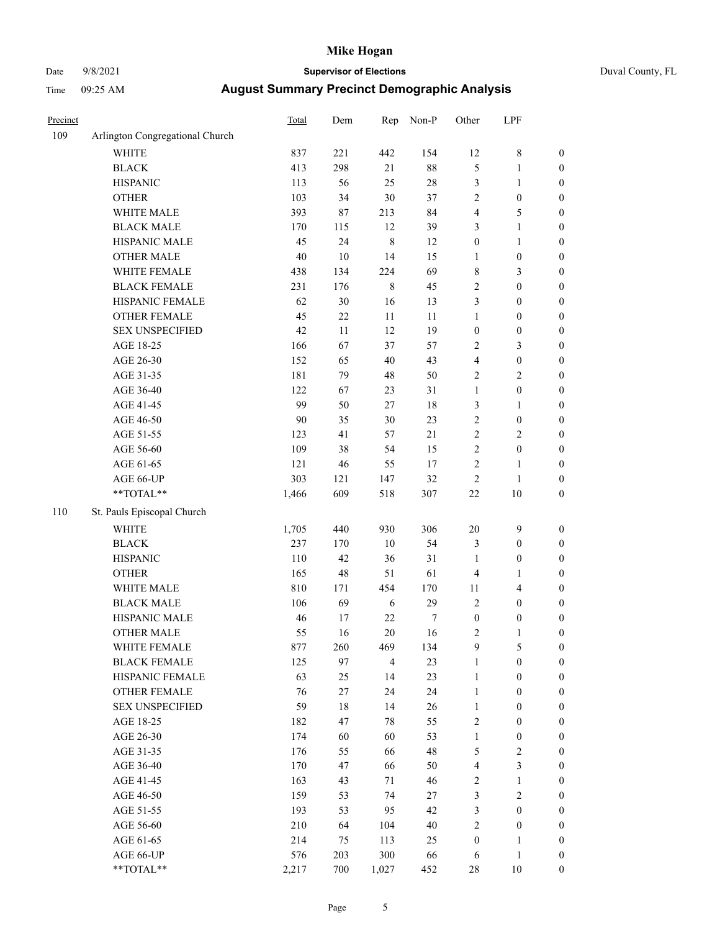# Date 9/8/2021 **Supervisor of Elections** Duval County, FL

| Precinct |                                 | Total  | Dem    | Rep            | Non-P  | Other            | LPF              |                  |
|----------|---------------------------------|--------|--------|----------------|--------|------------------|------------------|------------------|
| 109      | Arlington Congregational Church |        |        |                |        |                  |                  |                  |
|          | <b>WHITE</b>                    | 837    | 221    | 442            | 154    | 12               | $\,$ $\,$        | 0                |
|          | <b>BLACK</b>                    | 413    | 298    | 21             | $88\,$ | 5                | $\mathbf{1}$     | $\boldsymbol{0}$ |
|          | <b>HISPANIC</b>                 | 113    | 56     | 25             | $28\,$ | 3                | $\mathbf{1}$     | $\boldsymbol{0}$ |
|          | <b>OTHER</b>                    | 103    | 34     | 30             | 37     | $\overline{c}$   | $\boldsymbol{0}$ | $\boldsymbol{0}$ |
|          | WHITE MALE                      | 393    | 87     | 213            | 84     | 4                | 5                | $\boldsymbol{0}$ |
|          | <b>BLACK MALE</b>               | 170    | 115    | 12             | 39     | 3                | $\mathbf{1}$     | $\boldsymbol{0}$ |
|          | HISPANIC MALE                   | 45     | 24     | 8              | 12     | $\boldsymbol{0}$ | $\mathbf{1}$     | $\boldsymbol{0}$ |
|          | <b>OTHER MALE</b>               | $40\,$ | 10     | 14             | 15     | 1                | $\boldsymbol{0}$ | $\boldsymbol{0}$ |
|          | WHITE FEMALE                    | 438    | 134    | 224            | 69     | 8                | $\mathfrak{Z}$   | $\boldsymbol{0}$ |
|          | <b>BLACK FEMALE</b>             | 231    | 176    | $\,$ 8 $\,$    | 45     | 2                | $\boldsymbol{0}$ | $\boldsymbol{0}$ |
|          | HISPANIC FEMALE                 | 62     | 30     | 16             | 13     | 3                | $\boldsymbol{0}$ | $\boldsymbol{0}$ |
|          | OTHER FEMALE                    | 45     | $22\,$ | 11             | $11\,$ | $\mathbf{1}$     | $\boldsymbol{0}$ | $\boldsymbol{0}$ |
|          | <b>SEX UNSPECIFIED</b>          | 42     | 11     | 12             | 19     | $\boldsymbol{0}$ | $\boldsymbol{0}$ | $\boldsymbol{0}$ |
|          | AGE 18-25                       | 166    | 67     | 37             | 57     | $\mathbf{2}$     | $\mathfrak{Z}$   | $\boldsymbol{0}$ |
|          | AGE 26-30                       | 152    | 65     | 40             | 43     | 4                | $\boldsymbol{0}$ | $\boldsymbol{0}$ |
|          | AGE 31-35                       | 181    | 79     | 48             | 50     | $\overline{c}$   | $\sqrt{2}$       | $\boldsymbol{0}$ |
|          | AGE 36-40                       | 122    | 67     | 23             | 31     | $\mathbf{1}$     | $\boldsymbol{0}$ | $\boldsymbol{0}$ |
|          | AGE 41-45                       | 99     | 50     | 27             | 18     | 3                | $\mathbf{1}$     | $\boldsymbol{0}$ |
|          | AGE 46-50                       | 90     | 35     | 30             | 23     | $\overline{c}$   | $\boldsymbol{0}$ | $\boldsymbol{0}$ |
|          | AGE 51-55                       | 123    | 41     | 57             | $21\,$ | $\mathbf{2}$     | $\sqrt{2}$       | $\boldsymbol{0}$ |
|          | AGE 56-60                       | 109    | 38     | 54             | 15     | $\overline{c}$   | $\boldsymbol{0}$ | $\boldsymbol{0}$ |
|          | AGE 61-65                       | 121    | 46     | 55             | 17     | $\overline{c}$   | 1                | $\boldsymbol{0}$ |
|          | AGE 66-UP                       | 303    | 121    | 147            | 32     | $\sqrt{2}$       | $\mathbf{1}$     | $\boldsymbol{0}$ |
|          | $**TOTAL**$                     | 1,466  | 609    | 518            | 307    | $22\,$           | 10               | $\boldsymbol{0}$ |
| 110      | St. Pauls Episcopal Church      |        |        |                |        |                  |                  |                  |
|          | <b>WHITE</b>                    | 1,705  | 440    | 930            | 306    | $20\,$           | $\boldsymbol{9}$ | $\boldsymbol{0}$ |
|          | <b>BLACK</b>                    | 237    | 170    | 10             | 54     | 3                | $\boldsymbol{0}$ | $\boldsymbol{0}$ |
|          | <b>HISPANIC</b>                 | 110    | 42     | 36             | 31     | 1                | $\boldsymbol{0}$ | $\boldsymbol{0}$ |
|          | <b>OTHER</b>                    | 165    | 48     | 51             | 61     | 4                | $\mathbf{1}$     | $\boldsymbol{0}$ |
|          | WHITE MALE                      | 810    | 171    | 454            | 170    | $11\,$           | $\overline{4}$   | $\boldsymbol{0}$ |
|          | <b>BLACK MALE</b>               | 106    | 69     | 6              | 29     | $\overline{c}$   | $\boldsymbol{0}$ | $\boldsymbol{0}$ |
|          | HISPANIC MALE                   | 46     | 17     | $22\,$         | 7      | $\boldsymbol{0}$ | $\boldsymbol{0}$ | $\boldsymbol{0}$ |
|          | <b>OTHER MALE</b>               | 55     | 16     | 20             | 16     | 2                | $\mathbf{1}$     | $\boldsymbol{0}$ |
|          | WHITE FEMALE                    | 877    | 260    | 469            | 134    | 9                | 5                | 0                |
|          | <b>BLACK FEMALE</b>             | 125    | 97     | $\overline{4}$ | 23     | 1                | $\boldsymbol{0}$ | $\overline{0}$   |
|          | HISPANIC FEMALE                 | 63     | 25     | 14             | 23     | $\mathbf{1}$     | $\boldsymbol{0}$ | $\overline{0}$   |
|          | OTHER FEMALE                    | 76     | $27\,$ | 24             | 24     | 1                | $\boldsymbol{0}$ | $\overline{0}$   |
|          | <b>SEX UNSPECIFIED</b>          | 59     | 18     | 14             | 26     | $\mathbf{1}$     | $\boldsymbol{0}$ | 0                |
|          | AGE 18-25                       | 182    | 47     | 78             | 55     | 2                | $\boldsymbol{0}$ | 0                |
|          | AGE 26-30                       | 174    | 60     | 60             | 53     | $\mathbf{1}$     | $\boldsymbol{0}$ | 0                |
|          | AGE 31-35                       | 176    | 55     | 66             | 48     | 5                | $\sqrt{2}$       | 0                |
|          | AGE 36-40                       | 170    | 47     | 66             | 50     | 4                | $\mathfrak{Z}$   | 0                |
|          | AGE 41-45                       | 163    | 43     | 71             | 46     | 2                | $\mathbf{1}$     | 0                |
|          | AGE 46-50                       | 159    | 53     | 74             | $27\,$ | 3                | $\sqrt{2}$       | 0                |
|          | AGE 51-55                       | 193    | 53     | 95             | 42     | 3                | $\boldsymbol{0}$ | 0                |
|          | AGE 56-60                       | 210    | 64     | 104            | 40     | $\overline{c}$   | $\boldsymbol{0}$ | $\overline{0}$   |
|          | AGE 61-65                       | 214    | 75     | 113            | 25     | $\boldsymbol{0}$ | 1                | $\overline{0}$   |
|          | AGE 66-UP                       | 576    | 203    | 300            | 66     | 6                | $\mathbf{1}$     | 0                |
|          | **TOTAL**                       | 2,217  | 700    | 1,027          | 452    | 28               | 10               | $\boldsymbol{0}$ |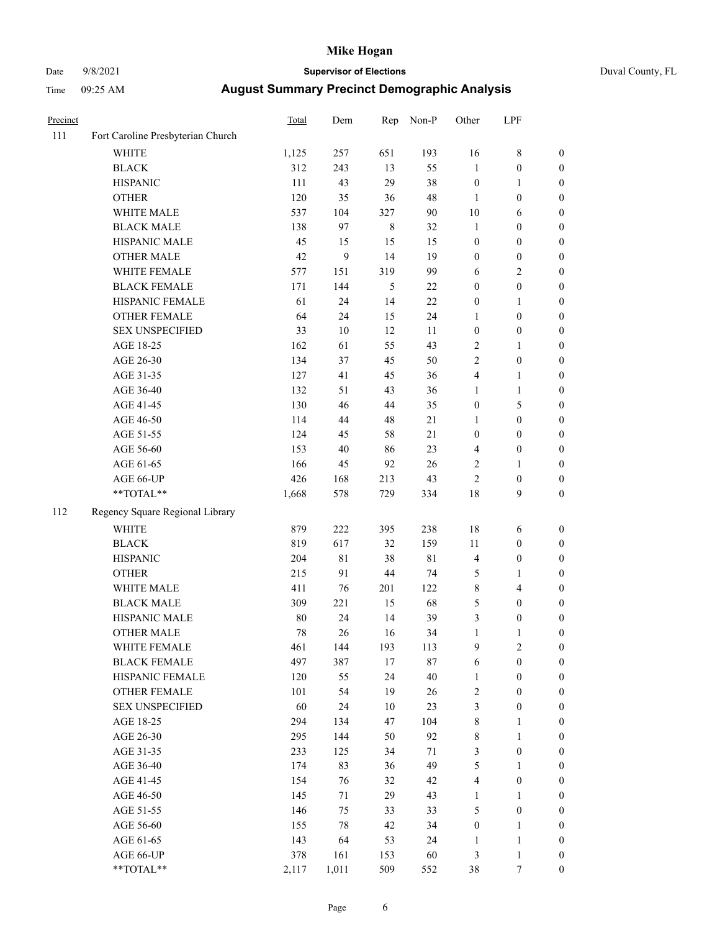# Date 9/8/2021 **Supervisor of Elections** Duval County, FL

| Precinct |                                   | <b>Total</b> | Dem    | Rep     | Non-P       | Other            | LPF              |                  |
|----------|-----------------------------------|--------------|--------|---------|-------------|------------------|------------------|------------------|
| 111      | Fort Caroline Presbyterian Church |              |        |         |             |                  |                  |                  |
|          | <b>WHITE</b>                      | 1,125        | 257    | 651     | 193         | 16               | $\,$ 8 $\,$      | 0                |
|          | <b>BLACK</b>                      | 312          | 243    | 13      | 55          | 1                | $\boldsymbol{0}$ | $\boldsymbol{0}$ |
|          | <b>HISPANIC</b>                   | 111          | 43     | 29      | 38          | $\boldsymbol{0}$ | 1                | $\boldsymbol{0}$ |
|          | <b>OTHER</b>                      | 120          | 35     | 36      | 48          | 1                | $\boldsymbol{0}$ | $\boldsymbol{0}$ |
|          | WHITE MALE                        | 537          | 104    | 327     | 90          | 10               | 6                | $\boldsymbol{0}$ |
|          | <b>BLACK MALE</b>                 | 138          | 97     | $\,8\,$ | 32          | $\mathbf{1}$     | $\boldsymbol{0}$ | $\boldsymbol{0}$ |
|          | HISPANIC MALE                     | 45           | 15     | 15      | 15          | $\boldsymbol{0}$ | $\boldsymbol{0}$ | $\boldsymbol{0}$ |
|          | <b>OTHER MALE</b>                 | 42           | 9      | 14      | 19          | $\boldsymbol{0}$ | $\boldsymbol{0}$ | $\boldsymbol{0}$ |
|          | WHITE FEMALE                      | 577          | 151    | 319     | 99          | 6                | $\mathbf{2}$     | $\boldsymbol{0}$ |
|          | <b>BLACK FEMALE</b>               | 171          | 144    | 5       | $22\,$      | $\boldsymbol{0}$ | $\boldsymbol{0}$ | $\boldsymbol{0}$ |
|          | HISPANIC FEMALE                   | 61           | 24     | 14      | 22          | $\boldsymbol{0}$ | 1                | 0                |
|          | <b>OTHER FEMALE</b>               | 64           | 24     | 15      | 24          | 1                | $\boldsymbol{0}$ | $\boldsymbol{0}$ |
|          | <b>SEX UNSPECIFIED</b>            | 33           | $10\,$ | 12      | 11          | $\boldsymbol{0}$ | $\boldsymbol{0}$ | $\boldsymbol{0}$ |
|          | AGE 18-25                         | 162          | 61     | 55      | 43          | 2                | 1                | $\boldsymbol{0}$ |
|          | AGE 26-30                         | 134          | 37     | 45      | 50          | 2                | $\boldsymbol{0}$ | $\boldsymbol{0}$ |
|          | AGE 31-35                         | 127          | 41     | 45      | 36          | 4                | $\mathbf{1}$     | $\boldsymbol{0}$ |
|          | AGE 36-40                         | 132          | 51     | 43      | 36          | 1                | $\mathbf{1}$     | $\boldsymbol{0}$ |
|          | AGE 41-45                         | 130          | 46     | 44      | 35          | $\boldsymbol{0}$ | 5                | $\boldsymbol{0}$ |
|          | AGE 46-50                         | 114          | $44\,$ | 48      | 21          | $\mathbf{1}$     | $\boldsymbol{0}$ | $\boldsymbol{0}$ |
|          | AGE 51-55                         | 124          | 45     | 58      | 21          | $\boldsymbol{0}$ | $\boldsymbol{0}$ | $\boldsymbol{0}$ |
|          | AGE 56-60                         | 153          | 40     | 86      | 23          | 4                | $\boldsymbol{0}$ | 0                |
|          | AGE 61-65                         | 166          | 45     | 92      | $26\,$      | 2                | 1                | 0                |
|          | AGE 66-UP                         | 426          | 168    | 213     | 43          | $\overline{2}$   | $\boldsymbol{0}$ | $\boldsymbol{0}$ |
|          | $**TOTAL**$                       | 1,668        | 578    | 729     | 334         | 18               | 9                | $\boldsymbol{0}$ |
| 112      | Regency Square Regional Library   |              |        |         |             |                  |                  |                  |
|          | <b>WHITE</b>                      | 879          | 222    | 395     | 238         | 18               | 6                | $\boldsymbol{0}$ |
|          | <b>BLACK</b>                      | 819          | 617    | 32      | 159         | $11\,$           | $\boldsymbol{0}$ | $\boldsymbol{0}$ |
|          | <b>HISPANIC</b>                   | 204          | 81     | 38      | $8\sqrt{1}$ | 4                | $\boldsymbol{0}$ | $\boldsymbol{0}$ |
|          | <b>OTHER</b>                      | 215          | 91     | 44      | 74          | 5                | $\mathbf{1}$     | $\boldsymbol{0}$ |
|          | WHITE MALE                        | 411          | 76     | 201     | 122         | 8                | $\overline{4}$   | $\boldsymbol{0}$ |
|          | <b>BLACK MALE</b>                 | 309          | 221    | 15      | 68          | 5                | $\boldsymbol{0}$ | $\boldsymbol{0}$ |
|          | HISPANIC MALE                     | 80           | 24     | 14      | 39          | 3                | $\boldsymbol{0}$ | $\boldsymbol{0}$ |
|          | <b>OTHER MALE</b>                 | 78           | 26     | 16      | 34          | 1                | $\mathbf{1}$     | $\boldsymbol{0}$ |
|          | WHITE FEMALE                      | 461          | 144    | 193     | 113         | 9                | $\overline{c}$   | 0                |
|          | <b>BLACK FEMALE</b>               | 497          | 387    | 17      | $87\,$      | 6                | $\boldsymbol{0}$ | $\boldsymbol{0}$ |
|          | HISPANIC FEMALE                   | 120          | 55     | 24      | $40\,$      | $\mathbf{1}$     | $\boldsymbol{0}$ | $\overline{0}$   |
|          | <b>OTHER FEMALE</b>               | 101          | 54     | 19      | 26          | 2                | $\boldsymbol{0}$ | $\overline{0}$   |
|          | <b>SEX UNSPECIFIED</b>            | 60           | 24     | 10      | 23          | 3                | $\boldsymbol{0}$ | 0                |
|          | AGE 18-25                         | 294          | 134    | 47      | 104         | 8                | $\mathbf{1}$     | 0                |
|          | AGE 26-30                         | 295          | 144    | 50      | 92          | 8                | $\mathbf{1}$     | 0                |
|          | AGE 31-35                         | 233          | 125    | 34      | $71\,$      | 3                | $\boldsymbol{0}$ | 0                |
|          | AGE 36-40                         | 174          | 83     | 36      | 49          | 5                | 1                | 0                |
|          | AGE 41-45                         | 154          | 76     | 32      | 42          | 4                | $\boldsymbol{0}$ | 0                |
|          | AGE 46-50                         | 145          | 71     | 29      | 43          | $\mathbf{1}$     | 1                | 0                |
|          | AGE 51-55                         | 146          | 75     | 33      | 33          | 5                | $\boldsymbol{0}$ | 0                |
|          | AGE 56-60                         | 155          | $78\,$ | 42      | 34          | $\boldsymbol{0}$ | $\mathbf{1}$     | $\overline{0}$   |
|          | AGE 61-65                         | 143          | 64     | 53      | 24          | 1                | $\mathbf{1}$     | $\overline{0}$   |
|          | AGE 66-UP                         | 378          | 161    | 153     | 60          | 3                | $\mathbf{1}$     | 0                |
|          | **TOTAL**                         | 2,117        | 1,011  | 509     | 552         | 38               | 7                | $\boldsymbol{0}$ |
|          |                                   |              |        |         |             |                  |                  |                  |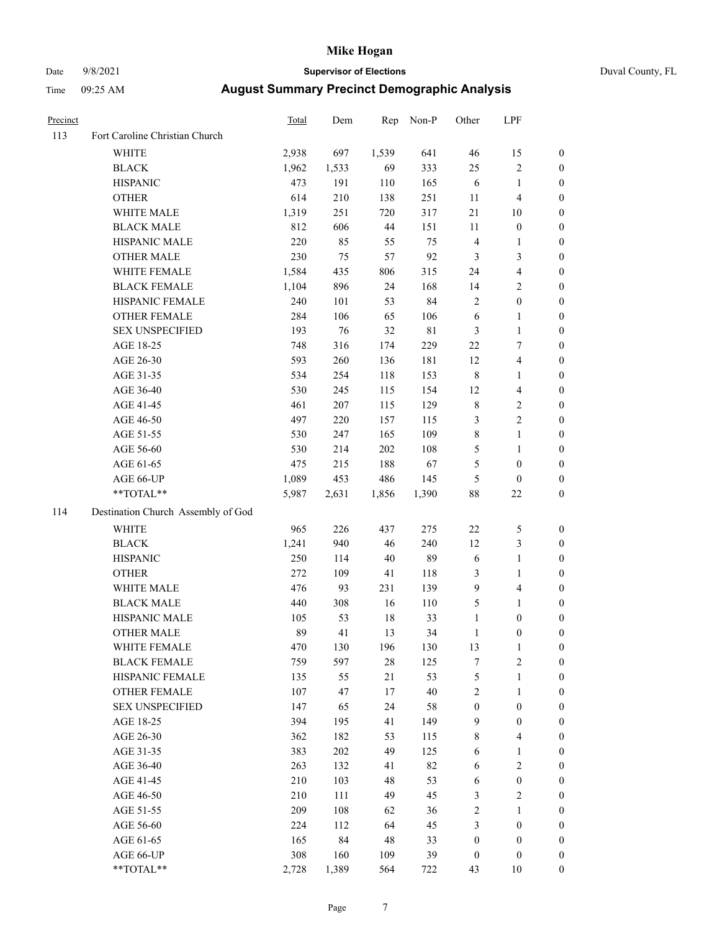# Date 9/8/2021 **Supervisor of Elections** Duval County, FL

| Precinct |                                    | Total | Dem   | Rep   | Non-P       | Other                   | LPF                     |                  |
|----------|------------------------------------|-------|-------|-------|-------------|-------------------------|-------------------------|------------------|
| 113      | Fort Caroline Christian Church     |       |       |       |             |                         |                         |                  |
|          | <b>WHITE</b>                       | 2,938 | 697   | 1,539 | 641         | 46                      | 15                      | 0                |
|          | <b>BLACK</b>                       | 1,962 | 1,533 | 69    | 333         | 25                      | $\sqrt{2}$              | 0                |
|          | <b>HISPANIC</b>                    | 473   | 191   | 110   | 165         | 6                       | $\mathbf{1}$            | $\boldsymbol{0}$ |
|          | <b>OTHER</b>                       | 614   | 210   | 138   | 251         | 11                      | $\overline{4}$          | $\boldsymbol{0}$ |
|          | WHITE MALE                         | 1,319 | 251   | 720   | 317         | 21                      | 10                      | $\boldsymbol{0}$ |
|          | <b>BLACK MALE</b>                  | 812   | 606   | 44    | 151         | 11                      | $\boldsymbol{0}$        | $\boldsymbol{0}$ |
|          | HISPANIC MALE                      | 220   | 85    | 55    | 75          | 4                       | $\mathbf{1}$            | $\boldsymbol{0}$ |
|          | <b>OTHER MALE</b>                  | 230   | 75    | 57    | 92          | 3                       | 3                       | $\boldsymbol{0}$ |
|          | WHITE FEMALE                       | 1,584 | 435   | 806   | 315         | 24                      | $\overline{\mathbf{4}}$ | $\boldsymbol{0}$ |
|          | <b>BLACK FEMALE</b>                | 1,104 | 896   | 24    | 168         | 14                      | $\sqrt{2}$              | 0                |
|          | HISPANIC FEMALE                    | 240   | 101   | 53    | 84          | $\mathbf{2}$            | $\boldsymbol{0}$        | 0                |
|          | OTHER FEMALE                       | 284   | 106   | 65    | 106         | 6                       | $\mathbf{1}$            | $\boldsymbol{0}$ |
|          | <b>SEX UNSPECIFIED</b>             | 193   | 76    | 32    | $8\sqrt{1}$ | 3                       | $\mathbf{1}$            | $\boldsymbol{0}$ |
|          | AGE 18-25                          | 748   | 316   | 174   | 229         | $22\,$                  | $\tau$                  | $\boldsymbol{0}$ |
|          | AGE 26-30                          | 593   | 260   | 136   | 181         | 12                      | $\overline{4}$          | $\boldsymbol{0}$ |
|          | AGE 31-35                          | 534   | 254   | 118   | 153         | 8                       | $\mathbf{1}$            | $\boldsymbol{0}$ |
|          | AGE 36-40                          | 530   | 245   | 115   | 154         | 12                      | $\overline{4}$          | $\boldsymbol{0}$ |
|          | AGE 41-45                          | 461   | 207   | 115   | 129         | $\,$ $\,$               | $\sqrt{2}$              | $\overline{0}$   |
|          | AGE 46-50                          | 497   | 220   | 157   | 115         | 3                       | $\overline{c}$          | $\boldsymbol{0}$ |
|          | AGE 51-55                          | 530   | 247   | 165   | 109         | 8                       | $\mathbf{1}$            | 0                |
|          | AGE 56-60                          | 530   | 214   | 202   | 108         | 5                       | $\mathbf{1}$            | 0                |
|          | AGE 61-65                          | 475   | 215   | 188   | 67          | 5                       | $\boldsymbol{0}$        | 0                |
|          | AGE 66-UP                          | 1,089 | 453   | 486   | 145         | 5                       | $\boldsymbol{0}$        | $\boldsymbol{0}$ |
|          | $**TOTAL**$                        | 5,987 | 2,631 | 1,856 | 1,390       | 88                      | $22\,$                  | $\boldsymbol{0}$ |
| 114      | Destination Church Assembly of God |       |       |       |             |                         |                         |                  |
|          | <b>WHITE</b>                       | 965   | 226   | 437   | 275         | $22\,$                  | $\mathfrak{S}$          | $\boldsymbol{0}$ |
|          | <b>BLACK</b>                       | 1,241 | 940   | 46    | 240         | 12                      | $\mathfrak{Z}$          | $\boldsymbol{0}$ |
|          | <b>HISPANIC</b>                    | 250   | 114   | 40    | 89          | 6                       | $\mathbf{1}$            | $\boldsymbol{0}$ |
|          | <b>OTHER</b>                       | 272   | 109   | 41    | 118         | 3                       | $\mathbf{1}$            | $\boldsymbol{0}$ |
|          | WHITE MALE                         | 476   | 93    | 231   | 139         | 9                       | $\overline{4}$          | $\boldsymbol{0}$ |
|          | <b>BLACK MALE</b>                  | 440   | 308   | 16    | 110         | 5                       | $\mathbf{1}$            | $\boldsymbol{0}$ |
|          | HISPANIC MALE                      | 105   | 53    | 18    | 33          | $\mathbf{1}$            | $\boldsymbol{0}$        | 0                |
|          | <b>OTHER MALE</b>                  | 89    | 41    | 13    | 34          | $\mathbf{1}$            | $\boldsymbol{0}$        | $\boldsymbol{0}$ |
|          | WHITE FEMALE                       | 470   | 130   | 196   | 130         | 13                      | 1                       | 0                |
|          | <b>BLACK FEMALE</b>                | 759   | 597   | 28    | 125         | 7                       | $\sqrt{2}$              | $\overline{0}$   |
|          | HISPANIC FEMALE                    | 135   | 55    | 21    | 53          | 5                       | $\mathbf{1}$            | $\overline{0}$   |
|          | <b>OTHER FEMALE</b>                | 107   | 47    | 17    | 40          | $\overline{\mathbf{c}}$ | $\mathbf{1}$            | $\overline{0}$   |
|          | <b>SEX UNSPECIFIED</b>             | 147   | 65    | 24    | 58          | $\boldsymbol{0}$        | $\boldsymbol{0}$        | 0                |
|          | AGE 18-25                          | 394   | 195   | 41    | 149         | 9                       | $\boldsymbol{0}$        | $\theta$         |
|          | AGE 26-30                          | 362   | 182   | 53    | 115         | 8                       | $\overline{4}$          | 0                |
|          | AGE 31-35                          | 383   | 202   | 49    | 125         | 6                       | $\mathbf{1}$            | 0                |
|          | AGE 36-40                          | 263   | 132   | 41    | 82          | 6                       | $\sqrt{2}$              | 0                |
|          | AGE 41-45                          | 210   | 103   | 48    | 53          | 6                       | $\boldsymbol{0}$        | 0                |
|          | AGE 46-50                          | 210   | 111   | 49    | 45          | 3                       | $\sqrt{2}$              | 0                |
|          | AGE 51-55                          | 209   | 108   | 62    | 36          | 2                       | $\mathbf{1}$            | $\overline{0}$   |
|          | AGE 56-60                          | 224   | 112   | 64    | 45          | 3                       | $\boldsymbol{0}$        | $\overline{0}$   |
|          | AGE 61-65                          | 165   | 84    | 48    | 33          | $\boldsymbol{0}$        | $\boldsymbol{0}$        | $\overline{0}$   |
|          | AGE 66-UP                          | 308   | 160   | 109   | 39          | $\boldsymbol{0}$        | $\boldsymbol{0}$        | 0                |
|          | **TOTAL**                          | 2,728 | 1,389 | 564   | 722         | 43                      | 10                      | $\boldsymbol{0}$ |
|          |                                    |       |       |       |             |                         |                         |                  |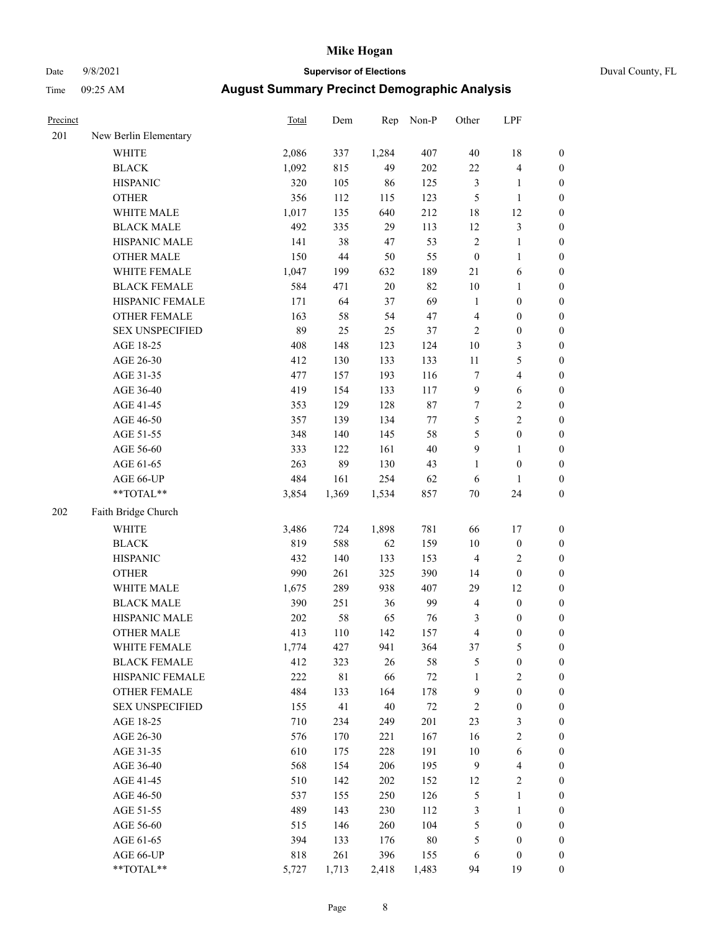# Date 9/8/2021 **Supervisor of Elections** Duval County, FL

| Precinct |                                                            | Total   | Dem         | Rep    | Non-P   | Other                   | LPF              |                  |
|----------|------------------------------------------------------------|---------|-------------|--------|---------|-------------------------|------------------|------------------|
| 201      | New Berlin Elementary                                      |         |             |        |         |                         |                  |                  |
|          | <b>WHITE</b>                                               | 2,086   | 337         | 1,284  | 407     | 40                      | 18               | 0                |
|          | <b>BLACK</b>                                               | 1,092   | 815         | 49     | 202     | 22                      | $\overline{4}$   | 0                |
|          | <b>HISPANIC</b>                                            | 320     | 105         | 86     | 125     | 3                       | $\mathbf{1}$     | $\boldsymbol{0}$ |
|          | <b>OTHER</b>                                               | 356     | 112         | 115    | 123     | 5                       | $\mathbf{1}$     | $\boldsymbol{0}$ |
|          | WHITE MALE                                                 | 1,017   | 135         | 640    | 212     | 18                      | 12               | $\boldsymbol{0}$ |
|          | <b>BLACK MALE</b>                                          | 492     | 335         | 29     | 113     | 12                      | $\sqrt{3}$       | $\boldsymbol{0}$ |
|          | HISPANIC MALE                                              | 141     | 38          | 47     | 53      | $\overline{c}$          | $\mathbf{1}$     | $\boldsymbol{0}$ |
|          | <b>OTHER MALE</b>                                          | 150     | $44\,$      | 50     | 55      | $\boldsymbol{0}$        | $\mathbf{1}$     | $\boldsymbol{0}$ |
|          | WHITE FEMALE                                               | 1,047   | 199         | 632    | 189     | 21                      | 6                | $\boldsymbol{0}$ |
|          | <b>BLACK FEMALE</b>                                        | 584     | 471         | $20\,$ | 82      | 10                      | $\mathbf{1}$     | 0                |
|          | HISPANIC FEMALE                                            | 171     | 64          | 37     | 69      | $\mathbf{1}$            | $\boldsymbol{0}$ | $\boldsymbol{0}$ |
|          | OTHER FEMALE                                               | 163     | 58          | 54     | 47      | 4                       | $\boldsymbol{0}$ | $\boldsymbol{0}$ |
|          | <b>SEX UNSPECIFIED</b>                                     | 89      | 25          | 25     | 37      | $\mathbf{2}$            | $\boldsymbol{0}$ | $\boldsymbol{0}$ |
|          | AGE 18-25                                                  | 408     | 148         | 123    | 124     | $10\,$                  | $\mathfrak{Z}$   | $\boldsymbol{0}$ |
|          | AGE 26-30                                                  | 412     | 130         | 133    | 133     | $11\,$                  | $\mathfrak s$    | $\boldsymbol{0}$ |
|          | AGE 31-35                                                  | 477     | 157         | 193    | 116     | $\boldsymbol{7}$        | $\overline{4}$   | $\boldsymbol{0}$ |
|          | AGE 36-40                                                  | 419     | 154         | 133    | 117     | 9                       | 6                | $\boldsymbol{0}$ |
|          | AGE 41-45                                                  | 353     | 129         | 128    | $87\,$  | $\boldsymbol{7}$        | $\sqrt{2}$       | $\boldsymbol{0}$ |
|          | AGE 46-50                                                  | 357     | 139         | 134    | $77 \,$ | 5                       | $\overline{c}$   | $\boldsymbol{0}$ |
|          | AGE 51-55                                                  | 348     | 140         | 145    | 58      | 5                       | $\boldsymbol{0}$ | $\boldsymbol{0}$ |
|          | AGE 56-60                                                  | 333     | 122         | 161    | 40      | 9                       | 1                | $\boldsymbol{0}$ |
|          | AGE 61-65                                                  | 263     | 89          | 130    | 43      | 1                       | $\boldsymbol{0}$ | $\boldsymbol{0}$ |
|          | AGE 66-UP                                                  | 484     | 161         | 254    | 62      | 6                       | $\mathbf{1}$     | $\boldsymbol{0}$ |
|          | $**TOTAL**$                                                | 3,854   | 1,369       | 1,534  | 857     | $70\,$                  | 24               | $\boldsymbol{0}$ |
| 202      | Faith Bridge Church                                        |         |             |        |         |                         |                  |                  |
|          |                                                            |         |             |        |         |                         |                  |                  |
|          | <b>WHITE</b>                                               | 3,486   | 724         | 1,898  | 781     | 66                      | 17               | $\boldsymbol{0}$ |
|          | <b>BLACK</b>                                               | 819     | 588         | 62     | 159     | 10                      | $\boldsymbol{0}$ | $\boldsymbol{0}$ |
|          | <b>HISPANIC</b>                                            | 432     | 140         | 133    | 153     | 4                       | $\sqrt{2}$       | $\boldsymbol{0}$ |
|          | <b>OTHER</b>                                               | 990     | 261         | 325    | 390     | 14                      | $\boldsymbol{0}$ | $\boldsymbol{0}$ |
|          | WHITE MALE                                                 | 1,675   | 289         | 938    | 407     | 29                      | 12               | $\boldsymbol{0}$ |
|          | <b>BLACK MALE</b>                                          | 390     | 251         | 36     | 99      | $\overline{4}$          | $\boldsymbol{0}$ | $\boldsymbol{0}$ |
|          | HISPANIC MALE                                              | $202\,$ | 58          | 65     | 76      | 3                       | $\boldsymbol{0}$ | 0                |
|          | <b>OTHER MALE</b>                                          | 413     | 110         | 142    | 157     | $\overline{\mathbf{4}}$ | $\boldsymbol{0}$ | $\boldsymbol{0}$ |
|          | WHITE FEMALE                                               | 1,774   | 427         | 941    | 364     | 37                      | 5                | 0                |
|          | <b>BLACK FEMALE</b>                                        | 412     | 323         | 26     | 58      | 5                       | $\boldsymbol{0}$ | $\overline{0}$   |
|          | HISPANIC FEMALE                                            | 222     | $8\sqrt{1}$ | 66     | $72\,$  | 1                       | $\sqrt{2}$       | $\overline{0}$   |
|          | OTHER FEMALE                                               | 484     | 133         | 164    | 178     | 9                       | $\boldsymbol{0}$ | $\overline{0}$   |
|          | <b>SEX UNSPECIFIED</b>                                     | 155     | 41          | 40     | $72\,$  | $\overline{\mathbf{c}}$ | $\boldsymbol{0}$ | 0                |
|          | AGE 18-25                                                  | 710     | 234         | 249    | 201     | 23                      | $\mathfrak z$    | 0                |
|          | AGE 26-30                                                  | 576     | 170         | 221    | 167     | 16                      | $\sqrt{2}$       | 0                |
|          | AGE 31-35                                                  | 610     | 175         | 228    | 191     | 10                      | 6                | 0                |
|          | AGE 36-40                                                  | 568     | 154         | 206    | 195     | 9                       | $\overline{4}$   | 0                |
|          | AGE 41-45                                                  | 510     | 142         | 202    | 152     | 12                      | $\sqrt{2}$       | 0                |
|          | AGE 46-50                                                  | 537     | 155         | 250    | 126     | 5                       | $\mathbf{1}$     | 0                |
|          | AGE 51-55                                                  | 489     | 143         | 230    | 112     | 3                       | $\mathbf{1}$     | 0                |
|          | AGE 56-60                                                  | 515     | 146         | 260    | 104     | 5                       | $\boldsymbol{0}$ | 0                |
|          | AGE 61-65                                                  | 394     | 133         | 176    | 80      | 5                       | $\boldsymbol{0}$ | $\overline{0}$   |
|          | AGE 66-UP                                                  | 818     | 261         | 396    | 155     | 6                       | $\boldsymbol{0}$ | 0                |
|          | $\mathrm{*}\mathrm{*} \mathrm{TOTAL} \mathrm{*}\mathrm{*}$ | 5,727   | 1,713       | 2,418  | 1,483   | 94                      | 19               | $\boldsymbol{0}$ |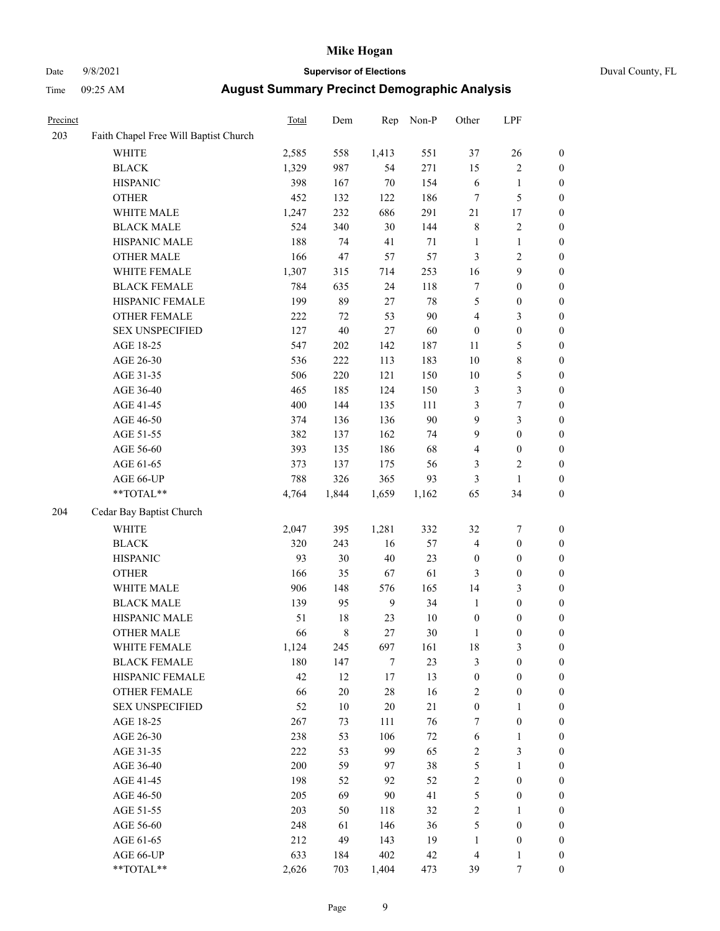# Date 9/8/2021 **Supervisor of Elections** Duval County, FL

| Precinct |                                       | Total | Dem    | Rep            | Non-P  | Other            | LPF              |                  |
|----------|---------------------------------------|-------|--------|----------------|--------|------------------|------------------|------------------|
| 203      | Faith Chapel Free Will Baptist Church |       |        |                |        |                  |                  |                  |
|          | <b>WHITE</b>                          | 2,585 | 558    | 1,413          | 551    | 37               | 26               | 0                |
|          | <b>BLACK</b>                          | 1,329 | 987    | 54             | 271    | 15               | $\sqrt{2}$       | 0                |
|          | <b>HISPANIC</b>                       | 398   | 167    | 70             | 154    | 6                | $\mathbf{1}$     | $\boldsymbol{0}$ |
|          | <b>OTHER</b>                          | 452   | 132    | 122            | 186    | 7                | $\mathfrak{S}$   | $\boldsymbol{0}$ |
|          | WHITE MALE                            | 1,247 | 232    | 686            | 291    | 21               | 17               | $\boldsymbol{0}$ |
|          | <b>BLACK MALE</b>                     | 524   | 340    | 30             | 144    | 8                | $\sqrt{2}$       | $\boldsymbol{0}$ |
|          | HISPANIC MALE                         | 188   | 74     | 41             | 71     | $\mathbf{1}$     | $\mathbf{1}$     | $\boldsymbol{0}$ |
|          | <b>OTHER MALE</b>                     | 166   | 47     | 57             | 57     | 3                | $\overline{2}$   | $\boldsymbol{0}$ |
|          | WHITE FEMALE                          | 1,307 | 315    | 714            | 253    | 16               | $\boldsymbol{9}$ | $\boldsymbol{0}$ |
|          | <b>BLACK FEMALE</b>                   | 784   | 635    | 24             | 118    | 7                | $\boldsymbol{0}$ | $\boldsymbol{0}$ |
|          | HISPANIC FEMALE                       | 199   | 89     | 27             | 78     | 5                | $\boldsymbol{0}$ | 0                |
|          | OTHER FEMALE                          | 222   | 72     | 53             | 90     | 4                | $\mathfrak{Z}$   | $\boldsymbol{0}$ |
|          | <b>SEX UNSPECIFIED</b>                | 127   | $40\,$ | $27\,$         | 60     | $\boldsymbol{0}$ | $\boldsymbol{0}$ | $\boldsymbol{0}$ |
|          | AGE 18-25                             | 547   | 202    | 142            | 187    | 11               | $\mathfrak{S}$   | $\boldsymbol{0}$ |
|          | AGE 26-30                             | 536   | 222    | 113            | 183    | 10               | $8\,$            | $\boldsymbol{0}$ |
|          | AGE 31-35                             | 506   | 220    | 121            | 150    | 10               | $\mathfrak{S}$   | $\boldsymbol{0}$ |
|          | AGE 36-40                             | 465   | 185    | 124            | 150    | $\mathfrak{Z}$   | $\mathfrak{Z}$   | $\boldsymbol{0}$ |
|          | AGE 41-45                             | 400   | 144    | 135            | 111    | 3                | $\boldsymbol{7}$ | $\boldsymbol{0}$ |
|          | AGE 46-50                             | 374   | 136    | 136            | 90     | $\boldsymbol{9}$ | $\mathfrak{Z}$   | $\boldsymbol{0}$ |
|          | AGE 51-55                             | 382   | 137    | 162            | 74     | 9                | $\boldsymbol{0}$ | $\boldsymbol{0}$ |
|          | AGE 56-60                             | 393   | 135    | 186            | 68     | 4                | $\boldsymbol{0}$ | 0                |
|          | AGE 61-65                             | 373   | 137    | 175            | 56     | 3                | $\overline{c}$   | 0                |
|          | AGE 66-UP                             | 788   | 326    | 365            | 93     | 3                | $\mathbf{1}$     | $\boldsymbol{0}$ |
|          | **TOTAL**                             | 4,764 | 1,844  | 1,659          | 1,162  | 65               | 34               | $\boldsymbol{0}$ |
| 204      | Cedar Bay Baptist Church              |       |        |                |        |                  |                  |                  |
|          | <b>WHITE</b>                          | 2,047 | 395    | 1,281          | 332    | 32               | $\boldsymbol{7}$ | $\boldsymbol{0}$ |
|          | <b>BLACK</b>                          | 320   | 243    | 16             | 57     | 4                | $\boldsymbol{0}$ | $\boldsymbol{0}$ |
|          | <b>HISPANIC</b>                       | 93    | 30     | 40             | 23     | $\boldsymbol{0}$ | $\boldsymbol{0}$ | $\boldsymbol{0}$ |
|          | <b>OTHER</b>                          | 166   | 35     | 67             | 61     | 3                | $\boldsymbol{0}$ | $\boldsymbol{0}$ |
|          | WHITE MALE                            | 906   | 148    | 576            | 165    | 14               | $\mathfrak{Z}$   | $\boldsymbol{0}$ |
|          | <b>BLACK MALE</b>                     | 139   | 95     | $\overline{9}$ | 34     | $\mathbf{1}$     | $\boldsymbol{0}$ | $\boldsymbol{0}$ |
|          | HISPANIC MALE                         | 51    | $18\,$ | 23             | $10\,$ | $\boldsymbol{0}$ | $\boldsymbol{0}$ | 0                |
|          | <b>OTHER MALE</b>                     | 66    | 8      | 27             | 30     | $\mathbf{1}$     | $\boldsymbol{0}$ | $\boldsymbol{0}$ |
|          | WHITE FEMALE                          | 1,124 | 245    | 697            | 161    | 18               | 3                | 0                |
|          | <b>BLACK FEMALE</b>                   | 180   | 147    | 7              | 23     | 3                | $\boldsymbol{0}$ | $\boldsymbol{0}$ |
|          | HISPANIC FEMALE                       | 42    | 12     | $17$           | 13     | $\boldsymbol{0}$ | $\boldsymbol{0}$ | $\overline{0}$   |
|          | OTHER FEMALE                          | 66    | $20\,$ | 28             | 16     | $\sqrt{2}$       | $\boldsymbol{0}$ | $\overline{0}$   |
|          | <b>SEX UNSPECIFIED</b>                | 52    | $10\,$ | 20             | 21     | $\boldsymbol{0}$ | $\mathbf{1}$     | 0                |
|          | AGE 18-25                             | 267   | 73     | 111            | 76     | 7                | $\boldsymbol{0}$ | 0                |
|          | AGE 26-30                             | 238   | 53     | 106            | $72\,$ | 6                | $\mathbf{1}$     | 0                |
|          | AGE 31-35                             | 222   | 53     | 99             | 65     | $\sqrt{2}$       | $\mathfrak{Z}$   | 0                |
|          | AGE 36-40                             | 200   | 59     | 97             | 38     | 5                | $\mathbf{1}$     | 0                |
|          | AGE 41-45                             | 198   | 52     | 92             | 52     | $\overline{c}$   | $\boldsymbol{0}$ | 0                |
|          | AGE 46-50                             | 205   | 69     | 90             | 41     | 5                | $\boldsymbol{0}$ | 0                |
|          | AGE 51-55                             | 203   | 50     | 118            | 32     | 2                | $\mathbf{1}$     | 0                |
|          | AGE 56-60                             | 248   | 61     | 146            | 36     | 5                | $\boldsymbol{0}$ | 0                |
|          | AGE 61-65                             | 212   | 49     | 143            | 19     | $\mathbf{1}$     | $\boldsymbol{0}$ | 0                |
|          | AGE 66-UP                             | 633   | 184    | 402            | 42     | $\overline{4}$   | $\mathbf{1}$     | 0                |
|          | **TOTAL**                             | 2,626 | 703    | 1,404          | 473    | 39               | 7                | $\boldsymbol{0}$ |
|          |                                       |       |        |                |        |                  |                  |                  |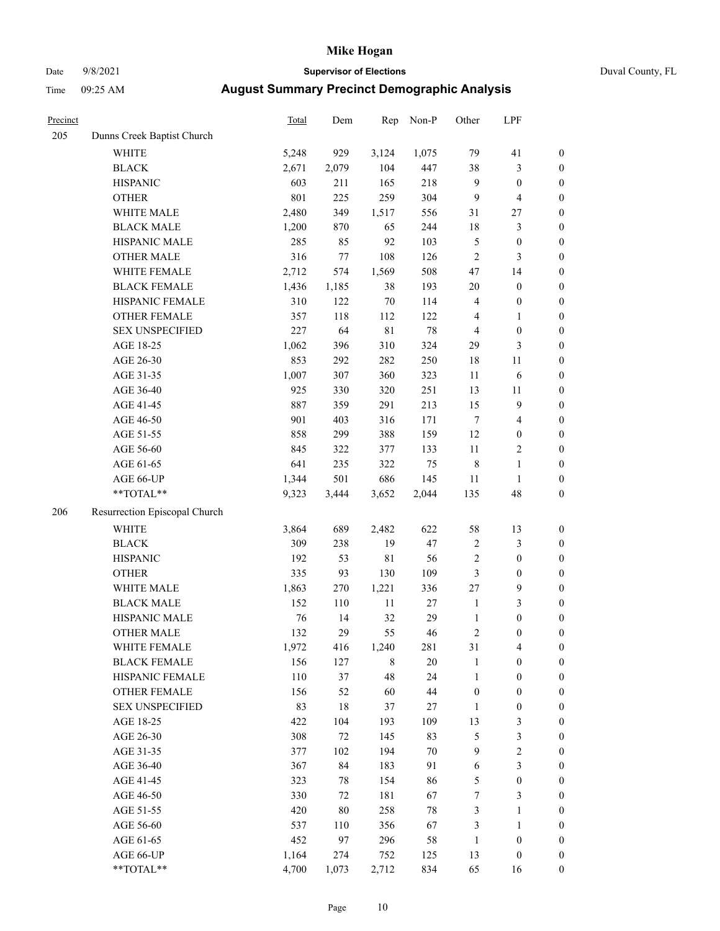# Date 9/8/2021 **Supervisor of Elections** Duval County, FL

| Precinct |                               | <b>Total</b> | Dem    | Rep         | Non-P  | Other            | LPF                     |                  |
|----------|-------------------------------|--------------|--------|-------------|--------|------------------|-------------------------|------------------|
| 205      | Dunns Creek Baptist Church    |              |        |             |        |                  |                         |                  |
|          | <b>WHITE</b>                  | 5,248        | 929    | 3,124       | 1,075  | 79               | 41                      | $\boldsymbol{0}$ |
|          | <b>BLACK</b>                  | 2,671        | 2,079  | 104         | 447    | 38               | $\mathfrak{Z}$          | $\boldsymbol{0}$ |
|          | <b>HISPANIC</b>               | 603          | 211    | 165         | 218    | 9                | $\boldsymbol{0}$        | $\boldsymbol{0}$ |
|          | <b>OTHER</b>                  | 801          | 225    | 259         | 304    | 9                | $\overline{\mathbf{4}}$ | $\boldsymbol{0}$ |
|          | WHITE MALE                    | 2,480        | 349    | 1,517       | 556    | 31               | $27\,$                  | $\boldsymbol{0}$ |
|          | <b>BLACK MALE</b>             | 1,200        | 870    | 65          | 244    | 18               | $\mathfrak{Z}$          | $\boldsymbol{0}$ |
|          | HISPANIC MALE                 | 285          | 85     | 92          | 103    | 5                | $\boldsymbol{0}$        | $\boldsymbol{0}$ |
|          | <b>OTHER MALE</b>             | 316          | 77     | 108         | 126    | $\overline{2}$   | 3                       | $\boldsymbol{0}$ |
|          | WHITE FEMALE                  | 2,712        | 574    | 1,569       | 508    | 47               | 14                      | $\boldsymbol{0}$ |
|          | <b>BLACK FEMALE</b>           | 1,436        | 1,185  | 38          | 193    | 20               | $\boldsymbol{0}$        | $\boldsymbol{0}$ |
|          | HISPANIC FEMALE               | 310          | 122    | $70\,$      | 114    | $\overline{4}$   | $\boldsymbol{0}$        | 0                |
|          | OTHER FEMALE                  | 357          | 118    | 112         | 122    | 4                | $\mathbf{1}$            | $\boldsymbol{0}$ |
|          | <b>SEX UNSPECIFIED</b>        | 227          | 64     | $8\sqrt{1}$ | 78     | $\overline{4}$   | $\boldsymbol{0}$        | $\boldsymbol{0}$ |
|          | AGE 18-25                     | 1,062        | 396    | 310         | 324    | 29               | $\mathfrak{Z}$          | $\boldsymbol{0}$ |
|          | AGE 26-30                     | 853          | 292    | 282         | 250    | 18               | 11                      | $\boldsymbol{0}$ |
|          | AGE 31-35                     | 1,007        | 307    | 360         | 323    | 11               | 6                       | $\boldsymbol{0}$ |
|          | AGE 36-40                     | 925          | 330    | 320         | 251    | 13               | 11                      | $\boldsymbol{0}$ |
|          | AGE 41-45                     | 887          | 359    | 291         | 213    | 15               | $\mathbf{9}$            | $\boldsymbol{0}$ |
|          | AGE 46-50                     | 901          | 403    | 316         | 171    | $\tau$           | $\overline{\mathbf{4}}$ | $\boldsymbol{0}$ |
|          | AGE 51-55                     | 858          | 299    | 388         | 159    | 12               | $\boldsymbol{0}$        | $\boldsymbol{0}$ |
|          | AGE 56-60                     | 845          | 322    | 377         | 133    | 11               | $\sqrt{2}$              | 0                |
|          | AGE 61-65                     | 641          | 235    | 322         | 75     | $\,$ 8 $\,$      | $\mathbf{1}$            | 0                |
|          | AGE 66-UP                     | 1,344        | 501    | 686         | 145    | 11               | $\mathbf{1}$            | $\boldsymbol{0}$ |
|          | $**TOTAL**$                   | 9,323        | 3,444  | 3,652       | 2,044  | 135              | 48                      | $\boldsymbol{0}$ |
| 206      | Resurrection Episcopal Church |              |        |             |        |                  |                         |                  |
|          | <b>WHITE</b>                  | 3,864        | 689    | 2,482       | 622    | 58               | 13                      | $\boldsymbol{0}$ |
|          | <b>BLACK</b>                  | 309          | 238    | 19          | 47     | $\overline{c}$   | $\mathfrak{Z}$          | $\boldsymbol{0}$ |
|          | <b>HISPANIC</b>               | 192          | 53     | $8\sqrt{1}$ | 56     | $\overline{c}$   | $\boldsymbol{0}$        | $\boldsymbol{0}$ |
|          | <b>OTHER</b>                  | 335          | 93     | 130         | 109    | $\mathfrak{Z}$   | $\boldsymbol{0}$        | $\boldsymbol{0}$ |
|          | WHITE MALE                    | 1,863        | 270    | 1,221       | 336    | 27               | $\mathbf{9}$            | $\boldsymbol{0}$ |
|          | <b>BLACK MALE</b>             | 152          | 110    | 11          | $27\,$ | $\mathbf{1}$     | $\mathfrak{Z}$          | $\boldsymbol{0}$ |
|          | HISPANIC MALE                 | 76           | 14     | 32          | 29     | $\mathbf{1}$     | $\boldsymbol{0}$        | $\boldsymbol{0}$ |
|          | <b>OTHER MALE</b>             | 132          | 29     | 55          | 46     | $\overline{c}$   | $\boldsymbol{0}$        | $\boldsymbol{0}$ |
|          | WHITE FEMALE                  | 1,972        | 416    | 1,240       | 281    | 31               | 4                       | 0                |
|          | <b>BLACK FEMALE</b>           | 156          | 127    | 8           | $20\,$ | $\mathbf{1}$     | $\boldsymbol{0}$        | $\boldsymbol{0}$ |
|          | HISPANIC FEMALE               | 110          | 37     | 48          | 24     | $\mathbf{1}$     | $\boldsymbol{0}$        | $\overline{0}$   |
|          | <b>OTHER FEMALE</b>           | 156          | 52     | 60          | 44     | $\boldsymbol{0}$ | $\boldsymbol{0}$        | $\overline{0}$   |
|          | <b>SEX UNSPECIFIED</b>        | 83           | 18     | 37          | 27     | $\mathbf{1}$     | $\boldsymbol{0}$        | 0                |
|          | AGE 18-25                     | 422          | 104    | 193         | 109    | 13               | $\mathfrak{Z}$          | 0                |
|          | AGE 26-30                     | 308          | $72\,$ | 145         | 83     | 5                | $\mathfrak{Z}$          | 0                |
|          | AGE 31-35                     | 377          | 102    | 194         | $70\,$ | 9                | $\sqrt{2}$              | 0                |
|          | AGE 36-40                     | 367          | 84     | 183         | 91     | 6                | $\mathfrak{Z}$          | 0                |
|          | AGE 41-45                     | 323          | 78     | 154         | 86     | $\mathfrak{S}$   | $\boldsymbol{0}$        | 0                |
|          | AGE 46-50                     | 330          | 72     | 181         | 67     | 7                | 3                       | 0                |
|          | AGE 51-55                     | 420          | $80\,$ | 258         | $78\,$ | $\mathfrak{Z}$   | $\mathbf{1}$            | 0                |
|          | AGE 56-60                     | 537          | 110    | 356         | 67     | 3                | $\mathbf{1}$            | 0                |
|          | AGE 61-65                     | 452          | 97     | 296         | 58     | $\mathbf{1}$     | $\boldsymbol{0}$        | 0                |
|          | AGE 66-UP                     | 1,164        | 274    | 752         | 125    | 13               | $\boldsymbol{0}$        | 0                |
|          | **TOTAL**                     | 4,700        | 1,073  | 2,712       | 834    | 65               | 16                      | $\boldsymbol{0}$ |
|          |                               |              |        |             |        |                  |                         |                  |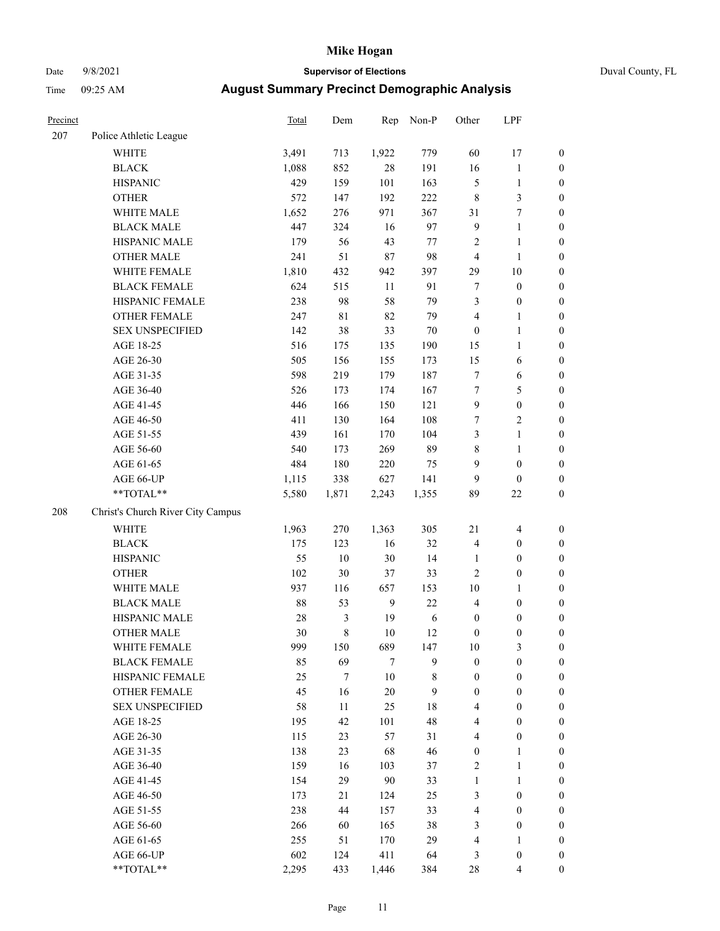# Date 9/8/2021 **Supervisor of Elections** Duval County, FL

| Precinct |                                                             | Total | Dem            |              | Rep Non-P | Other            | LPF              |                  |
|----------|-------------------------------------------------------------|-------|----------------|--------------|-----------|------------------|------------------|------------------|
| 207      | Police Athletic League                                      |       |                |              |           |                  |                  |                  |
|          | <b>WHITE</b>                                                | 3,491 | 713            | 1,922        | 779       | 60               | 17               | $\boldsymbol{0}$ |
|          | <b>BLACK</b>                                                | 1,088 | 852            | 28           | 191       | 16               | $\mathbf{1}$     | $\boldsymbol{0}$ |
|          | <b>HISPANIC</b>                                             | 429   | 159            | 101          | 163       | 5                | $\mathbf{1}$     | $\boldsymbol{0}$ |
|          | <b>OTHER</b>                                                | 572   | 147            | 192          | 222       | $\,$ $\,$        | $\mathfrak{Z}$   | $\boldsymbol{0}$ |
|          | WHITE MALE                                                  | 1,652 | 276            | 971          | 367       | 31               | $\boldsymbol{7}$ | $\boldsymbol{0}$ |
|          | <b>BLACK MALE</b>                                           | 447   | 324            | 16           | 97        | 9                | $\mathbf{1}$     | $\boldsymbol{0}$ |
|          | HISPANIC MALE                                               | 179   | 56             | 43           | 77        | 2                | $\mathbf{1}$     | $\boldsymbol{0}$ |
|          | <b>OTHER MALE</b>                                           | 241   | 51             | $87\,$       | 98        | 4                | $\mathbf{1}$     | $\boldsymbol{0}$ |
|          | WHITE FEMALE                                                | 1,810 | 432            | 942          | 397       | 29               | 10               | $\boldsymbol{0}$ |
|          | <b>BLACK FEMALE</b>                                         | 624   | 515            | 11           | 91        | 7                | $\boldsymbol{0}$ | $\boldsymbol{0}$ |
|          | HISPANIC FEMALE                                             | 238   | 98             | 58           | 79        | 3                | $\boldsymbol{0}$ | 0                |
|          | OTHER FEMALE                                                | 247   | 81             | 82           | 79        | 4                | 1                | $\boldsymbol{0}$ |
|          | <b>SEX UNSPECIFIED</b>                                      | 142   | 38             | 33           | 70        | $\boldsymbol{0}$ | $\mathbf{1}$     | $\boldsymbol{0}$ |
|          | AGE 18-25                                                   | 516   | 175            | 135          | 190       | 15               | $\mathbf{1}$     | $\boldsymbol{0}$ |
|          | AGE 26-30                                                   | 505   | 156            | 155          | 173       | 15               | 6                | $\boldsymbol{0}$ |
|          | AGE 31-35                                                   | 598   | 219            | 179          | 187       | 7                | 6                | $\boldsymbol{0}$ |
|          | AGE 36-40                                                   | 526   | 173            | 174          | 167       | $\boldsymbol{7}$ | $\mathfrak s$    | $\boldsymbol{0}$ |
|          | AGE 41-45                                                   | 446   | 166            | 150          | 121       | 9                | $\boldsymbol{0}$ | $\boldsymbol{0}$ |
|          | AGE 46-50                                                   | 411   | 130            | 164          | 108       | 7                | $\sqrt{2}$       | $\boldsymbol{0}$ |
|          | AGE 51-55                                                   | 439   | 161            | 170          | 104       | 3                | $\mathbf{1}$     | $\boldsymbol{0}$ |
|          | AGE 56-60                                                   | 540   | 173            | 269          | 89        | 8                | $\mathbf{1}$     | $\boldsymbol{0}$ |
|          | AGE 61-65                                                   | 484   | 180            | 220          | 75        | 9                | $\boldsymbol{0}$ | $\boldsymbol{0}$ |
|          | AGE 66-UP                                                   | 1,115 | 338            | 627          | 141       | 9                | $\boldsymbol{0}$ | $\boldsymbol{0}$ |
|          | $\mathrm{*}\mathrm{*} \mathrm{TOTAL} \mathrm{*} \mathrm{*}$ | 5,580 | 1,871          | 2,243        | 1,355     | 89               | $22\,$           | $\boldsymbol{0}$ |
| 208      | Christ's Church River City Campus                           |       |                |              |           |                  |                  |                  |
|          | <b>WHITE</b>                                                | 1,963 | 270            | 1,363        | 305       | $21\,$           | $\overline{4}$   | $\boldsymbol{0}$ |
|          | <b>BLACK</b>                                                | 175   | 123            | 16           | 32        | 4                | $\boldsymbol{0}$ | $\boldsymbol{0}$ |
|          | <b>HISPANIC</b>                                             | 55    | 10             | 30           | 14        | $\mathbf{1}$     | $\boldsymbol{0}$ | $\boldsymbol{0}$ |
|          | <b>OTHER</b>                                                | 102   | 30             | 37           | 33        | 2                | $\boldsymbol{0}$ | $\boldsymbol{0}$ |
|          | WHITE MALE                                                  | 937   | 116            | 657          | 153       | 10               | $\mathbf{1}$     | $\boldsymbol{0}$ |
|          | <b>BLACK MALE</b>                                           | 88    | 53             | $\mathbf{9}$ | $22\,$    | 4                | $\boldsymbol{0}$ | $\boldsymbol{0}$ |
|          | HISPANIC MALE                                               | 28    | $\mathfrak{Z}$ | 19           | 6         | $\boldsymbol{0}$ | $\boldsymbol{0}$ | $\boldsymbol{0}$ |
|          | <b>OTHER MALE</b>                                           | 30    | $\,$ 8 $\,$    | 10           | 12        | 0                | $\boldsymbol{0}$ | $\boldsymbol{0}$ |
|          | WHITE FEMALE                                                | 999   | 150            | 689          | 147       | 10               | 3                | 0                |
|          | <b>BLACK FEMALE</b>                                         | 85    | 69             | 7            | 9         | $\boldsymbol{0}$ | $\boldsymbol{0}$ | $\boldsymbol{0}$ |
|          | HISPANIC FEMALE                                             | 25    | $\tau$         | 10           | 8         | $\boldsymbol{0}$ | $\boldsymbol{0}$ | $\overline{0}$   |
|          | OTHER FEMALE                                                | 45    | 16             | 20           | 9         | $\boldsymbol{0}$ | $\boldsymbol{0}$ | $\overline{0}$   |
|          | <b>SEX UNSPECIFIED</b>                                      | 58    | 11             | 25           | 18        | 4                | $\boldsymbol{0}$ | $\overline{0}$   |
|          | AGE 18-25                                                   | 195   | 42             | 101          | 48        | 4                | $\boldsymbol{0}$ | $\theta$         |
|          | AGE 26-30                                                   | 115   | 23             | 57           | 31        | 4                | $\boldsymbol{0}$ | $\overline{0}$   |
|          | AGE 31-35                                                   | 138   | 23             | 68           | 46        | $\boldsymbol{0}$ | $\mathbf{1}$     | 0                |
|          | AGE 36-40                                                   | 159   | 16             | 103          | 37        | 2                | $\mathbf{1}$     | 0                |
|          | AGE 41-45                                                   | 154   | 29             | 90           | 33        | $\mathbf{1}$     | $\mathbf{1}$     | 0                |
|          | AGE 46-50                                                   | 173   | 21             | 124          | 25        | 3                | $\boldsymbol{0}$ | $\boldsymbol{0}$ |
|          | AGE 51-55                                                   | 238   | 44             | 157          | 33        | 4                | $\boldsymbol{0}$ | $\overline{0}$   |
|          | AGE 56-60                                                   | 266   | 60             | 165          | 38        | 3                | $\boldsymbol{0}$ | $\overline{0}$   |
|          | AGE 61-65                                                   | 255   | 51             | 170          | 29        | 4                | $\mathbf{1}$     | $\overline{0}$   |
|          | AGE 66-UP                                                   | 602   | 124            | 411          | 64        | 3                | $\boldsymbol{0}$ | 0                |
|          | **TOTAL**                                                   | 2,295 | 433            | 1,446        | 384       | 28               | $\overline{4}$   | $\overline{0}$   |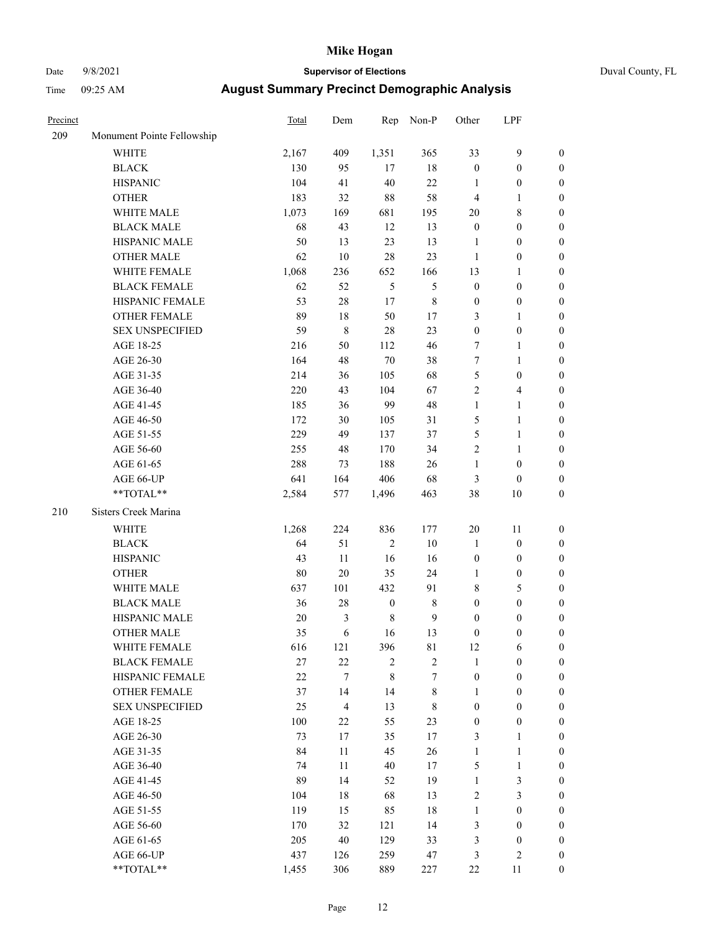# Date 9/8/2021 **Supervisor of Elections** Duval County, FL

| Precinct |                            | Total  | Dem              | Rep              | Non-P         | Other            | LPF              |                  |
|----------|----------------------------|--------|------------------|------------------|---------------|------------------|------------------|------------------|
| 209      | Monument Pointe Fellowship |        |                  |                  |               |                  |                  |                  |
|          | <b>WHITE</b>               | 2,167  | 409              | 1,351            | 365           | 33               | $\mathbf{9}$     | 0                |
|          | <b>BLACK</b>               | 130    | 95               | 17               | 18            | $\boldsymbol{0}$ | $\boldsymbol{0}$ | 0                |
|          | <b>HISPANIC</b>            | 104    | 41               | 40               | 22            | 1                | $\boldsymbol{0}$ | $\boldsymbol{0}$ |
|          | <b>OTHER</b>               | 183    | 32               | 88               | 58            | $\overline{4}$   | 1                | $\boldsymbol{0}$ |
|          | WHITE MALE                 | 1,073  | 169              | 681              | 195           | 20               | $\,$ 8 $\,$      | $\boldsymbol{0}$ |
|          | <b>BLACK MALE</b>          | 68     | 43               | 12               | 13            | $\boldsymbol{0}$ | $\boldsymbol{0}$ | $\boldsymbol{0}$ |
|          | HISPANIC MALE              | 50     | 13               | 23               | 13            | $\mathbf{1}$     | $\boldsymbol{0}$ | $\boldsymbol{0}$ |
|          | <b>OTHER MALE</b>          | 62     | 10               | 28               | 23            | $\mathbf{1}$     | $\boldsymbol{0}$ | $\boldsymbol{0}$ |
|          | WHITE FEMALE               | 1,068  | 236              | 652              | 166           | 13               | 1                | $\boldsymbol{0}$ |
|          | <b>BLACK FEMALE</b>        | 62     | 52               | 5                | $\mathfrak s$ | $\boldsymbol{0}$ | $\boldsymbol{0}$ | 0                |
|          | HISPANIC FEMALE            | 53     | 28               | 17               | $\,$ $\,$     | $\boldsymbol{0}$ | $\boldsymbol{0}$ | 0                |
|          | OTHER FEMALE               | 89     | 18               | 50               | 17            | 3                | $\mathbf{1}$     | $\boldsymbol{0}$ |
|          | <b>SEX UNSPECIFIED</b>     | 59     | $\,$ 8 $\,$      | 28               | 23            | $\boldsymbol{0}$ | $\boldsymbol{0}$ | $\boldsymbol{0}$ |
|          | AGE 18-25                  | 216    | 50               | 112              | 46            | 7                | $\mathbf{1}$     | $\boldsymbol{0}$ |
|          | AGE 26-30                  | 164    | 48               | $70\,$           | 38            | 7                | $\mathbf{1}$     | $\boldsymbol{0}$ |
|          | AGE 31-35                  | 214    | 36               | 105              | 68            | 5                | $\boldsymbol{0}$ | $\boldsymbol{0}$ |
|          | AGE 36-40                  | 220    | 43               | 104              | 67            | $\overline{c}$   | $\overline{4}$   | $\boldsymbol{0}$ |
|          | AGE 41-45                  | 185    | 36               | 99               | 48            | $\mathbf{1}$     | $\mathbf{1}$     | $\boldsymbol{0}$ |
|          |                            | 172    | 30               | 105              | 31            | 5                | $\mathbf{1}$     | $\boldsymbol{0}$ |
|          | AGE 46-50                  |        |                  |                  |               |                  |                  |                  |
|          | AGE 51-55                  | 229    | 49               | 137              | 37            | 5                | $\mathbf{1}$     | 0                |
|          | AGE 56-60                  | 255    | 48               | 170              | 34            | $\overline{c}$   | $\mathbf{1}$     | 0                |
|          | AGE 61-65                  | 288    | 73               | 188              | 26            | $\mathbf{1}$     | $\boldsymbol{0}$ | 0                |
|          | AGE 66-UP                  | 641    | 164              | 406              | 68            | 3                | $\boldsymbol{0}$ | $\boldsymbol{0}$ |
|          | $**TOTAL**$                | 2,584  | 577              | 1,496            | 463           | 38               | 10               | $\boldsymbol{0}$ |
| 210      | Sisters Creek Marina       |        |                  |                  |               |                  |                  |                  |
|          | <b>WHITE</b>               | 1,268  | 224              | 836              | 177           | $20\,$           | 11               | $\boldsymbol{0}$ |
|          | <b>BLACK</b>               | 64     | 51               | $\sqrt{2}$       | 10            | $\mathbf{1}$     | $\boldsymbol{0}$ | $\boldsymbol{0}$ |
|          | <b>HISPANIC</b>            | 43     | 11               | 16               | 16            | $\boldsymbol{0}$ | $\boldsymbol{0}$ | $\boldsymbol{0}$ |
|          | <b>OTHER</b>               | $80\,$ | 20               | 35               | 24            | $\mathbf{1}$     | $\boldsymbol{0}$ | $\boldsymbol{0}$ |
|          | WHITE MALE                 | 637    | 101              | 432              | 91            | 8                | $\mathfrak s$    | $\boldsymbol{0}$ |
|          | <b>BLACK MALE</b>          | 36     | 28               | $\boldsymbol{0}$ | $\,$ $\,$     | $\boldsymbol{0}$ | $\boldsymbol{0}$ | $\boldsymbol{0}$ |
|          | HISPANIC MALE              | $20\,$ | $\mathfrak{Z}$   | $\,$ 8 $\,$      | $\mathbf{9}$  | $\boldsymbol{0}$ | $\boldsymbol{0}$ | 0                |
|          | <b>OTHER MALE</b>          | 35     | 6                | 16               | 13            | 0                | $\boldsymbol{0}$ | $\boldsymbol{0}$ |
|          | WHITE FEMALE               | 616    | 121              | 396              | 81            | 12               | 6                | 0                |
|          | <b>BLACK FEMALE</b>        | 27     | 22               | $\overline{c}$   | $\sqrt{2}$    | $\mathbf{1}$     | $\boldsymbol{0}$ | $\overline{0}$   |
|          | HISPANIC FEMALE            | 22     | $\boldsymbol{7}$ | 8                | 7             | $\boldsymbol{0}$ | $\boldsymbol{0}$ | $\overline{0}$   |
|          | OTHER FEMALE               | 37     | 14               | 14               | $\,$ 8 $\,$   | 1                | $\boldsymbol{0}$ | $\overline{0}$   |
|          | <b>SEX UNSPECIFIED</b>     | 25     | $\overline{4}$   | 13               | $\,$ 8 $\,$   | $\boldsymbol{0}$ | $\boldsymbol{0}$ | 0                |
|          | AGE 18-25                  | 100    | 22               | 55               | 23            | 0                | $\boldsymbol{0}$ | 0                |
|          | AGE 26-30                  | 73     | 17               | 35               | $17\,$        | 3                | $\mathbf{1}$     | 0                |
|          | AGE 31-35                  | 84     | 11               | 45               | 26            | $\mathbf{1}$     | $\mathbf{1}$     | 0                |
|          | AGE 36-40                  | 74     | 11               | 40               | 17            | 5                | $\mathbf{1}$     | 0                |
|          | AGE 41-45                  | 89     | 14               | 52               | 19            | $\mathbf{1}$     | $\mathfrak{Z}$   | 0                |
|          | AGE 46-50                  | 104    | 18               | 68               | 13            | 2                | 3                | 0                |
|          | AGE 51-55                  | 119    | 15               | 85               | 18            | $\mathbf{1}$     | $\boldsymbol{0}$ | 0                |
|          | AGE 56-60                  | 170    | 32               | 121              | 14            | 3                | $\boldsymbol{0}$ | $\overline{0}$   |
|          | AGE 61-65                  | 205    | 40               | 129              | 33            | 3                | $\boldsymbol{0}$ | 0                |
|          | AGE 66-UP                  | 437    | 126              | 259              | 47            | 3                | $\mathfrak{2}$   | 0                |
|          | **TOTAL**                  | 1,455  | 306              | 889              | 227           | 22               | 11               | $\boldsymbol{0}$ |
|          |                            |        |                  |                  |               |                  |                  |                  |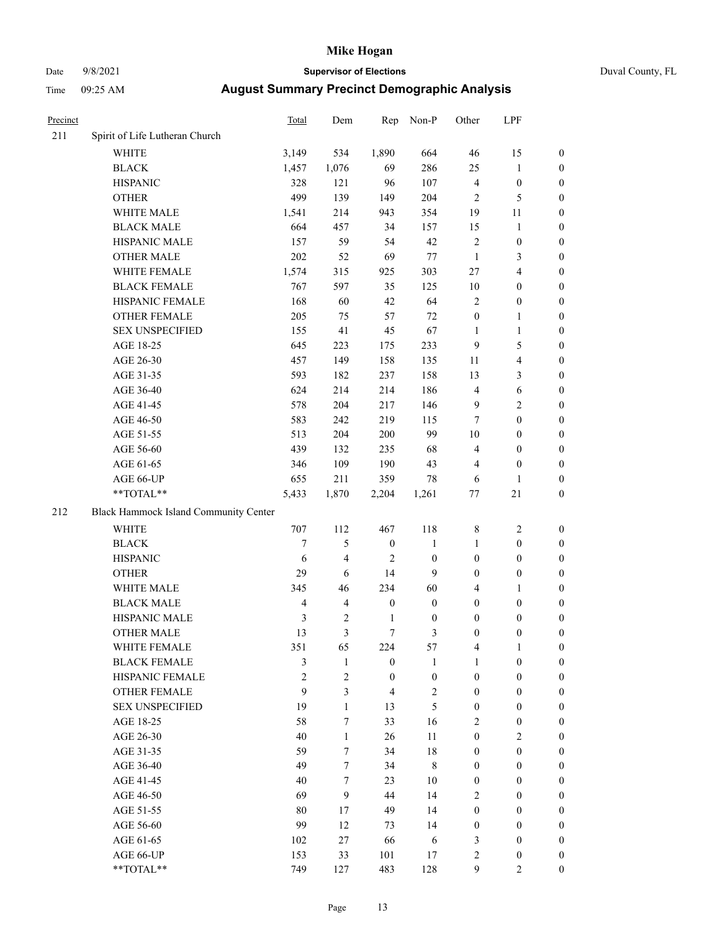# Date 9/8/2021 **Supervisor of Elections** Duval County, FL

| Precinct |                                       | <b>Total</b>   | Dem                     | Rep              | Non-P            | Other                   | LPF              |                  |
|----------|---------------------------------------|----------------|-------------------------|------------------|------------------|-------------------------|------------------|------------------|
| 211      | Spirit of Life Lutheran Church        |                |                         |                  |                  |                         |                  |                  |
|          | <b>WHITE</b>                          | 3,149          | 534                     | 1,890            | 664              | 46                      | 15               | 0                |
|          | <b>BLACK</b>                          | 1,457          | 1,076                   | 69               | 286              | 25                      | $\mathbf{1}$     | 0                |
|          | <b>HISPANIC</b>                       | 328            | 121                     | 96               | 107              | $\overline{\mathbf{4}}$ | $\boldsymbol{0}$ | $\boldsymbol{0}$ |
|          | <b>OTHER</b>                          | 499            | 139                     | 149              | 204              | $\overline{2}$          | 5                | $\boldsymbol{0}$ |
|          | WHITE MALE                            | 1,541          | 214                     | 943              | 354              | 19                      | 11               | $\boldsymbol{0}$ |
|          | <b>BLACK MALE</b>                     | 664            | 457                     | 34               | 157              | 15                      | $\mathbf{1}$     | $\boldsymbol{0}$ |
|          | HISPANIC MALE                         | 157            | 59                      | 54               | 42               | 2                       | $\boldsymbol{0}$ | $\boldsymbol{0}$ |
|          | <b>OTHER MALE</b>                     | 202            | 52                      | 69               | 77               | $\mathbf{1}$            | 3                | $\boldsymbol{0}$ |
|          | WHITE FEMALE                          | 1,574          | 315                     | 925              | 303              | 27                      | $\overline{4}$   | $\boldsymbol{0}$ |
|          | <b>BLACK FEMALE</b>                   | 767            | 597                     | 35               | 125              | $10\,$                  | $\boldsymbol{0}$ | 0                |
|          | HISPANIC FEMALE                       | 168            | 60                      | 42               | 64               | $\overline{2}$          | $\boldsymbol{0}$ | 0                |
|          | <b>OTHER FEMALE</b>                   | 205            | 75                      | 57               | 72               | $\boldsymbol{0}$        | $\mathbf{1}$     | 0                |
|          | <b>SEX UNSPECIFIED</b>                | 155            | 41                      | 45               | 67               | $\mathbf{1}$            | $\mathbf{1}$     | $\boldsymbol{0}$ |
|          | AGE 18-25                             | 645            | 223                     | 175              | 233              | 9                       | 5                | $\boldsymbol{0}$ |
|          | AGE 26-30                             | 457            | 149                     | 158              | 135              | 11                      | $\overline{4}$   | $\boldsymbol{0}$ |
|          | AGE 31-35                             | 593            | 182                     | 237              | 158              | 13                      | 3                | $\boldsymbol{0}$ |
|          | AGE 36-40                             | 624            | 214                     | 214              | 186              | 4                       | 6                | $\boldsymbol{0}$ |
|          | AGE 41-45                             | 578            | 204                     | 217              | 146              | 9                       | $\mathfrak{2}$   | $\boldsymbol{0}$ |
|          | AGE 46-50                             | 583            | 242                     | 219              | 115              | 7                       | $\boldsymbol{0}$ | $\boldsymbol{0}$ |
|          | AGE 51-55                             | 513            | 204                     | 200              | 99               | $10\,$                  | $\boldsymbol{0}$ | 0                |
|          | AGE 56-60                             | 439            | 132                     | 235              | 68               | 4                       | $\boldsymbol{0}$ | 0                |
|          | AGE 61-65                             | 346            | 109                     | 190              | 43               | 4                       | $\boldsymbol{0}$ | 0                |
|          | AGE 66-UP                             | 655            | 211                     | 359              | 78               | 6                       | $\mathbf{1}$     | $\boldsymbol{0}$ |
|          | **TOTAL**                             | 5,433          | 1,870                   | 2,204            | 1,261            | $77\,$                  | $21\,$           | $\boldsymbol{0}$ |
| 212      | Black Hammock Island Community Center |                |                         |                  |                  |                         |                  |                  |
|          | <b>WHITE</b>                          | 707            | 112                     | 467              | 118              | 8                       | $\sqrt{2}$       | $\boldsymbol{0}$ |
|          | <b>BLACK</b>                          | 7              | 5                       | $\boldsymbol{0}$ | $\mathbf{1}$     | $\mathbf{1}$            | $\boldsymbol{0}$ | $\boldsymbol{0}$ |
|          | <b>HISPANIC</b>                       | 6              | $\overline{\mathbf{4}}$ | $\overline{c}$   | $\boldsymbol{0}$ | $\boldsymbol{0}$        | $\boldsymbol{0}$ | $\boldsymbol{0}$ |
|          | <b>OTHER</b>                          | 29             | 6                       | 14               | 9                | 0                       | $\boldsymbol{0}$ | $\boldsymbol{0}$ |
|          | WHITE MALE                            | 345            | 46                      | 234              | 60               | 4                       | $\mathbf{1}$     | $\boldsymbol{0}$ |
|          | <b>BLACK MALE</b>                     | $\overline{4}$ | $\overline{4}$          | $\boldsymbol{0}$ | $\boldsymbol{0}$ | $\boldsymbol{0}$        | $\boldsymbol{0}$ | $\boldsymbol{0}$ |
|          | HISPANIC MALE                         | 3              | $\sqrt{2}$              | $\mathbf{1}$     | $\boldsymbol{0}$ | $\boldsymbol{0}$        | $\boldsymbol{0}$ | 0                |
|          | <b>OTHER MALE</b>                     | 13             | $\mathfrak{Z}$          | $\tau$           | 3                | $\boldsymbol{0}$        | $\boldsymbol{0}$ | $\boldsymbol{0}$ |
|          | WHITE FEMALE                          | 351            | 65                      | 224              | 57               | 4                       | 1                | 0                |
|          | <b>BLACK FEMALE</b>                   | 3              | $\mathbf{1}$            | $\boldsymbol{0}$ | 1                | $\mathbf{1}$            | $\boldsymbol{0}$ | $\overline{0}$   |
|          | HISPANIC FEMALE                       | $\overline{2}$ | $\overline{c}$          | $\boldsymbol{0}$ | $\boldsymbol{0}$ | $\boldsymbol{0}$        | $\boldsymbol{0}$ | $\overline{0}$   |
|          | <b>OTHER FEMALE</b>                   | 9              | $\mathfrak{Z}$          | 4                | $\sqrt{2}$       | $\boldsymbol{0}$        | $\boldsymbol{0}$ | $\overline{0}$   |
|          | <b>SEX UNSPECIFIED</b>                | 19             | $\mathbf{1}$            | 13               | 5                | $\boldsymbol{0}$        | $\boldsymbol{0}$ | $\overline{0}$   |
|          | AGE 18-25                             | 58             | $\tau$                  | 33               | 16               | 2                       | $\boldsymbol{0}$ | $\theta$         |
|          | AGE 26-30                             | 40             | $\mathbf{1}$            | 26               | 11               | $\boldsymbol{0}$        | $\mathbf{2}$     | 0                |
|          | AGE 31-35                             | 59             | $\overline{7}$          | 34               | $18\,$           | $\boldsymbol{0}$        | $\boldsymbol{0}$ | 0                |
|          | AGE 36-40                             | 49             | 7                       | 34               | $\,$ 8 $\,$      | $\boldsymbol{0}$        | $\boldsymbol{0}$ | 0                |
|          | AGE 41-45                             | 40             | $\tau$                  | 23               | 10               | $\boldsymbol{0}$        | $\boldsymbol{0}$ | 0                |
|          | AGE 46-50                             | 69             | 9                       | 44               | 14               | 2                       | $\boldsymbol{0}$ | 0                |
|          | AGE 51-55                             | 80             | 17                      | 49               | 14               | $\boldsymbol{0}$        | $\boldsymbol{0}$ | $\overline{0}$   |
|          | AGE 56-60                             | 99             | 12                      | 73               | 14               | $\boldsymbol{0}$        | $\boldsymbol{0}$ | $\overline{0}$   |
|          | AGE 61-65                             | 102            | 27                      | 66               | 6                | 3                       | $\boldsymbol{0}$ | $\overline{0}$   |
|          | AGE 66-UP                             | 153            | 33                      | 101              | 17               | 2                       | $\boldsymbol{0}$ | 0                |
|          | **TOTAL**                             | 749            | 127                     | 483              | 128              | 9                       | $\mathfrak{2}$   | $\overline{0}$   |
|          |                                       |                |                         |                  |                  |                         |                  |                  |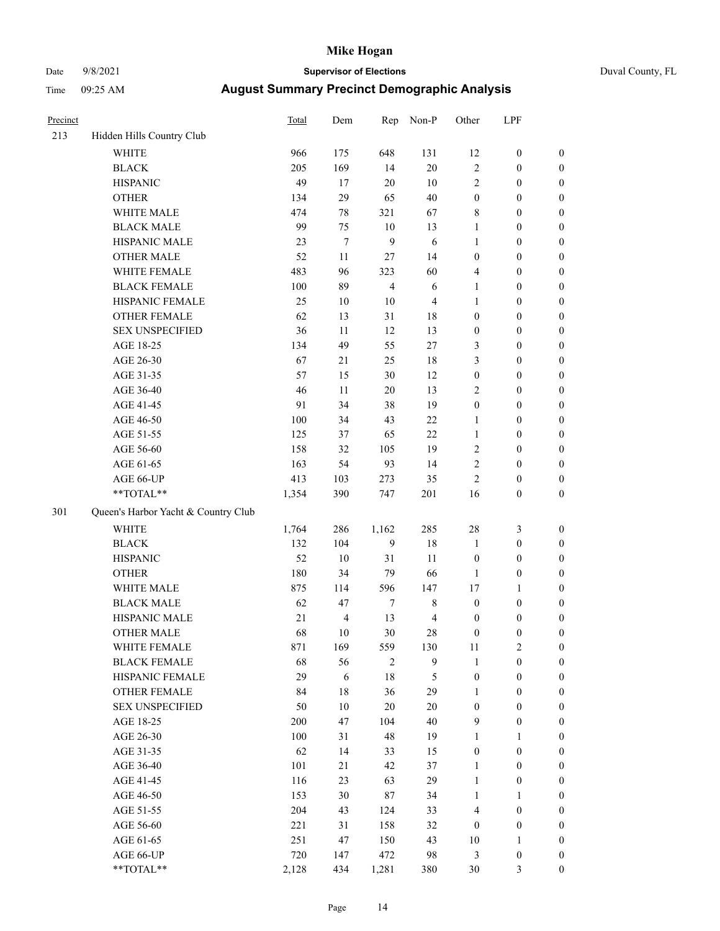# Date 9/8/2021 **Supervisor of Elections** Duval County, FL

| Precinct |                                     | <b>Total</b> | Dem              | Rep              | Non-P          | Other            | LPF              |                  |
|----------|-------------------------------------|--------------|------------------|------------------|----------------|------------------|------------------|------------------|
| 213      | Hidden Hills Country Club           |              |                  |                  |                |                  |                  |                  |
|          | <b>WHITE</b>                        | 966          | 175              | 648              | 131            | 12               | $\boldsymbol{0}$ | 0                |
|          | <b>BLACK</b>                        | 205          | 169              | 14               | $20\,$         | $\sqrt{2}$       | $\boldsymbol{0}$ | 0                |
|          | <b>HISPANIC</b>                     | 49           | 17               | $20\,$           | $10\,$         | $\sqrt{2}$       | $\boldsymbol{0}$ | $\boldsymbol{0}$ |
|          | <b>OTHER</b>                        | 134          | 29               | 65               | $40\,$         | $\boldsymbol{0}$ | $\boldsymbol{0}$ | $\boldsymbol{0}$ |
|          | WHITE MALE                          | 474          | $78\,$           | 321              | 67             | 8                | $\boldsymbol{0}$ | $\boldsymbol{0}$ |
|          | <b>BLACK MALE</b>                   | 99           | 75               | $10\,$           | 13             | $\mathbf{1}$     | $\boldsymbol{0}$ | $\boldsymbol{0}$ |
|          | HISPANIC MALE                       | 23           | $\boldsymbol{7}$ | 9                | $\sqrt{6}$     | $\mathbf{1}$     | $\boldsymbol{0}$ | $\boldsymbol{0}$ |
|          | <b>OTHER MALE</b>                   | 52           | 11               | $27\,$           | 14             | $\boldsymbol{0}$ | $\boldsymbol{0}$ | $\boldsymbol{0}$ |
|          | WHITE FEMALE                        | 483          | 96               | 323              | 60             | 4                | $\boldsymbol{0}$ | $\boldsymbol{0}$ |
|          | <b>BLACK FEMALE</b>                 | $100\,$      | 89               | $\overline{4}$   | $\sqrt{6}$     | $\mathbf{1}$     | $\boldsymbol{0}$ | 0                |
|          | HISPANIC FEMALE                     | 25           | $10\,$           | $10\,$           | $\overline{4}$ | 1                | $\boldsymbol{0}$ | 0                |
|          | OTHER FEMALE                        | 62           | 13               | 31               | 18             | $\boldsymbol{0}$ | $\boldsymbol{0}$ | 0                |
|          | <b>SEX UNSPECIFIED</b>              | 36           | 11               | 12               | 13             | $\boldsymbol{0}$ | $\boldsymbol{0}$ | $\boldsymbol{0}$ |
|          | AGE 18-25                           | 134          | 49               | 55               | $27\,$         | 3                | $\boldsymbol{0}$ | $\boldsymbol{0}$ |
|          | AGE 26-30                           | 67           | 21               | 25               | 18             | 3                | $\boldsymbol{0}$ | $\boldsymbol{0}$ |
|          | AGE 31-35                           | 57           | 15               | 30               | 12             | $\boldsymbol{0}$ | $\boldsymbol{0}$ | $\boldsymbol{0}$ |
|          | AGE 36-40                           | 46           | $11\,$           | $20\,$           | 13             | $\mathfrak{2}$   | $\boldsymbol{0}$ | $\boldsymbol{0}$ |
|          | AGE 41-45                           | 91           | 34               | 38               | 19             | $\boldsymbol{0}$ | $\boldsymbol{0}$ | $\boldsymbol{0}$ |
|          | AGE 46-50                           | 100          | 34               | 43               | $22\,$         | $\mathbf{1}$     | $\boldsymbol{0}$ | $\boldsymbol{0}$ |
|          | AGE 51-55                           | 125          | 37               | 65               | $22\,$         | $\mathbf{1}$     | $\boldsymbol{0}$ | 0                |
|          | AGE 56-60                           | 158          | 32               | 105              | 19             | $\sqrt{2}$       | $\boldsymbol{0}$ | 0                |
|          | AGE 61-65                           | 163          | 54               | 93               | 14             | $\sqrt{2}$       | $\boldsymbol{0}$ | 0                |
|          | AGE 66-UP                           | 413          | 103              | 273              | 35             | $\sqrt{2}$       | $\boldsymbol{0}$ | $\boldsymbol{0}$ |
|          | **TOTAL**                           | 1,354        | 390              | 747              | 201            | 16               | $\boldsymbol{0}$ | $\boldsymbol{0}$ |
| 301      | Queen's Harbor Yacht & Country Club |              |                  |                  |                |                  |                  |                  |
|          | <b>WHITE</b>                        | 1,764        | 286              | 1,162            | 285            | 28               | $\mathfrak{Z}$   | $\boldsymbol{0}$ |
|          | <b>BLACK</b>                        | 132          | 104              | $\mathbf{9}$     | 18             | $\mathbf{1}$     | $\boldsymbol{0}$ | $\boldsymbol{0}$ |
|          | <b>HISPANIC</b>                     | 52           | $10\,$           | 31               | 11             | $\boldsymbol{0}$ | $\boldsymbol{0}$ | $\boldsymbol{0}$ |
|          | <b>OTHER</b>                        | 180          | 34               | 79               | 66             | $\mathbf{1}$     | $\boldsymbol{0}$ | $\boldsymbol{0}$ |
|          | WHITE MALE                          | 875          | 114              | 596              | 147            | 17               | $\mathbf{1}$     | $\boldsymbol{0}$ |
|          | <b>BLACK MALE</b>                   | 62           | 47               | $\boldsymbol{7}$ | $\,$ 8 $\,$    | $\boldsymbol{0}$ | $\boldsymbol{0}$ | $\boldsymbol{0}$ |
|          | HISPANIC MALE                       | 21           | $\overline{4}$   | 13               | $\overline{4}$ | $\boldsymbol{0}$ | $\boldsymbol{0}$ | $\boldsymbol{0}$ |
|          | <b>OTHER MALE</b>                   | 68           | 10               | $30\,$           | $28\,$         | $\boldsymbol{0}$ | $\boldsymbol{0}$ | $\boldsymbol{0}$ |
|          | WHITE FEMALE                        | 871          | 169              | 559              | 130            | 11               | $\sqrt{2}$       | 0                |
|          | <b>BLACK FEMALE</b>                 | 68           | 56               | 2                | $\overline{9}$ | $\mathbf{1}$     | $\boldsymbol{0}$ | $\boldsymbol{0}$ |
|          | HISPANIC FEMALE                     | 29           | 6                | $18\,$           | 5              | $\boldsymbol{0}$ | $\boldsymbol{0}$ | $\overline{0}$   |
|          | <b>OTHER FEMALE</b>                 | 84           | 18               | 36               | 29             | $\mathbf{1}$     | $\boldsymbol{0}$ | $\overline{0}$   |
|          | <b>SEX UNSPECIFIED</b>              | 50           | $10\,$           | $20\,$           | $20\,$         | $\boldsymbol{0}$ | $\boldsymbol{0}$ | $\overline{0}$   |
|          | AGE 18-25                           | 200          | 47               | 104              | 40             | 9                | $\boldsymbol{0}$ | $\overline{0}$   |
|          | AGE 26-30                           | 100          | 31               | 48               | 19             | $\mathbf{1}$     | $\mathbf{1}$     | $\overline{0}$   |
|          | AGE 31-35                           | 62           | 14               | 33               | 15             | $\boldsymbol{0}$ | $\boldsymbol{0}$ | $\overline{0}$   |
|          | AGE 36-40                           | 101          | 21               | 42               | 37             | $\mathbf{1}$     | $\boldsymbol{0}$ | 0                |
|          | AGE 41-45                           | 116          | 23               | 63               | 29             | $\mathbf{1}$     | $\boldsymbol{0}$ | 0                |
|          | AGE 46-50                           | 153          | 30               | $87\,$           | 34             | $\mathbf{1}$     | 1                | $\boldsymbol{0}$ |
|          | AGE 51-55                           | 204          | 43               | 124              | 33             | $\overline{4}$   | $\boldsymbol{0}$ | $\overline{0}$   |
|          | AGE 56-60                           | 221          | 31               | 158              | 32             | $\boldsymbol{0}$ | $\boldsymbol{0}$ | $\boldsymbol{0}$ |
|          | AGE 61-65                           | 251          | 47               | 150              | 43             | $10\,$           | $\mathbf{1}$     | $\overline{0}$   |
|          | AGE 66-UP                           | 720          | 147              | 472              | 98             | 3                | $\boldsymbol{0}$ | $\boldsymbol{0}$ |
|          | **TOTAL**                           | 2,128        | 434              | 1,281            | 380            | 30               | 3                | $\overline{0}$   |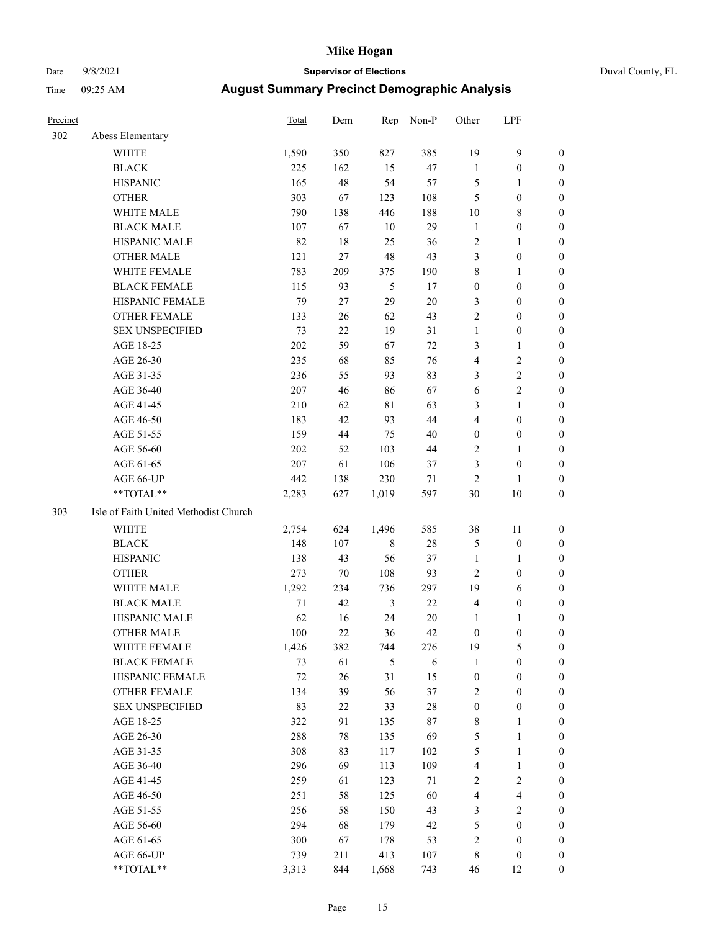# Date 9/8/2021 **Supervisor of Elections** Duval County, FL

| Precinct |                                       | <b>Total</b> | Dem | Rep            | Non-P  | Other            | LPF                     |                  |
|----------|---------------------------------------|--------------|-----|----------------|--------|------------------|-------------------------|------------------|
| 302      | Abess Elementary                      |              |     |                |        |                  |                         |                  |
|          | <b>WHITE</b>                          | 1,590        | 350 | 827            | 385    | 19               | $\mathbf{9}$            | 0                |
|          | <b>BLACK</b>                          | 225          | 162 | 15             | 47     | $\mathbf{1}$     | $\boldsymbol{0}$        | 0                |
|          | <b>HISPANIC</b>                       | 165          | 48  | 54             | 57     | 5                | $\mathbf{1}$            | 0                |
|          | <b>OTHER</b>                          | 303          | 67  | 123            | 108    | 5                | $\boldsymbol{0}$        | $\boldsymbol{0}$ |
|          | WHITE MALE                            | 790          | 138 | 446            | 188    | 10               | $\,$ 8 $\,$             | $\boldsymbol{0}$ |
|          | <b>BLACK MALE</b>                     | 107          | 67  | 10             | 29     | $\mathbf{1}$     | $\boldsymbol{0}$        | $\boldsymbol{0}$ |
|          | HISPANIC MALE                         | 82           | 18  | 25             | 36     | $\overline{c}$   | $\mathbf{1}$            | $\boldsymbol{0}$ |
|          | <b>OTHER MALE</b>                     | 121          | 27  | 48             | 43     | 3                | $\boldsymbol{0}$        | $\boldsymbol{0}$ |
|          | WHITE FEMALE                          | 783          | 209 | 375            | 190    | $\,$ $\,$        | $\mathbf{1}$            | $\boldsymbol{0}$ |
|          | <b>BLACK FEMALE</b>                   | 115          | 93  | 5              | 17     | $\boldsymbol{0}$ | $\boldsymbol{0}$        | 0                |
|          | HISPANIC FEMALE                       | 79           | 27  | 29             | 20     | 3                | $\boldsymbol{0}$        | 0                |
|          | <b>OTHER FEMALE</b>                   | 133          | 26  | 62             | 43     | $\mathbf{2}$     | $\boldsymbol{0}$        | $\boldsymbol{0}$ |
|          | <b>SEX UNSPECIFIED</b>                | 73           | 22  | 19             | 31     | $\mathbf{1}$     | $\boldsymbol{0}$        | $\boldsymbol{0}$ |
|          | AGE 18-25                             | 202          | 59  | 67             | 72     | 3                | $\mathbf{1}$            | $\boldsymbol{0}$ |
|          | AGE 26-30                             | 235          | 68  | 85             | 76     | 4                | $\sqrt{2}$              | $\boldsymbol{0}$ |
|          | AGE 31-35                             | 236          | 55  | 93             | 83     | 3                | $\sqrt{2}$              | $\boldsymbol{0}$ |
|          | AGE 36-40                             | 207          | 46  | 86             | 67     | 6                | $\sqrt{2}$              | $\boldsymbol{0}$ |
|          | AGE 41-45                             | 210          | 62  | $8\sqrt{1}$    | 63     | 3                | $\mathbf{1}$            | $\boldsymbol{0}$ |
|          | AGE 46-50                             | 183          | 42  | 93             | 44     | 4                | $\boldsymbol{0}$        | $\boldsymbol{0}$ |
|          | AGE 51-55                             | 159          | 44  | 75             | 40     | $\boldsymbol{0}$ | $\boldsymbol{0}$        | 0                |
|          | AGE 56-60                             | 202          | 52  | 103            | 44     | 2                | $\mathbf{1}$            | 0                |
|          | AGE 61-65                             | 207          | 61  | 106            | 37     | 3                | $\boldsymbol{0}$        | 0                |
|          | AGE 66-UP                             | 442          | 138 | 230            | 71     | $\overline{2}$   | 1                       | 0                |
|          | **TOTAL**                             | 2,283        | 627 | 1,019          | 597    | 30               | $10\,$                  | $\boldsymbol{0}$ |
| 303      | Isle of Faith United Methodist Church |              |     |                |        |                  |                         |                  |
|          | <b>WHITE</b>                          | 2,754        | 624 | 1,496          | 585    | 38               | 11                      | $\boldsymbol{0}$ |
|          | <b>BLACK</b>                          | 148          | 107 | $\,$ 8 $\,$    | $28\,$ | 5                | $\boldsymbol{0}$        | $\boldsymbol{0}$ |
|          | <b>HISPANIC</b>                       | 138          | 43  | 56             | 37     | $\mathbf{1}$     | $\mathbf{1}$            | $\boldsymbol{0}$ |
|          | <b>OTHER</b>                          | 273          | 70  | 108            | 93     | $\overline{c}$   | $\boldsymbol{0}$        | $\boldsymbol{0}$ |
|          | <b>WHITE MALE</b>                     | 1,292        | 234 | 736            | 297    | 19               | 6                       | $\boldsymbol{0}$ |
|          | <b>BLACK MALE</b>                     | $71\,$       | 42  | $\mathfrak{Z}$ | 22     | $\overline{4}$   | $\boldsymbol{0}$        | 0                |
|          | HISPANIC MALE                         | 62           | 16  | 24             | 20     | 1                | 1                       | 0                |
|          | <b>OTHER MALE</b>                     | 100          | 22  | 36             | 42     | $\boldsymbol{0}$ | $\boldsymbol{0}$        | 0                |
|          | WHITE FEMALE                          | 1,426        | 382 | 744            | 276    | 19               | 5                       | 0                |
|          | <b>BLACK FEMALE</b>                   | 73           | 61  | 5              | 6      | $\mathbf{1}$     | $\boldsymbol{0}$        | $\boldsymbol{0}$ |
|          | HISPANIC FEMALE                       | $72\,$       | 26  | 31             | 15     | $\boldsymbol{0}$ | $\boldsymbol{0}$        | $\overline{0}$   |
|          | <b>OTHER FEMALE</b>                   | 134          | 39  | 56             | 37     | $\overline{c}$   | $\boldsymbol{0}$        | $\overline{0}$   |
|          | <b>SEX UNSPECIFIED</b>                | 83           | 22  | 33             | 28     | $\boldsymbol{0}$ | $\boldsymbol{0}$        | 0                |
|          | AGE 18-25                             | 322          | 91  | 135            | 87     | $\,$ 8 $\,$      | $\mathbf{1}$            | 0                |
|          | AGE 26-30                             | 288          | 78  | 135            | 69     | 5                | $\mathbf{1}$            | 0                |
|          | AGE 31-35                             | 308          | 83  | 117            | 102    | 5                | $\mathbf{1}$            | 0                |
|          | AGE 36-40                             | 296          | 69  | 113            | 109    | 4                | $\mathbf{1}$            | 0                |
|          | AGE 41-45                             | 259          | 61  | 123            | 71     | $\sqrt{2}$       | $\sqrt{2}$              | 0                |
|          | AGE 46-50                             | 251          | 58  | 125            | 60     | 4                | $\overline{\mathbf{4}}$ | 0                |
|          | AGE 51-55                             | 256          | 58  | 150            | 43     | 3                | $\overline{2}$          | 0                |
|          | AGE 56-60                             | 294          | 68  | 179            | 42     | 5                | $\boldsymbol{0}$        | $\overline{0}$   |
|          | AGE 61-65                             | 300          | 67  | 178            | 53     | $\overline{c}$   | $\boldsymbol{0}$        | $\overline{0}$   |
|          | AGE 66-UP                             | 739          | 211 | 413            | 107    | 8                | $\boldsymbol{0}$        | $\boldsymbol{0}$ |
|          | **TOTAL**                             | 3,313        | 844 | 1,668          | 743    | 46               | 12                      | $\boldsymbol{0}$ |
|          |                                       |              |     |                |        |                  |                         |                  |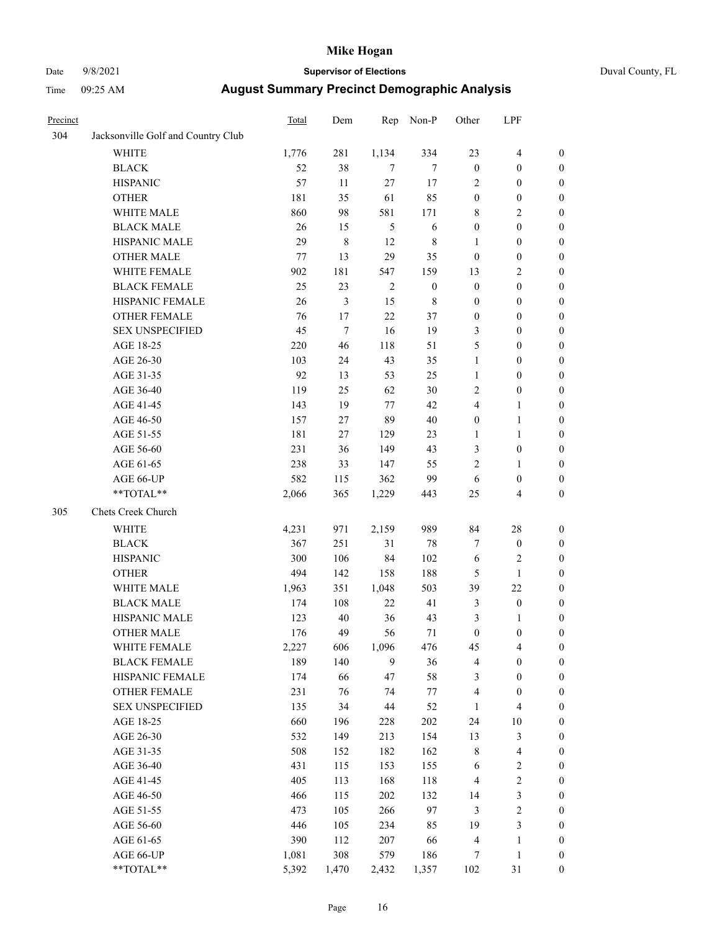# Date 9/8/2021 **Supervisor of Elections** Duval County, FL

| Precinct |                                    | Total | Dem         | Rep            | Non-P            | Other            | LPF                     |                  |
|----------|------------------------------------|-------|-------------|----------------|------------------|------------------|-------------------------|------------------|
| 304      | Jacksonville Golf and Country Club |       |             |                |                  |                  |                         |                  |
|          | <b>WHITE</b>                       | 1,776 | 281         | 1,134          | 334              | 23               | $\overline{\mathbf{4}}$ | $\boldsymbol{0}$ |
|          | <b>BLACK</b>                       | 52    | 38          | 7              | 7                | $\boldsymbol{0}$ | $\boldsymbol{0}$        | $\boldsymbol{0}$ |
|          | <b>HISPANIC</b>                    | 57    | 11          | 27             | 17               | 2                | $\boldsymbol{0}$        | $\boldsymbol{0}$ |
|          | <b>OTHER</b>                       | 181   | 35          | 61             | 85               | $\boldsymbol{0}$ | $\boldsymbol{0}$        | $\boldsymbol{0}$ |
|          | WHITE MALE                         | 860   | 98          | 581            | 171              | 8                | $\mathbf{2}$            | $\boldsymbol{0}$ |
|          | <b>BLACK MALE</b>                  | 26    | 15          | 5              | $\sqrt{6}$       | $\boldsymbol{0}$ | $\boldsymbol{0}$        | $\boldsymbol{0}$ |
|          | HISPANIC MALE                      | 29    | $\,$ 8 $\,$ | 12             | $\,$ 8 $\,$      | $\mathbf{1}$     | $\boldsymbol{0}$        | $\boldsymbol{0}$ |
|          | <b>OTHER MALE</b>                  | 77    | 13          | 29             | 35               | $\boldsymbol{0}$ | $\boldsymbol{0}$        | $\boldsymbol{0}$ |
|          | WHITE FEMALE                       | 902   | 181         | 547            | 159              | 13               | $\sqrt{2}$              | $\boldsymbol{0}$ |
|          | <b>BLACK FEMALE</b>                | 25    | 23          | $\overline{2}$ | $\boldsymbol{0}$ | $\boldsymbol{0}$ | $\boldsymbol{0}$        | 0                |
|          | HISPANIC FEMALE                    | 26    | 3           | 15             | $\,$ 8 $\,$      | $\boldsymbol{0}$ | $\boldsymbol{0}$        | $\boldsymbol{0}$ |
|          | OTHER FEMALE                       | 76    | $17\,$      | $22\,$         | 37               | $\boldsymbol{0}$ | $\boldsymbol{0}$        | $\boldsymbol{0}$ |
|          | <b>SEX UNSPECIFIED</b>             | 45    | $\tau$      | 16             | 19               | 3                | $\boldsymbol{0}$        | $\boldsymbol{0}$ |
|          | AGE 18-25                          | 220   | 46          | 118            | 51               | 5                | $\boldsymbol{0}$        | $\boldsymbol{0}$ |
|          | AGE 26-30                          | 103   | 24          | 43             | 35               | $\mathbf{1}$     | $\boldsymbol{0}$        | $\boldsymbol{0}$ |
|          | AGE 31-35                          | 92    | 13          | 53             | 25               | $\mathbf{1}$     | $\boldsymbol{0}$        | $\boldsymbol{0}$ |
|          | AGE 36-40                          | 119   | 25          | 62             | 30               | $\mathbf{2}$     | $\boldsymbol{0}$        | $\boldsymbol{0}$ |
|          | AGE 41-45                          | 143   | 19          | 77             | 42               | 4                | $\mathbf{1}$            | $\boldsymbol{0}$ |
|          | AGE 46-50                          | 157   | 27          | 89             | 40               | $\boldsymbol{0}$ | $\mathbf{1}$            | 0                |
|          | AGE 51-55                          | 181   | 27          | 129            | 23               | 1                | $\mathbf{1}$            | 0                |
|          | AGE 56-60                          | 231   | 36          | 149            | 43               | 3                | $\boldsymbol{0}$        | 0                |
|          | AGE 61-65                          | 238   | 33          | 147            | 55               | $\overline{c}$   | $\mathbf{1}$            | $\boldsymbol{0}$ |
|          | AGE 66-UP                          | 582   | 115         | 362            | 99               | 6                | $\boldsymbol{0}$        | $\boldsymbol{0}$ |
|          | **TOTAL**                          | 2,066 | 365         | 1,229          | 443              | 25               | $\overline{4}$          | $\boldsymbol{0}$ |
| 305      | Chets Creek Church                 |       |             |                |                  |                  |                         |                  |
|          | <b>WHITE</b>                       | 4,231 | 971         | 2,159          | 989              | 84               | $28\,$                  | $\boldsymbol{0}$ |
|          | <b>BLACK</b>                       | 367   | 251         | 31             | 78               | 7                | $\boldsymbol{0}$        | $\boldsymbol{0}$ |
|          | <b>HISPANIC</b>                    | 300   | 106         | 84             | 102              | 6                | $\sqrt{2}$              | $\boldsymbol{0}$ |
|          | <b>OTHER</b>                       | 494   | 142         | 158            | 188              | 5                | $\mathbf{1}$            | $\boldsymbol{0}$ |
|          | WHITE MALE                         | 1,963 | 351         | 1,048          | 503              | 39               | 22                      | $\boldsymbol{0}$ |
|          | <b>BLACK MALE</b>                  | 174   | 108         | 22             | 41               | $\mathfrak{Z}$   | $\boldsymbol{0}$        | $\boldsymbol{0}$ |
|          | HISPANIC MALE                      | 123   | 40          | 36             | 43               | 3                | 1                       | 0                |
|          | <b>OTHER MALE</b>                  | 176   | 49          | 56             | $71\,$           | $\boldsymbol{0}$ | $\boldsymbol{0}$        | $\boldsymbol{0}$ |
|          | WHITE FEMALE                       | 2,227 | 606         | 1,096          | 476              | 45               | $\overline{\mathbf{4}}$ | $\boldsymbol{0}$ |
|          | <b>BLACK FEMALE</b>                | 189   | 140         | 9              | 36               | 4                | $\boldsymbol{0}$        | $\boldsymbol{0}$ |
|          | HISPANIC FEMALE                    | 174   | 66          | 47             | 58               | 3                | $\boldsymbol{0}$        | $\boldsymbol{0}$ |
|          | <b>OTHER FEMALE</b>                | 231   | 76          | 74             | 77               | 4                | $\boldsymbol{0}$        | $\overline{0}$   |
|          | <b>SEX UNSPECIFIED</b>             | 135   | 34          | 44             | 52               | $\mathbf{1}$     | $\overline{\mathbf{4}}$ | 0                |
|          | AGE 18-25                          | 660   | 196         | 228            | 202              | 24               | $10\,$                  | 0                |
|          | AGE 26-30                          | 532   | 149         | 213            | 154              | 13               | $\mathfrak{Z}$          | 0                |
|          | AGE 31-35                          | 508   | 152         | 182            | 162              | 8                | $\overline{\mathbf{4}}$ | 0                |
|          | AGE 36-40                          | 431   | 115         | 153            | 155              | 6                | $\sqrt{2}$              | 0                |
|          | AGE 41-45                          | 405   | 113         | 168            | 118              | $\overline{4}$   | $\boldsymbol{2}$        | 0                |
|          | AGE 46-50                          | 466   | 115         | 202            | 132              | 14               | $\mathfrak{Z}$          | 0                |
|          | AGE 51-55                          | 473   | 105         | 266            | 97               | 3                | $\sqrt{2}$              | $\boldsymbol{0}$ |
|          | AGE 56-60                          | 446   | 105         | 234            | 85               | 19               | $\mathfrak{Z}$          | $\boldsymbol{0}$ |
|          | AGE 61-65                          | 390   | 112         | 207            | 66               | 4                | $\mathbf{1}$            | $\boldsymbol{0}$ |
|          | AGE 66-UP                          | 1,081 | 308         | 579            | 186              | 7                | $\mathbf{1}$            | 0                |
|          | **TOTAL**                          | 5,392 | 1,470       | 2,432          | 1,357            | 102              | 31                      | $\boldsymbol{0}$ |
|          |                                    |       |             |                |                  |                  |                         |                  |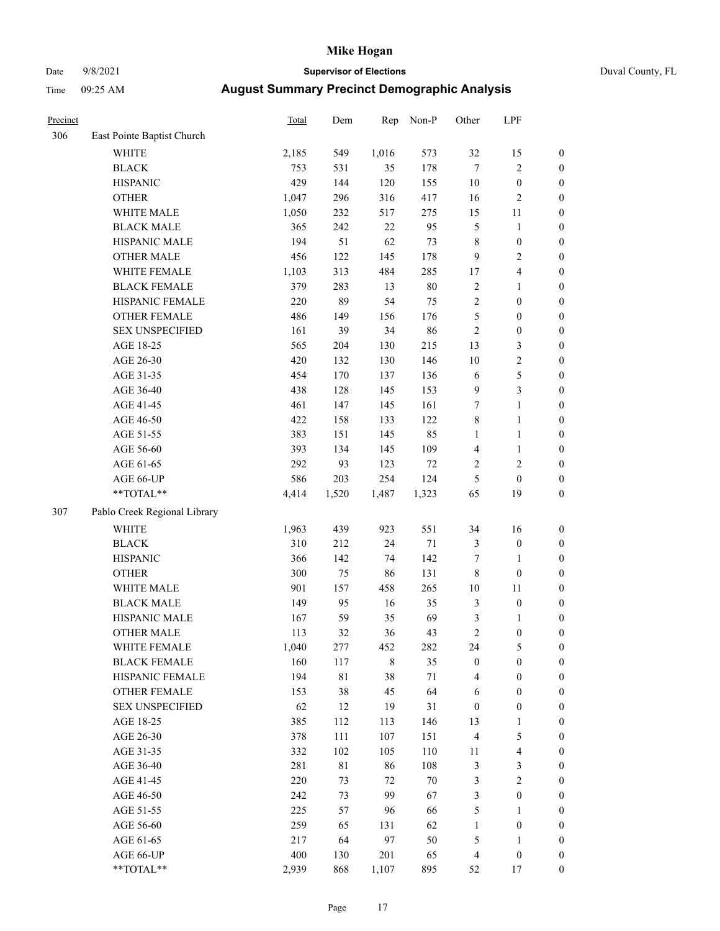# Date 9/8/2021 **Supervisor of Elections** Duval County, FL

| Precinct |                              | Total | Dem   | Rep   | Non-P  | Other                        | LPF                     |                                      |
|----------|------------------------------|-------|-------|-------|--------|------------------------------|-------------------------|--------------------------------------|
| 306      | East Pointe Baptist Church   |       |       |       |        |                              |                         |                                      |
|          | <b>WHITE</b>                 | 2,185 | 549   | 1,016 | 573    | 32                           | 15                      | 0                                    |
|          | <b>BLACK</b>                 | 753   | 531   | 35    | 178    | $\tau$                       | $\sqrt{2}$              | $\boldsymbol{0}$                     |
|          | <b>HISPANIC</b>              | 429   | 144   | 120   | 155    | $10\,$                       | $\boldsymbol{0}$        | $\boldsymbol{0}$                     |
|          | <b>OTHER</b>                 | 1,047 | 296   | 316   | 417    | 16                           | $\sqrt{2}$              | $\boldsymbol{0}$                     |
|          | WHITE MALE                   | 1,050 | 232   | 517   | 275    | 15                           | 11                      | $\boldsymbol{0}$                     |
|          | <b>BLACK MALE</b>            | 365   | 242   | 22    | 95     | 5                            | $\mathbf{1}$            | $\boldsymbol{0}$                     |
|          | HISPANIC MALE                | 194   | 51    | 62    | 73     | 8                            | $\boldsymbol{0}$        | $\boldsymbol{0}$                     |
|          | <b>OTHER MALE</b>            | 456   | 122   | 145   | 178    | 9                            | $\overline{2}$          | $\boldsymbol{0}$                     |
|          | WHITE FEMALE                 | 1,103 | 313   | 484   | 285    | 17                           | $\overline{\mathbf{4}}$ | $\boldsymbol{0}$                     |
|          | <b>BLACK FEMALE</b>          | 379   | 283   | 13    | $80\,$ | $\sqrt{2}$                   | $\mathbf{1}$            | $\boldsymbol{0}$                     |
|          | HISPANIC FEMALE              | 220   | 89    | 54    | 75     | $\sqrt{2}$                   | $\boldsymbol{0}$        | $\boldsymbol{0}$                     |
|          | OTHER FEMALE                 | 486   | 149   | 156   | 176    | 5                            | $\boldsymbol{0}$        | $\boldsymbol{0}$                     |
|          | <b>SEX UNSPECIFIED</b>       | 161   | 39    | 34    | 86     | $\sqrt{2}$                   | $\boldsymbol{0}$        | $\boldsymbol{0}$                     |
|          | AGE 18-25                    | 565   | 204   | 130   | 215    | 13                           | $\mathfrak{Z}$          | $\boldsymbol{0}$                     |
|          | AGE 26-30                    | 420   | 132   | 130   | 146    | 10                           | $\sqrt{2}$              | $\boldsymbol{0}$                     |
|          | AGE 31-35                    | 454   | 170   | 137   | 136    | 6                            | $\mathfrak s$           | $\boldsymbol{0}$                     |
|          | AGE 36-40                    | 438   | 128   | 145   | 153    | 9                            | $\mathfrak{Z}$          | $\boldsymbol{0}$                     |
|          | AGE 41-45                    | 461   | 147   | 145   | 161    | $\boldsymbol{7}$             | $\mathbf{1}$            | $\boldsymbol{0}$                     |
|          | AGE 46-50                    | 422   | 158   | 133   | 122    | $\,$ $\,$                    | $\mathbf{1}$            | $\boldsymbol{0}$                     |
|          | AGE 51-55                    | 383   | 151   | 145   | 85     | $\mathbf{1}$                 | $\mathbf{1}$            | 0                                    |
|          | AGE 56-60                    | 393   | 134   | 145   | 109    |                              |                         |                                      |
|          | AGE 61-65                    | 292   | 93    | 123   | $72\,$ | $\overline{\mathbf{4}}$<br>2 | 1<br>$\sqrt{2}$         | 0<br>$\boldsymbol{0}$                |
|          | AGE 66-UP                    | 586   | 203   | 254   | 124    |                              |                         |                                      |
|          | **TOTAL**                    | 4,414 | 1,520 | 1,487 |        | 5<br>65                      | $\boldsymbol{0}$<br>19  | $\boldsymbol{0}$<br>$\boldsymbol{0}$ |
|          |                              |       |       |       | 1,323  |                              |                         |                                      |
| 307      | Pablo Creek Regional Library |       |       |       |        |                              |                         |                                      |
|          | <b>WHITE</b>                 | 1,963 | 439   | 923   | 551    | 34                           | 16                      | $\boldsymbol{0}$                     |
|          | <b>BLACK</b>                 | 310   | 212   | 24    | $71\,$ | 3                            | $\boldsymbol{0}$        | $\boldsymbol{0}$                     |
|          | <b>HISPANIC</b>              | 366   | 142   | 74    | 142    | 7                            | $\mathbf{1}$            | $\boldsymbol{0}$                     |
|          | <b>OTHER</b>                 | 300   | 75    | 86    | 131    | $\,$ $\,$                    | $\boldsymbol{0}$        | $\boldsymbol{0}$                     |
|          | WHITE MALE                   | 901   | 157   | 458   | 265    | $10\,$                       | $11\,$                  | $\boldsymbol{0}$                     |
|          | <b>BLACK MALE</b>            | 149   | 95    | 16    | 35     | 3                            | $\boldsymbol{0}$        | $\boldsymbol{0}$                     |
|          | HISPANIC MALE                | 167   | 59    | 35    | 69     | 3                            | 1                       | $\boldsymbol{0}$                     |
|          | <b>OTHER MALE</b>            | 113   | 32    | 36    | 43     | $\overline{c}$               | $\boldsymbol{0}$        | $\boldsymbol{0}$                     |
|          | WHITE FEMALE                 | 1,040 | 277   | 452   | 282    | 24                           | 5                       | 0                                    |
|          | <b>BLACK FEMALE</b>          | 160   | 117   | 8     | 35     | $\boldsymbol{0}$             | $\boldsymbol{0}$        | $\boldsymbol{0}$                     |
|          | HISPANIC FEMALE              | 194   | 81    | 38    | 71     | 4                            | $\boldsymbol{0}$        | $\overline{0}$                       |
|          | OTHER FEMALE                 | 153   | 38    | 45    | 64     | 6                            | $\boldsymbol{0}$        | $\overline{0}$                       |
|          | <b>SEX UNSPECIFIED</b>       | 62    | 12    | 19    | 31     | $\boldsymbol{0}$             | $\boldsymbol{0}$        | 0                                    |
|          | AGE 18-25                    | 385   | 112   | 113   | 146    | 13                           | $\mathbf{1}$            | 0                                    |
|          | AGE 26-30                    | 378   | 111   | 107   | 151    | 4                            | $\mathfrak s$           | 0                                    |
|          | AGE 31-35                    | 332   | 102   | 105   | 110    | 11                           | $\overline{\mathbf{4}}$ | 0                                    |
|          | AGE 36-40                    | 281   | 81    | 86    | 108    | 3                            | $\mathfrak{Z}$          | 0                                    |
|          | AGE 41-45                    | 220   | 73    | 72    | $70\,$ | 3                            | $\overline{2}$          | 0                                    |
|          | AGE 46-50                    | 242   | 73    | 99    | 67     | 3                            | $\boldsymbol{0}$        | 0                                    |
|          | AGE 51-55                    | 225   | 57    | 96    | 66     | 5                            | $\mathbf{1}$            | 0                                    |
|          | AGE 56-60                    | 259   | 65    | 131   | 62     | 1                            | $\boldsymbol{0}$        | $\overline{0}$                       |
|          | AGE 61-65                    | 217   | 64    | 97    | 50     | 5                            | 1                       | $\overline{0}$                       |
|          | AGE 66-UP                    | 400   | 130   | 201   | 65     | 4                            | $\boldsymbol{0}$        | 0                                    |
|          | **TOTAL**                    | 2,939 | 868   | 1,107 | 895    | 52                           | 17                      | $\boldsymbol{0}$                     |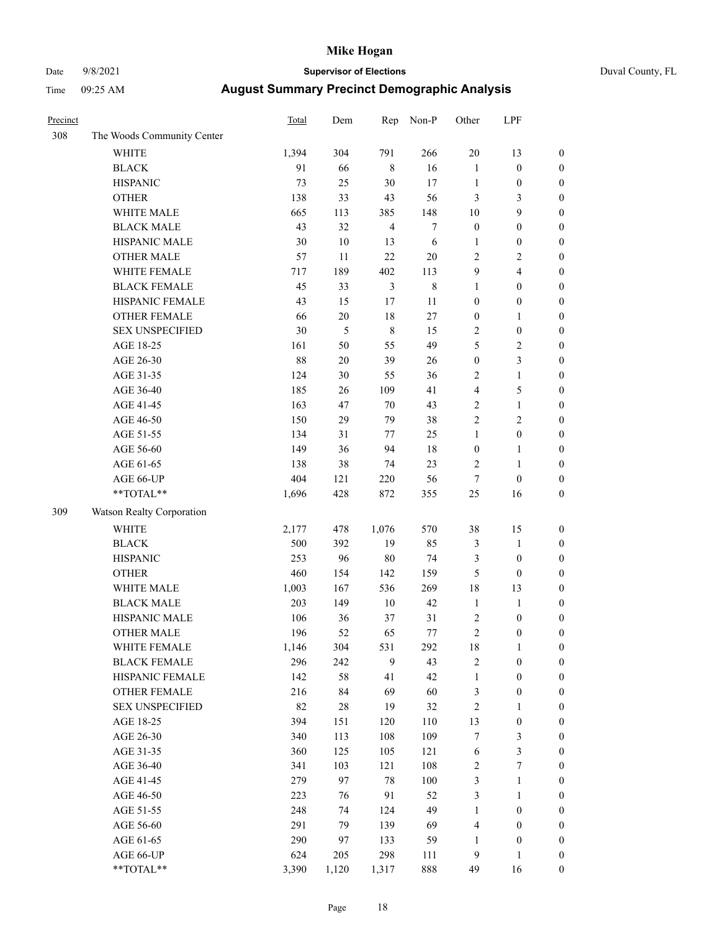# Date 9/8/2021 **Supervisor of Elections** Duval County, FL

| Precinct |                            | <b>Total</b> | Dem    | Rep            | Non-P            | Other            | LPF              |                  |
|----------|----------------------------|--------------|--------|----------------|------------------|------------------|------------------|------------------|
| 308      | The Woods Community Center |              |        |                |                  |                  |                  |                  |
|          | <b>WHITE</b>               | 1,394        | 304    | 791            | 266              | $20\,$           | 13               | $\boldsymbol{0}$ |
|          | <b>BLACK</b>               | 91           | 66     | $\,8\,$        | 16               | $\mathbf{1}$     | $\boldsymbol{0}$ | $\boldsymbol{0}$ |
|          | <b>HISPANIC</b>            | 73           | 25     | 30             | 17               | $\mathbf{1}$     | $\boldsymbol{0}$ | $\boldsymbol{0}$ |
|          | <b>OTHER</b>               | 138          | 33     | 43             | 56               | 3                | 3                | $\boldsymbol{0}$ |
|          | WHITE MALE                 | 665          | 113    | 385            | 148              | 10               | 9                | $\boldsymbol{0}$ |
|          | <b>BLACK MALE</b>          | 43           | 32     | $\overline{4}$ | $\boldsymbol{7}$ | $\boldsymbol{0}$ | $\boldsymbol{0}$ | $\boldsymbol{0}$ |
|          | HISPANIC MALE              | 30           | $10\,$ | 13             | 6                | $\mathbf{1}$     | $\boldsymbol{0}$ | $\boldsymbol{0}$ |
|          | <b>OTHER MALE</b>          | 57           | 11     | 22             | $20\,$           | 2                | $\overline{2}$   | $\boldsymbol{0}$ |
|          | WHITE FEMALE               | 717          | 189    | 402            | 113              | $\boldsymbol{9}$ | $\overline{4}$   | $\boldsymbol{0}$ |
|          | <b>BLACK FEMALE</b>        | 45           | 33     | $\mathfrak{Z}$ | $\,$ 8 $\,$      | $\mathbf{1}$     | $\boldsymbol{0}$ | $\boldsymbol{0}$ |
|          | HISPANIC FEMALE            | 43           | 15     | $17$           | 11               | $\boldsymbol{0}$ | $\boldsymbol{0}$ | $\boldsymbol{0}$ |
|          | <b>OTHER FEMALE</b>        | 66           | $20\,$ | 18             | $27\,$           | $\boldsymbol{0}$ | $\mathbf{1}$     | $\boldsymbol{0}$ |
|          | <b>SEX UNSPECIFIED</b>     | 30           | 5      | $\,8\,$        | 15               | 2                | $\boldsymbol{0}$ | $\boldsymbol{0}$ |
|          | AGE 18-25                  | 161          | 50     | 55             | 49               | 5                | $\sqrt{2}$       | $\boldsymbol{0}$ |
|          | AGE 26-30                  | 88           | $20\,$ | 39             | 26               | $\boldsymbol{0}$ | $\mathfrak{Z}$   | $\boldsymbol{0}$ |
|          | AGE 31-35                  | 124          | 30     | 55             | 36               | $\overline{c}$   | $\mathbf{1}$     | $\boldsymbol{0}$ |
|          | AGE 36-40                  | 185          | 26     | 109            | 41               | 4                | $\mathfrak{S}$   | $\boldsymbol{0}$ |
|          | AGE 41-45                  | 163          | 47     | $70\,$         | 43               | $\overline{2}$   | $\mathbf{1}$     | $\boldsymbol{0}$ |
|          | AGE 46-50                  | 150          | 29     | 79             | 38               | $\overline{c}$   | $\mathbf{2}$     | $\boldsymbol{0}$ |
|          | AGE 51-55                  | 134          | 31     | 77             | 25               | $\mathbf{1}$     | $\boldsymbol{0}$ | $\boldsymbol{0}$ |
|          | AGE 56-60                  | 149          | 36     | 94             | 18               | $\boldsymbol{0}$ | $\mathbf{1}$     | 0                |
|          | AGE 61-65                  | 138          | 38     | 74             | 23               | 2                | $\mathbf{1}$     | 0                |
|          | AGE 66-UP                  | 404          | 121    | 220            | 56               | $\boldsymbol{7}$ | $\boldsymbol{0}$ | $\boldsymbol{0}$ |
|          | **TOTAL**                  | 1,696        | 428    | 872            | 355              | $25\,$           | 16               | $\boldsymbol{0}$ |
| 309      | Watson Realty Corporation  |              |        |                |                  |                  |                  |                  |
|          | WHITE                      | 2,177        | 478    | 1,076          | 570              | 38               | 15               | $\boldsymbol{0}$ |
|          | <b>BLACK</b>               | 500          | 392    | 19             | 85               | 3                | $\mathbf{1}$     | $\boldsymbol{0}$ |
|          | <b>HISPANIC</b>            | 253          | 96     | 80             | 74               | 3                | $\boldsymbol{0}$ | $\boldsymbol{0}$ |
|          | <b>OTHER</b>               | 460          | 154    | 142            | 159              | 5                | $\boldsymbol{0}$ | $\boldsymbol{0}$ |
|          | WHITE MALE                 | 1,003        | 167    | 536            | 269              | 18               | 13               | $\boldsymbol{0}$ |
|          | <b>BLACK MALE</b>          | 203          | 149    | $10\,$         | 42               | $\mathbf{1}$     | $\mathbf{1}$     | $\boldsymbol{0}$ |
|          | HISPANIC MALE              | 106          | 36     | 37             | 31               | $\sqrt{2}$       | $\boldsymbol{0}$ | $\boldsymbol{0}$ |
|          | OTHER MALE                 | 196          | 52     | 65             | 77               | $\overline{c}$   | $\boldsymbol{0}$ | $\boldsymbol{0}$ |
|          | WHITE FEMALE               | 1,146        | 304    | 531            | 292              | 18               | 1                | 0                |
|          | <b>BLACK FEMALE</b>        | 296          | 242    | 9              | 43               | 2                | $\boldsymbol{0}$ | $\boldsymbol{0}$ |
|          | HISPANIC FEMALE            | 142          | 58     | 41             | 42               | $\mathbf{1}$     | $\boldsymbol{0}$ | $\overline{0}$   |
|          | OTHER FEMALE               | 216          | 84     | 69             | 60               | 3                | $\boldsymbol{0}$ | $\overline{0}$   |
|          | <b>SEX UNSPECIFIED</b>     | 82           | $28\,$ | 19             | 32               | 2                | $\mathbf{1}$     | 0                |
|          | AGE 18-25                  | 394          | 151    | 120            | 110              | 13               | $\boldsymbol{0}$ | 0                |
|          | AGE 26-30                  | 340          | 113    | 108            | 109              | 7                | $\mathfrak{Z}$   | 0                |
|          | AGE 31-35                  | 360          | 125    | 105            | 121              | 6                | $\mathfrak{Z}$   | 0                |
|          | AGE 36-40                  | 341          | 103    | 121            | 108              | 2                | $\boldsymbol{7}$ | 0                |
|          | AGE 41-45                  | 279          | 97     | 78             | 100              | 3                | $\mathbf{1}$     | 0                |
|          | AGE 46-50                  | 223          | 76     | 91             | 52               | 3                | $\mathbf{1}$     | 0                |
|          | AGE 51-55                  | 248          | 74     | 124            | 49               | $\mathbf{1}$     | $\boldsymbol{0}$ | 0                |
|          | AGE 56-60                  | 291          | 79     | 139            | 69               | 4                | $\boldsymbol{0}$ | $\boldsymbol{0}$ |
|          | AGE 61-65                  | 290          | 97     | 133            | 59               | 1                | $\boldsymbol{0}$ | $\boldsymbol{0}$ |
|          | AGE 66-UP                  | 624          | 205    | 298            | 111              | 9                | $\mathbf{1}$     | $\boldsymbol{0}$ |
|          | **TOTAL**                  | 3,390        | 1,120  | 1,317          | 888              | 49               | 16               | $\boldsymbol{0}$ |
|          |                            |              |        |                |                  |                  |                  |                  |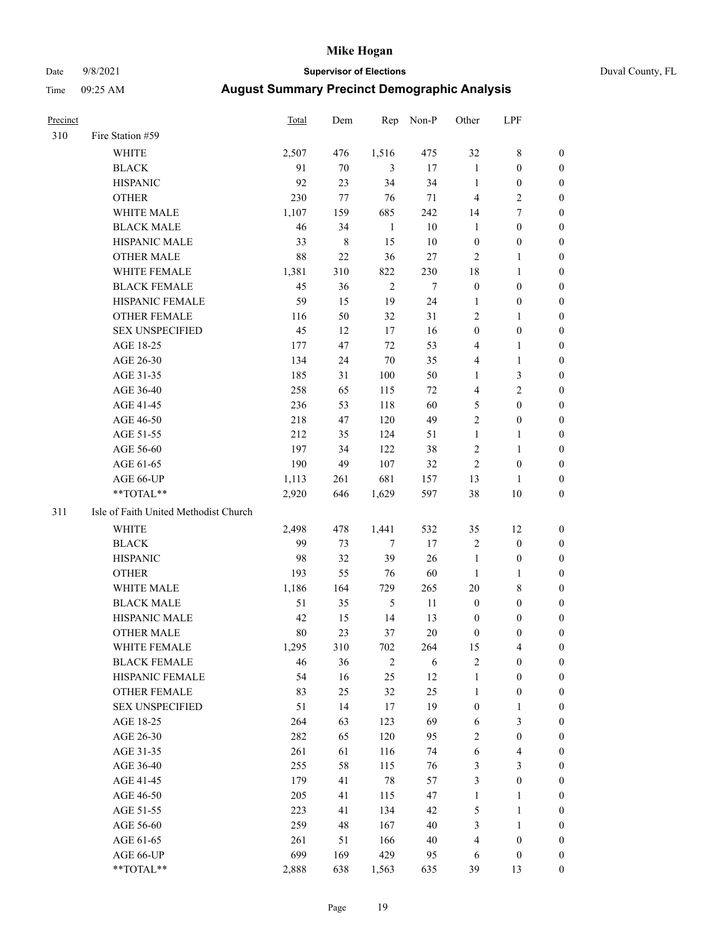# Date 9/8/2021 **Supervisor of Elections** Duval County, FL

| <b>Precinct</b> |                                       | <b>Total</b> | Dem         | Rep        | Non-P  | Other            | LPF                     |                  |
|-----------------|---------------------------------------|--------------|-------------|------------|--------|------------------|-------------------------|------------------|
| 310             | Fire Station #59                      |              |             |            |        |                  |                         |                  |
|                 | <b>WHITE</b>                          | 2,507        | 476         | 1,516      | 475    | 32               | $8\,$                   | 0                |
|                 | <b>BLACK</b>                          | 91           | 70          | 3          | 17     | $\mathbf{1}$     | $\boldsymbol{0}$        | 0                |
|                 | <b>HISPANIC</b>                       | 92           | 23          | 34         | 34     | $\mathbf{1}$     | $\boldsymbol{0}$        | 0                |
|                 | <b>OTHER</b>                          | 230          | 77          | 76         | 71     | $\overline{4}$   | $\sqrt{2}$              | $\boldsymbol{0}$ |
|                 | WHITE MALE                            | 1,107        | 159         | 685        | 242    | 14               | $\tau$                  | $\boldsymbol{0}$ |
|                 | <b>BLACK MALE</b>                     | 46           | 34          | 1          | $10\,$ | $\mathbf{1}$     | $\boldsymbol{0}$        | 0                |
|                 | HISPANIC MALE                         | 33           | $\,$ 8 $\,$ | 15         | 10     | $\boldsymbol{0}$ | $\boldsymbol{0}$        | 0                |
|                 | <b>OTHER MALE</b>                     | 88           | 22          | 36         | 27     | $\mathbf{2}$     | $\mathbf{1}$            | 0                |
|                 | WHITE FEMALE                          | 1,381        | 310         | 822        | 230    | 18               | $\mathbf{1}$            | 0                |
|                 | <b>BLACK FEMALE</b>                   | 45           | 36          | $\sqrt{2}$ | 7      | $\boldsymbol{0}$ | $\boldsymbol{0}$        | 0                |
|                 | HISPANIC FEMALE                       | 59           | 15          | 19         | 24     | 1                | $\boldsymbol{0}$        | 0                |
|                 | OTHER FEMALE                          | 116          | 50          | 32         | 31     | $\mathfrak{2}$   | $\mathbf{1}$            | 0                |
|                 | <b>SEX UNSPECIFIED</b>                | 45           | 12          | 17         | 16     | $\boldsymbol{0}$ | $\boldsymbol{0}$        | $\boldsymbol{0}$ |
|                 | AGE 18-25                             | 177          | 47          | 72         | 53     | 4                | $\mathbf{1}$            | $\boldsymbol{0}$ |
|                 | AGE 26-30                             | 134          | 24          | 70         | 35     | 4                | $\mathbf{1}$            | $\boldsymbol{0}$ |
|                 | AGE 31-35                             | 185          | 31          | 100        | 50     | $\mathbf{1}$     | $\mathfrak{Z}$          | $\boldsymbol{0}$ |
|                 | AGE 36-40                             | 258          | 65          | 115        | 72     | 4                | $\mathfrak{2}$          | $\boldsymbol{0}$ |
|                 | AGE 41-45                             | 236          | 53          | 118        | 60     | 5                | $\boldsymbol{0}$        | $\boldsymbol{0}$ |
|                 | AGE 46-50                             | 218          | 47          | 120        | 49     | $\overline{c}$   | $\boldsymbol{0}$        | 0                |
|                 | AGE 51-55                             | 212          | 35          | 124        | 51     | $\mathbf{1}$     | $\mathbf{1}$            | 0                |
|                 | AGE 56-60                             | 197          | 34          | 122        | 38     | $\overline{c}$   | $\mathbf{1}$            | 0                |
|                 | AGE 61-65                             | 190          | 49          | 107        | 32     | $\overline{c}$   | $\boldsymbol{0}$        | 0                |
|                 | AGE 66-UP                             | 1,113        | 261         | 681        | 157    | 13               | 1                       | 0                |
|                 | **TOTAL**                             | 2,920        | 646         | 1,629      | 597    | 38               | $10\,$                  | $\boldsymbol{0}$ |
| 311             | Isle of Faith United Methodist Church |              |             |            |        |                  |                         |                  |
|                 | <b>WHITE</b>                          | 2,498        | 478         | 1,441      | 532    | 35               | 12                      | $\boldsymbol{0}$ |
|                 | <b>BLACK</b>                          | 99           | 73          | $\tau$     | 17     | $\overline{c}$   | $\boldsymbol{0}$        | $\boldsymbol{0}$ |
|                 | <b>HISPANIC</b>                       | 98           | 32          | 39         | 26     | $\mathbf{1}$     | $\boldsymbol{0}$        | $\boldsymbol{0}$ |
|                 | <b>OTHER</b>                          | 193          | 55          | 76         | 60     | $\mathbf{1}$     | $\mathbf{1}$            | $\boldsymbol{0}$ |
|                 | WHITE MALE                            | 1,186        | 164         | 729        | 265    | 20               | $\,$ 8 $\,$             | $\boldsymbol{0}$ |
|                 | <b>BLACK MALE</b>                     | 51           | 35          | $\sqrt{5}$ | 11     | $\boldsymbol{0}$ | $\boldsymbol{0}$        | 0                |
|                 | HISPANIC MALE                         | 42           | 15          | 14         | 13     | $\boldsymbol{0}$ | $\boldsymbol{0}$        | 0                |
|                 | <b>OTHER MALE</b>                     | 80           | 23          | 37         | 20     | $\boldsymbol{0}$ | $\boldsymbol{0}$        | 0                |
|                 | WHITE FEMALE                          | 1,295        | 310         | 702        | 264    | 15               | 4                       | 0                |
|                 | <b>BLACK FEMALE</b>                   | 46           | 36          | $\sqrt{2}$ | 6      | $\sqrt{2}$       | $\boldsymbol{0}$        | $\boldsymbol{0}$ |
|                 | HISPANIC FEMALE                       | 54           | 16          | 25         | 12     | $\mathbf{1}$     | $\boldsymbol{0}$        | $\overline{0}$   |
|                 | OTHER FEMALE                          | 83           | 25          | 32         | 25     | $\mathbf{1}$     | $\boldsymbol{0}$        | $\overline{0}$   |
|                 | <b>SEX UNSPECIFIED</b>                | 51           | 14          | 17         | 19     | $\boldsymbol{0}$ | $\mathbf{1}$            | 0                |
|                 | AGE 18-25                             | 264          | 63          | 123        | 69     | 6                | $\mathfrak{Z}$          | 0                |
|                 | AGE 26-30                             | 282          | 65          | 120        | 95     | 2                | $\boldsymbol{0}$        | 0                |
|                 | AGE 31-35                             | 261          | 61          | 116        | 74     | 6                | $\overline{\mathbf{4}}$ | 0                |
|                 | AGE 36-40                             | 255          | 58          | 115        | 76     | 3                | $\mathfrak{Z}$          | 0                |
|                 | AGE 41-45                             | 179          | 41          | $78\,$     | 57     | 3                | $\boldsymbol{0}$        | 0                |
|                 | AGE 46-50                             | 205          | 41          | 115        | 47     | $\mathbf{1}$     | $\mathbf{1}$            | 0                |
|                 | AGE 51-55                             | 223          | 41          | 134        | 42     | 5                | $\mathbf{1}$            | 0                |
|                 | AGE 56-60                             | 259          | 48          | 167        | 40     | 3                | $\mathbf{1}$            | 0                |
|                 | AGE 61-65                             | 261          | 51          | 166        | 40     | 4                | $\boldsymbol{0}$        | $\boldsymbol{0}$ |
|                 | AGE 66-UP                             | 699          | 169         | 429        | 95     | 6                | $\boldsymbol{0}$        | $\boldsymbol{0}$ |
|                 | **TOTAL**                             | 2,888        | 638         | 1,563      | 635    | 39               | 13                      | $\boldsymbol{0}$ |
|                 |                                       |              |             |            |        |                  |                         |                  |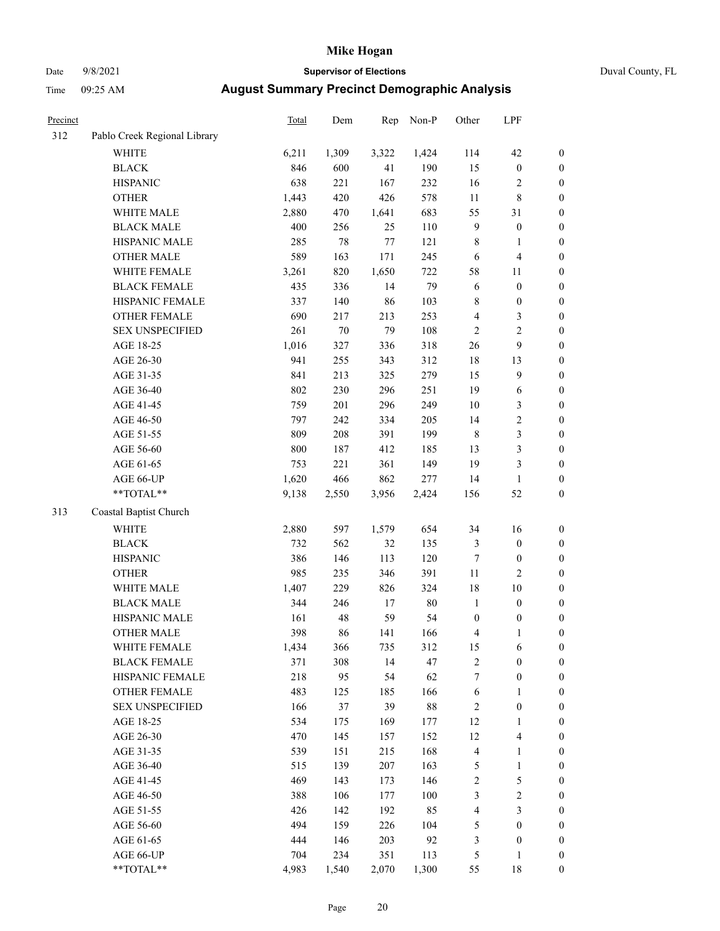# Date 9/8/2021 **Supervisor of Elections** Duval County, FL

| Precinct |                                                            | Total | Dem   | Rep    | Non-P | Other            | LPF              |                  |
|----------|------------------------------------------------------------|-------|-------|--------|-------|------------------|------------------|------------------|
| 312      | Pablo Creek Regional Library                               |       |       |        |       |                  |                  |                  |
|          | <b>WHITE</b>                                               | 6,211 | 1,309 | 3,322  | 1,424 | 114              | 42               | 0                |
|          | <b>BLACK</b>                                               | 846   | 600   | 41     | 190   | 15               | $\boldsymbol{0}$ | 0                |
|          | <b>HISPANIC</b>                                            | 638   | 221   | 167    | 232   | 16               | $\overline{c}$   | $\boldsymbol{0}$ |
|          | <b>OTHER</b>                                               | 1,443 | 420   | 426    | 578   | $11\,$           | $\,$ 8 $\,$      | $\boldsymbol{0}$ |
|          | WHITE MALE                                                 | 2,880 | 470   | 1,641  | 683   | 55               | 31               | $\boldsymbol{0}$ |
|          | <b>BLACK MALE</b>                                          | 400   | 256   | 25     | 110   | 9                | $\boldsymbol{0}$ | $\boldsymbol{0}$ |
|          | HISPANIC MALE                                              | 285   | 78    | $77\,$ | 121   | $\,$ $\,$        | $\mathbf{1}$     | $\boldsymbol{0}$ |
|          | <b>OTHER MALE</b>                                          | 589   | 163   | 171    | 245   | 6                | $\overline{4}$   | $\boldsymbol{0}$ |
|          | WHITE FEMALE                                               | 3,261 | 820   | 1,650  | 722   | 58               | 11               | $\boldsymbol{0}$ |
|          | <b>BLACK FEMALE</b>                                        | 435   | 336   | 14     | 79    | 6                | $\boldsymbol{0}$ | $\boldsymbol{0}$ |
|          | HISPANIC FEMALE                                            | 337   | 140   | 86     | 103   | 8                | $\boldsymbol{0}$ | $\boldsymbol{0}$ |
|          | OTHER FEMALE                                               | 690   | 217   | 213    | 253   | 4                | $\mathfrak{Z}$   | $\boldsymbol{0}$ |
|          | <b>SEX UNSPECIFIED</b>                                     | 261   | 70    | 79     | 108   | $\mathbf{2}$     | $\sqrt{2}$       | $\boldsymbol{0}$ |
|          | AGE 18-25                                                  | 1,016 | 327   | 336    | 318   | 26               | $\boldsymbol{9}$ | $\boldsymbol{0}$ |
|          | AGE 26-30                                                  | 941   | 255   | 343    | 312   | 18               | 13               | $\boldsymbol{0}$ |
|          | AGE 31-35                                                  | 841   | 213   | 325    | 279   | 15               | $\boldsymbol{9}$ | $\boldsymbol{0}$ |
|          | AGE 36-40                                                  | 802   | 230   | 296    | 251   | 19               | 6                | $\boldsymbol{0}$ |
|          | AGE 41-45                                                  | 759   | 201   | 296    | 249   | 10               | 3                | $\boldsymbol{0}$ |
|          | AGE 46-50                                                  | 797   | 242   | 334    | 205   | 14               | $\sqrt{2}$       | $\boldsymbol{0}$ |
|          | AGE 51-55                                                  | 809   | 208   | 391    | 199   | $\,$ 8 $\,$      | $\mathfrak{Z}$   | $\boldsymbol{0}$ |
|          | AGE 56-60                                                  | 800   | 187   | 412    | 185   | 13               | $\mathfrak{Z}$   | $\boldsymbol{0}$ |
|          | AGE 61-65                                                  | 753   | 221   | 361    | 149   | 19               | $\mathfrak{Z}$   | $\boldsymbol{0}$ |
|          | AGE 66-UP                                                  | 1,620 | 466   | 862    | 277   | 14               | $\mathbf{1}$     | $\boldsymbol{0}$ |
|          | $**TOTAL**$                                                | 9,138 | 2,550 | 3,956  | 2,424 | 156              | 52               | $\boldsymbol{0}$ |
| 313      | Coastal Baptist Church                                     |       |       |        |       |                  |                  |                  |
|          | <b>WHITE</b>                                               | 2,880 | 597   | 1,579  | 654   | 34               | 16               | $\boldsymbol{0}$ |
|          | <b>BLACK</b>                                               | 732   | 562   | 32     | 135   | 3                | $\boldsymbol{0}$ | $\boldsymbol{0}$ |
|          | <b>HISPANIC</b>                                            | 386   | 146   | 113    | 120   | $\boldsymbol{7}$ | $\boldsymbol{0}$ | $\boldsymbol{0}$ |
|          | <b>OTHER</b>                                               | 985   | 235   | 346    | 391   | $11\,$           | $\mathfrak{2}$   | $\boldsymbol{0}$ |
|          | WHITE MALE                                                 | 1,407 | 229   | 826    | 324   | 18               | 10               | $\boldsymbol{0}$ |
|          | <b>BLACK MALE</b>                                          | 344   | 246   | 17     | 80    | $\mathbf{1}$     | $\boldsymbol{0}$ | $\boldsymbol{0}$ |
|          | HISPANIC MALE                                              | 161   | 48    | 59     | 54    | $\boldsymbol{0}$ | $\boldsymbol{0}$ | 0                |
|          | <b>OTHER MALE</b>                                          | 398   | 86    | 141    | 166   | 4                | $\mathbf{1}$     | $\boldsymbol{0}$ |
|          | WHITE FEMALE                                               | 1,434 | 366   | 735    | 312   | 15               | 6                | 0                |
|          | <b>BLACK FEMALE</b>                                        | 371   | 308   | 14     | 47    | 2                | $\boldsymbol{0}$ | $\overline{0}$   |
|          | HISPANIC FEMALE                                            | 218   | 95    | 54     | 62    | 7                | $\boldsymbol{0}$ | $\overline{0}$   |
|          | OTHER FEMALE                                               | 483   | 125   | 185    | 166   | 6                | $\mathbf{1}$     | $\overline{0}$   |
|          | <b>SEX UNSPECIFIED</b>                                     | 166   | 37    | 39     | 88    | 2                | $\boldsymbol{0}$ | 0                |
|          | AGE 18-25                                                  | 534   | 175   | 169    | 177   | 12               | $\mathbf{1}$     | 0                |
|          | AGE 26-30                                                  | 470   | 145   | 157    | 152   | 12               | $\overline{4}$   | 0                |
|          | AGE 31-35                                                  | 539   | 151   | 215    | 168   | 4                | $\mathbf{1}$     | 0                |
|          | AGE 36-40                                                  | 515   | 139   | 207    | 163   | 5                | $\mathbf{1}$     | 0                |
|          | AGE 41-45                                                  | 469   | 143   | 173    | 146   | $\overline{c}$   | $\mathfrak s$    | 0                |
|          | AGE 46-50                                                  | 388   | 106   | 177    | 100   | 3                | $\sqrt{2}$       | 0                |
|          | AGE 51-55                                                  | 426   | 142   | 192    | 85    | 4                | 3                | 0                |
|          | AGE 56-60                                                  | 494   | 159   | 226    | 104   | 5                | $\boldsymbol{0}$ | $\overline{0}$   |
|          | AGE 61-65                                                  | 444   | 146   | 203    | 92    | 3                | $\boldsymbol{0}$ | $\boldsymbol{0}$ |
|          | AGE 66-UP                                                  | 704   | 234   | 351    | 113   | 5                | 1                | 0                |
|          | $\mathrm{*}\mathrm{*} \mathrm{TOTAL} \mathrm{*}\mathrm{*}$ | 4,983 | 1,540 | 2,070  | 1,300 | 55               | 18               | $\boldsymbol{0}$ |
|          |                                                            |       |       |        |       |                  |                  |                  |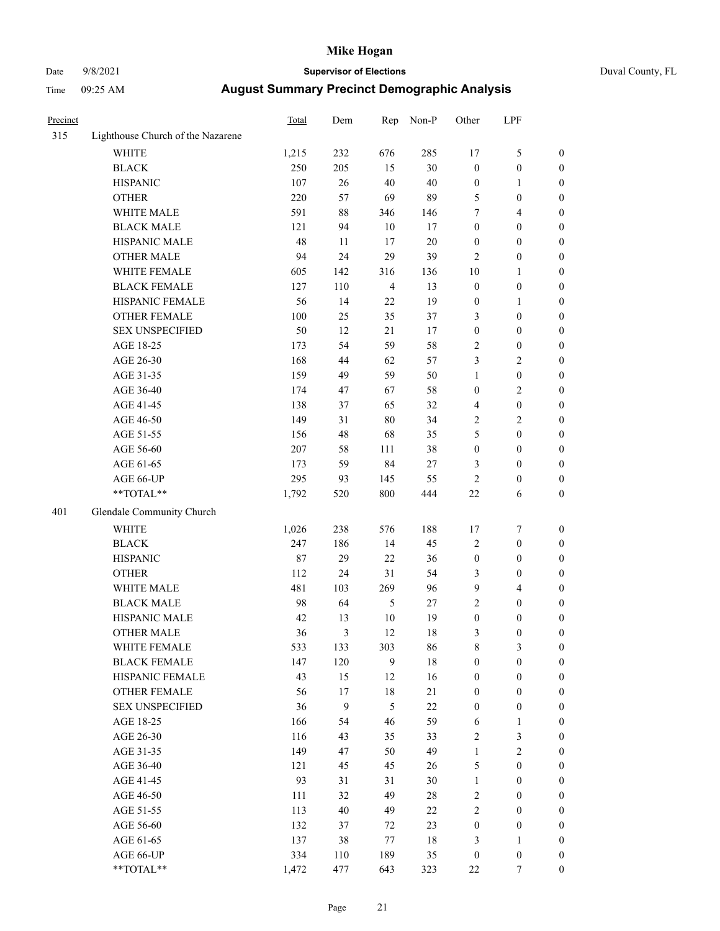# Date 9/8/2021 **Supervisor of Elections** Duval County, FL

| Precinct |                                                            | Total | Dem              | Rep            | Non-P  | Other            | LPF              |                  |
|----------|------------------------------------------------------------|-------|------------------|----------------|--------|------------------|------------------|------------------|
| 315      | Lighthouse Church of the Nazarene                          |       |                  |                |        |                  |                  |                  |
|          | <b>WHITE</b>                                               | 1,215 | 232              | 676            | 285    | 17               | $\mathfrak s$    | 0                |
|          | <b>BLACK</b>                                               | 250   | 205              | 15             | 30     | $\boldsymbol{0}$ | $\boldsymbol{0}$ | 0                |
|          | <b>HISPANIC</b>                                            | 107   | 26               | 40             | 40     | $\boldsymbol{0}$ | $\mathbf{1}$     | $\boldsymbol{0}$ |
|          | <b>OTHER</b>                                               | 220   | 57               | 69             | 89     | 5                | $\boldsymbol{0}$ | $\boldsymbol{0}$ |
|          | WHITE MALE                                                 | 591   | 88               | 346            | 146    | 7                | $\overline{4}$   | $\boldsymbol{0}$ |
|          | <b>BLACK MALE</b>                                          | 121   | 94               | 10             | 17     | $\boldsymbol{0}$ | $\boldsymbol{0}$ | $\boldsymbol{0}$ |
|          | HISPANIC MALE                                              | 48    | 11               | 17             | 20     | 0                | $\boldsymbol{0}$ | $\boldsymbol{0}$ |
|          | <b>OTHER MALE</b>                                          | 94    | 24               | 29             | 39     | 2                | $\boldsymbol{0}$ | $\boldsymbol{0}$ |
|          | WHITE FEMALE                                               | 605   | 142              | 316            | 136    | 10               | 1                | $\boldsymbol{0}$ |
|          | <b>BLACK FEMALE</b>                                        | 127   | 110              | $\overline{4}$ | 13     | $\boldsymbol{0}$ | $\boldsymbol{0}$ | 0                |
|          | HISPANIC FEMALE                                            | 56    | 14               | 22             | 19     | $\boldsymbol{0}$ | 1                | 0                |
|          | OTHER FEMALE                                               | 100   | 25               | 35             | 37     | 3                | $\boldsymbol{0}$ | $\boldsymbol{0}$ |
|          | <b>SEX UNSPECIFIED</b>                                     | 50    | 12               | 21             | 17     | $\boldsymbol{0}$ | $\boldsymbol{0}$ | $\boldsymbol{0}$ |
|          | AGE 18-25                                                  | 173   | 54               | 59             | 58     | 2                | $\boldsymbol{0}$ | $\boldsymbol{0}$ |
|          | AGE 26-30                                                  | 168   | 44               | 62             | 57     | 3                | $\sqrt{2}$       | $\boldsymbol{0}$ |
|          | AGE 31-35                                                  | 159   | 49               | 59             | 50     | 1                | $\boldsymbol{0}$ | $\boldsymbol{0}$ |
|          | AGE 36-40                                                  | 174   | 47               | 67             | 58     | 0                | $\sqrt{2}$       | $\boldsymbol{0}$ |
|          | AGE 41-45                                                  | 138   | 37               | 65             | 32     | 4                | $\boldsymbol{0}$ |                  |
|          |                                                            |       |                  |                |        |                  |                  | $\boldsymbol{0}$ |
|          | AGE 46-50                                                  | 149   | 31               | $80\,$         | 34     | $\mathbf{2}$     | $\mathbf{2}$     | $\boldsymbol{0}$ |
|          | AGE 51-55                                                  | 156   | 48               | 68             | 35     | 5                | $\boldsymbol{0}$ | $\boldsymbol{0}$ |
|          | AGE 56-60                                                  | 207   | 58               | 111            | 38     | $\boldsymbol{0}$ | $\boldsymbol{0}$ | 0                |
|          | AGE 61-65                                                  | 173   | 59               | 84             | $27\,$ | 3                | $\boldsymbol{0}$ | 0                |
|          | AGE 66-UP                                                  | 295   | 93               | 145            | 55     | 2                | $\boldsymbol{0}$ | $\boldsymbol{0}$ |
|          | $**TOTAL**$                                                | 1,792 | 520              | 800            | 444    | 22               | 6                | $\boldsymbol{0}$ |
| 401      | Glendale Community Church                                  |       |                  |                |        |                  |                  |                  |
|          | <b>WHITE</b>                                               | 1,026 | 238              | 576            | 188    | 17               | $\boldsymbol{7}$ | $\boldsymbol{0}$ |
|          | <b>BLACK</b>                                               | 247   | 186              | 14             | 45     | 2                | $\boldsymbol{0}$ | $\boldsymbol{0}$ |
|          | <b>HISPANIC</b>                                            | 87    | 29               | 22             | 36     | $\boldsymbol{0}$ | $\boldsymbol{0}$ | $\boldsymbol{0}$ |
|          | <b>OTHER</b>                                               | 112   | 24               | 31             | 54     | 3                | $\boldsymbol{0}$ | $\boldsymbol{0}$ |
|          | WHITE MALE                                                 | 481   | 103              | 269            | 96     | 9                | $\overline{4}$   | $\boldsymbol{0}$ |
|          | <b>BLACK MALE</b>                                          | 98    | 64               | 5              | 27     | $\overline{c}$   | $\boldsymbol{0}$ | $\boldsymbol{0}$ |
|          | HISPANIC MALE                                              | 42    | 13               | $10\,$         | 19     | $\boldsymbol{0}$ | $\boldsymbol{0}$ | 0                |
|          | <b>OTHER MALE</b>                                          | 36    | 3                | 12             | 18     | 3                | $\boldsymbol{0}$ | $\boldsymbol{0}$ |
|          | WHITE FEMALE                                               | 533   | 133              | 303            | 86     | 8                | 3                | 0                |
|          | <b>BLACK FEMALE</b>                                        | 147   | 120              | 9              | 18     | $\boldsymbol{0}$ | $\boldsymbol{0}$ | $\overline{0}$   |
|          | HISPANIC FEMALE                                            | 43    | 15               | 12             | 16     | $\boldsymbol{0}$ | $\boldsymbol{0}$ | $\overline{0}$   |
|          | OTHER FEMALE                                               | 56    | 17               | 18             | $21\,$ | 0                | $\boldsymbol{0}$ | $\overline{0}$   |
|          | <b>SEX UNSPECIFIED</b>                                     | 36    | $\boldsymbol{9}$ | 5              | $22\,$ | $\boldsymbol{0}$ | $\boldsymbol{0}$ | 0                |
|          | AGE 18-25                                                  | 166   | 54               | 46             | 59     | 6                | $\mathbf{1}$     | 0                |
|          | AGE 26-30                                                  | 116   | 43               | 35             | 33     | 2                | 3                | 0                |
|          | AGE 31-35                                                  | 149   | 47               | 50             | 49     | $\mathbf{1}$     | $\sqrt{2}$       | 0                |
|          | AGE 36-40                                                  | 121   | 45               | 45             | 26     | 5                | $\boldsymbol{0}$ | 0                |
|          | AGE 41-45                                                  | 93    | 31               | 31             | 30     | $\mathbf{1}$     | $\boldsymbol{0}$ | 0                |
|          | AGE 46-50                                                  | 111   | 32               | 49             | 28     | 2                | $\boldsymbol{0}$ | 0                |
|          | AGE 51-55                                                  | 113   | 40               | 49             | 22     | $\overline{c}$   | $\boldsymbol{0}$ | $\overline{0}$   |
|          | AGE 56-60                                                  | 132   | 37               | 72             | 23     | $\boldsymbol{0}$ | $\boldsymbol{0}$ | $\overline{0}$   |
|          | AGE 61-65                                                  | 137   | 38               | 77             | 18     | 3                | 1                | $\overline{0}$   |
|          | AGE 66-UP                                                  | 334   | 110              | 189            | 35     | $\boldsymbol{0}$ | $\boldsymbol{0}$ | 0                |
|          | $\mathrm{*}\mathrm{*} \mathrm{TOTAL} \mathrm{*}\mathrm{*}$ | 1,472 | 477              | 643            | 323    | 22               | 7                | $\boldsymbol{0}$ |
|          |                                                            |       |                  |                |        |                  |                  |                  |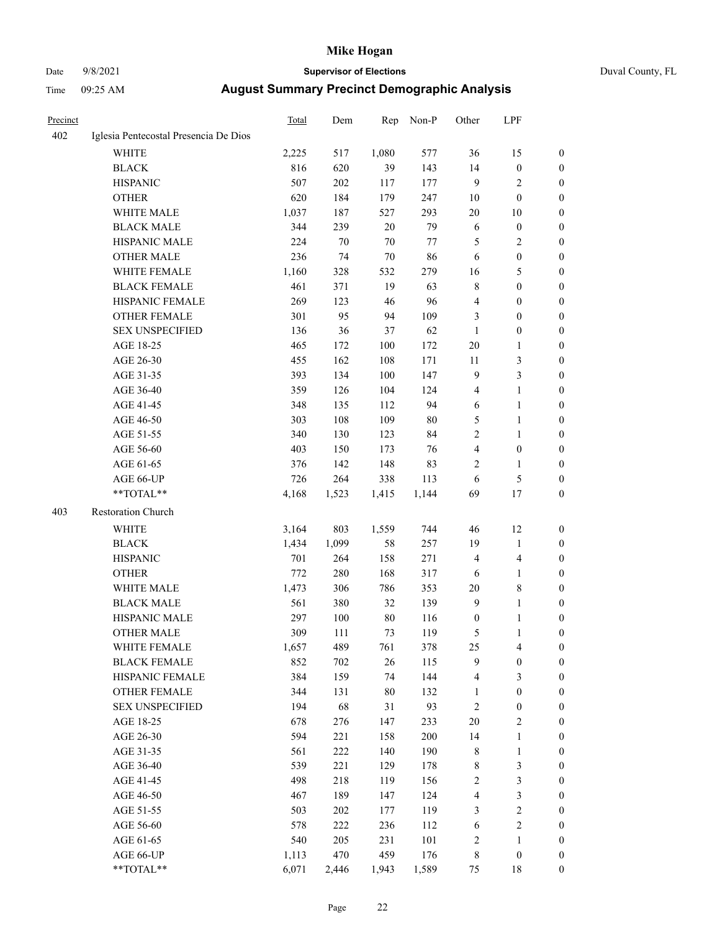# Date 9/8/2021 **Supervisor of Elections** Duval County, FL

| Precinct |                                       | Total | Dem     | Rep    | Non-P  | Other            | LPF              |                  |
|----------|---------------------------------------|-------|---------|--------|--------|------------------|------------------|------------------|
| 402      | Iglesia Pentecostal Presencia De Dios |       |         |        |        |                  |                  |                  |
|          | <b>WHITE</b>                          | 2,225 | 517     | 1,080  | 577    | 36               | 15               | 0                |
|          | <b>BLACK</b>                          | 816   | 620     | 39     | 143    | 14               | $\boldsymbol{0}$ | 0                |
|          | <b>HISPANIC</b>                       | 507   | 202     | 117    | 177    | 9                | $\mathfrak{2}$   | 0                |
|          | <b>OTHER</b>                          | 620   | 184     | 179    | 247    | 10               | $\boldsymbol{0}$ | $\boldsymbol{0}$ |
|          | WHITE MALE                            | 1,037 | 187     | 527    | 293    | 20               | 10               | $\boldsymbol{0}$ |
|          | <b>BLACK MALE</b>                     | 344   | 239     | 20     | 79     | 6                | $\boldsymbol{0}$ | $\boldsymbol{0}$ |
|          | HISPANIC MALE                         | 224   | 70      | 70     | 77     | 5                | $\sqrt{2}$       | $\boldsymbol{0}$ |
|          | <b>OTHER MALE</b>                     | 236   | 74      | 70     | 86     | 6                | $\boldsymbol{0}$ | $\boldsymbol{0}$ |
|          | WHITE FEMALE                          | 1,160 | 328     | 532    | 279    | 16               | $\mathfrak s$    | $\boldsymbol{0}$ |
|          | <b>BLACK FEMALE</b>                   | 461   | 371     | 19     | 63     | 8                | $\boldsymbol{0}$ | 0                |
|          | HISPANIC FEMALE                       | 269   | 123     | 46     | 96     | 4                | $\boldsymbol{0}$ | 0                |
|          | <b>OTHER FEMALE</b>                   | 301   | 95      | 94     | 109    | 3                | $\boldsymbol{0}$ | 0                |
|          | <b>SEX UNSPECIFIED</b>                | 136   | 36      | 37     | 62     | $\mathbf{1}$     | $\boldsymbol{0}$ | $\boldsymbol{0}$ |
|          | AGE 18-25                             | 465   | 172     | 100    | 172    | $20\,$           | 1                | $\boldsymbol{0}$ |
|          | AGE 26-30                             | 455   | 162     | 108    | 171    | $11\,$           | $\mathfrak{Z}$   | $\boldsymbol{0}$ |
|          | AGE 31-35                             | 393   | 134     | 100    | 147    | 9                | 3                | $\boldsymbol{0}$ |
|          | AGE 36-40                             | 359   | 126     | 104    | 124    | 4                | $\mathbf{1}$     | $\boldsymbol{0}$ |
|          | AGE 41-45                             | 348   | 135     | 112    | 94     | $\sqrt{6}$       | $\mathbf{1}$     | $\boldsymbol{0}$ |
|          | AGE 46-50                             | 303   | 108     | 109    | $80\,$ | 5                | $\mathbf{1}$     | $\boldsymbol{0}$ |
|          | AGE 51-55                             | 340   | 130     | 123    | 84     | 2                | $\mathbf{1}$     | 0                |
|          | AGE 56-60                             | 403   | 150     | 173    | 76     | 4                | $\boldsymbol{0}$ | 0                |
|          | AGE 61-65                             | 376   | 142     | 148    | 83     | 2                | 1                | 0                |
|          | AGE 66-UP                             | 726   | 264     | 338    | 113    | 6                | $\mathfrak s$    | 0                |
|          | **TOTAL**                             | 4,168 | 1,523   | 1,415  | 1,144  | 69               | 17               | $\boldsymbol{0}$ |
| 403      | Restoration Church                    |       |         |        |        |                  |                  |                  |
|          | <b>WHITE</b>                          | 3,164 | 803     | 1,559  | 744    | 46               | 12               | $\boldsymbol{0}$ |
|          | <b>BLACK</b>                          | 1,434 | 1,099   | 58     | 257    | 19               | $\mathbf{1}$     | $\boldsymbol{0}$ |
|          | <b>HISPANIC</b>                       | 701   | 264     | 158    | 271    | 4                | $\overline{4}$   | $\boldsymbol{0}$ |
|          | <b>OTHER</b>                          | 772   | 280     | 168    | 317    | 6                | $\mathbf{1}$     | $\boldsymbol{0}$ |
|          | WHITE MALE                            | 1,473 | 306     | 786    | 353    | $20\,$           | $\,$ 8 $\,$      | $\overline{0}$   |
|          | <b>BLACK MALE</b>                     | 561   | 380     | 32     | 139    | 9                | $\mathbf{1}$     | 0                |
|          | HISPANIC MALE                         | 297   | $100\,$ | 80     | 116    | $\boldsymbol{0}$ | 1                | 0                |
|          | <b>OTHER MALE</b>                     | 309   | 111     | 73     | 119    | 5                | $\mathbf{1}$     | 0                |
|          | WHITE FEMALE                          | 1,657 | 489     | 761    | 378    | 25               | 4                | 0                |
|          | <b>BLACK FEMALE</b>                   | 852   | 702     | 26     | 115    | 9                | $\boldsymbol{0}$ | $\boldsymbol{0}$ |
|          | HISPANIC FEMALE                       | 384   | 159     | 74     | 144    | 4                | $\mathfrak{Z}$   | $\overline{0}$   |
|          | <b>OTHER FEMALE</b>                   | 344   | 131     | $80\,$ | 132    | $\mathbf{1}$     | $\boldsymbol{0}$ | $\overline{0}$   |
|          | <b>SEX UNSPECIFIED</b>                | 194   | 68      | 31     | 93     | 2                | $\boldsymbol{0}$ | 0                |
|          | AGE 18-25                             | 678   | 276     | 147    | 233    | $20\,$           | $\sqrt{2}$       | 0                |
|          | AGE 26-30                             | 594   | 221     | 158    | 200    | 14               | $\mathbf{1}$     | 0                |
|          | AGE 31-35                             | 561   | 222     | 140    | 190    | $\,$ 8 $\,$      | $\mathbf{1}$     | 0                |
|          | AGE 36-40                             | 539   | 221     | 129    | 178    | 8                | $\mathfrak z$    | 0                |
|          | AGE 41-45                             | 498   | 218     | 119    | 156    | 2                | $\mathfrak z$    | 0                |
|          | AGE 46-50                             | 467   | 189     | 147    | 124    | 4                | $\mathfrak z$    | 0                |
|          | AGE 51-55                             | 503   | 202     | 177    | 119    | 3                | $\sqrt{2}$       | 0                |
|          | AGE 56-60                             | 578   | 222     | 236    | 112    | 6                | $\sqrt{2}$       | $\boldsymbol{0}$ |
|          | AGE 61-65                             | 540   | 205     | 231    | 101    | 2                | $\mathbf{1}$     | $\boldsymbol{0}$ |
|          | AGE 66-UP                             | 1,113 | 470     | 459    | 176    | 8                | $\boldsymbol{0}$ | 0                |
|          | **TOTAL**                             | 6,071 | 2,446   | 1,943  | 1,589  | 75               | 18               | $\boldsymbol{0}$ |
|          |                                       |       |         |        |        |                  |                  |                  |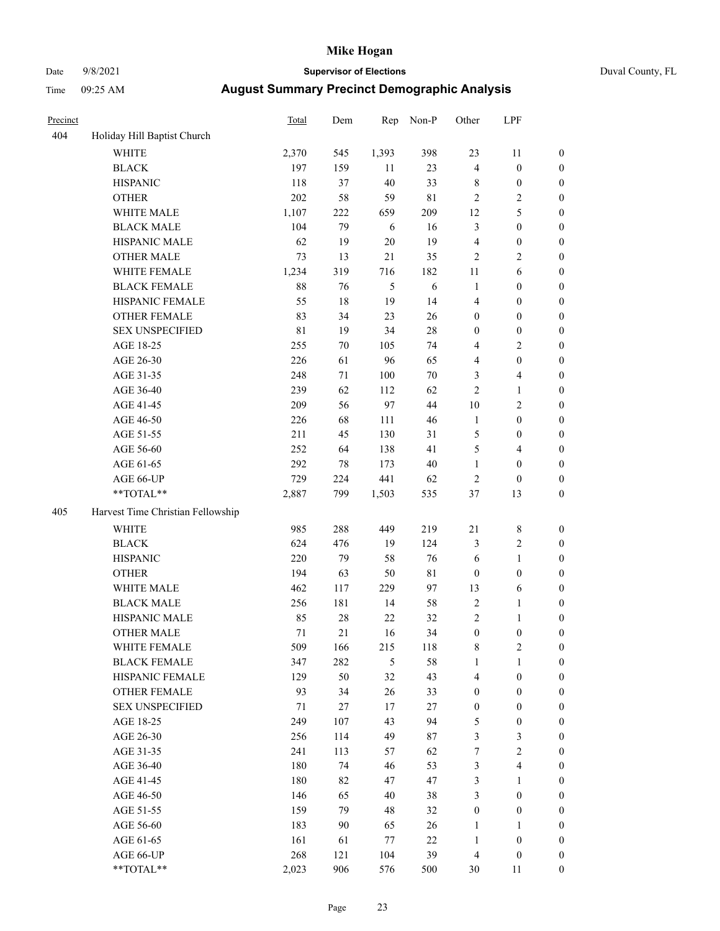# Date 9/8/2021 **Supervisor of Elections** Duval County, FL

| Precinct |                                   | Total | Dem    | Rep   | Non-P       | Other            | LPF              |                  |
|----------|-----------------------------------|-------|--------|-------|-------------|------------------|------------------|------------------|
| 404      | Holiday Hill Baptist Church       |       |        |       |             |                  |                  |                  |
|          | <b>WHITE</b>                      | 2,370 | 545    | 1,393 | 398         | 23               | 11               | 0                |
|          | <b>BLACK</b>                      | 197   | 159    | 11    | 23          | $\overline{4}$   | $\boldsymbol{0}$ | 0                |
|          | <b>HISPANIC</b>                   | 118   | 37     | 40    | 33          | 8                | $\boldsymbol{0}$ | $\boldsymbol{0}$ |
|          | <b>OTHER</b>                      | 202   | 58     | 59    | $8\sqrt{1}$ | 2                | $\sqrt{2}$       | $\boldsymbol{0}$ |
|          | WHITE MALE                        | 1,107 | 222    | 659   | 209         | 12               | 5                | $\boldsymbol{0}$ |
|          | <b>BLACK MALE</b>                 | 104   | 79     | 6     | 16          | 3                | $\boldsymbol{0}$ | $\boldsymbol{0}$ |
|          | HISPANIC MALE                     | 62    | 19     | 20    | 19          | 4                | $\boldsymbol{0}$ | $\boldsymbol{0}$ |
|          | <b>OTHER MALE</b>                 | 73    | 13     | 21    | 35          | 2                | $\mathfrak{2}$   | $\boldsymbol{0}$ |
|          | WHITE FEMALE                      | 1,234 | 319    | 716   | 182         | $11\,$           | 6                | $\boldsymbol{0}$ |
|          | <b>BLACK FEMALE</b>               | 88    | 76     | 5     | 6           | $\mathbf{1}$     | $\boldsymbol{0}$ | 0                |
|          | HISPANIC FEMALE                   | 55    | 18     | 19    | 14          | 4                | $\boldsymbol{0}$ | 0                |
|          | OTHER FEMALE                      | 83    | 34     | 23    | 26          | 0                | $\boldsymbol{0}$ | $\boldsymbol{0}$ |
|          | <b>SEX UNSPECIFIED</b>            | 81    | 19     | 34    | 28          | $\boldsymbol{0}$ | $\boldsymbol{0}$ | $\boldsymbol{0}$ |
|          | AGE 18-25                         | 255   | $70\,$ | 105   | 74          | 4                | $\sqrt{2}$       | $\boldsymbol{0}$ |
|          | AGE 26-30                         | 226   | 61     | 96    | 65          | 4                | $\boldsymbol{0}$ | $\boldsymbol{0}$ |
|          | AGE 31-35                         | 248   | 71     | 100   | 70          | 3                | $\overline{4}$   | $\boldsymbol{0}$ |
|          | AGE 36-40                         | 239   | 62     | 112   | 62          | $\overline{c}$   | $\mathbf{1}$     | $\boldsymbol{0}$ |
|          | AGE 41-45                         | 209   | 56     | 97    | 44          | 10               | $\mathfrak{2}$   | $\boldsymbol{0}$ |
|          | AGE 46-50                         | 226   | 68     | 111   | 46          | $\mathbf{1}$     | $\boldsymbol{0}$ | $\boldsymbol{0}$ |
|          | AGE 51-55                         | 211   | 45     | 130   | 31          | 5                | $\boldsymbol{0}$ | $\boldsymbol{0}$ |
|          | AGE 56-60                         | 252   | 64     | 138   | 41          | 5                | $\overline{4}$   | 0                |
|          | AGE 61-65                         | 292   | 78     | 173   | $40\,$      | $\mathbf{1}$     | $\boldsymbol{0}$ | $\boldsymbol{0}$ |
|          | AGE 66-UP                         | 729   | 224    | 441   | 62          | 2                | $\boldsymbol{0}$ | $\boldsymbol{0}$ |
|          | $**TOTAL**$                       | 2,887 | 799    | 1,503 | 535         | 37               | 13               | $\boldsymbol{0}$ |
| 405      | Harvest Time Christian Fellowship |       |        |       |             |                  |                  |                  |
|          | <b>WHITE</b>                      | 985   | 288    | 449   | 219         | $21\,$           | $\,$ $\,$        | $\boldsymbol{0}$ |
|          | <b>BLACK</b>                      | 624   | 476    | 19    | 124         | 3                | $\sqrt{2}$       | $\boldsymbol{0}$ |
|          | <b>HISPANIC</b>                   | 220   | 79     | 58    | 76          | 6                | $\mathbf{1}$     | $\boldsymbol{0}$ |
|          | <b>OTHER</b>                      | 194   | 63     | 50    | $8\sqrt{1}$ | $\boldsymbol{0}$ | $\boldsymbol{0}$ | $\boldsymbol{0}$ |
|          | WHITE MALE                        | 462   | 117    | 229   | 97          | 13               | 6                | $\boldsymbol{0}$ |
|          | <b>BLACK MALE</b>                 | 256   | 181    | 14    | 58          | $\mathbf{2}$     | $\mathbf{1}$     | $\boldsymbol{0}$ |
|          | HISPANIC MALE                     | 85    | 28     | 22    | 32          | 2                | 1                | 0                |
|          | <b>OTHER MALE</b>                 | 71    | 21     | 16    | 34          | $\boldsymbol{0}$ | $\boldsymbol{0}$ | $\boldsymbol{0}$ |
|          | WHITE FEMALE                      | 509   | 166    | 215   | 118         | 8                | 2                | 0                |
|          | <b>BLACK FEMALE</b>               | 347   | 282    | 5     | 58          | $\mathbf{1}$     | $\mathbf{1}$     | $\boldsymbol{0}$ |
|          | HISPANIC FEMALE                   | 129   | 50     | 32    | 43          | 4                | $\boldsymbol{0}$ | $\overline{0}$   |
|          | OTHER FEMALE                      | 93    | 34     | 26    | 33          | $\boldsymbol{0}$ | $\boldsymbol{0}$ | $\overline{0}$   |
|          | <b>SEX UNSPECIFIED</b>            | 71    | 27     | 17    | 27          | $\boldsymbol{0}$ | $\boldsymbol{0}$ | 0                |
|          | AGE 18-25                         | 249   | 107    | 43    | 94          | 5                | $\boldsymbol{0}$ | 0                |
|          | AGE 26-30                         | 256   | 114    | 49    | 87          | 3                | 3                | 0                |
|          | AGE 31-35                         | 241   | 113    | 57    | 62          | 7                | $\sqrt{2}$       | 0                |
|          | AGE 36-40                         | 180   | 74     | 46    | 53          | 3                | $\overline{4}$   | 0                |
|          | AGE 41-45                         | 180   | 82     | 47    | 47          | 3                | $\mathbf{1}$     | 0                |
|          | AGE 46-50                         | 146   | 65     | 40    | 38          | 3                | $\boldsymbol{0}$ | 0                |
|          | AGE 51-55                         | 159   | 79     | 48    | 32          | $\boldsymbol{0}$ | $\boldsymbol{0}$ | 0                |
|          | AGE 56-60                         | 183   | 90     | 65    | 26          | 1                | 1                | 0                |
|          | AGE 61-65                         | 161   | 61     | 77    | $22\,$      | 1                | $\boldsymbol{0}$ | 0                |
|          | AGE 66-UP                         | 268   | 121    | 104   | 39          | 4                | $\boldsymbol{0}$ | 0                |
|          | **TOTAL**                         | 2,023 | 906    | 576   | 500         | 30               | 11               | $\boldsymbol{0}$ |
|          |                                   |       |        |       |             |                  |                  |                  |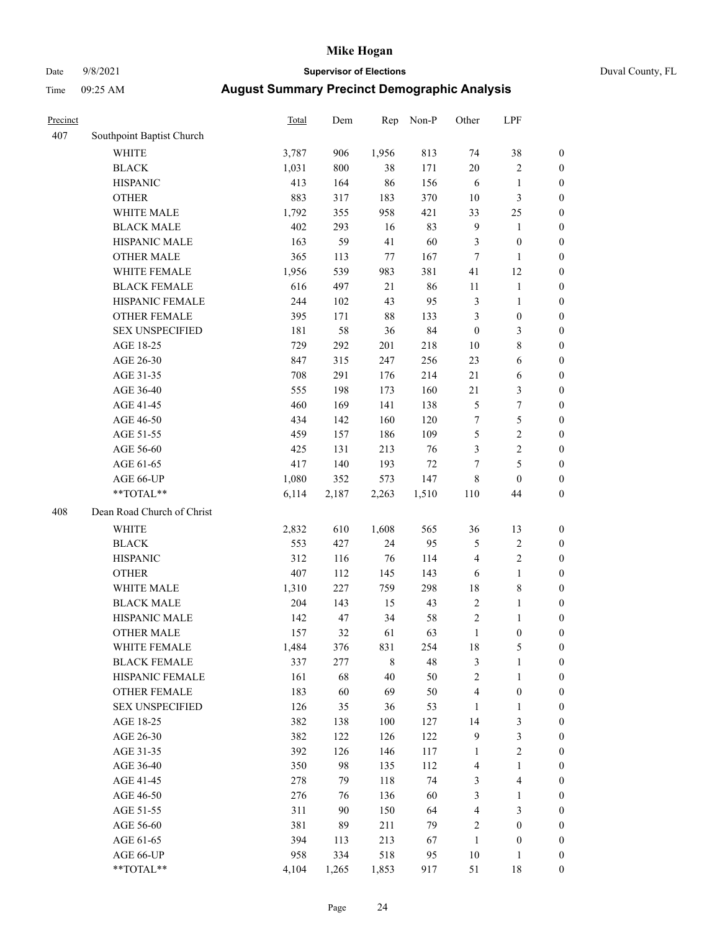# Date 9/8/2021 **Supervisor of Elections** Duval County, FL

| Precinct |                            | Total | Dem   | Rep   | Non-P | Other            | LPF              |                  |
|----------|----------------------------|-------|-------|-------|-------|------------------|------------------|------------------|
| 407      | Southpoint Baptist Church  |       |       |       |       |                  |                  |                  |
|          | <b>WHITE</b>               | 3,787 | 906   | 1,956 | 813   | 74               | 38               | 0                |
|          | <b>BLACK</b>               | 1,031 | 800   | 38    | 171   | 20               | $\sqrt{2}$       | 0                |
|          | <b>HISPANIC</b>            | 413   | 164   | 86    | 156   | 6                | $\mathbf{1}$     | $\boldsymbol{0}$ |
|          | <b>OTHER</b>               | 883   | 317   | 183   | 370   | 10               | $\mathfrak{Z}$   | $\boldsymbol{0}$ |
|          | WHITE MALE                 | 1,792 | 355   | 958   | 421   | 33               | 25               | $\boldsymbol{0}$ |
|          | <b>BLACK MALE</b>          | 402   | 293   | 16    | 83    | 9                | 1                | $\boldsymbol{0}$ |
|          | HISPANIC MALE              | 163   | 59    | 41    | 60    | 3                | $\boldsymbol{0}$ | $\boldsymbol{0}$ |
|          | <b>OTHER MALE</b>          | 365   | 113   | 77    | 167   | $\tau$           | $\mathbf{1}$     | $\boldsymbol{0}$ |
|          | WHITE FEMALE               | 1,956 | 539   | 983   | 381   | 41               | 12               | $\boldsymbol{0}$ |
|          | <b>BLACK FEMALE</b>        | 616   | 497   | 21    | 86    | 11               | $\mathbf{1}$     | 0                |
|          | HISPANIC FEMALE            | 244   | 102   | 43    | 95    | 3                | $\mathbf{1}$     | 0                |
|          | OTHER FEMALE               | 395   | 171   | 88    | 133   | 3                | $\boldsymbol{0}$ | $\boldsymbol{0}$ |
|          | <b>SEX UNSPECIFIED</b>     | 181   | 58    | 36    | 84    | $\boldsymbol{0}$ | 3                | $\boldsymbol{0}$ |
|          | AGE 18-25                  | 729   | 292   | 201   | 218   | $10\,$           | $\,$ $\,$        | $\boldsymbol{0}$ |
|          | AGE 26-30                  | 847   | 315   | 247   | 256   | 23               | 6                | $\boldsymbol{0}$ |
|          | AGE 31-35                  | 708   | 291   | 176   | 214   | 21               | 6                | $\boldsymbol{0}$ |
|          | AGE 36-40                  | 555   | 198   | 173   | 160   | 21               | 3                | $\boldsymbol{0}$ |
|          | AGE 41-45                  | 460   | 169   | 141   | 138   | 5                | $\boldsymbol{7}$ | $\boldsymbol{0}$ |
|          | AGE 46-50                  | 434   | 142   | 160   | 120   | 7                | $\mathfrak s$    | $\boldsymbol{0}$ |
|          | AGE 51-55                  | 459   | 157   | 186   | 109   | 5                | $\sqrt{2}$       | $\boldsymbol{0}$ |
|          | AGE 56-60                  | 425   | 131   | 213   | 76    | 3                | $\sqrt{2}$       | 0                |
|          | AGE 61-65                  | 417   | 140   | 193   | 72    | $\tau$           | 5                | $\boldsymbol{0}$ |
|          | AGE 66-UP                  | 1,080 | 352   | 573   | 147   | 8                | $\boldsymbol{0}$ | $\boldsymbol{0}$ |
|          | $**TOTAL**$                | 6,114 | 2,187 | 2,263 | 1,510 | 110              | 44               | $\boldsymbol{0}$ |
| 408      | Dean Road Church of Christ |       |       |       |       |                  |                  |                  |
|          | <b>WHITE</b>               | 2,832 | 610   | 1,608 | 565   | 36               | 13               | $\boldsymbol{0}$ |
|          | <b>BLACK</b>               | 553   | 427   | 24    | 95    | 5                | $\sqrt{2}$       | $\boldsymbol{0}$ |
|          | <b>HISPANIC</b>            | 312   | 116   | 76    | 114   | 4                | $\mathfrak{2}$   | $\boldsymbol{0}$ |
|          | <b>OTHER</b>               | 407   | 112   | 145   | 143   | 6                | $\mathbf{1}$     | $\boldsymbol{0}$ |
|          | WHITE MALE                 | 1,310 | 227   | 759   | 298   | 18               | $\,$ 8 $\,$      | $\boldsymbol{0}$ |
|          | <b>BLACK MALE</b>          | 204   | 143   | 15    | 43    | $\mathbf{2}$     | $\mathbf{1}$     | $\boldsymbol{0}$ |
|          | HISPANIC MALE              | 142   | 47    | 34    | 58    | 2                | 1                | 0                |
|          | <b>OTHER MALE</b>          | 157   | 32    | 61    | 63    | $\mathbf{1}$     | $\boldsymbol{0}$ | $\boldsymbol{0}$ |
|          | WHITE FEMALE               | 1,484 | 376   | 831   | 254   | 18               | 5                | 0                |
|          | <b>BLACK FEMALE</b>        | 337   | 277   | 8     | 48    | 3                | $\mathbf{1}$     | $\boldsymbol{0}$ |
|          | HISPANIC FEMALE            | 161   | 68    | 40    | 50    | $\overline{c}$   | $\mathbf{1}$     | $\overline{0}$   |
|          | OTHER FEMALE               | 183   | 60    | 69    | 50    | 4                | $\boldsymbol{0}$ | $\overline{0}$   |
|          | <b>SEX UNSPECIFIED</b>     | 126   | 35    | 36    | 53    | $\mathbf{1}$     | $\mathbf{1}$     | 0                |
|          | AGE 18-25                  | 382   | 138   | 100   | 127   | 14               | 3                | 0                |
|          | AGE 26-30                  | 382   | 122   | 126   | 122   | 9                | 3                | 0                |
|          | AGE 31-35                  | 392   | 126   | 146   | 117   | 1                | $\sqrt{2}$       | 0                |
|          | AGE 36-40                  | 350   | 98    | 135   | 112   | 4                | $\mathbf{1}$     | 0                |
|          | AGE 41-45                  | 278   | 79    | 118   | 74    | 3                | $\overline{4}$   | 0                |
|          | AGE 46-50                  | 276   | 76    | 136   | 60    | 3                | $\mathbf{1}$     | 0                |
|          | AGE 51-55                  | 311   | 90    | 150   | 64    | 4                | 3                | 0                |
|          | AGE 56-60                  | 381   | 89    | 211   | 79    | 2                | $\boldsymbol{0}$ | $\overline{0}$   |
|          | AGE 61-65                  | 394   | 113   | 213   | 67    | $\mathbf{1}$     | $\boldsymbol{0}$ | $\overline{0}$   |
|          | AGE 66-UP                  | 958   | 334   | 518   | 95    | 10               | $\mathbf{1}$     | 0                |
|          | **TOTAL**                  | 4,104 | 1,265 | 1,853 | 917   | 51               | 18               | $\boldsymbol{0}$ |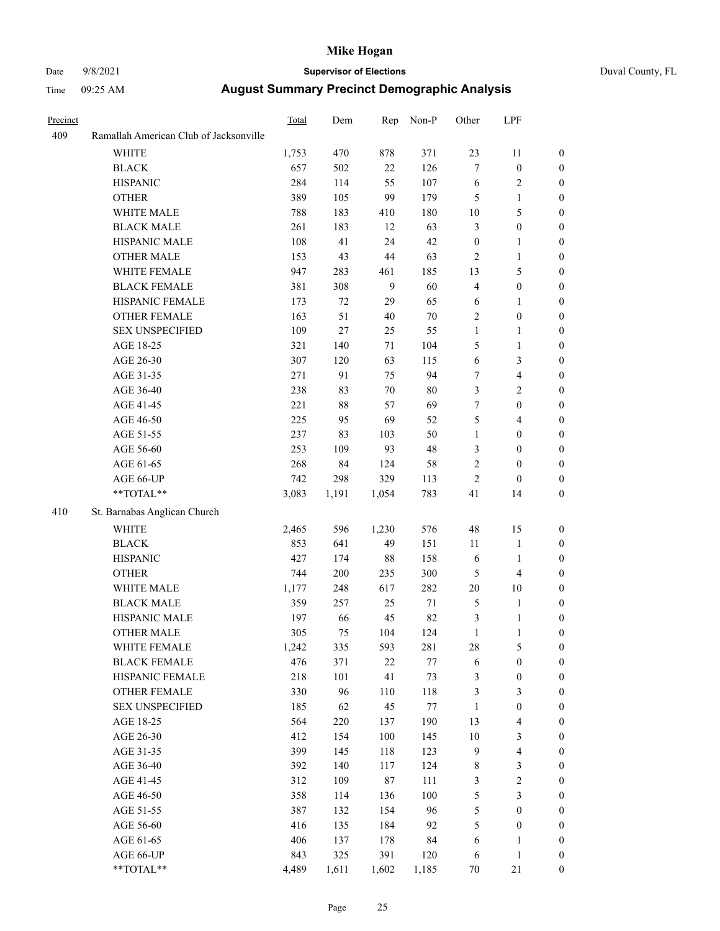# Date 9/8/2021 **Supervisor of Elections** Duval County, FL

| Precinct |                                        | Total | Dem    | Rep     | Non-P   | Other            | LPF                      |                  |
|----------|----------------------------------------|-------|--------|---------|---------|------------------|--------------------------|------------------|
| 409      | Ramallah American Club of Jacksonville |       |        |         |         |                  |                          |                  |
|          | <b>WHITE</b>                           | 1,753 | 470    | 878     | 371     | 23               | 11                       | $\boldsymbol{0}$ |
|          | <b>BLACK</b>                           | 657   | 502    | 22      | 126     | 7                | $\boldsymbol{0}$         | $\boldsymbol{0}$ |
|          | <b>HISPANIC</b>                        | 284   | 114    | 55      | 107     | 6                | $\sqrt{2}$               | $\boldsymbol{0}$ |
|          | <b>OTHER</b>                           | 389   | 105    | 99      | 179     | 5                | $\mathbf{1}$             | $\boldsymbol{0}$ |
|          | WHITE MALE                             | 788   | 183    | 410     | 180     | $10\,$           | $\mathfrak s$            | $\boldsymbol{0}$ |
|          | <b>BLACK MALE</b>                      | 261   | 183    | 12      | 63      | 3                | $\boldsymbol{0}$         | $\boldsymbol{0}$ |
|          | HISPANIC MALE                          | 108   | 41     | 24      | 42      | $\boldsymbol{0}$ | $\mathbf{1}$             | $\boldsymbol{0}$ |
|          | <b>OTHER MALE</b>                      | 153   | 43     | 44      | 63      | 2                | $\mathbf{1}$             | 0                |
|          | WHITE FEMALE                           | 947   | 283    | 461     | 185     | 13               | $\mathfrak{S}$           | 0                |
|          | <b>BLACK FEMALE</b>                    | 381   | 308    | 9       | 60      | 4                | $\boldsymbol{0}$         | 0                |
|          | HISPANIC FEMALE                        | 173   | 72     | 29      | 65      | 6                | $\mathbf{1}$             | $\boldsymbol{0}$ |
|          | OTHER FEMALE                           | 163   | 51     | $40\,$  | $70\,$  | $\overline{c}$   | $\boldsymbol{0}$         | $\boldsymbol{0}$ |
|          | <b>SEX UNSPECIFIED</b>                 | 109   | $27\,$ | 25      | 55      | $\mathbf{1}$     | $\mathbf{1}$             | $\boldsymbol{0}$ |
|          | AGE 18-25                              | 321   | 140    | 71      | 104     | 5                | $\mathbf{1}$             | $\boldsymbol{0}$ |
|          | AGE 26-30                              | 307   | 120    | 63      | 115     | 6                | 3                        | $\boldsymbol{0}$ |
|          | AGE 31-35                              | 271   | 91     | 75      | 94      | $\tau$           | $\overline{4}$           | $\boldsymbol{0}$ |
|          | AGE 36-40                              | 238   | 83     | $70\,$  | $80\,$  | 3                | $\sqrt{2}$               | $\boldsymbol{0}$ |
|          | AGE 41-45                              | 221   | $88\,$ | 57      | 69      | 7                | $\boldsymbol{0}$         | $\boldsymbol{0}$ |
|          | AGE 46-50                              | 225   | 95     | 69      | 52      | 5                | $\overline{4}$           | 0                |
|          | AGE 51-55                              | 237   | 83     | 103     | 50      | $\mathbf{1}$     | $\boldsymbol{0}$         | $\boldsymbol{0}$ |
|          | AGE 56-60                              | 253   | 109    | 93      | 48      | 3                | $\boldsymbol{0}$         | $\boldsymbol{0}$ |
|          | AGE 61-65                              | 268   | 84     | 124     | 58      | 2                | $\boldsymbol{0}$         | $\boldsymbol{0}$ |
|          | AGE 66-UP                              | 742   | 298    | 329     | 113     | 2                | $\boldsymbol{0}$         | $\boldsymbol{0}$ |
|          | **TOTAL**                              | 3,083 | 1,191  | 1,054   | 783     | 41               | 14                       | $\boldsymbol{0}$ |
| 410      | St. Barnabas Anglican Church           |       |        |         |         |                  |                          |                  |
|          | <b>WHITE</b>                           | 2,465 | 596    | 1,230   | 576     | 48               | 15                       | $\boldsymbol{0}$ |
|          | <b>BLACK</b>                           | 853   | 641    | 49      | 151     | 11               | $\mathbf{1}$             | $\boldsymbol{0}$ |
|          | <b>HISPANIC</b>                        | 427   | 174    | 88      | 158     | 6                | $\mathbf{1}$             | $\overline{0}$   |
|          | <b>OTHER</b>                           | 744   | 200    | 235     | 300     | 5                | $\overline{4}$           | $\overline{0}$   |
|          | WHITE MALE                             | 1,177 | 248    | 617     | 282     | $20\,$           | 10                       | 0                |
|          | <b>BLACK MALE</b>                      | 359   | 257    | 25      | $71\,$  | 5                | $\mathbf{1}$             | 0                |
|          | HISPANIC MALE                          | 197   | 66     | 45      | 82      | 3                | $\mathbf{1}$             | 0                |
|          | <b>OTHER MALE</b>                      | 305   | 75     | 104     | 124     | $\mathbf{1}$     | $\mathbf{1}$             | $\boldsymbol{0}$ |
|          | WHITE FEMALE                           | 1,242 | 335    | 593     | 281     | 28               | 5                        | $\boldsymbol{0}$ |
|          | <b>BLACK FEMALE</b>                    | 476   | 371    | 22      | $77 \,$ | 6                | $\boldsymbol{0}$         | $\overline{0}$   |
|          | HISPANIC FEMALE                        | 218   | 101    | 41      | 73      | 3                | $\boldsymbol{0}$         | $\overline{0}$   |
|          | <b>OTHER FEMALE</b>                    | 330   | 96     | 110     | 118     | 3                | $\mathfrak{Z}$           | $\overline{0}$   |
|          | <b>SEX UNSPECIFIED</b>                 | 185   | 62     | 45      | 77      | $\mathbf{1}$     | $\boldsymbol{0}$         | $\theta$         |
|          | AGE 18-25                              | 564   | 220    | 137     | 190     | 13               | $\overline{4}$           | 0                |
|          | AGE 26-30                              | 412   | 154    | $100\,$ | 145     | $10\,$           | $\sqrt{3}$               | 0                |
|          | AGE 31-35                              | 399   | 145    | 118     | 123     | 9                | $\overline{\mathcal{L}}$ | 0                |
|          | AGE 36-40                              | 392   | 140    | 117     | 124     | 8                | $\mathfrak z$            | 0                |
|          | AGE 41-45                              | 312   | 109    | $87\,$  | 111     | 3                | $\sqrt{2}$               | $\boldsymbol{0}$ |
|          | AGE 46-50                              | 358   | 114    | 136     | 100     | 5                | $\mathfrak{Z}$           | $\boldsymbol{0}$ |
|          | AGE 51-55                              | 387   | 132    | 154     | 96      | 5                | $\boldsymbol{0}$         | $\boldsymbol{0}$ |
|          | AGE 56-60                              | 416   | 135    | 184     | 92      | 5                | $\boldsymbol{0}$         | 0                |
|          | AGE 61-65                              | 406   | 137    | 178     | 84      | 6                | $\mathbf{1}$             | 0                |
|          | AGE 66-UP                              | 843   | 325    | 391     | 120     | 6                | $\mathbf{1}$             | $\boldsymbol{0}$ |
|          | **TOTAL**                              | 4,489 | 1,611  | 1,602   | 1,185   | $70\,$           | $21\,$                   | $\boldsymbol{0}$ |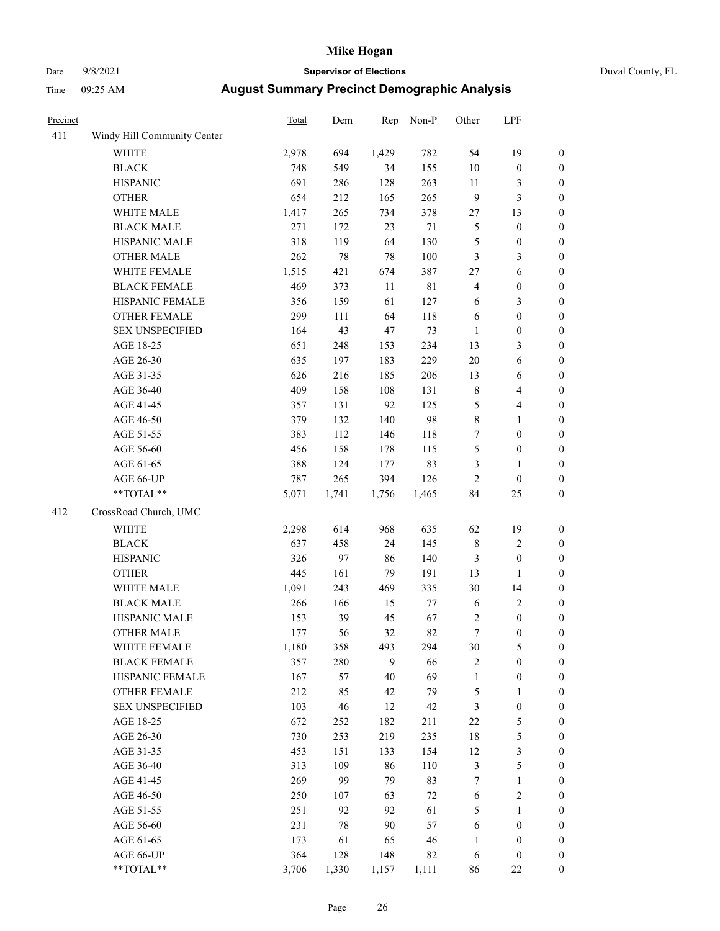# Date 9/8/2021 **Supervisor of Elections** Duval County, FL

| Precinct |                             | Total | Dem   | Rep   | Non-P       | Other        | LPF              |                  |
|----------|-----------------------------|-------|-------|-------|-------------|--------------|------------------|------------------|
| 411      | Windy Hill Community Center |       |       |       |             |              |                  |                  |
|          | <b>WHITE</b>                | 2,978 | 694   | 1,429 | 782         | 54           | 19               | 0                |
|          | <b>BLACK</b>                | 748   | 549   | 34    | 155         | $10\,$       | $\boldsymbol{0}$ | $\boldsymbol{0}$ |
|          | <b>HISPANIC</b>             | 691   | 286   | 128   | 263         | 11           | 3                | $\boldsymbol{0}$ |
|          | <b>OTHER</b>                | 654   | 212   | 165   | 265         | 9            | $\mathfrak{Z}$   | $\boldsymbol{0}$ |
|          | WHITE MALE                  | 1,417 | 265   | 734   | 378         | 27           | 13               | $\boldsymbol{0}$ |
|          | <b>BLACK MALE</b>           | 271   | 172   | 23    | $71\,$      | 5            | $\boldsymbol{0}$ | $\boldsymbol{0}$ |
|          | HISPANIC MALE               | 318   | 119   | 64    | 130         | 5            | $\boldsymbol{0}$ | $\boldsymbol{0}$ |
|          | <b>OTHER MALE</b>           | 262   | 78    | 78    | 100         | 3            | 3                | $\boldsymbol{0}$ |
|          | WHITE FEMALE                | 1,515 | 421   | 674   | 387         | 27           | 6                | $\boldsymbol{0}$ |
|          | <b>BLACK FEMALE</b>         | 469   | 373   | 11    | $8\sqrt{1}$ | 4            | $\boldsymbol{0}$ | $\boldsymbol{0}$ |
|          | HISPANIC FEMALE             | 356   | 159   | 61    | 127         | 6            | $\mathfrak{Z}$   | $\boldsymbol{0}$ |
|          | OTHER FEMALE                | 299   | 111   | 64    | 118         | 6            | $\boldsymbol{0}$ | $\boldsymbol{0}$ |
|          | <b>SEX UNSPECIFIED</b>      | 164   | 43    | 47    | 73          | $\mathbf{1}$ | $\boldsymbol{0}$ | $\boldsymbol{0}$ |
|          | AGE 18-25                   | 651   | 248   | 153   | 234         | 13           | 3                | $\boldsymbol{0}$ |
|          | AGE 26-30                   | 635   | 197   | 183   | 229         | 20           | 6                | $\boldsymbol{0}$ |
|          | AGE 31-35                   | 626   | 216   | 185   | 206         | 13           | 6                | $\boldsymbol{0}$ |
|          | AGE 36-40                   | 409   | 158   | 108   | 131         | $\,$ 8 $\,$  | $\overline{4}$   | $\boldsymbol{0}$ |
|          | AGE 41-45                   | 357   | 131   | 92    | 125         | 5            | $\overline{4}$   | $\boldsymbol{0}$ |
|          | AGE 46-50                   | 379   | 132   | 140   | 98          | 8            | $\mathbf{1}$     | $\boldsymbol{0}$ |
|          | AGE 51-55                   | 383   | 112   | 146   | 118         | 7            | $\boldsymbol{0}$ | $\boldsymbol{0}$ |
|          | AGE 56-60                   | 456   | 158   | 178   | 115         | 5            | $\boldsymbol{0}$ | 0                |
|          | AGE 61-65                   | 388   | 124   | 177   | 83          | 3            | 1                | $\boldsymbol{0}$ |
|          | AGE 66-UP                   | 787   | 265   | 394   | 126         | 2            | $\boldsymbol{0}$ | $\boldsymbol{0}$ |
|          | $**TOTAL**$                 | 5,071 | 1,741 | 1,756 | 1,465       | 84           | 25               | $\boldsymbol{0}$ |
| 412      | CrossRoad Church, UMC       |       |       |       |             |              |                  |                  |
|          | <b>WHITE</b>                | 2,298 | 614   | 968   | 635         | 62           | 19               | $\boldsymbol{0}$ |
|          | <b>BLACK</b>                | 637   | 458   | 24    | 145         | $\,$ 8 $\,$  | $\sqrt{2}$       | $\boldsymbol{0}$ |
|          | <b>HISPANIC</b>             | 326   | 97    | 86    | 140         | 3            | $\boldsymbol{0}$ | $\boldsymbol{0}$ |
|          | <b>OTHER</b>                | 445   | 161   | 79    | 191         | 13           | $\mathbf{1}$     | $\boldsymbol{0}$ |
|          | WHITE MALE                  | 1,091 | 243   | 469   | 335         | 30           | 14               | $\boldsymbol{0}$ |
|          | <b>BLACK MALE</b>           | 266   | 166   | 15    | $77 \,$     | 6            | $\sqrt{2}$       | $\boldsymbol{0}$ |
|          | HISPANIC MALE               | 153   | 39    | 45    | 67          | 2            | $\boldsymbol{0}$ | $\boldsymbol{0}$ |
|          | <b>OTHER MALE</b>           | 177   | 56    | 32    | 82          | $\tau$       | $\boldsymbol{0}$ | $\boldsymbol{0}$ |
|          | WHITE FEMALE                | 1,180 | 358   | 493   | 294         | 30           | 5                | 0                |
|          | <b>BLACK FEMALE</b>         | 357   | 280   | 9     | 66          | 2            | $\boldsymbol{0}$ | $\overline{0}$   |
|          | HISPANIC FEMALE             | 167   | 57    | 40    | 69          | 1            | $\boldsymbol{0}$ | $\overline{0}$   |
|          | OTHER FEMALE                | 212   | 85    | 42    | 79          | 5            | $\mathbf{1}$     | $\overline{0}$   |
|          | <b>SEX UNSPECIFIED</b>      | 103   | 46    | 12    | 42          | 3            | $\boldsymbol{0}$ | 0                |
|          | AGE 18-25                   | 672   | 252   | 182   | 211         | 22           | $\mathfrak s$    | 0                |
|          | AGE 26-30                   | 730   | 253   | 219   | 235         | 18           | 5                | 0                |
|          | AGE 31-35                   | 453   | 151   | 133   | 154         | 12           | $\sqrt{3}$       | 0                |
|          | AGE 36-40                   | 313   | 109   | 86    | 110         | 3            | 5                | 0                |
|          | AGE 41-45                   | 269   | 99    | 79    | 83          | 7            | $\mathbf{1}$     | 0                |
|          | AGE 46-50                   | 250   | 107   | 63    | $72\,$      | 6            | $\sqrt{2}$       | 0                |
|          | AGE 51-55                   | 251   | 92    | 92    | 61          | 5            | $\mathbf{1}$     | 0                |
|          | AGE 56-60                   | 231   | 78    | 90    | 57          | 6            | $\boldsymbol{0}$ | 0                |
|          | AGE 61-65                   | 173   | 61    | 65    | 46          | 1            | $\boldsymbol{0}$ | 0                |
|          | AGE 66-UP                   | 364   | 128   | 148   | 82          | 6            | $\boldsymbol{0}$ | 0                |
|          | **TOTAL**                   | 3,706 | 1,330 | 1,157 | 1,111       | 86           | $22\,$           | $\boldsymbol{0}$ |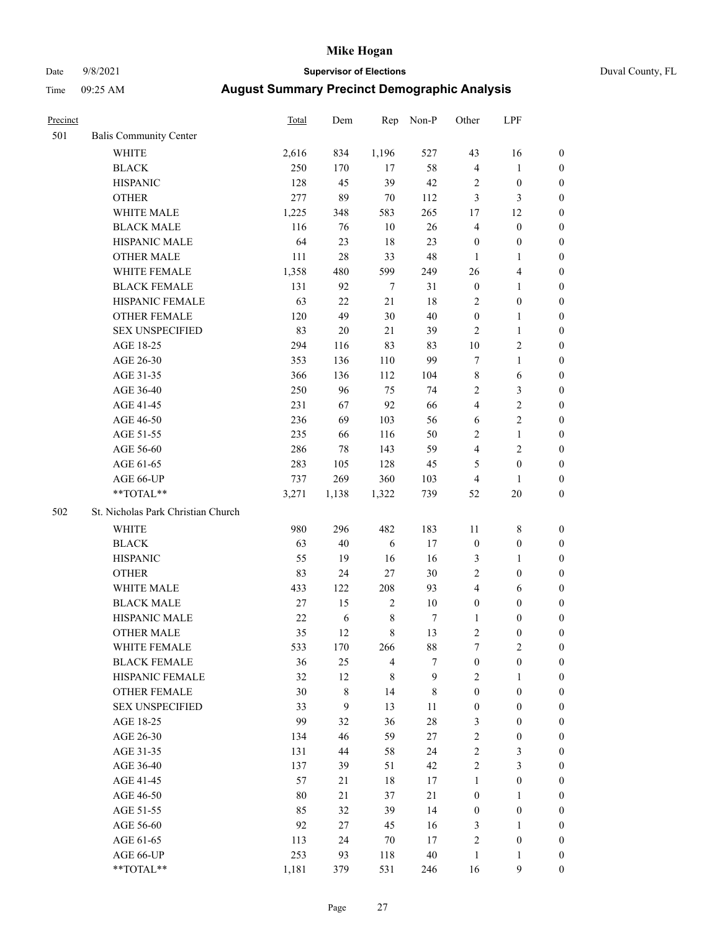# Date 9/8/2021 **Supervisor of Elections** Duval County, FL

| Precinct |                                    | <b>Total</b> | Dem         | Rep            | Non-P       | Other            | LPF              |                  |
|----------|------------------------------------|--------------|-------------|----------------|-------------|------------------|------------------|------------------|
| 501      | <b>Balis Community Center</b>      |              |             |                |             |                  |                  |                  |
|          | <b>WHITE</b>                       | 2,616        | 834         | 1,196          | 527         | 43               | 16               | 0                |
|          | <b>BLACK</b>                       | 250          | 170         | 17             | 58          | 4                | $\mathbf{1}$     | 0                |
|          | <b>HISPANIC</b>                    | 128          | 45          | 39             | 42          | 2                | $\boldsymbol{0}$ | $\boldsymbol{0}$ |
|          | <b>OTHER</b>                       | 277          | 89          | $70\,$         | 112         | 3                | 3                | $\boldsymbol{0}$ |
|          | WHITE MALE                         | 1,225        | 348         | 583            | 265         | 17               | 12               | $\boldsymbol{0}$ |
|          | <b>BLACK MALE</b>                  | 116          | 76          | 10             | 26          | 4                | $\boldsymbol{0}$ | $\boldsymbol{0}$ |
|          | HISPANIC MALE                      | 64           | 23          | 18             | 23          | $\boldsymbol{0}$ | $\boldsymbol{0}$ | $\boldsymbol{0}$ |
|          | <b>OTHER MALE</b>                  | 111          | $28\,$      | 33             | 48          | $\mathbf{1}$     | $\mathbf{1}$     | $\boldsymbol{0}$ |
|          | WHITE FEMALE                       | 1,358        | 480         | 599            | 249         | 26               | $\overline{4}$   | $\boldsymbol{0}$ |
|          | <b>BLACK FEMALE</b>                | 131          | 92          | $\tau$         | 31          | $\boldsymbol{0}$ | $\mathbf{1}$     | 0                |
|          | HISPANIC FEMALE                    | 63           | 22          | 21             | 18          | $\overline{2}$   | $\boldsymbol{0}$ | 0                |
|          | <b>OTHER FEMALE</b>                | 120          | 49          | 30             | $40\,$      | $\boldsymbol{0}$ | $\mathbf{1}$     | 0                |
|          | <b>SEX UNSPECIFIED</b>             | 83           | $20\,$      | 21             | 39          | $\overline{2}$   | $\mathbf{1}$     | $\boldsymbol{0}$ |
|          | AGE 18-25                          | 294          | 116         | 83             | 83          | $10\,$           | $\sqrt{2}$       | $\boldsymbol{0}$ |
|          | AGE 26-30                          | 353          | 136         | 110            | 99          | 7                | $\mathbf{1}$     | $\boldsymbol{0}$ |
|          | AGE 31-35                          | 366          | 136         | 112            | 104         | $\,$ $\,$        | 6                | $\boldsymbol{0}$ |
|          | AGE 36-40                          | 250          | 96          | 75             | 74          | 2                | 3                | $\boldsymbol{0}$ |
|          | AGE 41-45                          | 231          | 67          | 92             | 66          | 4                | $\sqrt{2}$       | $\boldsymbol{0}$ |
|          | AGE 46-50                          | 236          | 69          | 103            | 56          | 6                | $\sqrt{2}$       | $\boldsymbol{0}$ |
|          | AGE 51-55                          | 235          | 66          | 116            | 50          | $\overline{c}$   | $\mathbf{1}$     | $\boldsymbol{0}$ |
|          | AGE 56-60                          | 286          | 78          | 143            | 59          | $\overline{4}$   | $\sqrt{2}$       | 0                |
|          | AGE 61-65                          | 283          | 105         | 128            | 45          | 5                | $\boldsymbol{0}$ | 0                |
|          | AGE 66-UP                          | 737          | 269         | 360            | 103         | 4                | 1                | $\boldsymbol{0}$ |
|          | **TOTAL**                          | 3,271        | 1,138       | 1,322          | 739         | 52               | $20\,$           | $\boldsymbol{0}$ |
| 502      | St. Nicholas Park Christian Church |              |             |                |             |                  |                  |                  |
|          | <b>WHITE</b>                       | 980          | 296         | 482            | 183         | 11               | $\,$ 8 $\,$      | $\boldsymbol{0}$ |
|          | <b>BLACK</b>                       | 63           | $40\,$      | 6              | 17          | $\boldsymbol{0}$ | $\boldsymbol{0}$ | $\boldsymbol{0}$ |
|          | <b>HISPANIC</b>                    | 55           | 19          | 16             | 16          | 3                | $\mathbf{1}$     | $\boldsymbol{0}$ |
|          | <b>OTHER</b>                       | 83           | 24          | 27             | $30\,$      | $\overline{c}$   | $\boldsymbol{0}$ | $\boldsymbol{0}$ |
|          | WHITE MALE                         | 433          | 122         | 208            | 93          | 4                | 6                | $\boldsymbol{0}$ |
|          | <b>BLACK MALE</b>                  | 27           | 15          | $\sqrt{2}$     | $10\,$      | $\boldsymbol{0}$ | $\boldsymbol{0}$ | $\boldsymbol{0}$ |
|          | HISPANIC MALE                      | $22\,$       | $\sqrt{6}$  | $\,$ 8 $\,$    | 7           | 1                | $\boldsymbol{0}$ | 0                |
|          | <b>OTHER MALE</b>                  | 35           | 12          | 8              | 13          | 2                | $\boldsymbol{0}$ | $\boldsymbol{0}$ |
|          | WHITE FEMALE                       | 533          | 170         | 266            | 88          | 7                | $\overline{c}$   | 0                |
|          | <b>BLACK FEMALE</b>                | 36           | 25          | $\overline{4}$ | 7           | $\boldsymbol{0}$ | $\boldsymbol{0}$ | $\overline{0}$   |
|          | HISPANIC FEMALE                    | 32           | 12          | $\,$ 8 $\,$    | 9           | $\overline{2}$   | 1                | $\overline{0}$   |
|          | <b>OTHER FEMALE</b>                | 30           | $\,$ 8 $\,$ | 14             | $\,$ 8 $\,$ | $\boldsymbol{0}$ | $\boldsymbol{0}$ | $\overline{0}$   |
|          | <b>SEX UNSPECIFIED</b>             | 33           | 9           | 13             | 11          | $\boldsymbol{0}$ | $\boldsymbol{0}$ | 0                |
|          | AGE 18-25                          | 99           | 32          | 36             | $28\,$      | 3                | $\boldsymbol{0}$ | $\overline{0}$   |
|          | AGE 26-30                          | 134          | 46          | 59             | $27\,$      | $\overline{c}$   | $\boldsymbol{0}$ | 0                |
|          | AGE 31-35                          | 131          | 44          | 58             | 24          | $\overline{c}$   | $\mathfrak z$    | 0                |
|          | AGE 36-40                          | 137          | 39          | 51             | 42          | 2                | $\mathfrak{Z}$   | 0                |
|          | AGE 41-45                          | 57           | 21          | 18             | 17          | $\mathbf{1}$     | $\boldsymbol{0}$ | 0                |
|          | AGE 46-50                          | 80           | 21          | 37             | 21          | $\boldsymbol{0}$ | 1                | 0                |
|          | AGE 51-55                          | 85           | 32          | 39             | 14          | $\boldsymbol{0}$ | $\boldsymbol{0}$ | 0                |
|          | AGE 56-60                          | 92           | 27          | 45             | 16          | 3                | 1                | 0                |
|          | AGE 61-65                          | 113          | 24          | 70             | 17          | 2                | $\boldsymbol{0}$ | 0                |
|          | AGE 66-UP                          | 253          | 93          | 118            | $40\,$      | $\mathbf{1}$     | $\mathbf{1}$     | 0                |
|          | **TOTAL**                          | 1,181        | 379         | 531            | 246         | 16               | 9                | $\boldsymbol{0}$ |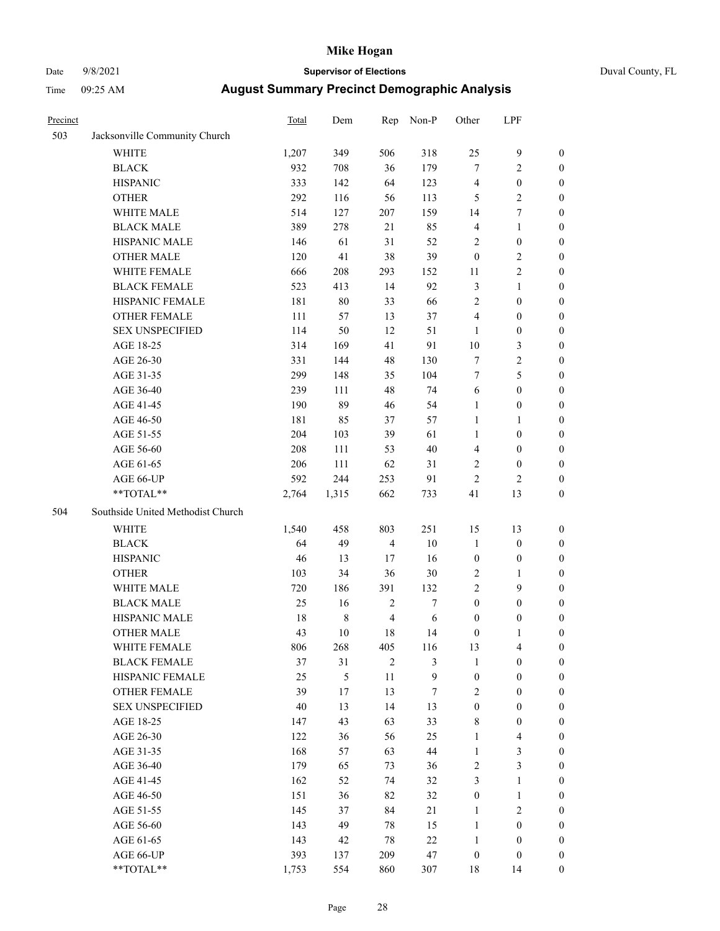# Date 9/8/2021 **Supervisor of Elections** Duval County, FL

| Precinct |                                   | Total  | Dem         | Rep            | Non-P  | Other            | LPF              |                  |
|----------|-----------------------------------|--------|-------------|----------------|--------|------------------|------------------|------------------|
| 503      | Jacksonville Community Church     |        |             |                |        |                  |                  |                  |
|          | <b>WHITE</b>                      | 1,207  | 349         | 506            | 318    | 25               | $\mathbf{9}$     | 0                |
|          | <b>BLACK</b>                      | 932    | 708         | 36             | 179    | $\boldsymbol{7}$ | $\overline{c}$   | 0                |
|          | <b>HISPANIC</b>                   | 333    | 142         | 64             | 123    | 4                | $\boldsymbol{0}$ | $\boldsymbol{0}$ |
|          | <b>OTHER</b>                      | 292    | 116         | 56             | 113    | 5                | $\sqrt{2}$       | $\boldsymbol{0}$ |
|          | WHITE MALE                        | 514    | 127         | 207            | 159    | 14               | $\boldsymbol{7}$ | $\boldsymbol{0}$ |
|          | <b>BLACK MALE</b>                 | 389    | 278         | 21             | 85     | 4                | $\mathbf{1}$     | $\boldsymbol{0}$ |
|          | HISPANIC MALE                     | 146    | 61          | 31             | 52     | 2                | $\boldsymbol{0}$ | $\boldsymbol{0}$ |
|          | <b>OTHER MALE</b>                 | 120    | 41          | 38             | 39     | $\boldsymbol{0}$ | $\mathbf{2}$     | $\boldsymbol{0}$ |
|          | WHITE FEMALE                      | 666    | 208         | 293            | 152    | 11               | $\sqrt{2}$       | $\boldsymbol{0}$ |
|          | <b>BLACK FEMALE</b>               | 523    | 413         | 14             | 92     | 3                | $\mathbf{1}$     | 0                |
|          | HISPANIC FEMALE                   | 181    | 80          | 33             | 66     | $\overline{c}$   | $\boldsymbol{0}$ | $\boldsymbol{0}$ |
|          | OTHER FEMALE                      | 111    | 57          | 13             | 37     | 4                | $\boldsymbol{0}$ | $\boldsymbol{0}$ |
|          | <b>SEX UNSPECIFIED</b>            | 114    | 50          | 12             | 51     | $\mathbf{1}$     | $\boldsymbol{0}$ | $\boldsymbol{0}$ |
|          | AGE 18-25                         | 314    | 169         | 41             | 91     | $10\,$           | $\mathfrak{Z}$   | $\boldsymbol{0}$ |
|          | AGE 26-30                         | 331    | 144         | 48             | 130    | 7                | $\sqrt{2}$       | $\boldsymbol{0}$ |
|          | AGE 31-35                         | 299    | 148         | 35             | 104    | $\boldsymbol{7}$ | 5                | $\boldsymbol{0}$ |
|          | AGE 36-40                         | 239    | 111         | 48             | 74     | 6                | $\boldsymbol{0}$ | $\boldsymbol{0}$ |
|          | AGE 41-45                         | 190    | 89          | 46             | 54     | $\mathbf{1}$     | $\boldsymbol{0}$ | $\boldsymbol{0}$ |
|          | AGE 46-50                         | 181    | 85          | 37             | 57     | $\mathbf{1}$     | 1                | $\boldsymbol{0}$ |
|          | AGE 51-55                         | 204    | 103         | 39             | 61     | $\mathbf{1}$     | $\boldsymbol{0}$ | 0                |
|          | AGE 56-60                         | 208    | 111         | 53             | 40     | 4                | $\boldsymbol{0}$ | 0                |
|          | AGE 61-65                         | 206    | 111         | 62             | 31     | $\overline{c}$   | $\boldsymbol{0}$ | 0                |
|          | AGE 66-UP                         | 592    | 244         | 253            | 91     | $\mathbf{2}$     | $\mathbf{2}$     | $\boldsymbol{0}$ |
|          | $**TOTAL**$                       | 2,764  | 1,315       | 662            | 733    | 41               | 13               | $\boldsymbol{0}$ |
| 504      | Southside United Methodist Church |        |             |                |        |                  |                  |                  |
|          | <b>WHITE</b>                      | 1,540  | 458         | 803            | 251    | 15               | 13               | $\boldsymbol{0}$ |
|          | <b>BLACK</b>                      | 64     | 49          | $\overline{4}$ | 10     | $\mathbf{1}$     | $\boldsymbol{0}$ | $\boldsymbol{0}$ |
|          | <b>HISPANIC</b>                   | 46     | 13          | 17             | 16     | $\boldsymbol{0}$ | $\boldsymbol{0}$ | $\boldsymbol{0}$ |
|          | <b>OTHER</b>                      | 103    | 34          | 36             | 30     | $\mathbf{2}$     | $\mathbf{1}$     | $\boldsymbol{0}$ |
|          | WHITE MALE                        | 720    | 186         | 391            | 132    | $\overline{c}$   | 9                | $\overline{0}$   |
|          | <b>BLACK MALE</b>                 | 25     | 16          | $\sqrt{2}$     | 7      | $\boldsymbol{0}$ | $\boldsymbol{0}$ | $\boldsymbol{0}$ |
|          | HISPANIC MALE                     | 18     | $\,$ 8 $\,$ | $\overline{4}$ | 6      | $\boldsymbol{0}$ | $\boldsymbol{0}$ | 0                |
|          | <b>OTHER MALE</b>                 | 43     | 10          | 18             | 14     | $\boldsymbol{0}$ | $\mathbf{1}$     | $\boldsymbol{0}$ |
|          | WHITE FEMALE                      | 806    | 268         | 405            | 116    | 13               | 4                | 0                |
|          | <b>BLACK FEMALE</b>               | 37     | 31          | $\overline{c}$ | 3      | 1                | $\boldsymbol{0}$ | $\overline{0}$   |
|          | HISPANIC FEMALE                   | 25     | 5           | 11             | 9      | $\boldsymbol{0}$ | $\boldsymbol{0}$ | $\overline{0}$   |
|          | <b>OTHER FEMALE</b>               | 39     | 17          | 13             | $\tau$ | 2                | $\boldsymbol{0}$ | $\overline{0}$   |
|          | <b>SEX UNSPECIFIED</b>            | $40\,$ | 13          | 14             | 13     | $\boldsymbol{0}$ | $\boldsymbol{0}$ | 0                |
|          | AGE 18-25                         | 147    | 43          | 63             | 33     | 8                | $\boldsymbol{0}$ | 0                |
|          | AGE 26-30                         | 122    | 36          | 56             | 25     | $\mathbf{1}$     | $\overline{4}$   | 0                |
|          | AGE 31-35                         | 168    | 57          | 63             | 44     | $\mathbf{1}$     | $\mathfrak{Z}$   | 0                |
|          | AGE 36-40                         | 179    | 65          | 73             | 36     | 2                | $\mathfrak{Z}$   | 0                |
|          | AGE 41-45                         | 162    | 52          | 74             | 32     | 3                | $\mathbf{1}$     | 0                |
|          | AGE 46-50                         | 151    | 36          | 82             | 32     | $\boldsymbol{0}$ | $\mathbf{1}$     | 0                |
|          | AGE 51-55                         | 145    | 37          | 84             | 21     | $\mathbf{1}$     | $\mathfrak{2}$   | 0                |
|          | AGE 56-60                         | 143    | 49          | 78             | 15     | $\mathbf{1}$     | $\boldsymbol{0}$ | 0                |
|          | AGE 61-65                         | 143    | 42          | 78             | $22\,$ | $\mathbf{1}$     | $\boldsymbol{0}$ | $\overline{0}$   |
|          | AGE 66-UP                         | 393    | 137         | 209            | 47     | $\boldsymbol{0}$ | $\boldsymbol{0}$ | 0                |
|          | **TOTAL**                         | 1,753  | 554         | 860            | 307    | 18               | 14               | $\boldsymbol{0}$ |
|          |                                   |        |             |                |        |                  |                  |                  |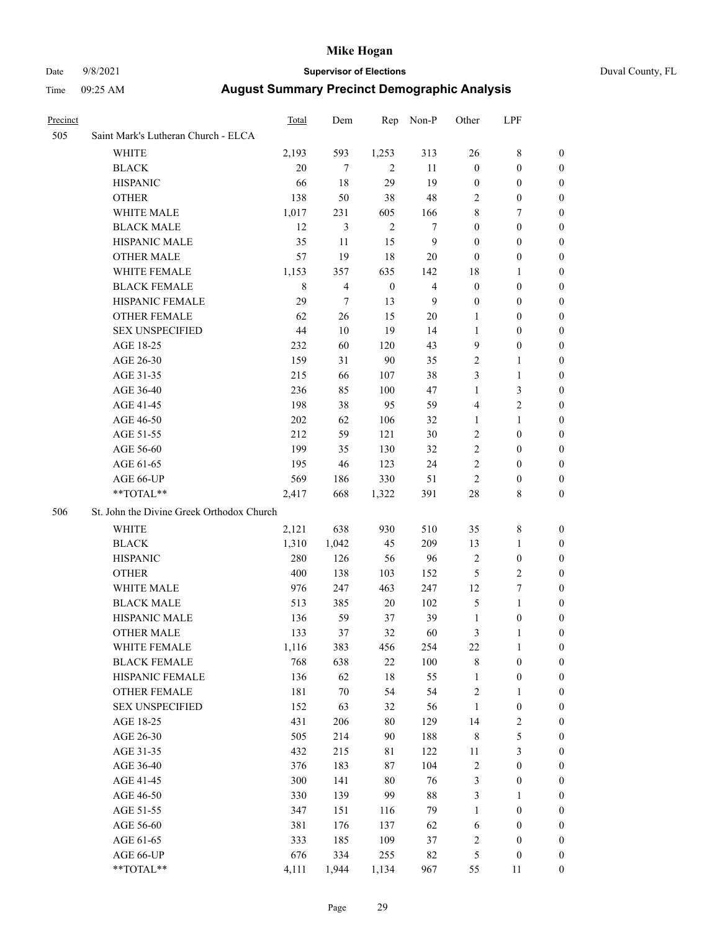#### Date 9/8/2021 **Supervisor of Elections** Duval County, FL

| Precinct |                                           | <b>Total</b> | Dem                      | Rep              | Non-P          | Other            | LPF              |                  |
|----------|-------------------------------------------|--------------|--------------------------|------------------|----------------|------------------|------------------|------------------|
| 505      | Saint Mark's Lutheran Church - ELCA       |              |                          |                  |                |                  |                  |                  |
|          | <b>WHITE</b>                              | 2,193        | 593                      | 1,253            | 313            | 26               | $8\,$            | 0                |
|          | <b>BLACK</b>                              | 20           | 7                        | 2                | 11             | $\boldsymbol{0}$ | $\boldsymbol{0}$ | 0                |
|          | <b>HISPANIC</b>                           | 66           | 18                       | 29               | 19             | $\boldsymbol{0}$ | $\boldsymbol{0}$ | 0                |
|          | <b>OTHER</b>                              | 138          | 50                       | 38               | 48             | 2                | $\boldsymbol{0}$ | $\boldsymbol{0}$ |
|          | WHITE MALE                                | 1,017        | 231                      | 605              | 166            | 8                | 7                | $\boldsymbol{0}$ |
|          | <b>BLACK MALE</b>                         | 12           | 3                        | $\overline{2}$   | 7              | $\boldsymbol{0}$ | $\boldsymbol{0}$ | 0                |
|          | HISPANIC MALE                             | 35           | 11                       | 15               | $\mathbf{9}$   | $\boldsymbol{0}$ | $\boldsymbol{0}$ | 0                |
|          | <b>OTHER MALE</b>                         | 57           | 19                       | 18               | 20             | $\boldsymbol{0}$ | $\boldsymbol{0}$ | 0                |
|          | WHITE FEMALE                              | 1,153        | 357                      | 635              | 142            | 18               | $\mathbf{1}$     | 0                |
|          | <b>BLACK FEMALE</b>                       | $\,$ 8 $\,$  | $\overline{\mathcal{L}}$ | $\boldsymbol{0}$ | $\overline{4}$ | $\boldsymbol{0}$ | $\boldsymbol{0}$ | 0                |
|          | HISPANIC FEMALE                           | 29           | $\tau$                   | 13               | 9              | $\boldsymbol{0}$ | $\boldsymbol{0}$ | 0                |
|          | OTHER FEMALE                              | 62           | 26                       | 15               | 20             | $\mathbf{1}$     | $\boldsymbol{0}$ | 0                |
|          | <b>SEX UNSPECIFIED</b>                    | 44           | 10                       | 19               | 14             | $\mathbf{1}$     | $\boldsymbol{0}$ | 0                |
|          | AGE 18-25                                 | 232          | 60                       | 120              | 43             | 9                | $\boldsymbol{0}$ | 0                |
|          | AGE 26-30                                 | 159          | 31                       | 90               | 35             | $\overline{c}$   | $\mathbf{1}$     | $\boldsymbol{0}$ |
|          | AGE 31-35                                 | 215          | 66                       | 107              | 38             | 3                | $\mathbf{1}$     | 0                |
|          | AGE 36-40                                 | 236          | 85                       | 100              | 47             | $\mathbf{1}$     | $\mathfrak{Z}$   | $\overline{0}$   |
|          | AGE 41-45                                 | 198          | 38                       | 95               | 59             | 4                | $\overline{2}$   | $\boldsymbol{0}$ |
|          | AGE 46-50                                 | $202\,$      | 62                       | 106              | 32             | 1                | $\mathbf{1}$     | $\boldsymbol{0}$ |
|          | AGE 51-55                                 | 212          | 59                       | 121              | 30             | $\sqrt{2}$       | $\boldsymbol{0}$ | 0                |
|          | AGE 56-60                                 | 199          | 35                       | 130              | 32             | $\sqrt{2}$       | $\boldsymbol{0}$ | 0                |
|          | AGE 61-65                                 | 195          | 46                       | 123              | 24             | $\mathbf{2}$     | $\boldsymbol{0}$ | 0                |
|          | AGE 66-UP                                 | 569          | 186                      | 330              | 51             | $\sqrt{2}$       | $\boldsymbol{0}$ | 0                |
|          | **TOTAL**                                 | 2,417        | 668                      | 1,322            | 391            | $28\,$           | 8                | $\boldsymbol{0}$ |
| 506      | St. John the Divine Greek Orthodox Church |              |                          |                  |                |                  |                  |                  |
|          | <b>WHITE</b>                              | 2,121        | 638                      | 930              | 510            | 35               | $\,8\,$          | $\boldsymbol{0}$ |
|          | <b>BLACK</b>                              | 1,310        | 1,042                    | 45               | 209            | 13               | $\mathbf{1}$     | $\boldsymbol{0}$ |
|          | <b>HISPANIC</b>                           | 280          | 126                      | 56               | 96             | $\overline{c}$   | $\boldsymbol{0}$ | 0                |
|          | <b>OTHER</b>                              | 400          | 138                      | 103              | 152            | $\mathfrak{S}$   | $\mathbf{2}$     | 0                |
|          | WHITE MALE                                | 976          | 247                      | 463              | 247            | 12               | $\tau$           | 0                |
|          | <b>BLACK MALE</b>                         | 513          | 385                      | 20               | 102            | 5                | $\mathbf{1}$     | 0                |
|          | HISPANIC MALE                             | 136          | 59                       | 37               | 39             | $\mathbf{1}$     | $\boldsymbol{0}$ | 0                |
|          | <b>OTHER MALE</b>                         | 133          | 37                       | 32               | 60             | 3                | $\mathbf{1}$     | 0                |
|          | WHITE FEMALE                              | 1,116        | 383                      | 456              | 254            | 22               | 1                | 0                |
|          | <b>BLACK FEMALE</b>                       | 768          | 638                      | $22\,$           | 100            | 8                | $\boldsymbol{0}$ | $\boldsymbol{0}$ |
|          | HISPANIC FEMALE                           | 136          | 62                       | $18\,$           | 55             | $\mathbf{1}$     | $\boldsymbol{0}$ | $\overline{0}$   |
|          | OTHER FEMALE                              | 181          | $70\,$                   | 54               | 54             | $\sqrt{2}$       | $\mathbf{1}$     | $\overline{0}$   |
|          | <b>SEX UNSPECIFIED</b>                    | 152          | 63                       | 32               | 56             | $\mathbf{1}$     | $\boldsymbol{0}$ | 0                |
|          | AGE 18-25                                 | 431          | 206                      | $80\,$           | 129            | 14               | $\sqrt{2}$       | 0                |
|          | AGE 26-30                                 | 505          | 214                      | 90               | 188            | $\,$ 8 $\,$      | $\mathfrak s$    | 0                |
|          | AGE 31-35                                 | 432          | 215                      | 81               | 122            | $11\,$           | $\mathfrak{Z}$   | 0                |
|          | AGE 36-40                                 | 376          | 183                      | $87\,$           | 104            | $\boldsymbol{2}$ | $\boldsymbol{0}$ | 0                |
|          | AGE 41-45                                 | 300          | 141                      | $80\,$           | 76             | 3                | $\boldsymbol{0}$ | 0                |
|          | AGE 46-50                                 | 330          | 139                      | 99               | $88\,$         | 3                | $\mathbf{1}$     | 0                |
|          | AGE 51-55                                 | 347          | 151                      | 116              | 79             | $\mathbf{1}$     | $\boldsymbol{0}$ | 0                |
|          | AGE 56-60                                 | 381          | 176                      | 137              | 62             | 6                | $\boldsymbol{0}$ | $\overline{0}$   |
|          | AGE 61-65                                 | 333          | 185                      | 109              | 37             | $\overline{c}$   | $\boldsymbol{0}$ | $\overline{0}$   |
|          | AGE 66-UP                                 | 676          | 334                      | 255              | 82             | $\mathfrak{S}$   | $\boldsymbol{0}$ | 0                |
|          | **TOTAL**                                 | 4,111        | 1,944                    | 1,134            | 967            | 55               | 11               | $\boldsymbol{0}$ |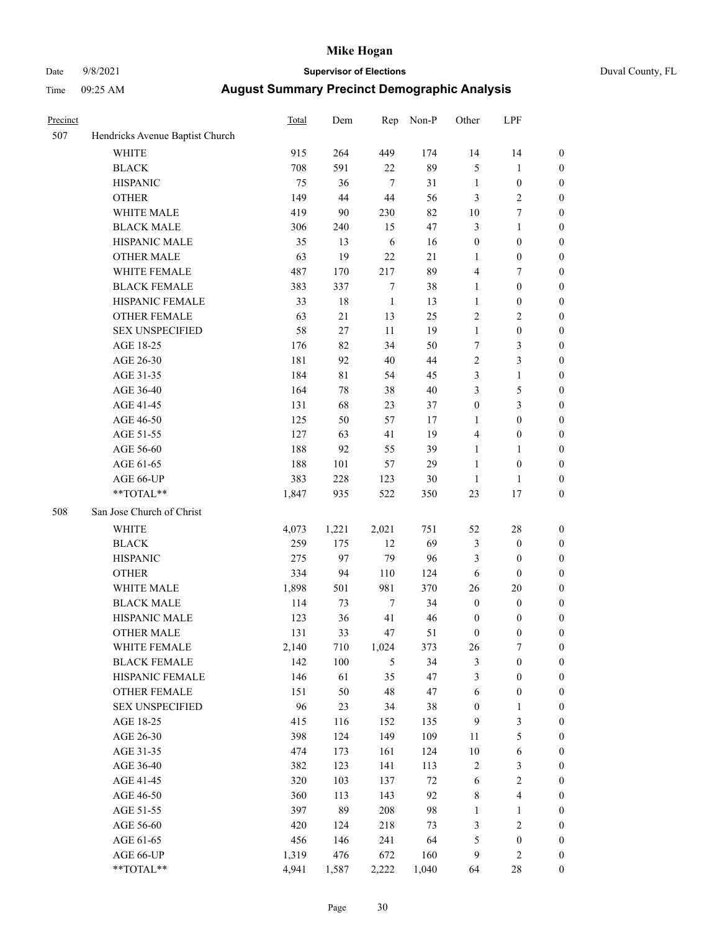# Date 9/8/2021 **Supervisor of Elections** Duval County, FL

| Precinct |                                 | Total | Dem         | Rep              | Non-P  | Other            | LPF              |                  |
|----------|---------------------------------|-------|-------------|------------------|--------|------------------|------------------|------------------|
| 507      | Hendricks Avenue Baptist Church |       |             |                  |        |                  |                  |                  |
|          | <b>WHITE</b>                    | 915   | 264         | 449              | 174    | 14               | 14               | 0                |
|          | <b>BLACK</b>                    | 708   | 591         | 22               | 89     | 5                | $\mathbf{1}$     | 0                |
|          | <b>HISPANIC</b>                 | 75    | 36          | $\tau$           | 31     | $\mathbf{1}$     | $\boldsymbol{0}$ | $\boldsymbol{0}$ |
|          | <b>OTHER</b>                    | 149   | 44          | 44               | 56     | 3                | $\sqrt{2}$       | $\boldsymbol{0}$ |
|          | WHITE MALE                      | 419   | 90          | 230              | 82     | 10               | 7                | $\boldsymbol{0}$ |
|          | <b>BLACK MALE</b>               | 306   | 240         | 15               | 47     | 3                | $\mathbf{1}$     | $\boldsymbol{0}$ |
|          | HISPANIC MALE                   | 35    | 13          | 6                | 16     | $\boldsymbol{0}$ | $\boldsymbol{0}$ | $\boldsymbol{0}$ |
|          | <b>OTHER MALE</b>               | 63    | 19          | 22               | $21\,$ | $\mathbf{1}$     | $\boldsymbol{0}$ | $\boldsymbol{0}$ |
|          | WHITE FEMALE                    | 487   | 170         | 217              | 89     | 4                | 7                | $\boldsymbol{0}$ |
|          | <b>BLACK FEMALE</b>             | 383   | 337         | 7                | 38     | $\mathbf{1}$     | $\boldsymbol{0}$ | $\boldsymbol{0}$ |
|          | HISPANIC FEMALE                 | 33    | 18          | $\mathbf{1}$     | 13     | $\mathbf{1}$     | $\boldsymbol{0}$ | $\boldsymbol{0}$ |
|          | OTHER FEMALE                    | 63    | 21          | 13               | 25     | $\overline{c}$   | $\sqrt{2}$       | $\boldsymbol{0}$ |
|          | <b>SEX UNSPECIFIED</b>          | 58    | 27          | 11               | 19     | $\mathbf{1}$     | $\boldsymbol{0}$ | $\boldsymbol{0}$ |
|          | AGE 18-25                       | 176   | 82          | 34               | 50     | $\boldsymbol{7}$ | $\mathfrak{Z}$   | $\boldsymbol{0}$ |
|          | AGE 26-30                       | 181   | 92          | 40               | 44     | 2                | 3                | $\boldsymbol{0}$ |
|          | AGE 31-35                       | 184   | $8\sqrt{1}$ | 54               | 45     | 3                | $\mathbf{1}$     | $\boldsymbol{0}$ |
|          | AGE 36-40                       | 164   | 78          | 38               | 40     | 3                | 5                | $\boldsymbol{0}$ |
|          | AGE 41-45                       | 131   | 68          | 23               | 37     | $\boldsymbol{0}$ | 3                | $\boldsymbol{0}$ |
|          | AGE 46-50                       | 125   | 50          | 57               | 17     | 1                | $\boldsymbol{0}$ | $\boldsymbol{0}$ |
|          | AGE 51-55                       | 127   | 63          | 41               | 19     | 4                | $\boldsymbol{0}$ | $\boldsymbol{0}$ |
|          | AGE 56-60                       | 188   | 92          | 55               | 39     | $\mathbf{1}$     | 1                | 0                |
|          | AGE 61-65                       | 188   | 101         | 57               | 29     | $\mathbf{1}$     | $\boldsymbol{0}$ | $\boldsymbol{0}$ |
|          | AGE 66-UP                       | 383   | 228         | 123              | 30     | $\mathbf{1}$     | $\mathbf{1}$     | $\boldsymbol{0}$ |
|          | $**TOTAL**$                     | 1,847 | 935         | 522              | 350    | 23               | 17               | $\boldsymbol{0}$ |
| 508      | San Jose Church of Christ       |       |             |                  |        |                  |                  |                  |
|          |                                 |       |             |                  |        |                  |                  |                  |
|          | <b>WHITE</b>                    | 4,073 | 1,221       | 2,021            | 751    | 52               | 28               | $\boldsymbol{0}$ |
|          | <b>BLACK</b>                    | 259   | 175         | 12               | 69     | 3                | $\boldsymbol{0}$ | $\boldsymbol{0}$ |
|          | <b>HISPANIC</b>                 | 275   | 97          | 79               | 96     | 3                | $\boldsymbol{0}$ | $\boldsymbol{0}$ |
|          | <b>OTHER</b>                    | 334   | 94          | 110              | 124    | 6                | $\boldsymbol{0}$ | $\boldsymbol{0}$ |
|          | WHITE MALE                      | 1,898 | 501         | 981              | 370    | 26               | 20               | $\boldsymbol{0}$ |
|          | <b>BLACK MALE</b>               | 114   | 73          | $\boldsymbol{7}$ | 34     | $\boldsymbol{0}$ | $\boldsymbol{0}$ | $\boldsymbol{0}$ |
|          | HISPANIC MALE                   | 123   | 36          | 41               | 46     | $\boldsymbol{0}$ | $\boldsymbol{0}$ | 0                |
|          | <b>OTHER MALE</b>               | 131   | 33          | 47               | 51     | $\boldsymbol{0}$ | $\boldsymbol{0}$ | $\boldsymbol{0}$ |
|          | WHITE FEMALE                    | 2,140 | 710         | 1,024            | 373    | 26               | 7                | 0                |
|          | <b>BLACK FEMALE</b>             | 142   | 100         | 5                | 34     | 3                | $\boldsymbol{0}$ | $\boldsymbol{0}$ |
|          | HISPANIC FEMALE                 | 146   | 61          | 35               | 47     | 3                | $\boldsymbol{0}$ | $\boldsymbol{0}$ |
|          | OTHER FEMALE                    | 151   | 50          | 48               | 47     | 6                | $\boldsymbol{0}$ | $\overline{0}$   |
|          | <b>SEX UNSPECIFIED</b>          | 96    | 23          | 34               | 38     | $\boldsymbol{0}$ | $\mathbf{1}$     | 0                |
|          | AGE 18-25                       | 415   | 116         | 152              | 135    | 9                | 3                | 0                |
|          | AGE 26-30                       | 398   | 124         | 149              | 109    | 11               | 5                | 0                |
|          | AGE 31-35                       | 474   | 173         | 161              | 124    | $10\,$           | $\sqrt{6}$       | 0                |
|          | AGE 36-40                       | 382   | 123         | 141              | 113    | 2                | $\sqrt{3}$       | 0                |
|          | AGE 41-45                       | 320   | 103         | 137              | $72\,$ | 6                | $\sqrt{2}$       | 0                |
|          | AGE 46-50                       | 360   | 113         | 143              | 92     | 8                | $\overline{4}$   | 0                |
|          | AGE 51-55                       | 397   | 89          | 208              | 98     | $\mathbf{1}$     | $\mathbf{1}$     | 0                |
|          | AGE 56-60                       | 420   | 124         | 218              | 73     | 3                | $\sqrt{2}$       | $\boldsymbol{0}$ |
|          | AGE 61-65                       | 456   | 146         | 241              | 64     | 5                | $\boldsymbol{0}$ | $\boldsymbol{0}$ |
|          | AGE 66-UP                       | 1,319 | 476         | 672              | 160    | 9                | $\mathfrak{2}$   | 0                |
|          | **TOTAL**                       | 4,941 | 1,587       | 2,222            | 1,040  | 64               | 28               | $\boldsymbol{0}$ |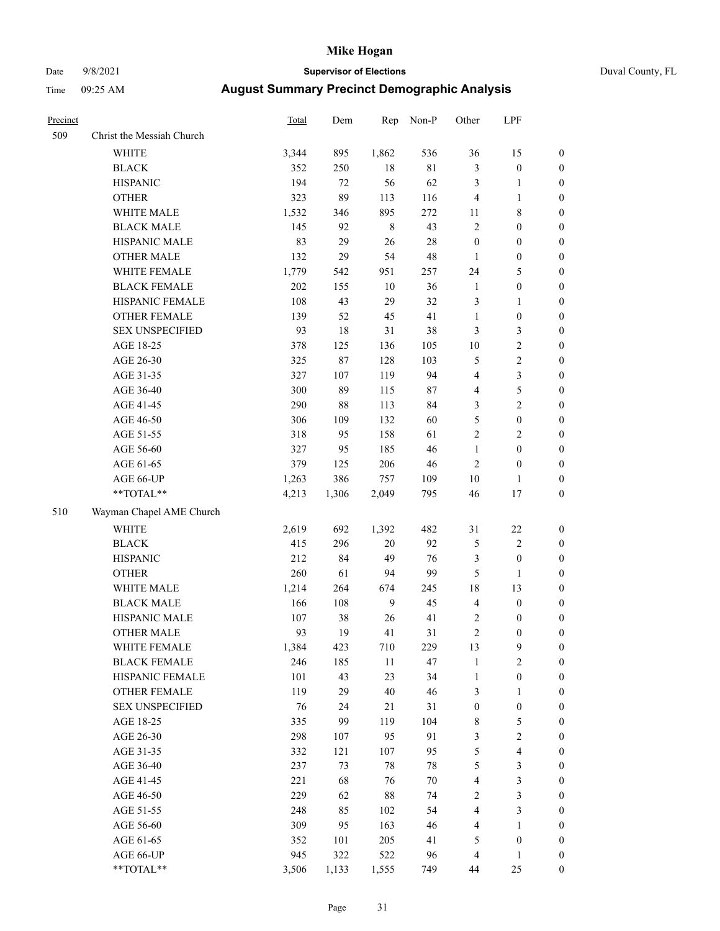# Date 9/8/2021 **Supervisor of Elections** Duval County, FL

| Precinct |                           | <b>Total</b> | Dem    | Rep     | Non-P  | Other            | LPF              |                  |
|----------|---------------------------|--------------|--------|---------|--------|------------------|------------------|------------------|
| 509      | Christ the Messiah Church |              |        |         |        |                  |                  |                  |
|          | <b>WHITE</b>              | 3,344        | 895    | 1,862   | 536    | 36               | 15               | 0                |
|          | <b>BLACK</b>              | 352          | 250    | $18\,$  | $81\,$ | 3                | $\boldsymbol{0}$ | 0                |
|          | <b>HISPANIC</b>           | 194          | 72     | 56      | 62     | 3                | $\mathbf{1}$     | $\boldsymbol{0}$ |
|          | <b>OTHER</b>              | 323          | 89     | 113     | 116    | 4                | $\mathbf{1}$     | $\boldsymbol{0}$ |
|          | WHITE MALE                | 1,532        | 346    | 895     | 272    | 11               | $\,$ 8 $\,$      | $\boldsymbol{0}$ |
|          | <b>BLACK MALE</b>         | 145          | 92     | $\,8\,$ | 43     | $\overline{c}$   | $\boldsymbol{0}$ | $\boldsymbol{0}$ |
|          | HISPANIC MALE             | 83           | 29     | 26      | $28\,$ | $\boldsymbol{0}$ | $\boldsymbol{0}$ | $\boldsymbol{0}$ |
|          | <b>OTHER MALE</b>         | 132          | 29     | 54      | 48     | $\mathbf{1}$     | $\boldsymbol{0}$ | $\boldsymbol{0}$ |
|          | WHITE FEMALE              | 1,779        | 542    | 951     | 257    | 24               | $\mathfrak s$    | $\boldsymbol{0}$ |
|          | <b>BLACK FEMALE</b>       | $202\,$      | 155    | $10\,$  | 36     | $\mathbf{1}$     | $\boldsymbol{0}$ | 0                |
|          | HISPANIC FEMALE           | 108          | 43     | 29      | 32     | 3                | $\mathbf{1}$     | 0                |
|          | OTHER FEMALE              | 139          | 52     | 45      | 41     | $\mathbf{1}$     | $\boldsymbol{0}$ | $\boldsymbol{0}$ |
|          | <b>SEX UNSPECIFIED</b>    | 93           | 18     | 31      | 38     | 3                | 3                | $\boldsymbol{0}$ |
|          | AGE 18-25                 | 378          | 125    | 136     | 105    | $10\,$           | $\sqrt{2}$       | $\boldsymbol{0}$ |
|          | AGE 26-30                 | 325          | $87\,$ | 128     | 103    | 5                | $\sqrt{2}$       | $\boldsymbol{0}$ |
|          | AGE 31-35                 | 327          | 107    | 119     | 94     | 4                | $\mathfrak{Z}$   | $\boldsymbol{0}$ |
|          | AGE 36-40                 | 300          | 89     | 115     | 87     | 4                | $\mathfrak s$    | $\boldsymbol{0}$ |
|          | AGE 41-45                 | 290          | $88\,$ | 113     | 84     | 3                | $\overline{c}$   | $\boldsymbol{0}$ |
|          | AGE 46-50                 | 306          | 109    | 132     | 60     | 5                | $\boldsymbol{0}$ | $\boldsymbol{0}$ |
|          | AGE 51-55                 | 318          | 95     | 158     | 61     | $\overline{c}$   | $\sqrt{2}$       | $\boldsymbol{0}$ |
|          | AGE 56-60                 | 327          | 95     | 185     | 46     | $\mathbf{1}$     | $\boldsymbol{0}$ | 0                |
|          | AGE 61-65                 | 379          | 125    | 206     | 46     | $\mathbf{2}$     | $\boldsymbol{0}$ | $\boldsymbol{0}$ |
|          | AGE 66-UP                 | 1,263        | 386    | 757     | 109    | $10\,$           | $\mathbf{1}$     | $\boldsymbol{0}$ |
|          | $**TOTAL**$               | 4,213        | 1,306  | 2,049   | 795    | 46               | 17               | $\boldsymbol{0}$ |
| 510      | Wayman Chapel AME Church  |              |        |         |        |                  |                  |                  |
|          | <b>WHITE</b>              | 2,619        | 692    | 1,392   | 482    | 31               | $22\,$           | $\boldsymbol{0}$ |
|          | <b>BLACK</b>              | 415          | 296    | $20\,$  | 92     | 5                | $\sqrt{2}$       | $\boldsymbol{0}$ |
|          | <b>HISPANIC</b>           | 212          | 84     | 49      | 76     | 3                | $\boldsymbol{0}$ | $\boldsymbol{0}$ |
|          | <b>OTHER</b>              | 260          | 61     | 94      | 99     | 5                | $\mathbf{1}$     | $\boldsymbol{0}$ |
|          | WHITE MALE                | 1,214        | 264    | 674     | 245    | 18               | 13               | $\boldsymbol{0}$ |
|          | <b>BLACK MALE</b>         | 166          | 108    | 9       | 45     | $\overline{4}$   | $\boldsymbol{0}$ | $\boldsymbol{0}$ |
|          | HISPANIC MALE             | 107          | 38     | 26      | 41     | 2                | $\boldsymbol{0}$ | 0                |
|          | <b>OTHER MALE</b>         | 93           | 19     | 41      | 31     | $\overline{c}$   | $\boldsymbol{0}$ | $\boldsymbol{0}$ |
|          | WHITE FEMALE              | 1,384        | 423    | 710     | 229    | 13               | 9                | 0                |
|          | <b>BLACK FEMALE</b>       | 246          | 185    | 11      | 47     | $\mathbf{1}$     | $\sqrt{2}$       | 0                |
|          | HISPANIC FEMALE           | 101          | 43     | 23      | 34     | $\mathbf{1}$     | $\boldsymbol{0}$ | $\overline{0}$   |
|          | <b>OTHER FEMALE</b>       | 119          | 29     | 40      | 46     | 3                | $\mathbf{1}$     | $\overline{0}$   |
|          | <b>SEX UNSPECIFIED</b>    | 76           | 24     | 21      | 31     | $\boldsymbol{0}$ | $\boldsymbol{0}$ | 0                |
|          | AGE 18-25                 | 335          | 99     | 119     | 104    | 8                | $\mathfrak s$    | 0                |
|          | AGE 26-30                 | 298          | 107    | 95      | 91     | 3                | $\sqrt{2}$       | 0                |
|          | AGE 31-35                 | 332          | 121    | 107     | 95     | 5                | $\overline{4}$   | 0                |
|          | AGE 36-40                 | 237          | 73     | $78\,$  | $78\,$ | 5                | $\mathfrak{Z}$   | 0                |
|          | AGE 41-45                 | 221          | 68     | 76      | $70\,$ | 4                | $\mathfrak{Z}$   | 0                |
|          | AGE 46-50                 | 229          | 62     | 88      | 74     | 2                | $\mathfrak{Z}$   | 0                |
|          | AGE 51-55                 | 248          | 85     | 102     | 54     | 4                | 3                | 0                |
|          | AGE 56-60                 | 309          | 95     | 163     | 46     | 4                | 1                | 0                |
|          | AGE 61-65                 | 352          | 101    | 205     | 41     | 5                | $\boldsymbol{0}$ | 0                |
|          | AGE 66-UP                 | 945          | 322    | 522     | 96     | 4                | $\mathbf{1}$     | 0                |
|          | **TOTAL**                 | 3,506        | 1,133  | 1,555   | 749    | 44               | 25               | $\boldsymbol{0}$ |
|          |                           |              |        |         |        |                  |                  |                  |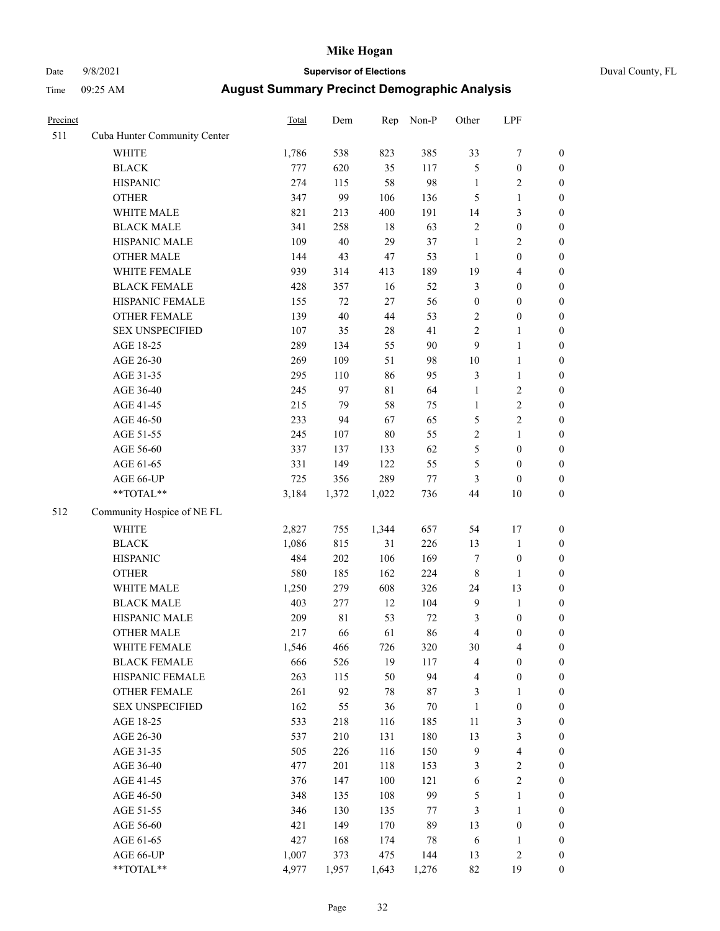# Date 9/8/2021 **Supervisor of Elections** Duval County, FL

| Precinct |                              | Total | Dem         | Rep   | Non-P  | Other            | LPF              |                  |
|----------|------------------------------|-------|-------------|-------|--------|------------------|------------------|------------------|
| 511      | Cuba Hunter Community Center |       |             |       |        |                  |                  |                  |
|          | <b>WHITE</b>                 | 1,786 | 538         | 823   | 385    | 33               | $\boldsymbol{7}$ | 0                |
|          | <b>BLACK</b>                 | 777   | 620         | 35    | 117    | 5                | $\boldsymbol{0}$ | $\boldsymbol{0}$ |
|          | <b>HISPANIC</b>              | 274   | 115         | 58    | 98     | $\mathbf{1}$     | $\overline{c}$   | $\boldsymbol{0}$ |
|          | <b>OTHER</b>                 | 347   | 99          | 106   | 136    | 5                | $\mathbf{1}$     | $\boldsymbol{0}$ |
|          | WHITE MALE                   | 821   | 213         | 400   | 191    | 14               | $\mathfrak{Z}$   | $\boldsymbol{0}$ |
|          | <b>BLACK MALE</b>            | 341   | 258         | 18    | 63     | $\overline{c}$   | $\boldsymbol{0}$ | $\boldsymbol{0}$ |
|          | HISPANIC MALE                | 109   | $40\,$      | 29    | 37     | $\mathbf{1}$     | $\sqrt{2}$       | $\boldsymbol{0}$ |
|          | <b>OTHER MALE</b>            | 144   | 43          | 47    | 53     | $\mathbf{1}$     | $\boldsymbol{0}$ | $\boldsymbol{0}$ |
|          | WHITE FEMALE                 | 939   | 314         | 413   | 189    | 19               | $\overline{4}$   | $\boldsymbol{0}$ |
|          | <b>BLACK FEMALE</b>          | 428   | 357         | 16    | 52     | 3                | $\boldsymbol{0}$ | $\boldsymbol{0}$ |
|          | HISPANIC FEMALE              | 155   | 72          | 27    | 56     | $\boldsymbol{0}$ | $\boldsymbol{0}$ | $\boldsymbol{0}$ |
|          | OTHER FEMALE                 | 139   | 40          | 44    | 53     | 2                | $\boldsymbol{0}$ | $\boldsymbol{0}$ |
|          | <b>SEX UNSPECIFIED</b>       | 107   | 35          | 28    | 41     | $\overline{c}$   | $\mathbf{1}$     | $\boldsymbol{0}$ |
|          | AGE 18-25                    | 289   | 134         | 55    | 90     | 9                | $\mathbf{1}$     | $\boldsymbol{0}$ |
|          | AGE 26-30                    | 269   | 109         | 51    | 98     | 10               | $\mathbf{1}$     | $\boldsymbol{0}$ |
|          | AGE 31-35                    | 295   | 110         | 86    | 95     | 3                | $\mathbf{1}$     | $\boldsymbol{0}$ |
|          | AGE 36-40                    | 245   | 97          | 81    | 64     | $\mathbf{1}$     | $\sqrt{2}$       | $\boldsymbol{0}$ |
|          | AGE 41-45                    | 215   | 79          | 58    | 75     | $\mathbf{1}$     | $\sqrt{2}$       | $\boldsymbol{0}$ |
|          | AGE 46-50                    | 233   | 94          | 67    | 65     | 5                | $\sqrt{2}$       | $\boldsymbol{0}$ |
|          | AGE 51-55                    | 245   | 107         | 80    | 55     | $\mathbf{2}$     | $\mathbf{1}$     | $\boldsymbol{0}$ |
|          | AGE 56-60                    | 337   | 137         | 133   | 62     | 5                | $\boldsymbol{0}$ | 0                |
|          | AGE 61-65                    | 331   | 149         | 122   | 55     | 5                | $\boldsymbol{0}$ | $\boldsymbol{0}$ |
|          | AGE 66-UP                    | 725   | 356         | 289   | $77\,$ | 3                | $\boldsymbol{0}$ | $\boldsymbol{0}$ |
|          | $**TOTAL**$                  | 3,184 | 1,372       | 1,022 | 736    | 44               | 10               | $\boldsymbol{0}$ |
| 512      | Community Hospice of NE FL   |       |             |       |        |                  |                  |                  |
|          | <b>WHITE</b>                 | 2,827 | 755         | 1,344 | 657    | 54               | 17               | $\boldsymbol{0}$ |
|          | <b>BLACK</b>                 | 1,086 | 815         | 31    | 226    | 13               | $\mathbf{1}$     | $\boldsymbol{0}$ |
|          | <b>HISPANIC</b>              | 484   | 202         | 106   | 169    | 7                | $\boldsymbol{0}$ | $\boldsymbol{0}$ |
|          | <b>OTHER</b>                 | 580   | 185         | 162   | 224    | $\,$ $\,$        | 1                | $\boldsymbol{0}$ |
|          | WHITE MALE                   | 1,250 | 279         | 608   | 326    | 24               | 13               | $\boldsymbol{0}$ |
|          | <b>BLACK MALE</b>            | 403   | 277         | 12    | 104    | $\mathbf{9}$     | $\mathbf{1}$     | $\boldsymbol{0}$ |
|          | HISPANIC MALE                | 209   | $8\sqrt{1}$ | 53    | 72     | 3                | $\boldsymbol{0}$ | 0                |
|          | <b>OTHER MALE</b>            | 217   | 66          | 61    | 86     | 4                | $\boldsymbol{0}$ | $\boldsymbol{0}$ |
|          | WHITE FEMALE                 | 1,546 | 466         | 726   | 320    | 30               | 4                | 0                |
|          | <b>BLACK FEMALE</b>          | 666   | 526         | 19    | 117    | 4                | $\boldsymbol{0}$ | $\overline{0}$   |
|          | HISPANIC FEMALE              | 263   | 115         | 50    | 94     | 4                | $\boldsymbol{0}$ | $\overline{0}$   |
|          | <b>OTHER FEMALE</b>          | 261   | 92          | 78    | 87     | 3                | $\mathbf{1}$     | $\overline{0}$   |
|          | <b>SEX UNSPECIFIED</b>       | 162   | 55          | 36    | 70     | $\mathbf{1}$     | $\boldsymbol{0}$ | 0                |
|          | AGE 18-25                    | 533   | 218         | 116   | 185    | 11               | $\mathfrak{Z}$   | 0                |
|          | AGE 26-30                    | 537   | 210         | 131   | 180    | 13               | 3                | 0                |
|          | AGE 31-35                    | 505   | 226         | 116   | 150    | 9                | $\overline{4}$   | 0                |
|          | AGE 36-40                    | 477   | 201         | 118   | 153    | 3                | $\sqrt{2}$       | 0                |
|          | AGE 41-45                    | 376   | 147         | 100   | 121    | 6                | $\sqrt{2}$       | 0                |
|          | AGE 46-50                    | 348   | 135         | 108   | 99     | 5                | $\mathbf{1}$     | 0                |
|          | AGE 51-55                    | 346   | 130         | 135   | 77     | 3                | $\mathbf{1}$     | 0                |
|          | AGE 56-60                    | 421   | 149         | 170   | 89     | 13               | $\boldsymbol{0}$ | 0                |
|          | AGE 61-65                    | 427   | 168         | 174   | 78     | 6                | 1                | 0                |
|          | AGE 66-UP                    | 1,007 | 373         | 475   | 144    | 13               | $\sqrt{2}$       | 0                |
|          | **TOTAL**                    | 4,977 | 1,957       | 1,643 | 1,276  | 82               | 19               | $\boldsymbol{0}$ |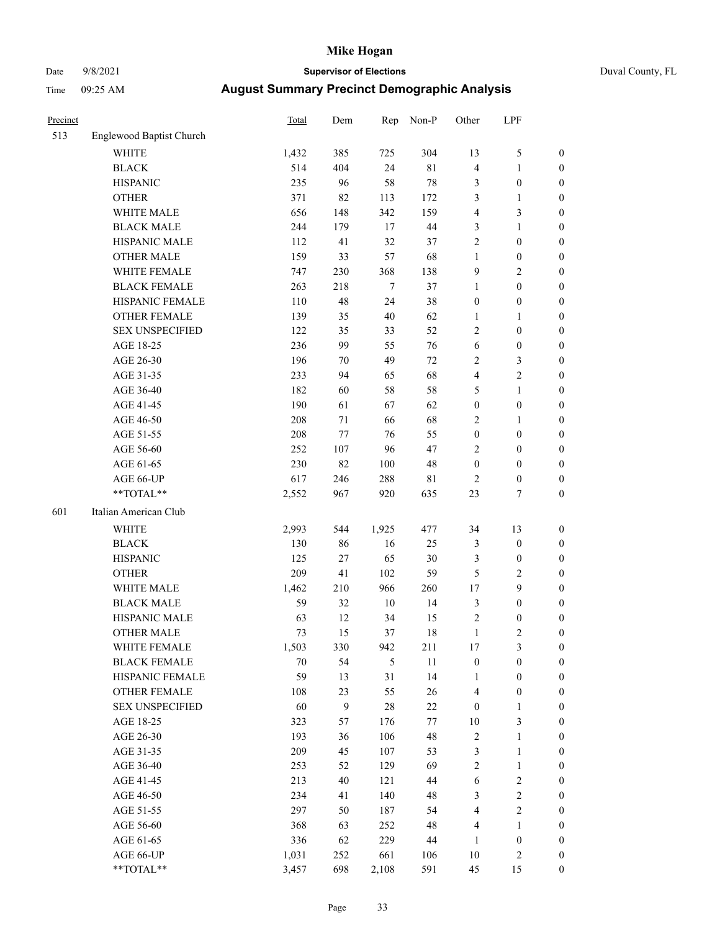# Date 9/8/2021 **Supervisor of Elections** Duval County, FL

| Precinct |                          | <b>Total</b> | Dem | Rep    | Non-P  | Other            | LPF              |                  |
|----------|--------------------------|--------------|-----|--------|--------|------------------|------------------|------------------|
| 513      | Englewood Baptist Church |              |     |        |        |                  |                  |                  |
|          | <b>WHITE</b>             | 1,432        | 385 | 725    | 304    | 13               | $\mathfrak{S}$   | 0                |
|          | <b>BLACK</b>             | 514          | 404 | 24     | $81\,$ | 4                | $\mathbf{1}$     | 0                |
|          | <b>HISPANIC</b>          | 235          | 96  | 58     | $78\,$ | 3                | $\boldsymbol{0}$ | $\boldsymbol{0}$ |
|          | <b>OTHER</b>             | 371          | 82  | 113    | 172    | 3                | 1                | $\boldsymbol{0}$ |
|          | WHITE MALE               | 656          | 148 | 342    | 159    | 4                | $\mathfrak{Z}$   | $\boldsymbol{0}$ |
|          | <b>BLACK MALE</b>        | 244          | 179 | 17     | 44     | 3                | $\mathbf{1}$     | $\boldsymbol{0}$ |
|          | HISPANIC MALE            | 112          | 41  | 32     | 37     | 2                | $\boldsymbol{0}$ | $\boldsymbol{0}$ |
|          | <b>OTHER MALE</b>        | 159          | 33  | 57     | 68     | $\mathbf{1}$     | $\boldsymbol{0}$ | $\boldsymbol{0}$ |
|          | WHITE FEMALE             | 747          | 230 | 368    | 138    | 9                | $\overline{2}$   | $\boldsymbol{0}$ |
|          | <b>BLACK FEMALE</b>      | 263          | 218 | $\tau$ | 37     | $\mathbf{1}$     | $\boldsymbol{0}$ | $\boldsymbol{0}$ |
|          | HISPANIC FEMALE          | 110          | 48  | 24     | 38     | $\boldsymbol{0}$ | $\boldsymbol{0}$ | 0                |
|          | <b>OTHER FEMALE</b>      | 139          | 35  | 40     | 62     | $\mathbf{1}$     | $\mathbf{1}$     | $\boldsymbol{0}$ |
|          | <b>SEX UNSPECIFIED</b>   | 122          | 35  | 33     | 52     | $\overline{c}$   | $\boldsymbol{0}$ | $\boldsymbol{0}$ |
|          | AGE 18-25                | 236          | 99  | 55     | 76     | 6                | $\boldsymbol{0}$ | $\boldsymbol{0}$ |
|          | AGE 26-30                | 196          | 70  | 49     | $72\,$ | 2                | $\mathfrak{Z}$   | $\boldsymbol{0}$ |
|          | AGE 31-35                | 233          | 94  | 65     | 68     | 4                | $\sqrt{2}$       | $\boldsymbol{0}$ |
|          | AGE 36-40                | 182          | 60  | 58     | 58     | 5                | $\mathbf{1}$     | $\boldsymbol{0}$ |
|          | AGE 41-45                | 190          | 61  | 67     | 62     | $\boldsymbol{0}$ | $\boldsymbol{0}$ | $\boldsymbol{0}$ |
|          | AGE 46-50                | 208          | 71  | 66     | 68     | 2                | 1                | $\boldsymbol{0}$ |
|          | AGE 51-55                | 208          | 77  | 76     | 55     | $\boldsymbol{0}$ | $\boldsymbol{0}$ | $\boldsymbol{0}$ |
|          | AGE 56-60                | 252          | 107 | 96     | 47     | $\overline{c}$   | $\boldsymbol{0}$ | 0                |
|          | AGE 61-65                | 230          | 82  | 100    | 48     | $\boldsymbol{0}$ | $\boldsymbol{0}$ | $\boldsymbol{0}$ |
|          | AGE 66-UP                | 617          | 246 | 288    | 81     | $\overline{2}$   | $\boldsymbol{0}$ | $\boldsymbol{0}$ |
|          | **TOTAL**                | 2,552        | 967 | 920    | 635    | 23               | $\tau$           | $\boldsymbol{0}$ |
| 601      | Italian American Club    |              |     |        |        |                  |                  |                  |
|          | <b>WHITE</b>             | 2,993        | 544 | 1,925  | 477    | 34               | 13               | $\boldsymbol{0}$ |
|          | <b>BLACK</b>             | 130          | 86  | 16     | 25     | 3                | $\boldsymbol{0}$ | $\boldsymbol{0}$ |
|          | <b>HISPANIC</b>          | 125          | 27  | 65     | $30\,$ | 3                | $\boldsymbol{0}$ | $\boldsymbol{0}$ |
|          | <b>OTHER</b>             | 209          | 41  | 102    | 59     | 5                | $\sqrt{2}$       | $\boldsymbol{0}$ |
|          | WHITE MALE               | 1,462        | 210 | 966    | 260    | 17               | 9                | $\boldsymbol{0}$ |
|          | <b>BLACK MALE</b>        | 59           | 32  | $10\,$ | 14     | 3                | $\boldsymbol{0}$ | $\boldsymbol{0}$ |
|          | HISPANIC MALE            | 63           | 12  | 34     | 15     | $\overline{c}$   | $\boldsymbol{0}$ | 0                |
|          | <b>OTHER MALE</b>        | 73           | 15  | 37     | 18     | $\mathbf{1}$     | $\mathfrak{2}$   | $\boldsymbol{0}$ |
|          | WHITE FEMALE             | 1,503        | 330 | 942    | 211    | 17               | 3                | 0                |
|          | <b>BLACK FEMALE</b>      | 70           | 54  | 5      | 11     | $\boldsymbol{0}$ | $\boldsymbol{0}$ | $\boldsymbol{0}$ |
|          | HISPANIC FEMALE          | 59           | 13  | 31     | 14     | 1                | $\boldsymbol{0}$ | $\overline{0}$   |
|          | OTHER FEMALE             | 108          | 23  | 55     | 26     | 4                | $\boldsymbol{0}$ | $\overline{0}$   |
|          | <b>SEX UNSPECIFIED</b>   | 60           | 9   | 28     | $22\,$ | $\boldsymbol{0}$ | $\mathbf{1}$     | 0                |
|          | AGE 18-25                | 323          | 57  | 176    | 77     | $10\,$           | $\mathfrak{Z}$   | 0                |
|          | AGE 26-30                | 193          | 36  | 106    | 48     | 2                | $\mathbf{1}$     | 0                |
|          | AGE 31-35                | 209          | 45  | 107    | 53     | 3                | $\mathbf{1}$     | 0                |
|          | AGE 36-40                | 253          | 52  | 129    | 69     | $\overline{c}$   | $\mathbf{1}$     | 0                |
|          | AGE 41-45                | 213          | 40  | 121    | $44\,$ | 6                | $\sqrt{2}$       | 0                |
|          | AGE 46-50                | 234          | 41  | 140    | 48     | 3                | $\sqrt{2}$       | 0                |
|          | AGE 51-55                | 297          | 50  | 187    | 54     | 4                | $\sqrt{2}$       | 0                |
|          | AGE 56-60                | 368          | 63  | 252    | 48     | 4                | 1                | 0                |
|          | AGE 61-65                | 336          | 62  | 229    | 44     | 1                | $\boldsymbol{0}$ | 0                |
|          | AGE 66-UP                | 1,031        | 252 | 661    | 106    | $10\,$           | $\sqrt{2}$       | 0                |
|          | **TOTAL**                | 3,457        | 698 | 2,108  | 591    | 45               | 15               | $\boldsymbol{0}$ |
|          |                          |              |     |        |        |                  |                  |                  |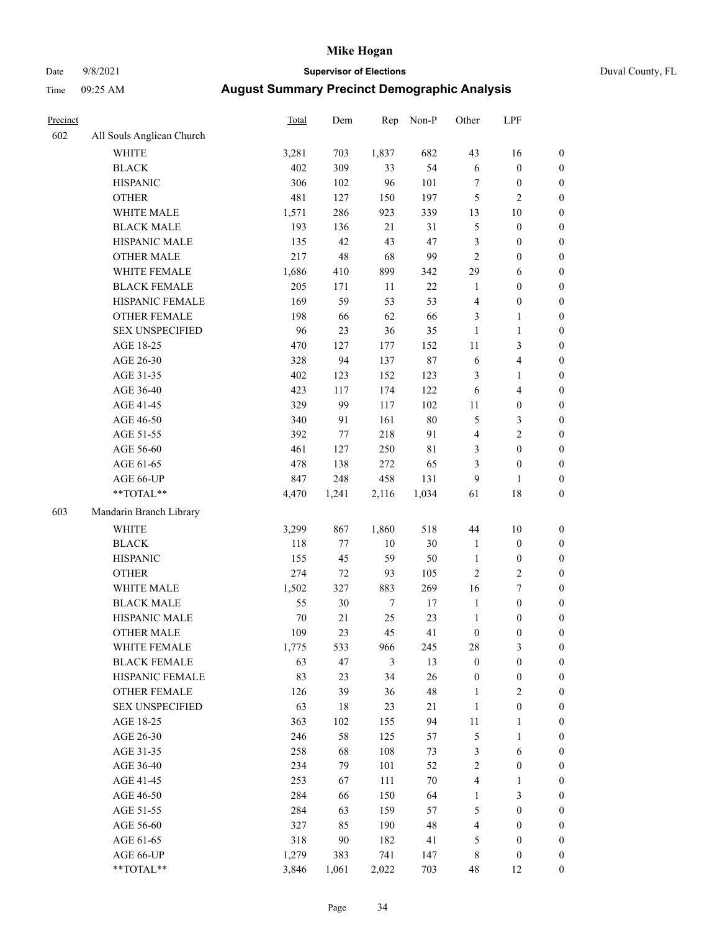# Date 9/8/2021 **Supervisor of Elections** Duval County, FL

| Precinct |                                     | Total      | Dem      | Rep              | Non-P       | Other                            | LPF                                  |                                    |
|----------|-------------------------------------|------------|----------|------------------|-------------|----------------------------------|--------------------------------------|------------------------------------|
| 602      | All Souls Anglican Church           |            |          |                  |             |                                  |                                      |                                    |
|          | <b>WHITE</b>                        | 3,281      | 703      | 1,837            | 682         | 43                               | 16                                   | 0                                  |
|          | <b>BLACK</b>                        | 402        | 309      | 33               | 54          | $\sqrt{6}$                       | $\boldsymbol{0}$                     | 0                                  |
|          | <b>HISPANIC</b>                     | 306        | 102      | 96               | 101         | 7                                | $\boldsymbol{0}$                     | $\boldsymbol{0}$                   |
|          | <b>OTHER</b>                        | 481        | 127      | 150              | 197         | 5                                | $\mathfrak{2}$                       | $\boldsymbol{0}$                   |
|          | WHITE MALE                          | 1,571      | 286      | 923              | 339         | 13                               | $10\,$                               | $\boldsymbol{0}$                   |
|          | <b>BLACK MALE</b>                   | 193        | 136      | 21               | 31          | 5                                | $\boldsymbol{0}$                     | $\boldsymbol{0}$                   |
|          | HISPANIC MALE                       | 135        | 42       | 43               | $47\,$      | 3                                | $\boldsymbol{0}$                     | $\boldsymbol{0}$                   |
|          | <b>OTHER MALE</b>                   | 217        | 48       | 68               | 99          | $\mathbf{2}$                     | $\boldsymbol{0}$                     | $\boldsymbol{0}$                   |
|          | WHITE FEMALE                        | 1,686      | 410      | 899              | 342         | 29                               | 6                                    | $\boldsymbol{0}$                   |
|          | <b>BLACK FEMALE</b>                 | 205        | 171      | 11               | $22\,$      | $\mathbf{1}$                     | $\boldsymbol{0}$                     | $\boldsymbol{0}$                   |
|          | HISPANIC FEMALE                     | 169        | 59       | 53               | 53          | 4                                | $\boldsymbol{0}$                     | $\boldsymbol{0}$                   |
|          | <b>OTHER FEMALE</b>                 | 198        | 66       | 62               | 66          | 3                                | $\mathbf{1}$                         | $\boldsymbol{0}$                   |
|          | <b>SEX UNSPECIFIED</b>              | 96         | 23       | 36               | 35          | $\mathbf{1}$                     | $\mathbf{1}$                         | $\boldsymbol{0}$                   |
|          | AGE 18-25                           | 470        | 127      | 177              | 152         | $11\,$                           | $\mathfrak{Z}$                       | $\boldsymbol{0}$                   |
|          | AGE 26-30                           | 328        | 94       | 137              | $87\,$      | 6                                | $\overline{\mathbf{4}}$              | $\boldsymbol{0}$                   |
|          | AGE 31-35                           | 402        | 123      | 152              | 123         | 3                                | $\mathbf{1}$                         | $\boldsymbol{0}$                   |
|          | AGE 36-40                           | 423        | 117      | 174              | 122         | 6                                | $\overline{\mathbf{4}}$              | $\boldsymbol{0}$                   |
|          | AGE 41-45                           | 329        | 99       | 117              | 102         | $11\,$                           | $\boldsymbol{0}$                     | $\boldsymbol{0}$                   |
|          | AGE 46-50                           | 340        | 91       | 161              | $80\,$      | 5                                | $\mathfrak{Z}$                       | $\boldsymbol{0}$                   |
|          | AGE 51-55                           | 392        | 77       | 218              | 91          | $\overline{4}$                   | $\sqrt{2}$                           | $\boldsymbol{0}$                   |
|          | AGE 56-60                           | 461        | 127      | 250              | $8\sqrt{1}$ | 3                                | $\boldsymbol{0}$                     | $\boldsymbol{0}$                   |
|          | AGE 61-65                           | 478        | 138      | 272              | 65          | 3                                | $\boldsymbol{0}$                     | $\boldsymbol{0}$                   |
|          | AGE 66-UP                           | 847        | 248      | 458              | 131         | 9                                | $\mathbf{1}$                         | $\boldsymbol{0}$                   |
|          | **TOTAL**                           | 4,470      | 1,241    | 2,116            | 1,034       | 61                               | $18\,$                               | $\boldsymbol{0}$                   |
| 603      | Mandarin Branch Library             |            |          |                  |             |                                  |                                      |                                    |
|          | WHITE                               | 3,299      | 867      | 1,860            | 518         | $44\,$                           | $10\,$                               |                                    |
|          |                                     |            |          |                  |             |                                  |                                      | $\boldsymbol{0}$                   |
|          | <b>BLACK</b>                        | 118        | $77 \,$  | $10\,$           | $30\,$      | $\mathbf{1}$                     | $\boldsymbol{0}$                     | $\boldsymbol{0}$                   |
|          | <b>HISPANIC</b>                     | 155        | 45       | 59               | 50          | $\mathbf{1}$                     | $\boldsymbol{0}$                     | $\boldsymbol{0}$                   |
|          | <b>OTHER</b>                        | 274        | 72       | 93               | 105         | $\overline{c}$                   | $\sqrt{2}$                           | $\boldsymbol{0}$                   |
|          | WHITE MALE                          | 1,502      | 327      | 883              | 269         | 16                               | $\boldsymbol{7}$                     | $\boldsymbol{0}$                   |
|          | <b>BLACK MALE</b>                   | 55         | 30       | $\boldsymbol{7}$ | 17          | $\mathbf{1}$                     | $\boldsymbol{0}$                     | $\boldsymbol{0}$                   |
|          | HISPANIC MALE<br>OTHER MALE         | 70<br>109  | 21<br>23 | 25<br>45         | 23<br>41    | $\mathbf{1}$                     | $\boldsymbol{0}$                     | $\boldsymbol{0}$                   |
|          |                                     |            |          |                  |             | $\boldsymbol{0}$                 | $\boldsymbol{0}$                     | $\boldsymbol{0}$                   |
|          | WHITE FEMALE<br><b>BLACK FEMALE</b> | 1,775      | 533      | 966              | 245         | 28                               | 3                                    | 0                                  |
|          | HISPANIC FEMALE                     | 63<br>83   | 47<br>23 | 3<br>34          | 13<br>26    | $\boldsymbol{0}$                 | $\boldsymbol{0}$                     | $\boldsymbol{0}$<br>$\overline{0}$ |
|          | OTHER FEMALE                        | 126        | 39       |                  | 48          | $\boldsymbol{0}$<br>$\mathbf{1}$ | $\boldsymbol{0}$<br>$\sqrt{2}$       | 0                                  |
|          | <b>SEX UNSPECIFIED</b>              | 63         | 18       | 36<br>23         | $21\,$      | $\mathbf{1}$                     | $\boldsymbol{0}$                     | 0                                  |
|          | AGE 18-25                           | 363        | 102      | 155              | 94          | 11                               | $\mathbf{1}$                         | 0                                  |
|          | AGE 26-30                           | 246        | 58       |                  |             |                                  | $\mathbf{1}$                         | 0                                  |
|          | AGE 31-35                           | 258        | 68       | 125<br>108       | 57<br>73    | 5<br>3                           | 6                                    | 0                                  |
|          | AGE 36-40                           | 234        | 79       | 101              | 52          | 2                                | $\boldsymbol{0}$                     | 0                                  |
|          | AGE 41-45                           | 253        | 67       | 111              | $70\,$      | $\overline{\mathbf{4}}$          | 1                                    | 0                                  |
|          | AGE 46-50                           | 284        | 66       | 150              | 64          | $\mathbf{1}$                     | $\mathfrak{Z}$                       | 0                                  |
|          |                                     |            |          |                  |             |                                  |                                      |                                    |
|          | AGE 51-55<br>AGE 56-60              | 284<br>327 | 63<br>85 | 159<br>190       | 57<br>48    | 5<br>4                           | $\boldsymbol{0}$<br>$\boldsymbol{0}$ | 0<br>0                             |
|          | AGE 61-65                           | 318        | 90       | 182              | 41          | 5                                | $\boldsymbol{0}$                     | $\overline{0}$                     |
|          | AGE 66-UP                           | 1,279      | 383      | 741              | 147         | 8                                | $\boldsymbol{0}$                     | 0                                  |
|          | **TOTAL**                           | 3,846      | 1,061    | 2,022            | 703         | 48                               | 12                                   | $\boldsymbol{0}$                   |
|          |                                     |            |          |                  |             |                                  |                                      |                                    |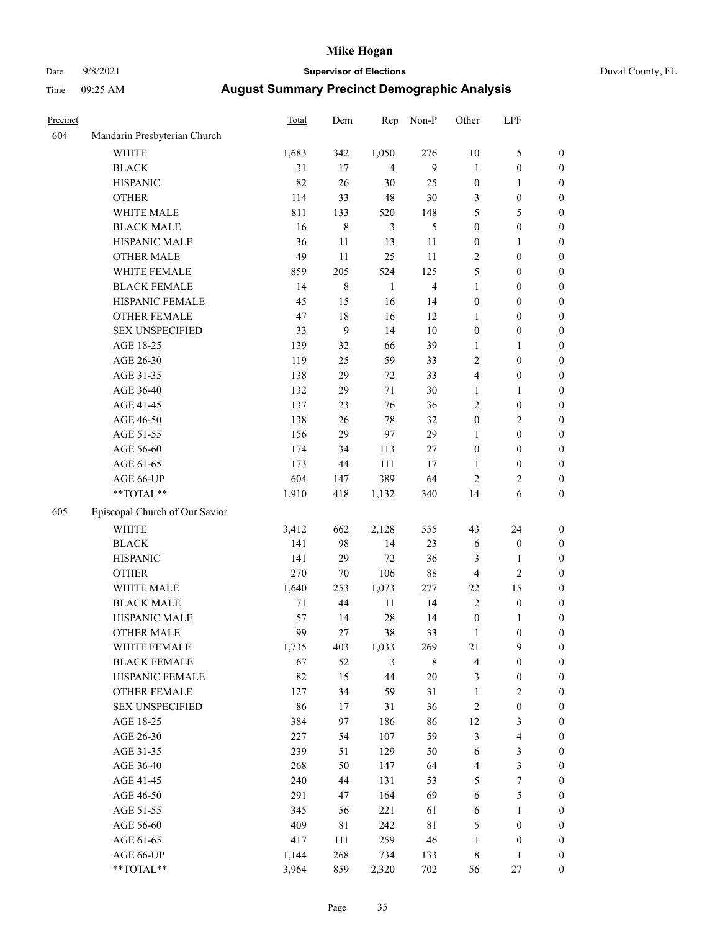# Date 9/8/2021 **Supervisor of Elections** Duval County, FL

| Precinct |                                | <b>Total</b> | Dem     | Rep            | Non-P          | Other            | LPF              |                  |
|----------|--------------------------------|--------------|---------|----------------|----------------|------------------|------------------|------------------|
| 604      | Mandarin Presbyterian Church   |              |         |                |                |                  |                  |                  |
|          | <b>WHITE</b>                   | 1,683        | 342     | 1,050          | 276            | $10\,$           | $\mathfrak s$    | 0                |
|          | <b>BLACK</b>                   | 31           | 17      | $\overline{4}$ | 9              | $\mathbf{1}$     | $\boldsymbol{0}$ | 0                |
|          | <b>HISPANIC</b>                | 82           | 26      | 30             | 25             | $\boldsymbol{0}$ | 1                | $\boldsymbol{0}$ |
|          | <b>OTHER</b>                   | 114          | 33      | 48             | $30\,$         | 3                | $\boldsymbol{0}$ | $\boldsymbol{0}$ |
|          | WHITE MALE                     | 811          | 133     | 520            | 148            | 5                | 5                | $\boldsymbol{0}$ |
|          | <b>BLACK MALE</b>              | 16           | $\,8\,$ | 3              | 5              | $\boldsymbol{0}$ | $\boldsymbol{0}$ | $\boldsymbol{0}$ |
|          | HISPANIC MALE                  | 36           | 11      | 13             | 11             | $\boldsymbol{0}$ | 1                | $\boldsymbol{0}$ |
|          | <b>OTHER MALE</b>              | 49           | 11      | 25             | 11             | 2                | $\boldsymbol{0}$ | $\boldsymbol{0}$ |
|          | WHITE FEMALE                   | 859          | 205     | 524            | 125            | 5                | $\boldsymbol{0}$ | $\boldsymbol{0}$ |
|          | <b>BLACK FEMALE</b>            | 14           | $8\,$   | $\mathbf{1}$   | $\overline{4}$ | $\mathbf{1}$     | $\boldsymbol{0}$ | 0                |
|          | HISPANIC FEMALE                | 45           | 15      | 16             | 14             | $\boldsymbol{0}$ | $\boldsymbol{0}$ | 0                |
|          | <b>OTHER FEMALE</b>            | 47           | 18      | 16             | 12             | 1                | $\boldsymbol{0}$ | $\boldsymbol{0}$ |
|          | <b>SEX UNSPECIFIED</b>         | 33           | 9       | 14             | $10\,$         | $\boldsymbol{0}$ | $\boldsymbol{0}$ | $\boldsymbol{0}$ |
|          | AGE 18-25                      | 139          | 32      | 66             | 39             | 1                | 1                | $\boldsymbol{0}$ |
|          | AGE 26-30                      | 119          | 25      | 59             | 33             | 2                | $\boldsymbol{0}$ | $\boldsymbol{0}$ |
|          | AGE 31-35                      | 138          | 29      | 72             | 33             | 4                | $\boldsymbol{0}$ | $\boldsymbol{0}$ |
|          | AGE 36-40                      | 132          | 29      | 71             | $30\,$         | $\mathbf{1}$     | $\mathbf{1}$     | $\boldsymbol{0}$ |
|          | AGE 41-45                      | 137          | 23      | 76             | 36             | 2                | $\boldsymbol{0}$ | $\boldsymbol{0}$ |
|          | AGE 46-50                      | 138          | 26      | 78             | 32             | $\boldsymbol{0}$ | $\sqrt{2}$       | $\boldsymbol{0}$ |
|          | AGE 51-55                      | 156          | 29      | 97             | 29             | $\mathbf{1}$     | $\boldsymbol{0}$ | $\boldsymbol{0}$ |
|          | AGE 56-60                      | 174          | 34      | 113            | 27             | $\boldsymbol{0}$ | $\boldsymbol{0}$ | 0                |
|          | AGE 61-65                      | 173          | 44      | 111            | 17             | 1                | $\boldsymbol{0}$ | 0                |
|          | AGE 66-UP                      | 604          | 147     | 389            | 64             | $\mathbf{2}$     | $\overline{2}$   | $\boldsymbol{0}$ |
|          | **TOTAL**                      | 1,910        | 418     | 1,132          | 340            | 14               | 6                | $\boldsymbol{0}$ |
| 605      | Episcopal Church of Our Savior |              |         |                |                |                  |                  |                  |
|          | <b>WHITE</b>                   | 3,412        | 662     | 2,128          | 555            | 43               | 24               | $\boldsymbol{0}$ |
|          | <b>BLACK</b>                   | 141          | 98      | 14             | 23             | 6                | $\boldsymbol{0}$ | $\boldsymbol{0}$ |
|          | <b>HISPANIC</b>                | 141          | 29      | 72             | 36             | 3                | $\mathbf{1}$     | $\boldsymbol{0}$ |
|          | <b>OTHER</b>                   | 270          | $70\,$  | 106            | $88\,$         | 4                | $\sqrt{2}$       | $\boldsymbol{0}$ |
|          | WHITE MALE                     | 1,640        | 253     | 1,073          | 277            | $22\,$           | 15               | $\boldsymbol{0}$ |
|          | <b>BLACK MALE</b>              | 71           | $44\,$  | $11\,$         | 14             | $\overline{2}$   | $\boldsymbol{0}$ | $\boldsymbol{0}$ |
|          | HISPANIC MALE                  | 57           | 14      | 28             | 14             | $\boldsymbol{0}$ | 1                | 0                |
|          | <b>OTHER MALE</b>              | 99           | 27      | 38             | 33             | $\mathbf{1}$     | $\boldsymbol{0}$ | $\boldsymbol{0}$ |
|          | WHITE FEMALE                   | 1,735        | 403     | 1,033          | 269            | 21               | 9                | 0                |
|          | <b>BLACK FEMALE</b>            | 67           | 52      | 3              | 8              | 4                | $\boldsymbol{0}$ | $\boldsymbol{0}$ |
|          | HISPANIC FEMALE                | 82           | 15      | 44             | $20\,$         | 3                | $\boldsymbol{0}$ | $\overline{0}$   |
|          | <b>OTHER FEMALE</b>            | 127          | 34      | 59             | 31             | $\mathbf{1}$     | $\sqrt{2}$       | $\overline{0}$   |
|          | <b>SEX UNSPECIFIED</b>         | 86           | 17      | 31             | 36             | 2                | $\boldsymbol{0}$ | 0                |
|          | AGE 18-25                      | 384          | 97      | 186            | 86             | 12               | $\mathfrak{Z}$   | $\overline{0}$   |
|          | AGE 26-30                      | 227          | 54      | 107            | 59             | 3                | $\overline{4}$   | 0                |
|          | AGE 31-35                      | 239          | 51      | 129            | 50             | 6                | $\sqrt{3}$       | 0                |
|          | AGE 36-40                      | 268          | 50      | 147            | 64             | 4                | $\mathfrak{Z}$   | 0                |
|          | AGE 41-45                      | 240          | $44\,$  | 131            | 53             | 5                | $\boldsymbol{7}$ | 0                |
|          | AGE 46-50                      | 291          | 47      | 164            | 69             | 6                | $\mathfrak s$    | 0                |
|          | AGE 51-55                      | 345          | 56      | 221            | 61             | 6                | $\mathbf{1}$     | $\boldsymbol{0}$ |
|          | AGE 56-60                      | 409          | 81      | 242            | $8\sqrt{1}$    | 5                | $\boldsymbol{0}$ | $\boldsymbol{0}$ |
|          | AGE 61-65                      | 417          | 111     | 259            | 46             | $\mathbf{1}$     | $\boldsymbol{0}$ | $\overline{0}$   |
|          | AGE 66-UP                      | 1,144        | 268     | 734            | 133            | 8                | $\mathbf{1}$     | 0                |
|          | **TOTAL**                      | 3,964        | 859     | 2,320          | 702            | 56               | 27               | $\boldsymbol{0}$ |
|          |                                |              |         |                |                |                  |                  |                  |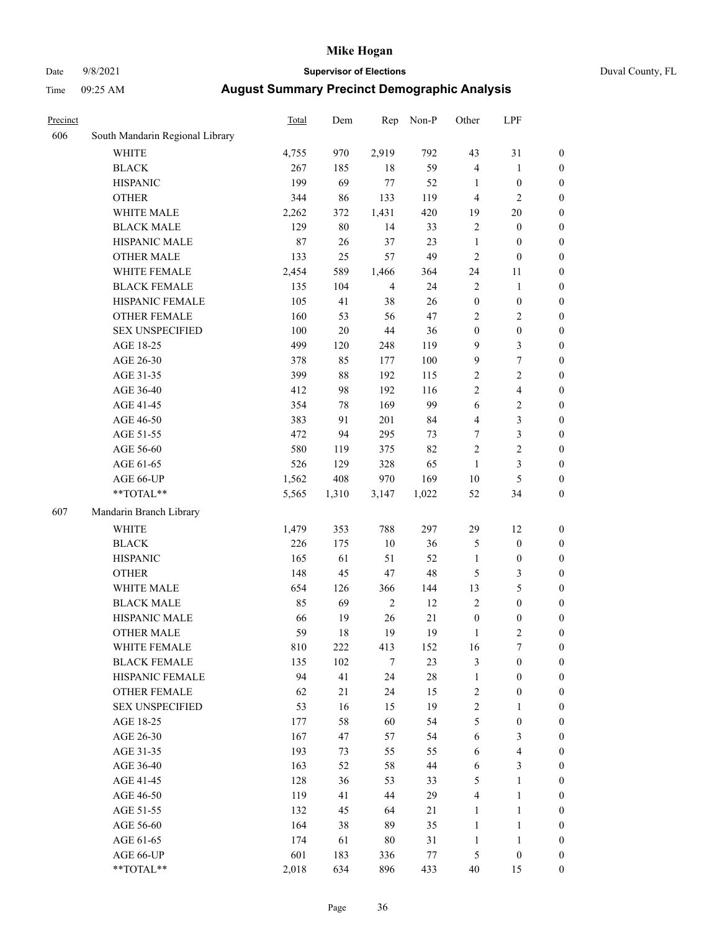# Date 9/8/2021 **Supervisor of Elections** Duval County, FL

| Precinct |                                 | Total | Dem    | Rep            | Non-P  | Other            | LPF                     |                  |
|----------|---------------------------------|-------|--------|----------------|--------|------------------|-------------------------|------------------|
| 606      | South Mandarin Regional Library |       |        |                |        |                  |                         |                  |
|          | <b>WHITE</b>                    | 4,755 | 970    | 2,919          | 792    | 43               | 31                      | 0                |
|          | <b>BLACK</b>                    | 267   | 185    | 18             | 59     | $\overline{4}$   | $\mathbf{1}$            | $\boldsymbol{0}$ |
|          | <b>HISPANIC</b>                 | 199   | 69     | 77             | 52     | 1                | $\boldsymbol{0}$        | $\boldsymbol{0}$ |
|          | <b>OTHER</b>                    | 344   | 86     | 133            | 119    | 4                | $\mathfrak{2}$          | $\boldsymbol{0}$ |
|          | WHITE MALE                      | 2,262 | 372    | 1,431          | 420    | 19               | $20\,$                  | $\boldsymbol{0}$ |
|          | <b>BLACK MALE</b>               | 129   | 80     | 14             | 33     | $\mathfrak{2}$   | $\boldsymbol{0}$        | $\boldsymbol{0}$ |
|          | HISPANIC MALE                   | 87    | 26     | 37             | 23     | $\mathbf{1}$     | $\boldsymbol{0}$        | $\boldsymbol{0}$ |
|          | <b>OTHER MALE</b>               | 133   | 25     | 57             | 49     | $\overline{c}$   | $\boldsymbol{0}$        | $\boldsymbol{0}$ |
|          | WHITE FEMALE                    | 2,454 | 589    | 1,466          | 364    | 24               | 11                      | $\boldsymbol{0}$ |
|          | <b>BLACK FEMALE</b>             | 135   | 104    | $\overline{4}$ | 24     | $\overline{c}$   | $\mathbf{1}$            | 0                |
|          | HISPANIC FEMALE                 | 105   | 41     | 38             | 26     | $\boldsymbol{0}$ | $\boldsymbol{0}$        | 0                |
|          | <b>OTHER FEMALE</b>             | 160   | 53     | 56             | 47     | $\mathfrak{2}$   | $\sqrt{2}$              | $\boldsymbol{0}$ |
|          | <b>SEX UNSPECIFIED</b>          | 100   | $20\,$ | 44             | 36     | $\boldsymbol{0}$ | $\boldsymbol{0}$        | $\boldsymbol{0}$ |
|          | AGE 18-25                       | 499   | 120    | 248            | 119    | 9                | $\mathfrak{Z}$          | $\boldsymbol{0}$ |
|          | AGE 26-30                       | 378   | 85     | 177            | 100    | 9                | $\boldsymbol{7}$        | $\boldsymbol{0}$ |
|          | AGE 31-35                       | 399   | 88     | 192            | 115    | $\sqrt{2}$       | $\sqrt{2}$              | $\boldsymbol{0}$ |
|          | AGE 36-40                       | 412   | 98     | 192            | 116    | $\overline{c}$   | $\overline{\mathbf{4}}$ | $\boldsymbol{0}$ |
|          | AGE 41-45                       | 354   | 78     | 169            | 99     | 6                | $\sqrt{2}$              | $\boldsymbol{0}$ |
|          | AGE 46-50                       | 383   | 91     | 201            | 84     | 4                | $\mathfrak{Z}$          | $\boldsymbol{0}$ |
|          | AGE 51-55                       | 472   | 94     | 295            | 73     | 7                | $\mathfrak{Z}$          | $\boldsymbol{0}$ |
|          | AGE 56-60                       | 580   | 119    | 375            | 82     | $\overline{c}$   | $\sqrt{2}$              | 0                |
|          | AGE 61-65                       | 526   | 129    | 328            | 65     | $\mathbf{1}$     | $\mathfrak{Z}$          | $\boldsymbol{0}$ |
|          | AGE 66-UP                       | 1,562 | 408    | 970            | 169    | 10               | $\mathfrak{S}$          | $\boldsymbol{0}$ |
|          | $**TOTAL**$                     | 5,565 | 1,310  | 3,147          | 1,022  | 52               | 34                      | $\boldsymbol{0}$ |
| 607      | Mandarin Branch Library         |       |        |                |        |                  |                         |                  |
|          | WHITE                           | 1,479 | 353    | 788            | 297    | 29               | 12                      | $\boldsymbol{0}$ |
|          | <b>BLACK</b>                    | 226   | 175    | $10\,$         | 36     | 5                | $\boldsymbol{0}$        | $\boldsymbol{0}$ |
|          | <b>HISPANIC</b>                 | 165   | 61     | 51             | 52     | $\mathbf{1}$     | $\boldsymbol{0}$        | $\boldsymbol{0}$ |
|          | <b>OTHER</b>                    | 148   | 45     | $47\,$         | 48     | 5                | $\mathfrak{Z}$          | $\boldsymbol{0}$ |
|          | WHITE MALE                      | 654   | 126    | 366            | 144    | 13               | $\mathfrak{S}$          | $\boldsymbol{0}$ |
|          | <b>BLACK MALE</b>               | 85    | 69     | $\sqrt{2}$     | 12     | $\mathbf{2}$     | $\boldsymbol{0}$        | $\boldsymbol{0}$ |
|          | HISPANIC MALE                   | 66    | 19     | 26             | 21     | $\boldsymbol{0}$ | $\boldsymbol{0}$        | $\boldsymbol{0}$ |
|          | <b>OTHER MALE</b>               | 59    | 18     | 19             | 19     | $\mathbf{1}$     | $\mathbf{2}$            | $\boldsymbol{0}$ |
|          | WHITE FEMALE                    | 810   | 222    | 413            | 152    | 16               | 7                       | 0                |
|          | <b>BLACK FEMALE</b>             | 135   | 102    | $\tau$         | 23     | 3                | $\boldsymbol{0}$        | $\boldsymbol{0}$ |
|          | HISPANIC FEMALE                 | 94    | 41     | 24             | $28\,$ | $\mathbf{1}$     | $\boldsymbol{0}$        | $\overline{0}$   |
|          | OTHER FEMALE                    | 62    | 21     | 24             | 15     | $\overline{c}$   | $\boldsymbol{0}$        | $\overline{0}$   |
|          | <b>SEX UNSPECIFIED</b>          | 53    | 16     | 15             | 19     | 2                | $\mathbf{1}$            | 0                |
|          | AGE 18-25                       | 177   | 58     | 60             | 54     | 5                | $\boldsymbol{0}$        | 0                |
|          | AGE 26-30                       | 167   | 47     | 57             | 54     | 6                | $\mathfrak{Z}$          | 0                |
|          | AGE 31-35                       | 193   | 73     | 55             | 55     | 6                | $\overline{\mathbf{4}}$ | 0                |
|          | AGE 36-40                       | 163   | 52     | 58             | 44     | 6                | $\mathfrak{Z}$          | 0                |
|          | AGE 41-45                       | 128   | 36     | 53             | 33     | 5                | $\mathbf{1}$            | 0                |
|          | AGE 46-50                       | 119   | 41     | 44             | 29     | 4                | $\mathbf{1}$            | 0                |
|          | AGE 51-55                       | 132   | 45     | 64             | 21     | $\mathbf{1}$     | $\mathbf{1}$            | 0                |
|          | AGE 56-60                       | 164   | 38     | 89             | 35     | $\mathbf{1}$     | $\mathbf{1}$            | 0                |
|          | AGE 61-65                       | 174   | 61     | 80             | 31     | $\mathbf{1}$     | $\mathbf{1}$            | 0                |
|          | AGE 66-UP                       | 601   | 183    | 336            | 77     | 5                | $\boldsymbol{0}$        | 0                |
|          | **TOTAL**                       | 2,018 | 634    | 896            | 433    | 40               | 15                      | $\boldsymbol{0}$ |
|          |                                 |       |        |                |        |                  |                         |                  |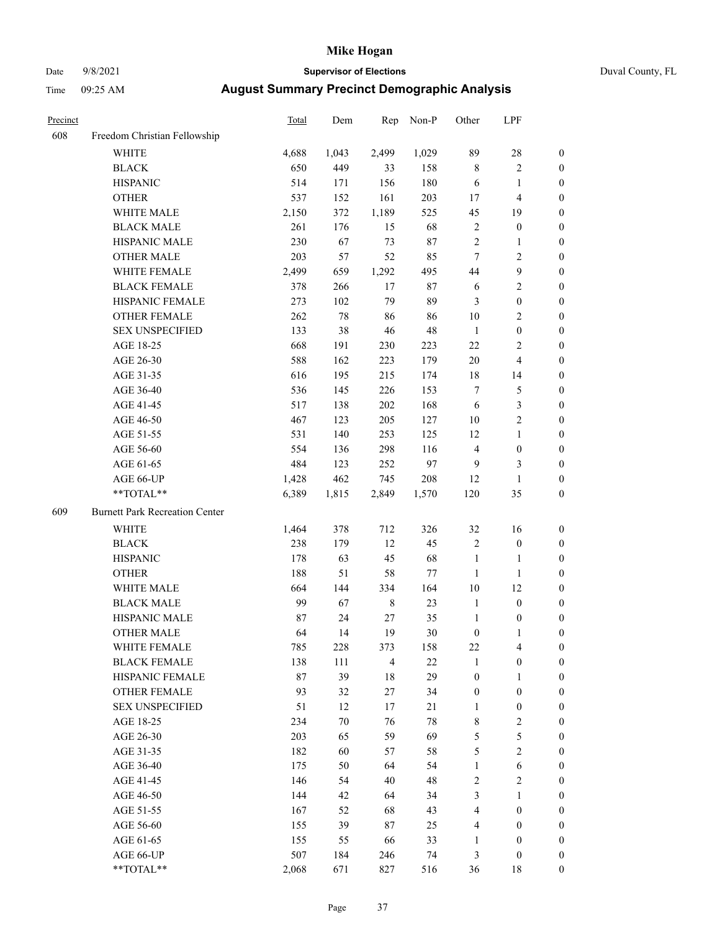### Date 9/8/2021 **Supervisor of Elections** Duval County, FL

| Precinct |                                       | Total | Dem    | Rep            | Non-P  | Other            | LPF                     |                  |
|----------|---------------------------------------|-------|--------|----------------|--------|------------------|-------------------------|------------------|
| 608      | Freedom Christian Fellowship          |       |        |                |        |                  |                         |                  |
|          | <b>WHITE</b>                          | 4,688 | 1,043  | 2,499          | 1,029  | 89               | $28\,$                  | 0                |
|          | <b>BLACK</b>                          | 650   | 449    | 33             | 158    | $\,$ 8 $\,$      | $\sqrt{2}$              | 0                |
|          | <b>HISPANIC</b>                       | 514   | 171    | 156            | 180    | 6                | $\mathbf{1}$            | $\boldsymbol{0}$ |
|          | <b>OTHER</b>                          | 537   | 152    | 161            | 203    | 17               | $\overline{\mathbf{4}}$ | $\boldsymbol{0}$ |
|          | WHITE MALE                            | 2,150 | 372    | 1,189          | 525    | 45               | 19                      | $\boldsymbol{0}$ |
|          | <b>BLACK MALE</b>                     | 261   | 176    | 15             | 68     | $\sqrt{2}$       | $\boldsymbol{0}$        | $\boldsymbol{0}$ |
|          | HISPANIC MALE                         | 230   | 67     | 73             | 87     | $\overline{c}$   | $\mathbf{1}$            | $\boldsymbol{0}$ |
|          | <b>OTHER MALE</b>                     | 203   | 57     | 52             | 85     | $\tau$           | $\overline{2}$          | $\boldsymbol{0}$ |
|          | WHITE FEMALE                          | 2,499 | 659    | 1,292          | 495    | $44\,$           | $\boldsymbol{9}$        | $\boldsymbol{0}$ |
|          | <b>BLACK FEMALE</b>                   | 378   | 266    | 17             | $87\,$ | 6                | $\sqrt{2}$              | 0                |
|          | HISPANIC FEMALE                       | 273   | 102    | 79             | 89     | 3                | $\boldsymbol{0}$        | 0                |
|          | OTHER FEMALE                          | 262   | $78\,$ | 86             | 86     | 10               | $\sqrt{2}$              | $\boldsymbol{0}$ |
|          | <b>SEX UNSPECIFIED</b>                | 133   | 38     | 46             | 48     | $\mathbf{1}$     | $\boldsymbol{0}$        | $\boldsymbol{0}$ |
|          | AGE 18-25                             | 668   | 191    | 230            | 223    | $22\,$           | $\sqrt{2}$              | $\boldsymbol{0}$ |
|          | AGE 26-30                             | 588   | 162    | 223            | 179    | $20\,$           | $\overline{\mathbf{4}}$ | $\boldsymbol{0}$ |
|          | AGE 31-35                             | 616   | 195    | 215            | 174    | $18\,$           | 14                      | $\boldsymbol{0}$ |
|          | AGE 36-40                             | 536   | 145    | 226            | 153    | 7                | $\mathfrak{S}$          | $\boldsymbol{0}$ |
|          | AGE 41-45                             | 517   | 138    | 202            | 168    | $\sqrt{6}$       | $\mathfrak{Z}$          | $\overline{0}$   |
|          | AGE 46-50                             | 467   | 123    | 205            | 127    | 10               | $\overline{2}$          | $\boldsymbol{0}$ |
|          | AGE 51-55                             | 531   | 140    | 253            | 125    | 12               | $\mathbf{1}$            | 0                |
|          | AGE 56-60                             | 554   | 136    | 298            | 116    | $\overline{4}$   | $\boldsymbol{0}$        | 0                |
|          | AGE 61-65                             | 484   | 123    | 252            | 97     | 9                | 3                       | 0                |
|          | AGE 66-UP                             | 1,428 | 462    | 745            | 208    | 12               | $\mathbf{1}$            | $\boldsymbol{0}$ |
|          | **TOTAL**                             | 6,389 | 1,815  | 2,849          | 1,570  | 120              | 35                      | $\boldsymbol{0}$ |
|          |                                       |       |        |                |        |                  |                         |                  |
| 609      | <b>Burnett Park Recreation Center</b> |       |        |                |        |                  |                         |                  |
|          | <b>WHITE</b>                          | 1,464 | 378    | 712            | 326    | 32               | 16                      | $\boldsymbol{0}$ |
|          | <b>BLACK</b>                          | 238   | 179    | 12             | 45     | $\sqrt{2}$       | $\boldsymbol{0}$        | $\boldsymbol{0}$ |
|          | <b>HISPANIC</b>                       | 178   | 63     | 45             | 68     | $\mathbf{1}$     | $\mathbf{1}$            | $\boldsymbol{0}$ |
|          | <b>OTHER</b>                          | 188   | 51     | 58             | 77     | $\mathbf{1}$     | $\mathbf{1}$            | $\boldsymbol{0}$ |
|          | WHITE MALE                            | 664   | 144    | 334            | 164    | $10\,$           | 12                      | $\boldsymbol{0}$ |
|          | <b>BLACK MALE</b>                     | 99    | 67     | $\,8\,$        | 23     | $\mathbf{1}$     | $\boldsymbol{0}$        | $\boldsymbol{0}$ |
|          | HISPANIC MALE                         | 87    | 24     | 27             | 35     | $\mathbf{1}$     | $\boldsymbol{0}$        | 0                |
|          | <b>OTHER MALE</b>                     | 64    | 14     | 19             | $30\,$ | $\boldsymbol{0}$ | $\mathbf{1}$            | 0                |
|          | WHITE FEMALE                          | 785   | 228    | 373            | 158    | 22               | 4                       | 0                |
|          | <b>BLACK FEMALE</b>                   | 138   | 111    | $\overline{4}$ | 22     | $\mathbf{1}$     | $\boldsymbol{0}$        | $\overline{0}$   |
|          | HISPANIC FEMALE                       | 87    | 39     | 18             | 29     | $\boldsymbol{0}$ | 1                       | $\overline{0}$   |
|          | <b>OTHER FEMALE</b>                   | 93    | 32     | 27             | 34     | $\boldsymbol{0}$ | $\boldsymbol{0}$        | 0                |
|          | <b>SEX UNSPECIFIED</b>                | 51    | 12     | 17             | 21     | $\mathbf{1}$     | $\boldsymbol{0}$        | 0                |
|          | AGE 18-25                             | 234   | 70     | 76             | 78     | 8                | $\sqrt{2}$              | 0                |
|          | AGE 26-30                             | 203   | 65     | 59             | 69     | 5                | 5                       | 0                |
|          | AGE 31-35                             | 182   | 60     | 57             | 58     | 5                | $\overline{2}$          | 0                |
|          | AGE 36-40                             | 175   | 50     | 64             | 54     | $\mathbf{1}$     | $\sqrt{6}$              | 0                |
|          | AGE 41-45                             | 146   | 54     | 40             | 48     | 2                | $\mathbf{2}$            | 0                |
|          | AGE 46-50                             | 144   | 42     | 64             | 34     | 3                | $\mathbf{1}$            | 0                |
|          | AGE 51-55                             | 167   | 52     | 68             | 43     | 4                | $\boldsymbol{0}$        | 0                |
|          | AGE 56-60                             | 155   | 39     | 87             | 25     | 4                | $\boldsymbol{0}$        | 0                |
|          | AGE 61-65                             | 155   | 55     | 66             | 33     | 1                | $\boldsymbol{0}$        | 0                |
|          | AGE 66-UP                             | 507   | 184    | 246            | 74     | 3                | $\boldsymbol{0}$        | 0                |
|          | $**TOTAL**$                           | 2,068 | 671    | 827            | 516    | 36               | 18                      | $\boldsymbol{0}$ |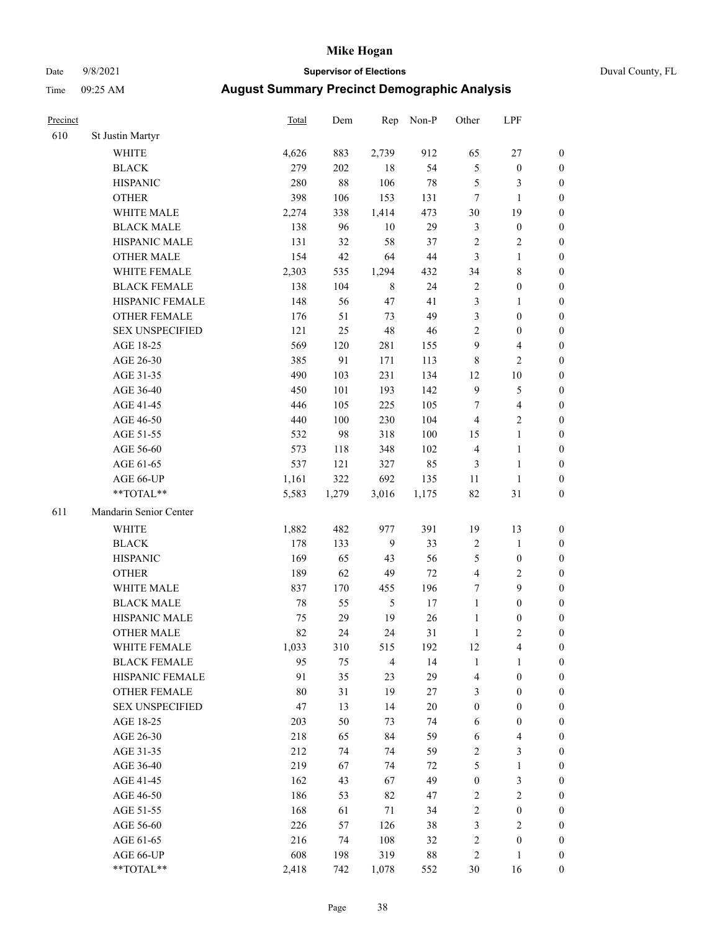### Date 9/8/2021 **Supervisor of Elections** Duval County, FL

| Precinct |                        | Total  | Dem    | Rep            | Non-P  | Other            | LPF                     |                  |
|----------|------------------------|--------|--------|----------------|--------|------------------|-------------------------|------------------|
| 610      | St Justin Martyr       |        |        |                |        |                  |                         |                  |
|          | <b>WHITE</b>           | 4,626  | 883    | 2,739          | 912    | 65               | $27\,$                  | 0                |
|          | <b>BLACK</b>           | 279    | 202    | 18             | 54     | $\mathfrak s$    | $\boldsymbol{0}$        | 0                |
|          | <b>HISPANIC</b>        | 280    | $88\,$ | 106            | $78\,$ | 5                | 3                       | $\boldsymbol{0}$ |
|          | <b>OTHER</b>           | 398    | 106    | 153            | 131    | 7                | $\mathbf{1}$            | $\boldsymbol{0}$ |
|          | WHITE MALE             | 2,274  | 338    | 1,414          | 473    | 30               | 19                      | $\boldsymbol{0}$ |
|          | <b>BLACK MALE</b>      | 138    | 96     | 10             | 29     | 3                | $\boldsymbol{0}$        | $\boldsymbol{0}$ |
|          | HISPANIC MALE          | 131    | 32     | 58             | 37     | 2                | $\sqrt{2}$              | $\boldsymbol{0}$ |
|          | <b>OTHER MALE</b>      | 154    | 42     | 64             | $44\,$ | 3                | $\mathbf{1}$            | $\boldsymbol{0}$ |
|          | WHITE FEMALE           | 2,303  | 535    | 1,294          | 432    | 34               | $\,$ 8 $\,$             | $\boldsymbol{0}$ |
|          | <b>BLACK FEMALE</b>    | 138    | 104    | $\,$ 8 $\,$    | 24     | $\sqrt{2}$       | $\boldsymbol{0}$        | 0                |
|          | HISPANIC FEMALE        | 148    | 56     | 47             | 41     | 3                | $\mathbf{1}$            | 0                |
|          | <b>OTHER FEMALE</b>    | 176    | 51     | 73             | 49     | 3                | $\boldsymbol{0}$        | $\boldsymbol{0}$ |
|          | <b>SEX UNSPECIFIED</b> | 121    | 25     | 48             | 46     | 2                | $\boldsymbol{0}$        | $\boldsymbol{0}$ |
|          | AGE 18-25              | 569    | 120    | 281            | 155    | 9                | $\overline{\mathbf{4}}$ | $\boldsymbol{0}$ |
|          | AGE 26-30              | 385    | 91     | 171            | 113    | 8                | $\sqrt{2}$              | $\boldsymbol{0}$ |
|          | AGE 31-35              | 490    | 103    | 231            | 134    | 12               | $10\,$                  | $\boldsymbol{0}$ |
|          | AGE 36-40              | 450    | 101    | 193            | 142    | 9                | $\mathfrak s$           | $\boldsymbol{0}$ |
|          | AGE 41-45              | 446    | 105    | 225            | 105    | $\boldsymbol{7}$ | $\overline{\mathbf{4}}$ | $\boldsymbol{0}$ |
|          | AGE 46-50              | 440    | 100    | 230            | 104    | $\overline{4}$   | $\overline{2}$          | $\boldsymbol{0}$ |
|          | AGE 51-55              | 532    | 98     | 318            | 100    | 15               | $\mathbf{1}$            | 0                |
|          | AGE 56-60              | 573    | 118    | 348            | 102    | $\overline{4}$   | $\mathbf{1}$            | 0                |
|          | AGE 61-65              | 537    | 121    | 327            | 85     | 3                | $\mathbf{1}$            | 0                |
|          | AGE 66-UP              | 1,161  | 322    | 692            | 135    | 11               | $\mathbf{1}$            | $\boldsymbol{0}$ |
|          | **TOTAL**              | 5,583  | 1,279  | 3,016          | 1,175  | 82               | $31\,$                  | $\boldsymbol{0}$ |
| 611      | Mandarin Senior Center |        |        |                |        |                  |                         |                  |
|          | <b>WHITE</b>           | 1,882  | 482    | 977            | 391    | 19               | 13                      | $\boldsymbol{0}$ |
|          | <b>BLACK</b>           | 178    | 133    | $\overline{9}$ | 33     | $\sqrt{2}$       | $\mathbf{1}$            | $\boldsymbol{0}$ |
|          | <b>HISPANIC</b>        | 169    | 65     | 43             | 56     | 5                | $\boldsymbol{0}$        | $\boldsymbol{0}$ |
|          | <b>OTHER</b>           | 189    | 62     | 49             | $72\,$ | 4                | $\sqrt{2}$              | $\boldsymbol{0}$ |
|          | WHITE MALE             | 837    | 170    | 455            | 196    | 7                | 9                       | $\boldsymbol{0}$ |
|          | <b>BLACK MALE</b>      | $78\,$ | 55     | $\mathfrak{S}$ | $17\,$ | $\mathbf{1}$     | $\boldsymbol{0}$        | $\boldsymbol{0}$ |
|          | HISPANIC MALE          | 75     | 29     | 19             | 26     | $\mathbf{1}$     | $\boldsymbol{0}$        | 0                |
|          | <b>OTHER MALE</b>      | 82     | 24     | 24             | 31     | $\mathbf{1}$     | $\mathbf{2}$            | $\boldsymbol{0}$ |
|          | WHITE FEMALE           | 1,033  | 310    | 515            | 192    | 12               | 4                       | 0                |
|          | <b>BLACK FEMALE</b>    | 95     | 75     | $\overline{4}$ | 14     | $\mathbf{1}$     | $\mathbf{1}$            | $\boldsymbol{0}$ |
|          | HISPANIC FEMALE        | 91     | 35     | 23             | 29     | 4                | $\boldsymbol{0}$        | $\overline{0}$   |
|          | OTHER FEMALE           | 80     | 31     | 19             | 27     | 3                | $\boldsymbol{0}$        | $\overline{0}$   |
|          | <b>SEX UNSPECIFIED</b> | 47     | 13     | 14             | $20\,$ | $\boldsymbol{0}$ | $\boldsymbol{0}$        | 0                |
|          | AGE 18-25              | 203    | 50     | 73             | 74     | 6                | $\boldsymbol{0}$        | 0                |
|          | AGE 26-30              | 218    | 65     | 84             | 59     | 6                | $\overline{\mathbf{4}}$ | 0                |
|          | AGE 31-35              | 212    | 74     | 74             | 59     | 2                | $\mathfrak{Z}$          | 0                |
|          | AGE 36-40              | 219    | 67     | 74             | 72     | 5                | $\mathbf{1}$            | 0                |
|          | AGE 41-45              | 162    | 43     | 67             | 49     | $\boldsymbol{0}$ | $\mathfrak{Z}$          | 0                |
|          | AGE 46-50              | 186    | 53     | 82             | 47     | 2                | $\sqrt{2}$              | 0                |
|          | AGE 51-55              | 168    | 61     | 71             | 34     | 2                | $\boldsymbol{0}$        | 0                |
|          | AGE 56-60              | 226    | 57     | 126            | 38     | 3                | $\overline{2}$          | 0                |
|          | AGE 61-65              | 216    | 74     | 108            | 32     | 2                | $\boldsymbol{0}$        | $\overline{0}$   |
|          | AGE 66-UP              | 608    | 198    | 319            | $88\,$ | 2                | $\mathbf{1}$            | $\boldsymbol{0}$ |
|          | **TOTAL**              | 2,418  | 742    | 1,078          | 552    | 30               | 16                      | $\boldsymbol{0}$ |
|          |                        |        |        |                |        |                  |                         |                  |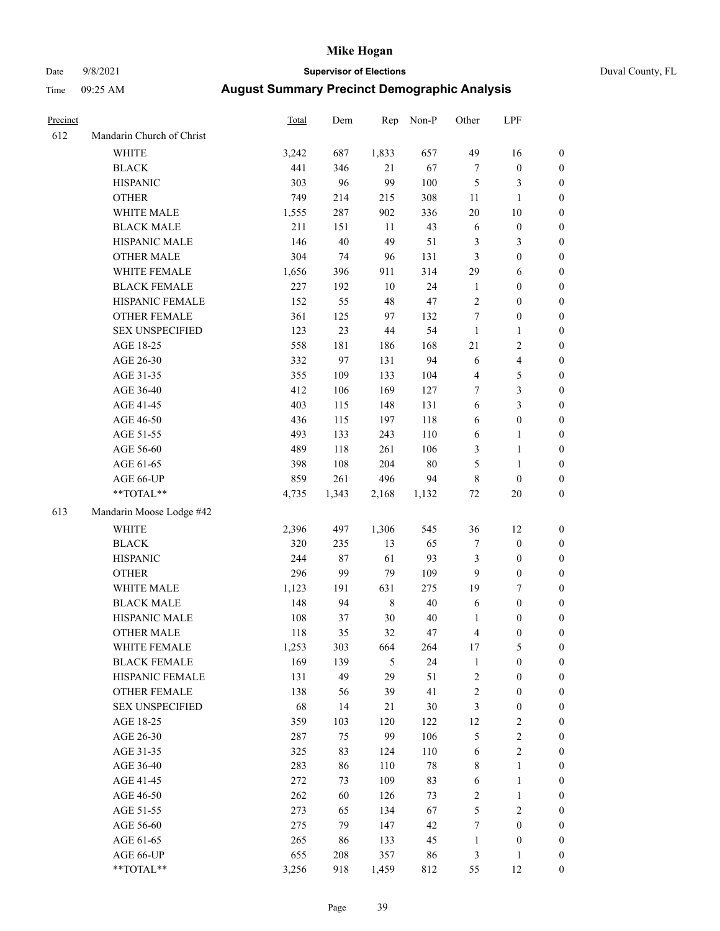## Date 9/8/2021 **Supervisor of Elections** Duval County, FL

| Precinct |                           | Total | Dem   | Rep         | Non-P  | Other            | LPF              |                  |
|----------|---------------------------|-------|-------|-------------|--------|------------------|------------------|------------------|
| 612      | Mandarin Church of Christ |       |       |             |        |                  |                  |                  |
|          | <b>WHITE</b>              | 3,242 | 687   | 1,833       | 657    | 49               | 16               | 0                |
|          | <b>BLACK</b>              | 441   | 346   | 21          | 67     | $\boldsymbol{7}$ | $\boldsymbol{0}$ | 0                |
|          | <b>HISPANIC</b>           | 303   | 96    | 99          | 100    | 5                | 3                | $\boldsymbol{0}$ |
|          | <b>OTHER</b>              | 749   | 214   | 215         | 308    | 11               | $\mathbf{1}$     | $\boldsymbol{0}$ |
|          | WHITE MALE                | 1,555 | 287   | 902         | 336    | 20               | 10               | $\boldsymbol{0}$ |
|          | <b>BLACK MALE</b>         | 211   | 151   | 11          | 43     | 6                | $\boldsymbol{0}$ | $\boldsymbol{0}$ |
|          | HISPANIC MALE             | 146   | 40    | 49          | 51     | 3                | $\mathfrak{Z}$   | $\boldsymbol{0}$ |
|          | <b>OTHER MALE</b>         | 304   | 74    | 96          | 131    | 3                | $\boldsymbol{0}$ | $\boldsymbol{0}$ |
|          | WHITE FEMALE              | 1,656 | 396   | 911         | 314    | 29               | 6                | $\boldsymbol{0}$ |
|          | <b>BLACK FEMALE</b>       | 227   | 192   | $10\,$      | 24     | $\mathbf{1}$     | $\boldsymbol{0}$ | 0                |
|          | HISPANIC FEMALE           | 152   | 55    | 48          | 47     | $\mathbf{2}$     | $\boldsymbol{0}$ | $\boldsymbol{0}$ |
|          | OTHER FEMALE              | 361   | 125   | 97          | 132    | $\boldsymbol{7}$ | $\boldsymbol{0}$ | $\boldsymbol{0}$ |
|          | <b>SEX UNSPECIFIED</b>    | 123   | 23    | 44          | 54     | $\mathbf{1}$     | $\mathbf{1}$     | $\boldsymbol{0}$ |
|          | AGE 18-25                 | 558   | 181   | 186         | 168    | $21\,$           | $\sqrt{2}$       | $\boldsymbol{0}$ |
|          | AGE 26-30                 | 332   | 97    | 131         | 94     | 6                | $\overline{4}$   | $\boldsymbol{0}$ |
|          | AGE 31-35                 | 355   | 109   | 133         | 104    | 4                | 5                | $\boldsymbol{0}$ |
|          | AGE 36-40                 | 412   | 106   | 169         | 127    | 7                | 3                | $\boldsymbol{0}$ |
|          | AGE 41-45                 | 403   | 115   | 148         | 131    | 6                | 3                | $\boldsymbol{0}$ |
|          | AGE 46-50                 | 436   | 115   | 197         | 118    | 6                | $\boldsymbol{0}$ | $\boldsymbol{0}$ |
|          | AGE 51-55                 | 493   | 133   | 243         | 110    | 6                | 1                | 0                |
|          | AGE 56-60                 | 489   | 118   | 261         | 106    | 3                | $\mathbf{1}$     | 0                |
|          | AGE 61-65                 | 398   | 108   | 204         | $80\,$ | 5                | $\mathbf{1}$     | 0                |
|          | AGE 66-UP                 | 859   | 261   | 496         | 94     | 8                | $\boldsymbol{0}$ | $\boldsymbol{0}$ |
|          | $**TOTAL**$               | 4,735 | 1,343 | 2,168       | 1,132  | $72\,$           | $20\,$           | $\boldsymbol{0}$ |
| 613      | Mandarin Moose Lodge #42  |       |       |             |        |                  |                  |                  |
|          | <b>WHITE</b>              | 2,396 | 497   | 1,306       | 545    | 36               | 12               | $\boldsymbol{0}$ |
|          | <b>BLACK</b>              | 320   | 235   | 13          | 65     | 7                | $\boldsymbol{0}$ | $\boldsymbol{0}$ |
|          | <b>HISPANIC</b>           | 244   | 87    | 61          | 93     | 3                | $\boldsymbol{0}$ | $\boldsymbol{0}$ |
|          | <b>OTHER</b>              | 296   | 99    | 79          | 109    | 9                | $\boldsymbol{0}$ | $\boldsymbol{0}$ |
|          | WHITE MALE                | 1,123 | 191   | 631         | 275    | 19               | $\tau$           | $\boldsymbol{0}$ |
|          | <b>BLACK MALE</b>         | 148   | 94    | $\,$ 8 $\,$ | $40\,$ | 6                | $\boldsymbol{0}$ | $\boldsymbol{0}$ |
|          | HISPANIC MALE             | 108   | 37    | $30\,$      | 40     | 1                | $\boldsymbol{0}$ | 0                |
|          | <b>OTHER MALE</b>         | 118   | 35    | 32          | 47     | 4                | $\boldsymbol{0}$ | $\boldsymbol{0}$ |
|          | WHITE FEMALE              | 1,253 | 303   | 664         | 264    | 17               | 5                | 0                |
|          | <b>BLACK FEMALE</b>       | 169   | 139   | 5           | 24     | $\mathbf{1}$     | $\boldsymbol{0}$ | $\overline{0}$   |
|          | HISPANIC FEMALE           | 131   | 49    | 29          | 51     | $\overline{c}$   | $\boldsymbol{0}$ | $\overline{0}$   |
|          | OTHER FEMALE              | 138   | 56    | 39          | 41     | 2                | $\boldsymbol{0}$ | $\overline{0}$   |
|          | <b>SEX UNSPECIFIED</b>    | 68    | 14    | 21          | 30     | 3                | $\boldsymbol{0}$ | 0                |
|          | AGE 18-25                 | 359   | 103   | 120         | 122    | 12               | $\sqrt{2}$       | 0                |
|          | AGE 26-30                 | 287   | 75    | 99          | 106    | 5                | $\sqrt{2}$       | 0                |
|          | AGE 31-35                 | 325   | 83    | 124         | 110    | 6                | $\sqrt{2}$       | 0                |
|          | AGE 36-40                 | 283   | 86    | 110         | 78     | 8                | $\mathbf{1}$     | 0                |
|          | AGE 41-45                 | 272   | 73    | 109         | 83     | 6                | $\mathbf{1}$     | 0                |
|          | AGE 46-50                 | 262   | 60    | 126         | 73     | 2                | $\mathbf{1}$     | 0                |
|          | AGE 51-55                 | 273   | 65    | 134         | 67     | 5                | $\mathfrak{2}$   | 0                |
|          | AGE 56-60                 | 275   | 79    | 147         | 42     | $\boldsymbol{7}$ | $\boldsymbol{0}$ | $\overline{0}$   |
|          | AGE 61-65                 | 265   | 86    | 133         | 45     | $\mathbf{1}$     | $\boldsymbol{0}$ | $\overline{0}$   |
|          | AGE 66-UP                 | 655   | 208   | 357         | 86     | 3                | $\mathbf{1}$     | 0                |
|          | **TOTAL**                 | 3,256 | 918   | 1,459       | 812    | 55               | 12               | $\boldsymbol{0}$ |
|          |                           |       |       |             |        |                  |                  |                  |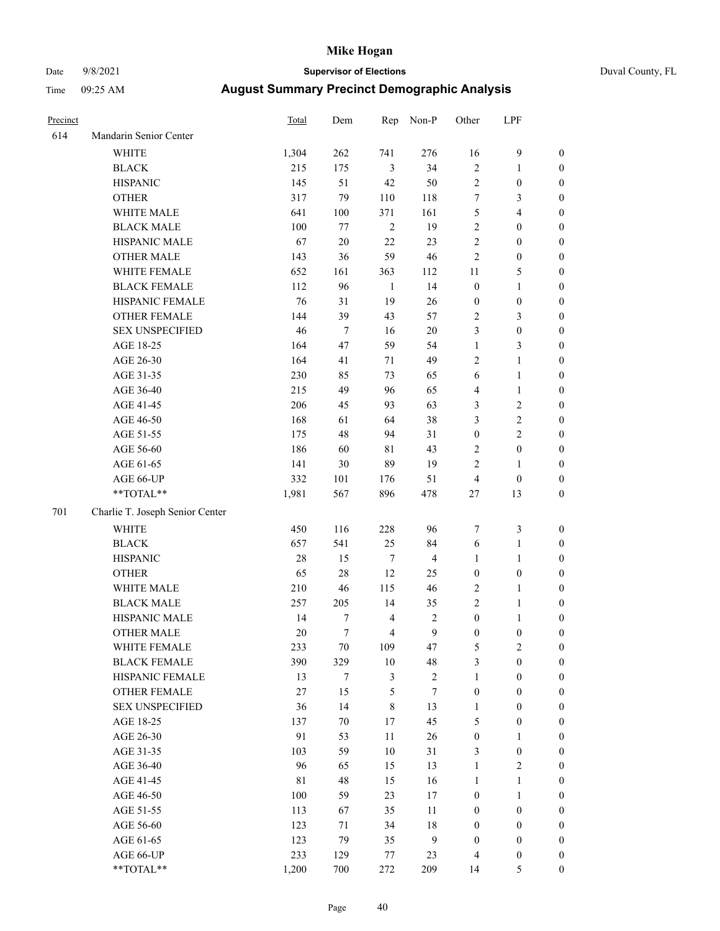# Date 9/8/2021 **Supervisor of Elections** Duval County, FL

| Precinct |                                 | Total | Dem              | Rep            | Non-P            | Other            | LPF              |                  |
|----------|---------------------------------|-------|------------------|----------------|------------------|------------------|------------------|------------------|
| 614      | Mandarin Senior Center          |       |                  |                |                  |                  |                  |                  |
|          | <b>WHITE</b>                    | 1,304 | 262              | 741            | 276              | 16               | $\boldsymbol{9}$ | 0                |
|          | <b>BLACK</b>                    | 215   | 175              | $\mathfrak{Z}$ | 34               | $\mathbf{2}$     | $\mathbf{1}$     | 0                |
|          | <b>HISPANIC</b>                 | 145   | 51               | 42             | 50               | $\mathbf{2}$     | $\boldsymbol{0}$ | $\boldsymbol{0}$ |
|          | <b>OTHER</b>                    | 317   | 79               | 110            | 118              | 7                | $\mathfrak{Z}$   | $\boldsymbol{0}$ |
|          | WHITE MALE                      | 641   | 100              | 371            | 161              | 5                | $\overline{4}$   | $\boldsymbol{0}$ |
|          | <b>BLACK MALE</b>               | 100   | 77               | $\mathbf{2}$   | 19               | $\overline{c}$   | $\boldsymbol{0}$ | $\boldsymbol{0}$ |
|          | HISPANIC MALE                   | 67    | $20\,$           | 22             | 23               | $\overline{c}$   | $\boldsymbol{0}$ | $\boldsymbol{0}$ |
|          | <b>OTHER MALE</b>               | 143   | 36               | 59             | 46               | $\overline{c}$   | $\boldsymbol{0}$ | $\boldsymbol{0}$ |
|          | WHITE FEMALE                    | 652   | 161              | 363            | 112              | $11\,$           | $\mathfrak s$    | $\boldsymbol{0}$ |
|          | <b>BLACK FEMALE</b>             | 112   | 96               | $\mathbf{1}$   | 14               | $\boldsymbol{0}$ | $\mathbf{1}$     | 0                |
|          | HISPANIC FEMALE                 | 76    | 31               | 19             | 26               | $\boldsymbol{0}$ | $\boldsymbol{0}$ | 0                |
|          | OTHER FEMALE                    | 144   | 39               | 43             | 57               | 2                | 3                | $\boldsymbol{0}$ |
|          | <b>SEX UNSPECIFIED</b>          | 46    | $\tau$           | 16             | 20               | 3                | $\boldsymbol{0}$ | $\boldsymbol{0}$ |
|          | AGE 18-25                       | 164   | 47               | 59             | 54               | $\mathbf{1}$     | $\mathfrak{Z}$   | $\boldsymbol{0}$ |
|          | AGE 26-30                       | 164   | 41               | $71\,$         | 49               | 2                | $\mathbf{1}$     | $\boldsymbol{0}$ |
|          | AGE 31-35                       | 230   | 85               | 73             | 65               | 6                | $\mathbf{1}$     | $\boldsymbol{0}$ |
|          | AGE 36-40                       | 215   | 49               | 96             | 65               | 4                | $\mathbf{1}$     | $\boldsymbol{0}$ |
|          | AGE 41-45                       | 206   | 45               | 93             | 63               | 3                | $\sqrt{2}$       | $\boldsymbol{0}$ |
|          | AGE 46-50                       | 168   | 61               | 64             | 38               | 3                | $\sqrt{2}$       | $\boldsymbol{0}$ |
|          | AGE 51-55                       | 175   | 48               | 94             | 31               | $\boldsymbol{0}$ | $\sqrt{2}$       | $\boldsymbol{0}$ |
|          | AGE 56-60                       | 186   | 60               | 81             | 43               | $\mathbf{2}$     | $\boldsymbol{0}$ | 0                |
|          | AGE 61-65                       | 141   | 30               | 89             | 19               | $\overline{c}$   | 1                | $\boldsymbol{0}$ |
|          | AGE 66-UP                       | 332   | 101              | 176            | 51               | $\overline{4}$   | $\boldsymbol{0}$ | $\boldsymbol{0}$ |
|          | $**TOTAL**$                     | 1,981 | 567              | 896            | 478              | $27\,$           | 13               | $\boldsymbol{0}$ |
|          |                                 |       |                  |                |                  |                  |                  |                  |
| 701      | Charlie T. Joseph Senior Center |       |                  |                |                  |                  |                  |                  |
|          | <b>WHITE</b>                    | 450   | 116              | 228            | 96               | 7                | $\mathfrak z$    | $\boldsymbol{0}$ |
|          | <b>BLACK</b>                    | 657   | 541              | 25             | 84               | 6                | $\mathbf{1}$     | $\boldsymbol{0}$ |
|          | <b>HISPANIC</b>                 | 28    | 15               | 7              | $\overline{4}$   | $\mathbf{1}$     | $\mathbf{1}$     | $\boldsymbol{0}$ |
|          | <b>OTHER</b>                    | 65    | 28               | 12             | 25               | $\boldsymbol{0}$ | $\boldsymbol{0}$ | $\boldsymbol{0}$ |
|          | WHITE MALE                      | 210   | 46               | 115            | 46               | $\mathbf{2}$     | $\mathbf{1}$     | $\boldsymbol{0}$ |
|          | <b>BLACK MALE</b>               | 257   | 205              | 14             | 35               | $\overline{c}$   | $\mathbf{1}$     | $\boldsymbol{0}$ |
|          | HISPANIC MALE                   | 14    | $\boldsymbol{7}$ | $\overline{4}$ | $\sqrt{2}$       | $\boldsymbol{0}$ | 1                | 0                |
|          | <b>OTHER MALE</b>               | 20    | $\tau$           | $\overline{4}$ | 9                | $\boldsymbol{0}$ | $\boldsymbol{0}$ | $\boldsymbol{0}$ |
|          | WHITE FEMALE                    | 233   | 70               | 109            | 47               | 5                | 2                | 0                |
|          | <b>BLACK FEMALE</b>             | 390   | 329              | 10             | 48               | 3                | $\boldsymbol{0}$ | $\overline{0}$   |
|          | HISPANIC FEMALE                 | 13    | $\boldsymbol{7}$ | 3              | $\sqrt{2}$       | 1                | $\boldsymbol{0}$ | $\overline{0}$   |
|          | OTHER FEMALE                    | 27    | 15               | 5              | 7                | $\boldsymbol{0}$ | $\boldsymbol{0}$ | $\overline{0}$   |
|          | <b>SEX UNSPECIFIED</b>          | 36    | 14               | 8              | 13               | 1                | $\boldsymbol{0}$ | 0                |
|          | AGE 18-25                       | 137   | $70\,$           | 17             | 45               | 5                | $\boldsymbol{0}$ | 0                |
|          | AGE 26-30                       | 91    | 53               | $11\,$         | 26               | $\boldsymbol{0}$ | $\mathbf{1}$     | 0                |
|          | AGE 31-35                       | 103   | 59               | 10             | 31               | 3                | $\boldsymbol{0}$ | 0                |
|          | AGE 36-40                       | 96    | 65               | 15             | 13               | 1                | $\sqrt{2}$       | 0                |
|          | AGE 41-45                       | 81    | 48               | 15             | 16               | $\mathbf{1}$     | $\mathbf{1}$     | 0                |
|          | AGE 46-50                       | 100   | 59               | 23             | 17               | 0                | $\mathbf{1}$     | 0                |
|          | AGE 51-55                       | 113   | 67               | 35             | 11               | $\boldsymbol{0}$ | $\boldsymbol{0}$ | 0                |
|          | AGE 56-60                       | 123   | 71               | 34             | 18               | 0                | $\boldsymbol{0}$ | $\overline{0}$   |
|          | AGE 61-65                       | 123   | 79               | 35             | $\boldsymbol{9}$ | $\boldsymbol{0}$ | $\boldsymbol{0}$ | $\overline{0}$   |
|          | AGE 66-UP                       | 233   | 129              | 77             | 23               | 4                | $\boldsymbol{0}$ | 0                |
|          | **TOTAL**                       | 1,200 | 700              | 272            | 209              | 14               | $\mathfrak{S}$   | $\overline{0}$   |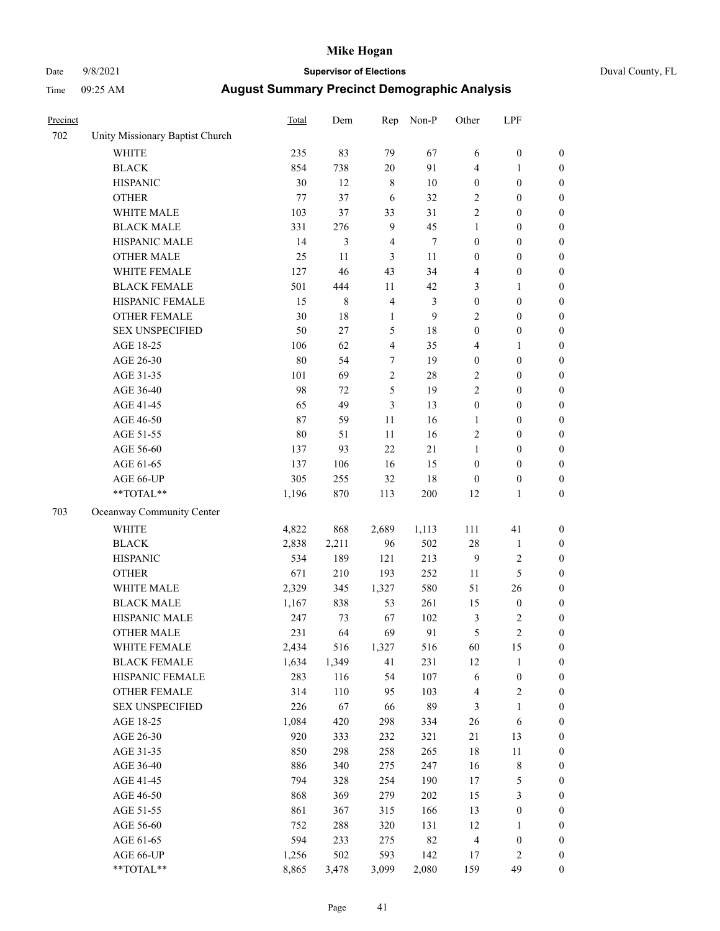### Date 9/8/2021 **Supervisor of Elections** Duval County, FL

| Precinct |                                 | Total  | Dem         | Rep              | Non-P | Other                    | LPF              |                  |
|----------|---------------------------------|--------|-------------|------------------|-------|--------------------------|------------------|------------------|
| 702      | Unity Missionary Baptist Church |        |             |                  |       |                          |                  |                  |
|          | <b>WHITE</b>                    | 235    | 83          | 79               | 67    | 6                        | $\boldsymbol{0}$ | 0                |
|          | <b>BLACK</b>                    | 854    | 738         | $20\,$           | 91    | 4                        | 1                | $\boldsymbol{0}$ |
|          | <b>HISPANIC</b>                 | 30     | 12          | $\,$ 8 $\,$      | 10    | $\boldsymbol{0}$         | $\boldsymbol{0}$ | $\boldsymbol{0}$ |
|          | <b>OTHER</b>                    | 77     | 37          | 6                | 32    | 2                        | $\boldsymbol{0}$ | $\boldsymbol{0}$ |
|          | WHITE MALE                      | 103    | 37          | 33               | 31    | 2                        | $\boldsymbol{0}$ | $\boldsymbol{0}$ |
|          | <b>BLACK MALE</b>               | 331    | 276         | $\boldsymbol{9}$ | 45    | 1                        | $\boldsymbol{0}$ | $\boldsymbol{0}$ |
|          | HISPANIC MALE                   | 14     | 3           | $\overline{4}$   | 7     | 0                        | $\boldsymbol{0}$ | $\boldsymbol{0}$ |
|          | <b>OTHER MALE</b>               | 25     | 11          | 3                | 11    | 0                        | $\boldsymbol{0}$ | $\boldsymbol{0}$ |
|          | WHITE FEMALE                    | 127    | 46          | 43               | 34    | 4                        | $\boldsymbol{0}$ | $\boldsymbol{0}$ |
|          | <b>BLACK FEMALE</b>             | 501    | 444         | 11               | 42    | 3                        | 1                | $\boldsymbol{0}$ |
|          | HISPANIC FEMALE                 | 15     | $\,$ 8 $\,$ | $\overline{4}$   | 3     | $\boldsymbol{0}$         | $\boldsymbol{0}$ | $\boldsymbol{0}$ |
|          | OTHER FEMALE                    | 30     | 18          | $\mathbf{1}$     | 9     | $\overline{c}$           | $\boldsymbol{0}$ | $\boldsymbol{0}$ |
|          | <b>SEX UNSPECIFIED</b>          | 50     | 27          | 5                | 18    | $\boldsymbol{0}$         | $\boldsymbol{0}$ | $\boldsymbol{0}$ |
|          | AGE 18-25                       | 106    | 62          | 4                | 35    | 4                        | 1                | $\boldsymbol{0}$ |
|          | AGE 26-30                       | 80     | 54          | 7                | 19    | $\boldsymbol{0}$         | $\boldsymbol{0}$ | $\boldsymbol{0}$ |
|          | AGE 31-35                       | 101    | 69          | $\overline{c}$   | 28    | $\overline{c}$           | $\boldsymbol{0}$ | $\boldsymbol{0}$ |
|          | AGE 36-40                       | 98     | 72          | 5                | 19    | $\overline{c}$           | $\boldsymbol{0}$ | $\boldsymbol{0}$ |
|          | AGE 41-45                       | 65     | 49          | 3                | 13    | $\boldsymbol{0}$         | $\boldsymbol{0}$ | $\boldsymbol{0}$ |
|          | AGE 46-50                       | 87     | 59          | $11\,$           | 16    | 1                        | $\boldsymbol{0}$ | $\boldsymbol{0}$ |
|          | AGE 51-55                       | $80\,$ | 51          | 11               | 16    | 2                        | $\boldsymbol{0}$ | $\boldsymbol{0}$ |
|          | AGE 56-60                       | 137    | 93          | 22               | 21    | $\mathbf{1}$             | $\boldsymbol{0}$ | $\boldsymbol{0}$ |
|          | AGE 61-65                       | 137    | 106         | 16               | 15    | $\boldsymbol{0}$         | $\boldsymbol{0}$ | $\boldsymbol{0}$ |
|          | AGE 66-UP                       | 305    | 255         | 32               | 18    | $\boldsymbol{0}$         | $\boldsymbol{0}$ | $\boldsymbol{0}$ |
|          | $**TOTAL**$                     | 1,196  | 870         | 113              | 200   | 12                       | $\mathbf{1}$     | $\boldsymbol{0}$ |
| 703      | Oceanway Community Center       |        |             |                  |       |                          |                  |                  |
|          | WHITE                           | 4,822  | 868         | 2,689            | 1,113 | 111                      | 41               | $\boldsymbol{0}$ |
|          | <b>BLACK</b>                    | 2,838  | 2,211       | 96               | 502   | 28                       | $\mathbf{1}$     | $\boldsymbol{0}$ |
|          | <b>HISPANIC</b>                 | 534    | 189         | 121              | 213   | 9                        | $\sqrt{2}$       | $\boldsymbol{0}$ |
|          | <b>OTHER</b>                    | 671    | 210         | 193              | 252   | 11                       | 5                | $\boldsymbol{0}$ |
|          | WHITE MALE                      | 2,329  | 345         | 1,327            | 580   | 51                       | 26               | $\boldsymbol{0}$ |
|          | <b>BLACK MALE</b>               | 1,167  | 838         | 53               | 261   | 15                       | $\boldsymbol{0}$ | $\boldsymbol{0}$ |
|          | HISPANIC MALE                   | 247    | 73          | 67               | 102   | 3                        | $\boldsymbol{2}$ | $\boldsymbol{0}$ |
|          | <b>OTHER MALE</b>               | 231    | 64          | 69               | 91    | 5                        | $\overline{2}$   | $\boldsymbol{0}$ |
|          | WHITE FEMALE                    | 2,434  | 516         | 1,327            | 516   | 60                       | 15               | 0                |
|          | <b>BLACK FEMALE</b>             | 1,634  | 1,349       | 41               | 231   | 12                       | $\mathbf{1}$     | 0                |
|          | HISPANIC FEMALE                 | 283    | 116         | 54               | 107   | 6                        | $\boldsymbol{0}$ | 0                |
|          | <b>OTHER FEMALE</b>             | 314    | 110         | 95               | 103   | $\overline{\mathcal{L}}$ | $\sqrt{2}$       | 0                |
|          | <b>SEX UNSPECIFIED</b>          | 226    | 67          | 66               | 89    | 3                        | $\mathbf{1}$     | 0                |
|          | AGE 18-25                       | 1,084  | 420         | 298              | 334   | 26                       | 6                | 0                |
|          | AGE 26-30                       | 920    | 333         | 232              | 321   | 21                       | 13               | 0                |
|          | AGE 31-35                       | 850    | 298         | 258              | 265   | 18                       | $11\,$           | 0                |
|          | AGE 36-40                       | 886    | 340         | 275              | 247   | 16                       | $\,$ $\,$        | 0                |
|          | AGE 41-45                       | 794    | 328         | 254              | 190   | 17                       | $\mathfrak s$    | 0                |
|          | AGE 46-50                       | 868    | 369         | 279              | 202   | 15                       | 3                | 0                |
|          | AGE 51-55                       | 861    | 367         | 315              | 166   | 13                       | $\boldsymbol{0}$ | 0                |
|          | AGE 56-60                       | 752    | 288         | 320              | 131   | 12                       | 1                | 0                |
|          | AGE 61-65                       | 594    | 233         | 275              | 82    | 4                        | $\boldsymbol{0}$ | 0                |
|          | AGE 66-UP                       | 1,256  | 502         | 593              | 142   | 17                       | $\sqrt{2}$       | 0                |
|          | **TOTAL**                       | 8,865  | 3,478       | 3,099            | 2,080 | 159                      | 49               | $\boldsymbol{0}$ |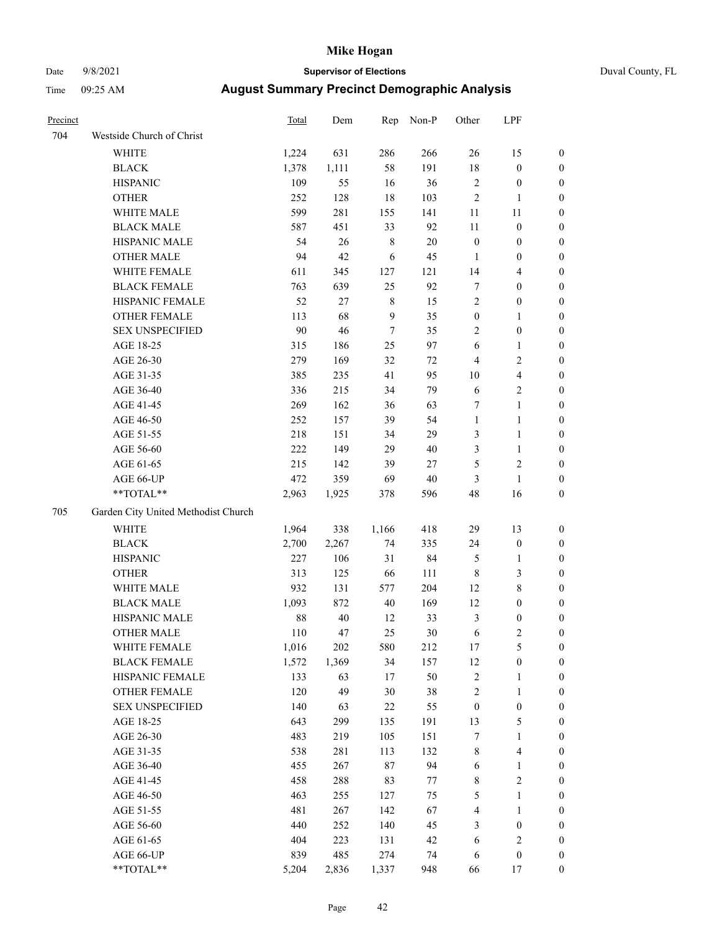### Date 9/8/2021 **Supervisor of Elections** Duval County, FL

| Precinct |                                     | <b>Total</b> | Dem   | Rep         | Non-P  | Other            | LPF                     |                  |
|----------|-------------------------------------|--------------|-------|-------------|--------|------------------|-------------------------|------------------|
| 704      | Westside Church of Christ           |              |       |             |        |                  |                         |                  |
|          | <b>WHITE</b>                        | 1,224        | 631   | 286         | 266    | 26               | 15                      | 0                |
|          | <b>BLACK</b>                        | 1,378        | 1,111 | 58          | 191    | $18\,$           | $\boldsymbol{0}$        | 0                |
|          | <b>HISPANIC</b>                     | 109          | 55    | 16          | 36     | $\sqrt{2}$       | $\boldsymbol{0}$        | 0                |
|          | <b>OTHER</b>                        | 252          | 128   | $18\,$      | 103    | $\sqrt{2}$       | 1                       | $\boldsymbol{0}$ |
|          | WHITE MALE                          | 599          | 281   | 155         | 141    | 11               | 11                      | $\boldsymbol{0}$ |
|          | <b>BLACK MALE</b>                   | 587          | 451   | 33          | 92     | 11               | $\boldsymbol{0}$        | $\boldsymbol{0}$ |
|          | HISPANIC MALE                       | 54           | 26    | $\,$ 8 $\,$ | $20\,$ | $\boldsymbol{0}$ | $\boldsymbol{0}$        | $\boldsymbol{0}$ |
|          | <b>OTHER MALE</b>                   | 94           | 42    | 6           | 45     | $\mathbf{1}$     | $\boldsymbol{0}$        | $\boldsymbol{0}$ |
|          | WHITE FEMALE                        | 611          | 345   | 127         | 121    | 14               | $\overline{\mathbf{4}}$ | $\boldsymbol{0}$ |
|          | <b>BLACK FEMALE</b>                 | 763          | 639   | 25          | 92     | 7                | $\boldsymbol{0}$        | 0                |
|          | HISPANIC FEMALE                     | 52           | 27    | $\,$ 8 $\,$ | 15     | $\sqrt{2}$       | $\boldsymbol{0}$        | 0                |
|          | OTHER FEMALE                        | 113          | 68    | 9           | 35     | $\boldsymbol{0}$ | $\mathbf{1}$            | 0                |
|          | <b>SEX UNSPECIFIED</b>              | 90           | 46    | $\tau$      | 35     | 2                | $\boldsymbol{0}$        | $\boldsymbol{0}$ |
|          | AGE 18-25                           | 315          | 186   | 25          | 97     | 6                | $\mathbf{1}$            | $\boldsymbol{0}$ |
|          | AGE 26-30                           | 279          | 169   | 32          | $72\,$ | 4                | $\sqrt{2}$              | $\boldsymbol{0}$ |
|          | AGE 31-35                           | 385          | 235   | 41          | 95     | $10\,$           | $\overline{\mathbf{4}}$ | $\boldsymbol{0}$ |
|          | AGE 36-40                           | 336          | 215   | 34          | 79     | $\sqrt{6}$       | $\sqrt{2}$              | $\boldsymbol{0}$ |
|          | AGE 41-45                           | 269          | 162   | 36          | 63     | 7                | $\mathbf{1}$            | $\boldsymbol{0}$ |
|          | AGE 46-50                           | 252          | 157   | 39          | 54     | $\mathbf{1}$     | $\mathbf{1}$            | $\boldsymbol{0}$ |
|          | AGE 51-55                           | 218          | 151   | 34          | 29     | 3                | $\mathbf{1}$            | 0                |
|          | AGE 56-60                           | 222          | 149   | 29          | 40     | 3                | $\mathbf{1}$            | 0                |
|          | AGE 61-65                           | 215          | 142   | 39          | 27     | 5                | $\sqrt{2}$              | 0                |
|          | AGE 66-UP                           | 472          | 359   | 69          | $40\,$ | 3                | $\mathbf{1}$            | 0                |
|          | **TOTAL**                           | 2,963        | 1,925 | 378         | 596    | 48               | 16                      | $\boldsymbol{0}$ |
|          |                                     |              |       |             |        |                  |                         |                  |
| 705      | Garden City United Methodist Church |              |       |             |        |                  |                         |                  |
|          | <b>WHITE</b>                        | 1,964        | 338   | 1,166       | 418    | 29               | 13                      | $\boldsymbol{0}$ |
|          | <b>BLACK</b>                        | 2,700        | 2,267 | 74          | 335    | 24               | $\boldsymbol{0}$        | $\boldsymbol{0}$ |
|          | <b>HISPANIC</b>                     | 227          | 106   | 31          | 84     | 5                | $\mathbf{1}$            | $\boldsymbol{0}$ |
|          | <b>OTHER</b>                        | 313          | 125   | 66          | 111    | $\,$ 8 $\,$      | $\mathfrak{Z}$          | $\boldsymbol{0}$ |
|          | WHITE MALE                          | 932          | 131   | 577         | 204    | 12               | $8\,$                   | $\boldsymbol{0}$ |
|          | <b>BLACK MALE</b>                   | 1,093        | 872   | 40          | 169    | 12               | $\boldsymbol{0}$        | $\boldsymbol{0}$ |
|          | HISPANIC MALE                       | $88\,$       | 40    | 12          | 33     | $\mathfrak{Z}$   | $\boldsymbol{0}$        | 0                |
|          | <b>OTHER MALE</b>                   | 110          | 47    | 25          | $30\,$ | 6                | $\mathfrak{2}$          | 0                |
|          | WHITE FEMALE                        | 1,016        | 202   | 580         | 212    | 17               | 5                       | 0                |
|          | <b>BLACK FEMALE</b>                 | 1,572        | 1,369 | 34          | 157    | 12               | $\boldsymbol{0}$        | $\boldsymbol{0}$ |
|          | HISPANIC FEMALE                     | 133          | 63    | $17$        | 50     | $\overline{c}$   | $\mathbf{1}$            | $\boldsymbol{0}$ |
|          | OTHER FEMALE                        | 120          | 49    | 30          | 38     | 2                | $\mathbf{1}$            | $\overline{0}$   |
|          | <b>SEX UNSPECIFIED</b>              | 140          | 63    | 22          | 55     | $\boldsymbol{0}$ | $\boldsymbol{0}$        | 0                |
|          | AGE 18-25                           | 643          | 299   | 135         | 191    | 13               | $\mathfrak{S}$          | 0                |
|          | AGE 26-30                           | 483          | 219   | 105         | 151    | 7                | $\mathbf{1}$            | 0                |
|          | AGE 31-35                           | 538          | 281   | 113         | 132    | 8                | $\overline{\mathbf{4}}$ | 0                |
|          | AGE 36-40                           | 455          | 267   | 87          | 94     | 6                | $\mathbf{1}$            | 0                |
|          | AGE 41-45                           | 458          | 288   | 83          | 77     | 8                | $\sqrt{2}$              | 0                |
|          | AGE 46-50                           | 463          | 255   | 127         | 75     | 5                | $\mathbf{1}$            | 0                |
|          | AGE 51-55                           | 481          | 267   | 142         | 67     | 4                | $\mathbf{1}$            | 0                |
|          | AGE 56-60                           | 440          | 252   | 140         | 45     | 3                | $\boldsymbol{0}$        | $\overline{0}$   |
|          | AGE 61-65                           | 404          | 223   | 131         | 42     | 6                | $\sqrt{2}$              | $\overline{0}$   |
|          | AGE 66-UP                           | 839          | 485   | 274         | 74     | 6                | $\boldsymbol{0}$        | 0                |
|          | **TOTAL**                           | 5,204        | 2,836 | 1,337       | 948    | 66               | 17                      | $\boldsymbol{0}$ |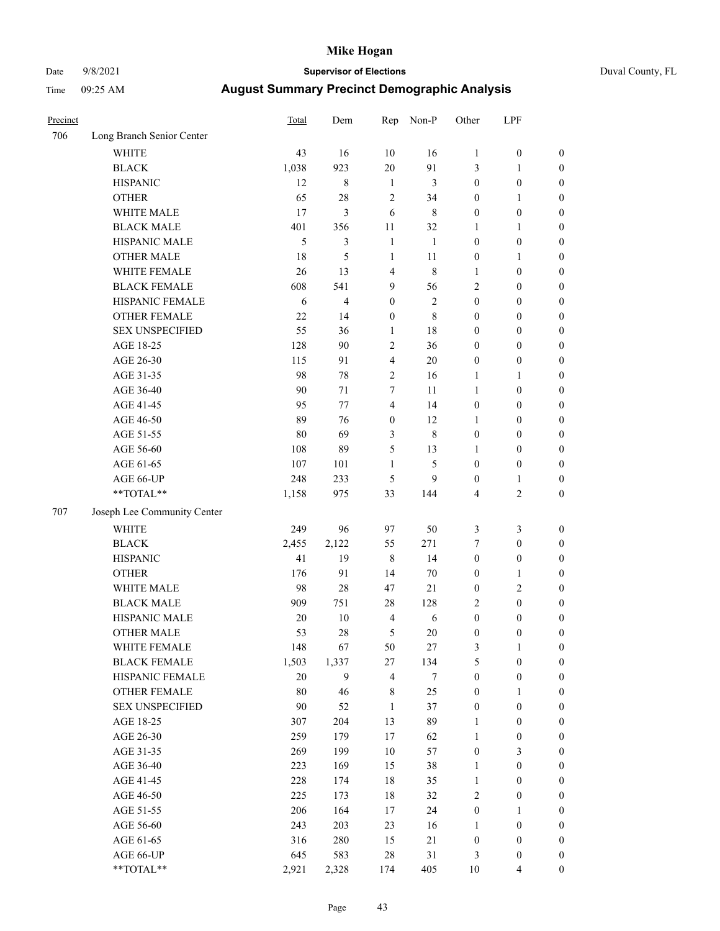### Date 9/8/2021 **Supervisor of Elections** Duval County, FL

| Precinct |                             | <b>Total</b> | Dem         | Rep              | Non-P          | Other            | LPF              |                  |
|----------|-----------------------------|--------------|-------------|------------------|----------------|------------------|------------------|------------------|
| 706      | Long Branch Senior Center   |              |             |                  |                |                  |                  |                  |
|          | <b>WHITE</b>                | 43           | 16          | 10               | 16             | $\mathbf{1}$     | $\boldsymbol{0}$ | $\boldsymbol{0}$ |
|          | <b>BLACK</b>                | 1,038        | 923         | 20               | 91             | 3                | $\mathbf{1}$     | $\boldsymbol{0}$ |
|          | <b>HISPANIC</b>             | 12           | $\,$ 8 $\,$ | $\mathbf{1}$     | 3              | $\boldsymbol{0}$ | $\boldsymbol{0}$ | $\boldsymbol{0}$ |
|          | <b>OTHER</b>                | 65           | 28          | $\overline{2}$   | 34             | $\boldsymbol{0}$ | $\mathbf{1}$     | $\boldsymbol{0}$ |
|          | WHITE MALE                  | 17           | 3           | 6                | $\,$ 8 $\,$    | $\boldsymbol{0}$ | $\boldsymbol{0}$ | $\boldsymbol{0}$ |
|          | <b>BLACK MALE</b>           | 401          | 356         | 11               | 32             | 1                | $\mathbf{1}$     | $\boldsymbol{0}$ |
|          | HISPANIC MALE               | 5            | 3           | $\mathbf{1}$     | 1              | $\boldsymbol{0}$ | $\boldsymbol{0}$ | $\boldsymbol{0}$ |
|          | <b>OTHER MALE</b>           | 18           | 5           | $\mathbf{1}$     | 11             | $\boldsymbol{0}$ | $\mathbf{1}$     | $\boldsymbol{0}$ |
|          | WHITE FEMALE                | 26           | 13          | $\overline{4}$   | $\,$ 8 $\,$    | 1                | $\boldsymbol{0}$ | $\boldsymbol{0}$ |
|          | <b>BLACK FEMALE</b>         | 608          | 541         | 9                | 56             | $\overline{c}$   | $\boldsymbol{0}$ | $\boldsymbol{0}$ |
|          | HISPANIC FEMALE             | 6            | 4           | $\boldsymbol{0}$ | $\mathfrak{2}$ | $\boldsymbol{0}$ | $\boldsymbol{0}$ | 0                |
|          | <b>OTHER FEMALE</b>         | 22           | 14          | $\boldsymbol{0}$ | $\,$ 8 $\,$    | $\boldsymbol{0}$ | $\boldsymbol{0}$ | $\boldsymbol{0}$ |
|          | <b>SEX UNSPECIFIED</b>      | 55           | 36          | $\mathbf{1}$     | 18             | $\boldsymbol{0}$ | $\boldsymbol{0}$ | $\boldsymbol{0}$ |
|          | AGE 18-25                   | 128          | 90          | $\sqrt{2}$       | 36             | $\boldsymbol{0}$ | $\boldsymbol{0}$ | $\boldsymbol{0}$ |
|          | AGE 26-30                   | 115          | 91          | $\overline{4}$   | 20             | $\boldsymbol{0}$ | $\boldsymbol{0}$ | $\boldsymbol{0}$ |
|          | AGE 31-35                   | 98           | 78          | $\sqrt{2}$       | 16             | $\mathbf{1}$     | $\mathbf{1}$     | $\boldsymbol{0}$ |
|          | AGE 36-40                   | 90           | 71          | $\tau$           | 11             | $\mathbf{1}$     | $\boldsymbol{0}$ | $\boldsymbol{0}$ |
|          | AGE 41-45                   | 95           | 77          | $\overline{4}$   | 14             | $\boldsymbol{0}$ | $\boldsymbol{0}$ | $\boldsymbol{0}$ |
|          | AGE 46-50                   | 89           | 76          | $\boldsymbol{0}$ | 12             | 1                | $\boldsymbol{0}$ | $\boldsymbol{0}$ |
|          | AGE 51-55                   | 80           | 69          | $\mathfrak{Z}$   | $\,$ 8 $\,$    | $\boldsymbol{0}$ | $\boldsymbol{0}$ | $\boldsymbol{0}$ |
|          | AGE 56-60                   | 108          | 89          | 5                | 13             | 1                | $\boldsymbol{0}$ | 0                |
|          | AGE 61-65                   | 107          | 101         | 1                | 5              | $\boldsymbol{0}$ | $\boldsymbol{0}$ | 0                |
|          | AGE 66-UP                   | 248          | 233         | 5                | 9              | $\boldsymbol{0}$ | $\mathbf{1}$     | $\boldsymbol{0}$ |
|          | $**TOTAL**$                 | 1,158        | 975         | 33               | 144            | 4                | $\sqrt{2}$       | $\boldsymbol{0}$ |
| 707      | Joseph Lee Community Center |              |             |                  |                |                  |                  |                  |
|          | <b>WHITE</b>                | 249          | 96          | 97               | 50             | 3                | $\mathfrak{Z}$   | $\boldsymbol{0}$ |
|          | <b>BLACK</b>                | 2,455        | 2,122       | 55               | 271            | 7                | $\boldsymbol{0}$ | $\boldsymbol{0}$ |
|          | <b>HISPANIC</b>             | 41           | 19          | $\,8\,$          | 14             | $\boldsymbol{0}$ | $\boldsymbol{0}$ | $\boldsymbol{0}$ |
|          | <b>OTHER</b>                | 176          | 91          | 14               | $70\,$         | $\boldsymbol{0}$ | $\mathbf{1}$     | $\boldsymbol{0}$ |
|          | WHITE MALE                  | 98           | 28          | 47               | 21             | $\boldsymbol{0}$ | $\mathbf{2}$     | $\boldsymbol{0}$ |
|          | <b>BLACK MALE</b>           | 909          | 751         | $28\,$           | 128            | $\overline{c}$   | $\boldsymbol{0}$ | $\boldsymbol{0}$ |
|          | HISPANIC MALE               | 20           | $10\,$      | $\overline{4}$   | $\sqrt{6}$     | $\boldsymbol{0}$ | $\boldsymbol{0}$ | $\boldsymbol{0}$ |
|          | <b>OTHER MALE</b>           | 53           | 28          | 5                | 20             | $\boldsymbol{0}$ | $\boldsymbol{0}$ | $\boldsymbol{0}$ |
|          | WHITE FEMALE                | 148          | 67          | 50               | 27             | 3                | 1                | 0                |
|          | <b>BLACK FEMALE</b>         | 1,503        | 1,337       | 27               | 134            | 5                | $\boldsymbol{0}$ | $\boldsymbol{0}$ |
|          | HISPANIC FEMALE             | 20           | 9           | $\overline{4}$   | $\tau$         | $\boldsymbol{0}$ | $\boldsymbol{0}$ | $\boldsymbol{0}$ |
|          | OTHER FEMALE                | 80           | 46          | 8                | 25             | $\boldsymbol{0}$ | $\mathbf{1}$     | $\overline{0}$   |
|          | <b>SEX UNSPECIFIED</b>      | 90           | 52          | $\mathbf{1}$     | 37             | $\boldsymbol{0}$ | $\boldsymbol{0}$ | $\overline{0}$   |
|          | AGE 18-25                   | 307          | 204         | 13               | 89             | $\mathbf{1}$     | $\boldsymbol{0}$ | $\overline{0}$   |
|          | AGE 26-30                   | 259          | 179         | $17\,$           | 62             | $\mathbf{1}$     | $\boldsymbol{0}$ | 0                |
|          | AGE 31-35                   | 269          | 199         | $10\,$           | 57             | $\boldsymbol{0}$ | $\mathfrak{Z}$   | 0                |
|          | AGE 36-40                   | 223          | 169         | 15               | 38             | $\mathbf{1}$     | $\boldsymbol{0}$ | 0                |
|          | AGE 41-45                   | 228          | 174         | $18\,$           | 35             | $\mathbf{1}$     | $\boldsymbol{0}$ | 0                |
|          | AGE 46-50                   | 225          | 173         | $18\,$           | 32             | $\sqrt{2}$       | $\boldsymbol{0}$ | 0                |
|          | AGE 51-55                   | 206          | 164         | 17               | 24             | $\boldsymbol{0}$ | $\mathbf{1}$     | $\boldsymbol{0}$ |
|          | AGE 56-60                   | 243          | 203         | 23               | 16             | 1                | $\boldsymbol{0}$ | $\boldsymbol{0}$ |
|          | AGE 61-65                   | 316          | 280         | 15               | 21             | $\boldsymbol{0}$ | $\boldsymbol{0}$ | $\boldsymbol{0}$ |
|          | AGE 66-UP                   | 645          | 583         | $28\,$           | 31             | 3                | $\boldsymbol{0}$ | $\boldsymbol{0}$ |
|          | **TOTAL**                   | 2,921        | 2,328       | 174              | 405            | 10               | $\overline{4}$   | $\boldsymbol{0}$ |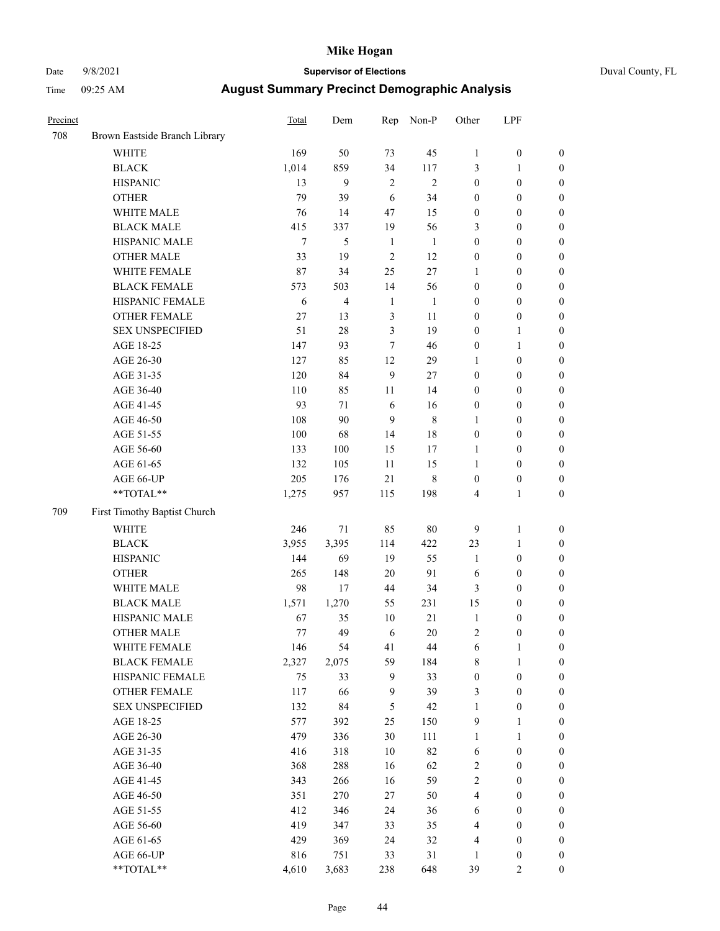### Date 9/8/2021 **Supervisor of Elections** Duval County, FL

| Precinct |                               | Total  | Dem            | Rep            | Non-P        | Other            | LPF              |                  |
|----------|-------------------------------|--------|----------------|----------------|--------------|------------------|------------------|------------------|
| 708      | Brown Eastside Branch Library |        |                |                |              |                  |                  |                  |
|          | <b>WHITE</b>                  | 169    | 50             | 73             | 45           | $\mathbf{1}$     | $\boldsymbol{0}$ | $\boldsymbol{0}$ |
|          | <b>BLACK</b>                  | 1,014  | 859            | 34             | 117          | 3                | $\mathbf{1}$     | $\boldsymbol{0}$ |
|          | <b>HISPANIC</b>               | 13     | 9              | $\overline{2}$ | $\mathbf{2}$ | $\boldsymbol{0}$ | $\boldsymbol{0}$ | $\boldsymbol{0}$ |
|          | <b>OTHER</b>                  | 79     | 39             | 6              | 34           | $\boldsymbol{0}$ | $\boldsymbol{0}$ | $\boldsymbol{0}$ |
|          | WHITE MALE                    | 76     | 14             | 47             | 15           | $\boldsymbol{0}$ | $\boldsymbol{0}$ | $\boldsymbol{0}$ |
|          | <b>BLACK MALE</b>             | 415    | 337            | 19             | 56           | 3                | $\boldsymbol{0}$ | $\boldsymbol{0}$ |
|          | HISPANIC MALE                 | $\tau$ | 5              | $\mathbf{1}$   | $\mathbf{1}$ | $\boldsymbol{0}$ | $\boldsymbol{0}$ | $\boldsymbol{0}$ |
|          | OTHER MALE                    | 33     | 19             | $\overline{2}$ | 12           | $\boldsymbol{0}$ | $\boldsymbol{0}$ | $\boldsymbol{0}$ |
|          | WHITE FEMALE                  | 87     | 34             | 25             | $27\,$       | $\mathbf{1}$     | $\boldsymbol{0}$ | $\boldsymbol{0}$ |
|          | <b>BLACK FEMALE</b>           | 573    | 503            | 14             | 56           | $\boldsymbol{0}$ | $\boldsymbol{0}$ | 0                |
|          | HISPANIC FEMALE               | 6      | $\overline{4}$ | $\mathbf{1}$   | $\mathbf{1}$ | $\boldsymbol{0}$ | $\boldsymbol{0}$ | $\boldsymbol{0}$ |
|          | OTHER FEMALE                  | 27     | 13             | $\mathfrak{Z}$ | 11           | $\boldsymbol{0}$ | $\boldsymbol{0}$ | $\boldsymbol{0}$ |
|          | <b>SEX UNSPECIFIED</b>        | 51     | $28\,$         | 3              | 19           | $\boldsymbol{0}$ | 1                | $\boldsymbol{0}$ |
|          | AGE 18-25                     | 147    | 93             | 7              | 46           | $\boldsymbol{0}$ | $\mathbf{1}$     | $\boldsymbol{0}$ |
|          | AGE 26-30                     | 127    | 85             | 12             | 29           | $\mathbf{1}$     | $\boldsymbol{0}$ | $\boldsymbol{0}$ |
|          | AGE 31-35                     | 120    | 84             | 9              | $27\,$       | $\boldsymbol{0}$ | $\boldsymbol{0}$ | $\boldsymbol{0}$ |
|          | AGE 36-40                     | 110    | 85             | 11             | 14           | $\boldsymbol{0}$ | $\boldsymbol{0}$ | $\boldsymbol{0}$ |
|          | AGE 41-45                     | 93     | 71             | 6              | 16           | $\boldsymbol{0}$ | $\boldsymbol{0}$ | $\boldsymbol{0}$ |
|          | AGE 46-50                     | 108    | 90             | 9              | $\,$ 8 $\,$  | $\mathbf{1}$     | $\boldsymbol{0}$ | $\boldsymbol{0}$ |
|          | AGE 51-55                     | 100    | 68             | 14             | 18           | $\boldsymbol{0}$ | $\boldsymbol{0}$ | 0                |
|          | AGE 56-60                     | 133    | 100            | 15             | 17           | $\mathbf{1}$     | $\boldsymbol{0}$ | $\boldsymbol{0}$ |
|          | AGE 61-65                     | 132    | 105            | 11             | 15           | $\mathbf{1}$     | $\boldsymbol{0}$ | $\boldsymbol{0}$ |
|          | AGE 66-UP                     | 205    | 176            | 21             | 8            | $\boldsymbol{0}$ | $\boldsymbol{0}$ | $\boldsymbol{0}$ |
|          | **TOTAL**                     | 1,275  | 957            | 115            | 198          | 4                | $\mathbf{1}$     | $\boldsymbol{0}$ |
| 709      | First Timothy Baptist Church  |        |                |                |              |                  |                  |                  |
|          | <b>WHITE</b>                  | 246    | 71             | 85             | $80\,$       | 9                | $\mathbf{1}$     | $\boldsymbol{0}$ |
|          | <b>BLACK</b>                  | 3,955  | 3,395          | 114            | 422          | 23               | $\mathbf{1}$     | $\boldsymbol{0}$ |
|          | <b>HISPANIC</b>               | 144    | 69             | 19             | 55           | $\mathbf{1}$     | $\boldsymbol{0}$ | $\boldsymbol{0}$ |
|          | <b>OTHER</b>                  | 265    | 148            | $20\,$         | 91           | 6                | $\boldsymbol{0}$ | $\boldsymbol{0}$ |
|          | WHITE MALE                    | 98     | 17             | 44             | 34           | 3                | $\boldsymbol{0}$ | $\boldsymbol{0}$ |
|          | <b>BLACK MALE</b>             | 1,571  | 1,270          | 55             | 231          | 15               | $\boldsymbol{0}$ | $\boldsymbol{0}$ |
|          | HISPANIC MALE                 | 67     | 35             | 10             | 21           | $\mathbf{1}$     | $\boldsymbol{0}$ | 0                |
|          | <b>OTHER MALE</b>             | 77     | 49             | 6              | 20           | $\mathfrak{2}$   | $\boldsymbol{0}$ | $\boldsymbol{0}$ |
|          | WHITE FEMALE                  | 146    | 54             | 41             | 44           | 6                | $\mathbf{1}$     | $\boldsymbol{0}$ |
|          | <b>BLACK FEMALE</b>           | 2,327  | 2,075          | 59             | 184          | 8                | 1                | $\boldsymbol{0}$ |
|          | HISPANIC FEMALE               | 75     | 33             | 9              | 33           | $\boldsymbol{0}$ | $\boldsymbol{0}$ | $\overline{0}$   |
|          | OTHER FEMALE                  | 117    | 66             | $\mathbf{9}$   | 39           | 3                | $\boldsymbol{0}$ | $\overline{0}$   |
|          | <b>SEX UNSPECIFIED</b>        | 132    | 84             | 5              | $42\,$       | $\mathbf{1}$     | $\boldsymbol{0}$ | 0                |
|          | AGE 18-25                     | 577    | 392            | 25             | 150          | 9                | $\mathbf{1}$     | $\overline{0}$   |
|          | AGE 26-30                     | 479    | 336            | 30             | 111          | $\mathbf{1}$     | $\mathbf{1}$     | 0                |
|          | AGE 31-35                     | 416    | 318            | 10             | 82           | 6                | $\boldsymbol{0}$ | 0                |
|          | AGE 36-40                     | 368    | 288            | 16             | 62           | 2                | $\boldsymbol{0}$ | 0                |
|          | AGE 41-45                     | 343    | 266            | 16             | 59           | $\overline{c}$   | $\boldsymbol{0}$ | 0                |
|          | AGE 46-50                     | 351    | 270            | 27             | 50           | 4                | $\boldsymbol{0}$ | $\overline{0}$   |
|          | AGE 51-55                     | 412    | 346            | 24             | 36           | 6                | $\boldsymbol{0}$ | $\boldsymbol{0}$ |
|          | AGE 56-60                     | 419    | 347            | 33             | 35           | 4                | $\boldsymbol{0}$ | $\boldsymbol{0}$ |
|          | AGE 61-65                     | 429    | 369            | 24             | 32           | 4                | $\boldsymbol{0}$ | $\boldsymbol{0}$ |
|          | AGE 66-UP                     | 816    | 751            | 33             | 31           | 1                | $\boldsymbol{0}$ | 0                |
|          | **TOTAL**                     | 4,610  | 3,683          | 238            | 648          | 39               | $\mathfrak{2}$   | $\boldsymbol{0}$ |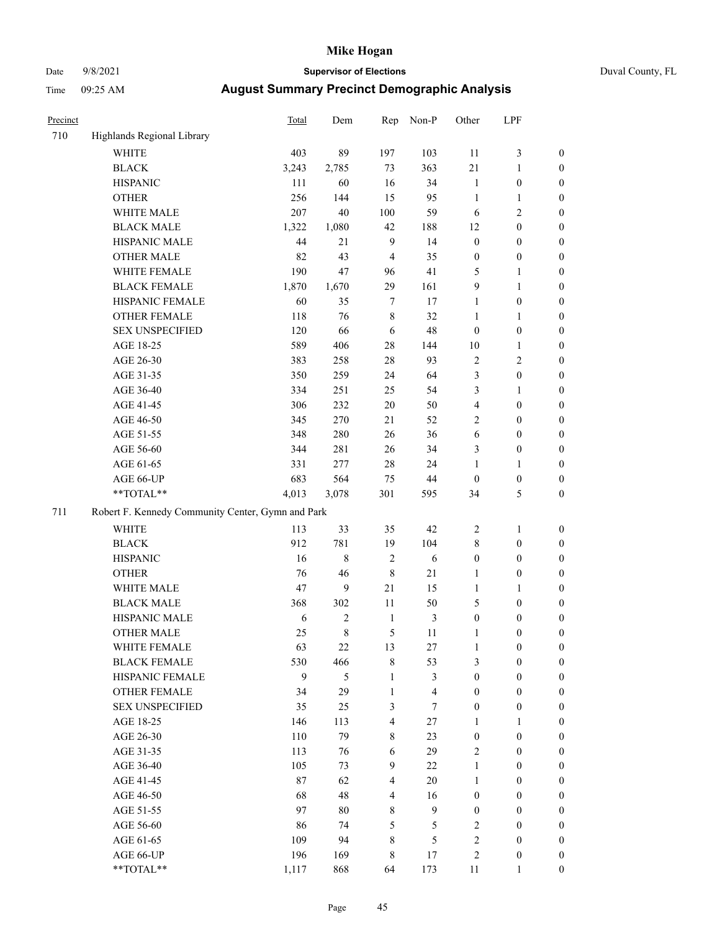## Date 9/8/2021 **Supervisor of Elections** Duval County, FL

| Precinct |                                                   | <b>Total</b> | Dem          | Rep                     | Non-P                   | Other            | LPF              |                  |
|----------|---------------------------------------------------|--------------|--------------|-------------------------|-------------------------|------------------|------------------|------------------|
| 710      | Highlands Regional Library                        |              |              |                         |                         |                  |                  |                  |
|          | <b>WHITE</b>                                      | 403          | 89           | 197                     | 103                     | 11               | $\mathfrak{Z}$   | 0                |
|          | <b>BLACK</b>                                      | 3,243        | 2,785        | 73                      | 363                     | 21               | $\mathbf{1}$     | 0                |
|          | <b>HISPANIC</b>                                   | 111          | 60           | 16                      | 34                      | $\mathbf{1}$     | $\boldsymbol{0}$ | $\boldsymbol{0}$ |
|          | <b>OTHER</b>                                      | 256          | 144          | 15                      | 95                      | $\mathbf{1}$     | 1                | $\boldsymbol{0}$ |
|          | WHITE MALE                                        | 207          | 40           | 100                     | 59                      | 6                | $\sqrt{2}$       | $\boldsymbol{0}$ |
|          | <b>BLACK MALE</b>                                 | 1,322        | 1,080        | 42                      | 188                     | 12               | $\boldsymbol{0}$ | $\boldsymbol{0}$ |
|          | HISPANIC MALE                                     | 44           | 21           | $\overline{9}$          | 14                      | $\boldsymbol{0}$ | $\boldsymbol{0}$ | $\boldsymbol{0}$ |
|          | <b>OTHER MALE</b>                                 | 82           | 43           | $\overline{4}$          | 35                      | $\boldsymbol{0}$ | $\boldsymbol{0}$ | $\boldsymbol{0}$ |
|          | WHITE FEMALE                                      | 190          | 47           | 96                      | 41                      | 5                | $\mathbf{1}$     | $\boldsymbol{0}$ |
|          | <b>BLACK FEMALE</b>                               | 1,870        | 1,670        | 29                      | 161                     | 9                | $\mathbf{1}$     | $\boldsymbol{0}$ |
|          | HISPANIC FEMALE                                   | 60           | 35           | $\tau$                  | 17                      | $\mathbf{1}$     | $\boldsymbol{0}$ | 0                |
|          | OTHER FEMALE                                      | 118          | 76           | $\,$ 8 $\,$             | 32                      | 1                | $\mathbf{1}$     | $\boldsymbol{0}$ |
|          | <b>SEX UNSPECIFIED</b>                            | 120          | 66           | 6                       | $48\,$                  | $\boldsymbol{0}$ | $\boldsymbol{0}$ | $\boldsymbol{0}$ |
|          | AGE 18-25                                         | 589          | 406          | 28                      | 144                     | $10\,$           | 1                | $\boldsymbol{0}$ |
|          | AGE 26-30                                         | 383          | 258          | 28                      | 93                      | $\sqrt{2}$       | $\sqrt{2}$       | $\boldsymbol{0}$ |
|          | AGE 31-35                                         | 350          | 259          | 24                      | 64                      | 3                | $\boldsymbol{0}$ | $\boldsymbol{0}$ |
|          | AGE 36-40                                         | 334          | 251          | 25                      | 54                      | 3                | $\mathbf{1}$     | $\boldsymbol{0}$ |
|          | AGE 41-45                                         | 306          | 232          | 20                      | 50                      | $\overline{4}$   | $\boldsymbol{0}$ | $\boldsymbol{0}$ |
|          | AGE 46-50                                         | 345          | 270          | 21                      | 52                      | $\overline{c}$   | $\boldsymbol{0}$ | $\boldsymbol{0}$ |
|          | AGE 51-55                                         | 348          | 280          | 26                      | 36                      | 6                | $\boldsymbol{0}$ | $\boldsymbol{0}$ |
|          | AGE 56-60                                         | 344          | 281          | 26                      | 34                      | 3                | $\boldsymbol{0}$ | 0                |
|          | AGE 61-65                                         | 331          | 277          | 28                      | 24                      | 1                | $\mathbf{1}$     | 0                |
|          | AGE 66-UP                                         | 683          | 564          | 75                      | 44                      | $\boldsymbol{0}$ | $\boldsymbol{0}$ | $\boldsymbol{0}$ |
|          | **TOTAL**                                         | 4,013        | 3,078        | 301                     | 595                     | 34               | $\mathfrak{S}$   | $\boldsymbol{0}$ |
| 711      | Robert F. Kennedy Community Center, Gymn and Park |              |              |                         |                         |                  |                  |                  |
|          | WHITE                                             | 113          | 33           | 35                      | 42                      | $\overline{c}$   | $\mathbf{1}$     | $\boldsymbol{0}$ |
|          | <b>BLACK</b>                                      | 912          | 781          | 19                      | 104                     | 8                | $\boldsymbol{0}$ | $\boldsymbol{0}$ |
|          | <b>HISPANIC</b>                                   | 16           | $\,$ 8 $\,$  | $\sqrt{2}$              | 6                       | $\boldsymbol{0}$ | $\boldsymbol{0}$ | $\boldsymbol{0}$ |
|          | <b>OTHER</b>                                      | 76           | 46           | $\,$ 8 $\,$             | 21                      | 1                | $\boldsymbol{0}$ | $\boldsymbol{0}$ |
|          | WHITE MALE                                        | 47           | 9            | 21                      | 15                      | $\mathbf{1}$     | $\mathbf{1}$     | $\boldsymbol{0}$ |
|          | <b>BLACK MALE</b>                                 | 368          | 302          | $11\,$                  | 50                      | 5                | $\boldsymbol{0}$ | $\boldsymbol{0}$ |
|          | HISPANIC MALE                                     | 6            | $\mathbf{2}$ | $\mathbf{1}$            | $\mathfrak{Z}$          | $\boldsymbol{0}$ | $\boldsymbol{0}$ | $\boldsymbol{0}$ |
|          | OTHER MALE                                        | 25           | 8            | 5                       | 11                      | $\mathbf{1}$     | $\boldsymbol{0}$ | $\boldsymbol{0}$ |
|          | WHITE FEMALE                                      | 63           | 22           | 13                      | 27                      | $\mathbf{1}$     | $\boldsymbol{0}$ | 0                |
|          | <b>BLACK FEMALE</b>                               | 530          | 466          | 8                       | 53                      | 3                | $\boldsymbol{0}$ | $\overline{0}$   |
|          | HISPANIC FEMALE                                   | 9            | 5            | $\mathbf{1}$            | 3                       | $\boldsymbol{0}$ | $\boldsymbol{0}$ | $\overline{0}$   |
|          | OTHER FEMALE                                      | 34           | 29           | $\mathbf{1}$            | $\overline{\mathbf{4}}$ | $\boldsymbol{0}$ | $\boldsymbol{0}$ | $\overline{0}$   |
|          | <b>SEX UNSPECIFIED</b>                            | 35           | 25           | 3                       | $\tau$                  | $\boldsymbol{0}$ | $\boldsymbol{0}$ | $\overline{0}$   |
|          | AGE 18-25                                         | 146          | 113          | $\overline{\mathbf{4}}$ | 27                      | 1                | $\mathbf{1}$     | $\overline{0}$   |
|          | AGE 26-30                                         | 110          | 79           | 8                       | 23                      | $\boldsymbol{0}$ | $\boldsymbol{0}$ | $\overline{0}$   |
|          | AGE 31-35                                         | 113          | 76           | 6                       | 29                      | 2                | $\boldsymbol{0}$ | 0                |
|          | AGE 36-40                                         | 105          | 73           | 9                       | $22\,$                  | $\mathbf{1}$     | $\boldsymbol{0}$ | 0                |
|          | AGE 41-45                                         | 87           | 62           | $\overline{4}$          | 20                      | $\mathbf{1}$     | $\boldsymbol{0}$ | 0                |
|          | AGE 46-50                                         | 68           | 48           | $\overline{4}$          | 16                      | $\boldsymbol{0}$ | $\boldsymbol{0}$ | 0                |
|          | AGE 51-55                                         | 97           | 80           | 8                       | 9                       | $\boldsymbol{0}$ | $\boldsymbol{0}$ | $\boldsymbol{0}$ |
|          | AGE 56-60                                         | 86           | 74           | 5                       | 5                       | 2                | $\boldsymbol{0}$ | $\overline{0}$   |
|          | AGE 61-65                                         | 109          | 94           | 8                       | 5                       | 2                | $\boldsymbol{0}$ | $\overline{0}$   |
|          | AGE 66-UP                                         | 196          | 169          | 8                       | 17                      | 2                | $\boldsymbol{0}$ | $\boldsymbol{0}$ |
|          | **TOTAL**                                         | 1,117        | 868          | 64                      | 173                     | 11               | $\mathbf{1}$     | $\boldsymbol{0}$ |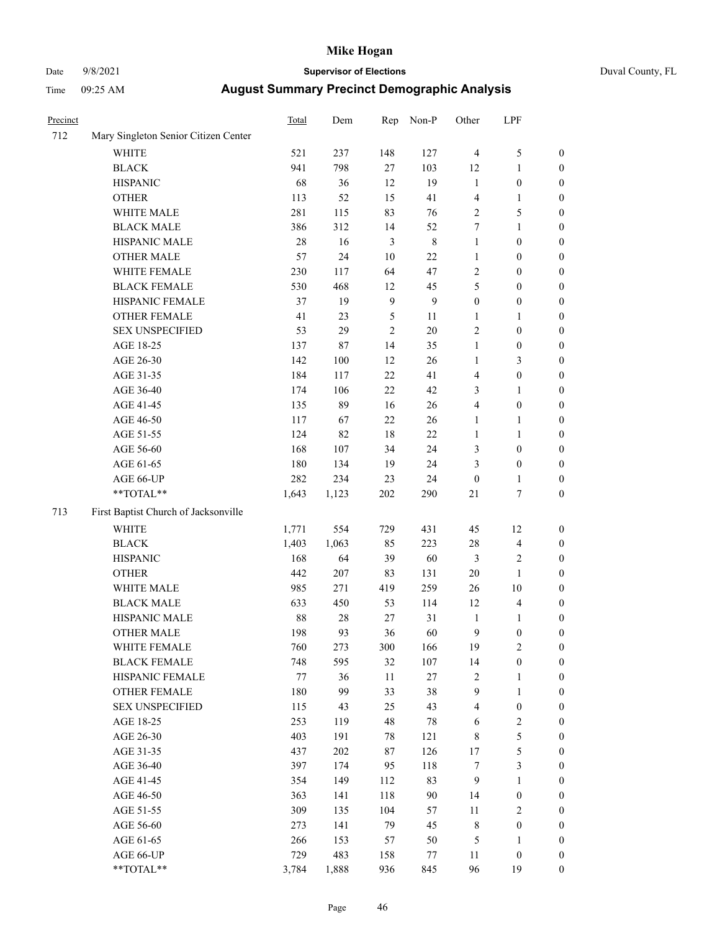### Date 9/8/2021 **Supervisor of Elections** Duval County, FL

| Precinct |                                                                        | Total   | Dem    | Rep              | Non-P            | Other            | LPF                      |                                      |
|----------|------------------------------------------------------------------------|---------|--------|------------------|------------------|------------------|--------------------------|--------------------------------------|
| 712      | Mary Singleton Senior Citizen Center                                   |         |        |                  |                  |                  |                          |                                      |
|          | <b>WHITE</b>                                                           | 521     | 237    | 148              | 127              | $\overline{4}$   | $\mathfrak s$            | 0                                    |
|          | <b>BLACK</b>                                                           | 941     | 798    | 27               | 103              | 12               | $\mathbf{1}$             | 0                                    |
|          | <b>HISPANIC</b>                                                        | 68      | 36     | 12               | 19               | $\mathbf{1}$     | $\boldsymbol{0}$         | $\boldsymbol{0}$                     |
|          | <b>OTHER</b>                                                           | 113     | 52     | 15               | 41               | 4                | 1                        | $\boldsymbol{0}$                     |
|          | WHITE MALE                                                             | 281     | 115    | 83               | 76               | 2                | 5                        | $\boldsymbol{0}$                     |
|          | <b>BLACK MALE</b>                                                      | 386     | 312    | 14               | 52               | 7                | $\mathbf{1}$             | $\boldsymbol{0}$                     |
|          | HISPANIC MALE                                                          | 28      | 16     | $\mathfrak{Z}$   | $\,$ 8 $\,$      | 1                | $\boldsymbol{0}$         | $\boldsymbol{0}$                     |
|          | <b>OTHER MALE</b>                                                      | 57      | 24     | $10\,$           | 22               | $\mathbf{1}$     | $\boldsymbol{0}$         | $\boldsymbol{0}$                     |
|          | WHITE FEMALE                                                           | 230     | 117    | 64               | 47               | $\mathbf{2}$     | $\boldsymbol{0}$         | $\boldsymbol{0}$                     |
|          | <b>BLACK FEMALE</b>                                                    | 530     | 468    | 12               | 45               | 5                | $\boldsymbol{0}$         | 0                                    |
|          | HISPANIC FEMALE                                                        | 37      | 19     | $\boldsymbol{9}$ | $\boldsymbol{9}$ | $\boldsymbol{0}$ | $\boldsymbol{0}$         | 0                                    |
|          | OTHER FEMALE                                                           | 41      | 23     | 5                | 11               | $\mathbf{1}$     | 1                        | $\boldsymbol{0}$                     |
|          | <b>SEX UNSPECIFIED</b>                                                 | 53      | 29     | $\mathbf{2}$     | 20               | $\mathbf{2}$     | $\boldsymbol{0}$         | $\boldsymbol{0}$                     |
|          | AGE 18-25                                                              | 137     | 87     | 14               | 35               | 1                | $\boldsymbol{0}$         | $\boldsymbol{0}$                     |
|          | AGE 26-30                                                              | 142     | 100    | 12               | 26               | 1                | $\mathfrak{Z}$           | $\boldsymbol{0}$                     |
|          | AGE 31-35                                                              | 184     | 117    | 22               | 41               | 4                | $\boldsymbol{0}$         | $\boldsymbol{0}$                     |
|          | AGE 36-40                                                              | 174     | 106    | 22               | 42               | 3                | $\mathbf{1}$             | $\boldsymbol{0}$                     |
|          | AGE 41-45                                                              | 135     | 89     | 16               | 26               | 4                | $\boldsymbol{0}$         | $\boldsymbol{0}$                     |
|          | AGE 46-50                                                              | 117     | 67     | 22               | 26               | 1                | 1                        | $\boldsymbol{0}$                     |
|          | AGE 51-55                                                              | 124     | 82     | 18               | $22\,$           | 1                | 1                        | 0                                    |
|          |                                                                        | 168     | 107    | 34               | 24               |                  | $\boldsymbol{0}$         |                                      |
|          | AGE 56-60<br>AGE 61-65                                                 | 180     | 134    | 19               | 24               | 3<br>3           | $\boldsymbol{0}$         | 0                                    |
|          |                                                                        | 282     | 234    | 23               | 24               | $\boldsymbol{0}$ |                          | 0                                    |
|          | AGE 66-UP<br>$\mathrm{*}\mathrm{*}\mathrm{TOTAL} \mathrm{*}\mathrm{*}$ | 1,643   | 1,123  | $202\,$          | 290              | $21\,$           | 1<br>$\boldsymbol{7}$    | $\boldsymbol{0}$<br>$\boldsymbol{0}$ |
|          |                                                                        |         |        |                  |                  |                  |                          |                                      |
| 713      | First Baptist Church of Jacksonville                                   |         |        |                  |                  |                  |                          |                                      |
|          | <b>WHITE</b>                                                           | 1,771   | 554    | 729              | 431              | 45               | 12                       | $\boldsymbol{0}$                     |
|          | <b>BLACK</b>                                                           | 1,403   | 1,063  | 85               | 223              | 28               | $\overline{\mathcal{L}}$ | $\boldsymbol{0}$                     |
|          | <b>HISPANIC</b>                                                        | 168     | 64     | 39               | 60               | 3                | $\sqrt{2}$               | $\boldsymbol{0}$                     |
|          | <b>OTHER</b>                                                           | 442     | 207    | 83               | 131              | 20               | $\mathbf{1}$             | $\boldsymbol{0}$                     |
|          | WHITE MALE                                                             | 985     | 271    | 419              | 259              | 26               | 10                       | $\boldsymbol{0}$                     |
|          | <b>BLACK MALE</b>                                                      | 633     | 450    | 53               | 114              | 12               | $\overline{4}$           | $\boldsymbol{0}$                     |
|          | HISPANIC MALE                                                          | 88      | $28\,$ | 27               | 31               | $\mathbf{1}$     | 1                        | 0                                    |
|          | <b>OTHER MALE</b>                                                      | 198     | 93     | 36               | 60               | 9                | $\boldsymbol{0}$         | $\boldsymbol{0}$                     |
|          | WHITE FEMALE                                                           | 760     | 273    | 300              | 166              | 19               | $\overline{c}$           | 0                                    |
|          | <b>BLACK FEMALE</b>                                                    | 748     | 595    | 32               | 107              | 14               | $\boldsymbol{0}$         | $\overline{0}$                       |
|          | HISPANIC FEMALE                                                        | $77 \,$ | 36     | $11\,$           | $27\,$           | 2                | $\mathbf{1}$             | $\overline{0}$                       |
|          | OTHER FEMALE                                                           | 180     | 99     | 33               | 38               | 9                | $\mathbf{1}$             | $\overline{0}$                       |
|          | <b>SEX UNSPECIFIED</b>                                                 | 115     | 43     | 25               | 43               | 4                | $\boldsymbol{0}$         | 0                                    |
|          | AGE 18-25                                                              | 253     | 119    | 48               | 78               | 6                | $\sqrt{2}$               | 0                                    |
|          | AGE 26-30                                                              | 403     | 191    | 78               | 121              | 8                | 5                        | 0                                    |
|          | AGE 31-35                                                              | 437     | 202    | 87               | 126              | 17               | 5                        | 0                                    |
|          | AGE 36-40                                                              | 397     | 174    | 95               | 118              | 7                | $\mathfrak{Z}$           | 0                                    |
|          | AGE 41-45                                                              | 354     | 149    | 112              | 83               | 9                | $\mathbf{1}$             | 0                                    |
|          | AGE 46-50                                                              | 363     | 141    | 118              | 90               | 14               | $\boldsymbol{0}$         | 0                                    |
|          | AGE 51-55                                                              | 309     | 135    | 104              | 57               | 11               | $\sqrt{2}$               | 0                                    |
|          | AGE 56-60                                                              | 273     | 141    | 79               | 45               | 8                | $\boldsymbol{0}$         | $\overline{0}$                       |
|          | AGE 61-65                                                              | 266     | 153    | 57               | 50               | 5                | 1                        | $\overline{0}$                       |
|          | AGE 66-UP                                                              | 729     | 483    | 158              | 77               | 11               | $\boldsymbol{0}$         | 0                                    |
|          | $\mathrm{*}\mathrm{*} \mathrm{TOTAL} \mathrm{*}\mathrm{*}$             | 3,784   | 1,888  | 936              | 845              | 96               | 19                       | $\boldsymbol{0}$                     |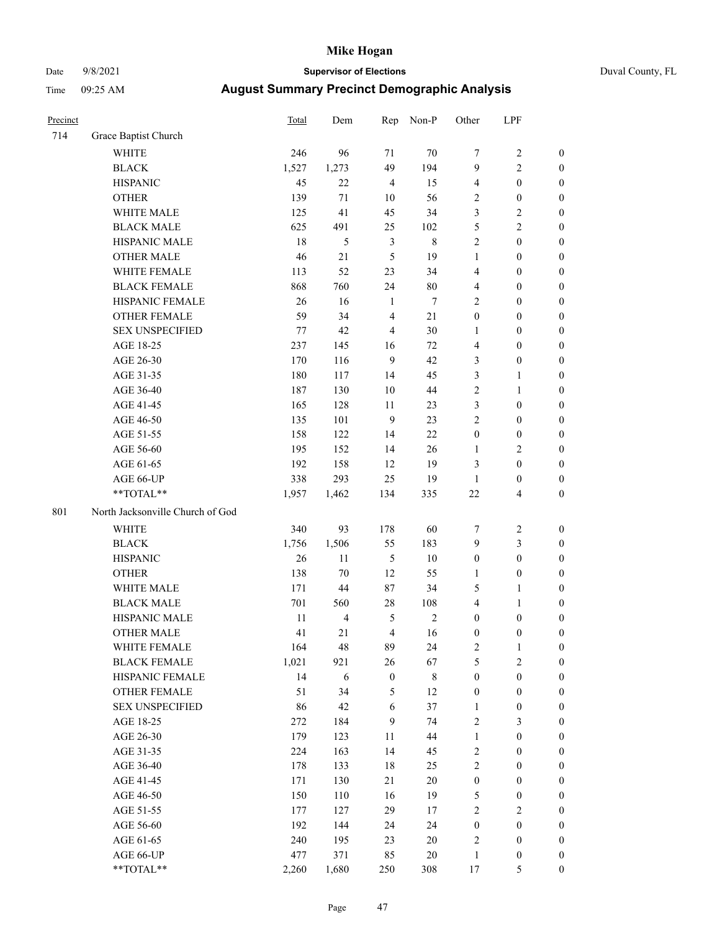# Date 9/8/2021 **Supervisor of Elections** Duval County, FL

| Precinct |                                  | <b>Total</b> | Dem            | Rep              | Non-P       | Other                   | LPF              |                  |
|----------|----------------------------------|--------------|----------------|------------------|-------------|-------------------------|------------------|------------------|
| 714      | Grace Baptist Church             |              |                |                  |             |                         |                  |                  |
|          | <b>WHITE</b>                     | 246          | 96             | 71               | 70          | 7                       | $\sqrt{2}$       | 0                |
|          | <b>BLACK</b>                     | 1,527        | 1,273          | 49               | 194         | 9                       | $\mathbf{2}$     | 0                |
|          | <b>HISPANIC</b>                  | 45           | 22             | $\overline{4}$   | 15          | 4                       | $\boldsymbol{0}$ | $\boldsymbol{0}$ |
|          | <b>OTHER</b>                     | 139          | 71             | 10               | 56          | 2                       | $\boldsymbol{0}$ | $\boldsymbol{0}$ |
|          | WHITE MALE                       | 125          | 41             | 45               | 34          | 3                       | $\sqrt{2}$       | $\boldsymbol{0}$ |
|          | <b>BLACK MALE</b>                | 625          | 491            | 25               | 102         | 5                       | $\sqrt{2}$       | $\boldsymbol{0}$ |
|          | HISPANIC MALE                    | 18           | $\sqrt{5}$     | $\mathfrak{Z}$   | $\,8\,$     | $\overline{c}$          | $\boldsymbol{0}$ | $\boldsymbol{0}$ |
|          | <b>OTHER MALE</b>                | 46           | 21             | $\mathfrak{H}$   | 19          | $\mathbf{1}$            | $\boldsymbol{0}$ | $\boldsymbol{0}$ |
|          | WHITE FEMALE                     | 113          | 52             | 23               | 34          | 4                       | $\boldsymbol{0}$ | $\boldsymbol{0}$ |
|          | <b>BLACK FEMALE</b>              | 868          | 760            | 24               | 80          | 4                       | $\boldsymbol{0}$ | $\boldsymbol{0}$ |
|          | HISPANIC FEMALE                  | 26           | 16             | $\mathbf{1}$     | $\tau$      | $\overline{c}$          | $\boldsymbol{0}$ | $\boldsymbol{0}$ |
|          | <b>OTHER FEMALE</b>              | 59           | 34             | $\overline{4}$   | 21          | $\boldsymbol{0}$        | $\boldsymbol{0}$ | $\boldsymbol{0}$ |
|          | <b>SEX UNSPECIFIED</b>           | 77           | 42             | $\overline{4}$   | 30          | $\mathbf{1}$            | $\boldsymbol{0}$ | $\boldsymbol{0}$ |
|          | AGE 18-25                        | 237          | 145            | 16               | 72          | 4                       | $\boldsymbol{0}$ | $\boldsymbol{0}$ |
|          | AGE 26-30                        | 170          | 116            | 9                | 42          | 3                       | $\boldsymbol{0}$ | $\boldsymbol{0}$ |
|          | AGE 31-35                        | 180          | 117            | 14               | 45          | 3                       | $\mathbf{1}$     | $\boldsymbol{0}$ |
|          | AGE 36-40                        | 187          | 130            | 10               | 44          | $\overline{c}$          | $\mathbf{1}$     | $\boldsymbol{0}$ |
|          | AGE 41-45                        | 165          | 128            | $11\,$           | 23          | 3                       | $\boldsymbol{0}$ | $\boldsymbol{0}$ |
|          | AGE 46-50                        | 135          | 101            | $\overline{9}$   | 23          | $\overline{c}$          | $\boldsymbol{0}$ | $\boldsymbol{0}$ |
|          | AGE 51-55                        | 158          | 122            | 14               | $22\,$      | $\boldsymbol{0}$        | $\boldsymbol{0}$ | $\boldsymbol{0}$ |
|          | AGE 56-60                        | 195          | 152            | 14               | 26          | 1                       | $\sqrt{2}$       | 0                |
|          | AGE 61-65                        | 192          | 158            | 12               | 19          | 3                       | $\boldsymbol{0}$ | $\boldsymbol{0}$ |
|          | AGE 66-UP                        | 338          | 293            | 25               | 19          | $\mathbf{1}$            | $\boldsymbol{0}$ | $\boldsymbol{0}$ |
|          | **TOTAL**                        | 1,957        | 1,462          | 134              | 335         | 22                      | $\overline{4}$   | $\boldsymbol{0}$ |
| 801      | North Jacksonville Church of God |              |                |                  |             |                         |                  |                  |
|          | <b>WHITE</b>                     | 340          | 93             | 178              | 60          | 7                       | $\sqrt{2}$       | $\boldsymbol{0}$ |
|          | <b>BLACK</b>                     | 1,756        | 1,506          | 55               | 183         | 9                       | $\mathfrak{Z}$   | $\boldsymbol{0}$ |
|          | <b>HISPANIC</b>                  | 26           | 11             | $\mathfrak{S}$   | $10\,$      | $\boldsymbol{0}$        | $\boldsymbol{0}$ | $\boldsymbol{0}$ |
|          | <b>OTHER</b>                     | 138          | 70             | 12               | 55          | 1                       | $\boldsymbol{0}$ | $\boldsymbol{0}$ |
|          | WHITE MALE                       | 171          | 44             | 87               | 34          | 5                       | $\mathbf{1}$     | $\boldsymbol{0}$ |
|          | <b>BLACK MALE</b>                | 701          | 560            | $28\,$           | 108         | 4                       | $\mathbf{1}$     | $\boldsymbol{0}$ |
|          | HISPANIC MALE                    | 11           | $\overline{4}$ | 5                | $\sqrt{2}$  | 0                       | $\boldsymbol{0}$ | 0                |
|          | <b>OTHER MALE</b>                | 41           | 21             | $\overline{4}$   | 16          | $\boldsymbol{0}$        | $\boldsymbol{0}$ | $\boldsymbol{0}$ |
|          | WHITE FEMALE                     | 164          | 48             | 89               | 24          | 2                       | 1                | 0                |
|          | <b>BLACK FEMALE</b>              | 1,021        | 921            | 26               | 67          | 5                       | $\sqrt{2}$       | $\overline{0}$   |
|          | HISPANIC FEMALE                  | 14           | 6              | $\boldsymbol{0}$ | $\,$ 8 $\,$ | $\boldsymbol{0}$        | $\boldsymbol{0}$ | $\overline{0}$   |
|          | OTHER FEMALE                     | 51           | 34             | 5                | 12          | $\boldsymbol{0}$        | $\boldsymbol{0}$ | $\overline{0}$   |
|          | <b>SEX UNSPECIFIED</b>           | 86           | 42             | $\sqrt{6}$       | 37          | $\mathbf{1}$            | $\boldsymbol{0}$ | 0                |
|          | AGE 18-25                        | 272          | 184            | $\mathbf{9}$     | 74          | 2                       | 3                | $\theta$         |
|          | AGE 26-30                        | 179          | 123            | $11\,$           | 44          | $\mathbf{1}$            | $\boldsymbol{0}$ | 0                |
|          | AGE 31-35                        | 224          | 163            | 14               | 45          | $\overline{c}$          | $\boldsymbol{0}$ | 0                |
|          | AGE 36-40                        | 178          | 133            | 18               | 25          | $\overline{c}$          | $\boldsymbol{0}$ | 0                |
|          | AGE 41-45                        | 171          | 130            | 21               | 20          | $\boldsymbol{0}$        | $\boldsymbol{0}$ | 0                |
|          | AGE 46-50                        | 150          | 110            | 16               | 19          | 5                       | $\boldsymbol{0}$ | 0                |
|          | AGE 51-55                        | 177          | 127            | 29               | 17          | $\overline{c}$          | $\sqrt{2}$       | 0                |
|          | AGE 56-60                        | 192          | 144            | 24               | 24          | $\boldsymbol{0}$        | $\boldsymbol{0}$ | $\overline{0}$   |
|          | AGE 61-65                        | 240          | 195            | 23               | 20          | $\overline{\mathbf{c}}$ | $\boldsymbol{0}$ | $\overline{0}$   |
|          | AGE 66-UP                        | 477          | 371            | 85               | 20          | 1                       | $\boldsymbol{0}$ | 0                |
|          | **TOTAL**                        | 2,260        | 1,680          | 250              | 308         | 17                      | $\mathfrak s$    | $\boldsymbol{0}$ |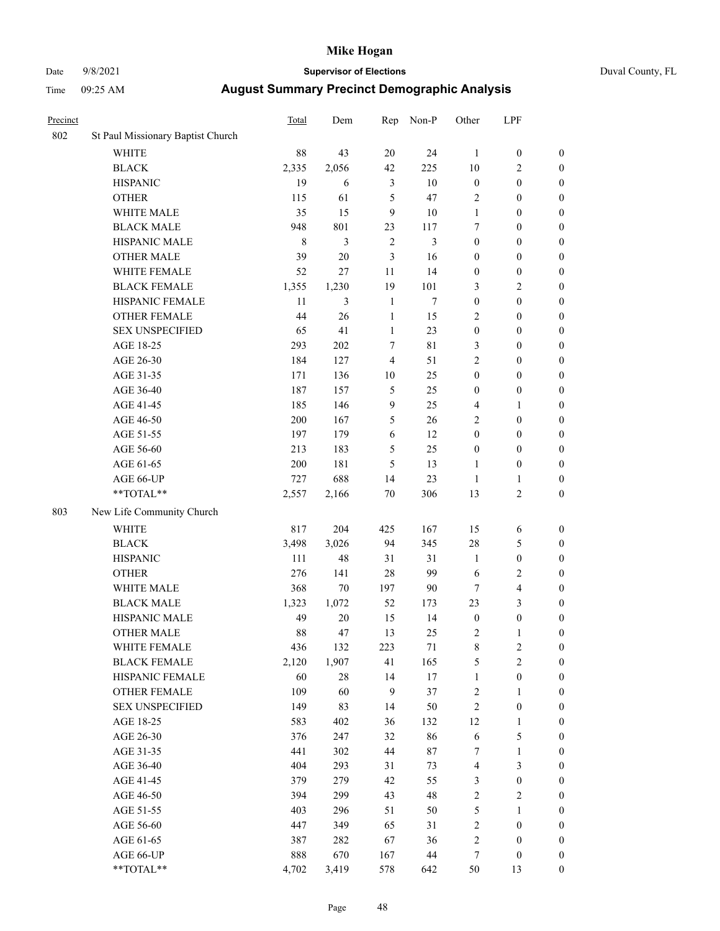### Date 9/8/2021 **Supervisor of Elections** Duval County, FL

| Precinct |                                   | <b>Total</b> | Dem    | Rep              | Non-P  | Other            | LPF                     |                  |
|----------|-----------------------------------|--------------|--------|------------------|--------|------------------|-------------------------|------------------|
| 802      | St Paul Missionary Baptist Church |              |        |                  |        |                  |                         |                  |
|          | <b>WHITE</b>                      | 88           | 43     | 20               | 24     | 1                | $\boldsymbol{0}$        | 0                |
|          | $\operatorname{BLACK}$            | 2,335        | 2,056  | 42               | 225    | 10               | $\overline{c}$          | $\boldsymbol{0}$ |
|          | <b>HISPANIC</b>                   | 19           | 6      | 3                | 10     | $\boldsymbol{0}$ | $\boldsymbol{0}$        | $\boldsymbol{0}$ |
|          | <b>OTHER</b>                      | 115          | 61     | 5                | 47     | 2                | $\boldsymbol{0}$        | $\boldsymbol{0}$ |
|          | WHITE MALE                        | 35           | 15     | 9                | 10     | $\mathbf{1}$     | $\boldsymbol{0}$        | $\boldsymbol{0}$ |
|          | <b>BLACK MALE</b>                 | 948          | 801    | 23               | 117    | 7                | $\boldsymbol{0}$        | $\boldsymbol{0}$ |
|          | HISPANIC MALE                     | $\,8\,$      | 3      | $\overline{2}$   | 3      | $\boldsymbol{0}$ | $\boldsymbol{0}$        | $\boldsymbol{0}$ |
|          | <b>OTHER MALE</b>                 | 39           | 20     | 3                | 16     | $\boldsymbol{0}$ | $\boldsymbol{0}$        | $\boldsymbol{0}$ |
|          | WHITE FEMALE                      | 52           | 27     | 11               | 14     | $\boldsymbol{0}$ | $\boldsymbol{0}$        | $\boldsymbol{0}$ |
|          | <b>BLACK FEMALE</b>               | 1,355        | 1,230  | 19               | 101    | 3                | $\sqrt{2}$              | $\boldsymbol{0}$ |
|          | HISPANIC FEMALE                   | 11           | 3      | $\mathbf{1}$     | $\tau$ | $\boldsymbol{0}$ | $\boldsymbol{0}$        | $\boldsymbol{0}$ |
|          | <b>OTHER FEMALE</b>               | 44           | 26     | $\mathbf{1}$     | 15     | $\overline{2}$   | $\boldsymbol{0}$        | $\boldsymbol{0}$ |
|          | <b>SEX UNSPECIFIED</b>            | 65           | 41     | $\mathbf{1}$     | 23     | $\boldsymbol{0}$ | $\boldsymbol{0}$        | $\boldsymbol{0}$ |
|          | AGE 18-25                         | 293          | 202    | $\tau$           | 81     | 3                | $\boldsymbol{0}$        | $\boldsymbol{0}$ |
|          | AGE 26-30                         | 184          | 127    | $\overline{4}$   | 51     | 2                | $\boldsymbol{0}$        | $\boldsymbol{0}$ |
|          | AGE 31-35                         | 171          | 136    | 10               | 25     | $\boldsymbol{0}$ | $\boldsymbol{0}$        | $\boldsymbol{0}$ |
|          | AGE 36-40                         | 187          | 157    | $\mathfrak s$    | 25     | $\boldsymbol{0}$ | $\boldsymbol{0}$        | $\boldsymbol{0}$ |
|          | AGE 41-45                         | 185          | 146    | $\boldsymbol{9}$ | 25     | 4                | $\mathbf{1}$            | $\boldsymbol{0}$ |
|          | AGE 46-50                         | 200          | 167    | 5                | 26     | 2                | $\boldsymbol{0}$        | $\boldsymbol{0}$ |
|          | AGE 51-55                         | 197          | 179    | 6                | 12     | $\boldsymbol{0}$ | $\boldsymbol{0}$        | $\boldsymbol{0}$ |
|          | AGE 56-60                         | 213          | 183    | 5                | 25     | $\boldsymbol{0}$ | $\boldsymbol{0}$        | 0                |
|          | AGE 61-65                         | 200          | 181    | 5                | 13     | 1                | $\boldsymbol{0}$        | 0                |
|          | AGE 66-UP                         | 727          | 688    | 14               | 23     | $\mathbf{1}$     | $\mathbf{1}$            | $\boldsymbol{0}$ |
|          | **TOTAL**                         | 2,557        | 2,166  | $70\,$           | 306    | 13               | $\sqrt{2}$              | $\boldsymbol{0}$ |
| 803      | New Life Community Church         |              |        |                  |        |                  |                         |                  |
|          | <b>WHITE</b>                      | 817          | 204    | 425              | 167    | 15               | 6                       | $\boldsymbol{0}$ |
|          | <b>BLACK</b>                      | 3,498        | 3,026  | 94               | 345    | 28               | $\mathfrak{S}$          | $\boldsymbol{0}$ |
|          | <b>HISPANIC</b>                   | 111          | 48     | 31               | 31     | $\mathbf{1}$     | $\boldsymbol{0}$        | $\boldsymbol{0}$ |
|          | <b>OTHER</b>                      | 276          | 141    | 28               | 99     | 6                | $\sqrt{2}$              | $\boldsymbol{0}$ |
|          | WHITE MALE                        | 368          | $70\,$ | 197              | $90\,$ | $\tau$           | $\overline{\mathbf{4}}$ | $\boldsymbol{0}$ |
|          | <b>BLACK MALE</b>                 | 1,323        | 1,072  | 52               | 173    | 23               | 3                       | $\boldsymbol{0}$ |
|          | HISPANIC MALE                     | 49           | $20\,$ | 15               | 14     | $\boldsymbol{0}$ | $\boldsymbol{0}$        | $\boldsymbol{0}$ |
|          | <b>OTHER MALE</b>                 | 88           | 47     | 13               | 25     | $\overline{c}$   | $\mathbf{1}$            | $\boldsymbol{0}$ |
|          | WHITE FEMALE                      | 436          | 132    | 223              | 71     | 8                | 2                       | 0                |
|          | <b>BLACK FEMALE</b>               | 2,120        | 1,907  | 41               | 165    | 5                | $\sqrt{2}$              | $\boldsymbol{0}$ |
|          | HISPANIC FEMALE                   | 60           | $28\,$ | 14               | $17\,$ | $\mathbf{1}$     | $\boldsymbol{0}$        | $\overline{0}$   |
|          | OTHER FEMALE                      | 109          | 60     | 9                | 37     | $\sqrt{2}$       | $\mathbf{1}$            | $\overline{0}$   |
|          | <b>SEX UNSPECIFIED</b>            | 149          | 83     | 14               | 50     | $\overline{c}$   | $\boldsymbol{0}$        | 0                |
|          | AGE 18-25                         | 583          | 402    | 36               | 132    | 12               | $\mathbf{1}$            | 0                |
|          | AGE 26-30                         | 376          | 247    | 32               | 86     | 6                | $\mathfrak{S}$          | 0                |
|          | AGE 31-35                         | 441          | 302    | 44               | 87     | 7                | $\mathbf{1}$            | 0                |
|          | AGE 36-40                         | 404          | 293    | 31               | 73     | 4                | $\mathfrak{Z}$          | 0                |
|          | AGE 41-45                         | 379          | 279    | 42               | 55     | 3                | $\boldsymbol{0}$        | 0                |
|          | AGE 46-50                         | 394          | 299    | 43               | 48     | 2                | $\sqrt{2}$              | 0                |
|          | AGE 51-55                         | 403          | 296    | 51               | 50     | 5                | $\mathbf{1}$            | $\boldsymbol{0}$ |
|          | AGE 56-60                         | 447          | 349    | 65               | 31     | $\sqrt{2}$       | $\boldsymbol{0}$        | $\overline{0}$   |
|          | AGE 61-65                         | 387          | 282    | 67               | 36     | 2                | $\boldsymbol{0}$        | $\overline{0}$   |
|          | AGE 66-UP                         | 888          | 670    | 167              | 44     | 7                | $\boldsymbol{0}$        | 0                |
|          | **TOTAL**                         | 4,702        | 3,419  | 578              | 642    | 50               | 13                      | $\boldsymbol{0}$ |
|          |                                   |              |        |                  |        |                  |                         |                  |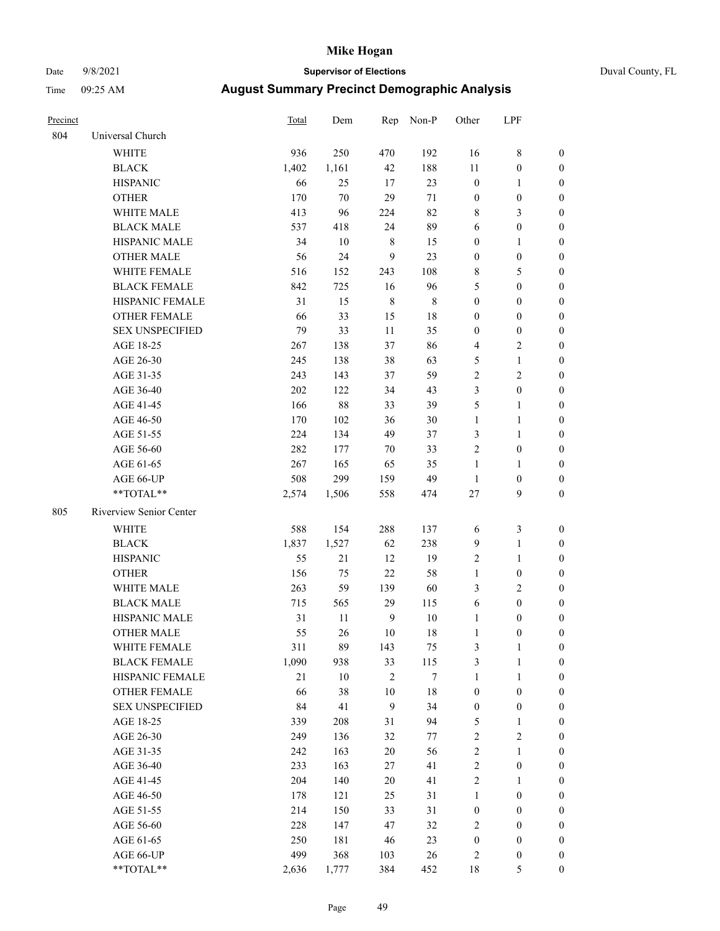### Date 9/8/2021 **Supervisor of Elections** Duval County, FL

| Precinct |                         | Total               | Dem                 |                  | Rep Non-P        | Other                       | LPF              |                  |
|----------|-------------------------|---------------------|---------------------|------------------|------------------|-----------------------------|------------------|------------------|
| 804      | Universal Church        |                     |                     |                  |                  |                             |                  |                  |
|          | <b>WHITE</b>            | 936                 | 250                 | 470              | 192              | 16                          | $\,$ 8 $\,$      | $\boldsymbol{0}$ |
|          | <b>BLACK</b>            | 1,402               | 1,161               | 42               | 188              | 11                          | $\boldsymbol{0}$ | $\boldsymbol{0}$ |
|          | <b>HISPANIC</b>         | 66                  | 25                  | 17               | 23               | $\boldsymbol{0}$            | $\mathbf{1}$     | $\boldsymbol{0}$ |
|          | <b>OTHER</b>            | 170                 | 70                  | 29               | 71               | $\boldsymbol{0}$            | $\boldsymbol{0}$ | $\boldsymbol{0}$ |
|          | WHITE MALE              | 413                 | 96                  | 224              | 82               | 8                           | $\mathfrak{Z}$   | $\boldsymbol{0}$ |
|          | <b>BLACK MALE</b>       | 537                 | 418                 | 24               | 89               | 6                           | $\boldsymbol{0}$ | $\boldsymbol{0}$ |
|          | HISPANIC MALE           | 34                  | 10                  | $\,$ 8 $\,$      | 15               | $\boldsymbol{0}$            | $\mathbf{1}$     | $\boldsymbol{0}$ |
|          | <b>OTHER MALE</b>       | 56                  | 24                  | $\overline{9}$   | 23               | $\boldsymbol{0}$            | $\boldsymbol{0}$ | 0                |
|          | WHITE FEMALE            | 516                 | 152                 | 243              | 108              | 8                           | $\mathfrak{S}$   | 0                |
|          | <b>BLACK FEMALE</b>     | 842                 | 725                 | 16               | 96               | 5                           | $\boldsymbol{0}$ | 0                |
|          | HISPANIC FEMALE         | 31                  | 15                  | $\,8\,$          | $\,$ 8 $\,$      | $\boldsymbol{0}$            | $\boldsymbol{0}$ | $\boldsymbol{0}$ |
|          | OTHER FEMALE            | 66                  | 33                  | 15               | 18               | $\boldsymbol{0}$            | $\boldsymbol{0}$ | $\boldsymbol{0}$ |
|          | <b>SEX UNSPECIFIED</b>  | 79                  | 33                  | $11\,$           | 35               | $\boldsymbol{0}$            | $\boldsymbol{0}$ | $\boldsymbol{0}$ |
|          | AGE 18-25               | 267                 | 138                 | 37               | 86               | 4                           | $\sqrt{2}$       | $\boldsymbol{0}$ |
|          | AGE 26-30               | 245                 | 138                 | 38               | 63               | 5                           | $\mathbf{1}$     | $\boldsymbol{0}$ |
|          | AGE 31-35               | 243                 | 143                 | 37               | 59               | $\sqrt{2}$                  | $\sqrt{2}$       | $\overline{0}$   |
|          | AGE 36-40               | 202                 | 122                 | 34               | 43               | 3                           | $\boldsymbol{0}$ | $\boldsymbol{0}$ |
|          | AGE 41-45               | 166                 | 88                  | 33               | 39               | 5                           | $\mathbf{1}$     | $\boldsymbol{0}$ |
|          | AGE 46-50               | 170                 | 102                 | 36               | $30\,$           | $\mathbf{1}$                | $\mathbf{1}$     | 0                |
|          | AGE 51-55               | 224                 | 134                 | 49               | 37               | 3                           | $\mathbf{1}$     | 0                |
|          | AGE 56-60               | 282                 | 177                 | 70               | 33               | $\mathfrak{2}$              | $\boldsymbol{0}$ | 0                |
|          | AGE 61-65               | 267                 | 165                 | 65               | 35               | $\mathbf{1}$                | 1                | 0                |
|          | AGE 66-UP               | 508                 | 299                 | 159              | 49               | $\mathbf{1}$                | $\boldsymbol{0}$ | $\boldsymbol{0}$ |
|          | **TOTAL**               | 2,574               | 1,506               | 558              | 474              | $27\,$                      | 9                | $\boldsymbol{0}$ |
| 805      | Riverview Senior Center |                     |                     |                  |                  |                             |                  |                  |
|          | WHITE                   | 588                 | 154                 | 288              | 137              | 6                           | $\mathfrak{Z}$   | $\boldsymbol{0}$ |
|          | <b>BLACK</b>            | 1,837               | 1,527               | 62               | 238              | 9                           | $\mathbf{1}$     | $\boldsymbol{0}$ |
|          | <b>HISPANIC</b>         | 55                  | 21                  | 12               | 19               | $\mathfrak{2}$              | $\mathbf{1}$     | $\boldsymbol{0}$ |
|          | <b>OTHER</b>            | 156                 | 75                  | $22\,$           | 58               | $\mathbf{1}$                | $\boldsymbol{0}$ | $\boldsymbol{0}$ |
|          | WHITE MALE              | 263                 | 59                  | 139              | 60               | 3                           | $\mathfrak{2}$   | $\boldsymbol{0}$ |
|          | <b>BLACK MALE</b>       | 715                 | 565                 | 29               | 115              | 6                           | $\boldsymbol{0}$ | $\boldsymbol{0}$ |
|          | HISPANIC MALE           | 31                  | 11                  | 9                | $10\,$           | 1                           | $\boldsymbol{0}$ | 0                |
|          | <b>OTHER MALE</b>       | 55                  | 26                  | 10               | 18               | $\mathbf{1}$                | $\boldsymbol{0}$ | $\boldsymbol{0}$ |
|          | WHITE FEMALE            | 311                 | 89                  | 143              | $75\,$           | 3                           | $\mathbf{1}$     | 0                |
|          | <b>BLACK FEMALE</b>     | 1,090               | 938                 | 33               | 115              | 3                           | $\mathbf{1}$     | $\boldsymbol{0}$ |
|          | HISPANIC FEMALE         | $21\,$              | $10\,$              | $\sqrt{2}$       | $\boldsymbol{7}$ | $\mathbf{1}$                | $\mathbf{1}$     | $\overline{0}$   |
|          | <b>OTHER FEMALE</b>     | 66                  | 38                  | 10               | 18               | $\boldsymbol{0}$            | $\boldsymbol{0}$ | 0                |
|          | <b>SEX UNSPECIFIED</b>  | 84                  | 41                  | $\overline{9}$   | 34               | $\boldsymbol{0}$            | $\boldsymbol{0}$ | 0                |
|          | AGE 18-25               | 339                 | 208                 | 31               | 94               | 5                           | $\mathbf{1}$     | 0                |
|          | AGE 26-30               | 249                 | 136                 | 32               | 77               | $\overline{c}$              | $\sqrt{2}$       | 0                |
|          | AGE 31-35               | 242                 | 163                 | $20\,$           | 56               | $\overline{c}$              | $\mathbf{1}$     | 0                |
|          | AGE 36-40               | 233                 | 163                 | 27               | 41               | $\overline{c}$              | $\boldsymbol{0}$ | 0                |
|          | AGE 41-45               | 204                 | 140                 | 20               | 41               | $\overline{c}$              | $\mathbf{1}$     | 0                |
|          | AGE 46-50               | 178                 | 121                 | 25               | 31               | $\mathbf{1}$                | $\boldsymbol{0}$ | 0                |
|          | AGE 51-55               | 214                 | 150                 | 33               | 31               | $\boldsymbol{0}$            | $\boldsymbol{0}$ | $\boldsymbol{0}$ |
|          | AGE 56-60               | 228                 | 147                 | 47               | 32               | 2                           | $\boldsymbol{0}$ | $\overline{0}$   |
|          |                         |                     |                     |                  |                  |                             | $\boldsymbol{0}$ | 0                |
|          |                         |                     |                     |                  |                  |                             |                  | 0                |
|          | **TOTAL**               |                     |                     |                  |                  |                             | 5                | $\boldsymbol{0}$ |
|          | AGE 61-65<br>AGE 66-UP  | 250<br>499<br>2,636 | 181<br>368<br>1,777 | 46<br>103<br>384 | 23<br>26<br>452  | $\boldsymbol{0}$<br>2<br>18 | $\boldsymbol{0}$ |                  |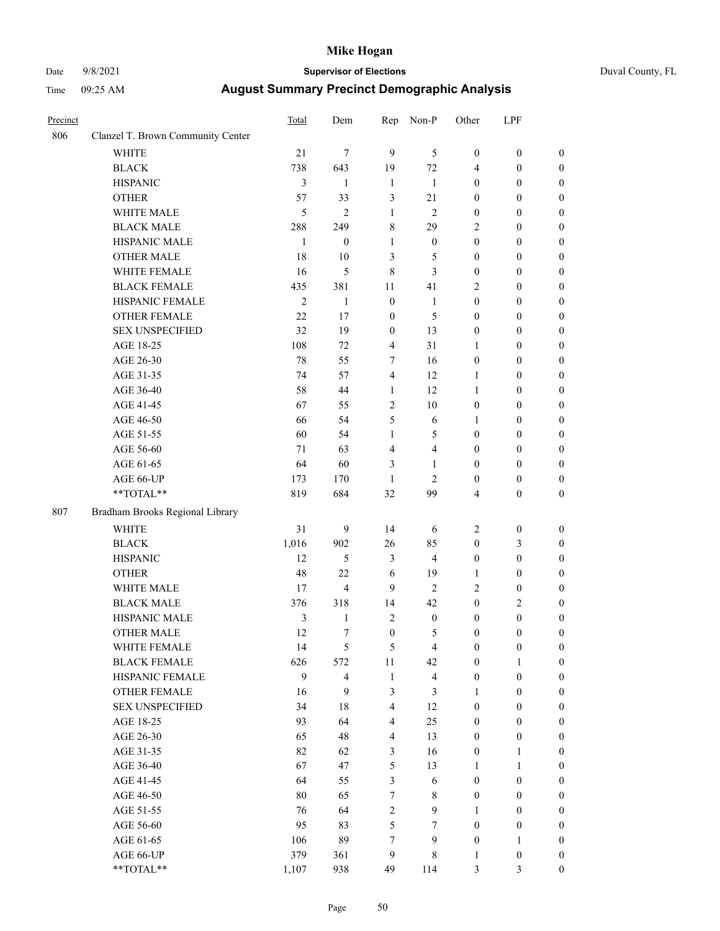### Date 9/8/2021 **Supervisor of Elections** Duval County, FL

| Precinct |                                   | Total        | Dem                     | Rep                     | Non-P                   | Other            | LPF              |                  |
|----------|-----------------------------------|--------------|-------------------------|-------------------------|-------------------------|------------------|------------------|------------------|
| 806      | Clanzel T. Brown Community Center |              |                         |                         |                         |                  |                  |                  |
|          | <b>WHITE</b>                      | 21           | $\tau$                  | 9                       | 5                       | $\boldsymbol{0}$ | $\boldsymbol{0}$ | $\boldsymbol{0}$ |
|          | <b>BLACK</b>                      | 738          | 643                     | 19                      | 72                      | 4                | $\boldsymbol{0}$ | $\boldsymbol{0}$ |
|          | <b>HISPANIC</b>                   | 3            | $\mathbf{1}$            | $\mathbf{1}$            | 1                       | $\boldsymbol{0}$ | $\boldsymbol{0}$ | $\boldsymbol{0}$ |
|          | <b>OTHER</b>                      | 57           | 33                      | 3                       | $21\,$                  | $\boldsymbol{0}$ | $\boldsymbol{0}$ | $\boldsymbol{0}$ |
|          | WHITE MALE                        | 5            | $\overline{c}$          | $\mathbf{1}$            | $\mathfrak{2}$          | $\boldsymbol{0}$ | $\boldsymbol{0}$ | $\boldsymbol{0}$ |
|          | <b>BLACK MALE</b>                 | 288          | 249                     | 8                       | 29                      | 2                | $\boldsymbol{0}$ | $\boldsymbol{0}$ |
|          | HISPANIC MALE                     | $\mathbf{1}$ | $\boldsymbol{0}$        | $\mathbf{1}$            | $\boldsymbol{0}$        | $\boldsymbol{0}$ | $\boldsymbol{0}$ | $\boldsymbol{0}$ |
|          | <b>OTHER MALE</b>                 | 18           | $10\,$                  | 3                       | $\mathfrak{S}$          | $\boldsymbol{0}$ | $\boldsymbol{0}$ | $\boldsymbol{0}$ |
|          | WHITE FEMALE                      | 16           | 5                       | $\,$ 8 $\,$             | $\mathfrak{Z}$          | $\boldsymbol{0}$ | $\boldsymbol{0}$ | $\boldsymbol{0}$ |
|          | <b>BLACK FEMALE</b>               | 435          | 381                     | 11                      | 41                      | $\overline{c}$   | $\boldsymbol{0}$ | $\boldsymbol{0}$ |
|          | HISPANIC FEMALE                   | $\mathbf{2}$ | $\mathbf{1}$            | $\boldsymbol{0}$        | $\mathbf{1}$            | $\boldsymbol{0}$ | $\boldsymbol{0}$ | $\boldsymbol{0}$ |
|          | <b>OTHER FEMALE</b>               | 22           | 17                      | $\boldsymbol{0}$        | 5                       | $\boldsymbol{0}$ | $\boldsymbol{0}$ | $\boldsymbol{0}$ |
|          | <b>SEX UNSPECIFIED</b>            | 32           | 19                      | $\boldsymbol{0}$        | 13                      | $\boldsymbol{0}$ | $\boldsymbol{0}$ | $\boldsymbol{0}$ |
|          | AGE 18-25                         | 108          | 72                      | $\overline{4}$          | 31                      | $\mathbf{1}$     | $\boldsymbol{0}$ | $\boldsymbol{0}$ |
|          | AGE 26-30                         | 78           | 55                      | 7                       | 16                      | $\boldsymbol{0}$ | $\boldsymbol{0}$ | $\boldsymbol{0}$ |
|          | AGE 31-35                         | 74           | 57                      | $\overline{4}$          | 12                      | $\mathbf{1}$     | $\boldsymbol{0}$ | $\boldsymbol{0}$ |
|          | AGE 36-40                         | 58           | 44                      | $\mathbf{1}$            | 12                      | $\mathbf{1}$     | $\boldsymbol{0}$ | $\boldsymbol{0}$ |
|          | AGE 41-45                         | 67           | 55                      | $\sqrt{2}$              | $10\,$                  | $\boldsymbol{0}$ | $\boldsymbol{0}$ | $\boldsymbol{0}$ |
|          | AGE 46-50                         | 66           | 54                      | 5                       | 6                       | 1                | $\boldsymbol{0}$ | $\boldsymbol{0}$ |
|          | AGE 51-55                         | 60           | 54                      | $\mathbf{1}$            | 5                       | $\boldsymbol{0}$ | $\boldsymbol{0}$ | 0                |
|          | AGE 56-60                         | 71           | 63                      | $\overline{4}$          | $\overline{4}$          | $\boldsymbol{0}$ | $\boldsymbol{0}$ | $\boldsymbol{0}$ |
|          | AGE 61-65                         | 64           | 60                      | 3                       | 1                       | $\boldsymbol{0}$ | $\boldsymbol{0}$ | $\boldsymbol{0}$ |
|          | AGE 66-UP                         | 173          | 170                     | 1                       | $\mathfrak{2}$          | $\boldsymbol{0}$ | $\boldsymbol{0}$ | $\boldsymbol{0}$ |
|          | **TOTAL**                         | 819          | 684                     | 32                      | 99                      | 4                | $\boldsymbol{0}$ | $\boldsymbol{0}$ |
| 807      | Bradham Brooks Regional Library   |              |                         |                         |                         |                  |                  |                  |
|          | <b>WHITE</b>                      | 31           | 9                       | 14                      | 6                       | 2                | $\boldsymbol{0}$ | $\boldsymbol{0}$ |
|          | <b>BLACK</b>                      | 1,016        | 902                     | 26                      | 85                      | $\boldsymbol{0}$ | $\mathfrak{Z}$   | $\boldsymbol{0}$ |
|          | <b>HISPANIC</b>                   | 12           | $\mathfrak s$           | 3                       | $\overline{\mathbf{4}}$ | $\boldsymbol{0}$ | $\boldsymbol{0}$ | $\boldsymbol{0}$ |
|          | <b>OTHER</b>                      | 48           | 22                      | 6                       | 19                      | $\mathbf{1}$     | $\boldsymbol{0}$ | $\boldsymbol{0}$ |
|          | WHITE MALE                        | 17           | $\overline{\mathbf{4}}$ | 9                       | $\overline{2}$          | 2                | $\boldsymbol{0}$ | $\boldsymbol{0}$ |
|          | <b>BLACK MALE</b>                 | 376          | 318                     | 14                      | 42                      | $\boldsymbol{0}$ | $\sqrt{2}$       | $\boldsymbol{0}$ |
|          | HISPANIC MALE                     | 3            | $\mathbf{1}$            | $\sqrt{2}$              | $\boldsymbol{0}$        | $\boldsymbol{0}$ | $\boldsymbol{0}$ | 0                |
|          | <b>OTHER MALE</b>                 | 12           | $\tau$                  | $\boldsymbol{0}$        | 5                       | $\boldsymbol{0}$ | $\boldsymbol{0}$ | $\boldsymbol{0}$ |
|          | WHITE FEMALE                      | 14           | $\mathfrak{S}$          | 5                       | $\overline{\mathbf{4}}$ | $\boldsymbol{0}$ | $\boldsymbol{0}$ | $\boldsymbol{0}$ |
|          | <b>BLACK FEMALE</b>               | 626          | 572                     | $11\,$                  | 42                      | $\boldsymbol{0}$ | $\mathbf{1}$     | $\overline{0}$   |
|          | HISPANIC FEMALE                   | 9            | $\overline{\mathbf{4}}$ | $\mathbf{1}$            | $\overline{\mathbf{4}}$ | $\boldsymbol{0}$ | $\boldsymbol{0}$ | $\overline{0}$   |
|          | <b>OTHER FEMALE</b>               | 16           | 9                       | 3                       | $\mathfrak{Z}$          | $\mathbf{1}$     | $\boldsymbol{0}$ | $\overline{0}$   |
|          | <b>SEX UNSPECIFIED</b>            | 34           | 18                      | $\overline{\mathbf{4}}$ | 12                      | $\boldsymbol{0}$ | $\boldsymbol{0}$ | $\overline{0}$   |
|          | AGE 18-25                         | 93           | 64                      | $\overline{4}$          | 25                      | $\boldsymbol{0}$ | $\boldsymbol{0}$ | $\overline{0}$   |
|          | AGE 26-30                         | 65           | 48                      | $\overline{4}$          | 13                      | $\boldsymbol{0}$ | $\boldsymbol{0}$ | 0                |
|          | AGE 31-35                         | 82           | 62                      | $\mathfrak{Z}$          | 16                      | $\boldsymbol{0}$ | $\mathbf{1}$     | 0                |
|          | AGE 36-40                         | 67           | 47                      | 5                       | 13                      | $\mathbf{1}$     | $\mathbf{1}$     | 0                |
|          | AGE 41-45                         | 64           | 55                      | 3                       | $\sqrt{6}$              | $\boldsymbol{0}$ | $\boldsymbol{0}$ | 0                |
|          | AGE 46-50                         | 80           | 65                      | $\tau$                  | 8                       | $\boldsymbol{0}$ | $\boldsymbol{0}$ | $\boldsymbol{0}$ |
|          | AGE 51-55                         | 76           | 64                      | $\sqrt{2}$              | 9                       | 1                | $\boldsymbol{0}$ | $\boldsymbol{0}$ |
|          | AGE 56-60                         | 95           | 83                      | 5                       | $\tau$                  | $\boldsymbol{0}$ | $\boldsymbol{0}$ | $\boldsymbol{0}$ |
|          | AGE 61-65                         | 106          | 89                      | 7                       | $\mathbf{9}$            | $\boldsymbol{0}$ | $\mathbf{1}$     | $\boldsymbol{0}$ |
|          | AGE 66-UP                         | 379          | 361                     | 9                       | $\,$ 8 $\,$             | $\mathbf{1}$     | $\boldsymbol{0}$ | $\boldsymbol{0}$ |
|          | **TOTAL**                         | 1,107        | 938                     | 49                      | 114                     | 3                | 3                | $\boldsymbol{0}$ |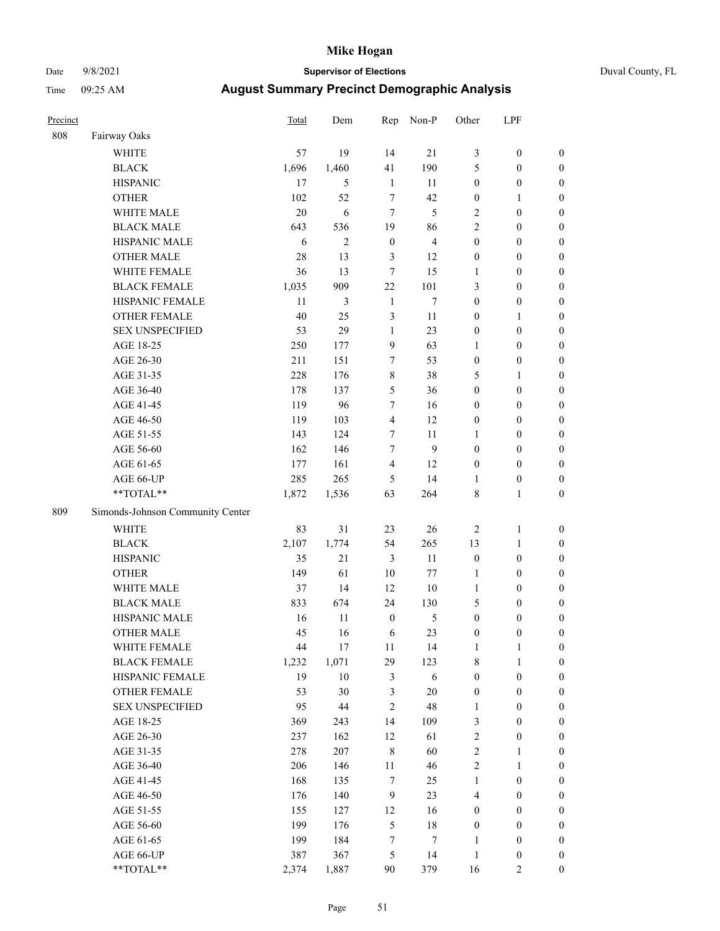### Date 9/8/2021 **Supervisor of Elections** Duval County, FL

| Precinct |                                  | <b>Total</b> | Dem            | Rep              | Non-P          | Other            | LPF              |                  |
|----------|----------------------------------|--------------|----------------|------------------|----------------|------------------|------------------|------------------|
| 808      | Fairway Oaks                     |              |                |                  |                |                  |                  |                  |
|          | <b>WHITE</b>                     | 57           | 19             | 14               | 21             | 3                | $\boldsymbol{0}$ | 0                |
|          | <b>BLACK</b>                     | 1,696        | 1,460          | 41               | 190            | 5                | $\boldsymbol{0}$ | $\boldsymbol{0}$ |
|          | <b>HISPANIC</b>                  | 17           | 5              | $\mathbf{1}$     | 11             | $\boldsymbol{0}$ | $\boldsymbol{0}$ | $\boldsymbol{0}$ |
|          | <b>OTHER</b>                     | 102          | 52             | $\tau$           | 42             | $\boldsymbol{0}$ | 1                | $\boldsymbol{0}$ |
|          | WHITE MALE                       | 20           | 6              | $\tau$           | 5              | 2                | $\boldsymbol{0}$ | $\boldsymbol{0}$ |
|          | <b>BLACK MALE</b>                | 643          | 536            | 19               | 86             | $\overline{c}$   | $\boldsymbol{0}$ | $\boldsymbol{0}$ |
|          | HISPANIC MALE                    | 6            | $\overline{c}$ | $\boldsymbol{0}$ | $\overline{4}$ | $\boldsymbol{0}$ | $\boldsymbol{0}$ | $\boldsymbol{0}$ |
|          | <b>OTHER MALE</b>                | 28           | 13             | 3                | 12             | $\boldsymbol{0}$ | $\boldsymbol{0}$ | $\boldsymbol{0}$ |
|          | WHITE FEMALE                     | 36           | 13             | 7                | 15             | 1                | $\boldsymbol{0}$ | $\boldsymbol{0}$ |
|          | <b>BLACK FEMALE</b>              | 1,035        | 909            | 22               | 101            | 3                | $\boldsymbol{0}$ | $\boldsymbol{0}$ |
|          | HISPANIC FEMALE                  | 11           | 3              | $\mathbf{1}$     | $\tau$         | $\boldsymbol{0}$ | $\boldsymbol{0}$ | $\boldsymbol{0}$ |
|          | <b>OTHER FEMALE</b>              | 40           | 25             | $\mathfrak{Z}$   | 11             | $\boldsymbol{0}$ | $\mathbf{1}$     | $\boldsymbol{0}$ |
|          | <b>SEX UNSPECIFIED</b>           | 53           | 29             | $\mathbf{1}$     | 23             | $\boldsymbol{0}$ | $\boldsymbol{0}$ | $\boldsymbol{0}$ |
|          | AGE 18-25                        | 250          | 177            | $\overline{9}$   | 63             | 1                | $\boldsymbol{0}$ | $\boldsymbol{0}$ |
|          | AGE 26-30                        | 211          | 151            | 7                | 53             | $\boldsymbol{0}$ | $\boldsymbol{0}$ | $\boldsymbol{0}$ |
|          | AGE 31-35                        | 228          | 176            | $\,$ $\,$        | 38             | 5                | $\mathbf{1}$     | $\boldsymbol{0}$ |
|          | AGE 36-40                        | 178          | 137            | 5                | 36             | $\boldsymbol{0}$ | $\boldsymbol{0}$ | $\boldsymbol{0}$ |
|          | AGE 41-45                        | 119          | 96             | $\tau$           | 16             | $\boldsymbol{0}$ | $\boldsymbol{0}$ | $\boldsymbol{0}$ |
|          | AGE 46-50                        | 119          | 103            | $\overline{4}$   | 12             | $\boldsymbol{0}$ | $\boldsymbol{0}$ | $\boldsymbol{0}$ |
|          | AGE 51-55                        | 143          | 124            | 7                | 11             | 1                | $\boldsymbol{0}$ | $\boldsymbol{0}$ |
|          | AGE 56-60                        | 162          | 146            | $\tau$           | 9              | $\boldsymbol{0}$ | $\boldsymbol{0}$ | 0                |
|          | AGE 61-65                        | 177          | 161            | $\overline{4}$   | 12             | $\boldsymbol{0}$ | $\boldsymbol{0}$ | $\boldsymbol{0}$ |
|          | AGE 66-UP                        | 285          | 265            | 5                | 14             | 1                | $\boldsymbol{0}$ | $\boldsymbol{0}$ |
|          | **TOTAL**                        | 1,872        | 1,536          | 63               | 264            | 8                | $\mathbf{1}$     | $\boldsymbol{0}$ |
| 809      | Simonds-Johnson Community Center |              |                |                  |                |                  |                  |                  |
|          | <b>WHITE</b>                     | 83           | 31             | 23               | 26             | $\sqrt{2}$       | $\mathbf{1}$     | $\boldsymbol{0}$ |
|          | <b>BLACK</b>                     | 2,107        | 1,774          | 54               | 265            | 13               | $\mathbf{1}$     | $\boldsymbol{0}$ |
|          | <b>HISPANIC</b>                  | 35           | 21             | $\mathfrak{Z}$   | 11             | $\boldsymbol{0}$ | $\boldsymbol{0}$ | $\boldsymbol{0}$ |
|          | <b>OTHER</b>                     | 149          | 61             | 10               | 77             | $\mathbf{1}$     | $\boldsymbol{0}$ | $\boldsymbol{0}$ |
|          | WHITE MALE                       | 37           | 14             | 12               | $10\,$         | $\mathbf{1}$     | $\boldsymbol{0}$ | $\boldsymbol{0}$ |
|          | <b>BLACK MALE</b>                | 833          | 674            | 24               | 130            | 5                | $\boldsymbol{0}$ | $\boldsymbol{0}$ |
|          | HISPANIC MALE                    | 16           | 11             | $\boldsymbol{0}$ | 5              | $\boldsymbol{0}$ | $\boldsymbol{0}$ | $\boldsymbol{0}$ |
|          | OTHER MALE                       | 45           | 16             | 6                | 23             | $\boldsymbol{0}$ | $\boldsymbol{0}$ | $\boldsymbol{0}$ |
|          | WHITE FEMALE                     | 44           | 17             | 11               | 14             | 1                | 1                | 0                |
|          | <b>BLACK FEMALE</b>              | 1,232        | 1,071          | 29               | 123            | 8                | $\mathbf{1}$     | $\boldsymbol{0}$ |
|          | HISPANIC FEMALE                  | 19           | $10\,$         | $\mathfrak{Z}$   | 6              | $\boldsymbol{0}$ | $\boldsymbol{0}$ | $\overline{0}$   |
|          | OTHER FEMALE                     | 53           | 30             | 3                | $20\,$         | $\boldsymbol{0}$ | $\boldsymbol{0}$ | $\overline{0}$   |
|          | <b>SEX UNSPECIFIED</b>           | 95           | $44\,$         | $\overline{c}$   | 48             | $\mathbf{1}$     | $\boldsymbol{0}$ | $\overline{0}$   |
|          | AGE 18-25                        | 369          | 243            | 14               | 109            | 3                | $\boldsymbol{0}$ | $\overline{0}$   |
|          | AGE 26-30                        | 237          | 162            | 12               | 61             | 2                | $\boldsymbol{0}$ | 0                |
|          | AGE 31-35                        | 278          | 207            | $\,$ 8 $\,$      | 60             | $\overline{c}$   | 1                | 0                |
|          | AGE 36-40                        | 206          | 146            | 11               | 46             | 2                | $\mathbf{1}$     | 0                |
|          | AGE 41-45                        | 168          | 135            | $\tau$           | 25             | $\mathbf{1}$     | $\boldsymbol{0}$ | 0                |
|          | AGE 46-50                        | 176          | 140            | 9                | 23             | 4                | $\boldsymbol{0}$ | 0                |
|          | AGE 51-55                        | 155          | 127            | 12               | 16             | $\boldsymbol{0}$ | $\boldsymbol{0}$ | $\boldsymbol{0}$ |
|          | AGE 56-60                        | 199          | 176            | 5                | 18             | $\boldsymbol{0}$ | $\boldsymbol{0}$ | $\boldsymbol{0}$ |
|          | AGE 61-65                        | 199          | 184            | 7                | 7              | 1                | $\boldsymbol{0}$ | $\overline{0}$   |
|          | AGE 66-UP                        | 387          | 367            | 5                | 14             | $\mathbf{1}$     | $\boldsymbol{0}$ | $\boldsymbol{0}$ |
|          | **TOTAL**                        | 2,374        | 1,887          | 90               | 379            | 16               | $\overline{2}$   | $\boldsymbol{0}$ |
|          |                                  |              |                |                  |                |                  |                  |                  |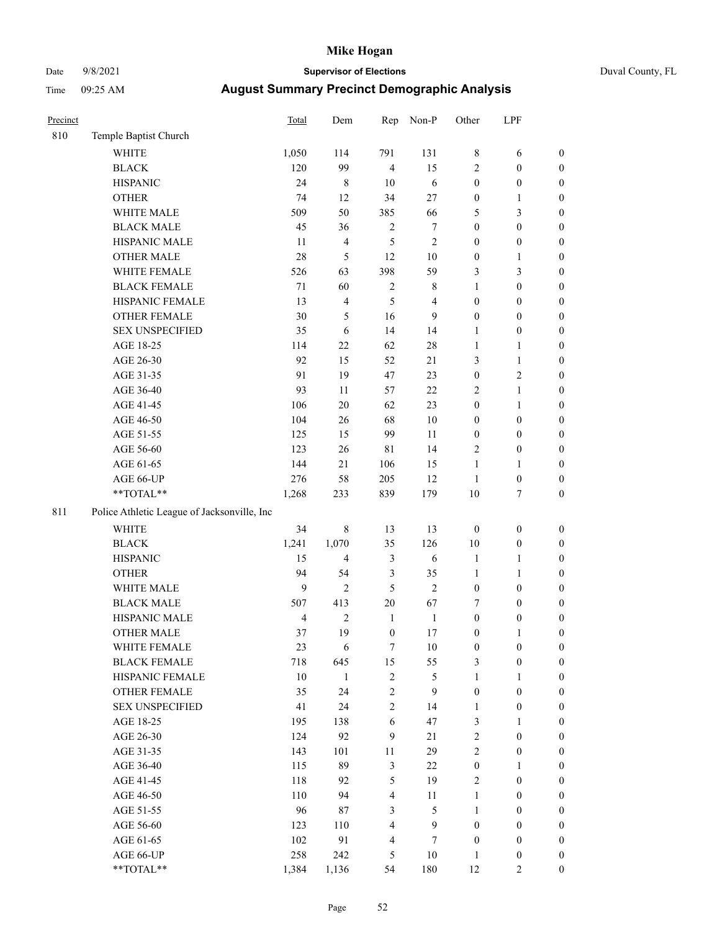## Date 9/8/2021 **Supervisor of Elections** Duval County, FL

| Precinct |                                                             | <b>Total</b>            | Dem            | Rep                     | Non-P            | Other            | LPF              |                  |  |  |
|----------|-------------------------------------------------------------|-------------------------|----------------|-------------------------|------------------|------------------|------------------|------------------|--|--|
| 810      | Temple Baptist Church                                       |                         |                |                         |                  |                  |                  |                  |  |  |
|          | <b>WHITE</b>                                                | 1,050                   | 114            | 791                     | 131              | $\,8\,$          | 6                | 0                |  |  |
|          | <b>BLACK</b>                                                | 120                     | 99             | $\overline{4}$          | 15               | $\overline{2}$   | $\boldsymbol{0}$ | 0                |  |  |
|          | <b>HISPANIC</b>                                             | 24                      | $\,$ 8 $\,$    | $10\,$                  | $\sqrt{6}$       | $\boldsymbol{0}$ | $\boldsymbol{0}$ | $\boldsymbol{0}$ |  |  |
|          | <b>OTHER</b>                                                | 74                      | 12             | 34                      | $27\,$           | $\boldsymbol{0}$ | 1                | $\boldsymbol{0}$ |  |  |
|          | WHITE MALE                                                  | 509                     | 50             | 385                     | 66               | 5                | 3                | $\boldsymbol{0}$ |  |  |
|          | <b>BLACK MALE</b>                                           | 45                      | 36             | $\boldsymbol{2}$        | $\boldsymbol{7}$ | $\boldsymbol{0}$ | $\boldsymbol{0}$ | $\boldsymbol{0}$ |  |  |
|          | HISPANIC MALE                                               | 11                      | $\overline{4}$ | 5                       | $\sqrt{2}$       | $\boldsymbol{0}$ | $\boldsymbol{0}$ | $\boldsymbol{0}$ |  |  |
|          | <b>OTHER MALE</b>                                           | $28\,$                  | $\sqrt{5}$     | 12                      | $10\,$           | $\boldsymbol{0}$ | $\mathbf{1}$     | $\boldsymbol{0}$ |  |  |
|          | WHITE FEMALE                                                | 526                     | 63             | 398                     | 59               | 3                | 3                | $\boldsymbol{0}$ |  |  |
|          | <b>BLACK FEMALE</b>                                         | 71                      | 60             | $\boldsymbol{2}$        | 8                | $\mathbf{1}$     | $\boldsymbol{0}$ | $\boldsymbol{0}$ |  |  |
|          | HISPANIC FEMALE                                             | 13                      | $\overline{4}$ | 5                       | $\overline{4}$   | $\boldsymbol{0}$ | $\boldsymbol{0}$ | 0                |  |  |
|          | OTHER FEMALE                                                | 30                      | $\mathfrak{S}$ | 16                      | 9                | $\boldsymbol{0}$ | $\boldsymbol{0}$ | $\boldsymbol{0}$ |  |  |
|          | <b>SEX UNSPECIFIED</b>                                      | 35                      | $\sqrt{6}$     | 14                      | 14               | $\mathbf{1}$     | $\boldsymbol{0}$ | $\boldsymbol{0}$ |  |  |
|          | AGE 18-25                                                   | 114                     | 22             | 62                      | $28\,$           | $\mathbf{1}$     | 1                | $\boldsymbol{0}$ |  |  |
|          | AGE 26-30                                                   | 92                      | 15             | 52                      | 21               | 3                | $\mathbf{1}$     | $\boldsymbol{0}$ |  |  |
|          | AGE 31-35                                                   | 91                      | 19             | 47                      | 23               | $\boldsymbol{0}$ | $\sqrt{2}$       | $\boldsymbol{0}$ |  |  |
|          | AGE 36-40                                                   | 93                      | 11             | 57                      | $22\,$           | $\mathfrak{2}$   | $\mathbf{1}$     | $\boldsymbol{0}$ |  |  |
|          | AGE 41-45                                                   | 106                     | $20\,$         | 62                      | 23               | $\boldsymbol{0}$ | $\mathbf{1}$     | $\boldsymbol{0}$ |  |  |
|          | AGE 46-50                                                   | 104                     | 26             | 68                      | $10\,$           | $\boldsymbol{0}$ | $\boldsymbol{0}$ | $\boldsymbol{0}$ |  |  |
|          | AGE 51-55                                                   | 125                     | 15             | 99                      | 11               | $\boldsymbol{0}$ | $\boldsymbol{0}$ | 0                |  |  |
|          | AGE 56-60                                                   | 123                     | 26             | $8\sqrt{1}$             | 14               | $\sqrt{2}$       | $\boldsymbol{0}$ | 0                |  |  |
|          | AGE 61-65                                                   | 144                     | 21             | 106                     | 15               | $\mathbf{1}$     | 1                | $\boldsymbol{0}$ |  |  |
|          | AGE 66-UP                                                   | 276                     | 58             | 205                     | 12               | $\mathbf{1}$     | $\boldsymbol{0}$ | $\boldsymbol{0}$ |  |  |
|          | $\mathrm{*}\mathrm{*} \mathrm{TOTAL} \mathrm{*} \mathrm{*}$ | 1,268                   | 233            | 839                     | 179              | $10\,$           | $\tau$           | $\boldsymbol{0}$ |  |  |
| 811      | Police Athletic League of Jacksonville, Inc                 |                         |                |                         |                  |                  |                  |                  |  |  |
|          | <b>WHITE</b>                                                | 34                      | $\,$ 8 $\,$    | 13                      | 13               | $\boldsymbol{0}$ | $\boldsymbol{0}$ | $\boldsymbol{0}$ |  |  |
|          | <b>BLACK</b>                                                | 1,241                   | 1,070          | 35                      | 126              | $10\,$           | $\boldsymbol{0}$ | $\boldsymbol{0}$ |  |  |
|          | <b>HISPANIC</b>                                             | 15                      | $\overline{4}$ | 3                       | $\sqrt{6}$       | $\mathbf{1}$     | $\mathbf{1}$     | $\boldsymbol{0}$ |  |  |
|          | <b>OTHER</b>                                                | 94                      | 54             | 3                       | 35               | $\mathbf{1}$     | $\mathbf{1}$     | $\boldsymbol{0}$ |  |  |
|          | WHITE MALE                                                  | 9                       | $\overline{c}$ | 5                       | $\sqrt{2}$       | $\boldsymbol{0}$ | $\boldsymbol{0}$ | $\boldsymbol{0}$ |  |  |
|          | <b>BLACK MALE</b>                                           | 507                     | 413            | $20\,$                  | 67               | 7                | $\boldsymbol{0}$ | $\boldsymbol{0}$ |  |  |
|          | HISPANIC MALE                                               | $\overline{\mathbf{4}}$ | $\sqrt{2}$     | $\mathbf{1}$            | $\mathbf{1}$     | $\boldsymbol{0}$ | $\boldsymbol{0}$ | $\boldsymbol{0}$ |  |  |
|          | <b>OTHER MALE</b>                                           | 37                      | 19             | $\boldsymbol{0}$        | 17               | $\boldsymbol{0}$ | 1                | $\boldsymbol{0}$ |  |  |
|          | WHITE FEMALE                                                | 23                      | 6              | $\tau$                  | 10               | $\boldsymbol{0}$ | $\boldsymbol{0}$ | $\boldsymbol{0}$ |  |  |
|          | <b>BLACK FEMALE</b>                                         | 718                     | 645            | 15                      | 55               | 3                | $\boldsymbol{0}$ | $\boldsymbol{0}$ |  |  |
|          | HISPANIC FEMALE                                             | $10\,$                  | $\mathbf{1}$   | $\sqrt{2}$              | 5                | $\mathbf{1}$     | 1                | $\overline{0}$   |  |  |
|          | <b>OTHER FEMALE</b>                                         | 35                      | 24             | $\sqrt{2}$              | 9                | $\boldsymbol{0}$ | $\boldsymbol{0}$ | $\overline{0}$   |  |  |
|          | <b>SEX UNSPECIFIED</b>                                      | 41                      | 24             | $\overline{c}$          | 14               | $\mathbf{1}$     | $\boldsymbol{0}$ | $\overline{0}$   |  |  |
|          | AGE 18-25                                                   | 195                     | 138            | $\sqrt{6}$              | 47               | 3                | $\mathbf{1}$     | $\overline{0}$   |  |  |
|          | AGE 26-30                                                   | 124                     | 92             | 9                       | 21               | $\mathfrak{2}$   | $\boldsymbol{0}$ | $\overline{0}$   |  |  |
|          | AGE 31-35                                                   | 143                     | 101            | 11                      | 29               | $\overline{c}$   | $\boldsymbol{0}$ | $\overline{0}$   |  |  |
|          | AGE 36-40                                                   | 115                     | 89             | 3                       | $22\,$           | $\boldsymbol{0}$ | $\mathbf{1}$     | 0                |  |  |
|          | AGE 41-45                                                   | 118                     | 92             | 5                       | 19               | $\mathfrak{2}$   | $\boldsymbol{0}$ | 0                |  |  |
|          | AGE 46-50                                                   | 110                     | 94             | $\overline{\mathbf{4}}$ | 11               | $\mathbf{1}$     | $\boldsymbol{0}$ | $\boldsymbol{0}$ |  |  |
|          | AGE 51-55                                                   | 96                      | 87             | 3                       | 5                | $\mathbf{1}$     | $\boldsymbol{0}$ | $\overline{0}$   |  |  |
|          | AGE 56-60                                                   | 123                     | 110            | $\overline{4}$          | $\mathbf{9}$     | $\boldsymbol{0}$ | $\boldsymbol{0}$ | $\overline{0}$   |  |  |
|          | AGE 61-65                                                   | 102                     | 91             | $\overline{\mathbf{4}}$ | 7                | $\boldsymbol{0}$ | $\boldsymbol{0}$ | $\overline{0}$   |  |  |
|          | AGE 66-UP                                                   | 258                     | 242            | 5                       | $10\,$           | $\mathbf{1}$     | $\boldsymbol{0}$ | $\boldsymbol{0}$ |  |  |
|          | **TOTAL**                                                   | 1,384                   | 1,136          | 54                      | 180              | 12               | $\overline{c}$   | $\overline{0}$   |  |  |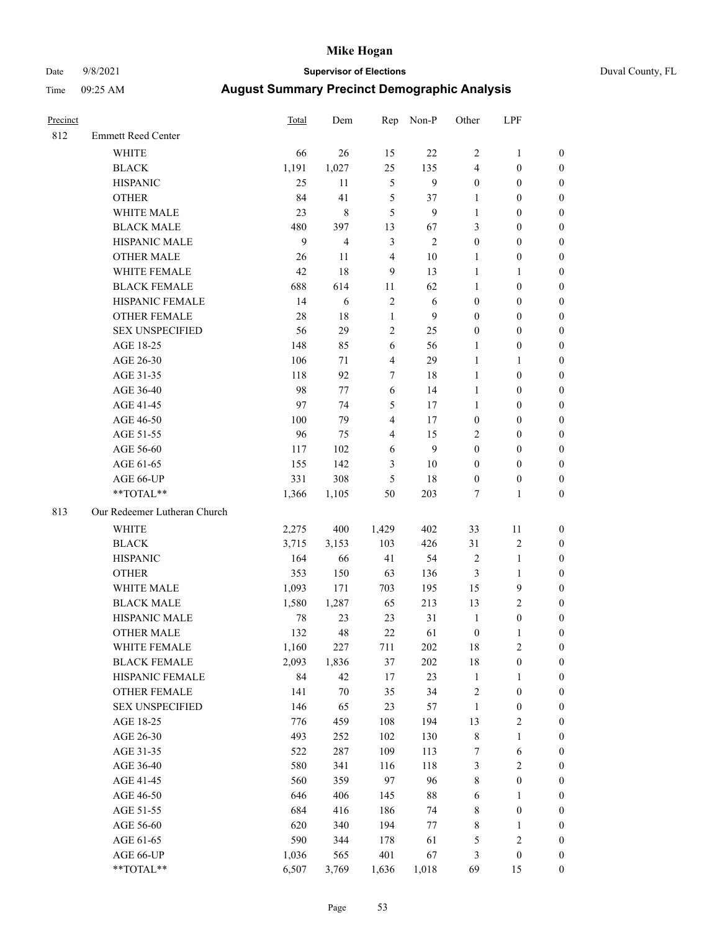## Date 9/8/2021 **Supervisor of Elections** Duval County, FL

| Precinct |                              | <b>Total</b> | Dem            | Rep                     | Non-P          | Other                   | LPF              |                  |
|----------|------------------------------|--------------|----------------|-------------------------|----------------|-------------------------|------------------|------------------|
| 812      | <b>Emmett Reed Center</b>    |              |                |                         |                |                         |                  |                  |
|          | <b>WHITE</b>                 | 66           | 26             | 15                      | 22             | 2                       | $\mathbf{1}$     | 0                |
|          | <b>BLACK</b>                 | 1,191        | 1,027          | 25                      | 135            | 4                       | $\boldsymbol{0}$ | 0                |
|          | <b>HISPANIC</b>              | 25           | 11             | $\mathfrak s$           | 9              | $\boldsymbol{0}$        | $\boldsymbol{0}$ | $\boldsymbol{0}$ |
|          | <b>OTHER</b>                 | 84           | 41             | 5                       | 37             | 1                       | $\boldsymbol{0}$ | $\boldsymbol{0}$ |
|          | WHITE MALE                   | 23           | $\,8\,$        | 5                       | 9              | $\mathbf{1}$            | $\boldsymbol{0}$ | $\boldsymbol{0}$ |
|          | <b>BLACK MALE</b>            | 480          | 397            | 13                      | 67             | 3                       | $\boldsymbol{0}$ | $\boldsymbol{0}$ |
|          | HISPANIC MALE                | 9            | $\overline{4}$ | 3                       | $\mathfrak{2}$ | 0                       | $\boldsymbol{0}$ | $\boldsymbol{0}$ |
|          | <b>OTHER MALE</b>            | 26           | 11             | $\overline{4}$          | 10             | $\mathbf{1}$            | $\boldsymbol{0}$ | $\boldsymbol{0}$ |
|          | WHITE FEMALE                 | 42           | 18             | $\boldsymbol{9}$        | 13             | $\mathbf{1}$            | 1                | $\boldsymbol{0}$ |
|          | <b>BLACK FEMALE</b>          | 688          | 614            | 11                      | 62             | $\mathbf{1}$            | $\boldsymbol{0}$ | 0                |
|          | HISPANIC FEMALE              | 14           | 6              | 2                       | 6              | 0                       | $\boldsymbol{0}$ | 0                |
|          | OTHER FEMALE                 | 28           | 18             | $\mathbf{1}$            | 9              | 0                       | $\boldsymbol{0}$ | $\boldsymbol{0}$ |
|          | <b>SEX UNSPECIFIED</b>       | 56           | 29             | $\mathbf{2}$            | 25             | $\boldsymbol{0}$        | $\boldsymbol{0}$ | $\boldsymbol{0}$ |
|          | AGE 18-25                    | 148          | 85             | 6                       | 56             | $\mathbf{1}$            | $\boldsymbol{0}$ | $\boldsymbol{0}$ |
|          | AGE 26-30                    | 106          | 71             | 4                       | 29             | $\mathbf{1}$            | $\mathbf{1}$     | $\boldsymbol{0}$ |
|          | AGE 31-35                    | 118          | 92             | 7                       | 18             | $\mathbf{1}$            | $\boldsymbol{0}$ | $\boldsymbol{0}$ |
|          | AGE 36-40                    | 98           | 77             | 6                       | 14             | $\mathbf{1}$            | $\boldsymbol{0}$ | $\boldsymbol{0}$ |
|          | AGE 41-45                    | 97           | 74             | 5                       | 17             | $\mathbf{1}$            | $\boldsymbol{0}$ | $\boldsymbol{0}$ |
|          | AGE 46-50                    | 100          | 79             | $\overline{\mathbf{4}}$ | 17             | $\boldsymbol{0}$        | $\boldsymbol{0}$ | $\boldsymbol{0}$ |
|          | AGE 51-55                    | 96           | 75             | $\overline{\mathbf{4}}$ | 15             | $\overline{c}$          | $\boldsymbol{0}$ | $\boldsymbol{0}$ |
|          | AGE 56-60                    | 117          | 102            | 6                       | 9              | $\boldsymbol{0}$        | $\boldsymbol{0}$ | 0                |
|          | AGE 61-65                    | 155          | 142            | 3                       | 10             | $\boldsymbol{0}$        | $\boldsymbol{0}$ | 0                |
|          | AGE 66-UP                    | 331          | 308            | 5                       | 18             | $\boldsymbol{0}$        | $\boldsymbol{0}$ | $\boldsymbol{0}$ |
|          | $**TOTAL**$                  | 1,366        | 1,105          | 50                      | 203            | 7                       | $\mathbf{1}$     | $\boldsymbol{0}$ |
| 813      | Our Redeemer Lutheran Church |              |                |                         |                |                         |                  |                  |
|          | <b>WHITE</b>                 | 2,275        | 400            | 1,429                   | 402            | 33                      | 11               | $\boldsymbol{0}$ |
|          | <b>BLACK</b>                 | 3,715        | 3,153          | 103                     | 426            | 31                      | $\sqrt{2}$       | $\boldsymbol{0}$ |
|          | <b>HISPANIC</b>              | 164          | 66             | 41                      | 54             | 2                       | $\mathbf{1}$     | $\boldsymbol{0}$ |
|          | <b>OTHER</b>                 | 353          | 150            | 63                      | 136            | 3                       | $\mathbf{1}$     | $\boldsymbol{0}$ |
|          | WHITE MALE                   | 1,093        | 171            | 703                     | 195            | 15                      | $\boldsymbol{9}$ | $\overline{0}$   |
|          | <b>BLACK MALE</b>            | 1,580        | 1,287          | 65                      | 213            | 13                      | $\overline{c}$   | $\boldsymbol{0}$ |
|          | HISPANIC MALE                | 78           | 23             | 23                      | 31             | $\mathbf{1}$            | $\boldsymbol{0}$ | 0                |
|          | <b>OTHER MALE</b>            | 132          | 48             | 22                      | 61             | $\boldsymbol{0}$        | $\mathbf{1}$     | 0                |
|          | WHITE FEMALE                 | 1,160        | 227            | 711                     | 202            | 18                      | $\overline{c}$   | 0                |
|          | <b>BLACK FEMALE</b>          | 2,093        | 1,836          | 37                      | $202\,$        | 18                      | $\boldsymbol{0}$ | 0                |
|          | HISPANIC FEMALE              | 84           | 42             | 17                      | 23             | $\mathbf{1}$            | 1                | 0                |
|          | <b>OTHER FEMALE</b>          | 141          | $70\,$         | 35                      | 34             | $\overline{\mathbf{c}}$ | $\boldsymbol{0}$ | 0                |
|          | <b>SEX UNSPECIFIED</b>       | 146          | 65             | 23                      | 57             | $\mathbf{1}$            | $\boldsymbol{0}$ | 0                |
|          | AGE 18-25                    | 776          | 459            | 108                     | 194            | 13                      | $\sqrt{2}$       | 0                |
|          | AGE 26-30                    | 493          | 252            | 102                     | 130            | 8                       | $\mathbf{1}$     | 0                |
|          | AGE 31-35                    | 522          | 287            | 109                     | 113            | 7                       | 6                | 0                |
|          | AGE 36-40                    | 580          | 341            | 116                     | 118            | 3                       | $\sqrt{2}$       | 0                |
|          | AGE 41-45                    | 560          | 359            | 97                      | 96             | 8                       | $\boldsymbol{0}$ | 0                |
|          | AGE 46-50                    | 646          | 406            | 145                     | 88             | 6                       | 1                | 0                |
|          | AGE 51-55                    | 684          | 416            | 186                     | 74             | 8                       | $\boldsymbol{0}$ | 0                |
|          | AGE 56-60                    | 620          | 340            | 194                     | $77 \,$        | 8                       | 1                | 0                |
|          | AGE 61-65                    | 590          | 344            | 178                     | 61             | 5                       | $\sqrt{2}$       | 0                |
|          | AGE 66-UP                    | 1,036        | 565            | 401                     | 67             | 3                       | $\boldsymbol{0}$ | 0                |
|          | **TOTAL**                    | 6,507        | 3,769          | 1,636                   | 1,018          | 69                      | 15               | $\boldsymbol{0}$ |
|          |                              |              |                |                         |                |                         |                  |                  |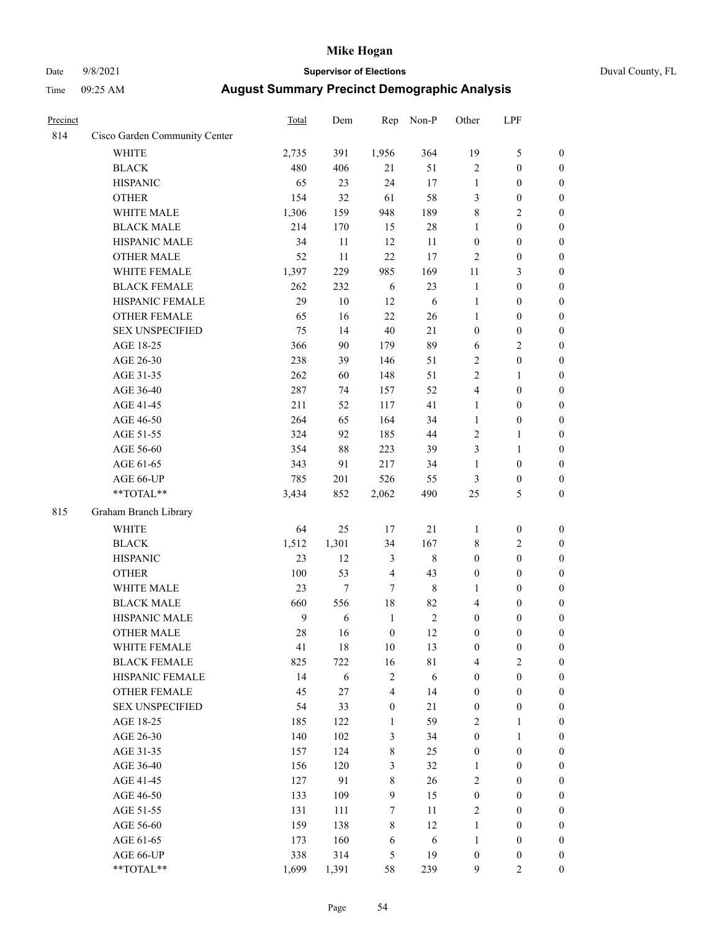## Date 9/8/2021 **Supervisor of Elections** Duval County, FL

| Precinct |                               | <b>Total</b> | Dem        | Rep                     | Non-P            | Other            | LPF              |                  |
|----------|-------------------------------|--------------|------------|-------------------------|------------------|------------------|------------------|------------------|
| 814      | Cisco Garden Community Center |              |            |                         |                  |                  |                  |                  |
|          | <b>WHITE</b>                  | 2,735        | 391        | 1,956                   | 364              | 19               | $\mathfrak s$    | 0                |
|          | <b>BLACK</b>                  | 480          | 406        | 21                      | 51               | $\overline{2}$   | $\boldsymbol{0}$ | $\boldsymbol{0}$ |
|          | <b>HISPANIC</b>               | 65           | 23         | 24                      | 17               | $\mathbf{1}$     | $\boldsymbol{0}$ | $\boldsymbol{0}$ |
|          | <b>OTHER</b>                  | 154          | 32         | 61                      | 58               | 3                | $\boldsymbol{0}$ | $\boldsymbol{0}$ |
|          | WHITE MALE                    | 1,306        | 159        | 948                     | 189              | 8                | $\sqrt{2}$       | $\boldsymbol{0}$ |
|          | <b>BLACK MALE</b>             | 214          | 170        | 15                      | $28\,$           | $\mathbf{1}$     | $\boldsymbol{0}$ | $\boldsymbol{0}$ |
|          | HISPANIC MALE                 | 34           | 11         | 12                      | 11               | $\boldsymbol{0}$ | $\boldsymbol{0}$ | $\boldsymbol{0}$ |
|          | <b>OTHER MALE</b>             | 52           | 11         | 22                      | 17               | $\mathfrak{2}$   | $\boldsymbol{0}$ | $\boldsymbol{0}$ |
|          | WHITE FEMALE                  | 1,397        | 229        | 985                     | 169              | $11\,$           | $\mathfrak{Z}$   | $\boldsymbol{0}$ |
|          | <b>BLACK FEMALE</b>           | 262          | 232        | 6                       | 23               | $\mathbf{1}$     | $\boldsymbol{0}$ | $\boldsymbol{0}$ |
|          | HISPANIC FEMALE               | 29           | 10         | 12                      | 6                | $\mathbf{1}$     | $\boldsymbol{0}$ | 0                |
|          | <b>OTHER FEMALE</b>           | 65           | 16         | 22                      | 26               | $\mathbf{1}$     | $\boldsymbol{0}$ | $\boldsymbol{0}$ |
|          | <b>SEX UNSPECIFIED</b>        | 75           | 14         | 40                      | 21               | $\boldsymbol{0}$ | $\boldsymbol{0}$ | $\boldsymbol{0}$ |
|          | AGE 18-25                     | 366          | 90         | 179                     | 89               | 6                | $\sqrt{2}$       | $\boldsymbol{0}$ |
|          | AGE 26-30                     | 238          | 39         | 146                     | 51               | 2                | $\boldsymbol{0}$ | $\boldsymbol{0}$ |
|          | AGE 31-35                     | 262          | 60         | 148                     | 51               | $\overline{c}$   | $\mathbf{1}$     | $\boldsymbol{0}$ |
|          | AGE 36-40                     | 287          | 74         | 157                     | 52               | 4                | $\boldsymbol{0}$ | $\boldsymbol{0}$ |
|          | AGE 41-45                     | 211          | 52         | 117                     | 41               | $\mathbf{1}$     | $\boldsymbol{0}$ | $\boldsymbol{0}$ |
|          | AGE 46-50                     | 264          | 65         | 164                     | 34               | $\mathbf{1}$     | $\boldsymbol{0}$ | $\boldsymbol{0}$ |
|          | AGE 51-55                     | 324          | 92         | 185                     | 44               | 2                | $\mathbf{1}$     | $\boldsymbol{0}$ |
|          | AGE 56-60                     | 354          | 88         | 223                     | 39               | 3                | 1                | 0                |
|          | AGE 61-65                     | 343          | 91         | 217                     | 34               | $\mathbf{1}$     | $\boldsymbol{0}$ | 0                |
|          | AGE 66-UP                     | 785          | 201        | 526                     | 55               | 3                | $\boldsymbol{0}$ | $\boldsymbol{0}$ |
|          | $**TOTAL**$                   | 3,434        | 852        | 2,062                   | 490              | 25               | 5                | $\boldsymbol{0}$ |
| 815      | Graham Branch Library         |              |            |                         |                  |                  |                  |                  |
|          | <b>WHITE</b>                  | 64           | 25         | 17                      | 21               | $\mathbf{1}$     | $\boldsymbol{0}$ | $\boldsymbol{0}$ |
|          | <b>BLACK</b>                  | 1,512        | 1,301      | 34                      | 167              | 8                | $\sqrt{2}$       | $\boldsymbol{0}$ |
|          | <b>HISPANIC</b>               | 23           | 12         | 3                       | $\,8\,$          | $\boldsymbol{0}$ | $\boldsymbol{0}$ | $\boldsymbol{0}$ |
|          | <b>OTHER</b>                  | 100          | 53         | $\overline{\mathbf{4}}$ | 43               | $\boldsymbol{0}$ | $\boldsymbol{0}$ | $\boldsymbol{0}$ |
|          | WHITE MALE                    | 23           | $\tau$     | $\tau$                  | $\,$ 8 $\,$      | $\mathbf{1}$     | $\boldsymbol{0}$ | $\boldsymbol{0}$ |
|          | <b>BLACK MALE</b>             | 660          | 556        | $18\,$                  | 82               | 4                | $\boldsymbol{0}$ | $\boldsymbol{0}$ |
|          | HISPANIC MALE                 | $\mathbf{9}$ | 6          | $\mathbf{1}$            | $\boldsymbol{2}$ | $\boldsymbol{0}$ | $\boldsymbol{0}$ | $\boldsymbol{0}$ |
|          | <b>OTHER MALE</b>             | 28           | 16         | $\boldsymbol{0}$        | 12               | $\boldsymbol{0}$ | $\boldsymbol{0}$ | $\boldsymbol{0}$ |
|          | WHITE FEMALE                  | 41           | 18         | 10                      | 13               | 0                | 0                | 0                |
|          | <b>BLACK FEMALE</b>           | 825          | 722        | 16                      | $8\sqrt{1}$      | 4                | $\sqrt{2}$       | $\overline{0}$   |
|          | HISPANIC FEMALE               | 14           | $\sqrt{6}$ | $\sqrt{2}$              | 6                | $\boldsymbol{0}$ | $\boldsymbol{0}$ | $\overline{0}$   |
|          | <b>OTHER FEMALE</b>           | 45           | $27\,$     | 4                       | 14               | $\boldsymbol{0}$ | $\boldsymbol{0}$ | $\overline{0}$   |
|          | <b>SEX UNSPECIFIED</b>        | 54           | 33         | $\boldsymbol{0}$        | 21               | $\boldsymbol{0}$ | $\boldsymbol{0}$ | $\overline{0}$   |
|          | AGE 18-25                     | 185          | 122        | $\mathbf{1}$            | 59               | 2                | $\mathbf{1}$     | $\overline{0}$   |
|          | AGE 26-30                     | 140          | 102        | 3                       | 34               | $\boldsymbol{0}$ | $\mathbf{1}$     | $\overline{0}$   |
|          | AGE 31-35                     | 157          | 124        | $\,$ $\,$               | 25               | $\boldsymbol{0}$ | $\boldsymbol{0}$ | 0                |
|          | AGE 36-40                     | 156          | 120        | 3                       | 32               | $\mathbf{1}$     | $\boldsymbol{0}$ | 0                |
|          | AGE 41-45                     | 127          | 91         | 8                       | 26               | 2                | $\boldsymbol{0}$ | 0                |
|          | AGE 46-50                     | 133          | 109        | 9                       | 15               | $\boldsymbol{0}$ | $\boldsymbol{0}$ | $\boldsymbol{0}$ |
|          | AGE 51-55                     | 131          | 111        | $\tau$                  | 11               | 2                | $\boldsymbol{0}$ | $\boldsymbol{0}$ |
|          | AGE 56-60                     | 159          | 138        | 8                       | 12               | $\mathbf{1}$     | $\boldsymbol{0}$ | $\boldsymbol{0}$ |
|          | AGE 61-65                     | 173          | 160        | 6                       | 6                | $\mathbf{1}$     | $\boldsymbol{0}$ | $\boldsymbol{0}$ |
|          | AGE 66-UP                     | 338          | 314        | 5                       | 19               | $\boldsymbol{0}$ | $\boldsymbol{0}$ | $\boldsymbol{0}$ |
|          | **TOTAL**                     | 1,699        | 1,391      | 58                      | 239              | 9                | $\mathfrak{2}$   | $\boldsymbol{0}$ |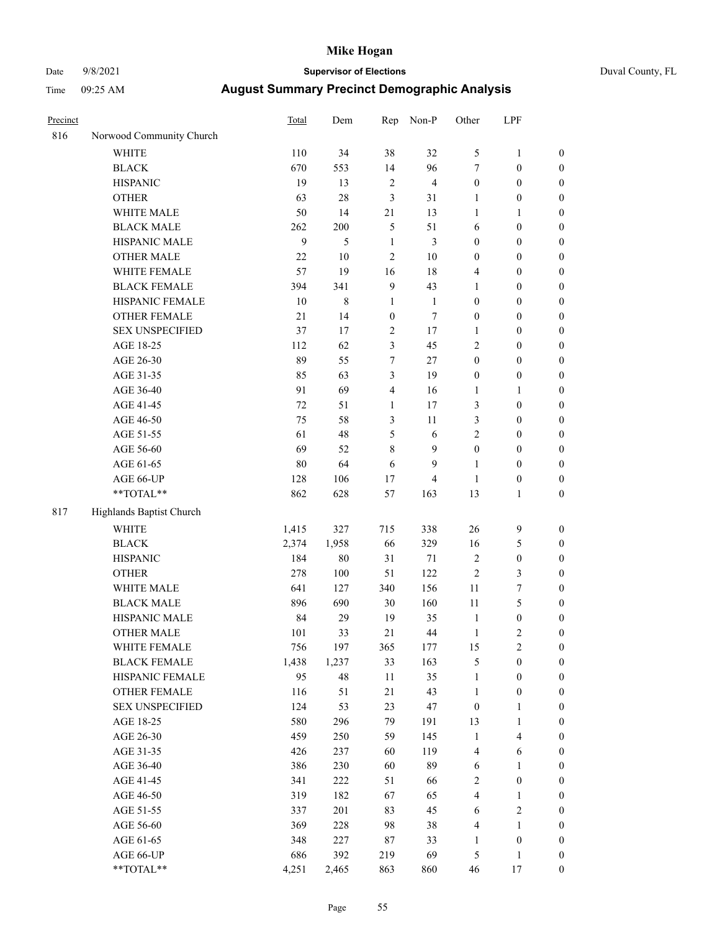## Date 9/8/2021 **Supervisor of Elections** Duval County, FL

| Precinct |                          | Total  | Dem       | Rep              | Non-P          | Other            | LPF              |                  |
|----------|--------------------------|--------|-----------|------------------|----------------|------------------|------------------|------------------|
| 816      | Norwood Community Church |        |           |                  |                |                  |                  |                  |
|          | <b>WHITE</b>             | 110    | 34        | 38               | 32             | 5                | $\mathbf{1}$     | 0                |
|          | <b>BLACK</b>             | 670    | 553       | 14               | 96             | $\boldsymbol{7}$ | $\boldsymbol{0}$ | $\boldsymbol{0}$ |
|          | <b>HISPANIC</b>          | 19     | 13        | $\sqrt{2}$       | $\overline{4}$ | $\boldsymbol{0}$ | $\boldsymbol{0}$ | $\boldsymbol{0}$ |
|          | <b>OTHER</b>             | 63     | 28        | 3                | 31             | 1                | $\boldsymbol{0}$ | $\boldsymbol{0}$ |
|          | WHITE MALE               | 50     | 14        | 21               | 13             | 1                | 1                | $\boldsymbol{0}$ |
|          | <b>BLACK MALE</b>        | 262    | 200       | 5                | 51             | 6                | $\boldsymbol{0}$ | $\boldsymbol{0}$ |
|          | HISPANIC MALE            | 9      | 5         | $\mathbf{1}$     | $\mathfrak{Z}$ | 0                | $\boldsymbol{0}$ | $\boldsymbol{0}$ |
|          | <b>OTHER MALE</b>        | 22     | 10        | 2                | 10             | 0                | $\boldsymbol{0}$ | $\boldsymbol{0}$ |
|          | WHITE FEMALE             | 57     | 19        | 16               | 18             | 4                | $\boldsymbol{0}$ | $\boldsymbol{0}$ |
|          | <b>BLACK FEMALE</b>      | 394    | 341       | $\boldsymbol{9}$ | 43             | 1                | $\boldsymbol{0}$ | $\boldsymbol{0}$ |
|          | HISPANIC FEMALE          | 10     | $\,$ $\,$ | $\mathbf{1}$     | $\mathbf{1}$   | 0                | $\boldsymbol{0}$ | $\boldsymbol{0}$ |
|          | OTHER FEMALE             | 21     | 14        | $\boldsymbol{0}$ | 7              | $\boldsymbol{0}$ | $\boldsymbol{0}$ | $\boldsymbol{0}$ |
|          | <b>SEX UNSPECIFIED</b>   | 37     | 17        | $\mathbf{2}$     | 17             | $\mathbf{1}$     | $\boldsymbol{0}$ | $\boldsymbol{0}$ |
|          | AGE 18-25                | 112    | 62        | 3                | 45             | 2                | $\boldsymbol{0}$ | $\boldsymbol{0}$ |
|          | AGE 26-30                | 89     | 55        | 7                | $27\,$         | $\boldsymbol{0}$ | $\boldsymbol{0}$ | $\boldsymbol{0}$ |
|          | AGE 31-35                | 85     | 63        | 3                | 19             | $\boldsymbol{0}$ | $\boldsymbol{0}$ | $\boldsymbol{0}$ |
|          | AGE 36-40                | 91     | 69        | 4                | 16             | $\mathbf{1}$     | $\mathbf{1}$     | $\boldsymbol{0}$ |
|          | AGE 41-45                | 72     | 51        | $\mathbf{1}$     | 17             | 3                | $\boldsymbol{0}$ | $\boldsymbol{0}$ |
|          | AGE 46-50                | 75     | 58        | 3                | $11\,$         | 3                | $\boldsymbol{0}$ | $\boldsymbol{0}$ |
|          | AGE 51-55                | 61     | 48        | 5                | 6              | $\overline{c}$   | $\boldsymbol{0}$ | $\boldsymbol{0}$ |
|          | AGE 56-60                | 69     | 52        | 8                | 9              | $\boldsymbol{0}$ | $\boldsymbol{0}$ | $\boldsymbol{0}$ |
|          | AGE 61-65                | $80\,$ | 64        | 6                | 9              | $\mathbf{1}$     | $\boldsymbol{0}$ | $\boldsymbol{0}$ |
|          | AGE 66-UP                | 128    | 106       | 17               | $\overline{4}$ | $\mathbf{1}$     | $\boldsymbol{0}$ | $\boldsymbol{0}$ |
|          | $**TOTAL**$              | 862    | 628       | 57               | 163            | 13               | $\mathbf{1}$     | $\boldsymbol{0}$ |
| 817      | Highlands Baptist Church |        |           |                  |                |                  |                  |                  |
|          | <b>WHITE</b>             | 1,415  | 327       | 715              | 338            | 26               | $\boldsymbol{9}$ | $\boldsymbol{0}$ |
|          | <b>BLACK</b>             | 2,374  | 1,958     | 66               | 329            | 16               | $\mathfrak s$    | $\boldsymbol{0}$ |
|          | <b>HISPANIC</b>          | 184    | 80        | 31               | 71             | 2                | $\boldsymbol{0}$ | $\boldsymbol{0}$ |
|          | <b>OTHER</b>             | 278    | 100       | 51               | 122            | $\overline{c}$   | 3                | $\boldsymbol{0}$ |
|          | WHITE MALE               | 641    | 127       | 340              | 156            | 11               | $\boldsymbol{7}$ | $\boldsymbol{0}$ |
|          | <b>BLACK MALE</b>        | 896    | 690       | 30               | 160            | $11\,$           | 5                | $\overline{0}$   |
|          | HISPANIC MALE            | 84     | 29        | 19               | 35             | $\mathbf{1}$     | $\boldsymbol{0}$ | 0                |
|          | <b>OTHER MALE</b>        | 101    | 33        | 21               | 44             | $\mathbf{1}$     | $\mathfrak{2}$   | $\boldsymbol{0}$ |
|          | WHITE FEMALE             | 756    | 197       | 365              | 177            | 15               | 2                | 0                |
|          | <b>BLACK FEMALE</b>      | 1,438  | 1,237     | 33               | 163            | 5                | $\boldsymbol{0}$ | $\boldsymbol{0}$ |
|          | HISPANIC FEMALE          | 95     | 48        | $11\,$           | 35             | $\mathbf{1}$     | $\boldsymbol{0}$ | $\overline{0}$   |
|          | OTHER FEMALE             | 116    | 51        | 21               | 43             | $\mathbf{1}$     | $\boldsymbol{0}$ | $\overline{0}$   |
|          | <b>SEX UNSPECIFIED</b>   | 124    | 53        | 23               | 47             | $\boldsymbol{0}$ | $\mathbf{1}$     | 0                |
|          | AGE 18-25                | 580    | 296       | 79               | 191            | 13               | $\mathbf{1}$     | $\theta$         |
|          | AGE 26-30                | 459    | 250       | 59               | 145            | $\mathbf{1}$     | $\overline{4}$   | 0                |
|          | AGE 31-35                | 426    | 237       | 60               | 119            | 4                | 6                | 0                |
|          | AGE 36-40                | 386    | 230       | 60               | 89             | 6                | $\mathbf{1}$     | 0                |
|          | AGE 41-45                | 341    | 222       | 51               | 66             | 2                | $\boldsymbol{0}$ | 0                |
|          | AGE 46-50                | 319    | 182       | 67               | 65             | 4                | 1                | 0                |
|          | AGE 51-55                | 337    | 201       | 83               | 45             | 6                | $\sqrt{2}$       | 0                |
|          | AGE 56-60                | 369    | 228       | 98               | 38             | 4                | 1                | $\overline{0}$   |
|          | AGE 61-65                | 348    | 227       | 87               | 33             | $\mathbf{1}$     | $\boldsymbol{0}$ | $\overline{0}$   |
|          | AGE 66-UP                | 686    | 392       | 219              | 69             | 5                | $\mathbf{1}$     | 0                |
|          | **TOTAL**                | 4,251  | 2,465     | 863              | 860            | 46               | 17               | $\boldsymbol{0}$ |
|          |                          |        |           |                  |                |                  |                  |                  |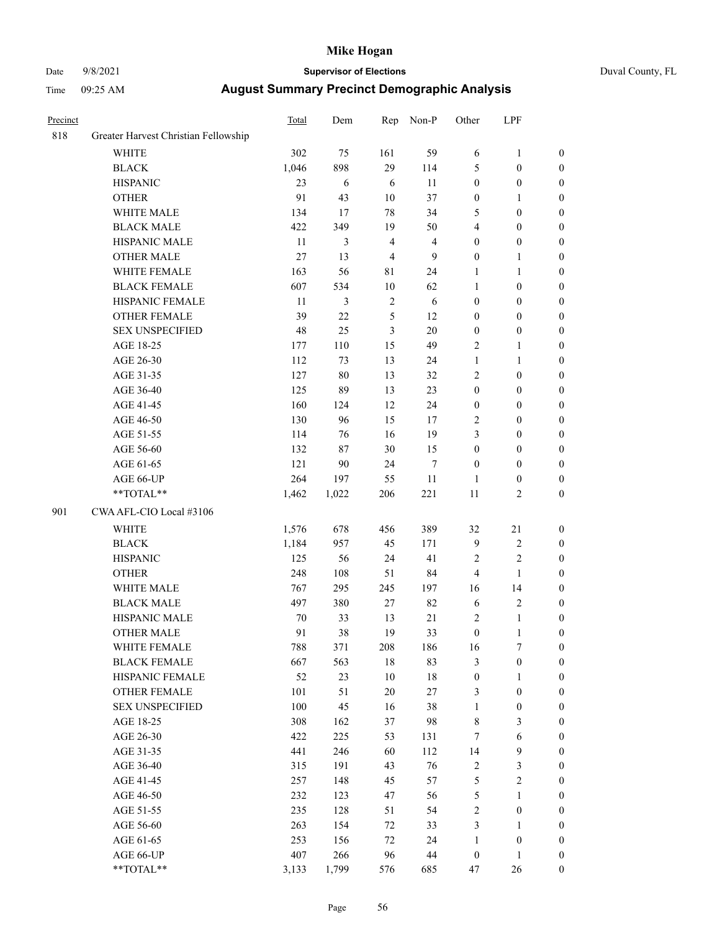### Date 9/8/2021 **Supervisor of Elections** Duval County, FL

| Precinct |                                      | <b>Total</b> | Dem        | Rep            | Non-P                   | Other            | LPF              |                  |
|----------|--------------------------------------|--------------|------------|----------------|-------------------------|------------------|------------------|------------------|
| 818      | Greater Harvest Christian Fellowship |              |            |                |                         |                  |                  |                  |
|          | <b>WHITE</b>                         | 302          | 75         | 161            | 59                      | 6                | $\mathbf{1}$     | 0                |
|          | <b>BLACK</b>                         | 1,046        | 898        | 29             | 114                     | 5                | $\boldsymbol{0}$ | 0                |
|          | <b>HISPANIC</b>                      | 23           | $\sqrt{6}$ | 6              | 11                      | $\boldsymbol{0}$ | $\boldsymbol{0}$ | $\boldsymbol{0}$ |
|          | <b>OTHER</b>                         | 91           | 43         | $10\,$         | 37                      | $\boldsymbol{0}$ | 1                | $\boldsymbol{0}$ |
|          | WHITE MALE                           | 134          | 17         | 78             | 34                      | 5                | $\boldsymbol{0}$ | $\boldsymbol{0}$ |
|          | <b>BLACK MALE</b>                    | 422          | 349        | 19             | 50                      | 4                | $\boldsymbol{0}$ | $\boldsymbol{0}$ |
|          | HISPANIC MALE                        | 11           | 3          | $\overline{4}$ | $\overline{\mathbf{4}}$ | $\boldsymbol{0}$ | $\boldsymbol{0}$ | $\boldsymbol{0}$ |
|          | <b>OTHER MALE</b>                    | 27           | 13         | $\overline{4}$ | 9                       | $\boldsymbol{0}$ | $\mathbf{1}$     | $\boldsymbol{0}$ |
|          | WHITE FEMALE                         | 163          | 56         | 81             | 24                      | 1                | $\mathbf{1}$     | $\boldsymbol{0}$ |
|          | <b>BLACK FEMALE</b>                  | 607          | 534        | 10             | 62                      | $\mathbf{1}$     | $\boldsymbol{0}$ | 0                |
|          | HISPANIC FEMALE                      | 11           | 3          | $\sqrt{2}$     | 6                       | $\boldsymbol{0}$ | $\boldsymbol{0}$ | 0                |
|          | <b>OTHER FEMALE</b>                  | 39           | 22         | $\mathfrak{S}$ | 12                      | $\boldsymbol{0}$ | $\boldsymbol{0}$ | $\boldsymbol{0}$ |
|          | <b>SEX UNSPECIFIED</b>               | 48           | 25         | $\mathfrak{Z}$ | 20                      | $\boldsymbol{0}$ | $\boldsymbol{0}$ | $\boldsymbol{0}$ |
|          | AGE 18-25                            | 177          | 110        | 15             | 49                      | 2                | 1                | $\boldsymbol{0}$ |
|          | AGE 26-30                            | 112          | 73         | 13             | 24                      | $\mathbf{1}$     | $\mathbf{1}$     | $\boldsymbol{0}$ |
|          | AGE 31-35                            | 127          | 80         | 13             | 32                      | $\overline{c}$   | $\boldsymbol{0}$ | $\boldsymbol{0}$ |
|          | AGE 36-40                            | 125          | 89         | 13             | 23                      | $\boldsymbol{0}$ | $\boldsymbol{0}$ | $\boldsymbol{0}$ |
|          | AGE 41-45                            | 160          | 124        | 12             | 24                      | $\boldsymbol{0}$ | $\boldsymbol{0}$ | $\boldsymbol{0}$ |
|          | AGE 46-50                            | 130          | 96         | 15             | 17                      | 2                | $\boldsymbol{0}$ | $\boldsymbol{0}$ |
|          | AGE 51-55                            | 114          | 76         | 16             | 19                      | 3                | $\boldsymbol{0}$ | $\boldsymbol{0}$ |
|          | AGE 56-60                            | 132          | 87         | 30             | 15                      | $\boldsymbol{0}$ | $\boldsymbol{0}$ | 0                |
|          | AGE 61-65                            | 121          | 90         | 24             | $\tau$                  | $\boldsymbol{0}$ | $\boldsymbol{0}$ | 0                |
|          | AGE 66-UP                            | 264          | 197        | 55             | $11\,$                  | 1                | $\boldsymbol{0}$ | $\boldsymbol{0}$ |
|          | **TOTAL**                            | 1,462        | 1,022      | 206            | 221                     | $11\,$           | $\sqrt{2}$       | $\boldsymbol{0}$ |
| 901      | CWA AFL-CIO Local #3106              |              |            |                |                         |                  |                  |                  |
|          |                                      |              |            |                |                         |                  |                  |                  |
|          | <b>WHITE</b>                         | 1,576        | 678        | 456            | 389                     | 32               | 21               | $\boldsymbol{0}$ |
|          | <b>BLACK</b>                         | 1,184        | 957        | 45             | 171                     | 9                | $\sqrt{2}$       | $\boldsymbol{0}$ |
|          | <b>HISPANIC</b>                      | 125          | 56         | 24             | 41                      | 2                | $\mathbf{2}$     | $\boldsymbol{0}$ |
|          | <b>OTHER</b>                         | 248          | 108        | 51             | 84                      | 4                | 1                | $\boldsymbol{0}$ |
|          | WHITE MALE                           | 767          | 295        | 245            | 197                     | 16               | 14               | $\boldsymbol{0}$ |
|          | <b>BLACK MALE</b>                    | 497          | 380        | 27             | 82                      | $\sqrt{6}$       | $\sqrt{2}$       | $\boldsymbol{0}$ |
|          | HISPANIC MALE                        | 70           | 33         | 13             | 21                      | $\overline{c}$   | $\mathbf{1}$     | 0                |
|          | OTHER MALE                           | 91           | 38         | 19             | 33                      | $\boldsymbol{0}$ | $\mathbf{1}$     | $\boldsymbol{0}$ |
|          | WHITE FEMALE                         | 788          | 371        | 208            | 186                     | 16               | 7                | 0                |
|          | <b>BLACK FEMALE</b>                  | 667          | 563        | 18             | 83                      | 3                | $\boldsymbol{0}$ | $\boldsymbol{0}$ |
|          | HISPANIC FEMALE                      | 52           | 23         | $10\,$         | 18                      | $\boldsymbol{0}$ | $\mathbf{1}$     | $\overline{0}$   |
|          | <b>OTHER FEMALE</b>                  | 101          | 51         | $20\,$         | $27\,$                  | 3                | $\boldsymbol{0}$ | $\overline{0}$   |
|          | <b>SEX UNSPECIFIED</b>               | 100          | 45         | 16             | 38                      | $\mathbf{1}$     | $\boldsymbol{0}$ | 0                |
|          | AGE 18-25                            | 308          | 162        | 37             | 98                      | 8                | $\mathfrak{Z}$   | $\theta$         |
|          | AGE 26-30                            | 422          | 225        | 53             | 131                     | 7                | $\sqrt{6}$       | 0                |
|          | AGE 31-35                            | 441          | 246        | 60             | 112                     | 14               | $\mathbf{9}$     | 0                |
|          | AGE 36-40                            | 315          | 191        | 43             | 76                      | $\sqrt{2}$       | $\mathfrak{Z}$   | 0                |
|          | AGE 41-45                            | 257          | 148        | 45             | 57                      | 5                | $\sqrt{2}$       | 0                |
|          | AGE 46-50                            | 232          | 123        | 47             | 56                      | 5                | $\mathbf{1}$     | 0                |
|          | AGE 51-55                            | 235          | 128        | 51             | 54                      | 2                | $\boldsymbol{0}$ | 0                |
|          | AGE 56-60                            | 263          | 154        | 72             | 33                      | 3                | $\mathbf{1}$     | 0                |
|          | AGE 61-65                            | 253          | 156        | 72             | 24                      | $\mathbf{1}$     | $\boldsymbol{0}$ | $\overline{0}$   |
|          | AGE 66-UP                            | 407          | 266        | 96             | 44                      | $\boldsymbol{0}$ | $\mathbf{1}$     | $\boldsymbol{0}$ |
|          | **TOTAL**                            | 3,133        | 1,799      | 576            | 685                     | 47               | 26               | $\boldsymbol{0}$ |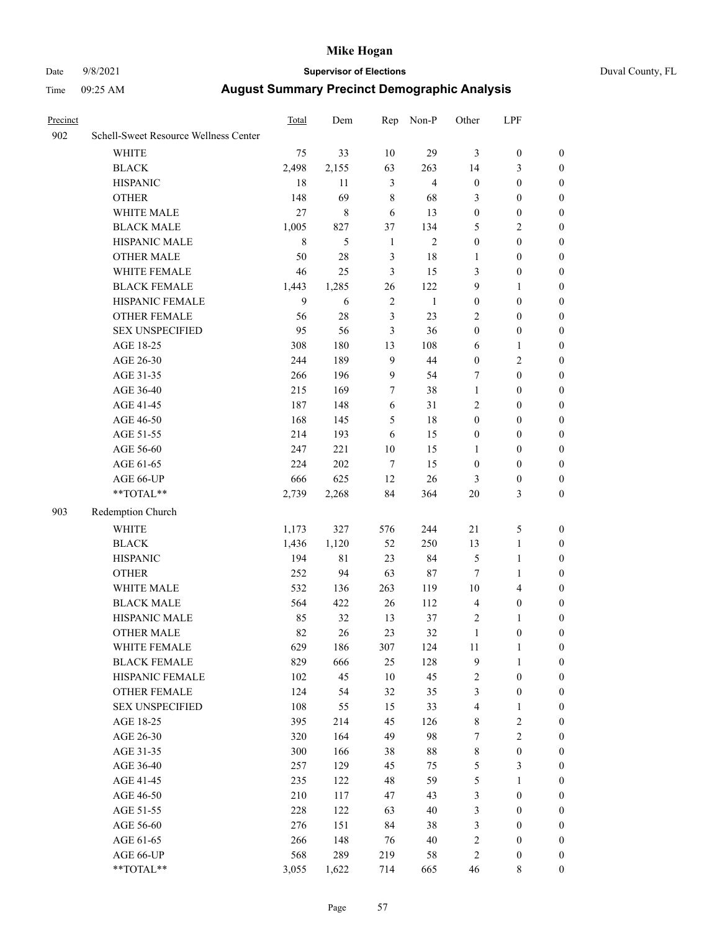### Date 9/8/2021 **Supervisor of Elections** Duval County, FL

| Precinct |                                                           | Total   | Dem         | Rep            | Non-P          | Other            | LPF              |                  |
|----------|-----------------------------------------------------------|---------|-------------|----------------|----------------|------------------|------------------|------------------|
| 902      | Schell-Sweet Resource Wellness Center                     |         |             |                |                |                  |                  |                  |
|          | <b>WHITE</b>                                              | 75      | 33          | 10             | 29             | 3                | $\boldsymbol{0}$ | $\boldsymbol{0}$ |
|          | <b>BLACK</b>                                              | 2,498   | 2,155       | 63             | 263            | 14               | 3                | $\boldsymbol{0}$ |
|          | <b>HISPANIC</b>                                           | 18      | 11          | $\mathfrak{Z}$ | $\overline{4}$ | $\boldsymbol{0}$ | $\boldsymbol{0}$ | $\boldsymbol{0}$ |
|          | <b>OTHER</b>                                              | 148     | 69          | 8              | 68             | 3                | $\boldsymbol{0}$ | $\boldsymbol{0}$ |
|          | WHITE MALE                                                | 27      | $\,$ 8 $\,$ | 6              | 13             | $\boldsymbol{0}$ | $\boldsymbol{0}$ | $\boldsymbol{0}$ |
|          | <b>BLACK MALE</b>                                         | 1,005   | 827         | 37             | 134            | 5                | $\overline{2}$   | $\boldsymbol{0}$ |
|          | HISPANIC MALE                                             | $\,8\,$ | 5           | $\mathbf{1}$   | $\overline{2}$ | $\boldsymbol{0}$ | $\boldsymbol{0}$ | $\boldsymbol{0}$ |
|          | OTHER MALE                                                | 50      | 28          | 3              | 18             | 1                | $\boldsymbol{0}$ | 0                |
|          | WHITE FEMALE                                              | 46      | 25          | 3              | 15             | 3                | $\boldsymbol{0}$ | 0                |
|          | <b>BLACK FEMALE</b>                                       | 1,443   | 1,285       | 26             | 122            | 9                | $\mathbf{1}$     | $\boldsymbol{0}$ |
|          | HISPANIC FEMALE                                           | 9       | 6           | $\overline{2}$ | $\mathbf{1}$   | $\boldsymbol{0}$ | $\boldsymbol{0}$ | $\boldsymbol{0}$ |
|          | OTHER FEMALE                                              | 56      | 28          | $\mathfrak{Z}$ | 23             | 2                | $\boldsymbol{0}$ | $\boldsymbol{0}$ |
|          | <b>SEX UNSPECIFIED</b>                                    | 95      | 56          | 3              | 36             | $\boldsymbol{0}$ | $\boldsymbol{0}$ | $\boldsymbol{0}$ |
|          | AGE 18-25                                                 | 308     | 180         | 13             | 108            | 6                | $\mathbf{1}$     | $\boldsymbol{0}$ |
|          | AGE 26-30                                                 | 244     | 189         | 9              | 44             | $\boldsymbol{0}$ | $\sqrt{2}$       | $\boldsymbol{0}$ |
|          | AGE 31-35                                                 | 266     | 196         | $\mathbf{9}$   | 54             | 7                | $\boldsymbol{0}$ | $\boldsymbol{0}$ |
|          | AGE 36-40                                                 | 215     | 169         | $\tau$         | 38             | $\mathbf{1}$     | $\boldsymbol{0}$ | $\boldsymbol{0}$ |
|          | AGE 41-45                                                 | 187     | 148         | 6              | 31             | 2                | $\boldsymbol{0}$ | $\boldsymbol{0}$ |
|          | AGE 46-50                                                 | 168     | 145         | 5              | 18             | $\boldsymbol{0}$ | $\boldsymbol{0}$ | 0                |
|          | AGE 51-55                                                 | 214     | 193         | 6              | 15             | $\boldsymbol{0}$ | $\boldsymbol{0}$ | 0                |
|          | AGE 56-60                                                 | 247     | 221         | $10\,$         | 15             | 1                | $\boldsymbol{0}$ | $\boldsymbol{0}$ |
|          | AGE 61-65                                                 | 224     | 202         | $\tau$         | 15             | $\boldsymbol{0}$ | $\boldsymbol{0}$ | $\boldsymbol{0}$ |
|          | AGE 66-UP                                                 | 666     | 625         | 12             | 26             | 3                | $\boldsymbol{0}$ | $\boldsymbol{0}$ |
|          | $\mathrm{*}\mathrm{*}\mathrm{TOTAL} \mathrm{*}\mathrm{*}$ | 2,739   | 2,268       | 84             | 364            | $20\,$           | 3                | $\boldsymbol{0}$ |
|          |                                                           |         |             |                |                |                  |                  |                  |
| 903      | Redemption Church                                         |         |             |                |                |                  |                  |                  |
|          | <b>WHITE</b>                                              | 1,173   | 327         | 576            | 244            | 21               | 5                | $\boldsymbol{0}$ |
|          | <b>BLACK</b>                                              | 1,436   | 1,120       | 52             | 250            | 13               | $\mathbf{1}$     | $\boldsymbol{0}$ |
|          | <b>HISPANIC</b>                                           | 194     | $8\sqrt{1}$ | 23             | 84             | 5                | $\mathbf{1}$     | $\boldsymbol{0}$ |
|          | <b>OTHER</b>                                              | 252     | 94          | 63             | $87\,$         | 7                | 1                | $\boldsymbol{0}$ |
|          | WHITE MALE                                                | 532     | 136         | 263            | 119            | $10\,$           | $\overline{4}$   | 0                |
|          | <b>BLACK MALE</b>                                         | 564     | 422         | 26             | 112            | $\overline{4}$   | $\boldsymbol{0}$ | 0                |
|          | HISPANIC MALE                                             | 85      | 32          | 13             | 37             | $\overline{c}$   | $\mathbf{1}$     | 0                |
|          | <b>OTHER MALE</b>                                         | 82      | 26          | 23             | 32             | $\mathbf{1}$     | $\boldsymbol{0}$ | $\boldsymbol{0}$ |
|          | WHITE FEMALE                                              | 629     | 186         | 307            | 124            | 11               | 1                | $\boldsymbol{0}$ |
|          | <b>BLACK FEMALE</b>                                       | 829     | 666         | 25             | 128            | 9                | $\mathbf{1}$     | $\boldsymbol{0}$ |
|          | HISPANIC FEMALE                                           | 102     | 45          | 10             | 45             | 2                | $\boldsymbol{0}$ | $\overline{0}$   |
|          | <b>OTHER FEMALE</b>                                       | 124     | 54          | 32             | 35             | 3                | $\boldsymbol{0}$ | $\theta$         |
|          | <b>SEX UNSPECIFIED</b>                                    | 108     | 55          | 15             | 33             | 4                | $\mathbf{1}$     | $\theta$         |
|          | AGE 18-25                                                 | 395     | 214         | 45             | 126            | 8                | $\sqrt{2}$       | 0                |
|          | AGE 26-30                                                 | 320     | 164         | 49             | 98             | 7                | $\sqrt{2}$       | 0                |
|          | AGE 31-35                                                 | 300     | 166         | 38             | 88             | 8                | $\boldsymbol{0}$ | 0                |
|          | AGE 36-40                                                 | 257     | 129         | 45             | 75             | 5                | $\mathfrak{Z}$   | 0                |
|          | AGE 41-45                                                 | 235     | 122         | 48             | 59             | 5                | $\mathbf{1}$     | $\overline{0}$   |
|          | AGE 46-50                                                 | 210     | 117         | 47             | 43             | 3                | $\boldsymbol{0}$ | $\overline{0}$   |
|          | AGE 51-55                                                 | 228     | 122         | 63             | $40\,$         | 3                | $\boldsymbol{0}$ | $\overline{0}$   |
|          | AGE 56-60                                                 | 276     | 151         | 84             | 38             | 3                | $\boldsymbol{0}$ | $\overline{0}$   |
|          | AGE 61-65                                                 | 266     | 148         | 76             | 40             | 2                | $\boldsymbol{0}$ | $\overline{0}$   |
|          | AGE 66-UP                                                 | 568     | 289         | 219            | 58             | $\sqrt{2}$       | $\boldsymbol{0}$ | $\overline{0}$   |
|          | **TOTAL**                                                 | 3,055   | 1,622       | 714            | 665            | 46               | 8                | $\boldsymbol{0}$ |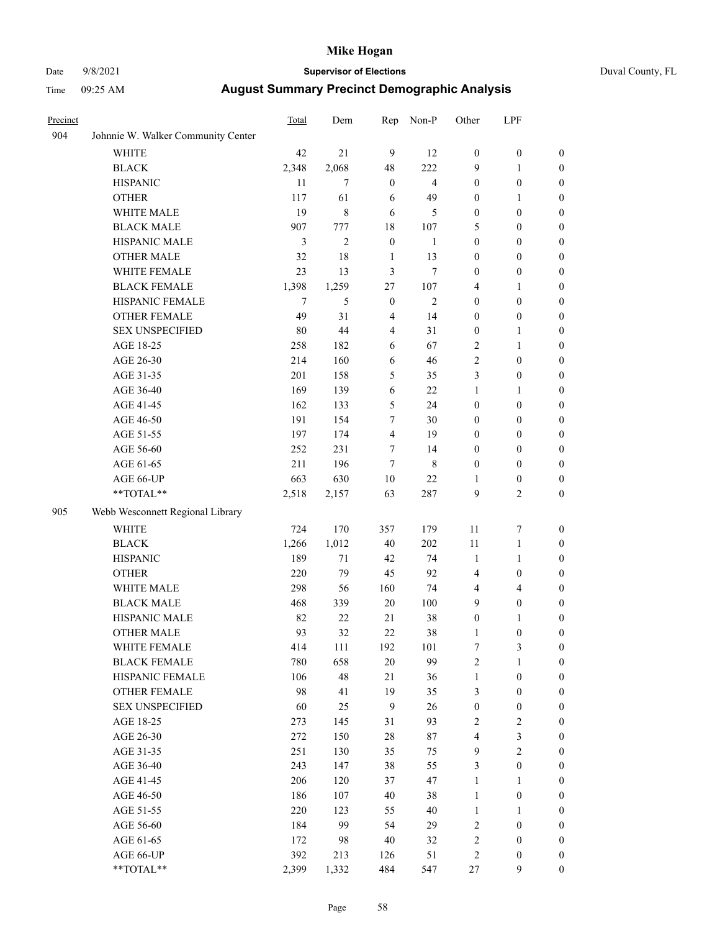### Date 9/8/2021 **Supervisor of Elections** Duval County, FL

| Precinct |                                    | Total | Dem            | Rep              | Non-P                   | Other                   | LPF              |                  |
|----------|------------------------------------|-------|----------------|------------------|-------------------------|-------------------------|------------------|------------------|
| 904      | Johnnie W. Walker Community Center |       |                |                  |                         |                         |                  |                  |
|          | <b>WHITE</b>                       | 42    | 21             | 9                | 12                      | $\boldsymbol{0}$        | $\boldsymbol{0}$ | $\boldsymbol{0}$ |
|          | <b>BLACK</b>                       | 2,348 | 2,068          | 48               | 222                     | 9                       | $\mathbf{1}$     | $\boldsymbol{0}$ |
|          | <b>HISPANIC</b>                    | 11    | $\overline{7}$ | $\mathbf{0}$     | $\overline{\mathbf{4}}$ | $\boldsymbol{0}$        | $\boldsymbol{0}$ | $\boldsymbol{0}$ |
|          | <b>OTHER</b>                       | 117   | 61             | 6                | 49                      | $\boldsymbol{0}$        | 1                | $\boldsymbol{0}$ |
|          | WHITE MALE                         | 19    | $\,8\,$        | 6                | 5                       | $\boldsymbol{0}$        | $\boldsymbol{0}$ | $\boldsymbol{0}$ |
|          | <b>BLACK MALE</b>                  | 907   | 777            | 18               | 107                     | 5                       | $\boldsymbol{0}$ | $\boldsymbol{0}$ |
|          | HISPANIC MALE                      | 3     | $\mathfrak{2}$ | $\boldsymbol{0}$ | $\mathbf{1}$            | $\boldsymbol{0}$        | $\boldsymbol{0}$ | $\boldsymbol{0}$ |
|          | OTHER MALE                         | 32    | 18             | $\mathbf{1}$     | 13                      | $\boldsymbol{0}$        | $\boldsymbol{0}$ | $\boldsymbol{0}$ |
|          | WHITE FEMALE                       | 23    | 13             | 3                | $\tau$                  | $\boldsymbol{0}$        | $\boldsymbol{0}$ | $\boldsymbol{0}$ |
|          | <b>BLACK FEMALE</b>                | 1,398 | 1,259          | 27               | 107                     | 4                       | $\mathbf{1}$     | 0                |
|          | HISPANIC FEMALE                    | 7     | 5              | $\boldsymbol{0}$ | $\mathfrak{2}$          | $\boldsymbol{0}$        | $\boldsymbol{0}$ | $\boldsymbol{0}$ |
|          | OTHER FEMALE                       | 49    | 31             | $\overline{4}$   | 14                      | $\boldsymbol{0}$        | $\boldsymbol{0}$ | $\boldsymbol{0}$ |
|          | <b>SEX UNSPECIFIED</b>             | 80    | 44             | $\overline{4}$   | 31                      | $\boldsymbol{0}$        | $\mathbf{1}$     | $\boldsymbol{0}$ |
|          | AGE 18-25                          | 258   | 182            | 6                | 67                      | 2                       | $\mathbf{1}$     | $\boldsymbol{0}$ |
|          | AGE 26-30                          | 214   | 160            | 6                | 46                      | $\overline{c}$          | $\boldsymbol{0}$ | $\boldsymbol{0}$ |
|          | AGE 31-35                          | 201   | 158            | 5                | 35                      | 3                       | $\boldsymbol{0}$ | $\boldsymbol{0}$ |
|          | AGE 36-40                          | 169   | 139            | 6                | 22                      | $\mathbf{1}$            | $\mathbf{1}$     | $\boldsymbol{0}$ |
|          | AGE 41-45                          | 162   | 133            | 5                | 24                      | $\boldsymbol{0}$        | $\boldsymbol{0}$ | $\boldsymbol{0}$ |
|          | AGE 46-50                          | 191   | 154            | 7                | $30\,$                  | $\boldsymbol{0}$        | $\boldsymbol{0}$ | $\boldsymbol{0}$ |
|          | AGE 51-55                          | 197   | 174            | $\overline{4}$   | 19                      | 0                       | $\boldsymbol{0}$ | 0                |
|          | AGE 56-60                          | 252   | 231            | 7                | 14                      | $\boldsymbol{0}$        | $\boldsymbol{0}$ | $\boldsymbol{0}$ |
|          | AGE 61-65                          | 211   | 196            | $\tau$           | $\,$ 8 $\,$             | $\boldsymbol{0}$        | $\boldsymbol{0}$ | $\boldsymbol{0}$ |
|          | AGE 66-UP                          | 663   | 630            | $10\,$           | 22                      | 1                       | $\boldsymbol{0}$ | $\boldsymbol{0}$ |
|          | **TOTAL**                          | 2,518 | 2,157          | 63               | 287                     | 9                       | $\mathfrak{2}$   | $\boldsymbol{0}$ |
| 905      | Webb Wesconnett Regional Library   |       |                |                  |                         |                         |                  |                  |
|          | <b>WHITE</b>                       | 724   | 170            | 357              | 179                     | $11\,$                  | $\boldsymbol{7}$ | $\boldsymbol{0}$ |
|          | <b>BLACK</b>                       | 1,266 | 1,012          | 40               | 202                     | 11                      | $\mathbf{1}$     | $\boldsymbol{0}$ |
|          | <b>HISPANIC</b>                    | 189   | 71             | 42               | 74                      | $\mathbf{1}$            | $\mathbf{1}$     | $\boldsymbol{0}$ |
|          | <b>OTHER</b>                       | 220   | 79             | 45               | 92                      | 4                       | $\boldsymbol{0}$ | $\boldsymbol{0}$ |
|          | WHITE MALE                         | 298   | 56             | 160              | 74                      | 4                       | $\overline{4}$   | $\boldsymbol{0}$ |
|          | <b>BLACK MALE</b>                  | 468   | 339            | $20\,$           | 100                     | 9                       | $\boldsymbol{0}$ | $\boldsymbol{0}$ |
|          | HISPANIC MALE                      | 82    | 22             | 21               | 38                      | $\boldsymbol{0}$        | 1                | 0                |
|          | OTHER MALE                         | 93    | 32             | 22               | 38                      | $\mathbf{1}$            | $\boldsymbol{0}$ | $\boldsymbol{0}$ |
|          | WHITE FEMALE                       | 414   | 111            | 192              | 101                     | 7                       | 3                | $\boldsymbol{0}$ |
|          | <b>BLACK FEMALE</b>                | 780   | 658            | 20               | 99                      | $\overline{c}$          | $\mathbf{1}$     | $\overline{0}$   |
|          | HISPANIC FEMALE                    | 106   | 48             | 21               | 36                      | $\mathbf{1}$            | $\boldsymbol{0}$ | $\overline{0}$   |
|          | <b>OTHER FEMALE</b>                | 98    | 41             | 19               | 35                      | 3                       | $\boldsymbol{0}$ | 0                |
|          | <b>SEX UNSPECIFIED</b>             | 60    | 25             | $\overline{9}$   | 26                      | $\boldsymbol{0}$        | $\boldsymbol{0}$ | $\overline{0}$   |
|          | AGE 18-25                          | 273   | 145            | 31               | 93                      | 2                       | $\sqrt{2}$       | 0                |
|          | AGE 26-30                          | 272   | 150            | 28               | $87\,$                  | $\overline{\mathbf{4}}$ | $\mathfrak{Z}$   | 0                |
|          | AGE 31-35                          | 251   | 130            | 35               | 75                      | $\mathbf{9}$            | $\sqrt{2}$       | 0                |
|          | AGE 36-40                          | 243   | 147            | 38               | 55                      | 3                       | $\boldsymbol{0}$ | 0                |
|          | AGE 41-45                          | 206   | 120            | 37               | 47                      | $\mathbf{1}$            | $\mathbf{1}$     | 0                |
|          | AGE 46-50                          | 186   | 107            | 40               | 38                      | $\mathbf{1}$            | $\boldsymbol{0}$ | $\overline{0}$   |
|          | AGE 51-55                          | 220   | 123            | 55               | $40\,$                  | $\mathbf{1}$            | $\mathbf{1}$     | $\boldsymbol{0}$ |
|          | AGE 56-60                          | 184   | 99             | 54               | 29                      | 2                       | $\boldsymbol{0}$ | $\overline{0}$   |
|          | AGE 61-65                          | 172   | 98             | 40               | 32                      | $\overline{c}$          | $\boldsymbol{0}$ | 0                |
|          | AGE 66-UP                          | 392   | 213            | 126              | 51                      | 2                       | $\boldsymbol{0}$ | 0                |
|          | **TOTAL**                          | 2,399 | 1,332          | 484              | 547                     | 27                      | $\mathbf{9}$     | $\boldsymbol{0}$ |
|          |                                    |       |                |                  |                         |                         |                  |                  |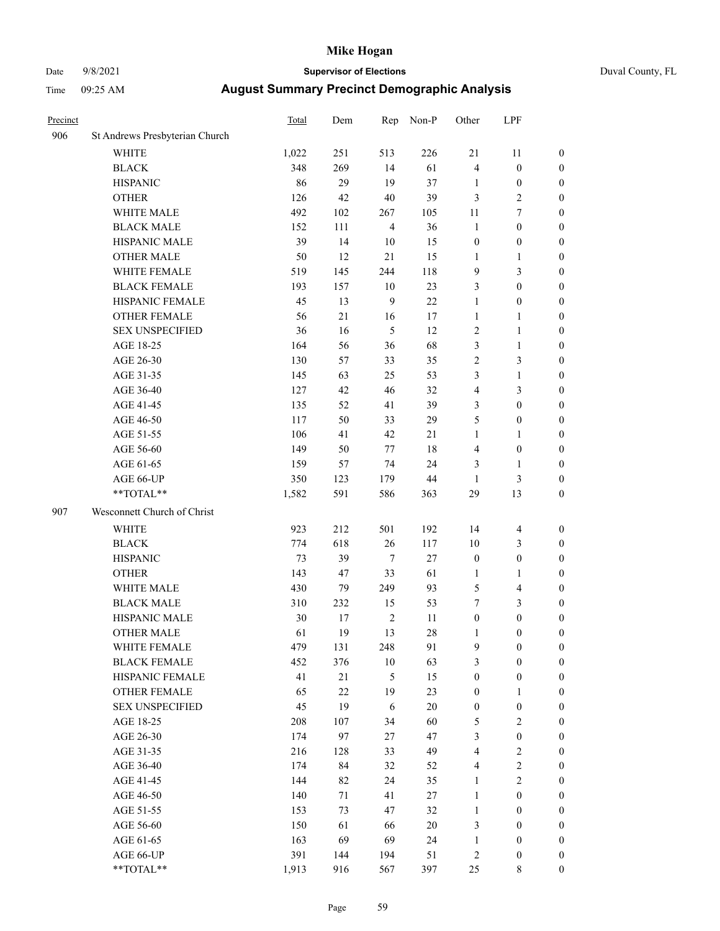## Date 9/8/2021 **Supervisor of Elections** Duval County, FL

| Precinct |                                        | Total      | Dem       | Rep              | Non-P    | Other                                | LPF                                  |                                  |
|----------|----------------------------------------|------------|-----------|------------------|----------|--------------------------------------|--------------------------------------|----------------------------------|
| 906      | St Andrews Presbyterian Church         |            |           |                  |          |                                      |                                      |                                  |
|          | <b>WHITE</b>                           | 1,022      | 251       | 513              | 226      | 21                                   | 11                                   | 0                                |
|          | <b>BLACK</b>                           | 348        | 269       | 14               | 61       | $\overline{4}$                       | $\boldsymbol{0}$                     | 0                                |
|          | <b>HISPANIC</b>                        | 86         | 29        | 19               | 37       | $\mathbf{1}$                         | $\boldsymbol{0}$                     | $\boldsymbol{0}$                 |
|          | <b>OTHER</b>                           | 126        | 42        | 40               | 39       | 3                                    | $\sqrt{2}$                           | $\boldsymbol{0}$                 |
|          | WHITE MALE                             | 492        | 102       | 267              | 105      | 11                                   | 7                                    | $\boldsymbol{0}$                 |
|          | <b>BLACK MALE</b>                      | 152        | 111       | $\overline{4}$   | 36       | $\mathbf{1}$                         | $\boldsymbol{0}$                     | $\boldsymbol{0}$                 |
|          | HISPANIC MALE                          | 39         | 14        | 10               | 15       | $\boldsymbol{0}$                     | $\boldsymbol{0}$                     | $\boldsymbol{0}$                 |
|          | <b>OTHER MALE</b>                      | 50         | 12        | 21               | 15       | $\mathbf{1}$                         | $\mathbf{1}$                         | $\boldsymbol{0}$                 |
|          | WHITE FEMALE                           | 519        | 145       | 244              | 118      | 9                                    | $\mathfrak{Z}$                       | $\boldsymbol{0}$                 |
|          | <b>BLACK FEMALE</b>                    | 193        | 157       | 10               | 23       | 3                                    | $\boldsymbol{0}$                     | $\boldsymbol{0}$                 |
|          | HISPANIC FEMALE                        | 45         | 13        | $\mathbf{9}$     | 22       | $\mathbf{1}$                         | $\boldsymbol{0}$                     | 0                                |
|          | OTHER FEMALE                           | 56         | 21        | 16               | 17       | $\mathbf{1}$                         | $\mathbf{1}$                         | $\boldsymbol{0}$                 |
|          | <b>SEX UNSPECIFIED</b>                 | 36         | 16        | 5                | 12       | $\mathbf{2}$                         | $\mathbf{1}$                         | $\boldsymbol{0}$                 |
|          | AGE 18-25                              | 164        | 56        | 36               | 68       | 3                                    | $\mathbf{1}$                         | $\boldsymbol{0}$                 |
|          | AGE 26-30                              | 130        | 57        | 33               | 35       | 2                                    | $\mathfrak{Z}$                       | $\boldsymbol{0}$                 |
|          | AGE 31-35                              | 145        | 63        | 25               | 53       | 3                                    | $\mathbf{1}$                         | $\boldsymbol{0}$                 |
|          | AGE 36-40                              | 127        | 42        | 46               | 32       | 4                                    | 3                                    | $\boldsymbol{0}$                 |
|          | AGE 41-45                              | 135        | 52        | 41               | 39       | 3                                    | $\boldsymbol{0}$                     | $\boldsymbol{0}$                 |
|          | AGE 46-50                              | 117        | 50        | 33               | 29       | 5                                    | $\boldsymbol{0}$                     | $\boldsymbol{0}$                 |
|          | AGE 51-55                              | 106        | 41        | 42               | $21\,$   | $\mathbf{1}$                         | 1                                    | $\boldsymbol{0}$                 |
|          | AGE 56-60                              | 149        | 50        | 77               | 18       | 4                                    | $\boldsymbol{0}$                     | 0                                |
|          | AGE 61-65                              | 159        | 57        | 74               | 24       | 3                                    | 1                                    | 0                                |
|          | AGE 66-UP                              | 350        | 123       | 179              | 44       | $\mathbf{1}$                         | $\mathfrak{Z}$                       | $\boldsymbol{0}$                 |
|          | $**TOTAL**$                            | 1,582      | 591       | 586              | 363      | 29                                   | 13                                   | $\boldsymbol{0}$                 |
| 907      | Wesconnett Church of Christ            |            |           |                  |          |                                      |                                      |                                  |
|          | <b>WHITE</b>                           | 923        | 212       | 501              | 192      | 14                                   |                                      |                                  |
|          |                                        |            |           |                  |          |                                      | $\overline{4}$                       | $\boldsymbol{0}$                 |
|          | <b>BLACK</b>                           | 774        | 618       | 26               | 117      | 10                                   | $\mathfrak{Z}$                       | $\boldsymbol{0}$                 |
|          | <b>HISPANIC</b>                        | 73         | 39        | 7                | 27       | $\boldsymbol{0}$                     | $\boldsymbol{0}$                     | $\boldsymbol{0}$                 |
|          | <b>OTHER</b>                           | 143        | 47        | 33               | 61       | $\mathbf{1}$                         | $\mathbf{1}$                         | $\boldsymbol{0}$                 |
|          | WHITE MALE                             | 430        | 79        | 249              | 93       | 5                                    | $\overline{4}$                       | $\boldsymbol{0}$                 |
|          | <b>BLACK MALE</b>                      | 310        | 232       | 15               | 53       | 7                                    | $\mathfrak{Z}$                       | $\boldsymbol{0}$                 |
|          | HISPANIC MALE                          | 30<br>61   | 17<br>19  | $\sqrt{2}$<br>13 | 11<br>28 | $\boldsymbol{0}$                     | $\boldsymbol{0}$<br>$\boldsymbol{0}$ | $\boldsymbol{0}$                 |
|          | <b>OTHER MALE</b>                      |            |           |                  |          | 1                                    |                                      | $\boldsymbol{0}$                 |
|          | WHITE FEMALE                           | 479        | 131       | 248              | 91       | 9                                    | 0                                    | 0                                |
|          | <b>BLACK FEMALE</b><br>HISPANIC FEMALE | 452        | 376<br>21 | $10\,$           | 63<br>15 | 3<br>$\boldsymbol{0}$                | $\boldsymbol{0}$<br>$\boldsymbol{0}$ | $\overline{0}$<br>$\overline{0}$ |
|          | OTHER FEMALE                           | 41<br>65   | $22\,$    | 5<br>19          | 23       |                                      |                                      | $\overline{0}$                   |
|          | <b>SEX UNSPECIFIED</b>                 | 45         | 19        | 6                | 20       | $\boldsymbol{0}$<br>$\boldsymbol{0}$ | $\mathbf{1}$<br>$\boldsymbol{0}$     | 0                                |
|          |                                        |            |           | 34               | 60       |                                      | $\sqrt{2}$                           | 0                                |
|          | AGE 18-25<br>AGE 26-30                 | 208<br>174 | 107<br>97 | 27               | 47       | 5<br>3                               | $\boldsymbol{0}$                     | 0                                |
|          |                                        | 216        | 128       | 33               | 49       | 4                                    | $\sqrt{2}$                           | 0                                |
|          | AGE 31-35                              |            |           |                  |          |                                      |                                      |                                  |
|          | AGE 36-40                              | 174<br>144 | 84        | 32<br>24         | 52<br>35 | 4                                    | $\sqrt{2}$<br>$\overline{c}$         | 0                                |
|          | AGE 41-45                              |            | 82        |                  |          | 1                                    |                                      | 0                                |
|          | AGE 46-50                              | 140        | 71        | 41               | $27\,$   | $\mathbf{1}$                         | $\boldsymbol{0}$                     | 0                                |
|          | AGE 51-55                              | 153        | 73        | 47               | 32       | $\mathbf{1}$                         | $\boldsymbol{0}$                     | 0                                |
|          | AGE 56-60                              | 150        | 61        | 66               | 20       | 3                                    | $\boldsymbol{0}$                     | $\overline{0}$                   |
|          | AGE 61-65                              | 163        | 69        | 69               | 24       | $\mathbf{1}$                         | $\boldsymbol{0}$                     | $\overline{0}$                   |
|          | AGE 66-UP                              | 391        | 144       | 194              | 51       | 2                                    | $\boldsymbol{0}$                     | 0                                |
|          | **TOTAL**                              | 1,913      | 916       | 567              | 397      | 25                                   | 8                                    | $\boldsymbol{0}$                 |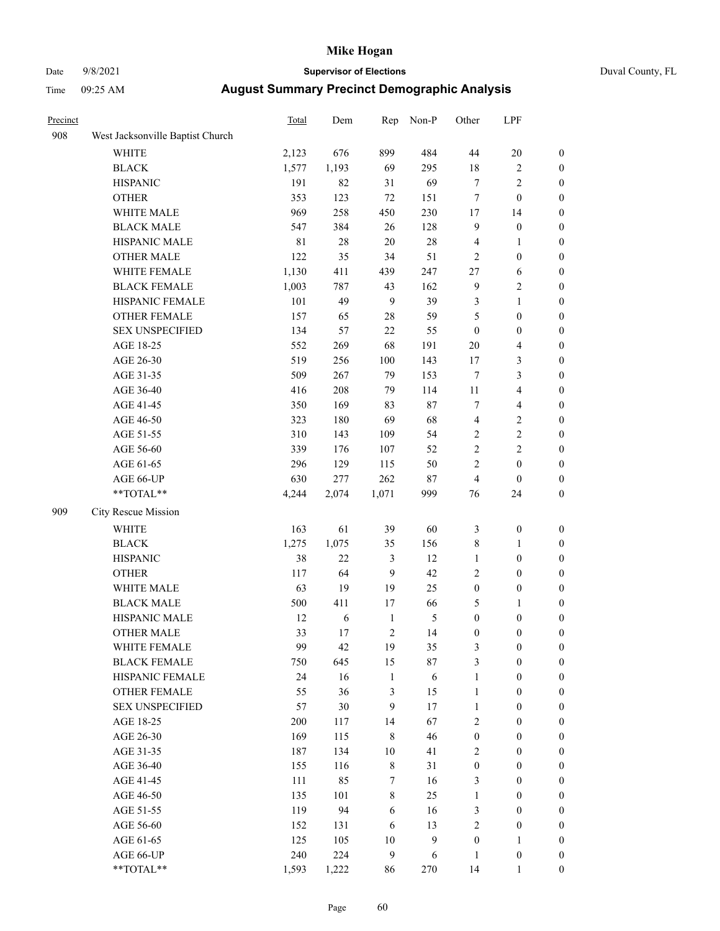### Date 9/8/2021 **Supervisor of Elections** Duval County, FL

| Precinct |                                                           | Total       | Dem   | Rep              | Non-P            | Other            | LPF              |                  |
|----------|-----------------------------------------------------------|-------------|-------|------------------|------------------|------------------|------------------|------------------|
| 908      | West Jacksonville Baptist Church                          |             |       |                  |                  |                  |                  |                  |
|          | <b>WHITE</b>                                              | 2,123       | 676   | 899              | 484              | 44               | 20               | 0                |
|          | <b>BLACK</b>                                              | 1,577       | 1,193 | 69               | 295              | 18               | $\sqrt{2}$       | $\boldsymbol{0}$ |
|          | <b>HISPANIC</b>                                           | 191         | 82    | 31               | 69               | $\tau$           | $\sqrt{2}$       | $\boldsymbol{0}$ |
|          | <b>OTHER</b>                                              | 353         | 123   | $72\,$           | 151              | 7                | $\boldsymbol{0}$ | $\boldsymbol{0}$ |
|          | WHITE MALE                                                | 969         | 258   | 450              | 230              | 17               | 14               | $\boldsymbol{0}$ |
|          | <b>BLACK MALE</b>                                         | 547         | 384   | 26               | 128              | 9                | $\boldsymbol{0}$ | $\boldsymbol{0}$ |
|          | HISPANIC MALE                                             | $8\sqrt{1}$ | 28    | $20\,$           | 28               | 4                | $\mathbf{1}$     | $\boldsymbol{0}$ |
|          | <b>OTHER MALE</b>                                         | 122         | 35    | 34               | 51               | 2                | $\boldsymbol{0}$ | $\boldsymbol{0}$ |
|          | WHITE FEMALE                                              | 1,130       | 411   | 439              | 247              | 27               | 6                | $\boldsymbol{0}$ |
|          | <b>BLACK FEMALE</b>                                       | 1,003       | 787   | 43               | 162              | $\boldsymbol{9}$ | $\sqrt{2}$       | 0                |
|          | HISPANIC FEMALE                                           | 101         | 49    | $\boldsymbol{9}$ | 39               | 3                | $\mathbf{1}$     | $\boldsymbol{0}$ |
|          | OTHER FEMALE                                              | 157         | 65    | 28               | 59               | 5                | $\boldsymbol{0}$ | $\boldsymbol{0}$ |
|          | <b>SEX UNSPECIFIED</b>                                    | 134         | 57    | 22               | 55               | $\boldsymbol{0}$ | $\boldsymbol{0}$ | $\boldsymbol{0}$ |
|          | AGE 18-25                                                 | 552         | 269   | 68               | 191              | $20\,$           | $\overline{4}$   | $\boldsymbol{0}$ |
|          | AGE 26-30                                                 | 519         | 256   | 100              | 143              | 17               | $\mathfrak{Z}$   | $\boldsymbol{0}$ |
|          | AGE 31-35                                                 | 509         | 267   | 79               | 153              | 7                | 3                | $\boldsymbol{0}$ |
|          | AGE 36-40                                                 | 416         | 208   | 79               | 114              | $11\,$           | $\overline{4}$   | $\boldsymbol{0}$ |
|          | AGE 41-45                                                 | 350         | 169   | 83               | 87               | 7                | $\overline{4}$   | $\boldsymbol{0}$ |
|          | AGE 46-50                                                 | 323         | 180   | 69               | 68               | 4                | $\sqrt{2}$       | $\boldsymbol{0}$ |
|          | AGE 51-55                                                 | 310         | 143   | 109              | 54               | $\mathbf{2}$     | $\sqrt{2}$       | $\boldsymbol{0}$ |
|          | AGE 56-60                                                 | 339         | 176   | 107              | 52               | $\overline{c}$   | $\sqrt{2}$       | 0                |
|          | AGE 61-65                                                 | 296         | 129   | 115              | 50               | $\overline{c}$   | $\boldsymbol{0}$ | $\boldsymbol{0}$ |
|          | AGE 66-UP                                                 | 630         | 277   | 262              | $87\,$           | $\overline{4}$   | $\boldsymbol{0}$ | $\boldsymbol{0}$ |
|          | $\mathrm{*}\mathrm{*}\mathrm{TOTAL} \mathrm{*}\mathrm{*}$ | 4,244       | 2,074 | 1,071            | 999              | 76               | 24               | $\boldsymbol{0}$ |
| 909      | City Rescue Mission                                       |             |       |                  |                  |                  |                  |                  |
|          | <b>WHITE</b>                                              | 163         | 61    | 39               | 60               | 3                | $\boldsymbol{0}$ | $\boldsymbol{0}$ |
|          | <b>BLACK</b>                                              | 1,275       | 1,075 | 35               | 156              | 8                | $\mathbf{1}$     | $\boldsymbol{0}$ |
|          | <b>HISPANIC</b>                                           | 38          | 22    | 3                | 12               | $\mathbf{1}$     | $\boldsymbol{0}$ | $\boldsymbol{0}$ |
|          | <b>OTHER</b>                                              | 117         | 64    | 9                | 42               | 2                | $\boldsymbol{0}$ | $\boldsymbol{0}$ |
|          | WHITE MALE                                                | 63          | 19    | 19               | 25               | $\boldsymbol{0}$ | $\boldsymbol{0}$ | $\boldsymbol{0}$ |
|          | <b>BLACK MALE</b>                                         | 500         | 411   | 17               | 66               | 5                | 1                | $\boldsymbol{0}$ |
|          | HISPANIC MALE                                             | 12          | 6     | $\mathbf{1}$     | $\mathfrak s$    | $\boldsymbol{0}$ | $\boldsymbol{0}$ | 0                |
|          | <b>OTHER MALE</b>                                         | 33          | 17    | 2                | 14               | $\boldsymbol{0}$ | $\boldsymbol{0}$ | $\boldsymbol{0}$ |
|          | WHITE FEMALE                                              | 99          | 42    | 19               | 35               | 3                | 0                | 0                |
|          | <b>BLACK FEMALE</b>                                       | 750         | 645   | 15               | 87               | 3                | $\boldsymbol{0}$ | $\overline{0}$   |
|          | HISPANIC FEMALE                                           | 24          | 16    | $\mathbf{1}$     | 6                | 1                | $\boldsymbol{0}$ | $\overline{0}$   |
|          | OTHER FEMALE                                              | 55          | 36    | 3                | 15               | 1                | $\boldsymbol{0}$ | $\overline{0}$   |
|          | <b>SEX UNSPECIFIED</b>                                    | 57          | 30    | 9                | 17               | $\mathbf{1}$     | $\boldsymbol{0}$ | $\overline{0}$   |
|          | AGE 18-25                                                 | 200         | 117   | 14               | 67               | 2                | $\boldsymbol{0}$ | $\overline{0}$   |
|          | AGE 26-30                                                 | 169         | 115   | $\,$ 8 $\,$      | 46               | $\boldsymbol{0}$ | $\boldsymbol{0}$ | $\overline{0}$   |
|          | AGE 31-35                                                 | 187         | 134   | $10\,$           | 41               | $\overline{c}$   | $\boldsymbol{0}$ | 0                |
|          | AGE 36-40                                                 | 155         | 116   | $\,$ 8 $\,$      | 31               | $\boldsymbol{0}$ | $\boldsymbol{0}$ | 0                |
|          | AGE 41-45                                                 | 111         | 85    | $\boldsymbol{7}$ | 16               | 3                | $\boldsymbol{0}$ | 0                |
|          | AGE 46-50                                                 | 135         | 101   | $\,$ 8 $\,$      | 25               | $\mathbf{1}$     | $\boldsymbol{0}$ | 0                |
|          | AGE 51-55                                                 | 119         | 94    | 6                | 16               | 3                | $\boldsymbol{0}$ | $\boldsymbol{0}$ |
|          | AGE 56-60                                                 | 152         | 131   | 6                | 13               | $\overline{c}$   | $\boldsymbol{0}$ | $\boldsymbol{0}$ |
|          | AGE 61-65                                                 | 125         | 105   | 10               | $\boldsymbol{9}$ | $\boldsymbol{0}$ | $\mathbf{1}$     | $\overline{0}$   |
|          | AGE 66-UP                                                 | 240         | 224   | $\boldsymbol{9}$ | 6                | $\mathbf{1}$     | $\boldsymbol{0}$ | 0                |
|          | **TOTAL**                                                 | 1,593       | 1,222 | 86               | 270              | 14               | $\mathbf{1}$     | $\boldsymbol{0}$ |
|          |                                                           |             |       |                  |                  |                  |                  |                  |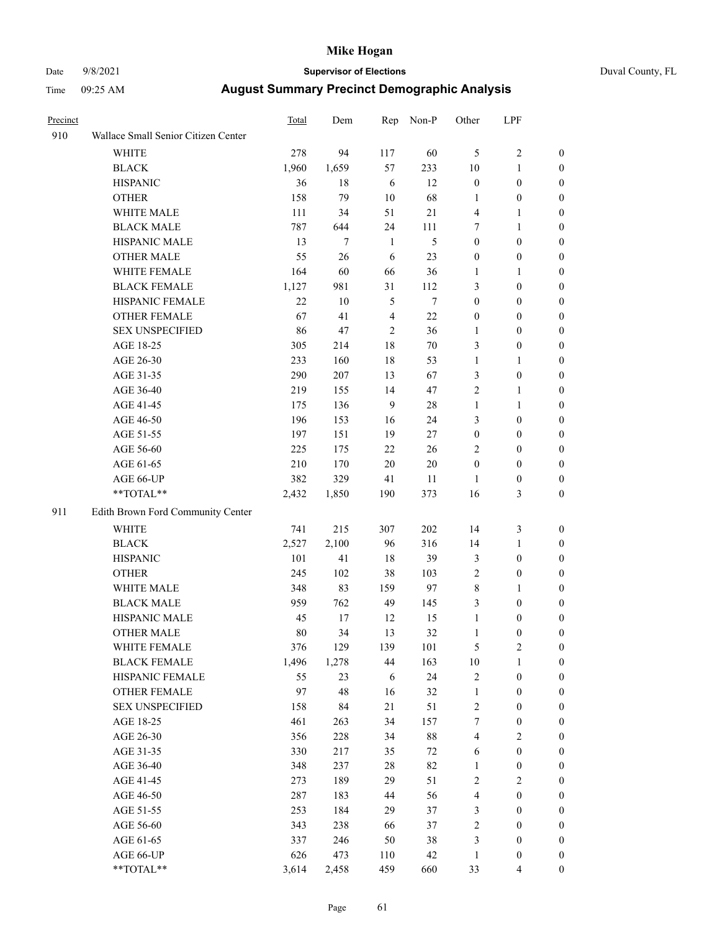## Date 9/8/2021 **Supervisor of Elections** Duval County, FL

| Precinct |                                     | Total | Dem   | Rep            | Non-P  | Other            | LPF              |                  |
|----------|-------------------------------------|-------|-------|----------------|--------|------------------|------------------|------------------|
| 910      | Wallace Small Senior Citizen Center |       |       |                |        |                  |                  |                  |
|          | <b>WHITE</b>                        | 278   | 94    | 117            | 60     | 5                | $\sqrt{2}$       | 0                |
|          | <b>BLACK</b>                        | 1,960 | 1,659 | 57             | 233    | 10               | $\mathbf{1}$     | 0                |
|          | <b>HISPANIC</b>                     | 36    | 18    | 6              | 12     | $\boldsymbol{0}$ | $\boldsymbol{0}$ | 0                |
|          | <b>OTHER</b>                        | 158   | 79    | $10\,$         | 68     | 1                | $\boldsymbol{0}$ | $\boldsymbol{0}$ |
|          | WHITE MALE                          | 111   | 34    | 51             | $21\,$ | 4                | 1                | $\boldsymbol{0}$ |
|          | <b>BLACK MALE</b>                   | 787   | 644   | 24             | 111    | 7                | $\mathbf{1}$     | $\boldsymbol{0}$ |
|          | HISPANIC MALE                       | 13    | 7     | $\mathbf{1}$   | 5      | $\boldsymbol{0}$ | $\boldsymbol{0}$ | $\boldsymbol{0}$ |
|          | <b>OTHER MALE</b>                   | 55    | 26    | 6              | 23     | $\boldsymbol{0}$ | $\boldsymbol{0}$ | $\boldsymbol{0}$ |
|          | WHITE FEMALE                        | 164   | 60    | 66             | 36     | 1                | 1                | $\boldsymbol{0}$ |
|          | <b>BLACK FEMALE</b>                 | 1,127 | 981   | 31             | 112    | 3                | $\boldsymbol{0}$ | 0                |
|          | HISPANIC FEMALE                     | 22    | 10    | 5              | $\tau$ | $\boldsymbol{0}$ | $\boldsymbol{0}$ | 0                |
|          | OTHER FEMALE                        | 67    | 41    | $\overline{4}$ | 22     | 0                | $\boldsymbol{0}$ | $\boldsymbol{0}$ |
|          | <b>SEX UNSPECIFIED</b>              | 86    | 47    | $\overline{c}$ | 36     | $\mathbf{1}$     | $\boldsymbol{0}$ | $\boldsymbol{0}$ |
|          | AGE 18-25                           | 305   | 214   | 18             | 70     | 3                | $\boldsymbol{0}$ | $\boldsymbol{0}$ |
|          | AGE 26-30                           | 233   | 160   | 18             | 53     | 1                | $\mathbf{1}$     | $\boldsymbol{0}$ |
|          | AGE 31-35                           | 290   | 207   | 13             | 67     | 3                | $\boldsymbol{0}$ | $\boldsymbol{0}$ |
|          | AGE 36-40                           | 219   | 155   | 14             | 47     | $\overline{c}$   | $\mathbf{1}$     | $\boldsymbol{0}$ |
|          | AGE 41-45                           | 175   | 136   | 9              | 28     | $\mathbf{1}$     | $\mathbf{1}$     | $\boldsymbol{0}$ |
|          | AGE 46-50                           | 196   | 153   | 16             | 24     | 3                | $\boldsymbol{0}$ | $\boldsymbol{0}$ |
|          | AGE 51-55                           | 197   | 151   | 19             | 27     | $\boldsymbol{0}$ | $\boldsymbol{0}$ | 0                |
|          | AGE 56-60                           | 225   | 175   | 22             | 26     | $\overline{c}$   | $\boldsymbol{0}$ | 0                |
|          | AGE 61-65                           | 210   | 170   | 20             | 20     | $\boldsymbol{0}$ | $\boldsymbol{0}$ | 0                |
|          | AGE 66-UP                           | 382   | 329   | 41             | 11     | 1                | $\boldsymbol{0}$ | $\boldsymbol{0}$ |
|          | $**TOTAL**$                         | 2,432 | 1,850 | 190            | 373    | 16               | $\mathfrak{Z}$   | $\boldsymbol{0}$ |
| 911      | Edith Brown Ford Community Center   |       |       |                |        |                  |                  |                  |
|          | <b>WHITE</b>                        | 741   | 215   | 307            | 202    | 14               | $\mathfrak z$    | $\boldsymbol{0}$ |
|          | <b>BLACK</b>                        | 2,527 | 2,100 | 96             | 316    | 14               | $\mathbf{1}$     | $\boldsymbol{0}$ |
|          | <b>HISPANIC</b>                     | 101   | 41    | 18             | 39     | 3                | $\boldsymbol{0}$ | $\boldsymbol{0}$ |
|          | <b>OTHER</b>                        | 245   | 102   | 38             | 103    | 2                | $\boldsymbol{0}$ | $\boldsymbol{0}$ |
|          | WHITE MALE                          | 348   | 83    | 159            | 97     | 8                | $\mathbf{1}$     | $\boldsymbol{0}$ |
|          | <b>BLACK MALE</b>                   | 959   | 762   | 49             | 145    | 3                | $\boldsymbol{0}$ | $\boldsymbol{0}$ |
|          | HISPANIC MALE                       | 45    | 17    | 12             | 15     | $\mathbf{1}$     | $\boldsymbol{0}$ | 0                |
|          | <b>OTHER MALE</b>                   | 80    | 34    | 13             | 32     | $\mathbf{1}$     | $\boldsymbol{0}$ | 0                |
|          | WHITE FEMALE                        | 376   | 129   | 139            | 101    | 5                | $\overline{c}$   | 0                |
|          | <b>BLACK FEMALE</b>                 | 1,496 | 1,278 | 44             | 163    | $10\,$           | $\mathbf{1}$     | $\boldsymbol{0}$ |
|          | HISPANIC FEMALE                     | 55    | 23    | 6              | 24     | $\overline{c}$   | $\boldsymbol{0}$ | $\overline{0}$   |
|          | OTHER FEMALE                        | 97    | 48    | 16             | 32     | 1                | $\boldsymbol{0}$ | $\overline{0}$   |
|          | <b>SEX UNSPECIFIED</b>              | 158   | 84    | 21             | 51     | 2                | $\boldsymbol{0}$ | 0                |
|          | AGE 18-25                           | 461   | 263   | 34             | 157    | 7                | $\boldsymbol{0}$ | 0                |
|          | AGE 26-30                           | 356   | 228   | 34             | $88\,$ | 4                | $\mathbf{2}$     | 0                |
|          | AGE 31-35                           | 330   | 217   | 35             | $72\,$ | 6                | $\boldsymbol{0}$ | 0                |
|          | AGE 36-40                           | 348   | 237   | 28             | 82     | $\mathbf{1}$     | $\boldsymbol{0}$ | 0                |
|          | AGE 41-45                           | 273   | 189   | 29             | 51     | 2                | $\mathbf{2}$     | 0                |
|          | AGE 46-50                           | 287   | 183   | 44             | 56     | 4                | $\boldsymbol{0}$ | 0                |
|          | AGE 51-55                           | 253   | 184   | 29             | 37     | 3                | $\boldsymbol{0}$ | 0                |
|          | AGE 56-60                           | 343   | 238   | 66             | 37     | $\overline{c}$   | $\boldsymbol{0}$ | $\overline{0}$   |
|          | AGE 61-65                           | 337   | 246   | 50             | 38     | 3                | $\boldsymbol{0}$ | $\overline{0}$   |
|          | AGE 66-UP                           | 626   | 473   | 110            | 42     | $\mathbf{1}$     | $\boldsymbol{0}$ | 0                |
|          | **TOTAL**                           | 3,614 | 2,458 | 459            | 660    | 33               | $\overline{4}$   | $\boldsymbol{0}$ |
|          |                                     |       |       |                |        |                  |                  |                  |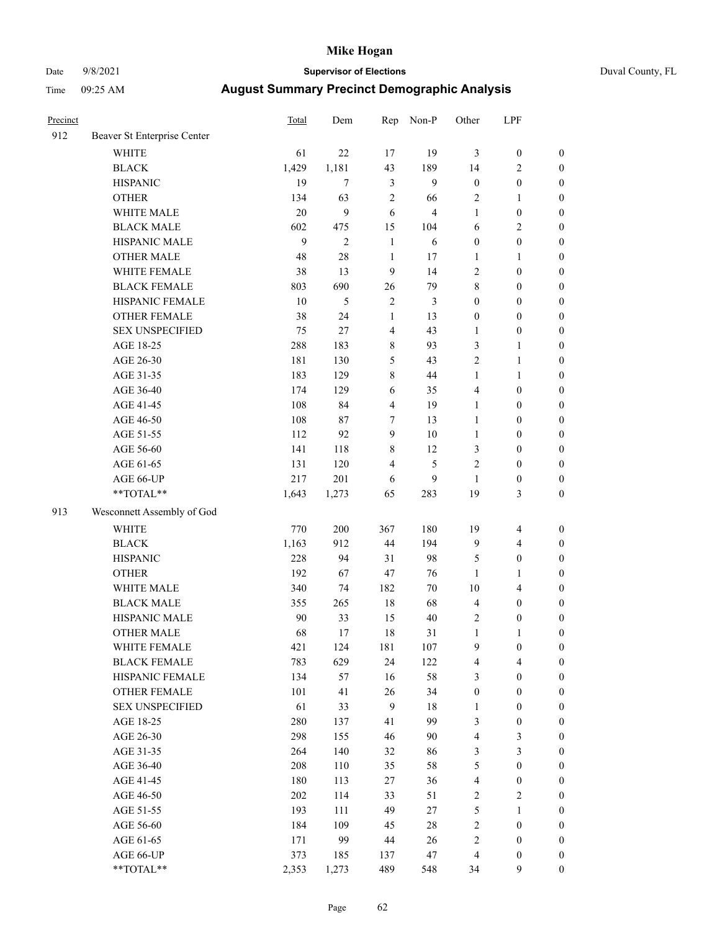### Date 9/8/2021 **Supervisor of Elections** Duval County, FL

| Precinct |                             | <b>Total</b> | Dem            | Rep            | Non-P          | Other                   | LPF                     |                  |
|----------|-----------------------------|--------------|----------------|----------------|----------------|-------------------------|-------------------------|------------------|
| 912      | Beaver St Enterprise Center |              |                |                |                |                         |                         |                  |
|          | <b>WHITE</b>                | 61           | 22             | 17             | 19             | 3                       | $\boldsymbol{0}$        | 0                |
|          | <b>BLACK</b>                | 1,429        | 1,181          | 43             | 189            | 14                      | $\overline{2}$          | $\boldsymbol{0}$ |
|          | <b>HISPANIC</b>             | 19           | $\tau$         | 3              | 9              | $\boldsymbol{0}$        | $\boldsymbol{0}$        | $\boldsymbol{0}$ |
|          | <b>OTHER</b>                | 134          | 63             | $\sqrt{2}$     | 66             | 2                       | 1                       | $\boldsymbol{0}$ |
|          | WHITE MALE                  | 20           | $\mathbf{9}$   | 6              | $\overline{4}$ | 1                       | $\boldsymbol{0}$        | $\boldsymbol{0}$ |
|          | <b>BLACK MALE</b>           | 602          | 475            | 15             | 104            | 6                       | $\sqrt{2}$              | $\boldsymbol{0}$ |
|          | HISPANIC MALE               | 9            | $\overline{2}$ | $\mathbf{1}$   | 6              | $\boldsymbol{0}$        | $\boldsymbol{0}$        | $\boldsymbol{0}$ |
|          | <b>OTHER MALE</b>           | 48           | 28             | $\mathbf{1}$   | 17             | $\mathbf{1}$            | $\mathbf{1}$            | $\boldsymbol{0}$ |
|          | WHITE FEMALE                | 38           | 13             | $\mathbf{9}$   | 14             | $\overline{c}$          | $\boldsymbol{0}$        | $\boldsymbol{0}$ |
|          | <b>BLACK FEMALE</b>         | 803          | 690            | 26             | 79             | 8                       | $\boldsymbol{0}$        | $\boldsymbol{0}$ |
|          | HISPANIC FEMALE             | 10           | 5              | $\sqrt{2}$     | $\mathfrak{Z}$ | $\boldsymbol{0}$        | $\boldsymbol{0}$        | $\boldsymbol{0}$ |
|          | <b>OTHER FEMALE</b>         | 38           | 24             | $\mathbf{1}$   | 13             | 0                       | $\boldsymbol{0}$        | $\boldsymbol{0}$ |
|          | <b>SEX UNSPECIFIED</b>      | 75           | 27             | $\overline{4}$ | 43             | $\mathbf{1}$            | $\boldsymbol{0}$        | $\boldsymbol{0}$ |
|          | AGE 18-25                   | 288          | 183            | $8\,$          | 93             | 3                       | $\mathbf{1}$            | $\boldsymbol{0}$ |
|          | AGE 26-30                   | 181          | 130            | 5              | 43             | 2                       | $\mathbf{1}$            | $\boldsymbol{0}$ |
|          | AGE 31-35                   | 183          | 129            | $\,$ $\,$      | 44             | $\mathbf{1}$            | $\mathbf{1}$            | $\boldsymbol{0}$ |
|          | AGE 36-40                   | 174          | 129            | 6              | 35             | 4                       | $\boldsymbol{0}$        | $\boldsymbol{0}$ |
|          | AGE 41-45                   | 108          | 84             | $\overline{4}$ | 19             | $\mathbf{1}$            | $\boldsymbol{0}$        | $\boldsymbol{0}$ |
|          | AGE 46-50                   | 108          | 87             | 7              | 13             | $\mathbf{1}$            | $\boldsymbol{0}$        | $\boldsymbol{0}$ |
|          | AGE 51-55                   | 112          | 92             | 9              | $10\,$         | $\mathbf{1}$            | $\boldsymbol{0}$        | $\boldsymbol{0}$ |
|          | AGE 56-60                   | 141          | 118            | $8\,$          | 12             | 3                       | $\boldsymbol{0}$        | $\boldsymbol{0}$ |
|          | AGE 61-65                   | 131          | 120            | $\overline{4}$ | 5              | $\overline{c}$          | $\boldsymbol{0}$        | $\boldsymbol{0}$ |
|          | AGE 66-UP                   | 217          | 201            | 6              | 9              | $\mathbf{1}$            | $\boldsymbol{0}$        | $\boldsymbol{0}$ |
|          | $**TOTAL**$                 | 1,643        | 1,273          | 65             | 283            | 19                      | $\mathfrak{Z}$          | $\boldsymbol{0}$ |
| 913      | Wesconnett Assembly of God  |              |                |                |                |                         |                         |                  |
|          | <b>WHITE</b>                | 770          | 200            | 367            | 180            | 19                      | $\overline{\mathbf{4}}$ | $\boldsymbol{0}$ |
|          | <b>BLACK</b>                | 1,163        | 912            | 44             | 194            | 9                       | $\overline{4}$          | $\boldsymbol{0}$ |
|          | <b>HISPANIC</b>             | 228          | 94             | 31             | 98             | 5                       | $\boldsymbol{0}$        | $\boldsymbol{0}$ |
|          | <b>OTHER</b>                | 192          | 67             | 47             | 76             | $\mathbf{1}$            | $\mathbf{1}$            | $\boldsymbol{0}$ |
|          | WHITE MALE                  | 340          | 74             | 182            | $70\,$         | $10\,$                  | $\overline{4}$          | $\boldsymbol{0}$ |
|          | <b>BLACK MALE</b>           | 355          | 265            | $18\,$         | 68             | 4                       | $\boldsymbol{0}$        | $\boldsymbol{0}$ |
|          | HISPANIC MALE               | 90           | 33             | 15             | $40\,$         | 2                       | $\boldsymbol{0}$        | $\boldsymbol{0}$ |
|          | <b>OTHER MALE</b>           | 68           | 17             | 18             | 31             | $\mathbf{1}$            | $\mathbf{1}$            | $\boldsymbol{0}$ |
|          | WHITE FEMALE                | 421          | 124            | 181            | 107            | 9                       | 0                       | 0                |
|          | <b>BLACK FEMALE</b>         | 783          | 629            | 24             | 122            | 4                       | $\overline{4}$          | $\boldsymbol{0}$ |
|          | HISPANIC FEMALE             | 134          | 57             | 16             | 58             | 3                       | $\boldsymbol{0}$        | $\overline{0}$   |
|          | OTHER FEMALE                | 101          | 41             | 26             | 34             | $\boldsymbol{0}$        | $\boldsymbol{0}$        | $\overline{0}$   |
|          | <b>SEX UNSPECIFIED</b>      | 61           | 33             | 9              | 18             | 1                       | $\boldsymbol{0}$        | 0                |
|          | AGE 18-25                   | 280          | 137            | 41             | 99             | 3                       | $\boldsymbol{0}$        | $\theta$         |
|          | AGE 26-30                   | 298          | 155            | 46             | 90             | 4                       | 3                       | 0                |
|          | AGE 31-35                   | 264          | 140            | 32             | 86             | 3                       | $\mathfrak{Z}$          | 0                |
|          | AGE 36-40                   | 208          | 110            | 35             | 58             | 5                       | $\boldsymbol{0}$        | 0                |
|          | AGE 41-45                   | 180          | 113            | 27             | 36             | 4                       | $\boldsymbol{0}$        | 0                |
|          | AGE 46-50                   | 202          | 114            | 33             | 51             | $\mathbf{2}$            | $\sqrt{2}$              | 0                |
|          | AGE 51-55                   | 193          | 111            | 49             | 27             | 5                       | $\mathbf{1}$            | $\overline{0}$   |
|          | AGE 56-60                   | 184          | 109            | 45             | 28             | $\overline{c}$          | $\boldsymbol{0}$        | $\overline{0}$   |
|          | AGE 61-65                   | 171          | 99             | 44             | 26             | $\overline{\mathbf{c}}$ | $\boldsymbol{0}$        | $\overline{0}$   |
|          | AGE 66-UP                   | 373          | 185            | 137            | $47\,$         | 4                       | $\boldsymbol{0}$        | 0                |
|          | **TOTAL**                   | 2,353        | 1,273          | 489            | 548            | 34                      | $\boldsymbol{9}$        | $\boldsymbol{0}$ |
|          |                             |              |                |                |                |                         |                         |                  |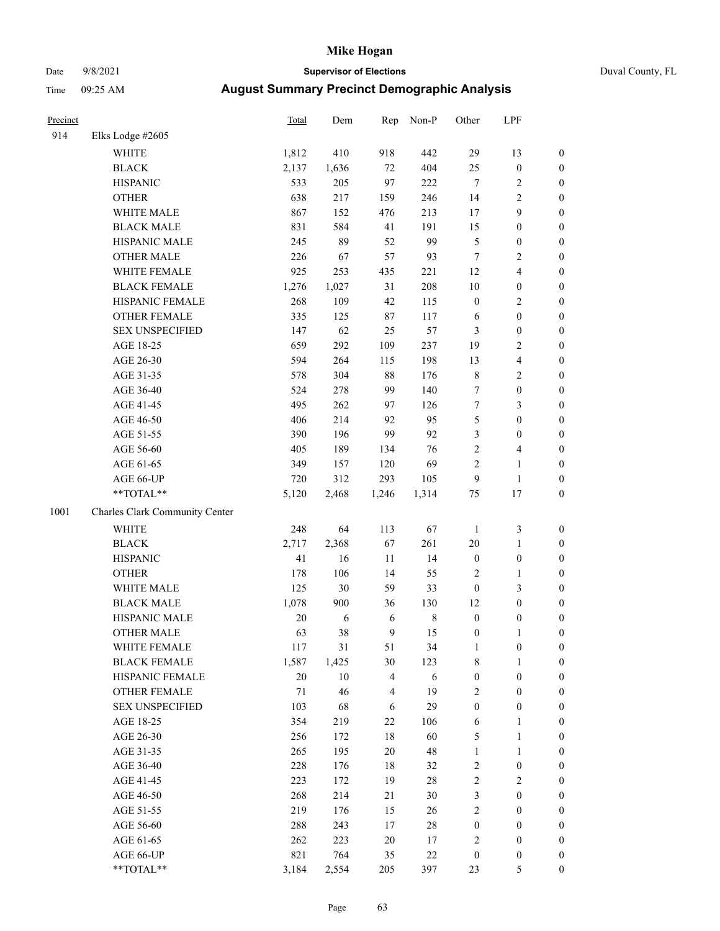## Date 9/8/2021 **Supervisor of Elections** Duval County, FL

| Precinct |                                | Total  | Dem    | Rep                     | Non-P       | Other            | LPF              |                  |
|----------|--------------------------------|--------|--------|-------------------------|-------------|------------------|------------------|------------------|
| 914      | Elks Lodge #2605               |        |        |                         |             |                  |                  |                  |
|          | WHITE                          | 1,812  | 410    | 918                     | 442         | 29               | 13               | 0                |
|          | <b>BLACK</b>                   | 2,137  | 1,636  | $72\,$                  | 404         | 25               | $\boldsymbol{0}$ | 0                |
|          | <b>HISPANIC</b>                | 533    | 205    | 97                      | 222         | $\tau$           | $\sqrt{2}$       | $\boldsymbol{0}$ |
|          | <b>OTHER</b>                   | 638    | 217    | 159                     | 246         | 14               | $\overline{c}$   | $\boldsymbol{0}$ |
|          | WHITE MALE                     | 867    | 152    | 476                     | 213         | 17               | 9                | $\boldsymbol{0}$ |
|          | <b>BLACK MALE</b>              | 831    | 584    | 41                      | 191         | 15               | $\boldsymbol{0}$ | $\boldsymbol{0}$ |
|          | HISPANIC MALE                  | 245    | 89     | 52                      | 99          | 5                | $\boldsymbol{0}$ | $\boldsymbol{0}$ |
|          | <b>OTHER MALE</b>              | 226    | 67     | 57                      | 93          | $\tau$           | $\mathbf{2}$     | $\boldsymbol{0}$ |
|          | WHITE FEMALE                   | 925    | 253    | 435                     | 221         | 12               | $\overline{4}$   | $\boldsymbol{0}$ |
|          | <b>BLACK FEMALE</b>            | 1,276  | 1,027  | 31                      | 208         | $10\,$           | $\boldsymbol{0}$ | $\boldsymbol{0}$ |
|          | HISPANIC FEMALE                | 268    | 109    | 42                      | 115         | $\boldsymbol{0}$ | $\sqrt{2}$       | $\boldsymbol{0}$ |
|          | OTHER FEMALE                   | 335    | 125    | $87\,$                  | 117         | 6                | $\boldsymbol{0}$ | $\boldsymbol{0}$ |
|          | <b>SEX UNSPECIFIED</b>         | 147    | 62     | 25                      | 57          | 3                | $\boldsymbol{0}$ | $\boldsymbol{0}$ |
|          | AGE 18-25                      | 659    | 292    | 109                     | 237         | 19               | $\sqrt{2}$       | $\boldsymbol{0}$ |
|          | AGE 26-30                      | 594    | 264    | 115                     | 198         | 13               | 4                | $\boldsymbol{0}$ |
|          | AGE 31-35                      | 578    | 304    | 88                      | 176         | $\,$ $\,$        | $\sqrt{2}$       | $\boldsymbol{0}$ |
|          | AGE 36-40                      | 524    | 278    | 99                      | 140         | 7                | $\boldsymbol{0}$ | $\boldsymbol{0}$ |
|          | AGE 41-45                      | 495    | 262    | 97                      | 126         | $\boldsymbol{7}$ | 3                | $\boldsymbol{0}$ |
|          | AGE 46-50                      | 406    | 214    | 92                      | 95          | $\mathfrak s$    | $\boldsymbol{0}$ | $\boldsymbol{0}$ |
|          | AGE 51-55                      | 390    | 196    | 99                      | 92          | 3                | $\boldsymbol{0}$ | $\boldsymbol{0}$ |
|          | AGE 56-60                      | 405    | 189    | 134                     | 76          | $\sqrt{2}$       | $\overline{4}$   | $\boldsymbol{0}$ |
|          | AGE 61-65                      | 349    | 157    | 120                     | 69          | $\overline{c}$   | $\mathbf{1}$     | $\boldsymbol{0}$ |
|          | AGE 66-UP                      | 720    | 312    | 293                     | 105         | 9                | $\mathbf{1}$     | $\boldsymbol{0}$ |
|          | **TOTAL**                      | 5,120  | 2,468  | 1,246                   | 1,314       | $75\,$           | 17               | $\boldsymbol{0}$ |
| 1001     | Charles Clark Community Center |        |        |                         |             |                  |                  |                  |
|          | <b>WHITE</b>                   | 248    | 64     | 113                     | 67          | $\mathbf{1}$     | $\mathfrak z$    | $\boldsymbol{0}$ |
|          | <b>BLACK</b>                   | 2,717  | 2,368  | 67                      | 261         | $20\,$           | $\mathbf{1}$     | $\boldsymbol{0}$ |
|          | <b>HISPANIC</b>                | 41     | 16     | 11                      | 14          | $\boldsymbol{0}$ | $\boldsymbol{0}$ | $\boldsymbol{0}$ |
|          | <b>OTHER</b>                   | 178    | 106    | 14                      | 55          | $\mathfrak{2}$   | $\mathbf{1}$     | $\boldsymbol{0}$ |
|          | WHITE MALE                     | 125    | 30     | 59                      | 33          | $\boldsymbol{0}$ | 3                | $\boldsymbol{0}$ |
|          | <b>BLACK MALE</b>              | 1,078  | 900    | 36                      | 130         | 12               | $\boldsymbol{0}$ | $\boldsymbol{0}$ |
|          | HISPANIC MALE                  | $20\,$ | 6      | 6                       | $\,$ 8 $\,$ | $\boldsymbol{0}$ | $\boldsymbol{0}$ | 0                |
|          | <b>OTHER MALE</b>              | 63     | 38     | 9                       | 15          | $\boldsymbol{0}$ | $\mathbf{1}$     | $\boldsymbol{0}$ |
|          | WHITE FEMALE                   | 117    | 31     | 51                      | 34          | 1                | 0                | 0                |
|          | <b>BLACK FEMALE</b>            | 1,587  | 1,425  | 30                      | 123         | 8                | $\mathbf{1}$     | $\boldsymbol{0}$ |
|          | HISPANIC FEMALE                | $20\,$ | $10\,$ | $\overline{\mathbf{4}}$ | 6           | $\boldsymbol{0}$ | $\boldsymbol{0}$ | $\overline{0}$   |
|          | OTHER FEMALE                   | 71     | 46     | 4                       | 19          | $\overline{c}$   | $\boldsymbol{0}$ | 0                |
|          | <b>SEX UNSPECIFIED</b>         | 103    | 68     | 6                       | 29          | $\boldsymbol{0}$ | $\boldsymbol{0}$ | 0                |
|          | AGE 18-25                      | 354    | 219    | $22\,$                  | 106         | 6                | $\mathbf{1}$     | 0                |
|          | AGE 26-30                      | 256    | 172    | $18\,$                  | 60          | 5                | $\mathbf{1}$     | 0                |
|          | AGE 31-35                      | 265    | 195    | $20\,$                  | 48          | $\mathbf{1}$     | $\mathbf{1}$     | 0                |
|          | AGE 36-40                      | 228    | 176    | $18\,$                  | 32          | 2                | $\boldsymbol{0}$ | 0                |
|          | AGE 41-45                      | 223    | 172    | 19                      | $28\,$      | 2                | $\mathfrak{2}$   | 0                |
|          | AGE 46-50                      | 268    | 214    | 21                      | $30\,$      | 3                | $\boldsymbol{0}$ | 0                |
|          | AGE 51-55                      | 219    | 176    | 15                      | 26          | $\mathfrak{2}$   | $\boldsymbol{0}$ | 0                |
|          | AGE 56-60                      | 288    | 243    | $17\,$                  | 28          | $\boldsymbol{0}$ | $\boldsymbol{0}$ | $\overline{0}$   |
|          | AGE 61-65                      | 262    | 223    | $20\,$                  | 17          | 2                | $\boldsymbol{0}$ | 0                |
|          | AGE 66-UP                      | 821    | 764    | 35                      | $22\,$      | $\boldsymbol{0}$ | $\boldsymbol{0}$ | 0                |
|          | **TOTAL**                      | 3,184  | 2,554  | 205                     | 397         | 23               | 5                | $\boldsymbol{0}$ |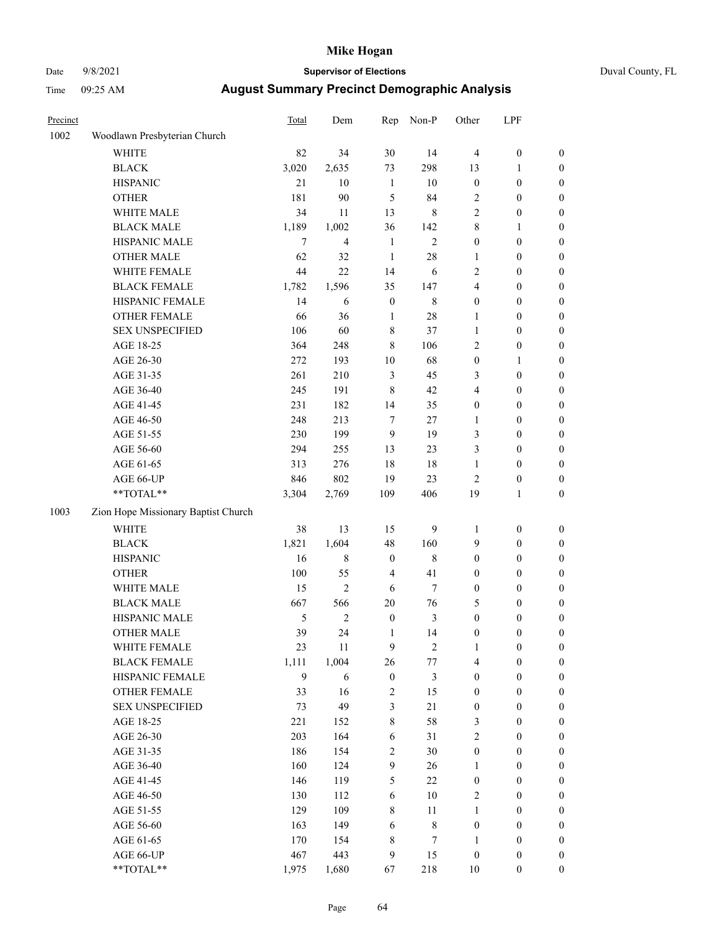### Date 9/8/2021 **Supervisor of Elections** Duval County, FL

| Precinct |                                     | <b>Total</b>  | Dem            | Rep                     | Non-P          | Other            | LPF              |                  |
|----------|-------------------------------------|---------------|----------------|-------------------------|----------------|------------------|------------------|------------------|
| 1002     | Woodlawn Presbyterian Church        |               |                |                         |                |                  |                  |                  |
|          | <b>WHITE</b>                        | 82            | 34             | 30                      | 14             | $\overline{4}$   | $\boldsymbol{0}$ | 0                |
|          | <b>BLACK</b>                        | 3,020         | 2,635          | 73                      | 298            | 13               | $\mathbf{1}$     | 0                |
|          | <b>HISPANIC</b>                     | 21            | 10             | $\mathbf{1}$            | $10\,$         | $\boldsymbol{0}$ | $\boldsymbol{0}$ | $\boldsymbol{0}$ |
|          | <b>OTHER</b>                        | 181           | 90             | 5                       | 84             | $\sqrt{2}$       | $\boldsymbol{0}$ | $\boldsymbol{0}$ |
|          | WHITE MALE                          | 34            | 11             | 13                      | 8              | 2                | $\boldsymbol{0}$ | $\boldsymbol{0}$ |
|          | <b>BLACK MALE</b>                   | 1,189         | 1,002          | 36                      | 142            | 8                | $\mathbf{1}$     | $\boldsymbol{0}$ |
|          | HISPANIC MALE                       | $\tau$        | $\overline{4}$ | $\mathbf{1}$            | $\overline{c}$ | $\boldsymbol{0}$ | $\boldsymbol{0}$ | $\boldsymbol{0}$ |
|          | OTHER MALE                          | 62            | 32             | $\mathbf{1}$            | $28\,$         | $\mathbf{1}$     | $\boldsymbol{0}$ | $\boldsymbol{0}$ |
|          | WHITE FEMALE                        | 44            | 22             | 14                      | 6              | 2                | $\boldsymbol{0}$ | $\boldsymbol{0}$ |
|          | <b>BLACK FEMALE</b>                 | 1,782         | 1,596          | 35                      | 147            | $\overline{4}$   | $\boldsymbol{0}$ | 0                |
|          | HISPANIC FEMALE                     | 14            | 6              | $\boldsymbol{0}$        | $\,$ 8 $\,$    | $\mathbf{0}$     | $\boldsymbol{0}$ | 0                |
|          | OTHER FEMALE                        | 66            | 36             | $\mathbf{1}$            | $28\,$         | $\mathbf{1}$     | $\boldsymbol{0}$ | $\boldsymbol{0}$ |
|          | <b>SEX UNSPECIFIED</b>              | 106           | 60             | $8\,$                   | 37             | $\mathbf{1}$     | $\boldsymbol{0}$ | $\boldsymbol{0}$ |
|          | AGE 18-25                           | 364           | 248            | $\,$ 8 $\,$             | 106            | $\sqrt{2}$       | $\boldsymbol{0}$ | $\boldsymbol{0}$ |
|          | AGE 26-30                           | 272           | 193            | $10\,$                  | 68             | $\boldsymbol{0}$ | $\mathbf{1}$     | $\boldsymbol{0}$ |
|          | AGE 31-35                           | 261           | 210            | 3                       | 45             | 3                | $\boldsymbol{0}$ | $\boldsymbol{0}$ |
|          | AGE 36-40                           | 245           | 191            | $\,8\,$                 | $42\,$         | 4                | $\boldsymbol{0}$ | $\boldsymbol{0}$ |
|          | AGE 41-45                           | 231           | 182            | 14                      | 35             | $\boldsymbol{0}$ | $\boldsymbol{0}$ | $\boldsymbol{0}$ |
|          | AGE 46-50                           | 248           | 213            | $\boldsymbol{7}$        | $27\,$         | $\mathbf{1}$     | $\boldsymbol{0}$ | $\boldsymbol{0}$ |
|          | AGE 51-55                           | 230           | 199            | $\mathbf{9}$            | 19             | 3                | $\boldsymbol{0}$ | 0                |
|          | AGE 56-60                           | 294           | 255            | 13                      | 23             | 3                | $\boldsymbol{0}$ | 0                |
|          | AGE 61-65                           | 313           | 276            | $18\,$                  | $18\,$         | $\mathbf{1}$     | $\boldsymbol{0}$ | 0                |
|          | AGE 66-UP                           | 846           | 802            | 19                      | 23             | $\mathbf{2}$     | $\boldsymbol{0}$ | $\boldsymbol{0}$ |
|          | **TOTAL**                           | 3,304         | 2,769          | 109                     | 406            | 19               | $\mathbf{1}$     | $\boldsymbol{0}$ |
| 1003     | Zion Hope Missionary Baptist Church |               |                |                         |                |                  |                  |                  |
|          | <b>WHITE</b>                        | 38            | 13             | 15                      | 9              | $\mathbf{1}$     | $\boldsymbol{0}$ | $\boldsymbol{0}$ |
|          | <b>BLACK</b>                        | 1,821         | 1,604          | 48                      | 160            | 9                | $\boldsymbol{0}$ | $\boldsymbol{0}$ |
|          | <b>HISPANIC</b>                     | 16            | $8\,$          | $\boldsymbol{0}$        | $\,8\,$        | $\boldsymbol{0}$ | $\boldsymbol{0}$ | $\boldsymbol{0}$ |
|          | <b>OTHER</b>                        | 100           | 55             | $\overline{\mathbf{4}}$ | 41             | $\boldsymbol{0}$ | $\boldsymbol{0}$ | $\boldsymbol{0}$ |
|          | WHITE MALE                          | 15            | $\overline{2}$ | $\sqrt{6}$              | $\tau$         | $\boldsymbol{0}$ | $\boldsymbol{0}$ | $\boldsymbol{0}$ |
|          | <b>BLACK MALE</b>                   | 667           | 566            | $20\,$                  | 76             | 5                | $\boldsymbol{0}$ | $\boldsymbol{0}$ |
|          | HISPANIC MALE                       | $\mathfrak s$ | $\sqrt{2}$     | $\boldsymbol{0}$        | $\mathfrak{Z}$ | $\boldsymbol{0}$ | $\boldsymbol{0}$ | 0                |
|          | <b>OTHER MALE</b>                   | 39            | 24             | $\mathbf{1}$            | 14             | $\boldsymbol{0}$ | $\boldsymbol{0}$ | $\boldsymbol{0}$ |
|          | WHITE FEMALE                        | 23            | 11             | 9                       | 2              | 1                | $\boldsymbol{0}$ | 0                |
|          | <b>BLACK FEMALE</b>                 | 1,111         | 1,004          | 26                      | $77\,$         | 4                | $\boldsymbol{0}$ | $\boldsymbol{0}$ |
|          | HISPANIC FEMALE                     | 9             | 6              | $\boldsymbol{0}$        | $\mathfrak{Z}$ | $\boldsymbol{0}$ | $\boldsymbol{0}$ | $\overline{0}$   |
|          | <b>OTHER FEMALE</b>                 | 33            | 16             | $\overline{c}$          | 15             | $\boldsymbol{0}$ | $\boldsymbol{0}$ | $\overline{0}$   |
|          | <b>SEX UNSPECIFIED</b>              | 73            | 49             | 3                       | $21\,$         | $\boldsymbol{0}$ | $\boldsymbol{0}$ | $\overline{0}$   |
|          | AGE 18-25                           | 221           | 152            | $\,8\,$                 | 58             | 3                | $\boldsymbol{0}$ | $\overline{0}$   |
|          | AGE 26-30                           | 203           | 164            | $\sqrt{6}$              | 31             | 2                | $\boldsymbol{0}$ | 0                |
|          | AGE 31-35                           | 186           | 154            | $\overline{c}$          | 30             | $\boldsymbol{0}$ | $\boldsymbol{0}$ | 0                |
|          | AGE 36-40                           | 160           | 124            | 9                       | 26             | $\mathbf{1}$     | $\boldsymbol{0}$ | 0                |
|          | AGE 41-45                           | 146           | 119            | 5                       | 22             | $\boldsymbol{0}$ | $\boldsymbol{0}$ | 0                |
|          | AGE 46-50                           | 130           | 112            | 6                       | $10\,$         | $\sqrt{2}$       | $\boldsymbol{0}$ | 0                |
|          | AGE 51-55                           | 129           | 109            | $\,8\,$                 | $11\,$         | $\mathbf{1}$     | $\boldsymbol{0}$ | $\boldsymbol{0}$ |
|          | AGE 56-60                           | 163           | 149            | 6                       | $\,$ $\,$      | $\boldsymbol{0}$ | $\boldsymbol{0}$ | $\boldsymbol{0}$ |
|          | AGE 61-65                           | 170           | 154            | 8                       | 7              | $\mathbf{1}$     | $\boldsymbol{0}$ | $\boldsymbol{0}$ |
|          | AGE 66-UP                           | 467           | 443            | 9                       | 15             | $\boldsymbol{0}$ | $\boldsymbol{0}$ | $\boldsymbol{0}$ |
|          | **TOTAL**                           | 1,975         | 1,680          | 67                      | 218            | $10\,$           | $\boldsymbol{0}$ | $\boldsymbol{0}$ |
|          |                                     |               |                |                         |                |                  |                  |                  |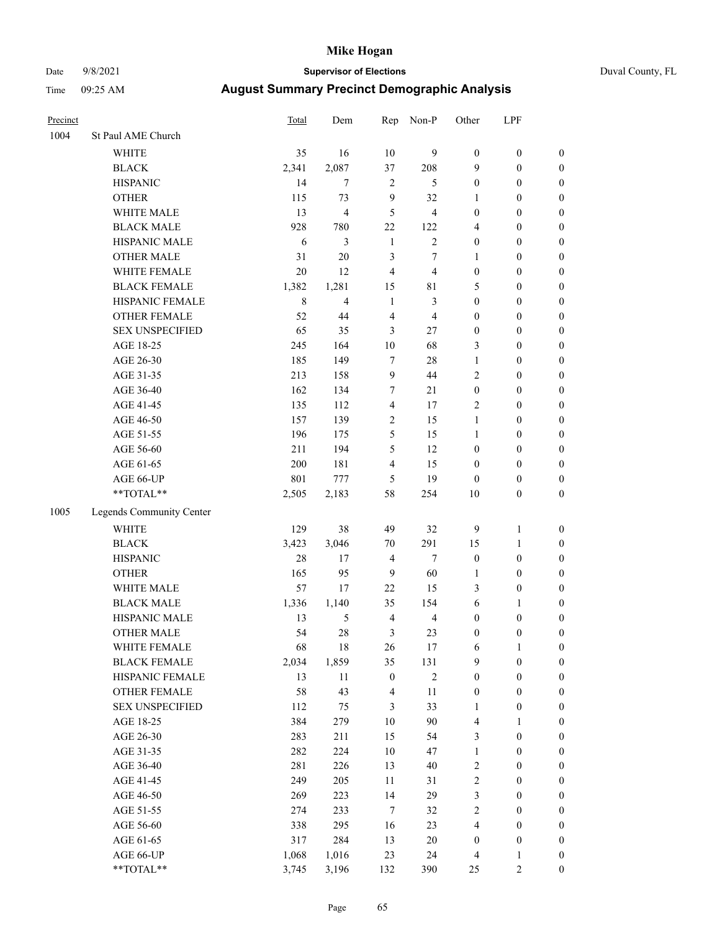### Date 9/8/2021 **Supervisor of Elections** Duval County, FL

| Precinct |                          | Total   | Dem            | Rep                     | Non-P          | Other            | LPF              |                  |
|----------|--------------------------|---------|----------------|-------------------------|----------------|------------------|------------------|------------------|
| 1004     | St Paul AME Church       |         |                |                         |                |                  |                  |                  |
|          | <b>WHITE</b>             | 35      | 16             | 10                      | 9              | $\boldsymbol{0}$ | $\boldsymbol{0}$ | 0                |
|          | <b>BLACK</b>             | 2,341   | 2,087          | 37                      | 208            | 9                | $\boldsymbol{0}$ | $\boldsymbol{0}$ |
|          | <b>HISPANIC</b>          | 14      | $\tau$         | $\overline{2}$          | 5              | $\boldsymbol{0}$ | $\boldsymbol{0}$ | $\boldsymbol{0}$ |
|          | <b>OTHER</b>             | 115     | 73             | 9                       | 32             | 1                | $\boldsymbol{0}$ | $\boldsymbol{0}$ |
|          | WHITE MALE               | 13      | $\overline{4}$ | 5                       | $\overline{4}$ | $\boldsymbol{0}$ | $\boldsymbol{0}$ | $\boldsymbol{0}$ |
|          | <b>BLACK MALE</b>        | 928     | 780            | 22                      | 122            | 4                | $\boldsymbol{0}$ | $\boldsymbol{0}$ |
|          | HISPANIC MALE            | 6       | 3              | $\mathbf{1}$            | $\overline{2}$ | 0                | $\boldsymbol{0}$ | $\boldsymbol{0}$ |
|          | <b>OTHER MALE</b>        | 31      | 20             | 3                       | $\tau$         | 1                | $\boldsymbol{0}$ | $\boldsymbol{0}$ |
|          | WHITE FEMALE             | 20      | 12             | $\overline{\mathbf{4}}$ | $\overline{4}$ | $\boldsymbol{0}$ | $\boldsymbol{0}$ | $\boldsymbol{0}$ |
|          | <b>BLACK FEMALE</b>      | 1,382   | 1,281          | 15                      | $8\sqrt{1}$    | 5                | $\boldsymbol{0}$ | $\boldsymbol{0}$ |
|          | HISPANIC FEMALE          | $\,8\,$ | $\overline{4}$ | $\mathbf{1}$            | 3              | $\boldsymbol{0}$ | $\boldsymbol{0}$ | $\boldsymbol{0}$ |
|          | <b>OTHER FEMALE</b>      | 52      | 44             | $\overline{\mathbf{4}}$ | $\overline{4}$ | $\boldsymbol{0}$ | $\boldsymbol{0}$ | $\boldsymbol{0}$ |
|          | <b>SEX UNSPECIFIED</b>   | 65      | 35             | 3                       | 27             | $\boldsymbol{0}$ | $\boldsymbol{0}$ | $\boldsymbol{0}$ |
|          | AGE 18-25                | 245     | 164            | $10\,$                  | 68             | 3                | $\boldsymbol{0}$ | $\boldsymbol{0}$ |
|          | AGE 26-30                | 185     | 149            | $\tau$                  | 28             | 1                | $\boldsymbol{0}$ | $\boldsymbol{0}$ |
|          | AGE 31-35                | 213     | 158            | $\boldsymbol{9}$        | 44             | $\overline{c}$   | $\boldsymbol{0}$ | $\boldsymbol{0}$ |
|          | AGE 36-40                | 162     | 134            | $\boldsymbol{7}$        | 21             | $\boldsymbol{0}$ | $\boldsymbol{0}$ | $\boldsymbol{0}$ |
|          | AGE 41-45                | 135     | 112            | $\overline{4}$          | 17             | $\overline{c}$   | $\boldsymbol{0}$ | $\boldsymbol{0}$ |
|          | AGE 46-50                | 157     | 139            | $\sqrt{2}$              | 15             | 1                | $\boldsymbol{0}$ | $\boldsymbol{0}$ |
|          | AGE 51-55                | 196     | 175            | 5                       | 15             | 1                | $\boldsymbol{0}$ | $\boldsymbol{0}$ |
|          | AGE 56-60                | 211     | 194            | 5                       | 12             | $\boldsymbol{0}$ | $\boldsymbol{0}$ | $\boldsymbol{0}$ |
|          | AGE 61-65                | 200     | 181            | $\overline{\mathbf{4}}$ | 15             | 0                | $\boldsymbol{0}$ | $\boldsymbol{0}$ |
|          | AGE 66-UP                | 801     | 777            | 5                       | 19             | $\boldsymbol{0}$ | $\boldsymbol{0}$ | $\boldsymbol{0}$ |
|          | $**TOTAL**$              | 2,505   | 2,183          | 58                      | 254            | $10\,$           | $\boldsymbol{0}$ | $\boldsymbol{0}$ |
| 1005     | Legends Community Center |         |                |                         |                |                  |                  |                  |
|          | WHITE                    | 129     | 38             | 49                      | 32             | 9                | $\mathbf{1}$     | $\boldsymbol{0}$ |
|          | <b>BLACK</b>             | 3,423   | 3,046          | $70\,$                  | 291            | 15               | $\mathbf{1}$     | $\boldsymbol{0}$ |
|          | <b>HISPANIC</b>          | 28      | 17             | $\overline{4}$          | $\tau$         | $\boldsymbol{0}$ | $\boldsymbol{0}$ | $\boldsymbol{0}$ |
|          | <b>OTHER</b>             | 165     | 95             | 9                       | 60             | $\mathbf{1}$     | $\boldsymbol{0}$ | $\boldsymbol{0}$ |
|          | WHITE MALE               | 57      | 17             | 22                      | 15             | 3                | $\boldsymbol{0}$ | $\boldsymbol{0}$ |
|          | <b>BLACK MALE</b>        | 1,336   | 1,140          | 35                      | 154            | 6                | 1                | $\boldsymbol{0}$ |
|          | HISPANIC MALE            | 13      | $\sqrt{5}$     | $\overline{4}$          | $\overline{4}$ | 0                | $\boldsymbol{0}$ | $\boldsymbol{0}$ |
|          | <b>OTHER MALE</b>        | 54      | 28             | 3                       | 23             | $\boldsymbol{0}$ | $\boldsymbol{0}$ | $\boldsymbol{0}$ |
|          | WHITE FEMALE             | 68      | 18             | 26                      | 17             | 6                | 1                | 0                |
|          | <b>BLACK FEMALE</b>      | 2,034   | 1,859          | 35                      | 131            | 9                | $\boldsymbol{0}$ | $\boldsymbol{0}$ |
|          | HISPANIC FEMALE          | 13      | $11\,$         | $\boldsymbol{0}$        | $\sqrt{2}$     | $\boldsymbol{0}$ | $\boldsymbol{0}$ | $\overline{0}$   |
|          | OTHER FEMALE             | 58      | 43             | $\overline{\mathbf{4}}$ | 11             | 0                | $\boldsymbol{0}$ | $\overline{0}$   |
|          | <b>SEX UNSPECIFIED</b>   | 112     | 75             | 3                       | 33             | 1                | $\boldsymbol{0}$ | 0                |
|          | AGE 18-25                | 384     | 279            | $10\,$                  | 90             | 4                | $\mathbf{1}$     | $\overline{0}$   |
|          | AGE 26-30                | 283     | 211            | 15                      | 54             | 3                | $\boldsymbol{0}$ | 0                |
|          | AGE 31-35                | 282     | 224            | $10\,$                  | 47             | $\mathbf{1}$     | $\boldsymbol{0}$ | 0                |
|          | AGE 36-40                | 281     | 226            | 13                      | 40             | 2                | $\boldsymbol{0}$ | 0                |
|          | AGE 41-45                | 249     | 205            | 11                      | 31             | $\overline{c}$   | $\boldsymbol{0}$ | 0                |
|          | AGE 46-50                | 269     | 223            | 14                      | 29             | 3                | $\boldsymbol{0}$ | 0                |
|          | AGE 51-55                | 274     | 233            | $\tau$                  | 32             | $\overline{c}$   | $\boldsymbol{0}$ | $\boldsymbol{0}$ |
|          | AGE 56-60                | 338     | 295            | 16                      | 23             | 4                | $\boldsymbol{0}$ | $\boldsymbol{0}$ |
|          | AGE 61-65                | 317     | 284            | 13                      | 20             | 0                | $\boldsymbol{0}$ | $\boldsymbol{0}$ |
|          | AGE 66-UP                | 1,068   | 1,016          | 23                      | 24             | 4                | $\mathbf{1}$     | 0                |
|          | **TOTAL**                | 3,745   | 3,196          | 132                     | 390            | 25               | $\mathfrak{2}$   | $\boldsymbol{0}$ |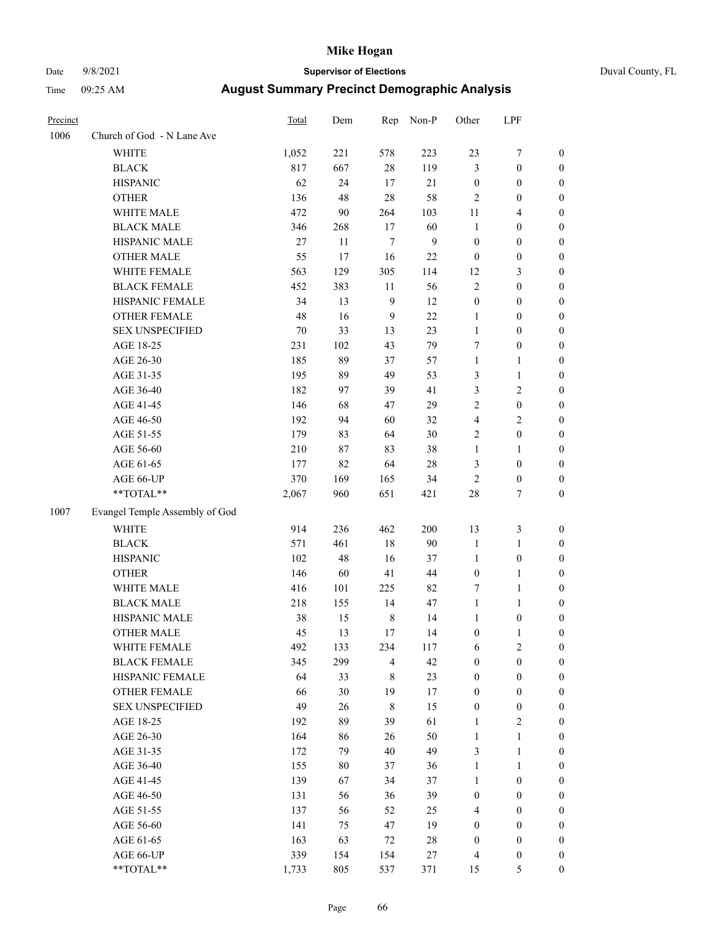Precinct Total Dem Rep Non-P Other LPF

 $1006$ 

 $1007$ 

### Date 9/8/2021 **Supervisor of Elections** Duval County, FL Time 09:25 AM **August Summary Precinct Demographic Analysis**

| Church of God - N Lane Ave     |        |     |           |     |                  |                  |                  |
|--------------------------------|--------|-----|-----------|-----|------------------|------------------|------------------|
| <b>WHITE</b>                   | 1,052  | 221 | 578       | 223 | 23               | 7                | $\boldsymbol{0}$ |
| <b>BLACK</b>                   | 817    | 667 | 28        | 119 | 3                | $\boldsymbol{0}$ | $\boldsymbol{0}$ |
| <b>HISPANIC</b>                | 62     | 24  | 17        | 21  | $\boldsymbol{0}$ | $\boldsymbol{0}$ | $\boldsymbol{0}$ |
| <b>OTHER</b>                   | 136    | 48  | 28        | 58  | $\overline{2}$   | $\boldsymbol{0}$ | $\boldsymbol{0}$ |
| WHITE MALE                     | 472    | 90  | 264       | 103 | 11               | $\overline{4}$   | $\boldsymbol{0}$ |
| <b>BLACK MALE</b>              | 346    | 268 | 17        | 60  | $\mathbf{1}$     | $\boldsymbol{0}$ | $\boldsymbol{0}$ |
| HISPANIC MALE                  | $27\,$ | 11  | $\tau$    | 9   | $\boldsymbol{0}$ | $\boldsymbol{0}$ | $\boldsymbol{0}$ |
| <b>OTHER MALE</b>              | 55     | 17  | 16        | 22  | $\boldsymbol{0}$ | $\boldsymbol{0}$ | $\boldsymbol{0}$ |
| WHITE FEMALE                   | 563    | 129 | 305       | 114 | 12               | 3                | $\boldsymbol{0}$ |
| <b>BLACK FEMALE</b>            | 452    | 383 | $11\,$    | 56  | $\overline{2}$   | $\boldsymbol{0}$ | $\boldsymbol{0}$ |
| HISPANIC FEMALE                | 34     | 13  | 9         | 12  | $\boldsymbol{0}$ | $\boldsymbol{0}$ | $\boldsymbol{0}$ |
| <b>OTHER FEMALE</b>            | 48     | 16  | 9         | 22  | $\mathbf{1}$     | $\boldsymbol{0}$ | $\boldsymbol{0}$ |
| <b>SEX UNSPECIFIED</b>         | 70     | 33  | 13        | 23  | $\mathbf{1}$     | $\boldsymbol{0}$ | $\boldsymbol{0}$ |
| AGE 18-25                      | 231    | 102 | 43        | 79  | $\tau$           | $\boldsymbol{0}$ | $\boldsymbol{0}$ |
| AGE 26-30                      | 185    | 89  | 37        | 57  | $\mathbf{1}$     | 1                | $\boldsymbol{0}$ |
| AGE 31-35                      | 195    | 89  | 49        | 53  | 3                | 1                | $\boldsymbol{0}$ |
| AGE 36-40                      | 182    | 97  | 39        | 41  | 3                | $\mathfrak{2}$   | $\overline{0}$   |
| AGE 41-45                      | 146    | 68  | 47        | 29  | $\overline{c}$   | $\boldsymbol{0}$ | $\boldsymbol{0}$ |
| AGE 46-50                      | 192    | 94  | 60        | 32  | $\overline{4}$   | $\overline{c}$   | $\boldsymbol{0}$ |
| AGE 51-55                      | 179    | 83  | 64        | 30  | $\mathfrak{2}$   | $\boldsymbol{0}$ | $\boldsymbol{0}$ |
| AGE 56-60                      | 210    | 87  | 83        | 38  | 1                | $\mathbf{1}$     | $\boldsymbol{0}$ |
| AGE 61-65                      | 177    | 82  | 64        | 28  | 3                | $\boldsymbol{0}$ | $\boldsymbol{0}$ |
| AGE 66-UP                      | 370    | 169 | 165       | 34  | $\mathfrak{2}$   | $\boldsymbol{0}$ | $\boldsymbol{0}$ |
| **TOTAL**                      | 2,067  | 960 | 651       | 421 | 28               | 7                | $\boldsymbol{0}$ |
| Evangel Temple Assembly of God |        |     |           |     |                  |                  |                  |
| <b>WHITE</b>                   | 914    | 236 | 462       | 200 | 13               | $\mathfrak{Z}$   | $\boldsymbol{0}$ |
| <b>BLACK</b>                   | 571    | 461 | 18        | 90  | $\mathbf{1}$     | $\mathbf{1}$     | $\boldsymbol{0}$ |
| <b>HISPANIC</b>                | 102    | 48  | 16        | 37  | $\mathbf{1}$     | $\boldsymbol{0}$ | $\boldsymbol{0}$ |
| <b>OTHER</b>                   | 146    | 60  | 41        | 44  | $\boldsymbol{0}$ | 1                | $\boldsymbol{0}$ |
| WHITE MALE                     | 416    | 101 | 225       | 82  | 7                | 1                | $\boldsymbol{0}$ |
| <b>BLACK MALE</b>              | 218    | 155 | 14        | 47  | $\mathbf{1}$     | $\mathbf{1}$     | $\boldsymbol{0}$ |
| HISPANIC MALE                  | 38     | 15  | $\,$ $\,$ | 14  | $\mathbf{1}$     | $\boldsymbol{0}$ | 0                |
| <b>OTHER MALE</b>              | 45     | 13  | 17        | 14  | $\boldsymbol{0}$ | 1                | 0                |
| WHITE FEMALE                   | 492    | 133 | 234       | 117 | 6                | $\sqrt{2}$       | $\boldsymbol{0}$ |
| <b>BLACK FEMALE</b>            | 345    | 299 | 4         | 42  | $\boldsymbol{0}$ | $\boldsymbol{0}$ | $\boldsymbol{0}$ |
| HISPANIC FEMALE                | 64     | 33  | 8         | 23  | $\boldsymbol{0}$ | $\boldsymbol{0}$ | $\boldsymbol{0}$ |
| <b>OTHER FEMALE</b>            | 66     | 30  | 19        | 17  | $\boldsymbol{0}$ | $\boldsymbol{0}$ | $\theta$         |
| <b>SEX UNSPECIFIED</b>         | 49     | 26  | $\,$ $\,$ | 15  | $\boldsymbol{0}$ | $\boldsymbol{0}$ | $\theta$         |
| AGE 18-25                      | 192    | 89  | 39        | 61  | 1                | $\mathbf{2}$     | 0                |
| AGE 26-30                      | 164    | 86  | 26        | 50  | 1                | 1                | 0                |
| AGE 31-35                      | 172    | 79  | 40        | 49  | 3                | $\mathbf{1}$     | 0                |
| AGE 36-40                      | 155    | 80  | 37        | 36  | 1                | 1                | 0                |
| AGE 41-45                      | 139    | 67  | 34        | 37  | 1                | $\boldsymbol{0}$ | 0                |
| AGE 46-50                      | 131    | 56  | 36        | 39  | $\boldsymbol{0}$ | $\boldsymbol{0}$ | $\boldsymbol{0}$ |
| AGE 51-55                      | 137    | 56  | 52        | 25  | 4                | $\boldsymbol{0}$ | $\boldsymbol{0}$ |
| AGE 56-60                      | 141    | 75  | 47        | 19  | $\boldsymbol{0}$ | $\boldsymbol{0}$ | $\boldsymbol{0}$ |

AGE 61-65 163 63 72 28 0 0 0 AGE 66-UP 339 154 154 27 4 0 0 \*\*TOTAL\*\* 1,733 805 537 371 15 5 0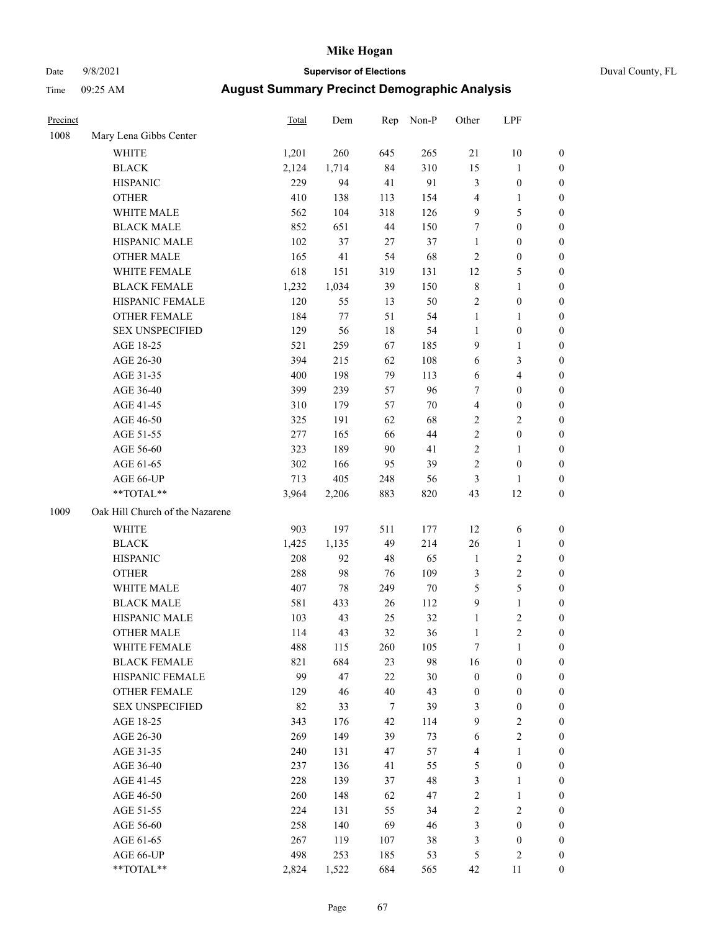# Date 9/8/2021 **Supervisor of Elections** Duval County, FL

| Precinct |                                 | <b>Total</b> | Dem    | Rep    | Non-P  | Other                   | LPF              |                  |
|----------|---------------------------------|--------------|--------|--------|--------|-------------------------|------------------|------------------|
| 1008     | Mary Lena Gibbs Center          |              |        |        |        |                         |                  |                  |
|          | WHITE                           | 1,201        | 260    | 645    | 265    | 21                      | 10               | 0                |
|          | <b>BLACK</b>                    | 2,124        | 1,714  | 84     | 310    | 15                      | $\mathbf{1}$     | 0                |
|          | <b>HISPANIC</b>                 | 229          | 94     | 41     | 91     | 3                       | $\boldsymbol{0}$ | $\boldsymbol{0}$ |
|          | <b>OTHER</b>                    | 410          | 138    | 113    | 154    | $\overline{4}$          | 1                | $\boldsymbol{0}$ |
|          | WHITE MALE                      | 562          | 104    | 318    | 126    | 9                       | 5                | $\boldsymbol{0}$ |
|          | <b>BLACK MALE</b>               | 852          | 651    | 44     | 150    | 7                       | $\boldsymbol{0}$ | $\boldsymbol{0}$ |
|          | HISPANIC MALE                   | 102          | 37     | 27     | 37     | $\mathbf{1}$            | $\boldsymbol{0}$ | $\boldsymbol{0}$ |
|          | <b>OTHER MALE</b>               | 165          | 41     | 54     | 68     | $\sqrt{2}$              | $\boldsymbol{0}$ | $\boldsymbol{0}$ |
|          | WHITE FEMALE                    | 618          | 151    | 319    | 131    | 12                      | 5                | $\boldsymbol{0}$ |
|          | <b>BLACK FEMALE</b>             | 1,232        | 1,034  | 39     | 150    | $\,$ 8 $\,$             | $\mathbf{1}$     | 0                |
|          | HISPANIC FEMALE                 | 120          | 55     | 13     | 50     | $\sqrt{2}$              | $\boldsymbol{0}$ | 0                |
|          | OTHER FEMALE                    | 184          | 77     | 51     | 54     | $\mathbf{1}$            | 1                | 0                |
|          | <b>SEX UNSPECIFIED</b>          | 129          | 56     | $18\,$ | 54     | $\mathbf{1}$            | $\boldsymbol{0}$ | $\boldsymbol{0}$ |
|          | AGE 18-25                       | 521          | 259    | 67     | 185    | 9                       | 1                | $\boldsymbol{0}$ |
|          | AGE 26-30                       | 394          | 215    | 62     | 108    | 6                       | 3                | $\boldsymbol{0}$ |
|          | AGE 31-35                       | 400          | 198    | 79     | 113    | 6                       | $\overline{4}$   | $\boldsymbol{0}$ |
|          | AGE 36-40                       | 399          | 239    | 57     | 96     | 7                       | $\boldsymbol{0}$ | $\boldsymbol{0}$ |
|          | AGE 41-45                       | 310          | 179    | 57     | $70\,$ | $\overline{\mathbf{4}}$ | $\boldsymbol{0}$ | $\boldsymbol{0}$ |
|          | AGE 46-50                       | 325          | 191    | 62     | 68     | $\sqrt{2}$              | $\mathbf{2}$     | $\boldsymbol{0}$ |
|          | AGE 51-55                       | 277          | 165    | 66     | $44\,$ | $\sqrt{2}$              | $\boldsymbol{0}$ | 0                |
|          | AGE 56-60                       | 323          | 189    | 90     | 41     | $\sqrt{2}$              | $\mathbf{1}$     | 0                |
|          | AGE 61-65                       | 302          | 166    | 95     | 39     | $\sqrt{2}$              | $\boldsymbol{0}$ | 0                |
|          | AGE 66-UP                       | 713          | 405    | 248    | 56     | 3                       | $\mathbf{1}$     | $\boldsymbol{0}$ |
|          | **TOTAL**                       | 3,964        | 2,206  | 883    | 820    | 43                      | 12               | $\boldsymbol{0}$ |
| 1009     | Oak Hill Church of the Nazarene |              |        |        |        |                         |                  |                  |
|          | WHITE                           | 903          | 197    | 511    | 177    | 12                      | 6                | $\boldsymbol{0}$ |
|          | <b>BLACK</b>                    | 1,425        | 1,135  | 49     | 214    | 26                      | $\mathbf{1}$     | $\boldsymbol{0}$ |
|          | <b>HISPANIC</b>                 | 208          | 92     | 48     | 65     | $\mathbf{1}$            | $\sqrt{2}$       | 0                |
|          | <b>OTHER</b>                    | 288          | 98     | 76     | 109    | 3                       | $\sqrt{2}$       | $\boldsymbol{0}$ |
|          | WHITE MALE                      | 407          | $78\,$ | 249    | $70\,$ | 5                       | 5                | $\boldsymbol{0}$ |
|          | <b>BLACK MALE</b>               | 581          | 433    | 26     | 112    | 9                       | $\mathbf{1}$     | $\boldsymbol{0}$ |
|          | HISPANIC MALE                   | 103          | 43     | 25     | 32     | $\mathbf{1}$            | 2                | 0                |
|          | <b>OTHER MALE</b>               | 114          | 43     | 32     | 36     | 1                       | 2                | $\boldsymbol{0}$ |
|          | WHITE FEMALE                    | 488          | 115    | 260    | 105    | 7                       | $\mathbf{1}$     | 0                |
|          | <b>BLACK FEMALE</b>             | 821          | 684    | 23     | 98     | 16                      | $\boldsymbol{0}$ | 0                |
|          | HISPANIC FEMALE                 | 99           | 47     | 22     | $30\,$ | $\boldsymbol{0}$        | $\boldsymbol{0}$ | 0                |
|          | OTHER FEMALE                    | 129          | 46     | 40     | 43     | $\boldsymbol{0}$        | $\boldsymbol{0}$ | 0                |
|          | <b>SEX UNSPECIFIED</b>          | 82           | 33     | $\tau$ | 39     | 3                       | $\boldsymbol{0}$ | 0                |
|          | AGE 18-25                       | 343          | 176    | 42     | 114    | 9                       | $\sqrt{2}$       | 0                |
|          | AGE 26-30                       | 269          | 149    | 39     | 73     | 6                       | $\sqrt{2}$       | 0                |
|          | AGE 31-35                       | 240          | 131    | 47     | 57     | 4                       | $\mathbf{1}$     | 0                |
|          | AGE 36-40                       | 237          | 136    | 41     | 55     | 5                       | $\boldsymbol{0}$ | 0                |
|          | AGE 41-45                       | 228          | 139    | 37     | 48     | 3                       | $\mathbf{1}$     | 0                |
|          | AGE 46-50                       | 260          | 148    | 62     | 47     | $\sqrt{2}$              | $\mathbf{1}$     | 0                |
|          | AGE 51-55                       | 224          | 131    | 55     | 34     | $\sqrt{2}$              | $\sqrt{2}$       | $\boldsymbol{0}$ |
|          | AGE 56-60                       | 258          | 140    | 69     | 46     | 3                       | $\boldsymbol{0}$ | $\boldsymbol{0}$ |
|          | AGE 61-65                       | 267          | 119    | 107    | 38     | $\mathfrak{Z}$          | $\boldsymbol{0}$ | $\overline{0}$   |
|          | AGE 66-UP                       | 498          | 253    | 185    | 53     | 5                       | $\sqrt{2}$       | 0                |
|          | **TOTAL**                       | 2,824        | 1,522  | 684    | 565    | 42                      | 11               | $\boldsymbol{0}$ |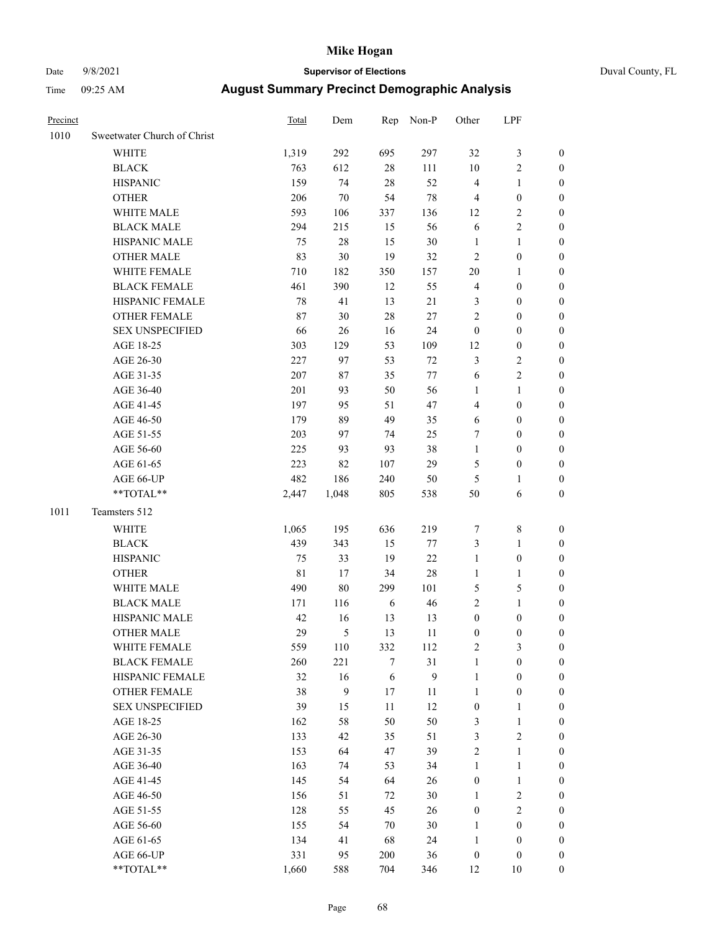# Date 9/8/2021 **Supervisor of Elections** Duval County, FL

| Precinct |                             | Total       | Dem              | Rep    | Non-P            | Other            | LPF              |                  |
|----------|-----------------------------|-------------|------------------|--------|------------------|------------------|------------------|------------------|
| 1010     | Sweetwater Church of Christ |             |                  |        |                  |                  |                  |                  |
|          | <b>WHITE</b>                | 1,319       | 292              | 695    | 297              | 32               | $\mathfrak{Z}$   | 0                |
|          | <b>BLACK</b>                | 763         | 612              | $28\,$ | 111              | $10\,$           | $\sqrt{2}$       | 0                |
|          | <b>HISPANIC</b>             | 159         | 74               | 28     | 52               | $\overline{4}$   | $\mathbf{1}$     | $\boldsymbol{0}$ |
|          | <b>OTHER</b>                | 206         | 70               | 54     | 78               | 4                | $\boldsymbol{0}$ | $\boldsymbol{0}$ |
|          | WHITE MALE                  | 593         | 106              | 337    | 136              | 12               | $\sqrt{2}$       | $\boldsymbol{0}$ |
|          | <b>BLACK MALE</b>           | 294         | 215              | 15     | 56               | 6                | $\sqrt{2}$       | $\boldsymbol{0}$ |
|          | HISPANIC MALE               | 75          | 28               | 15     | 30               | $\mathbf{1}$     | $\mathbf{1}$     | $\boldsymbol{0}$ |
|          | <b>OTHER MALE</b>           | 83          | 30               | 19     | 32               | $\mathfrak{2}$   | $\boldsymbol{0}$ | $\boldsymbol{0}$ |
|          | WHITE FEMALE                | 710         | 182              | 350    | 157              | 20               | 1                | $\boldsymbol{0}$ |
|          | <b>BLACK FEMALE</b>         | 461         | 390              | 12     | 55               | 4                | $\boldsymbol{0}$ | 0                |
|          | HISPANIC FEMALE             | 78          | 41               | 13     | 21               | 3                | $\boldsymbol{0}$ | 0                |
|          | OTHER FEMALE                | 87          | 30               | 28     | $27\,$           | $\overline{c}$   | $\boldsymbol{0}$ | $\boldsymbol{0}$ |
|          | <b>SEX UNSPECIFIED</b>      | 66          | 26               | 16     | 24               | $\boldsymbol{0}$ | $\boldsymbol{0}$ | $\boldsymbol{0}$ |
|          | AGE 18-25                   | 303         | 129              | 53     | 109              | 12               | $\boldsymbol{0}$ | $\boldsymbol{0}$ |
|          | AGE 26-30                   | 227         | 97               | 53     | $72\,$           | 3                | $\sqrt{2}$       | $\boldsymbol{0}$ |
|          | AGE 31-35                   | 207         | 87               | 35     | $77 \,$          | 6                | $\sqrt{2}$       | $\boldsymbol{0}$ |
|          | AGE 36-40                   | 201         | 93               | 50     | 56               | $\mathbf{1}$     | $\mathbf{1}$     | $\boldsymbol{0}$ |
|          | AGE 41-45                   | 197         | 95               | 51     | 47               | 4                | $\boldsymbol{0}$ | $\boldsymbol{0}$ |
|          | AGE 46-50                   | 179         | 89               | 49     | 35               | 6                | $\boldsymbol{0}$ | $\boldsymbol{0}$ |
|          | AGE 51-55                   | 203         | 97               | 74     | 25               | 7                | $\boldsymbol{0}$ | $\boldsymbol{0}$ |
|          | AGE 56-60                   | 225         | 93               | 93     | 38               | $\mathbf{1}$     | $\boldsymbol{0}$ | 0                |
|          | AGE 61-65                   | 223         | 82               | 107    | 29               | 5                | $\boldsymbol{0}$ | 0                |
|          | AGE 66-UP                   | 482         | 186              | 240    | 50               | 5                | 1                | $\boldsymbol{0}$ |
|          | **TOTAL**                   | 2,447       | 1,048            | 805    | 538              | 50               | 6                | $\boldsymbol{0}$ |
| 1011     | Teamsters 512               |             |                  |        |                  |                  |                  |                  |
|          | <b>WHITE</b>                | 1,065       | 195              | 636    | 219              | 7                | $\,$ 8 $\,$      | $\boldsymbol{0}$ |
|          | <b>BLACK</b>                | 439         | 343              | 15     | 77               | 3                | $\mathbf{1}$     | $\boldsymbol{0}$ |
|          | <b>HISPANIC</b>             | 75          | 33               | 19     | $22\,$           | $\mathbf{1}$     | $\boldsymbol{0}$ | $\boldsymbol{0}$ |
|          | <b>OTHER</b>                | $8\sqrt{1}$ | 17               | 34     | 28               | $\mathbf{1}$     | $\mathbf{1}$     | $\boldsymbol{0}$ |
|          | WHITE MALE                  | 490         | 80               | 299    | 101              | 5                | $\mathfrak s$    | $\boldsymbol{0}$ |
|          | <b>BLACK MALE</b>           | 171         | 116              | 6      | 46               | $\overline{c}$   | $\mathbf{1}$     | $\boldsymbol{0}$ |
|          | HISPANIC MALE               | 42          | 16               | 13     | 13               | $\boldsymbol{0}$ | $\boldsymbol{0}$ | 0                |
|          | <b>OTHER MALE</b>           | 29          | 5                | 13     | 11               | $\boldsymbol{0}$ | $\boldsymbol{0}$ | 0                |
|          | WHITE FEMALE                | 559         | 110              | 332    | 112              | 2                | 3                | 0                |
|          | <b>BLACK FEMALE</b>         | 260         | 221              | 7      | 31               | $\mathbf{1}$     | $\boldsymbol{0}$ | $\overline{0}$   |
|          | HISPANIC FEMALE             | 32          | 16               | 6      | $\boldsymbol{9}$ | $\mathbf{1}$     | $\boldsymbol{0}$ | $\overline{0}$   |
|          | OTHER FEMALE                | 38          | $\boldsymbol{9}$ | $17$   | 11               | $\mathbf{1}$     | $\boldsymbol{0}$ | 0                |
|          | <b>SEX UNSPECIFIED</b>      | 39          | 15               | $11\,$ | 12               | $\boldsymbol{0}$ | $\mathbf{1}$     | 0                |
|          | AGE 18-25                   | 162         | 58               | 50     | 50               | 3                | $\mathbf{1}$     | 0                |
|          | AGE 26-30                   | 133         | 42               | 35     | 51               | 3                | $\mathfrak{2}$   | 0                |
|          | AGE 31-35                   | 153         | 64               | 47     | 39               | $\overline{c}$   | $\mathbf{1}$     | 0                |
|          | AGE 36-40                   | 163         | 74               | 53     | 34               | $\mathbf{1}$     | $\mathbf{1}$     | 0                |
|          | AGE 41-45                   | 145         | 54               | 64     | 26               | $\boldsymbol{0}$ | $\mathbf{1}$     | 0                |
|          | AGE 46-50                   | 156         | 51               | 72     | 30               | 1                | $\sqrt{2}$       | 0                |
|          | AGE 51-55                   | 128         | 55               | 45     | 26               | $\boldsymbol{0}$ | $\sqrt{2}$       | 0                |
|          | AGE 56-60                   | 155         | 54               | 70     | 30               | 1                | $\boldsymbol{0}$ | 0                |
|          | AGE 61-65                   | 134         | 41               | 68     | 24               | 1                | $\boldsymbol{0}$ | 0                |
|          | AGE 66-UP                   | 331         | 95               | 200    | 36               | $\boldsymbol{0}$ | $\boldsymbol{0}$ | 0                |
|          | **TOTAL**                   | 1,660       | 588              | 704    | 346              | 12               | 10               | $\boldsymbol{0}$ |
|          |                             |             |                  |        |                  |                  |                  |                  |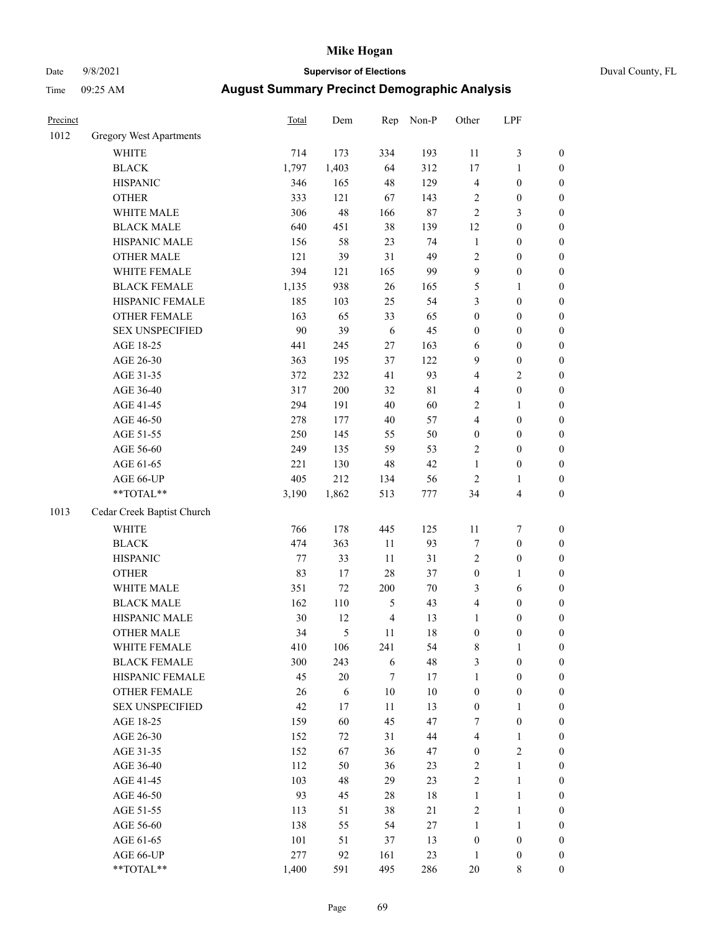# Date 9/8/2021 **Supervisor of Elections** Duval County, FL

| Precinct |                                | <b>Total</b> | Dem    | Rep            | Non-P       | Other            | LPF              |                  |
|----------|--------------------------------|--------------|--------|----------------|-------------|------------------|------------------|------------------|
| 1012     | <b>Gregory West Apartments</b> |              |        |                |             |                  |                  |                  |
|          | WHITE                          | 714          | 173    | 334            | 193         | 11               | $\mathfrak{Z}$   | 0                |
|          | <b>BLACK</b>                   | 1,797        | 1,403  | 64             | 312         | $17\,$           | $\mathbf{1}$     | $\boldsymbol{0}$ |
|          | <b>HISPANIC</b>                | 346          | 165    | 48             | 129         | 4                | $\boldsymbol{0}$ | $\boldsymbol{0}$ |
|          | <b>OTHER</b>                   | 333          | 121    | 67             | 143         | 2                | $\boldsymbol{0}$ | $\boldsymbol{0}$ |
|          | WHITE MALE                     | 306          | 48     | 166            | $87\,$      | 2                | $\mathfrak{Z}$   | $\boldsymbol{0}$ |
|          | <b>BLACK MALE</b>              | 640          | 451    | 38             | 139         | 12               | $\boldsymbol{0}$ | $\boldsymbol{0}$ |
|          | HISPANIC MALE                  | 156          | 58     | 23             | 74          | $\mathbf{1}$     | $\boldsymbol{0}$ | $\boldsymbol{0}$ |
|          | <b>OTHER MALE</b>              | 121          | 39     | 31             | 49          | 2                | $\boldsymbol{0}$ | $\boldsymbol{0}$ |
|          | WHITE FEMALE                   | 394          | 121    | 165            | 99          | 9                | $\boldsymbol{0}$ | $\boldsymbol{0}$ |
|          | <b>BLACK FEMALE</b>            | 1,135        | 938    | 26             | 165         | 5                | 1                | $\boldsymbol{0}$ |
|          | HISPANIC FEMALE                | 185          | 103    | 25             | 54          | 3                | $\boldsymbol{0}$ | $\boldsymbol{0}$ |
|          | <b>OTHER FEMALE</b>            | 163          | 65     | 33             | 65          | $\boldsymbol{0}$ | $\boldsymbol{0}$ | $\boldsymbol{0}$ |
|          | <b>SEX UNSPECIFIED</b>         | 90           | 39     | 6              | 45          | $\boldsymbol{0}$ | $\boldsymbol{0}$ | $\boldsymbol{0}$ |
|          | AGE 18-25                      | 441          | 245    | $27\,$         | 163         | 6                | $\boldsymbol{0}$ | $\boldsymbol{0}$ |
|          | AGE 26-30                      | 363          | 195    | 37             | 122         | 9                | $\boldsymbol{0}$ | $\boldsymbol{0}$ |
|          | AGE 31-35                      | 372          | 232    | 41             | 93          | 4                | $\sqrt{2}$       | $\boldsymbol{0}$ |
|          | AGE 36-40                      | 317          | 200    | 32             | $8\sqrt{1}$ | 4                | $\boldsymbol{0}$ | $\boldsymbol{0}$ |
|          | AGE 41-45                      | 294          | 191    | 40             | 60          | 2                | $\mathbf{1}$     | $\boldsymbol{0}$ |
|          | AGE 46-50                      | 278          | 177    | 40             | 57          | 4                | $\boldsymbol{0}$ | $\boldsymbol{0}$ |
|          | AGE 51-55                      | 250          | 145    | 55             | 50          | $\boldsymbol{0}$ | $\boldsymbol{0}$ | $\boldsymbol{0}$ |
|          | AGE 56-60                      | 249          | 135    | 59             | 53          | 2                | $\boldsymbol{0}$ | $\boldsymbol{0}$ |
|          | AGE 61-65                      | 221          | 130    | 48             | 42          | $\mathbf{1}$     | $\boldsymbol{0}$ | $\boldsymbol{0}$ |
|          | AGE 66-UP                      | 405          | 212    | 134            | 56          | $\mathbf{2}$     | 1                | $\boldsymbol{0}$ |
|          | **TOTAL**                      | 3,190        | 1,862  | 513            | $777\,$     | 34               | $\overline{4}$   | $\boldsymbol{0}$ |
| 1013     | Cedar Creek Baptist Church     |              |        |                |             |                  |                  |                  |
|          | <b>WHITE</b>                   | 766          | 178    | 445            | 125         | $11\,$           | $\boldsymbol{7}$ | $\boldsymbol{0}$ |
|          | <b>BLACK</b>                   | 474          | 363    | $11\,$         | 93          | 7                | $\boldsymbol{0}$ | $\boldsymbol{0}$ |
|          | <b>HISPANIC</b>                | 77           | 33     | 11             | 31          | 2                | $\boldsymbol{0}$ | $\boldsymbol{0}$ |
|          | <b>OTHER</b>                   | 83           | 17     | 28             | 37          | $\boldsymbol{0}$ | $\mathbf{1}$     | $\boldsymbol{0}$ |
|          | WHITE MALE                     | 351          | 72     | 200            | $70\,$      | 3                | 6                | $\boldsymbol{0}$ |
|          | <b>BLACK MALE</b>              | 162          | 110    | $\mathfrak{S}$ | 43          | 4                | $\boldsymbol{0}$ | $\boldsymbol{0}$ |
|          | HISPANIC MALE                  | 30           | 12     | $\overline{4}$ | 13          | $\mathbf{1}$     | $\boldsymbol{0}$ | $\boldsymbol{0}$ |
|          | <b>OTHER MALE</b>              | 34           | 5      | 11             | 18          | $\boldsymbol{0}$ | $\boldsymbol{0}$ | $\boldsymbol{0}$ |
|          | WHITE FEMALE                   | 410          | 106    | 241            | 54          | 8                | 1                | 0                |
|          | <b>BLACK FEMALE</b>            | 300          | 243    | 6              | 48          | 3                | $\boldsymbol{0}$ | $\overline{0}$   |
|          | HISPANIC FEMALE                | 45           | $20\,$ | 7              | 17          | $\mathbf{1}$     | $\boldsymbol{0}$ | $\overline{0}$   |
|          | OTHER FEMALE                   | 26           | 6      | $10\,$         | $10\,$      | $\boldsymbol{0}$ | $\boldsymbol{0}$ | 0                |
|          | <b>SEX UNSPECIFIED</b>         | 42           | 17     | 11             | 13          | $\boldsymbol{0}$ | $\mathbf{1}$     | 0                |
|          | AGE 18-25                      | 159          | 60     | 45             | 47          | 7                | $\boldsymbol{0}$ | 0                |
|          | AGE 26-30                      | 152          | 72     | 31             | $44\,$      | 4                | $\mathbf{1}$     | 0                |
|          | AGE 31-35                      | 152          | 67     | 36             | 47          | $\boldsymbol{0}$ | $\sqrt{2}$       | 0                |
|          | AGE 36-40                      | 112          | 50     | 36             | 23          | 2                | $\mathbf{1}$     | 0                |
|          | AGE 41-45                      | 103          | 48     | 29             | 23          | $\overline{c}$   | $\mathbf{1}$     | 0                |
|          | AGE 46-50                      | 93           | 45     | 28             | 18          | $\mathbf{1}$     | $\mathbf{1}$     | 0                |
|          | AGE 51-55                      | 113          | 51     | 38             | 21          | 2                | $\mathbf{1}$     | 0                |
|          | AGE 56-60                      | 138          | 55     | 54             | $27\,$      | $\mathbf{1}$     | $\mathbf{1}$     | 0                |
|          | AGE 61-65                      | 101          | 51     | 37             | 13          | $\boldsymbol{0}$ | $\boldsymbol{0}$ | 0                |
|          | AGE 66-UP                      | 277          | 92     | 161            | 23          | $\mathbf{1}$     | $\boldsymbol{0}$ | 0                |
|          | **TOTAL**                      | 1,400        | 591    | 495            | 286         | $20\,$           | 8                | $\boldsymbol{0}$ |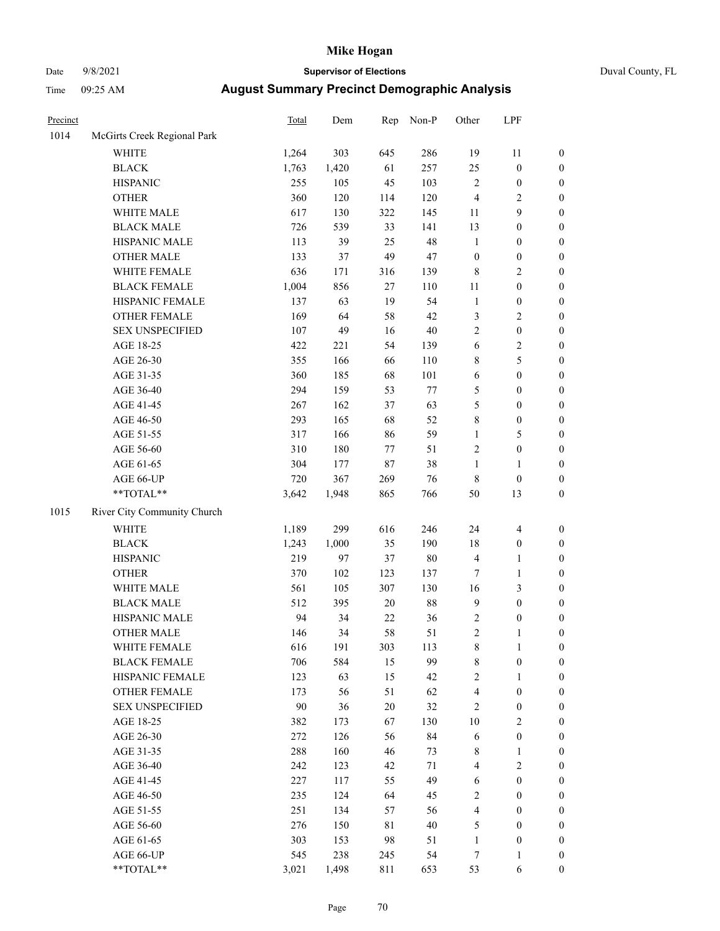## Date 9/8/2021 **Supervisor of Elections** Duval County, FL

| Precinct |                             | <b>Total</b> | Dem   | Rep    | Non-P  | Other                   | LPF              |                  |
|----------|-----------------------------|--------------|-------|--------|--------|-------------------------|------------------|------------------|
| 1014     | McGirts Creek Regional Park |              |       |        |        |                         |                  |                  |
|          | <b>WHITE</b>                | 1,264        | 303   | 645    | 286    | 19                      | 11               | 0                |
|          | <b>BLACK</b>                | 1,763        | 1,420 | 61     | 257    | 25                      | $\boldsymbol{0}$ | 0                |
|          | <b>HISPANIC</b>             | 255          | 105   | 45     | 103    | $\mathbf{2}$            | $\boldsymbol{0}$ | $\boldsymbol{0}$ |
|          | <b>OTHER</b>                | 360          | 120   | 114    | 120    | 4                       | $\sqrt{2}$       | $\boldsymbol{0}$ |
|          | WHITE MALE                  | 617          | 130   | 322    | 145    | 11                      | 9                | $\boldsymbol{0}$ |
|          | <b>BLACK MALE</b>           | 726          | 539   | 33     | 141    | 13                      | $\boldsymbol{0}$ | $\boldsymbol{0}$ |
|          | HISPANIC MALE               | 113          | 39    | 25     | 48     | $\mathbf{1}$            | $\boldsymbol{0}$ | $\boldsymbol{0}$ |
|          | <b>OTHER MALE</b>           | 133          | 37    | 49     | 47     | $\boldsymbol{0}$        | $\boldsymbol{0}$ | $\boldsymbol{0}$ |
|          | WHITE FEMALE                | 636          | 171   | 316    | 139    | 8                       | $\sqrt{2}$       | $\boldsymbol{0}$ |
|          | <b>BLACK FEMALE</b>         | 1,004        | 856   | 27     | 110    | $11\,$                  | $\boldsymbol{0}$ | $\boldsymbol{0}$ |
|          | HISPANIC FEMALE             | 137          | 63    | 19     | 54     | $\mathbf{1}$            | $\boldsymbol{0}$ | $\boldsymbol{0}$ |
|          | OTHER FEMALE                | 169          | 64    | 58     | 42     | 3                       | $\sqrt{2}$       | $\boldsymbol{0}$ |
|          | <b>SEX UNSPECIFIED</b>      | 107          | 49    | 16     | $40\,$ | $\mathbf{2}$            | $\boldsymbol{0}$ | $\boldsymbol{0}$ |
|          | AGE 18-25                   | 422          | 221   | 54     | 139    | 6                       | $\sqrt{2}$       | $\boldsymbol{0}$ |
|          | AGE 26-30                   | 355          | 166   | 66     | 110    | 8                       | 5                | $\boldsymbol{0}$ |
|          | AGE 31-35                   | 360          | 185   | 68     | 101    | 6                       | $\boldsymbol{0}$ | $\boldsymbol{0}$ |
|          | AGE 36-40                   | 294          | 159   | 53     | 77     | 5                       | $\boldsymbol{0}$ | $\boldsymbol{0}$ |
|          | AGE 41-45                   | 267          | 162   | 37     | 63     | 5                       | $\boldsymbol{0}$ | $\boldsymbol{0}$ |
|          | AGE 46-50                   | 293          | 165   | 68     | 52     | 8                       | $\boldsymbol{0}$ | $\boldsymbol{0}$ |
|          | AGE 51-55                   | 317          | 166   | 86     | 59     | $\mathbf{1}$            | $\mathfrak{S}$   | $\boldsymbol{0}$ |
|          | AGE 56-60                   | 310          | 180   | 77     | 51     | $\mathbf{2}$            | $\boldsymbol{0}$ | $\boldsymbol{0}$ |
|          | AGE 61-65                   | 304          | 177   | 87     | 38     | $\mathbf{1}$            | 1                | $\boldsymbol{0}$ |
|          | AGE 66-UP                   | 720          | 367   | 269    | 76     | 8                       | $\boldsymbol{0}$ | $\boldsymbol{0}$ |
|          | $**TOTAL**$                 | 3,642        | 1,948 | 865    | 766    | 50                      | 13               | $\boldsymbol{0}$ |
| 1015     | River City Community Church |              |       |        |        |                         |                  |                  |
|          | <b>WHITE</b>                | 1,189        | 299   | 616    | 246    | 24                      | $\overline{4}$   | $\boldsymbol{0}$ |
|          | <b>BLACK</b>                | 1,243        | 1,000 | 35     | 190    | 18                      | $\boldsymbol{0}$ | $\boldsymbol{0}$ |
|          | <b>HISPANIC</b>             | 219          | 97    | 37     | $80\,$ | 4                       | $\mathbf{1}$     | $\boldsymbol{0}$ |
|          | <b>OTHER</b>                | 370          | 102   | 123    | 137    | $\tau$                  | $\mathbf{1}$     | $\boldsymbol{0}$ |
|          | WHITE MALE                  | 561          | 105   | 307    | 130    | 16                      | 3                | $\boldsymbol{0}$ |
|          | <b>BLACK MALE</b>           | 512          | 395   | $20\,$ | $88\,$ | 9                       | $\boldsymbol{0}$ | $\boldsymbol{0}$ |
|          | HISPANIC MALE               | 94           | 34    | $22\,$ | 36     | $\overline{\mathbf{c}}$ | $\boldsymbol{0}$ | 0                |
|          | <b>OTHER MALE</b>           | 146          | 34    | 58     | 51     | $\overline{c}$          | $\mathbf{1}$     | $\boldsymbol{0}$ |
|          | WHITE FEMALE                | 616          | 191   | 303    | 113    | 8                       | 1                | 0                |
|          | <b>BLACK FEMALE</b>         | 706          | 584   | 15     | 99     | 8                       | $\boldsymbol{0}$ | $\overline{0}$   |
|          | HISPANIC FEMALE             | 123          | 63    | 15     | 42     | $\overline{c}$          | $\mathbf{1}$     | $\overline{0}$   |
|          | OTHER FEMALE                | 173          | 56    | 51     | 62     | 4                       | $\boldsymbol{0}$ | $\overline{0}$   |
|          | <b>SEX UNSPECIFIED</b>      | 90           | 36    | $20\,$ | 32     | 2                       | $\boldsymbol{0}$ | 0                |
|          | AGE 18-25                   | 382          | 173   | 67     | 130    | $10\,$                  | $\sqrt{2}$       | 0                |
|          | AGE 26-30                   | 272          | 126   | 56     | 84     | 6                       | $\boldsymbol{0}$ | 0                |
|          | AGE 31-35                   | 288          | 160   | 46     | 73     | 8                       | $\mathbf{1}$     | 0                |
|          | AGE 36-40                   | 242          | 123   | 42     | $71\,$ | 4                       | $\sqrt{2}$       | 0                |
|          | AGE 41-45                   | 227          | 117   | 55     | 49     | 6                       | $\boldsymbol{0}$ | 0                |
|          | AGE 46-50                   | 235          | 124   | 64     | 45     | $\overline{c}$          | $\boldsymbol{0}$ | 0                |
|          | AGE 51-55                   | 251          | 134   | 57     | 56     | 4                       | $\boldsymbol{0}$ | $\overline{0}$   |
|          | AGE 56-60                   | 276          | 150   | 81     | $40\,$ | 5                       | $\boldsymbol{0}$ | $\overline{0}$   |
|          | AGE 61-65                   | 303          | 153   | 98     | 51     | $\mathbf{1}$            | $\boldsymbol{0}$ | $\overline{0}$   |
|          | AGE 66-UP                   | 545          | 238   | 245    | 54     | 7                       | $\mathbf{1}$     | 0                |
|          | **TOTAL**                   | 3,021        | 1,498 | 811    | 653    | 53                      | 6                | $\boldsymbol{0}$ |
|          |                             |              |       |        |        |                         |                  |                  |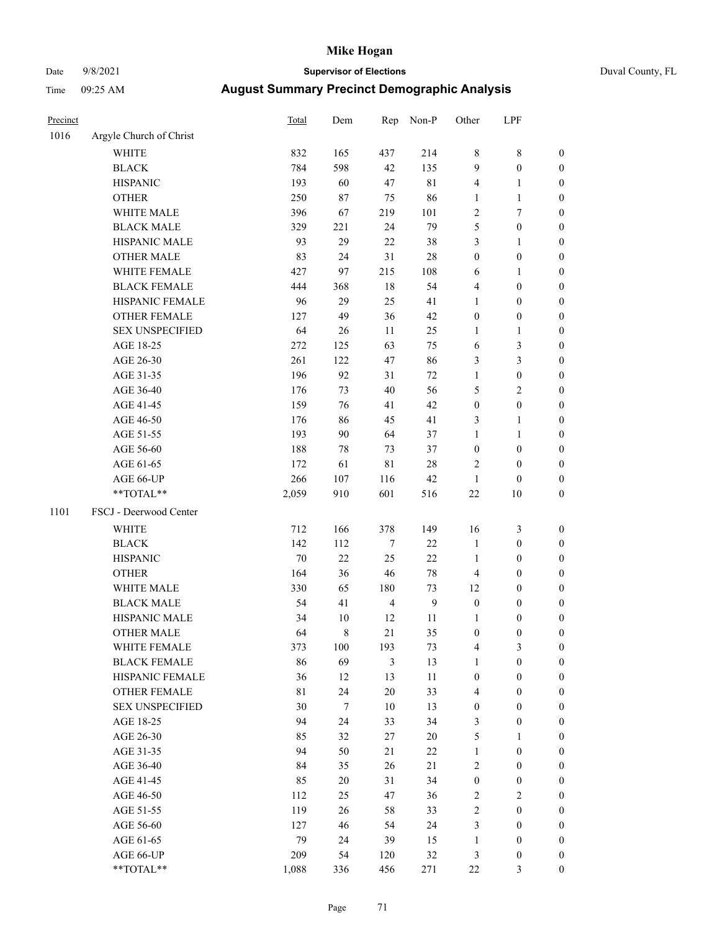# Date 9/8/2021 **Supervisor of Elections** Duval County, FL

| Precinct |                         | Total | Dem              | Rep            | Non-P            | Other                   | LPF              |                  |
|----------|-------------------------|-------|------------------|----------------|------------------|-------------------------|------------------|------------------|
| 1016     | Argyle Church of Christ |       |                  |                |                  |                         |                  |                  |
|          | <b>WHITE</b>            | 832   | 165              | 437            | 214              | 8                       | $\,$ 8 $\,$      | 0                |
|          | <b>BLACK</b>            | 784   | 598              | 42             | 135              | 9                       | $\boldsymbol{0}$ | 0                |
|          | <b>HISPANIC</b>         | 193   | 60               | 47             | $8\sqrt{1}$      | 4                       | $\mathbf{1}$     | $\boldsymbol{0}$ |
|          | <b>OTHER</b>            | 250   | 87               | 75             | 86               | 1                       | $\mathbf{1}$     | $\boldsymbol{0}$ |
|          | WHITE MALE              | 396   | 67               | 219            | 101              | $\overline{\mathbf{c}}$ | 7                | $\boldsymbol{0}$ |
|          | <b>BLACK MALE</b>       | 329   | 221              | 24             | 79               | 5                       | $\boldsymbol{0}$ | $\boldsymbol{0}$ |
|          | HISPANIC MALE           | 93    | 29               | 22             | 38               | 3                       | $\mathbf{1}$     | $\boldsymbol{0}$ |
|          | <b>OTHER MALE</b>       | 83    | 24               | 31             | 28               | $\boldsymbol{0}$        | $\boldsymbol{0}$ | $\boldsymbol{0}$ |
|          | WHITE FEMALE            | 427   | 97               | 215            | 108              | 6                       | 1                | $\boldsymbol{0}$ |
|          | <b>BLACK FEMALE</b>     | 444   | 368              | 18             | 54               | 4                       | $\boldsymbol{0}$ | 0                |
|          | HISPANIC FEMALE         | 96    | 29               | 25             | 41               | $\mathbf{1}$            | $\boldsymbol{0}$ | 0                |
|          | OTHER FEMALE            | 127   | 49               | 36             | 42               | $\boldsymbol{0}$        | $\boldsymbol{0}$ | $\boldsymbol{0}$ |
|          | <b>SEX UNSPECIFIED</b>  | 64    | 26               | 11             | 25               | $\mathbf{1}$            | $\mathbf{1}$     | $\boldsymbol{0}$ |
|          | AGE 18-25               | 272   | 125              | 63             | 75               | 6                       | $\mathfrak{Z}$   | $\boldsymbol{0}$ |
|          | AGE 26-30               | 261   | 122              | 47             | 86               | 3                       | $\mathfrak{Z}$   | $\boldsymbol{0}$ |
|          | AGE 31-35               | 196   | 92               | 31             | $72\,$           | $\mathbf{1}$            | $\boldsymbol{0}$ | $\boldsymbol{0}$ |
|          | AGE 36-40               | 176   | 73               | 40             | 56               | 5                       | $\mathfrak{2}$   | $\boldsymbol{0}$ |
|          | AGE 41-45               | 159   | 76               | 41             | 42               | $\boldsymbol{0}$        | $\boldsymbol{0}$ | $\boldsymbol{0}$ |
|          | AGE 46-50               | 176   | 86               | 45             | 41               | 3                       | $\mathbf{1}$     | $\boldsymbol{0}$ |
|          | AGE 51-55               | 193   | 90               | 64             | 37               | $\mathbf{1}$            | $\mathbf{1}$     | $\boldsymbol{0}$ |
|          | AGE 56-60               | 188   | 78               | 73             | 37               | $\boldsymbol{0}$        | $\boldsymbol{0}$ | 0                |
|          | AGE 61-65               | 172   | 61               | $8\sqrt{1}$    | 28               | 2                       | $\boldsymbol{0}$ | 0                |
|          | AGE 66-UP               | 266   | 107              | 116            | 42               | $\mathbf{1}$            | $\boldsymbol{0}$ | $\boldsymbol{0}$ |
|          | $**TOTAL**$             | 2,059 | 910              | 601            | 516              | $22\,$                  | 10               | $\boldsymbol{0}$ |
| 1101     | FSCJ - Deerwood Center  |       |                  |                |                  |                         |                  |                  |
|          | <b>WHITE</b>            | 712   | 166              | 378            | 149              | 16                      | $\mathfrak{Z}$   | $\boldsymbol{0}$ |
|          | <b>BLACK</b>            | 142   | 112              | 7              | $22\,$           | $\mathbf{1}$            | $\boldsymbol{0}$ | $\boldsymbol{0}$ |
|          | <b>HISPANIC</b>         | 70    | 22               | 25             | 22               | $\mathbf{1}$            | $\boldsymbol{0}$ | $\boldsymbol{0}$ |
|          | <b>OTHER</b>            | 164   | 36               | 46             | 78               | 4                       | $\boldsymbol{0}$ | $\boldsymbol{0}$ |
|          | WHITE MALE              | 330   | 65               | 180            | 73               | 12                      | $\boldsymbol{0}$ | $\boldsymbol{0}$ |
|          | <b>BLACK MALE</b>       | 54    | 41               | $\overline{4}$ | $\boldsymbol{9}$ | $\boldsymbol{0}$        | $\boldsymbol{0}$ | $\boldsymbol{0}$ |
|          | HISPANIC MALE           | 34    | 10               | 12             | 11               | 1                       | $\boldsymbol{0}$ | 0                |
|          | <b>OTHER MALE</b>       | 64    | $\,$ 8 $\,$      | 21             | 35               | $\boldsymbol{0}$        | $\boldsymbol{0}$ | $\boldsymbol{0}$ |
|          | WHITE FEMALE            | 373   | 100              | 193            | 73               | 4                       | 3                | 0                |
|          | <b>BLACK FEMALE</b>     | 86    | 69               | 3              | 13               | 1                       | $\boldsymbol{0}$ | $\overline{0}$   |
|          | HISPANIC FEMALE         | 36    | 12               | 13             | $11\,$           | $\boldsymbol{0}$        | $\boldsymbol{0}$ | $\overline{0}$   |
|          | OTHER FEMALE            | 81    | 24               | 20             | 33               | 4                       | $\boldsymbol{0}$ | $\overline{0}$   |
|          | <b>SEX UNSPECIFIED</b>  | 30    | $\boldsymbol{7}$ | 10             | 13               | $\boldsymbol{0}$        | $\boldsymbol{0}$ | 0                |
|          | AGE 18-25               | 94    | 24               | 33             | 34               | 3                       | $\boldsymbol{0}$ | 0                |
|          | AGE 26-30               | 85    | 32               | 27             | $20\,$           | 5                       | $\mathbf{1}$     | 0                |
|          | AGE 31-35               | 94    | 50               | 21             | $22\,$           | 1                       | $\boldsymbol{0}$ | 0                |
|          | AGE 36-40               | 84    | 35               | 26             | $21\,$           | 2                       | $\boldsymbol{0}$ | 0                |
|          | AGE 41-45               | 85    | 20               | 31             | 34               | $\boldsymbol{0}$        | $\boldsymbol{0}$ | 0                |
|          | AGE 46-50               | 112   | 25               | 47             | 36               | 2                       | $\overline{c}$   | 0                |
|          | AGE 51-55               | 119   | 26               | 58             | 33               | $\mathbf{2}$            | $\boldsymbol{0}$ | $\overline{0}$   |
|          | AGE 56-60               | 127   | 46               | 54             | 24               | 3                       | $\boldsymbol{0}$ | $\boldsymbol{0}$ |
|          | AGE 61-65               | 79    | 24               | 39             | 15               | $\mathbf{1}$            | $\boldsymbol{0}$ | 0                |
|          | AGE 66-UP               | 209   | 54               | 120            | 32               | 3                       | $\boldsymbol{0}$ | 0                |
|          | **TOTAL**               | 1,088 | 336              | 456            | 271              | 22                      | 3                | $\boldsymbol{0}$ |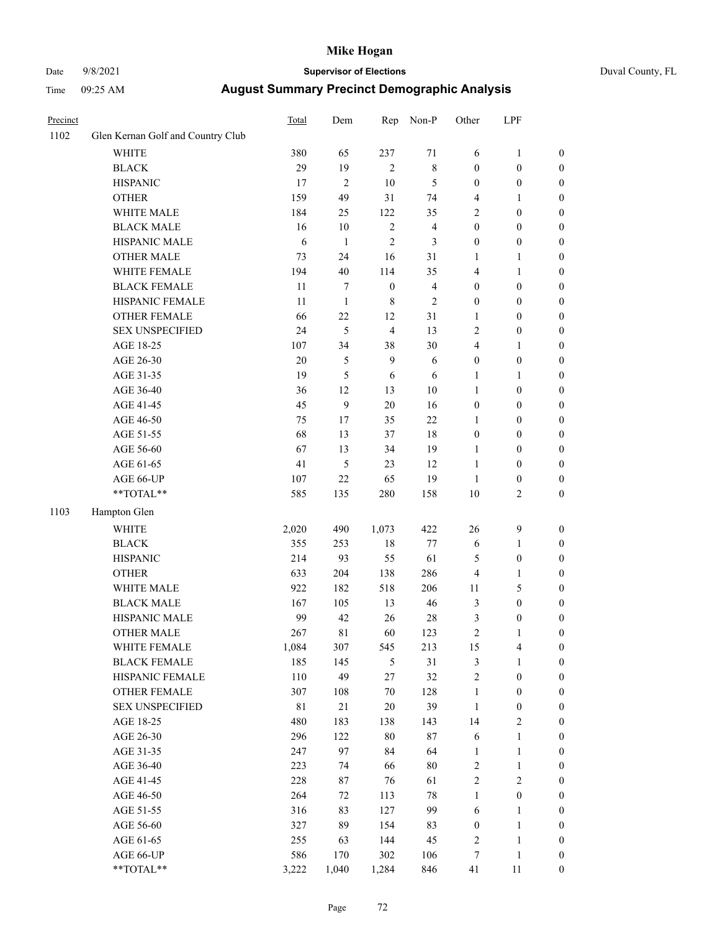### Date 9/8/2021 **Supervisor of Elections** Duval County, FL

| Precinct |                                   | Total       | Dem              | Rep              | Non-P          | Other            | LPF              |                  |
|----------|-----------------------------------|-------------|------------------|------------------|----------------|------------------|------------------|------------------|
| 1102     | Glen Kernan Golf and Country Club |             |                  |                  |                |                  |                  |                  |
|          | <b>WHITE</b>                      | 380         | 65               | 237              | 71             | 6                | $\mathbf{1}$     | 0                |
|          | <b>BLACK</b>                      | 29          | 19               | $\overline{2}$   | $\,$ 8 $\,$    | $\boldsymbol{0}$ | $\boldsymbol{0}$ | 0                |
|          | <b>HISPANIC</b>                   | 17          | $\overline{2}$   | $10\,$           | $\sqrt{5}$     | $\boldsymbol{0}$ | $\boldsymbol{0}$ | $\boldsymbol{0}$ |
|          | <b>OTHER</b>                      | 159         | 49               | 31               | 74             | 4                | 1                | $\boldsymbol{0}$ |
|          | WHITE MALE                        | 184         | 25               | 122              | 35             | 2                | $\boldsymbol{0}$ | $\boldsymbol{0}$ |
|          | <b>BLACK MALE</b>                 | 16          | 10               | $\sqrt{2}$       | $\overline{4}$ | $\boldsymbol{0}$ | $\boldsymbol{0}$ | $\boldsymbol{0}$ |
|          | HISPANIC MALE                     | 6           | $\mathbf{1}$     | $\overline{c}$   | 3              | $\boldsymbol{0}$ | $\boldsymbol{0}$ | $\boldsymbol{0}$ |
|          | <b>OTHER MALE</b>                 | 73          | 24               | 16               | 31             | $\mathbf{1}$     | $\mathbf{1}$     | $\boldsymbol{0}$ |
|          | WHITE FEMALE                      | 194         | $40\,$           | 114              | 35             | 4                | $\mathbf{1}$     | $\boldsymbol{0}$ |
|          | <b>BLACK FEMALE</b>               | 11          | $\tau$           | $\boldsymbol{0}$ | $\overline{4}$ | $\boldsymbol{0}$ | $\boldsymbol{0}$ | $\boldsymbol{0}$ |
|          | HISPANIC FEMALE                   | 11          | $\mathbf{1}$     | $\,$ 8 $\,$      | $\sqrt{2}$     | $\boldsymbol{0}$ | $\boldsymbol{0}$ | $\boldsymbol{0}$ |
|          | OTHER FEMALE                      | 66          | 22               | 12               | 31             | $\mathbf{1}$     | $\boldsymbol{0}$ | $\boldsymbol{0}$ |
|          | <b>SEX UNSPECIFIED</b>            | 24          | 5                | $\overline{4}$   | 13             | $\mathbf{2}$     | $\boldsymbol{0}$ | $\boldsymbol{0}$ |
|          | AGE 18-25                         | 107         | 34               | 38               | 30             | 4                | $\mathbf{1}$     | $\boldsymbol{0}$ |
|          | AGE 26-30                         | $20\,$      | $\mathfrak{S}$   | 9                | 6              | $\boldsymbol{0}$ | $\boldsymbol{0}$ | $\boldsymbol{0}$ |
|          | AGE 31-35                         | 19          | 5                | 6                | 6              | $\mathbf{1}$     | $\mathbf{1}$     | $\boldsymbol{0}$ |
|          | AGE 36-40                         | 36          | 12               | 13               | $10\,$         | $\mathbf{1}$     | $\boldsymbol{0}$ | $\boldsymbol{0}$ |
|          | AGE 41-45                         | 45          | $\boldsymbol{9}$ | $20\,$           | 16             | $\boldsymbol{0}$ | $\boldsymbol{0}$ | $\boldsymbol{0}$ |
|          | AGE 46-50                         | 75          | 17               | 35               | $22\,$         | $\mathbf{1}$     | $\boldsymbol{0}$ | $\boldsymbol{0}$ |
|          | AGE 51-55                         | 68          | 13               | 37               | 18             | $\boldsymbol{0}$ | $\boldsymbol{0}$ | $\boldsymbol{0}$ |
|          | AGE 56-60                         | 67          | 13               | 34               | 19             | 1                | $\boldsymbol{0}$ | $\boldsymbol{0}$ |
|          | AGE 61-65                         | 41          | 5                | 23               | 12             | $\mathbf{1}$     | $\boldsymbol{0}$ | $\boldsymbol{0}$ |
|          | AGE 66-UP                         | 107         | 22               | 65               | 19             | $\mathbf{1}$     | $\boldsymbol{0}$ | $\boldsymbol{0}$ |
|          | **TOTAL**                         | 585         | 135              | 280              | 158            | $10\,$           | $\sqrt{2}$       | $\boldsymbol{0}$ |
| 1103     | Hampton Glen                      |             |                  |                  |                |                  |                  |                  |
|          | <b>WHITE</b>                      | 2,020       | 490              | 1,073            | 422            | 26               | $\mathbf{9}$     | $\boldsymbol{0}$ |
|          | <b>BLACK</b>                      | 355         | 253              | $18\,$           | $77 \,$        | 6                | $\mathbf{1}$     | $\boldsymbol{0}$ |
|          | <b>HISPANIC</b>                   | 214         | 93               | 55               | 61             | 5                | $\boldsymbol{0}$ | $\boldsymbol{0}$ |
|          | <b>OTHER</b>                      | 633         | 204              | 138              | 286            | 4                | $\mathbf{1}$     | $\boldsymbol{0}$ |
|          | WHITE MALE                        | 922         | 182              | 518              | 206            | $11\,$           | 5                | $\boldsymbol{0}$ |
|          | <b>BLACK MALE</b>                 | 167         | 105              | 13               | $46\,$         | 3                | $\boldsymbol{0}$ | $\boldsymbol{0}$ |
|          | HISPANIC MALE                     | 99          | 42               | 26               | $28\,$         | 3                | $\boldsymbol{0}$ | 0                |
|          | <b>OTHER MALE</b>                 | 267         | 81               | 60               | 123            | $\mathfrak{2}$   | $\mathbf{1}$     | $\boldsymbol{0}$ |
|          | WHITE FEMALE                      | 1,084       | 307              | 545              | 213            | 15               | 4                | 0                |
|          | <b>BLACK FEMALE</b>               | 185         | 145              | $\mathfrak{S}$   | 31             | $\mathfrak{Z}$   | $\mathbf{1}$     | $\boldsymbol{0}$ |
|          | HISPANIC FEMALE                   | 110         | 49               | 27               | 32             | $\sqrt{2}$       | $\boldsymbol{0}$ | $\overline{0}$   |
|          | OTHER FEMALE                      | 307         | 108              | $70\,$           | 128            | $\mathbf{1}$     | $\boldsymbol{0}$ | $\overline{0}$   |
|          | <b>SEX UNSPECIFIED</b>            | $8\sqrt{1}$ | 21               | $20\,$           | 39             | $\mathbf{1}$     | $\boldsymbol{0}$ | 0                |
|          | AGE 18-25                         | 480         | 183              | 138              | 143            | 14               | $\sqrt{2}$       | 0                |
|          | AGE 26-30                         | 296         | 122              | $80\,$           | $87\,$         | 6                | $\mathbf{1}$     | 0                |
|          | AGE 31-35                         | 247         | 97               | 84               | 64             | $\mathbf{1}$     | $\mathbf{1}$     | 0                |
|          | AGE 36-40                         | 223         | 74               | 66               | $80\,$         | $\boldsymbol{2}$ | $\mathbf{1}$     | 0                |
|          | AGE 41-45                         | 228         | 87               | 76               | 61             | $\sqrt{2}$       | $\mathfrak{2}$   | 0                |
|          | AGE 46-50                         | 264         | 72               | 113              | 78             | $\mathbf{1}$     | $\boldsymbol{0}$ | 0                |
|          | AGE 51-55                         | 316         | 83               | 127              | 99             | 6                | $\mathbf{1}$     | 0                |
|          | AGE 56-60                         | 327         | 89               | 154              | 83             | $\boldsymbol{0}$ | $\mathbf{1}$     | $\boldsymbol{0}$ |
|          | AGE 61-65                         | 255         | 63               | 144              | 45             | $\overline{c}$   | $\mathbf{1}$     | $\boldsymbol{0}$ |
|          | AGE 66-UP                         | 586         | 170              | 302              | 106            | 7                | $\,1$            | 0                |
|          | **TOTAL**                         | 3,222       | 1,040            | 1,284            | 846            | 41               | 11               | $\boldsymbol{0}$ |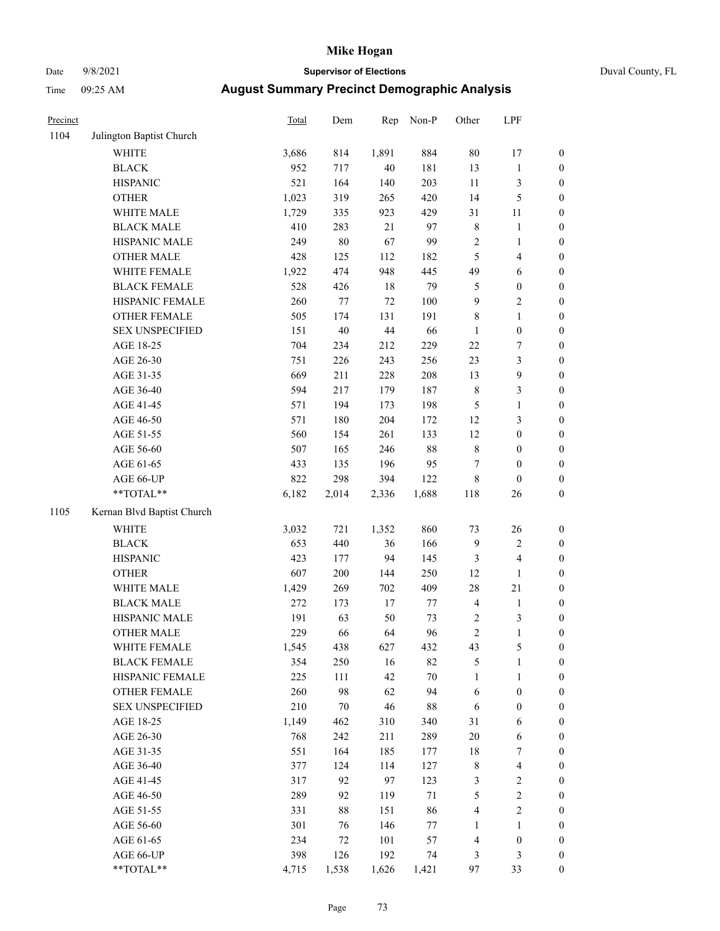# Date 9/8/2021 **Supervisor of Elections** Duval County, FL

| Precinct |                            | Total | Dem    | Rep    | Non-P  | Other            | LPF              |                  |
|----------|----------------------------|-------|--------|--------|--------|------------------|------------------|------------------|
| 1104     | Julington Baptist Church   |       |        |        |        |                  |                  |                  |
|          | <b>WHITE</b>               | 3,686 | 814    | 1,891  | 884    | $80\,$           | 17               | 0                |
|          | <b>BLACK</b>               | 952   | 717    | $40\,$ | 181    | 13               | $\mathbf{1}$     | 0                |
|          | <b>HISPANIC</b>            | 521   | 164    | 140    | 203    | $11\,$           | 3                | $\boldsymbol{0}$ |
|          | <b>OTHER</b>               | 1,023 | 319    | 265    | 420    | 14               | $\mathfrak s$    | $\boldsymbol{0}$ |
|          | WHITE MALE                 | 1,729 | 335    | 923    | 429    | 31               | $11\,$           | $\boldsymbol{0}$ |
|          | <b>BLACK MALE</b>          | 410   | 283    | 21     | 97     | $\,$ $\,$        | $\mathbf{1}$     | $\boldsymbol{0}$ |
|          | HISPANIC MALE              | 249   | $80\,$ | 67     | 99     | $\sqrt{2}$       | $\mathbf{1}$     | $\boldsymbol{0}$ |
|          | <b>OTHER MALE</b>          | 428   | 125    | 112    | 182    | $\mathfrak s$    | $\overline{4}$   | $\boldsymbol{0}$ |
|          | WHITE FEMALE               | 1,922 | 474    | 948    | 445    | 49               | 6                | $\boldsymbol{0}$ |
|          | <b>BLACK FEMALE</b>        | 528   | 426    | $18\,$ | 79     | $\mathfrak{S}$   | $\boldsymbol{0}$ | $\boldsymbol{0}$ |
|          | HISPANIC FEMALE            | 260   | 77     | $72\,$ | 100    | $\boldsymbol{9}$ | $\sqrt{2}$       | $\boldsymbol{0}$ |
|          | OTHER FEMALE               | 505   | 174    | 131    | 191    | 8                | $\mathbf{1}$     | $\boldsymbol{0}$ |
|          | <b>SEX UNSPECIFIED</b>     | 151   | $40\,$ | $44\,$ | 66     | $\mathbf{1}$     | $\boldsymbol{0}$ | $\boldsymbol{0}$ |
|          | AGE 18-25                  | 704   | 234    | 212    | 229    | $22\,$           | 7                | $\boldsymbol{0}$ |
|          | AGE 26-30                  | 751   | 226    | 243    | 256    | 23               | 3                | $\boldsymbol{0}$ |
|          | AGE 31-35                  | 669   | 211    | 228    | 208    | 13               | $\overline{9}$   | $\boldsymbol{0}$ |
|          | AGE 36-40                  | 594   | 217    | 179    | 187    | $\,$ 8 $\,$      | 3                | $\boldsymbol{0}$ |
|          | AGE 41-45                  | 571   | 194    | 173    | 198    | $\mathfrak{S}$   | $\mathbf{1}$     | $\boldsymbol{0}$ |
|          | AGE 46-50                  | 571   | 180    | 204    | 172    | 12               | 3                | $\boldsymbol{0}$ |
|          | AGE 51-55                  | 560   | 154    | 261    | 133    | 12               | $\boldsymbol{0}$ | $\boldsymbol{0}$ |
|          | AGE 56-60                  | 507   | 165    | 246    | $88\,$ | $8\,$            | $\boldsymbol{0}$ | 0                |
|          | AGE 61-65                  | 433   | 135    | 196    | 95     | $\tau$           | $\boldsymbol{0}$ | $\boldsymbol{0}$ |
|          | AGE 66-UP                  | 822   | 298    | 394    | 122    | 8                | $\boldsymbol{0}$ | $\boldsymbol{0}$ |
|          | **TOTAL**                  | 6,182 | 2,014  | 2,336  | 1,688  | 118              | 26               | $\boldsymbol{0}$ |
| 1105     | Kernan Blvd Baptist Church |       |        |        |        |                  |                  |                  |
|          | <b>WHITE</b>               | 3,032 | 721    | 1,352  | 860    | 73               | $26\,$           | $\boldsymbol{0}$ |
|          | <b>BLACK</b>               | 653   | 440    | 36     | 166    | 9                | $\sqrt{2}$       | $\boldsymbol{0}$ |
|          | <b>HISPANIC</b>            | 423   | 177    | 94     | 145    | 3                | $\overline{4}$   | $\boldsymbol{0}$ |
|          | <b>OTHER</b>               | 607   | 200    | 144    | 250    | 12               | $\mathbf{1}$     | $\boldsymbol{0}$ |
|          | WHITE MALE                 | 1,429 | 269    | 702    | 409    | 28               | $21\,$           | $\boldsymbol{0}$ |
|          | <b>BLACK MALE</b>          | 272   | 173    | 17     | $77\,$ | $\overline{4}$   | $\mathbf{1}$     | $\boldsymbol{0}$ |
|          | HISPANIC MALE              | 191   | 63     | 50     | 73     | 2                | $\mathfrak z$    | 0                |
|          | <b>OTHER MALE</b>          | 229   | 66     | 64     | 96     | $\overline{c}$   | $\mathbf{1}$     | $\boldsymbol{0}$ |
|          | WHITE FEMALE               | 1,545 | 438    | 627    | 432    | 43               | 5                | 0                |
|          | <b>BLACK FEMALE</b>        | 354   | 250    | 16     | 82     | 5                | $\mathbf{1}$     | $\boldsymbol{0}$ |
|          | HISPANIC FEMALE            | 225   | 111    | 42     | $70\,$ | $\mathbf{1}$     | $\mathbf{1}$     | $\overline{0}$   |
|          | OTHER FEMALE               | 260   | 98     | 62     | 94     | 6                | $\boldsymbol{0}$ | 0                |
|          | <b>SEX UNSPECIFIED</b>     | 210   | $70\,$ | 46     | 88     | 6                | $\boldsymbol{0}$ | 0                |
|          | AGE 18-25                  | 1,149 | 462    | 310    | 340    | 31               | 6                | 0                |
|          | AGE 26-30                  | 768   | 242    | 211    | 289    | 20               | 6                | 0                |
|          | AGE 31-35                  | 551   | 164    | 185    | 177    | 18               | 7                | 0                |
|          | AGE 36-40                  | 377   | 124    | 114    | 127    | $\,$ $\,$        | $\overline{4}$   | 0                |
|          | AGE 41-45                  | 317   | 92     | 97     | 123    | 3                | $\sqrt{2}$       | 0                |
|          | AGE 46-50                  | 289   | 92     | 119    | $71\,$ | 5                | $\sqrt{2}$       | 0                |
|          | AGE 51-55                  | 331   | 88     | 151    | 86     | 4                | $\mathbf{2}$     | 0                |
|          | AGE 56-60                  | 301   | 76     | 146    | 77     | 1                | 1                | 0                |
|          | AGE 61-65                  | 234   | 72     | 101    | 57     | 4                | $\boldsymbol{0}$ | $\boldsymbol{0}$ |
|          | AGE 66-UP                  | 398   | 126    | 192    | 74     | 3                | 3                | 0                |
|          | **TOTAL**                  | 4,715 | 1,538  | 1,626  | 1,421  | 97               | 33               | $\boldsymbol{0}$ |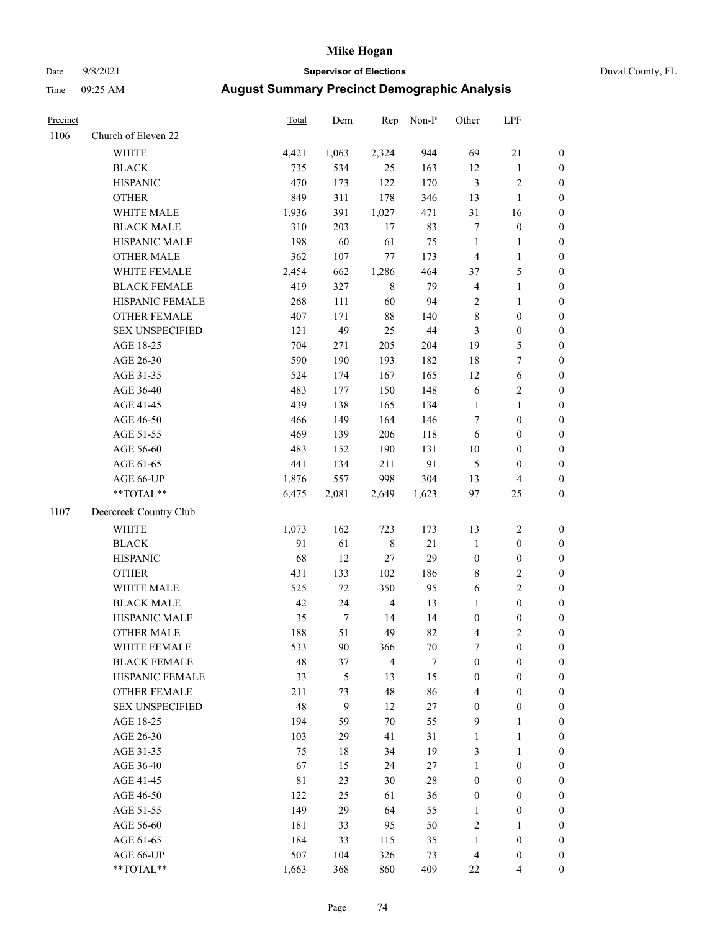# Date 9/8/2021 **Supervisor of Elections** Duval County, FL

| Precinct |                        | Total | Dem          | Rep            | Non-P  | Other                   | LPF              |                  |
|----------|------------------------|-------|--------------|----------------|--------|-------------------------|------------------|------------------|
| 1106     | Church of Eleven 22    |       |              |                |        |                         |                  |                  |
|          | <b>WHITE</b>           | 4,421 | 1,063        | 2,324          | 944    | 69                      | 21               | 0                |
|          | <b>BLACK</b>           | 735   | 534          | 25             | 163    | 12                      | $\mathbf{1}$     | 0                |
|          | <b>HISPANIC</b>        | 470   | 173          | 122            | 170    | 3                       | $\sqrt{2}$       | $\boldsymbol{0}$ |
|          | <b>OTHER</b>           | 849   | 311          | 178            | 346    | 13                      | $\mathbf{1}$     | $\boldsymbol{0}$ |
|          | WHITE MALE             | 1,936 | 391          | 1,027          | 471    | 31                      | 16               | $\boldsymbol{0}$ |
|          | <b>BLACK MALE</b>      | 310   | 203          | 17             | 83     | 7                       | $\boldsymbol{0}$ | $\boldsymbol{0}$ |
|          | HISPANIC MALE          | 198   | 60           | 61             | 75     | $\mathbf{1}$            | $\mathbf{1}$     | $\boldsymbol{0}$ |
|          | <b>OTHER MALE</b>      | 362   | 107          | $77\,$         | 173    | $\overline{\mathbf{4}}$ | $\mathbf{1}$     | $\boldsymbol{0}$ |
|          | WHITE FEMALE           | 2,454 | 662          | 1,286          | 464    | 37                      | 5                | $\boldsymbol{0}$ |
|          | <b>BLACK FEMALE</b>    | 419   | 327          | $8\,$          | 79     | $\overline{\mathbf{4}}$ | $\mathbf{1}$     | $\boldsymbol{0}$ |
|          | HISPANIC FEMALE        | 268   | 111          | 60             | 94     | $\sqrt{2}$              | $\mathbf{1}$     | 0                |
|          | OTHER FEMALE           | 407   | 171          | $88\,$         | 140    | $\,$ $\,$               | $\boldsymbol{0}$ | $\boldsymbol{0}$ |
|          | <b>SEX UNSPECIFIED</b> | 121   | 49           | 25             | 44     | 3                       | $\boldsymbol{0}$ | $\boldsymbol{0}$ |
|          | AGE 18-25              | 704   | 271          | 205            | 204    | 19                      | $\mathfrak{S}$   | $\boldsymbol{0}$ |
|          | AGE 26-30              | 590   | 190          | 193            | 182    | 18                      | 7                | $\boldsymbol{0}$ |
|          | AGE 31-35              | 524   | 174          | 167            | 165    | 12                      | 6                | $\boldsymbol{0}$ |
|          | AGE 36-40              | 483   | 177          | 150            | 148    | 6                       | $\sqrt{2}$       | $\boldsymbol{0}$ |
|          | AGE 41-45              | 439   | 138          | 165            | 134    | $\mathbf{1}$            | $\mathbf{1}$     | $\boldsymbol{0}$ |
|          | AGE 46-50              | 466   | 149          | 164            | 146    | 7                       | $\boldsymbol{0}$ | $\boldsymbol{0}$ |
|          | AGE 51-55              | 469   | 139          | 206            | 118    | 6                       | $\boldsymbol{0}$ | $\boldsymbol{0}$ |
|          | AGE 56-60              | 483   | 152          | 190            | 131    | $10\,$                  | $\boldsymbol{0}$ | $\boldsymbol{0}$ |
|          | AGE 61-65              | 441   | 134          | 211            | 91     | 5                       | $\boldsymbol{0}$ | $\boldsymbol{0}$ |
|          | AGE 66-UP              | 1,876 | 557          | 998            | 304    | 13                      | $\overline{4}$   | $\boldsymbol{0}$ |
|          | **TOTAL**              | 6,475 | 2,081        | 2,649          | 1,623  | 97                      | 25               | $\boldsymbol{0}$ |
| 1107     | Deercreek Country Club |       |              |                |        |                         |                  |                  |
|          | <b>WHITE</b>           | 1,073 | 162          | 723            | 173    | 13                      | $\sqrt{2}$       | $\boldsymbol{0}$ |
|          | <b>BLACK</b>           | 91    | 61           | $8\,$          | $21\,$ | $\mathbf{1}$            | $\boldsymbol{0}$ | $\boldsymbol{0}$ |
|          | <b>HISPANIC</b>        | 68    | 12           | $27\,$         | 29     | $\boldsymbol{0}$        | $\boldsymbol{0}$ | $\boldsymbol{0}$ |
|          | <b>OTHER</b>           | 431   | 133          | 102            | 186    | 8                       | $\sqrt{2}$       | $\boldsymbol{0}$ |
|          | WHITE MALE             | 525   | 72           | 350            | 95     | $\sqrt{6}$              | $\overline{c}$   | $\boldsymbol{0}$ |
|          | <b>BLACK MALE</b>      | 42    | 24           | $\overline{4}$ | 13     | $\mathbf{1}$            | $\boldsymbol{0}$ | $\boldsymbol{0}$ |
|          | HISPANIC MALE          | 35    | $\tau$       | 14             | 14     | $\boldsymbol{0}$        | $\boldsymbol{0}$ | $\boldsymbol{0}$ |
|          | <b>OTHER MALE</b>      | 188   | 51           | 49             | 82     | 4                       | $\mathfrak{2}$   | $\boldsymbol{0}$ |
|          | WHITE FEMALE           | 533   | 90           | 366            | 70     | 7                       | 0                | 0                |
|          | <b>BLACK FEMALE</b>    | 48    | 37           | $\overline{4}$ | 7      | $\boldsymbol{0}$        | $\boldsymbol{0}$ | $\overline{0}$   |
|          | HISPANIC FEMALE        | 33    | 5            | 13             | 15     | $\boldsymbol{0}$        | $\boldsymbol{0}$ | $\overline{0}$   |
|          | OTHER FEMALE           | 211   | 73           | 48             | 86     | 4                       | $\boldsymbol{0}$ | 0                |
|          | <b>SEX UNSPECIFIED</b> | 48    | $\mathbf{9}$ | 12             | $27\,$ | $\boldsymbol{0}$        | $\boldsymbol{0}$ | 0                |
|          | AGE 18-25              | 194   | 59           | $70\,$         | 55     | 9                       | $\mathbf{1}$     | 0                |
|          | AGE 26-30              | 103   | 29           | 41             | 31     | $\mathbf{1}$            | $\mathbf{1}$     | 0                |
|          | AGE 31-35              | 75    | 18           | 34             | 19     | 3                       | $\mathbf{1}$     | 0                |
|          | AGE 36-40              | 67    | 15           | 24             | 27     | $\mathbf{1}$            | $\boldsymbol{0}$ | 0                |
|          | AGE 41-45              | 81    | 23           | 30             | 28     | $\boldsymbol{0}$        | $\boldsymbol{0}$ | 0                |
|          | AGE 46-50              | 122   | 25           | 61             | 36     | $\boldsymbol{0}$        | $\boldsymbol{0}$ | 0                |
|          | AGE 51-55              | 149   | 29           | 64             | 55     | $\mathbf{1}$            | $\boldsymbol{0}$ | 0                |
|          | AGE 56-60              | 181   | 33           | 95             | 50     | 2                       | 1                | 0                |
|          | AGE 61-65              | 184   | 33           | 115            | 35     | $\mathbf{1}$            | $\boldsymbol{0}$ | 0                |
|          | AGE 66-UP              | 507   | 104          | 326            | 73     | 4                       | $\boldsymbol{0}$ | 0                |
|          | **TOTAL**              | 1,663 | 368          | 860            | 409    | 22                      | $\overline{4}$   | $\boldsymbol{0}$ |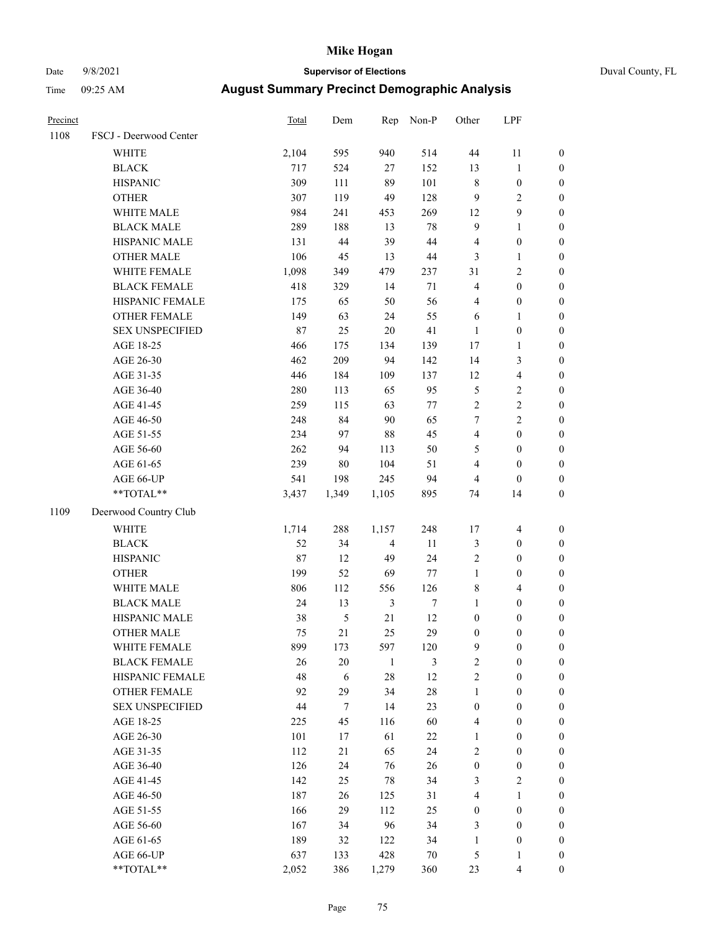# Date 9/8/2021 **Supervisor of Elections** Duval County, FL

| Precinct |                        | <b>Total</b> | Dem    | Rep            | Non-P            | Other            | LPF              |                  |
|----------|------------------------|--------------|--------|----------------|------------------|------------------|------------------|------------------|
| 1108     | FSCJ - Deerwood Center |              |        |                |                  |                  |                  |                  |
|          | WHITE                  | 2,104        | 595    | 940            | 514              | 44               | 11               | 0                |
|          | <b>BLACK</b>           | 717          | 524    | 27             | 152              | 13               | $\mathbf{1}$     | 0                |
|          | <b>HISPANIC</b>        | 309          | 111    | 89             | 101              | 8                | $\boldsymbol{0}$ | $\boldsymbol{0}$ |
|          | <b>OTHER</b>           | 307          | 119    | 49             | 128              | 9                | $\sqrt{2}$       | $\boldsymbol{0}$ |
|          | WHITE MALE             | 984          | 241    | 453            | 269              | 12               | $\boldsymbol{9}$ | $\boldsymbol{0}$ |
|          | <b>BLACK MALE</b>      | 289          | 188    | 13             | $78\,$           | 9                | $\mathbf{1}$     | $\boldsymbol{0}$ |
|          | HISPANIC MALE          | 131          | $44\,$ | 39             | $44\,$           | 4                | $\boldsymbol{0}$ | $\boldsymbol{0}$ |
|          | <b>OTHER MALE</b>      | 106          | 45     | 13             | $44\,$           | 3                | $\mathbf{1}$     | $\boldsymbol{0}$ |
|          | WHITE FEMALE           | 1,098        | 349    | 479            | 237              | 31               | 2                | $\boldsymbol{0}$ |
|          | <b>BLACK FEMALE</b>    | 418          | 329    | 14             | 71               | $\overline{4}$   | $\boldsymbol{0}$ | 0                |
|          | HISPANIC FEMALE        | 175          | 65     | 50             | 56               | 4                | $\boldsymbol{0}$ | 0                |
|          | OTHER FEMALE           | 149          | 63     | 24             | 55               | 6                | 1                | 0                |
|          | <b>SEX UNSPECIFIED</b> | 87           | 25     | $20\,$         | 41               | $\mathbf{1}$     | $\boldsymbol{0}$ | $\boldsymbol{0}$ |
|          | AGE 18-25              | 466          | 175    | 134            | 139              | 17               | 1                | $\boldsymbol{0}$ |
|          | AGE 26-30              | 462          | 209    | 94             | 142              | 14               | 3                | $\boldsymbol{0}$ |
|          | AGE 31-35              | 446          | 184    | 109            | 137              | 12               | $\overline{4}$   | $\boldsymbol{0}$ |
|          | AGE 36-40              | 280          | 113    | 65             | 95               | 5                | $\sqrt{2}$       | $\boldsymbol{0}$ |
|          | AGE 41-45              | 259          | 115    | 63             | 77               | $\overline{c}$   | $\sqrt{2}$       | $\boldsymbol{0}$ |
|          | AGE 46-50              | 248          | 84     | 90             | 65               | 7                | $\overline{c}$   | $\boldsymbol{0}$ |
|          | AGE 51-55              | 234          | 97     | 88             | 45               | $\overline{4}$   | $\boldsymbol{0}$ | 0                |
|          | AGE 56-60              | 262          | 94     | 113            | 50               | 5                | $\boldsymbol{0}$ | 0                |
|          | AGE 61-65              | 239          | 80     | 104            | 51               | $\overline{4}$   | $\boldsymbol{0}$ | $\boldsymbol{0}$ |
|          | AGE 66-UP              | 541          | 198    | 245            | 94               | 4                | $\boldsymbol{0}$ | $\boldsymbol{0}$ |
|          | $**TOTAL**$            | 3,437        | 1,349  | 1,105          | 895              | 74               | 14               | $\boldsymbol{0}$ |
| 1109     | Deerwood Country Club  |              |        |                |                  |                  |                  |                  |
|          | <b>WHITE</b>           | 1,714        | 288    | 1,157          | 248              | 17               | $\overline{4}$   | $\boldsymbol{0}$ |
|          | <b>BLACK</b>           | 52           | 34     | $\overline{4}$ | $11\,$           | $\mathfrak{Z}$   | $\boldsymbol{0}$ | $\boldsymbol{0}$ |
|          | <b>HISPANIC</b>        | $87\,$       | 12     | 49             | 24               | $\overline{c}$   | $\boldsymbol{0}$ | $\boldsymbol{0}$ |
|          | <b>OTHER</b>           | 199          | 52     | 69             | 77               | $\mathbf{1}$     | $\boldsymbol{0}$ | $\boldsymbol{0}$ |
|          | WHITE MALE             | 806          | 112    | 556            | 126              | 8                | $\overline{4}$   | $\boldsymbol{0}$ |
|          | <b>BLACK MALE</b>      | 24           | 13     | 3              | $\boldsymbol{7}$ | $\mathbf{1}$     | $\boldsymbol{0}$ | $\boldsymbol{0}$ |
|          | HISPANIC MALE          | 38           | 5      | $21\,$         | 12               | $\boldsymbol{0}$ | $\boldsymbol{0}$ | $\boldsymbol{0}$ |
|          | <b>OTHER MALE</b>      | 75           | $21\,$ | 25             | 29               | $\boldsymbol{0}$ | $\boldsymbol{0}$ | $\boldsymbol{0}$ |
|          | WHITE FEMALE           | 899          | 173    | 597            | 120              | 9                | $\boldsymbol{0}$ | 0                |
|          | <b>BLACK FEMALE</b>    | 26           | $20\,$ | $\mathbf{1}$   | $\mathfrak{Z}$   | $\overline{c}$   | $\boldsymbol{0}$ | 0                |
|          | HISPANIC FEMALE        | 48           | 6      | 28             | 12               | $\sqrt{2}$       | $\boldsymbol{0}$ | $\overline{0}$   |
|          | <b>OTHER FEMALE</b>    | 92           | 29     | 34             | 28               | $\mathbf{1}$     | $\boldsymbol{0}$ | $\overline{0}$   |
|          | <b>SEX UNSPECIFIED</b> | $44\,$       | $\tau$ | 14             | 23               | $\boldsymbol{0}$ | $\boldsymbol{0}$ | 0                |
|          | AGE 18-25              | 225          | 45     | 116            | 60               | 4                | $\boldsymbol{0}$ | $\theta$         |
|          | AGE 26-30              | 101          | 17     | 61             | $22\,$           | $\mathbf{1}$     | $\boldsymbol{0}$ | $\overline{0}$   |
|          | AGE 31-35              | 112          | 21     | 65             | 24               | 2                | $\boldsymbol{0}$ | 0                |
|          | AGE 36-40              | 126          | 24     | 76             | 26               | $\boldsymbol{0}$ | $\boldsymbol{0}$ | 0                |
|          | AGE 41-45              | 142          | 25     | 78             | 34               | 3                | $\mathbf{2}$     | 0                |
|          | AGE 46-50              | 187          | 26     | 125            | 31               | 4                | $\mathbf{1}$     | 0                |
|          | AGE 51-55              | 166          | 29     | 112            | 25               | $\boldsymbol{0}$ | $\boldsymbol{0}$ | $\overline{0}$   |
|          | AGE 56-60              | 167          | 34     | 96             | 34               | 3                | $\boldsymbol{0}$ | $\overline{0}$   |
|          | AGE 61-65              | 189          | 32     | 122            | 34               | $\mathbf{1}$     | $\boldsymbol{0}$ | $\overline{0}$   |
|          | AGE 66-UP              | 637          | 133    | 428            | $70\,$           | 5                | $\mathbf{1}$     | 0                |
|          | **TOTAL**              | 2,052        | 386    | 1,279          | 360              | 23               | $\overline{4}$   | $\overline{0}$   |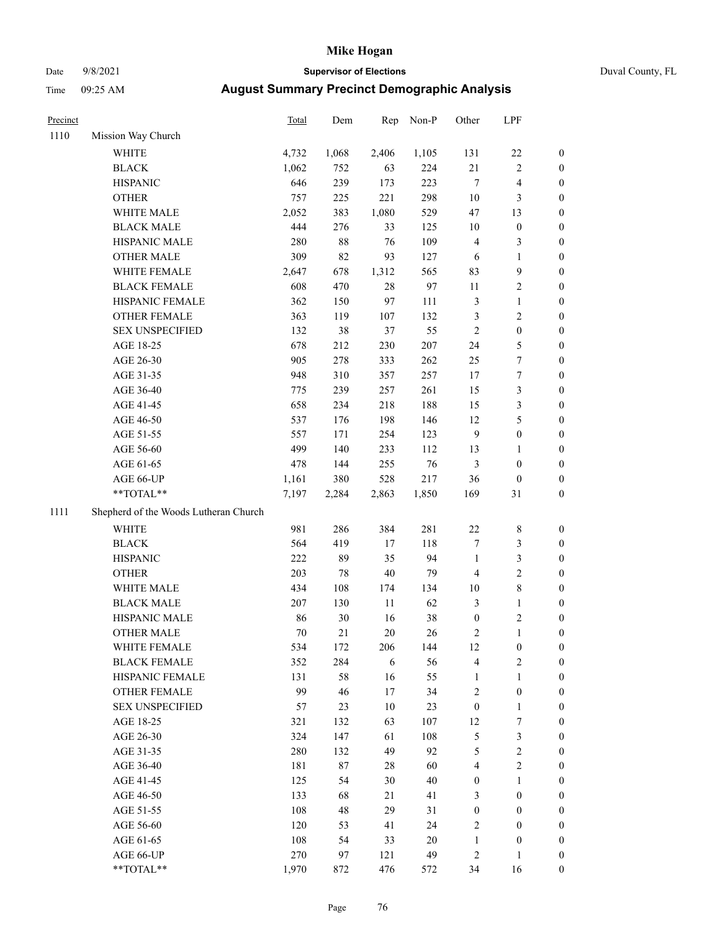# Date 9/8/2021 **Supervisor of Elections** Duval County, FL

| Precinct |                                       | Total | Dem    | Rep    | Non-P  | Other            | LPF              |                  |
|----------|---------------------------------------|-------|--------|--------|--------|------------------|------------------|------------------|
| 1110     | Mission Way Church                    |       |        |        |        |                  |                  |                  |
|          | <b>WHITE</b>                          | 4,732 | 1,068  | 2,406  | 1,105  | 131              | $22\,$           | 0                |
|          | <b>BLACK</b>                          | 1,062 | 752    | 63     | 224    | 21               | $\sqrt{2}$       | 0                |
|          | <b>HISPANIC</b>                       | 646   | 239    | 173    | 223    | $\tau$           | $\overline{4}$   | $\boldsymbol{0}$ |
|          | <b>OTHER</b>                          | 757   | 225    | 221    | 298    | $10\,$           | $\mathfrak{Z}$   | $\boldsymbol{0}$ |
|          | WHITE MALE                            | 2,052 | 383    | 1,080  | 529    | 47               | 13               | $\boldsymbol{0}$ |
|          | <b>BLACK MALE</b>                     | 444   | 276    | 33     | 125    | 10               | $\boldsymbol{0}$ | $\boldsymbol{0}$ |
|          | HISPANIC MALE                         | 280   | $88\,$ | 76     | 109    | 4                | 3                | $\boldsymbol{0}$ |
|          | <b>OTHER MALE</b>                     | 309   | 82     | 93     | 127    | 6                | $\mathbf{1}$     | $\boldsymbol{0}$ |
|          | WHITE FEMALE                          | 2,647 | 678    | 1,312  | 565    | 83               | $\boldsymbol{9}$ | $\boldsymbol{0}$ |
|          | <b>BLACK FEMALE</b>                   | 608   | 470    | $28\,$ | 97     | $11\,$           | $\sqrt{2}$       | 0                |
|          | HISPANIC FEMALE                       | 362   | 150    | 97     | 111    | $\mathfrak{Z}$   | $\mathbf{1}$     | 0                |
|          | OTHER FEMALE                          | 363   | 119    | 107    | 132    | 3                | $\sqrt{2}$       | $\boldsymbol{0}$ |
|          | <b>SEX UNSPECIFIED</b>                | 132   | 38     | 37     | 55     | $\sqrt{2}$       | $\boldsymbol{0}$ | $\boldsymbol{0}$ |
|          | AGE 18-25                             | 678   | 212    | 230    | 207    | 24               | $\mathfrak{S}$   | $\boldsymbol{0}$ |
|          | AGE 26-30                             | 905   | 278    | 333    | 262    | 25               | 7                | $\boldsymbol{0}$ |
|          | AGE 31-35                             | 948   | 310    | 357    | 257    | $17\,$           | $\boldsymbol{7}$ | $\boldsymbol{0}$ |
|          | AGE 36-40                             | 775   | 239    | 257    | 261    | 15               | $\mathfrak{Z}$   | $\boldsymbol{0}$ |
|          | AGE 41-45                             | 658   | 234    | 218    | 188    | 15               | $\mathfrak{Z}$   | $\boldsymbol{0}$ |
|          | AGE 46-50                             | 537   | 176    | 198    | 146    | 12               | 5                | $\boldsymbol{0}$ |
|          | AGE 51-55                             | 557   | 171    | 254    | 123    | $\overline{9}$   | $\boldsymbol{0}$ | 0                |
|          | AGE 56-60                             | 499   | 140    | 233    | 112    | 13               | 1                | 0                |
|          | AGE 61-65                             | 478   | 144    | 255    | 76     | 3                | $\boldsymbol{0}$ | 0                |
|          | AGE 66-UP                             | 1,161 | 380    | 528    | 217    | 36               | $\boldsymbol{0}$ | $\boldsymbol{0}$ |
|          | **TOTAL**                             | 7,197 | 2,284  | 2,863  | 1,850  | 169              | 31               | $\boldsymbol{0}$ |
| 1111     | Shepherd of the Woods Lutheran Church |       |        |        |        |                  |                  |                  |
|          | <b>WHITE</b>                          | 981   | 286    | 384    | 281    | $22\,$           | $\,$ 8 $\,$      | $\boldsymbol{0}$ |
|          | <b>BLACK</b>                          | 564   | 419    | $17\,$ | 118    | 7                | $\mathfrak{Z}$   | $\boldsymbol{0}$ |
|          | <b>HISPANIC</b>                       | 222   | 89     | 35     | 94     | $\mathbf{1}$     | $\mathfrak{Z}$   | $\boldsymbol{0}$ |
|          | <b>OTHER</b>                          | 203   | $78\,$ | $40\,$ | 79     | 4                | $\sqrt{2}$       | $\boldsymbol{0}$ |
|          | WHITE MALE                            | 434   | 108    | 174    | 134    | $10\,$           | $\,$ 8 $\,$      | $\boldsymbol{0}$ |
|          | <b>BLACK MALE</b>                     | 207   | 130    | 11     | 62     | 3                | $\mathbf{1}$     | $\boldsymbol{0}$ |
|          | HISPANIC MALE                         | 86    | $30\,$ | 16     | $38\,$ | $\boldsymbol{0}$ | $\sqrt{2}$       | 0                |
|          | <b>OTHER MALE</b>                     | 70    | 21     | $20\,$ | 26     | $\sqrt{2}$       | $\mathbf{1}$     | 0                |
|          | WHITE FEMALE                          | 534   | 172    | 206    | 144    | 12               | 0                | 0                |
|          | <b>BLACK FEMALE</b>                   | 352   | 284    | 6      | 56     | 4                | $\sqrt{2}$       | $\overline{0}$   |
|          | HISPANIC FEMALE                       | 131   | 58     | 16     | 55     | $\mathbf{1}$     | $\mathbf{1}$     | 0                |
|          | OTHER FEMALE                          | 99    | 46     | $17\,$ | 34     | 2                | $\boldsymbol{0}$ | 0                |
|          | <b>SEX UNSPECIFIED</b>                | 57    | 23     | $10\,$ | 23     | $\boldsymbol{0}$ | $\mathbf{1}$     | 0                |
|          | AGE 18-25                             | 321   | 132    | 63     | 107    | 12               | 7                | 0                |
|          | AGE 26-30                             | 324   | 147    | 61     | 108    | 5                | 3                | 0                |
|          | AGE 31-35                             | 280   | 132    | 49     | 92     | 5                | $\overline{c}$   | 0                |
|          | AGE 36-40                             | 181   | 87     | 28     | 60     | $\overline{4}$   | $\sqrt{2}$       | 0                |
|          | AGE 41-45                             | 125   | 54     | 30     | $40\,$ | $\boldsymbol{0}$ | $\mathbf{1}$     | 0                |
|          | AGE 46-50                             | 133   | 68     | 21     | 41     | 3                | $\boldsymbol{0}$ | 0                |
|          | AGE 51-55                             | 108   | 48     | 29     | 31     | $\boldsymbol{0}$ | $\boldsymbol{0}$ | 0                |
|          | AGE 56-60                             | 120   | 53     | 41     | 24     | $\overline{c}$   | $\boldsymbol{0}$ | 0                |
|          | AGE 61-65                             | 108   | 54     | 33     | 20     | $\mathbf{1}$     | $\boldsymbol{0}$ | 0                |
|          | AGE 66-UP                             | 270   | 97     | 121    | 49     | $\overline{c}$   | $\mathbf{1}$     | 0                |
|          | **TOTAL**                             | 1,970 | 872    | 476    | 572    | 34               | 16               | $\boldsymbol{0}$ |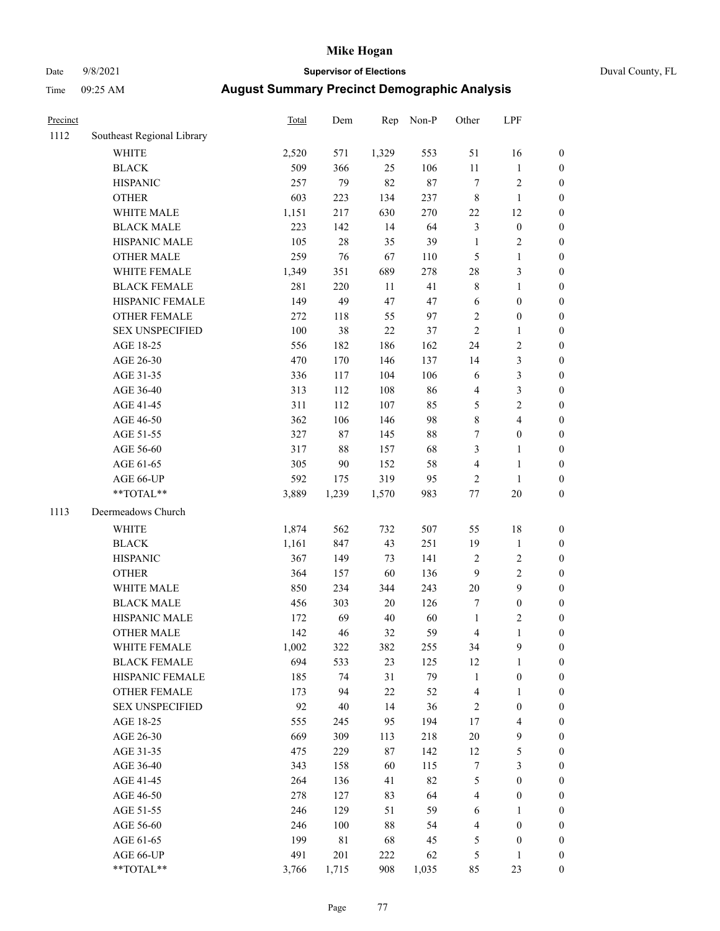# Date 9/8/2021 **Supervisor of Elections** Duval County, FL

| Precinct |                                                             | <b>Total</b> | Dem         | Rep       | Non-P      | Other          | LPF                                |                  |
|----------|-------------------------------------------------------------|--------------|-------------|-----------|------------|----------------|------------------------------------|------------------|
| 1112     | Southeast Regional Library                                  |              |             |           |            |                |                                    |                  |
|          | <b>WHITE</b>                                                | 2,520        | 571         | 1,329     | 553        | 51             | 16                                 | 0                |
|          | <b>BLACK</b>                                                | 509          | 366         | 25        | 106        | $11\,$         | $\mathbf{1}$                       | 0                |
|          | <b>HISPANIC</b>                                             | 257          | 79          | 82        | $87\,$     | 7              | $\sqrt{2}$                         | $\boldsymbol{0}$ |
|          | <b>OTHER</b>                                                | 603          | 223         | 134       | 237        | 8              | $\mathbf{1}$                       | $\boldsymbol{0}$ |
|          | WHITE MALE                                                  | 1,151        | 217         | 630       | 270        | 22             | 12                                 | $\boldsymbol{0}$ |
|          | <b>BLACK MALE</b>                                           | 223          | 142         | 14        | 64         | 3              | $\boldsymbol{0}$                   | $\boldsymbol{0}$ |
|          | HISPANIC MALE                                               | 105          | $28\,$      | 35        | 39         | $\mathbf{1}$   | $\sqrt{2}$                         | $\boldsymbol{0}$ |
|          | <b>OTHER MALE</b>                                           | 259          | 76          | 67        | 110        | 5              | $\mathbf{1}$                       | $\boldsymbol{0}$ |
|          | WHITE FEMALE                                                | 1,349        | 351         | 689       | 278        | 28             | $\mathfrak{Z}$                     | $\boldsymbol{0}$ |
|          | <b>BLACK FEMALE</b>                                         | 281          | 220         | 11        | 41         | 8              | $\mathbf{1}$                       | $\boldsymbol{0}$ |
|          | HISPANIC FEMALE                                             | 149          | 49          | 47        | 47         | 6              | $\boldsymbol{0}$                   | $\boldsymbol{0}$ |
|          | OTHER FEMALE                                                | 272          | 118         | 55        | 97         | $\overline{c}$ | $\boldsymbol{0}$                   | $\boldsymbol{0}$ |
|          | <b>SEX UNSPECIFIED</b>                                      | 100          | 38          | $22\,$    | 37         | $\overline{c}$ | $\mathbf{1}$                       | $\boldsymbol{0}$ |
|          | AGE 18-25                                                   | 556          | 182         | 186       | 162        | 24             | $\sqrt{2}$                         | $\boldsymbol{0}$ |
|          | AGE 26-30                                                   | 470          | 170         | 146       | 137        | 14             | $\mathfrak{Z}$                     | $\boldsymbol{0}$ |
|          | AGE 31-35                                                   | 336          | 117         | 104       | 106        | 6              | 3                                  | $\boldsymbol{0}$ |
|          | AGE 36-40                                                   | 313          | 112         | 108       | 86         | 4              | 3                                  | $\boldsymbol{0}$ |
|          | AGE 41-45                                                   | 311          | 112         | 107       | 85         | 5              | $\sqrt{2}$                         | $\boldsymbol{0}$ |
|          | AGE 46-50                                                   | 362          | 106         | 146       | 98         | 8              | $\overline{4}$                     | $\boldsymbol{0}$ |
|          | AGE 51-55                                                   | 327          | 87          | 145       | 88         | 7              | $\boldsymbol{0}$                   | $\boldsymbol{0}$ |
|          | AGE 56-60                                                   | 317          | $88\,$      | 157       | 68         | 3              | $\mathbf{1}$                       | $\boldsymbol{0}$ |
|          | AGE 61-65                                                   | 305          | 90          | 152       | 58         | 4              | $\mathbf{1}$                       | $\boldsymbol{0}$ |
|          | AGE 66-UP                                                   | 592          | 175         | 319       | 95         | $\overline{c}$ | $\mathbf{1}$                       | $\boldsymbol{0}$ |
|          | $\mathrm{*}\mathrm{*} \mathrm{TOTAL} \mathrm{*} \mathrm{*}$ | 3,889        | 1,239       | 1,570     | 983        | $77 \,$        | 20                                 | $\boldsymbol{0}$ |
| 1113     | Deermeadows Church                                          |              |             |           |            |                |                                    |                  |
|          | <b>WHITE</b>                                                | 1,874        | 562         | 732       | 507        | 55             | 18                                 | $\boldsymbol{0}$ |
|          | <b>BLACK</b>                                                | 1,161        | 847         | 43        | 251        | 19             | $\mathbf{1}$                       | $\boldsymbol{0}$ |
|          | <b>HISPANIC</b>                                             | 367          | 149         | 73        | 141        | 2              | $\sqrt{2}$                         | $\boldsymbol{0}$ |
|          |                                                             | 364          |             | 60        | 136        | 9              | $\sqrt{2}$                         | $\boldsymbol{0}$ |
|          | <b>OTHER</b><br>WHITE MALE                                  | 850          | 157<br>234  | 344       | 243        | $20\,$         | $\boldsymbol{9}$                   | $\boldsymbol{0}$ |
|          | <b>BLACK MALE</b>                                           | 456          | 303         | 20        | 126        | 7              | $\boldsymbol{0}$                   | $\boldsymbol{0}$ |
|          | HISPANIC MALE                                               | 172          | 69          | 40        | 60         | $\mathbf{1}$   | $\sqrt{2}$                         | $\boldsymbol{0}$ |
|          | <b>OTHER MALE</b>                                           | 142          | 46          | 32        | 59         | 4              | $\mathbf{1}$                       | $\boldsymbol{0}$ |
|          | WHITE FEMALE                                                |              |             |           |            |                | 9                                  | 0                |
|          | <b>BLACK FEMALE</b>                                         | 1,002<br>694 | 322<br>533  | 382<br>23 | 255<br>125 | 34<br>12       | $\mathbf{1}$                       | $\boldsymbol{0}$ |
|          | HISPANIC FEMALE                                             | 185          | 74          | 31        | 79         | 1              | $\boldsymbol{0}$                   | $\overline{0}$   |
|          | OTHER FEMALE                                                |              | 94          | 22        | 52         |                | $\mathbf{1}$                       | 0                |
|          | <b>SEX UNSPECIFIED</b>                                      | 173<br>92    | $40\,$      | 14        | 36         | 4<br>2         | $\boldsymbol{0}$                   | 0                |
|          |                                                             |              |             |           | 194        |                |                                    | 0                |
|          | AGE 18-25<br>AGE 26-30                                      | 555<br>669   | 245<br>309  | 95        | 218        | 17             | $\overline{4}$<br>$\boldsymbol{9}$ |                  |
|          | AGE 31-35                                                   | 475          | 229         | 113<br>87 | 142        | $20\,$<br>12   | 5                                  | 0<br>0           |
|          |                                                             |              |             |           |            |                | $\mathfrak{Z}$                     |                  |
|          | AGE 36-40                                                   | 343<br>264   | 158         | 60<br>41  | 115<br>82  | 7              | $\boldsymbol{0}$                   | 0                |
|          | AGE 41-45                                                   |              | 136         |           |            | 5              |                                    | 0                |
|          | AGE 46-50                                                   | 278          | 127         | 83        | 64         | 4              | $\boldsymbol{0}$                   | 0                |
|          | AGE 51-55                                                   | 246          | 129         | 51        | 59         | 6              | 1                                  | 0                |
|          | AGE 56-60                                                   | 246          | 100         | 88        | 54         | 4              | $\boldsymbol{0}$                   | 0                |
|          | AGE 61-65                                                   | 199          | $8\sqrt{1}$ | 68        | 45         | 5              | $\boldsymbol{0}$                   | 0                |
|          | AGE 66-UP                                                   | 491          | 201         | 222       | 62         | 5              | $\mathbf{1}$                       | 0                |
|          | **TOTAL**                                                   | 3,766        | 1,715       | 908       | 1,035      | 85             | 23                                 | $\boldsymbol{0}$ |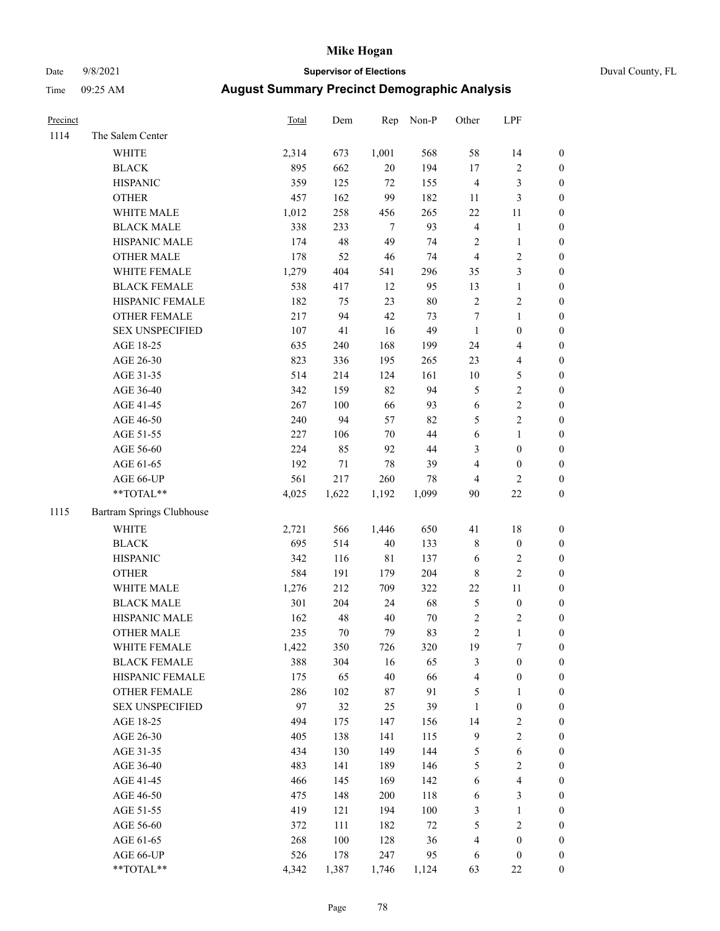# Date 9/8/2021 **Supervisor of Elections** Duval County, FL

| Precinct |                           | Total | Dem    | Rep         | Non-P  | Other                   | LPF                     |                  |
|----------|---------------------------|-------|--------|-------------|--------|-------------------------|-------------------------|------------------|
| 1114     | The Salem Center          |       |        |             |        |                         |                         |                  |
|          | WHITE                     | 2,314 | 673    | 1,001       | 568    | 58                      | 14                      | 0                |
|          | <b>BLACK</b>              | 895   | 662    | $20\,$      | 194    | 17                      | $\sqrt{2}$              | $\boldsymbol{0}$ |
|          | <b>HISPANIC</b>           | 359   | 125    | 72          | 155    | $\overline{4}$          | $\mathfrak{Z}$          | $\boldsymbol{0}$ |
|          | <b>OTHER</b>              | 457   | 162    | 99          | 182    | 11                      | $\mathfrak{Z}$          | $\boldsymbol{0}$ |
|          | WHITE MALE                | 1,012 | 258    | 456         | 265    | $22\,$                  | 11                      | $\boldsymbol{0}$ |
|          | <b>BLACK MALE</b>         | 338   | 233    | $\tau$      | 93     | $\overline{\mathbf{4}}$ | $\mathbf{1}$            | $\boldsymbol{0}$ |
|          | HISPANIC MALE             | 174   | 48     | 49          | 74     | $\sqrt{2}$              | $\mathbf{1}$            | $\boldsymbol{0}$ |
|          | <b>OTHER MALE</b>         | 178   | 52     | 46          | 74     | $\overline{4}$          | $\sqrt{2}$              | $\boldsymbol{0}$ |
|          | WHITE FEMALE              | 1,279 | 404    | 541         | 296    | 35                      | $\mathfrak{Z}$          | $\boldsymbol{0}$ |
|          | <b>BLACK FEMALE</b>       | 538   | 417    | 12          | 95     | 13                      | $\mathbf{1}$            | 0                |
|          | HISPANIC FEMALE           | 182   | 75     | 23          | $80\,$ | $\sqrt{2}$              | $\sqrt{2}$              | 0                |
|          | OTHER FEMALE              | 217   | 94     | 42          | 73     | $\tau$                  | $\mathbf{1}$            | 0                |
|          | <b>SEX UNSPECIFIED</b>    | 107   | 41     | 16          | 49     | $\mathbf{1}$            | $\boldsymbol{0}$        | $\boldsymbol{0}$ |
|          | AGE 18-25                 | 635   | 240    | 168         | 199    | 24                      | $\overline{\mathbf{4}}$ | $\boldsymbol{0}$ |
|          | AGE 26-30                 | 823   | 336    | 195         | 265    | 23                      | $\overline{\mathbf{4}}$ | $\boldsymbol{0}$ |
|          | AGE 31-35                 | 514   | 214    | 124         | 161    | $10\,$                  | 5                       | $\boldsymbol{0}$ |
|          | AGE 36-40                 | 342   | 159    | 82          | 94     | 5                       | $\sqrt{2}$              | $\boldsymbol{0}$ |
|          | AGE 41-45                 | 267   | 100    | 66          | 93     | $\sqrt{6}$              | $\sqrt{2}$              | $\boldsymbol{0}$ |
|          | AGE 46-50                 | 240   | 94     | 57          | 82     | 5                       | $\overline{2}$          | $\boldsymbol{0}$ |
|          | AGE 51-55                 | 227   | 106    | 70          | $44\,$ | $\sqrt{6}$              | $\mathbf{1}$            | $\boldsymbol{0}$ |
|          | AGE 56-60                 | 224   | 85     | 92          | 44     | 3                       | $\boldsymbol{0}$        | 0                |
|          | AGE 61-65                 | 192   | 71     | $78\,$      | 39     | 4                       | $\boldsymbol{0}$        | 0                |
|          | AGE 66-UP                 | 561   | 217    | 260         | 78     | $\overline{4}$          | $\overline{2}$          | $\boldsymbol{0}$ |
|          | **TOTAL**                 | 4,025 | 1,622  | 1,192       | 1,099  | 90                      | $22\,$                  | $\boldsymbol{0}$ |
| 1115     | Bartram Springs Clubhouse |       |        |             |        |                         |                         |                  |
|          | <b>WHITE</b>              | 2,721 | 566    | 1,446       | 650    | 41                      | $18\,$                  | $\boldsymbol{0}$ |
|          | <b>BLACK</b>              | 695   | 514    | $40\,$      | 133    | 8                       | $\boldsymbol{0}$        | $\boldsymbol{0}$ |
|          | <b>HISPANIC</b>           | 342   | 116    | $8\sqrt{1}$ | 137    | 6                       | $\sqrt{2}$              | $\boldsymbol{0}$ |
|          | <b>OTHER</b>              | 584   | 191    | 179         | 204    | $\,$ 8 $\,$             | $\sqrt{2}$              | $\boldsymbol{0}$ |
|          | WHITE MALE                | 1,276 | 212    | 709         | 322    | $22\,$                  | $11\,$                  | $\boldsymbol{0}$ |
|          | <b>BLACK MALE</b>         | 301   | 204    | 24          | 68     | 5                       | $\boldsymbol{0}$        | $\boldsymbol{0}$ |
|          | HISPANIC MALE             | 162   | 48     | $40\,$      | $70\,$ | $\sqrt{2}$              | $\overline{c}$          | 0                |
|          | <b>OTHER MALE</b>         | 235   | $70\,$ | 79          | 83     | $\overline{c}$          | $\mathbf{1}$            | 0                |
|          | WHITE FEMALE              | 1,422 | 350    | 726         | 320    | 19                      | 7                       | 0                |
|          | <b>BLACK FEMALE</b>       | 388   | 304    | 16          | 65     | 3                       | $\boldsymbol{0}$        | $\boldsymbol{0}$ |
|          | HISPANIC FEMALE           | 175   | 65     | 40          | 66     | 4                       | $\boldsymbol{0}$        | $\overline{0}$   |
|          | OTHER FEMALE              | 286   | 102    | 87          | 91     | 5                       | $\mathbf{1}$            | $\overline{0}$   |
|          | <b>SEX UNSPECIFIED</b>    | 97    | 32     | 25          | 39     | $\mathbf{1}$            | $\boldsymbol{0}$        | 0                |
|          | AGE 18-25                 | 494   | 175    | 147         | 156    | 14                      | $\sqrt{2}$              | 0                |
|          | AGE 26-30                 | 405   | 138    | 141         | 115    | 9                       | $\sqrt{2}$              | 0                |
|          | AGE 31-35                 | 434   | 130    | 149         | 144    | 5                       | $\sqrt{6}$              | 0                |
|          | AGE 36-40                 | 483   | 141    | 189         | 146    | 5                       | $\sqrt{2}$              | 0                |
|          | AGE 41-45                 | 466   | 145    | 169         | 142    | 6                       | $\overline{\mathbf{4}}$ | 0                |
|          | AGE 46-50                 | 475   | 148    | 200         | 118    | 6                       | $\mathfrak{Z}$          | 0                |
|          | AGE 51-55                 | 419   | 121    | 194         | 100    | 3                       | $\mathbf{1}$            | $\boldsymbol{0}$ |
|          | AGE 56-60                 | 372   | 111    | 182         | $72\,$ | 5                       | $\sqrt{2}$              | $\overline{0}$   |
|          | AGE 61-65                 | 268   | 100    | 128         | 36     | 4                       | $\boldsymbol{0}$        | $\boldsymbol{0}$ |
|          | AGE 66-UP                 | 526   | 178    | 247         | 95     | 6                       | $\boldsymbol{0}$        | 0                |
|          | **TOTAL**                 | 4,342 | 1,387  | 1,746       | 1,124  | 63                      | $22\,$                  | $\boldsymbol{0}$ |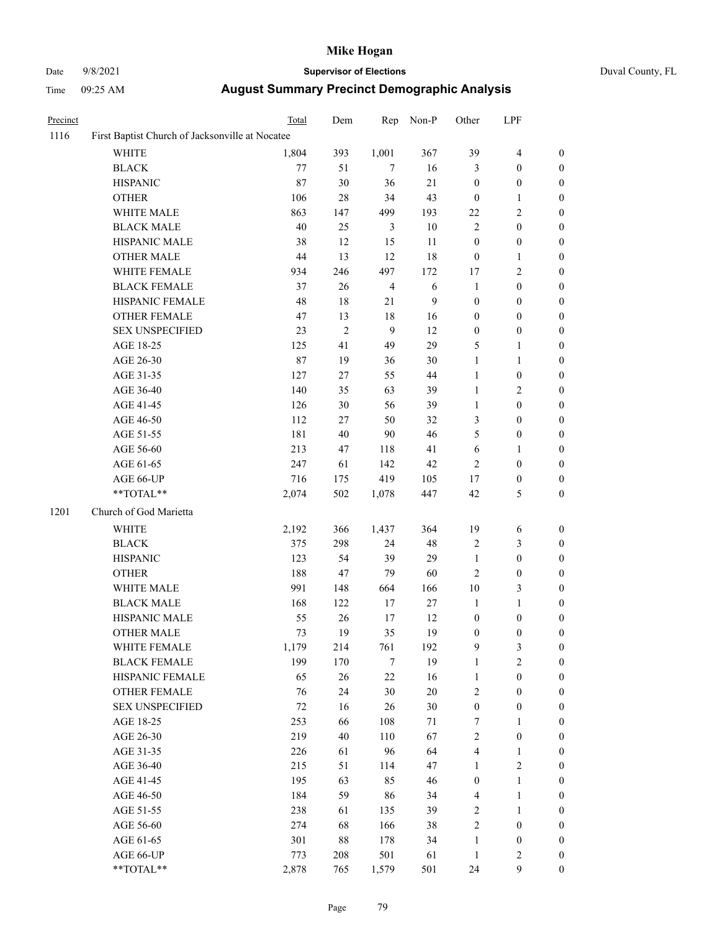# Date 9/8/2021 **Supervisor of Elections** Duval County, FL

| Precinct |                                                 | Total  | Dem        | Rep            | Non-P  | Other                   | LPF              |                  |
|----------|-------------------------------------------------|--------|------------|----------------|--------|-------------------------|------------------|------------------|
| 1116     | First Baptist Church of Jacksonville at Nocatee |        |            |                |        |                         |                  |                  |
|          | <b>WHITE</b>                                    | 1,804  | 393        | 1,001          | 367    | 39                      | $\overline{4}$   | $\boldsymbol{0}$ |
|          | <b>BLACK</b>                                    | 77     | 51         | $\tau$         | 16     | 3                       | $\boldsymbol{0}$ | $\boldsymbol{0}$ |
|          | <b>HISPANIC</b>                                 | 87     | 30         | 36             | $21\,$ | $\boldsymbol{0}$        | $\boldsymbol{0}$ | $\boldsymbol{0}$ |
|          | <b>OTHER</b>                                    | 106    | $28\,$     | 34             | 43     | $\boldsymbol{0}$        | $\mathbf{1}$     | $\boldsymbol{0}$ |
|          | WHITE MALE                                      | 863    | 147        | 499            | 193    | 22                      | $\mathfrak{2}$   | $\boldsymbol{0}$ |
|          | <b>BLACK MALE</b>                               | $40\,$ | 25         | 3              | 10     | $\overline{2}$          | $\boldsymbol{0}$ | $\boldsymbol{0}$ |
|          | HISPANIC MALE                                   | 38     | 12         | 15             | 11     | $\boldsymbol{0}$        | $\boldsymbol{0}$ | 0                |
|          | <b>OTHER MALE</b>                               | 44     | 13         | 12             | 18     | $\boldsymbol{0}$        | $\mathbf{1}$     | 0                |
|          | WHITE FEMALE                                    | 934    | 246        | 497            | 172    | 17                      | $\sqrt{2}$       | 0                |
|          | <b>BLACK FEMALE</b>                             | 37     | 26         | $\overline{4}$ | 6      | $\mathbf{1}$            | $\boldsymbol{0}$ | $\boldsymbol{0}$ |
|          | HISPANIC FEMALE                                 | 48     | $18\,$     | 21             | 9      | $\boldsymbol{0}$        | $\boldsymbol{0}$ | $\boldsymbol{0}$ |
|          | OTHER FEMALE                                    | 47     | 13         | 18             | 16     | $\boldsymbol{0}$        | $\boldsymbol{0}$ | $\boldsymbol{0}$ |
|          | <b>SEX UNSPECIFIED</b>                          | 23     | $\sqrt{2}$ | $\mathbf{9}$   | 12     | $\boldsymbol{0}$        | $\boldsymbol{0}$ | $\boldsymbol{0}$ |
|          | AGE 18-25                                       | 125    | 41         | 49             | 29     | 5                       | $\mathbf{1}$     | $\boldsymbol{0}$ |
|          | AGE 26-30                                       | 87     | 19         | 36             | 30     | $\mathbf{1}$            | $\mathbf{1}$     | $\boldsymbol{0}$ |
|          | AGE 31-35                                       | 127    | 27         | 55             | 44     | $\mathbf{1}$            | $\boldsymbol{0}$ | $\boldsymbol{0}$ |
|          | AGE 36-40                                       | 140    | 35         | 63             | 39     | $\mathbf{1}$            | $\sqrt{2}$       | 0                |
|          | AGE 41-45                                       | 126    | 30         | 56             | 39     | $\mathbf{1}$            | $\boldsymbol{0}$ | 0                |
|          | AGE 46-50                                       | 112    | $27\,$     | 50             | 32     | 3                       | $\boldsymbol{0}$ | $\boldsymbol{0}$ |
|          | AGE 51-55                                       | 181    | 40         | $90\,$         | 46     | 5                       | $\boldsymbol{0}$ | $\boldsymbol{0}$ |
|          | AGE 56-60                                       | 213    | 47         | 118            | 41     | 6                       | $\mathbf{1}$     | $\boldsymbol{0}$ |
|          | AGE 61-65                                       | 247    | 61         | 142            | 42     | $\sqrt{2}$              | $\boldsymbol{0}$ | $\boldsymbol{0}$ |
|          | AGE 66-UP                                       | 716    | 175        | 419            | 105    | 17                      | $\boldsymbol{0}$ | 0                |
|          | **TOTAL**                                       | 2,074  | 502        | 1,078          | 447    | 42                      | $\mathfrak s$    | $\boldsymbol{0}$ |
| 1201     | Church of God Marietta                          |        |            |                |        |                         |                  |                  |
|          | WHITE                                           | 2,192  | 366        | 1,437          | 364    | 19                      | 6                | $\boldsymbol{0}$ |
|          | <b>BLACK</b>                                    | 375    | 298        | 24             | 48     | $\sqrt{2}$              | $\mathfrak{Z}$   | $\boldsymbol{0}$ |
|          | <b>HISPANIC</b>                                 | 123    | 54         | 39             | 29     | $\mathbf{1}$            | $\boldsymbol{0}$ | $\boldsymbol{0}$ |
|          | <b>OTHER</b>                                    | 188    | 47         | 79             | 60     | $\sqrt{2}$              | $\boldsymbol{0}$ | 0                |
|          | WHITE MALE                                      | 991    | 148        | 664            | 166    | $10\,$                  | $\mathfrak{Z}$   | 0                |
|          | <b>BLACK MALE</b>                               | 168    | 122        | 17             | $27\,$ | $\mathbf{1}$            | $\mathbf{1}$     | 0                |
|          | HISPANIC MALE                                   | 55     | 26         | 17             | 12     | $\boldsymbol{0}$        | $\boldsymbol{0}$ | 0                |
|          | <b>OTHER MALE</b>                               | 73     | 19         | 35             | 19     | $\boldsymbol{0}$        | $\boldsymbol{0}$ | $\boldsymbol{0}$ |
|          | WHITE FEMALE                                    | 1,179  | 214        | 761            | 192    | $\mathbf{9}$            | $\mathfrak{Z}$   | $\boldsymbol{0}$ |
|          | <b>BLACK FEMALE</b>                             | 199    | 170        | $\tau$         | 19     | $\mathbf{1}$            | $\sqrt{2}$       | $\overline{0}$   |
|          | HISPANIC FEMALE                                 | 65     | 26         | $22\,$         | 16     | $\mathbf{1}$            | $\boldsymbol{0}$ | $\theta$         |
|          | <b>OTHER FEMALE</b>                             | 76     | 24         | $30\,$         | 20     | 2                       | $\boldsymbol{0}$ | 0                |
|          | <b>SEX UNSPECIFIED</b>                          | $72\,$ | 16         | 26             | 30     | $\boldsymbol{0}$        | $\boldsymbol{0}$ | 0                |
|          | AGE 18-25                                       | 253    | 66         | 108            | 71     | 7                       | $\mathbf{1}$     | 0                |
|          | AGE 26-30                                       | 219    | 40         | 110            | 67     | 2                       | $\boldsymbol{0}$ | 0                |
|          | AGE 31-35                                       | 226    | 61         | 96             | 64     | $\overline{4}$          | $\mathbf{1}$     | 0                |
|          | AGE 36-40                                       | 215    | 51         | 114            | 47     | 1                       | $\overline{2}$   | 0                |
|          | AGE 41-45                                       | 195    | 63         | 85             | 46     | $\boldsymbol{0}$        | $\mathbf{1}$     | $\boldsymbol{0}$ |
|          | AGE 46-50                                       | 184    | 59         | 86             | 34     | $\overline{\mathbf{4}}$ | $\mathbf{1}$     | $\overline{0}$   |
|          | AGE 51-55                                       | 238    | 61         | 135            | 39     | 2                       | $\mathbf{1}$     | 0                |
|          | AGE 56-60                                       | 274    | 68         | 166            | 38     | $\overline{c}$          | $\boldsymbol{0}$ | 0                |
|          | AGE 61-65                                       | 301    | 88         | 178            | 34     | $\mathbf{1}$            | $\boldsymbol{0}$ | 0                |
|          | AGE 66-UP                                       | 773    | 208        | 501            | 61     | $\mathbf{1}$            | $\sqrt{2}$       | 0                |
|          | **TOTAL**                                       | 2,878  | 765        | 1,579          | 501    | 24                      | $\boldsymbol{9}$ | $\boldsymbol{0}$ |
|          |                                                 |        |            |                |        |                         |                  |                  |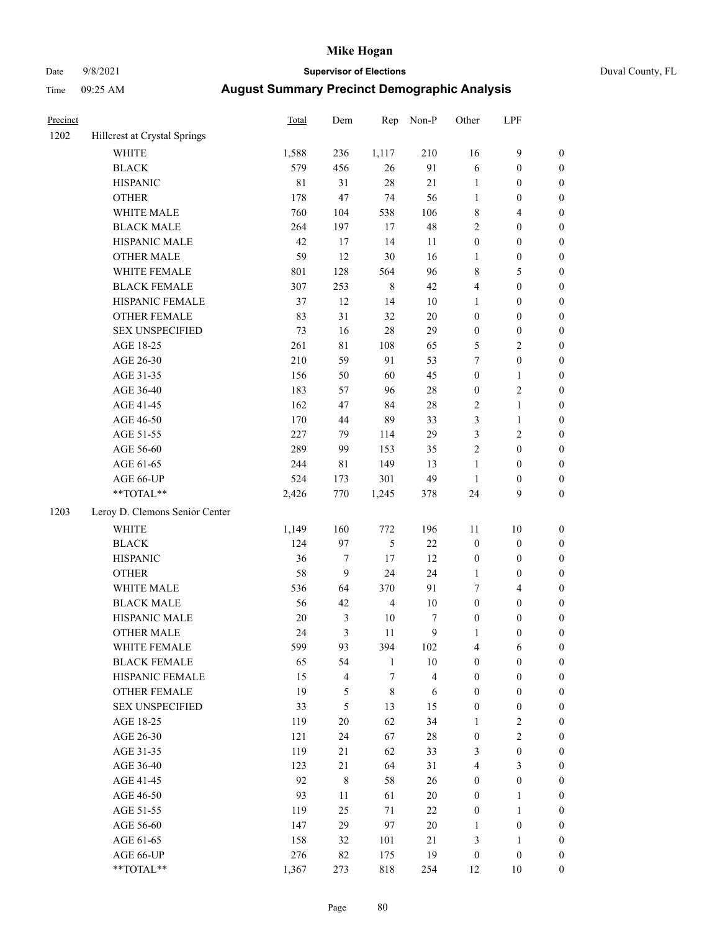# Date 9/8/2021 **Supervisor of Elections** Duval County, FL

| Precinct |                                | <b>Total</b> | Dem              | Rep            | Non-P        | Other            | LPF              |                  |
|----------|--------------------------------|--------------|------------------|----------------|--------------|------------------|------------------|------------------|
| 1202     | Hillcrest at Crystal Springs   |              |                  |                |              |                  |                  |                  |
|          | <b>WHITE</b>                   | 1,588        | 236              | 1,117          | 210          | 16               | $\mathbf{9}$     | 0                |
|          | <b>BLACK</b>                   | 579          | 456              | 26             | 91           | 6                | $\boldsymbol{0}$ | $\boldsymbol{0}$ |
|          | <b>HISPANIC</b>                | $8\sqrt{1}$  | 31               | $28\,$         | 21           | $\mathbf{1}$     | $\boldsymbol{0}$ | $\boldsymbol{0}$ |
|          | <b>OTHER</b>                   | 178          | 47               | 74             | 56           | $\mathbf{1}$     | $\boldsymbol{0}$ | $\boldsymbol{0}$ |
|          | WHITE MALE                     | 760          | 104              | 538            | 106          | 8                | $\overline{4}$   | $\boldsymbol{0}$ |
|          | <b>BLACK MALE</b>              | 264          | 197              | 17             | 48           | $\overline{c}$   | $\boldsymbol{0}$ | $\boldsymbol{0}$ |
|          | HISPANIC MALE                  | 42           | 17               | 14             | 11           | $\boldsymbol{0}$ | $\boldsymbol{0}$ | $\boldsymbol{0}$ |
|          | <b>OTHER MALE</b>              | 59           | 12               | 30             | 16           | 1                | $\boldsymbol{0}$ | $\boldsymbol{0}$ |
|          | WHITE FEMALE                   | 801          | 128              | 564            | 96           | 8                | 5                | $\boldsymbol{0}$ |
|          | <b>BLACK FEMALE</b>            | 307          | 253              | $\,$ 8 $\,$    | 42           | 4                | $\boldsymbol{0}$ | $\boldsymbol{0}$ |
|          | HISPANIC FEMALE                | 37           | 12               | 14             | 10           | $\mathbf{1}$     | $\boldsymbol{0}$ | $\boldsymbol{0}$ |
|          | <b>OTHER FEMALE</b>            | 83           | 31               | 32             | $20\,$       | $\boldsymbol{0}$ | $\boldsymbol{0}$ | $\boldsymbol{0}$ |
|          | <b>SEX UNSPECIFIED</b>         | 73           | 16               | 28             | 29           | $\boldsymbol{0}$ | $\boldsymbol{0}$ | $\boldsymbol{0}$ |
|          | AGE 18-25                      | 261          | $8\sqrt{1}$      | 108            | 65           | 5                | $\sqrt{2}$       | $\boldsymbol{0}$ |
|          | AGE 26-30                      | 210          | 59               | 91             | 53           | 7                | $\boldsymbol{0}$ | $\boldsymbol{0}$ |
|          | AGE 31-35                      | 156          | 50               | 60             | 45           | $\boldsymbol{0}$ | $\mathbf{1}$     | $\boldsymbol{0}$ |
|          | AGE 36-40                      | 183          | 57               | 96             | 28           | $\boldsymbol{0}$ | $\sqrt{2}$       | $\boldsymbol{0}$ |
|          | AGE 41-45                      | 162          | 47               | 84             | $28\,$       | $\mathbf{2}$     | $\mathbf{1}$     | $\boldsymbol{0}$ |
|          | AGE 46-50                      | 170          | 44               | 89             | 33           | 3                | $\mathbf{1}$     | $\boldsymbol{0}$ |
|          | AGE 51-55                      | 227          | 79               | 114            | 29           | 3                | $\sqrt{2}$       | $\boldsymbol{0}$ |
|          | AGE 56-60                      | 289          | 99               | 153            | 35           | $\overline{c}$   | $\boldsymbol{0}$ | 0                |
|          | AGE 61-65                      | 244          | 81               | 149            | 13           | $\mathbf{1}$     | $\boldsymbol{0}$ | $\boldsymbol{0}$ |
|          | AGE 66-UP                      | 524          | 173              | 301            | 49           | $\mathbf{1}$     | $\boldsymbol{0}$ | $\boldsymbol{0}$ |
|          | $**TOTAL**$                    | 2,426        | 770              | 1,245          | 378          | 24               | 9                | $\boldsymbol{0}$ |
| 1203     | Leroy D. Clemons Senior Center |              |                  |                |              |                  |                  |                  |
|          | <b>WHITE</b>                   | 1,149        | 160              | 772            | 196          | $11\,$           | 10               | $\boldsymbol{0}$ |
|          | <b>BLACK</b>                   | 124          | 97               | $\mathfrak{S}$ | $22\,$       | $\boldsymbol{0}$ | $\boldsymbol{0}$ | $\boldsymbol{0}$ |
|          | <b>HISPANIC</b>                | 36           | $\boldsymbol{7}$ | $17\,$         | 12           | $\boldsymbol{0}$ | $\boldsymbol{0}$ | $\boldsymbol{0}$ |
|          | <b>OTHER</b>                   | 58           | $\mathbf{9}$     | 24             | 24           | 1                | $\boldsymbol{0}$ | $\boldsymbol{0}$ |
|          | WHITE MALE                     | 536          | 64               | 370            | 91           | 7                | $\overline{4}$   | $\boldsymbol{0}$ |
|          | <b>BLACK MALE</b>              | 56           | 42               | $\overline{4}$ | $10\,$       | $\boldsymbol{0}$ | $\boldsymbol{0}$ | $\boldsymbol{0}$ |
|          | HISPANIC MALE                  | $20\,$       | $\mathfrak{Z}$   | $10\,$         | 7            | 0                | $\boldsymbol{0}$ | $\boldsymbol{0}$ |
|          | <b>OTHER MALE</b>              | 24           | 3                | 11             | $\mathbf{9}$ | 1                | $\boldsymbol{0}$ | $\boldsymbol{0}$ |
|          | WHITE FEMALE                   | 599          | 93               | 394            | 102          | 4                | 6                | 0                |
|          | <b>BLACK FEMALE</b>            | 65           | 54               | $\mathbf{1}$   | 10           | $\boldsymbol{0}$ | $\boldsymbol{0}$ | $\overline{0}$   |
|          | HISPANIC FEMALE                | 15           | $\overline{4}$   | $\tau$         | 4            | $\boldsymbol{0}$ | $\boldsymbol{0}$ | $\overline{0}$   |
|          | OTHER FEMALE                   | 19           | 5                | $\,$ $\,$      | 6            | $\boldsymbol{0}$ | $\boldsymbol{0}$ | $\overline{0}$   |
|          | <b>SEX UNSPECIFIED</b>         | 33           | 5                | 13             | 15           | $\boldsymbol{0}$ | $\boldsymbol{0}$ | 0                |
|          | AGE 18-25                      | 119          | 20               | 62             | 34           | 1                | $\sqrt{2}$       | 0                |
|          | AGE 26-30                      | 121          | 24               | 67             | $28\,$       | $\boldsymbol{0}$ | $\overline{c}$   | 0                |
|          | AGE 31-35                      | 119          | 21               | 62             | 33           | 3                | $\boldsymbol{0}$ | 0                |
|          | AGE 36-40                      | 123          | 21               | 64             | 31           | 4                | $\mathfrak{Z}$   | 0                |
|          | AGE 41-45                      | 92           | $\,8\,$          | 58             | 26           | $\boldsymbol{0}$ | $\boldsymbol{0}$ | 0                |
|          | AGE 46-50                      | 93           | 11               | 61             | $20\,$       | 0                | $\mathbf{1}$     | 0                |
|          | AGE 51-55                      | 119          | 25               | 71             | 22           | 0                | $\mathbf{1}$     | 0                |
|          | AGE 56-60                      | 147          | 29               | 97             | $20\,$       | 1                | $\boldsymbol{0}$ | $\overline{0}$   |
|          | AGE 61-65                      | 158          | 32               | 101            | $21\,$       | 3                | $\mathbf{1}$     | $\overline{0}$   |
|          | AGE 66-UP                      | 276          | 82               | 175            | 19           | $\boldsymbol{0}$ | $\boldsymbol{0}$ | 0                |
|          | **TOTAL**                      | 1,367        | 273              | 818            | 254          | 12               | 10               | $\boldsymbol{0}$ |
|          |                                |              |                  |                |              |                  |                  |                  |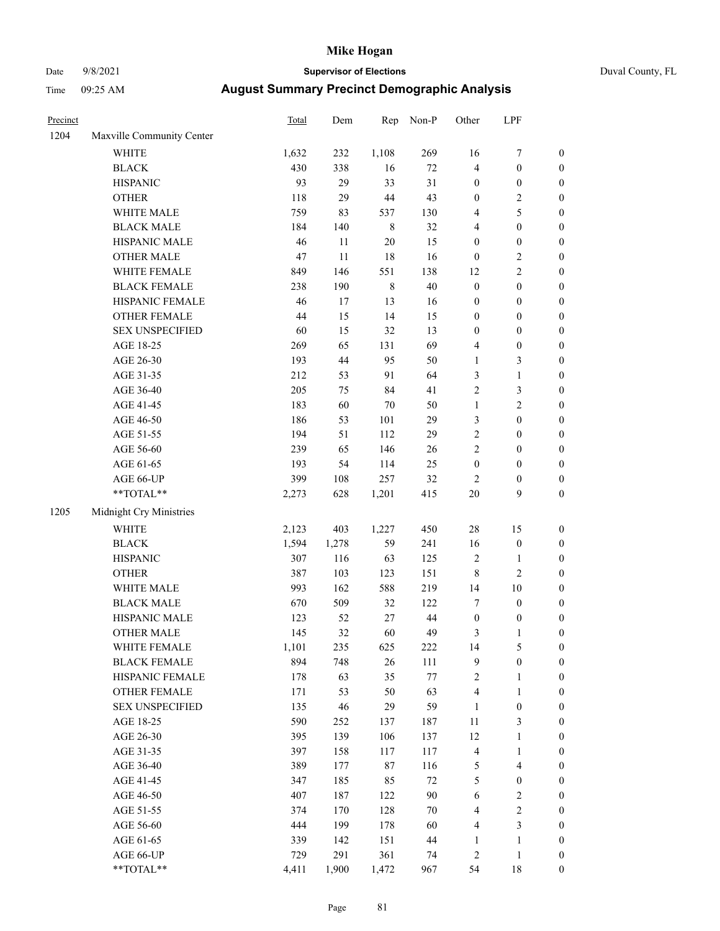# Date 9/8/2021 **Supervisor of Elections** Duval County, FL

| Precinct |                           | <b>Total</b> | Dem    | Rep     | Non-P   | Other            | LPF              |                  |
|----------|---------------------------|--------------|--------|---------|---------|------------------|------------------|------------------|
| 1204     | Maxville Community Center |              |        |         |         |                  |                  |                  |
|          | <b>WHITE</b>              | 1,632        | 232    | 1,108   | 269     | 16               | $\boldsymbol{7}$ | 0                |
|          | <b>BLACK</b>              | 430          | 338    | 16      | $72\,$  | 4                | $\boldsymbol{0}$ | 0                |
|          | <b>HISPANIC</b>           | 93           | 29     | 33      | 31      | $\boldsymbol{0}$ | $\boldsymbol{0}$ | $\boldsymbol{0}$ |
|          | <b>OTHER</b>              | 118          | 29     | $44\,$  | 43      | $\boldsymbol{0}$ | $\sqrt{2}$       | $\boldsymbol{0}$ |
|          | WHITE MALE                | 759          | 83     | 537     | 130     | 4                | 5                | $\boldsymbol{0}$ |
|          | <b>BLACK MALE</b>         | 184          | 140    | $\,8\,$ | 32      | 4                | $\boldsymbol{0}$ | $\boldsymbol{0}$ |
|          | HISPANIC MALE             | 46           | $11\,$ | $20\,$  | 15      | $\boldsymbol{0}$ | $\boldsymbol{0}$ | $\boldsymbol{0}$ |
|          | <b>OTHER MALE</b>         | 47           | $11\,$ | 18      | 16      | $\boldsymbol{0}$ | $\sqrt{2}$       | $\boldsymbol{0}$ |
|          | WHITE FEMALE              | 849          | 146    | 551     | 138     | 12               | $\overline{c}$   | $\boldsymbol{0}$ |
|          | <b>BLACK FEMALE</b>       | 238          | 190    | $\,8\,$ | $40\,$  | $\boldsymbol{0}$ | $\boldsymbol{0}$ | 0                |
|          | HISPANIC FEMALE           | 46           | 17     | 13      | 16      | $\boldsymbol{0}$ | $\boldsymbol{0}$ | 0                |
|          | OTHER FEMALE              | 44           | 15     | 14      | 15      | $\boldsymbol{0}$ | $\boldsymbol{0}$ | 0                |
|          | <b>SEX UNSPECIFIED</b>    | 60           | 15     | 32      | 13      | $\boldsymbol{0}$ | $\boldsymbol{0}$ | $\boldsymbol{0}$ |
|          | AGE 18-25                 | 269          | 65     | 131     | 69      | 4                | $\boldsymbol{0}$ | $\boldsymbol{0}$ |
|          | AGE 26-30                 | 193          | $44\,$ | 95      | 50      | $\mathbf{1}$     | 3                | $\boldsymbol{0}$ |
|          | AGE 31-35                 | 212          | 53     | 91      | 64      | 3                | $\mathbf{1}$     | $\boldsymbol{0}$ |
|          | AGE 36-40                 | 205          | 75     | 84      | 41      | $\sqrt{2}$       | 3                | $\boldsymbol{0}$ |
|          | AGE 41-45                 | 183          | 60     | $70\,$  | $50\,$  | $\mathbf{1}$     | $\mathbf{2}$     | $\boldsymbol{0}$ |
|          | AGE 46-50                 | 186          | 53     | 101     | 29      | 3                | $\boldsymbol{0}$ | $\boldsymbol{0}$ |
|          | AGE 51-55                 | 194          | 51     | 112     | 29      | $\sqrt{2}$       | $\boldsymbol{0}$ | 0                |
|          | AGE 56-60                 | 239          | 65     | 146     | $26\,$  | $\sqrt{2}$       | $\boldsymbol{0}$ | 0                |
|          | AGE 61-65                 | 193          | 54     | 114     | 25      | $\boldsymbol{0}$ | $\boldsymbol{0}$ | 0                |
|          | AGE 66-UP                 | 399          | 108    | 257     | 32      | $\overline{c}$   | $\boldsymbol{0}$ | $\boldsymbol{0}$ |
|          | $**TOTAL**$               | 2,273        | 628    | 1,201   | 415     | $20\,$           | 9                | $\boldsymbol{0}$ |
| 1205     | Midnight Cry Ministries   |              |        |         |         |                  |                  |                  |
|          | WHITE                     | 2,123        | 403    | 1,227   | 450     | 28               | 15               | $\boldsymbol{0}$ |
|          | <b>BLACK</b>              | 1,594        | 1,278  | 59      | 241     | 16               | $\boldsymbol{0}$ | $\boldsymbol{0}$ |
|          | <b>HISPANIC</b>           | 307          | 116    | 63      | 125     | 2                | $\mathbf{1}$     | $\boldsymbol{0}$ |
|          | <b>OTHER</b>              | 387          | 103    | 123     | 151     | 8                | $\sqrt{2}$       | $\boldsymbol{0}$ |
|          | WHITE MALE                | 993          | 162    | 588     | 219     | 14               | 10               | $\boldsymbol{0}$ |
|          | <b>BLACK MALE</b>         | 670          | 509    | 32      | 122     | 7                | $\boldsymbol{0}$ | $\boldsymbol{0}$ |
|          | HISPANIC MALE             | 123          | 52     | $27\,$  | 44      | $\boldsymbol{0}$ | $\boldsymbol{0}$ | 0                |
|          | <b>OTHER MALE</b>         | 145          | 32     | 60      | 49      | 3                | 1                | $\boldsymbol{0}$ |
|          | WHITE FEMALE              | 1,101        | 235    | 625     | 222     | 14               | $\mathfrak s$    | 0                |
|          | <b>BLACK FEMALE</b>       | 894          | 748    | $26\,$  | 111     | 9                | $\boldsymbol{0}$ | 0                |
|          | HISPANIC FEMALE           | 178          | 63     | 35      | $77 \,$ | 2                | $\mathbf{1}$     | $\boldsymbol{0}$ |
|          | OTHER FEMALE              | 171          | 53     | 50      | 63      | 4                | $\mathbf{1}$     | 0                |
|          | <b>SEX UNSPECIFIED</b>    | 135          | 46     | 29      | 59      | $\mathbf{1}$     | $\boldsymbol{0}$ | 0                |
|          | AGE 18-25                 | 590          | 252    | 137     | 187     | 11               | 3                | 0                |
|          | AGE 26-30                 | 395          | 139    | 106     | 137     | 12               | $\mathbf{1}$     | 0                |
|          | AGE 31-35                 | 397          | 158    | 117     | 117     | 4                | $\mathbf{1}$     | 0                |
|          | AGE 36-40                 | 389          | 177    | $87\,$  | 116     | 5                | $\overline{4}$   | 0                |
|          | AGE 41-45                 | 347          | 185    | 85      | 72      | 5                | $\boldsymbol{0}$ | 0                |
|          | AGE 46-50                 | 407          | 187    | 122     | $90\,$  | $\sqrt{6}$       | $\sqrt{2}$       | 0                |
|          | AGE 51-55                 | 374          | 170    | 128     | $70\,$  | 4                | $\sqrt{2}$       | $\overline{0}$   |
|          | AGE 56-60                 | 444          | 199    | 178     | 60      | 4                | 3                | $\boldsymbol{0}$ |
|          | AGE 61-65                 | 339          | 142    | 151     | 44      | $\mathbf{1}$     | $\mathbf{1}$     | $\boldsymbol{0}$ |
|          | AGE 66-UP                 | 729          | 291    | 361     | 74      | 2                | $\,1$            | 0                |
|          | **TOTAL**                 | 4,411        | 1,900  | 1,472   | 967     | 54               | 18               | $\boldsymbol{0}$ |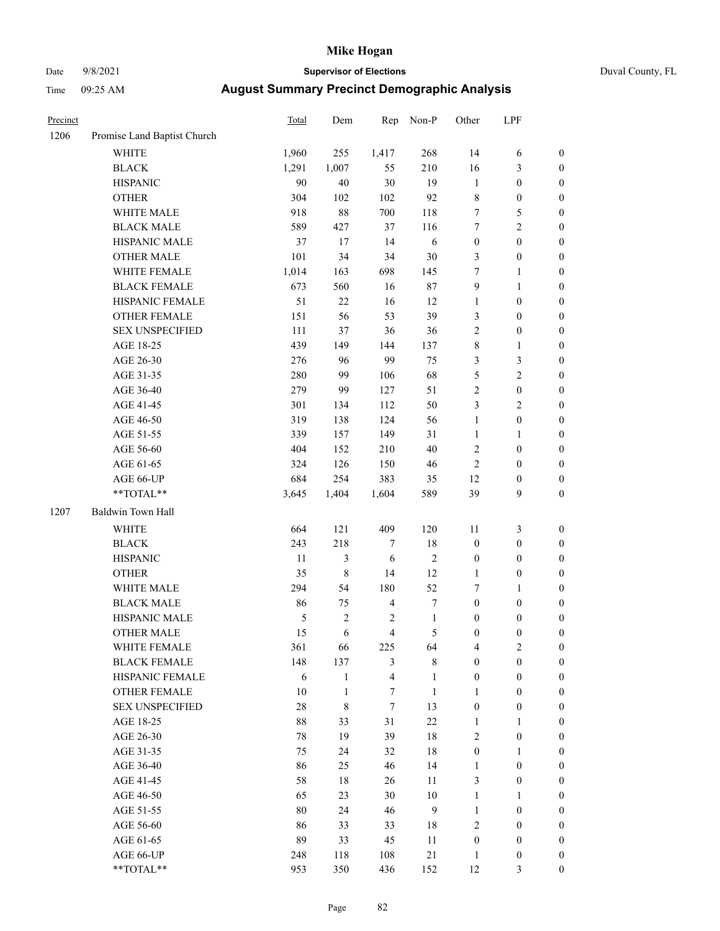# Date 9/8/2021 **Supervisor of Elections** Duval County, FL

| Precinct |                             | Total         | Dem          | Rep              | Non-P            | Other            | LPF              |                  |
|----------|-----------------------------|---------------|--------------|------------------|------------------|------------------|------------------|------------------|
| 1206     | Promise Land Baptist Church |               |              |                  |                  |                  |                  |                  |
|          | <b>WHITE</b>                | 1,960         | 255          | 1,417            | 268              | 14               | 6                | 0                |
|          | <b>BLACK</b>                | 1,291         | 1,007        | 55               | 210              | 16               | $\mathfrak{Z}$   | $\boldsymbol{0}$ |
|          | <b>HISPANIC</b>             | 90            | 40           | 30               | 19               | $\mathbf{1}$     | $\boldsymbol{0}$ | $\boldsymbol{0}$ |
|          | <b>OTHER</b>                | 304           | 102          | 102              | 92               | 8                | $\boldsymbol{0}$ | $\boldsymbol{0}$ |
|          | WHITE MALE                  | 918           | $88\,$       | 700              | 118              | 7                | 5                | $\boldsymbol{0}$ |
|          | <b>BLACK MALE</b>           | 589           | 427          | 37               | 116              | 7                | $\sqrt{2}$       | $\boldsymbol{0}$ |
|          | HISPANIC MALE               | 37            | 17           | 14               | 6                | $\boldsymbol{0}$ | $\boldsymbol{0}$ | $\boldsymbol{0}$ |
|          | <b>OTHER MALE</b>           | 101           | 34           | 34               | 30               | 3                | $\boldsymbol{0}$ | $\boldsymbol{0}$ |
|          | WHITE FEMALE                | 1,014         | 163          | 698              | 145              | 7                | $\mathbf{1}$     | $\boldsymbol{0}$ |
|          | <b>BLACK FEMALE</b>         | 673           | 560          | 16               | 87               | $\mathbf{9}$     | $\mathbf{1}$     | 0                |
|          | HISPANIC FEMALE             | 51            | $22\,$       | 16               | 12               | $\mathbf{1}$     | $\boldsymbol{0}$ | 0                |
|          | OTHER FEMALE                | 151           | 56           | 53               | 39               | 3                | $\boldsymbol{0}$ | $\boldsymbol{0}$ |
|          | <b>SEX UNSPECIFIED</b>      | 111           | 37           | 36               | 36               | 2                | $\boldsymbol{0}$ | $\boldsymbol{0}$ |
|          | AGE 18-25                   | 439           | 149          | 144              | 137              | 8                | $\mathbf{1}$     | $\boldsymbol{0}$ |
|          | AGE 26-30                   | 276           | 96           | 99               | 75               | 3                | $\mathfrak{Z}$   | $\boldsymbol{0}$ |
|          | AGE 31-35                   | 280           | 99           | 106              | 68               | 5                | $\sqrt{2}$       | $\boldsymbol{0}$ |
|          | AGE 36-40                   | 279           | 99           | 127              | 51               | $\sqrt{2}$       | $\boldsymbol{0}$ | $\boldsymbol{0}$ |
|          | AGE 41-45                   | 301           | 134          | 112              | 50               | 3                | $\overline{2}$   | $\boldsymbol{0}$ |
|          | AGE 46-50                   | 319           | 138          | 124              | 56               | $\mathbf{1}$     | $\boldsymbol{0}$ | $\boldsymbol{0}$ |
|          | AGE 51-55                   | 339           | 157          | 149              | 31               | $\mathbf{1}$     | $\mathbf{1}$     | $\boldsymbol{0}$ |
|          | AGE 56-60                   | 404           | 152          | 210              | 40               | $\sqrt{2}$       | $\boldsymbol{0}$ | 0                |
|          | AGE 61-65                   | 324           | 126          | 150              | 46               | $\mathbf{2}$     | $\boldsymbol{0}$ | 0                |
|          | AGE 66-UP                   | 684           | 254          | 383              | 35               | 12               | $\boldsymbol{0}$ | $\boldsymbol{0}$ |
|          | **TOTAL**                   | 3,645         | 1,404        | 1,604            | 589              | 39               | $\boldsymbol{9}$ | $\boldsymbol{0}$ |
| 1207     | Baldwin Town Hall           |               |              |                  |                  |                  |                  |                  |
|          |                             |               |              |                  |                  |                  |                  |                  |
|          | <b>WHITE</b>                | 664           | 121          | 409              | 120              | 11               | $\mathfrak{Z}$   | $\boldsymbol{0}$ |
|          | <b>BLACK</b>                | 243           | 218          | 7                | $18\,$           | $\boldsymbol{0}$ | $\boldsymbol{0}$ | $\boldsymbol{0}$ |
|          | <b>HISPANIC</b>             | 11            | 3            | 6                | $\sqrt{2}$       | $\boldsymbol{0}$ | $\boldsymbol{0}$ | $\boldsymbol{0}$ |
|          | <b>OTHER</b>                | 35            | $\,$ 8 $\,$  | 14               | 12               | $\mathbf{1}$     | $\boldsymbol{0}$ | $\boldsymbol{0}$ |
|          | WHITE MALE                  | 294           | 54           | 180              | 52               | 7                | $\mathbf{1}$     | $\boldsymbol{0}$ |
|          | <b>BLACK MALE</b>           | 86            | 75           | $\overline{4}$   | $\boldsymbol{7}$ | $\boldsymbol{0}$ | $\boldsymbol{0}$ | $\boldsymbol{0}$ |
|          | HISPANIC MALE               | $\mathfrak s$ | $\sqrt{2}$   | $\boldsymbol{2}$ | $\mathbf{1}$     | $\boldsymbol{0}$ | $\boldsymbol{0}$ | $\boldsymbol{0}$ |
|          | <b>OTHER MALE</b>           | 15            | 6            | $\overline{4}$   | $\mathfrak s$    | $\boldsymbol{0}$ | $\boldsymbol{0}$ | $\boldsymbol{0}$ |
|          | WHITE FEMALE                | 361           | 66           | 225              | 64               | 4                | 2                | 0                |
|          | <b>BLACK FEMALE</b>         | 148           | 137          | 3                | $8\,$            | $\boldsymbol{0}$ | $\boldsymbol{0}$ | $\overline{0}$   |
|          | HISPANIC FEMALE             | $\sqrt{6}$    | $\mathbf{1}$ | $\overline{4}$   | $\mathbf{1}$     | $\boldsymbol{0}$ | $\boldsymbol{0}$ | $\overline{0}$   |
|          | OTHER FEMALE                | $10\,$        | $\mathbf{1}$ | $\boldsymbol{7}$ | $\mathbf{1}$     | 1                | $\boldsymbol{0}$ | $\overline{0}$   |
|          | <b>SEX UNSPECIFIED</b>      | $28\,$        | 8            | $\tau$           | 13               | $\boldsymbol{0}$ | $\boldsymbol{0}$ | 0                |
|          | AGE 18-25                   | $88\,$        | 33           | 31               | 22               | $\mathbf{1}$     | $\mathbf{1}$     | $\theta$         |
|          | AGE 26-30                   | $78\,$        | 19           | 39               | $18\,$           | 2                | $\boldsymbol{0}$ | 0                |
|          | AGE 31-35                   | 75            | 24           | 32               | $18\,$           | $\boldsymbol{0}$ | $\mathbf{1}$     | 0                |
|          | AGE 36-40                   | 86            | 25           | 46               | 14               | $\mathbf{1}$     | $\boldsymbol{0}$ | 0                |
|          | AGE 41-45                   | 58            | 18           | 26               | 11               | 3                | $\boldsymbol{0}$ | 0                |
|          | AGE 46-50                   | 65            | 23           | 30               | $10\,$           | 1                | $\mathbf{1}$     | 0                |
|          | AGE 51-55                   | 80            | 24           | 46               | 9                | $\mathbf{1}$     | $\boldsymbol{0}$ | $\overline{0}$   |
|          | AGE 56-60                   | 86            | 33           | 33               | 18               | 2                | $\boldsymbol{0}$ | $\overline{0}$   |
|          | AGE 61-65                   | 89            | 33           | 45               | 11               | $\boldsymbol{0}$ | $\boldsymbol{0}$ | $\overline{0}$   |
|          | AGE 66-UP                   | 248           | 118          | 108              | 21               | $\mathbf{1}$     | $\boldsymbol{0}$ | 0                |
|          | **TOTAL**                   | 953           | 350          | 436              | 152              | 12               | $\mathfrak{Z}$   | $\boldsymbol{0}$ |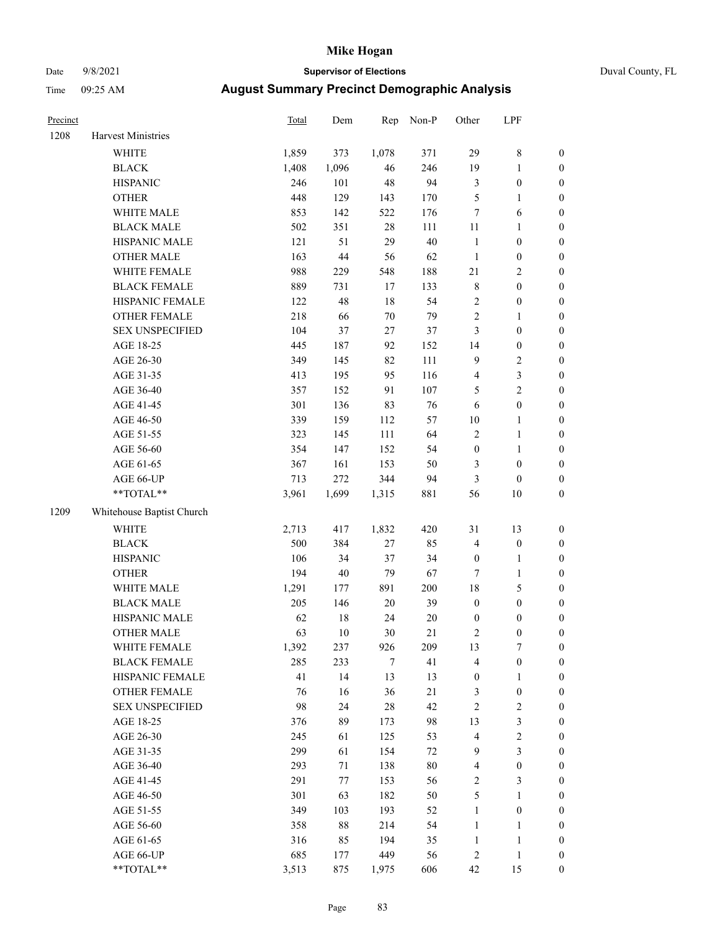# Date 9/8/2021 **Supervisor of Elections** Duval County, FL

| Precinct |                           | <b>Total</b> | Dem    | Rep    | Non-P   | Other                   | LPF              |                  |
|----------|---------------------------|--------------|--------|--------|---------|-------------------------|------------------|------------------|
| 1208     | Harvest Ministries        |              |        |        |         |                         |                  |                  |
|          | WHITE                     | 1,859        | 373    | 1,078  | 371     | 29                      | $\,$ 8 $\,$      | 0                |
|          | <b>BLACK</b>              | 1,408        | 1,096  | 46     | 246     | 19                      | $\mathbf{1}$     | 0                |
|          | <b>HISPANIC</b>           | 246          | 101    | 48     | 94      | $\mathfrak{Z}$          | $\boldsymbol{0}$ | $\boldsymbol{0}$ |
|          | <b>OTHER</b>              | 448          | 129    | 143    | 170     | 5                       | 1                | $\boldsymbol{0}$ |
|          | WHITE MALE                | 853          | 142    | 522    | 176     | 7                       | 6                | $\boldsymbol{0}$ |
|          | <b>BLACK MALE</b>         | 502          | 351    | $28\,$ | 111     | $11\,$                  | $\mathbf{1}$     | $\boldsymbol{0}$ |
|          | HISPANIC MALE             | 121          | 51     | 29     | $40\,$  | $\mathbf{1}$            | $\boldsymbol{0}$ | $\boldsymbol{0}$ |
|          | <b>OTHER MALE</b>         | 163          | $44\,$ | 56     | 62      | $\mathbf{1}$            | $\boldsymbol{0}$ | $\boldsymbol{0}$ |
|          | WHITE FEMALE              | 988          | 229    | 548    | 188     | 21                      | $\sqrt{2}$       | $\boldsymbol{0}$ |
|          | <b>BLACK FEMALE</b>       | 889          | 731    | 17     | 133     | $\,$ 8 $\,$             | $\boldsymbol{0}$ | $\boldsymbol{0}$ |
|          | HISPANIC FEMALE           | 122          | 48     | $18\,$ | 54      | $\sqrt{2}$              | $\boldsymbol{0}$ | 0                |
|          | OTHER FEMALE              | 218          | 66     | $70\,$ | 79      | $\sqrt{2}$              | 1                | $\boldsymbol{0}$ |
|          | <b>SEX UNSPECIFIED</b>    | 104          | 37     | $27\,$ | 37      | 3                       | $\boldsymbol{0}$ | $\boldsymbol{0}$ |
|          | AGE 18-25                 | 445          | 187    | 92     | 152     | 14                      | $\boldsymbol{0}$ | $\boldsymbol{0}$ |
|          | AGE 26-30                 | 349          | 145    | 82     | 111     | 9                       | $\sqrt{2}$       | $\boldsymbol{0}$ |
|          | AGE 31-35                 | 413          | 195    | 95     | 116     | 4                       | $\mathfrak{Z}$   | $\boldsymbol{0}$ |
|          | AGE 36-40                 | 357          | 152    | 91     | 107     | 5                       | $\sqrt{2}$       | $\boldsymbol{0}$ |
|          | AGE 41-45                 | 301          | 136    | 83     | 76      | 6                       | $\boldsymbol{0}$ | $\boldsymbol{0}$ |
|          | AGE 46-50                 | 339          | 159    | 112    | 57      | $10\,$                  | $\mathbf{1}$     | $\boldsymbol{0}$ |
|          | AGE 51-55                 | 323          | 145    | 111    | 64      | 2                       | $\mathbf{1}$     | 0                |
|          | AGE 56-60                 | 354          | 147    | 152    | 54      | $\boldsymbol{0}$        | $\mathbf{1}$     | 0                |
|          | AGE 61-65                 | 367          | 161    | 153    | 50      | 3                       | $\boldsymbol{0}$ | 0                |
|          | AGE 66-UP                 | 713          | 272    | 344    | 94      | $\mathfrak{Z}$          | $\boldsymbol{0}$ | $\boldsymbol{0}$ |
|          | **TOTAL**                 | 3,961        | 1,699  | 1,315  | 881     | 56                      | 10               | $\boldsymbol{0}$ |
| 1209     | Whitehouse Baptist Church |              |        |        |         |                         |                  |                  |
|          | WHITE                     | 2,713        | 417    | 1,832  | 420     | 31                      | 13               | $\boldsymbol{0}$ |
|          | <b>BLACK</b>              | 500          | 384    | $27\,$ | 85      | 4                       | $\boldsymbol{0}$ | $\boldsymbol{0}$ |
|          | <b>HISPANIC</b>           | 106          | 34     | 37     | 34      | $\boldsymbol{0}$        | $\mathbf{1}$     | $\boldsymbol{0}$ |
|          | <b>OTHER</b>              | 194          | $40\,$ | 79     | 67      | $\tau$                  | $\mathbf{1}$     | $\boldsymbol{0}$ |
|          | WHITE MALE                | 1,291        | 177    | 891    | $200\,$ | 18                      | 5                | $\boldsymbol{0}$ |
|          | <b>BLACK MALE</b>         | 205          | 146    | $20\,$ | 39      | $\boldsymbol{0}$        | $\boldsymbol{0}$ | $\boldsymbol{0}$ |
|          | HISPANIC MALE             | 62           | 18     | 24     | 20      | $\boldsymbol{0}$        | $\boldsymbol{0}$ | $\boldsymbol{0}$ |
|          | <b>OTHER MALE</b>         | 63           | $10\,$ | 30     | 21      | $\overline{\mathbf{c}}$ | $\boldsymbol{0}$ | $\boldsymbol{0}$ |
|          | WHITE FEMALE              | 1,392        | 237    | 926    | 209     | 13                      | 7                | 0                |
|          | <b>BLACK FEMALE</b>       | 285          | 233    | $\tau$ | 41      | $\overline{4}$          | $\boldsymbol{0}$ | 0                |
|          | HISPANIC FEMALE           | 41           | 14     | 13     | 13      | $\boldsymbol{0}$        | 1                | 0                |
|          | <b>OTHER FEMALE</b>       | 76           | 16     | 36     | $21\,$  | $\mathfrak{Z}$          | $\boldsymbol{0}$ | 0                |
|          | <b>SEX UNSPECIFIED</b>    | 98           | 24     | $28\,$ | 42      | 2                       | $\sqrt{2}$       | 0                |
|          | AGE 18-25                 | 376          | 89     | 173    | 98      | 13                      | 3                | 0                |
|          | AGE 26-30                 | 245          | 61     | 125    | 53      | 4                       | $\sqrt{2}$       | 0                |
|          | AGE 31-35                 | 299          | 61     | 154    | 72      | 9                       | 3                | 0                |
|          | AGE 36-40                 | 293          | 71     | 138    | $80\,$  | 4                       | $\boldsymbol{0}$ | 0                |
|          | AGE 41-45                 | 291          | 77     | 153    | 56      | $\sqrt{2}$              | $\mathfrak{Z}$   | 0                |
|          | AGE 46-50                 | 301          | 63     | 182    | 50      | 5                       | $\mathbf{1}$     | 0                |
|          | AGE 51-55                 | 349          | 103    | 193    | 52      | $\mathbf{1}$            | $\boldsymbol{0}$ | 0                |
|          | AGE 56-60                 | 358          | $88\,$ | 214    | 54      | $\mathbf{1}$            | $\mathbf{1}$     | 0                |
|          | AGE 61-65                 | 316          | 85     | 194    | 35      | $\mathbf{1}$            | $\mathbf{1}$     | 0                |
|          | AGE 66-UP                 | 685          | 177    | 449    | 56      | $\sqrt{2}$              | $\,1$            | 0                |
|          | **TOTAL**                 | 3,513        | 875    | 1,975  | 606     | 42                      | 15               | $\boldsymbol{0}$ |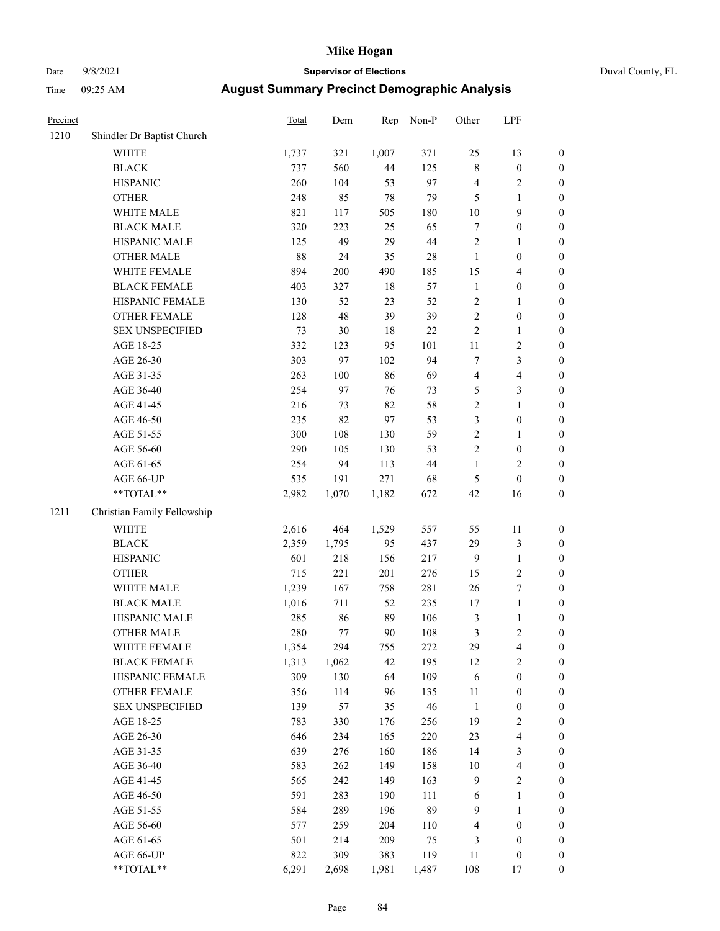# Date 9/8/2021 **Supervisor of Elections** Duval County, FL

| Precinct |                             | <b>Total</b> | Dem   | Rep    | Non-P | Other            | LPF                      |                  |
|----------|-----------------------------|--------------|-------|--------|-------|------------------|--------------------------|------------------|
| 1210     | Shindler Dr Baptist Church  |              |       |        |       |                  |                          |                  |
|          | <b>WHITE</b>                | 1,737        | 321   | 1,007  | 371   | 25               | 13                       | 0                |
|          | <b>BLACK</b>                | 737          | 560   | 44     | 125   | $\,$ 8 $\,$      | $\boldsymbol{0}$         | 0                |
|          | <b>HISPANIC</b>             | 260          | 104   | 53     | 97    | 4                | $\sqrt{2}$               | $\boldsymbol{0}$ |
|          | <b>OTHER</b>                | 248          | 85    | $78\,$ | 79    | 5                | $\mathbf{1}$             | $\boldsymbol{0}$ |
|          | WHITE MALE                  | 821          | 117   | 505    | 180   | $10\,$           | 9                        | $\boldsymbol{0}$ |
|          | <b>BLACK MALE</b>           | 320          | 223   | 25     | 65    | $\boldsymbol{7}$ | $\boldsymbol{0}$         | $\boldsymbol{0}$ |
|          | HISPANIC MALE               | 125          | 49    | 29     | 44    | $\overline{c}$   | $\mathbf{1}$             | $\boldsymbol{0}$ |
|          | <b>OTHER MALE</b>           | $88\,$       | 24    | 35     | 28    | $\mathbf{1}$     | $\boldsymbol{0}$         | $\boldsymbol{0}$ |
|          | WHITE FEMALE                | 894          | 200   | 490    | 185   | 15               | $\overline{4}$           | $\boldsymbol{0}$ |
|          | <b>BLACK FEMALE</b>         | 403          | 327   | $18\,$ | 57    | $\mathbf{1}$     | $\boldsymbol{0}$         | $\boldsymbol{0}$ |
|          | HISPANIC FEMALE             | 130          | 52    | 23     | 52    | $\mathbf{2}$     | 1                        | $\boldsymbol{0}$ |
|          | OTHER FEMALE                | 128          | 48    | 39     | 39    | $\overline{c}$   | $\boldsymbol{0}$         | $\boldsymbol{0}$ |
|          | <b>SEX UNSPECIFIED</b>      | 73           | 30    | 18     | 22    | $\overline{c}$   | $\mathbf{1}$             | $\boldsymbol{0}$ |
|          | AGE 18-25                   | 332          | 123   | 95     | 101   | $11\,$           | $\sqrt{2}$               | $\boldsymbol{0}$ |
|          | AGE 26-30                   | 303          | 97    | 102    | 94    | 7                | 3                        | $\boldsymbol{0}$ |
|          | AGE 31-35                   | 263          | 100   | 86     | 69    | 4                | $\overline{4}$           | $\boldsymbol{0}$ |
|          | AGE 36-40                   | 254          | 97    | 76     | 73    | 5                | 3                        | $\boldsymbol{0}$ |
|          | AGE 41-45                   | 216          | 73    | 82     | 58    | $\overline{c}$   | $\mathbf{1}$             | $\boldsymbol{0}$ |
|          | AGE 46-50                   | 235          | 82    | 97     | 53    | 3                | $\boldsymbol{0}$         | $\boldsymbol{0}$ |
|          | AGE 51-55                   | 300          | 108   | 130    | 59    | $\overline{c}$   | 1                        | $\boldsymbol{0}$ |
|          | AGE 56-60                   | 290          | 105   | 130    | 53    | $\overline{c}$   | $\boldsymbol{0}$         | $\boldsymbol{0}$ |
|          | AGE 61-65                   | 254          | 94    | 113    | 44    | 1                | $\overline{2}$           | $\boldsymbol{0}$ |
|          | AGE 66-UP                   | 535          | 191   | 271    | 68    | 5                | $\boldsymbol{0}$         | $\boldsymbol{0}$ |
|          | $**TOTAL**$                 | 2,982        | 1,070 | 1,182  | 672   | 42               | 16                       | $\boldsymbol{0}$ |
| 1211     | Christian Family Fellowship |              |       |        |       |                  |                          |                  |
|          | <b>WHITE</b>                | 2,616        | 464   | 1,529  | 557   | 55               | 11                       | $\boldsymbol{0}$ |
|          | <b>BLACK</b>                | 2,359        | 1,795 | 95     | 437   | 29               | $\mathfrak{Z}$           | $\boldsymbol{0}$ |
|          | <b>HISPANIC</b>             | 601          | 218   | 156    | 217   | 9                | $\mathbf{1}$             | $\boldsymbol{0}$ |
|          | <b>OTHER</b>                | 715          | 221   | 201    | 276   | 15               | $\sqrt{2}$               | $\boldsymbol{0}$ |
|          | WHITE MALE                  | 1,239        | 167   | 758    | 281   | 26               | $\boldsymbol{7}$         | $\boldsymbol{0}$ |
|          | <b>BLACK MALE</b>           | 1,016        | 711   | 52     | 235   | 17               | $\mathbf{1}$             | $\boldsymbol{0}$ |
|          | HISPANIC MALE               | 285          | 86    | 89     | 106   | 3                | $\mathbf{1}$             | 0                |
|          | <b>OTHER MALE</b>           | 280          | 77    | 90     | 108   | 3                | $\overline{2}$           | $\boldsymbol{0}$ |
|          | WHITE FEMALE                | 1,354        | 294   | 755    | 272   | 29               | 4                        | 0                |
|          | <b>BLACK FEMALE</b>         | 1,313        | 1,062 | 42     | 195   | 12               | $\sqrt{2}$               | $\overline{0}$   |
|          | HISPANIC FEMALE             | 309          | 130   | 64     | 109   | 6                | $\boldsymbol{0}$         | $\overline{0}$   |
|          | <b>OTHER FEMALE</b>         | 356          | 114   | 96     | 135   | 11               | $\boldsymbol{0}$         | $\overline{0}$   |
|          | <b>SEX UNSPECIFIED</b>      | 139          | 57    | 35     | 46    | $\mathbf{1}$     | $\boldsymbol{0}$         | 0                |
|          | AGE 18-25                   | 783          | 330   | 176    | 256   | 19               | $\sqrt{2}$               | 0                |
|          | AGE 26-30                   | 646          | 234   | 165    | 220   | 23               | $\overline{4}$           | 0                |
|          | AGE 31-35                   | 639          | 276   | 160    | 186   | 14               | $\mathfrak z$            | 0                |
|          | AGE 36-40                   | 583          | 262   | 149    | 158   | $10\,$           | $\overline{\mathcal{L}}$ | 0                |
|          | AGE 41-45                   | 565          | 242   | 149    | 163   | 9                | $\sqrt{2}$               | 0                |
|          | AGE 46-50                   | 591          | 283   | 190    | 111   | 6                | $\mathbf{1}$             | 0                |
|          | AGE 51-55                   | 584          | 289   | 196    | 89    | 9                | $\mathbf{1}$             | 0                |
|          | AGE 56-60                   | 577          | 259   | 204    | 110   | 4                | $\boldsymbol{0}$         | $\boldsymbol{0}$ |
|          | AGE 61-65                   | 501          | 214   | 209    | 75    | 3                | $\boldsymbol{0}$         | $\boldsymbol{0}$ |
|          | AGE 66-UP                   | 822          | 309   | 383    | 119   | 11               | $\boldsymbol{0}$         | 0                |
|          | **TOTAL**                   | 6,291        | 2,698 | 1,981  | 1,487 | 108              | 17                       | $\boldsymbol{0}$ |
|          |                             |              |       |        |       |                  |                          |                  |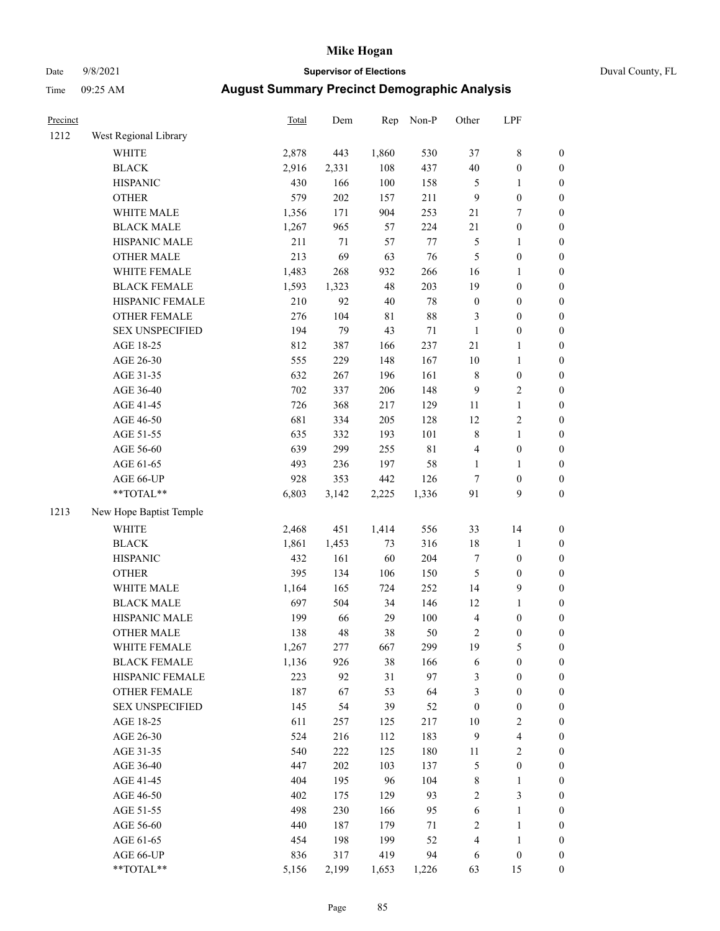# Date 9/8/2021 **Supervisor of Elections** Duval County, FL

| Precinct |                         | <b>Total</b> | Dem   | Rep   | Non-P       | Other            | LPF              |                  |
|----------|-------------------------|--------------|-------|-------|-------------|------------------|------------------|------------------|
| 1212     | West Regional Library   |              |       |       |             |                  |                  |                  |
|          | <b>WHITE</b>            | 2,878        | 443   | 1,860 | 530         | 37               | $\,$ $\,$        | 0                |
|          | <b>BLACK</b>            | 2,916        | 2,331 | 108   | 437         | $40\,$           | $\boldsymbol{0}$ | $\boldsymbol{0}$ |
|          | <b>HISPANIC</b>         | 430          | 166   | 100   | 158         | 5                | 1                | $\boldsymbol{0}$ |
|          | <b>OTHER</b>            | 579          | 202   | 157   | 211         | 9                | $\boldsymbol{0}$ | $\boldsymbol{0}$ |
|          | WHITE MALE              | 1,356        | 171   | 904   | 253         | 21               | $\boldsymbol{7}$ | $\boldsymbol{0}$ |
|          | <b>BLACK MALE</b>       | 1,267        | 965   | 57    | 224         | 21               | $\boldsymbol{0}$ | $\boldsymbol{0}$ |
|          | HISPANIC MALE           | 211          | 71    | 57    | 77          | 5                | $\mathbf{1}$     | $\boldsymbol{0}$ |
|          | <b>OTHER MALE</b>       | 213          | 69    | 63    | 76          | 5                | $\boldsymbol{0}$ | $\boldsymbol{0}$ |
|          | WHITE FEMALE            | 1,483        | 268   | 932   | 266         | 16               | 1                | $\boldsymbol{0}$ |
|          | <b>BLACK FEMALE</b>     | 1,593        | 1,323 | 48    | 203         | 19               | $\boldsymbol{0}$ | $\boldsymbol{0}$ |
|          | HISPANIC FEMALE         | 210          | 92    | 40    | $78\,$      | $\boldsymbol{0}$ | $\boldsymbol{0}$ | $\boldsymbol{0}$ |
|          | OTHER FEMALE            | 276          | 104   | 81    | 88          | 3                | $\boldsymbol{0}$ | $\boldsymbol{0}$ |
|          | <b>SEX UNSPECIFIED</b>  | 194          | 79    | 43    | $71\,$      | $\mathbf{1}$     | $\boldsymbol{0}$ | $\boldsymbol{0}$ |
|          | AGE 18-25               | 812          | 387   | 166   | 237         | 21               | $\mathbf{1}$     | $\boldsymbol{0}$ |
|          | AGE 26-30               | 555          | 229   | 148   | 167         | 10               | $\mathbf{1}$     | $\boldsymbol{0}$ |
|          | AGE 31-35               | 632          | 267   | 196   | 161         | 8                | $\boldsymbol{0}$ | $\boldsymbol{0}$ |
|          | AGE 36-40               | 702          | 337   | 206   | 148         | 9                | $\sqrt{2}$       | $\boldsymbol{0}$ |
|          | AGE 41-45               | 726          | 368   | 217   | 129         | $11\,$           | $\mathbf{1}$     | $\boldsymbol{0}$ |
|          | AGE 46-50               | 681          | 334   | 205   | 128         | 12               | $\sqrt{2}$       | $\boldsymbol{0}$ |
|          | AGE 51-55               | 635          | 332   | 193   | 101         | 8                | $\mathbf{1}$     | $\boldsymbol{0}$ |
|          | AGE 56-60               | 639          | 299   | 255   | $8\sqrt{1}$ | 4                | $\boldsymbol{0}$ | 0                |
|          | AGE 61-65               | 493          | 236   | 197   | 58          | $\mathbf{1}$     | 1                | 0                |
|          | AGE 66-UP               | 928          | 353   | 442   | 126         | 7                | $\boldsymbol{0}$ | $\boldsymbol{0}$ |
|          | $**TOTAL**$             | 6,803        | 3,142 | 2,225 | 1,336       | 91               | 9                | $\boldsymbol{0}$ |
| 1213     | New Hope Baptist Temple |              |       |       |             |                  |                  |                  |
|          | <b>WHITE</b>            | 2,468        | 451   | 1,414 | 556         | 33               | 14               | $\boldsymbol{0}$ |
|          | <b>BLACK</b>            | 1,861        | 1,453 | 73    | 316         | 18               | $\mathbf{1}$     | $\boldsymbol{0}$ |
|          | <b>HISPANIC</b>         | 432          | 161   | 60    | 204         | $\boldsymbol{7}$ | $\boldsymbol{0}$ | $\boldsymbol{0}$ |
|          | <b>OTHER</b>            | 395          | 134   | 106   | 150         | 5                | $\boldsymbol{0}$ | $\boldsymbol{0}$ |
|          | WHITE MALE              | 1,164        | 165   | 724   | 252         | 14               | $\boldsymbol{9}$ | $\boldsymbol{0}$ |
|          | <b>BLACK MALE</b>       | 697          | 504   | 34    | 146         | 12               | $\mathbf{1}$     | $\boldsymbol{0}$ |
|          | HISPANIC MALE           | 199          | 66    | 29    | 100         | 4                | $\boldsymbol{0}$ | $\boldsymbol{0}$ |
|          | <b>OTHER MALE</b>       | 138          | 48    | 38    | 50          | 2                | $\boldsymbol{0}$ | $\boldsymbol{0}$ |
|          | WHITE FEMALE            | 1,267        | 277   | 667   | 299         | 19               | 5                | 0                |
|          | <b>BLACK FEMALE</b>     | 1,136        | 926   | 38    | 166         | 6                | $\boldsymbol{0}$ | $\overline{0}$   |
|          | HISPANIC FEMALE         | 223          | 92    | 31    | 97          | 3                | $\boldsymbol{0}$ | $\overline{0}$   |
|          | OTHER FEMALE            | 187          | 67    | 53    | 64          | 3                | $\boldsymbol{0}$ | $\overline{0}$   |
|          | <b>SEX UNSPECIFIED</b>  | 145          | 54    | 39    | 52          | $\boldsymbol{0}$ | $\boldsymbol{0}$ | 0                |
|          | AGE 18-25               | 611          | 257   | 125   | 217         | $10\,$           | $\sqrt{2}$       | 0                |
|          | AGE 26-30               | 524          | 216   | 112   | 183         | 9                | $\overline{4}$   | 0                |
|          | AGE 31-35               | 540          | 222   | 125   | 180         | 11               | $\sqrt{2}$       | 0                |
|          | AGE 36-40               | 447          | 202   | 103   | 137         | 5                | $\boldsymbol{0}$ | 0                |
|          | AGE 41-45               | 404          | 195   | 96    | 104         | 8                | $\mathbf{1}$     | 0                |
|          | AGE 46-50               | 402          | 175   | 129   | 93          | $\mathbf{2}$     | $\mathfrak{Z}$   | 0                |
|          | AGE 51-55               | 498          | 230   | 166   | 95          | 6                | $\mathbf{1}$     | 0                |
|          | AGE 56-60               | 440          | 187   | 179   | 71          | 2                | $\mathbf{1}$     | 0                |
|          | AGE 61-65               | 454          | 198   | 199   | 52          | 4                | $\mathbf{1}$     | $\boldsymbol{0}$ |
|          | AGE 66-UP               | 836          | 317   | 419   | 94          | 6                | $\boldsymbol{0}$ | 0                |
|          | **TOTAL**               | 5,156        | 2,199 | 1,653 | 1,226       | 63               | 15               | $\boldsymbol{0}$ |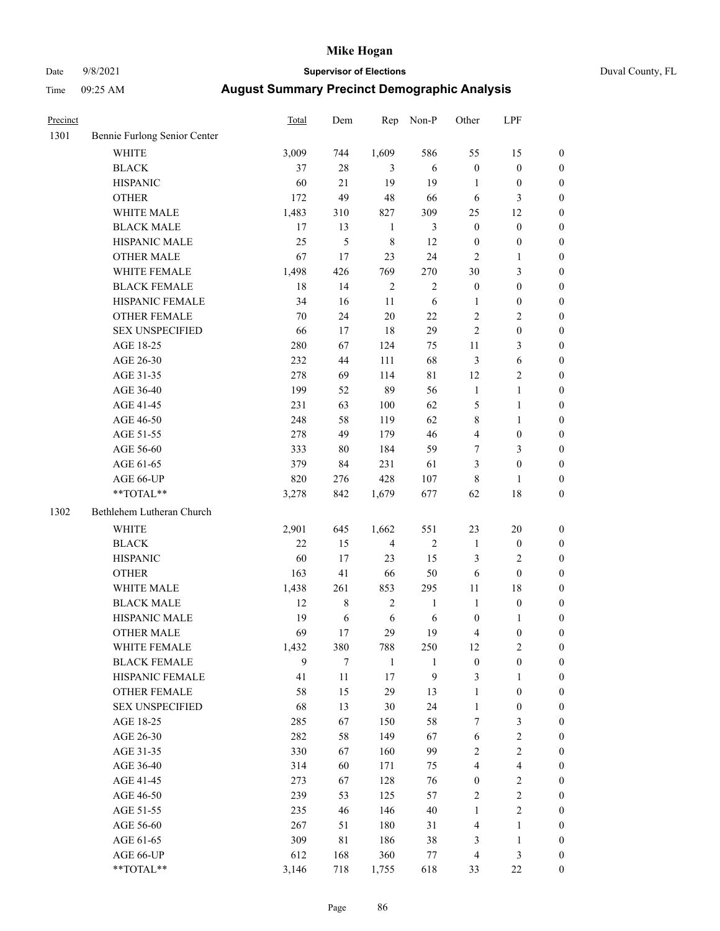# Date 9/8/2021 **Supervisor of Elections** Duval County, FL

| Precinct |                              | <b>Total</b> | Dem            | Rep            | Non-P        | Other                   | LPF              |                  |
|----------|------------------------------|--------------|----------------|----------------|--------------|-------------------------|------------------|------------------|
| 1301     | Bennie Furlong Senior Center |              |                |                |              |                         |                  |                  |
|          | <b>WHITE</b>                 | 3,009        | 744            | 1,609          | 586          | 55                      | 15               | 0                |
|          | <b>BLACK</b>                 | 37           | $28\,$         | 3              | 6            | $\boldsymbol{0}$        | $\boldsymbol{0}$ | 0                |
|          | <b>HISPANIC</b>              | 60           | 21             | 19             | 19           | $\mathbf{1}$            | $\boldsymbol{0}$ | $\boldsymbol{0}$ |
|          | <b>OTHER</b>                 | 172          | 49             | 48             | 66           | 6                       | 3                | $\boldsymbol{0}$ |
|          | WHITE MALE                   | 1,483        | 310            | 827            | 309          | 25                      | 12               | $\boldsymbol{0}$ |
|          | <b>BLACK MALE</b>            | 17           | 13             | $\mathbf{1}$   | 3            | $\boldsymbol{0}$        | $\boldsymbol{0}$ | $\boldsymbol{0}$ |
|          | HISPANIC MALE                | 25           | $\mathfrak{S}$ | $\,$ 8 $\,$    | 12           | $\boldsymbol{0}$        | $\boldsymbol{0}$ | $\boldsymbol{0}$ |
|          | <b>OTHER MALE</b>            | 67           | 17             | 23             | 24           | $\overline{c}$          | $\mathbf{1}$     | $\boldsymbol{0}$ |
|          | WHITE FEMALE                 | 1,498        | 426            | 769            | 270          | 30                      | $\mathfrak{Z}$   | $\boldsymbol{0}$ |
|          | <b>BLACK FEMALE</b>          | $18\,$       | 14             | $\sqrt{2}$     | $\sqrt{2}$   | $\boldsymbol{0}$        | $\boldsymbol{0}$ | $\boldsymbol{0}$ |
|          | HISPANIC FEMALE              | 34           | 16             | 11             | 6            | 1                       | $\boldsymbol{0}$ | $\boldsymbol{0}$ |
|          | <b>OTHER FEMALE</b>          | 70           | 24             | $20\,$         | 22           | $\overline{c}$          | $\sqrt{2}$       | $\boldsymbol{0}$ |
|          | <b>SEX UNSPECIFIED</b>       | 66           | 17             | 18             | 29           | $\overline{c}$          | $\boldsymbol{0}$ | $\boldsymbol{0}$ |
|          | AGE 18-25                    | 280          | 67             | 124            | 75           | $11\,$                  | $\mathfrak{Z}$   | $\boldsymbol{0}$ |
|          | AGE 26-30                    | 232          | 44             | 111            | 68           | 3                       | 6                | $\boldsymbol{0}$ |
|          | AGE 31-35                    | 278          | 69             | 114            | $8\sqrt{1}$  | 12                      | $\sqrt{2}$       | $\boldsymbol{0}$ |
|          | AGE 36-40                    | 199          | 52             | 89             | 56           | $\mathbf{1}$            | $\mathbf{1}$     | $\boldsymbol{0}$ |
|          | AGE 41-45                    | 231          | 63             | 100            | 62           | 5                       | $\mathbf{1}$     | $\boldsymbol{0}$ |
|          | AGE 46-50                    | 248          | 58             | 119            | 62           | 8                       | $\mathbf{1}$     | $\boldsymbol{0}$ |
|          | AGE 51-55                    | 278          | 49             | 179            | 46           | $\overline{\mathbf{4}}$ | $\boldsymbol{0}$ | $\boldsymbol{0}$ |
|          | AGE 56-60                    | 333          | 80             | 184            | 59           | 7                       | $\mathfrak{Z}$   | 0                |
|          | AGE 61-65                    | 379          | 84             | 231            | 61           | 3                       | $\boldsymbol{0}$ | $\boldsymbol{0}$ |
|          | AGE 66-UP                    | 820          | 276            | 428            | 107          | 8                       | $\mathbf{1}$     | $\boldsymbol{0}$ |
|          | $**TOTAL**$                  | 3,278        | 842            | 1,679          | 677          | 62                      | 18               | $\boldsymbol{0}$ |
| 1302     | Bethlehem Lutheran Church    |              |                |                |              |                         |                  |                  |
|          | <b>WHITE</b>                 | 2,901        | 645            | 1,662          | 551          | 23                      | 20               | $\boldsymbol{0}$ |
|          | <b>BLACK</b>                 | 22           | 15             | $\overline{4}$ | $\sqrt{2}$   | $\mathbf{1}$            | $\boldsymbol{0}$ | $\boldsymbol{0}$ |
|          | <b>HISPANIC</b>              | 60           | $17\,$         | 23             | 15           | 3                       | $\mathfrak{2}$   | $\boldsymbol{0}$ |
|          | <b>OTHER</b>                 | 163          | 41             | 66             | 50           | 6                       | $\boldsymbol{0}$ | $\boldsymbol{0}$ |
|          | WHITE MALE                   | 1,438        | 261            | 853            | 295          | $11\,$                  | 18               | $\boldsymbol{0}$ |
|          | <b>BLACK MALE</b>            | 12           | $\,8\,$        | $\sqrt{2}$     | $\mathbf{1}$ | $\mathbf{1}$            | $\boldsymbol{0}$ | $\boldsymbol{0}$ |
|          | HISPANIC MALE                | 19           | 6              | $\sqrt{6}$     | 6            | $\boldsymbol{0}$        | 1                | 0                |
|          | <b>OTHER MALE</b>            | 69           | 17             | 29             | 19           | 4                       | $\boldsymbol{0}$ | $\boldsymbol{0}$ |
|          | WHITE FEMALE                 | 1,432        | 380            | 788            | 250          | 12                      | $\overline{c}$   | 0                |
|          | <b>BLACK FEMALE</b>          | 9            | $\tau$         | $\mathbf{1}$   | 1            | $\boldsymbol{0}$        | $\boldsymbol{0}$ | $\overline{0}$   |
|          | HISPANIC FEMALE              | 41           | $11\,$         | $17\,$         | 9            | 3                       | $\mathbf{1}$     | $\overline{0}$   |
|          | OTHER FEMALE                 | 58           | 15             | 29             | 13           | 1                       | $\boldsymbol{0}$ | 0                |
|          | <b>SEX UNSPECIFIED</b>       | 68           | 13             | 30             | 24           | $\mathbf{1}$            | $\boldsymbol{0}$ | 0                |
|          | AGE 18-25                    | 285          | 67             | 150            | 58           | 7                       | 3                | 0                |
|          | AGE 26-30                    | 282          | 58             | 149            | 67           | 6                       | $\sqrt{2}$       | 0                |
|          | AGE 31-35                    | 330          | 67             | 160            | 99           | $\mathbf{2}$            | $\sqrt{2}$       | 0                |
|          | AGE 36-40                    | 314          | 60             | 171            | 75           | 4                       | $\overline{4}$   | 0                |
|          | AGE 41-45                    | 273          | 67             | 128            | 76           | $\boldsymbol{0}$        | $\sqrt{2}$       | 0                |
|          | AGE 46-50                    | 239          | 53             | 125            | 57           | $\overline{c}$          | $\sqrt{2}$       | 0                |
|          | AGE 51-55                    | 235          | 46             | 146            | 40           | $\mathbf{1}$            | $\mathbf{2}$     | 0                |
|          | AGE 56-60                    | 267          | 51             | 180            | 31           | 4                       | $\mathbf{1}$     | $\overline{0}$   |
|          | AGE 61-65                    | 309          | $8\sqrt{1}$    | 186            | 38           | 3                       | $\mathbf{1}$     | $\overline{0}$   |
|          | AGE 66-UP                    | 612          | 168            | 360            | $77 \,$      | 4                       | $\mathfrak{Z}$   | 0                |
|          | **TOTAL**                    | 3,146        | 718            | 1,755          | 618          | 33                      | $22\,$           | $\boldsymbol{0}$ |
|          |                              |              |                |                |              |                         |                  |                  |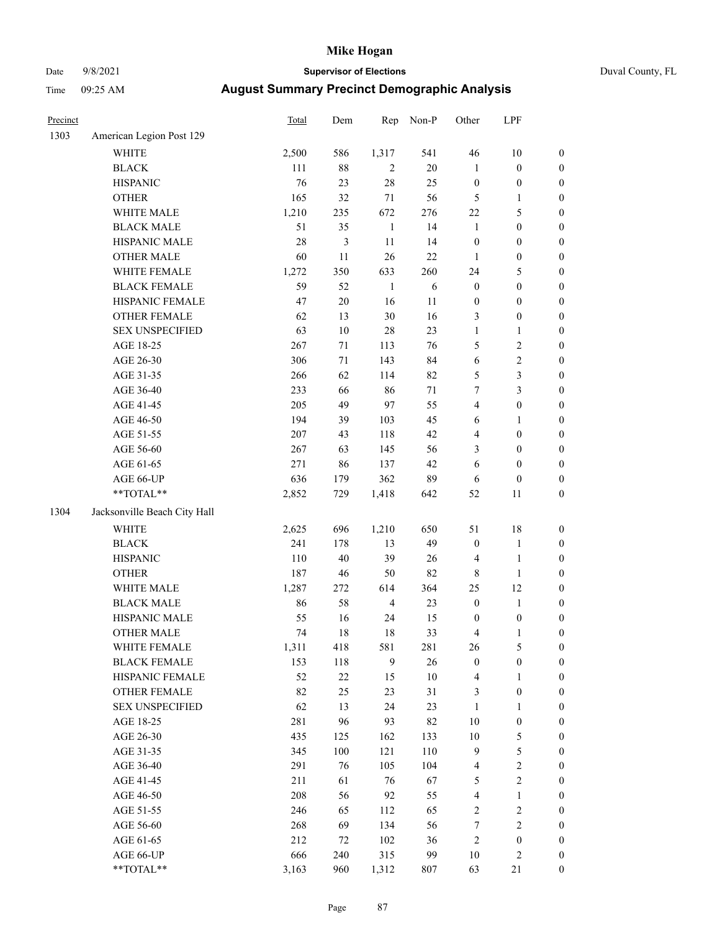# Date 9/8/2021 **Supervisor of Elections** Duval County, FL

| Precinct |                              | <b>Total</b> | Dem            | Rep            | Non-P      | Other            | LPF              |                  |
|----------|------------------------------|--------------|----------------|----------------|------------|------------------|------------------|------------------|
| 1303     | American Legion Post 129     |              |                |                |            |                  |                  |                  |
|          | <b>WHITE</b>                 | 2,500        | 586            | 1,317          | 541        | 46               | 10               | 0                |
|          | <b>BLACK</b>                 | 111          | $88\,$         | 2              | $20\,$     | $\mathbf{1}$     | $\boldsymbol{0}$ | $\boldsymbol{0}$ |
|          | <b>HISPANIC</b>              | 76           | 23             | $28\,$         | 25         | $\boldsymbol{0}$ | $\boldsymbol{0}$ | $\boldsymbol{0}$ |
|          | <b>OTHER</b>                 | 165          | 32             | 71             | 56         | 5                | 1                | $\boldsymbol{0}$ |
|          | WHITE MALE                   | 1,210        | 235            | 672            | 276        | $22\,$           | $\mathfrak s$    | $\boldsymbol{0}$ |
|          | <b>BLACK MALE</b>            | 51           | 35             | $\mathbf{1}$   | 14         | $\mathbf{1}$     | $\boldsymbol{0}$ | $\boldsymbol{0}$ |
|          | HISPANIC MALE                | $28\,$       | $\mathfrak{Z}$ | $11\,$         | 14         | $\boldsymbol{0}$ | $\boldsymbol{0}$ | $\boldsymbol{0}$ |
|          | <b>OTHER MALE</b>            | 60           | 11             | 26             | $22\,$     | 1                | $\boldsymbol{0}$ | $\boldsymbol{0}$ |
|          | WHITE FEMALE                 | 1,272        | 350            | 633            | 260        | 24               | $\mathfrak s$    | $\boldsymbol{0}$ |
|          | <b>BLACK FEMALE</b>          | 59           | 52             | $\mathbf{1}$   | $\sqrt{6}$ | $\boldsymbol{0}$ | $\boldsymbol{0}$ | $\boldsymbol{0}$ |
|          | HISPANIC FEMALE              | 47           | $20\,$         | 16             | 11         | $\boldsymbol{0}$ | $\boldsymbol{0}$ | 0                |
|          | <b>OTHER FEMALE</b>          | 62           | 13             | 30             | 16         | 3                | $\boldsymbol{0}$ | $\boldsymbol{0}$ |
|          | <b>SEX UNSPECIFIED</b>       | 63           | $10\,$         | 28             | 23         | $\mathbf{1}$     | $\mathbf{1}$     | $\boldsymbol{0}$ |
|          | AGE 18-25                    | 267          | $71\,$         | 113            | 76         | 5                | $\sqrt{2}$       | $\boldsymbol{0}$ |
|          | AGE 26-30                    | 306          | $71\,$         | 143            | 84         | 6                | $\sqrt{2}$       | $\boldsymbol{0}$ |
|          | AGE 31-35                    | 266          | 62             | 114            | 82         | 5                | 3                | $\boldsymbol{0}$ |
|          | AGE 36-40                    | 233          | 66             | 86             | 71         | $\boldsymbol{7}$ | 3                | $\boldsymbol{0}$ |
|          | AGE 41-45                    | 205          | 49             | 97             | 55         | 4                | $\boldsymbol{0}$ | $\boldsymbol{0}$ |
|          | AGE 46-50                    | 194          | 39             | 103            | 45         | 6                | 1                | $\boldsymbol{0}$ |
|          | AGE 51-55                    | $207\,$      | 43             | 118            | 42         | 4                | $\boldsymbol{0}$ | $\boldsymbol{0}$ |
|          | AGE 56-60                    | 267          | 63             | 145            | 56         | 3                | $\boldsymbol{0}$ | 0                |
|          | AGE 61-65                    | 271          | 86             | 137            | 42         | 6                | $\boldsymbol{0}$ | $\boldsymbol{0}$ |
|          | AGE 66-UP                    | 636          | 179            | 362            | 89         | 6                | $\boldsymbol{0}$ | $\boldsymbol{0}$ |
|          | $**TOTAL**$                  | 2,852        | 729            | 1,418          | 642        | 52               | 11               | $\boldsymbol{0}$ |
| 1304     | Jacksonville Beach City Hall |              |                |                |            |                  |                  |                  |
|          | <b>WHITE</b>                 | 2,625        | 696            | 1,210          | 650        | 51               | 18               | $\boldsymbol{0}$ |
|          | <b>BLACK</b>                 | 241          | 178            | 13             | 49         | $\boldsymbol{0}$ | $\mathbf{1}$     | $\boldsymbol{0}$ |
|          | <b>HISPANIC</b>              | 110          | $40\,$         | 39             | 26         | 4                | $\mathbf{1}$     | $\boldsymbol{0}$ |
|          | <b>OTHER</b>                 | 187          | 46             | 50             | 82         | 8                | $\mathbf{1}$     | $\boldsymbol{0}$ |
|          | WHITE MALE                   | 1,287        | 272            | 614            | 364        | 25               | 12               | $\boldsymbol{0}$ |
|          | <b>BLACK MALE</b>            | 86           | 58             | $\overline{4}$ | 23         | $\boldsymbol{0}$ | $\mathbf{1}$     | $\boldsymbol{0}$ |
|          | HISPANIC MALE                | 55           | 16             | 24             | 15         | 0                | $\boldsymbol{0}$ | 0                |
|          | <b>OTHER MALE</b>            | 74           | 18             | 18             | 33         | 4                | $\mathbf{1}$     | $\boldsymbol{0}$ |
|          | WHITE FEMALE                 | 1,311        | 418            | 581            | 281        | 26               | 5                | 0                |
|          | <b>BLACK FEMALE</b>          | 153          | 118            | 9              | 26         | $\boldsymbol{0}$ | $\boldsymbol{0}$ | $\overline{0}$   |
|          | HISPANIC FEMALE              | 52           | $22\,$         | 15             | $10\,$     | 4                | 1                | $\overline{0}$   |
|          | <b>OTHER FEMALE</b>          | 82           | 25             | 23             | 31         | 3                | $\boldsymbol{0}$ | $\overline{0}$   |
|          | <b>SEX UNSPECIFIED</b>       | 62           | 13             | 24             | 23         | $\mathbf{1}$     | $\mathbf{1}$     | 0                |
|          | AGE 18-25                    | 281          | 96             | 93             | 82         | $10\,$           | $\boldsymbol{0}$ | 0                |
|          | AGE 26-30                    | 435          | 125            | 162            | 133        | $10\,$           | $\mathfrak s$    | 0                |
|          | AGE 31-35                    | 345          | $100\,$        | 121            | 110        | 9                | 5                | 0                |
|          | AGE 36-40                    | 291          | 76             | 105            | 104        | 4                | $\sqrt{2}$       | 0                |
|          | AGE 41-45                    | 211          | 61             | 76             | 67         | 5                | $\sqrt{2}$       | 0                |
|          | AGE 46-50                    | 208          | 56             | 92             | 55         | 4                | $\mathbf{1}$     | 0                |
|          | AGE 51-55                    | 246          | 65             | 112            | 65         | 2                | $\sqrt{2}$       | 0                |
|          | AGE 56-60                    | 268          | 69             | 134            | 56         | 7                | $\sqrt{2}$       | $\overline{0}$   |
|          | AGE 61-65                    | 212          | 72             | 102            | 36         | 2                | $\boldsymbol{0}$ | $\overline{0}$   |
|          | AGE 66-UP                    | 666          | 240            | 315            | 99         | 10               | $\mathfrak{2}$   | 0                |
|          | **TOTAL**                    | 3,163        | 960            | 1,312          | 807        | 63               | 21               | $\boldsymbol{0}$ |
|          |                              |              |                |                |            |                  |                  |                  |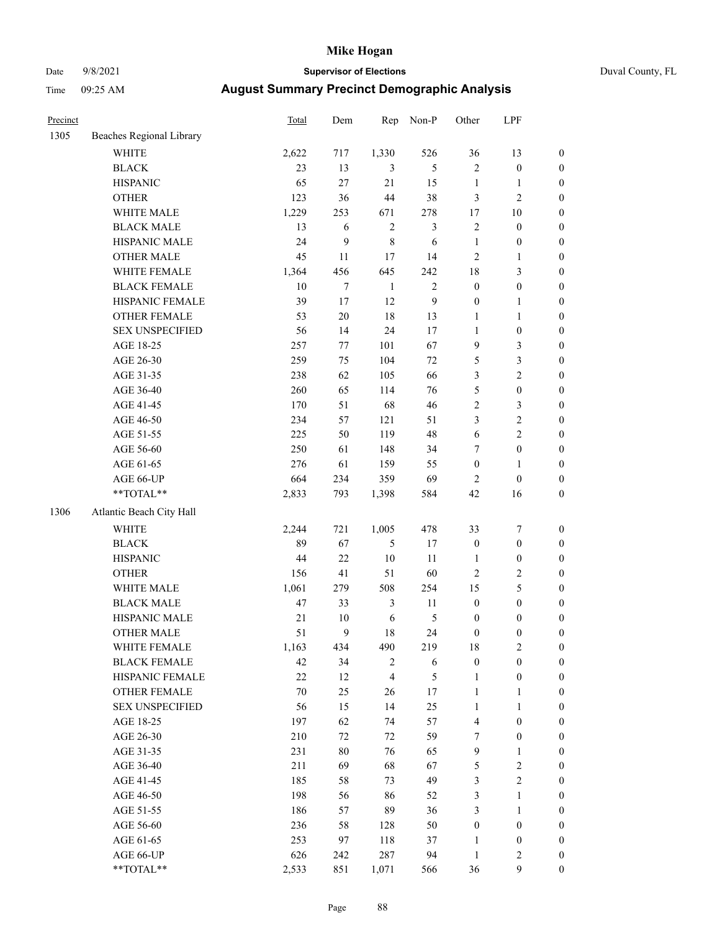# Date 9/8/2021 **Supervisor of Elections** Duval County, FL

| Precinct |                          | Total  | Dem     | Rep            | Non-P          | Other            | LPF              |                  |
|----------|--------------------------|--------|---------|----------------|----------------|------------------|------------------|------------------|
| 1305     | Beaches Regional Library |        |         |                |                |                  |                  |                  |
|          | <b>WHITE</b>             | 2,622  | 717     | 1,330          | 526            | 36               | 13               | 0                |
|          | <b>BLACK</b>             | 23     | 13      | 3              | 5              | $\mathbf{2}$     | $\boldsymbol{0}$ | $\boldsymbol{0}$ |
|          | <b>HISPANIC</b>          | 65     | 27      | 21             | 15             | $\mathbf{1}$     | $\mathbf{1}$     | $\boldsymbol{0}$ |
|          | <b>OTHER</b>             | 123    | 36      | 44             | 38             | 3                | $\mathbf{2}$     | $\boldsymbol{0}$ |
|          | WHITE MALE               | 1,229  | 253     | 671            | 278            | 17               | $10\,$           | $\boldsymbol{0}$ |
|          | <b>BLACK MALE</b>        | 13     | 6       | $\sqrt{2}$     | $\mathfrak{Z}$ | $\overline{c}$   | $\boldsymbol{0}$ | $\boldsymbol{0}$ |
|          | HISPANIC MALE            | 24     | 9       | $\,8\,$        | 6              | $\mathbf{1}$     | $\boldsymbol{0}$ | $\boldsymbol{0}$ |
|          | OTHER MALE               | 45     | 11      | 17             | 14             | $\mathbf{2}$     | $\mathbf{1}$     | $\boldsymbol{0}$ |
|          | WHITE FEMALE             | 1,364  | 456     | 645            | 242            | 18               | $\mathfrak{Z}$   | $\boldsymbol{0}$ |
|          | <b>BLACK FEMALE</b>      | $10\,$ | $\tau$  | $\mathbf{1}$   | $\sqrt{2}$     | $\boldsymbol{0}$ | $\boldsymbol{0}$ | 0                |
|          | HISPANIC FEMALE          | 39     | 17      | 12             | $\mathbf{9}$   | $\boldsymbol{0}$ | $\mathbf{1}$     | 0                |
|          | <b>OTHER FEMALE</b>      | 53     | $20\,$  | 18             | 13             | $\mathbf{1}$     | $\mathbf{1}$     | $\boldsymbol{0}$ |
|          | <b>SEX UNSPECIFIED</b>   | 56     | 14      | 24             | 17             | $\mathbf{1}$     | $\boldsymbol{0}$ | $\boldsymbol{0}$ |
|          | AGE 18-25                | 257    | $77 \,$ | 101            | 67             | 9                | $\mathfrak{Z}$   | $\boldsymbol{0}$ |
|          | AGE 26-30                | 259    | 75      | 104            | $72\,$         | 5                | $\mathfrak{Z}$   | $\boldsymbol{0}$ |
|          | AGE 31-35                | 238    | 62      | 105            | 66             | 3                | $\sqrt{2}$       | $\boldsymbol{0}$ |
|          | AGE 36-40                | 260    | 65      | 114            | 76             | 5                | $\boldsymbol{0}$ | $\boldsymbol{0}$ |
|          | AGE 41-45                | 170    | 51      | 68             | 46             | 2                | $\mathfrak{Z}$   | $\boldsymbol{0}$ |
|          | AGE 46-50                | 234    | 57      | 121            | 51             | 3                | $\sqrt{2}$       | $\boldsymbol{0}$ |
|          | AGE 51-55                | 225    | 50      | 119            | 48             | $\sqrt{6}$       | $\sqrt{2}$       | $\boldsymbol{0}$ |
|          | AGE 56-60                | 250    | 61      | 148            | 34             | 7                | $\boldsymbol{0}$ | 0                |
|          | AGE 61-65                | 276    | 61      | 159            | 55             | $\boldsymbol{0}$ | $\mathbf{1}$     | 0                |
|          | AGE 66-UP                | 664    | 234     | 359            | 69             | $\overline{2}$   | $\boldsymbol{0}$ | $\boldsymbol{0}$ |
|          | **TOTAL**                | 2,833  | 793     | 1,398          | 584            | 42               | 16               | $\boldsymbol{0}$ |
| 1306     | Atlantic Beach City Hall |        |         |                |                |                  |                  |                  |
|          | WHITE                    | 2,244  | 721     | 1,005          | 478            | 33               | $\boldsymbol{7}$ | $\boldsymbol{0}$ |
|          | <b>BLACK</b>             | 89     | 67      | 5              | 17             | $\boldsymbol{0}$ | $\boldsymbol{0}$ | $\boldsymbol{0}$ |
|          | <b>HISPANIC</b>          | 44     | 22      | 10             | 11             | $\mathbf{1}$     | $\boldsymbol{0}$ | $\boldsymbol{0}$ |
|          | <b>OTHER</b>             | 156    | 41      | 51             | 60             | $\mathbf{2}$     | $\sqrt{2}$       | $\boldsymbol{0}$ |
|          | WHITE MALE               | 1,061  | 279     | 508            | 254            | 15               | $\mathfrak{S}$   | $\boldsymbol{0}$ |
|          | <b>BLACK MALE</b>        | 47     | 33      | $\mathfrak{Z}$ | 11             | $\boldsymbol{0}$ | $\boldsymbol{0}$ | $\boldsymbol{0}$ |
|          | HISPANIC MALE            | $21\,$ | $10\,$  | $\sqrt{6}$     | $\mathfrak{S}$ | $\boldsymbol{0}$ | $\boldsymbol{0}$ | $\boldsymbol{0}$ |
|          | OTHER MALE               | 51     | 9       | 18             | 24             | $\boldsymbol{0}$ | $\boldsymbol{0}$ | $\boldsymbol{0}$ |
|          | WHITE FEMALE             | 1,163  | 434     | 490            | 219            | 18               | 2                | 0                |
|          | <b>BLACK FEMALE</b>      | 42     | 34      | $\overline{c}$ | 6              | $\boldsymbol{0}$ | $\boldsymbol{0}$ | $\overline{0}$   |
|          | HISPANIC FEMALE          | 22     | 12      | $\overline{4}$ | $\mathfrak{S}$ | $\mathbf{1}$     | $\boldsymbol{0}$ | $\overline{0}$   |
|          | OTHER FEMALE             | 70     | 25      | 26             | 17             | $\mathbf{1}$     | $\mathbf{1}$     | $\overline{0}$   |
|          | <b>SEX UNSPECIFIED</b>   | 56     | 15      | 14             | 25             | $\mathbf{1}$     | $\mathbf{1}$     | 0                |
|          | AGE 18-25                | 197    | 62      | 74             | 57             | 4                | $\boldsymbol{0}$ | 0                |
|          | AGE 26-30                | 210    | 72      | $72\,$         | 59             | 7                | $\boldsymbol{0}$ | 0                |
|          | AGE 31-35                | 231    | $80\,$  | 76             | 65             | $\mathbf{9}$     | $\mathbf{1}$     | 0                |
|          | AGE 36-40                | 211    | 69      | 68             | 67             | 5                | $\sqrt{2}$       | 0                |
|          | AGE 41-45                | 185    | 58      | 73             | 49             | 3                | $\overline{2}$   | 0                |
|          | AGE 46-50                | 198    | 56      | 86             | 52             | 3                | $\mathbf{1}$     | 0                |
|          | AGE 51-55                | 186    | 57      | 89             | 36             | 3                | $\mathbf{1}$     | 0                |
|          | AGE 56-60                | 236    | 58      | 128            | 50             | $\boldsymbol{0}$ | $\boldsymbol{0}$ | 0                |
|          | AGE 61-65                | 253    | 97      | 118            | 37             | 1                | $\boldsymbol{0}$ | 0                |
|          | AGE 66-UP                | 626    | 242     | 287            | 94             | $\mathbf{1}$     | $\mathbf{2}$     | 0                |
|          | **TOTAL**                | 2,533  | 851     | 1,071          | 566            | 36               | $\mathbf{9}$     | $\boldsymbol{0}$ |
|          |                          |        |         |                |                |                  |                  |                  |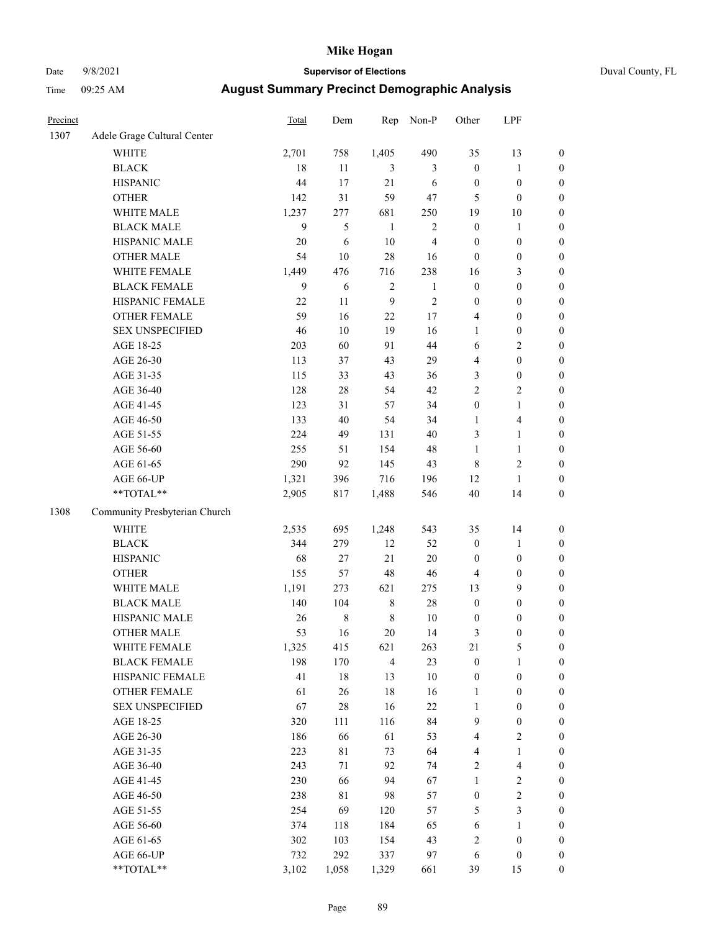# Date 9/8/2021 **Supervisor of Elections** Duval County, FL

| Precinct |                               | <b>Total</b> | Dem            | Rep              | Non-P          | Other                   | LPF              |                  |
|----------|-------------------------------|--------------|----------------|------------------|----------------|-------------------------|------------------|------------------|
| 1307     | Adele Grage Cultural Center   |              |                |                  |                |                         |                  |                  |
|          | <b>WHITE</b>                  | 2,701        | 758            | 1,405            | 490            | 35                      | 13               | 0                |
|          | <b>BLACK</b>                  | 18           | 11             | 3                | 3              | $\boldsymbol{0}$        | $\mathbf{1}$     | 0                |
|          | <b>HISPANIC</b>               | 44           | 17             | 21               | 6              | $\boldsymbol{0}$        | $\boldsymbol{0}$ | $\boldsymbol{0}$ |
|          | <b>OTHER</b>                  | 142          | 31             | 59               | 47             | 5                       | $\boldsymbol{0}$ | $\boldsymbol{0}$ |
|          | WHITE MALE                    | 1,237        | 277            | 681              | 250            | 19                      | 10               | $\boldsymbol{0}$ |
|          | <b>BLACK MALE</b>             | 9            | $\mathfrak{H}$ | $\mathbf{1}$     | $\overline{c}$ | $\boldsymbol{0}$        | 1                | $\boldsymbol{0}$ |
|          | HISPANIC MALE                 | 20           | 6              | $10\,$           | $\overline{4}$ | $\boldsymbol{0}$        | $\boldsymbol{0}$ | $\boldsymbol{0}$ |
|          | <b>OTHER MALE</b>             | 54           | 10             | 28               | 16             | $\boldsymbol{0}$        | $\boldsymbol{0}$ | $\boldsymbol{0}$ |
|          | WHITE FEMALE                  | 1,449        | 476            | 716              | 238            | 16                      | $\mathfrak{Z}$   | $\boldsymbol{0}$ |
|          | <b>BLACK FEMALE</b>           | 9            | 6              | $\sqrt{2}$       | $\mathbf{1}$   | $\boldsymbol{0}$        | $\boldsymbol{0}$ | $\boldsymbol{0}$ |
|          | HISPANIC FEMALE               | 22           | 11             | $\boldsymbol{9}$ | $\sqrt{2}$     | 0                       | $\boldsymbol{0}$ | $\boldsymbol{0}$ |
|          | <b>OTHER FEMALE</b>           | 59           | 16             | 22               | $17\,$         | 4                       | $\boldsymbol{0}$ | $\boldsymbol{0}$ |
|          | <b>SEX UNSPECIFIED</b>        | 46           | 10             | 19               | 16             | $\mathbf{1}$            | $\boldsymbol{0}$ | $\boldsymbol{0}$ |
|          | AGE 18-25                     | 203          | 60             | 91               | 44             | 6                       | $\sqrt{2}$       | $\boldsymbol{0}$ |
|          | AGE 26-30                     | 113          | 37             | 43               | 29             | 4                       | $\boldsymbol{0}$ | $\boldsymbol{0}$ |
|          | AGE 31-35                     | 115          | 33             | 43               | 36             | 3                       | $\boldsymbol{0}$ | $\boldsymbol{0}$ |
|          | AGE 36-40                     | 128          | $28\,$         | 54               | 42             | $\overline{c}$          | $\sqrt{2}$       | $\boldsymbol{0}$ |
|          | AGE 41-45                     | 123          | 31             | 57               | 34             | $\boldsymbol{0}$        | $\mathbf{1}$     | $\boldsymbol{0}$ |
|          | AGE 46-50                     | 133          | 40             | 54               | 34             | 1                       | $\overline{4}$   | $\boldsymbol{0}$ |
|          | AGE 51-55                     | 224          | 49             | 131              | 40             | 3                       | $\mathbf{1}$     | $\boldsymbol{0}$ |
|          | AGE 56-60                     | 255          | 51             | 154              | 48             | $\mathbf{1}$            | $\mathbf{1}$     | 0                |
|          | AGE 61-65                     | 290          | 92             | 145              | 43             | 8                       | $\sqrt{2}$       | $\boldsymbol{0}$ |
|          | AGE 66-UP                     | 1,321        | 396            | 716              | 196            | 12                      | $\mathbf{1}$     | $\boldsymbol{0}$ |
|          | $**TOTAL**$                   | 2,905        | 817            | 1,488            | 546            | 40                      | 14               | $\boldsymbol{0}$ |
| 1308     | Community Presbyterian Church |              |                |                  |                |                         |                  |                  |
|          | <b>WHITE</b>                  | 2,535        | 695            | 1,248            | 543            | 35                      | 14               | $\boldsymbol{0}$ |
|          | <b>BLACK</b>                  | 344          | 279            | 12               | 52             | $\boldsymbol{0}$        | $\mathbf{1}$     | $\boldsymbol{0}$ |
|          | <b>HISPANIC</b>               | 68           | 27             | 21               | 20             | $\boldsymbol{0}$        | $\boldsymbol{0}$ | $\boldsymbol{0}$ |
|          | <b>OTHER</b>                  | 155          | 57             | 48               | 46             | 4                       | $\boldsymbol{0}$ | $\boldsymbol{0}$ |
|          | WHITE MALE                    | 1,191        | 273            | 621              | 275            | 13                      | 9                | $\boldsymbol{0}$ |
|          | <b>BLACK MALE</b>             | 140          | 104            | $\,$ 8 $\,$      | $28\,$         | $\boldsymbol{0}$        | $\boldsymbol{0}$ | $\boldsymbol{0}$ |
|          | HISPANIC MALE                 | 26           | $\,$ 8 $\,$    | $\,8\,$          | $10\,$         | $\boldsymbol{0}$        | $\boldsymbol{0}$ | $\boldsymbol{0}$ |
|          | <b>OTHER MALE</b>             | 53           | 16             | $20\,$           | 14             | 3                       | $\boldsymbol{0}$ | $\boldsymbol{0}$ |
|          | WHITE FEMALE                  | 1,325        | 415            | 621              | 263            | 21                      | 5                | 0                |
|          | <b>BLACK FEMALE</b>           | 198          | 170            | $\overline{4}$   | 23             | $\boldsymbol{0}$        | $\mathbf{1}$     | $\boldsymbol{0}$ |
|          | HISPANIC FEMALE               | 41           | $18\,$         | 13               | 10             | $\boldsymbol{0}$        | $\boldsymbol{0}$ | $\overline{0}$   |
|          | OTHER FEMALE                  | 61           | 26             | 18               | 16             | 1                       | $\boldsymbol{0}$ | 0                |
|          | <b>SEX UNSPECIFIED</b>        | 67           | $28\,$         | 16               | $22\,$         | 1                       | $\boldsymbol{0}$ | 0                |
|          | AGE 18-25                     | 320          | 111            | 116              | 84             | 9                       | $\boldsymbol{0}$ | 0                |
|          | AGE 26-30                     | 186          | 66             | 61               | 53             | 4                       | $\mathbf{2}$     | 0                |
|          | AGE 31-35                     | 223          | 81             | 73               | 64             | 4                       | $\mathbf{1}$     | 0                |
|          | AGE 36-40                     | 243          | 71             | 92               | 74             | 2                       | $\overline{4}$   | 0                |
|          | AGE 41-45                     | 230          | 66             | 94               | 67             | 1                       | $\sqrt{2}$       | 0                |
|          | AGE 46-50                     | 238          | $8\sqrt{1}$    | 98               | 57             | $\boldsymbol{0}$        | $\sqrt{2}$       | 0                |
|          | AGE 51-55                     | 254          | 69             | 120              | 57             | 5                       | 3                | 0                |
|          | AGE 56-60                     | 374          | 118            | 184              | 65             | 6                       | 1                | 0                |
|          | AGE 61-65                     | 302          | 103            | 154              | 43             | $\overline{\mathbf{c}}$ | $\boldsymbol{0}$ | 0                |
|          | AGE 66-UP                     | 732          | 292            | 337              | 97             | 6                       | $\boldsymbol{0}$ | 0                |
|          | **TOTAL**                     | 3,102        | 1,058          | 1,329            | 661            | 39                      | 15               | $\boldsymbol{0}$ |
|          |                               |              |                |                  |                |                         |                  |                  |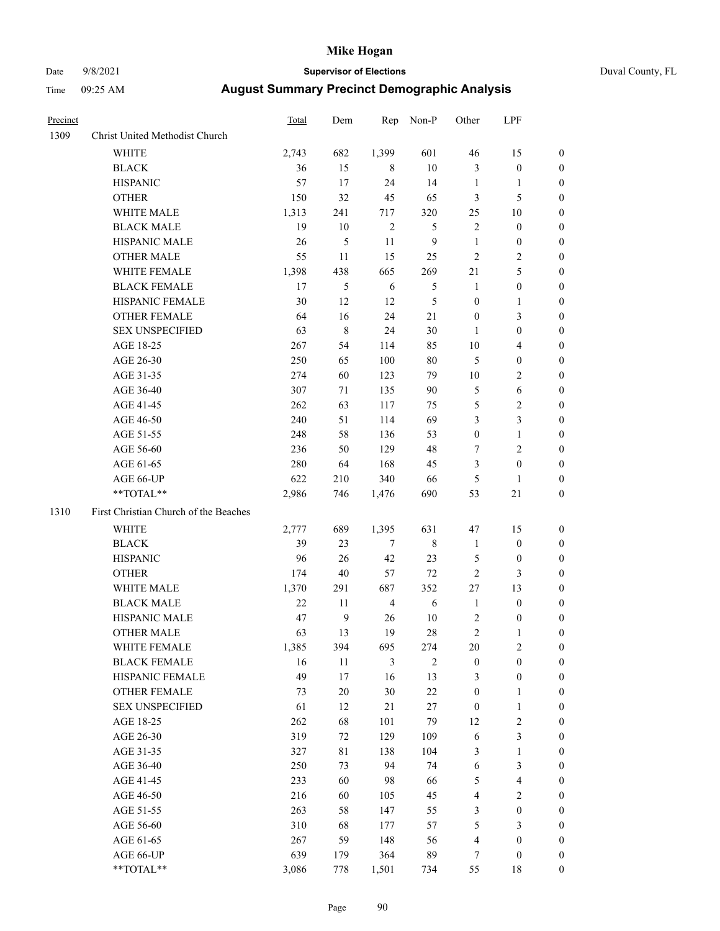# Date 9/8/2021 **Supervisor of Elections** Duval County, FL

| Precinct |                                                            | Total | Dem              | Rep            | Non-P          | Other            | LPF              |                  |
|----------|------------------------------------------------------------|-------|------------------|----------------|----------------|------------------|------------------|------------------|
| 1309     | Christ United Methodist Church                             |       |                  |                |                |                  |                  |                  |
|          | <b>WHITE</b>                                               | 2,743 | 682              | 1,399          | 601            | 46               | 15               | 0                |
|          | <b>BLACK</b>                                               | 36    | 15               | 8              | 10             | 3                | $\boldsymbol{0}$ | 0                |
|          | <b>HISPANIC</b>                                            | 57    | 17               | 24             | 14             | $\mathbf{1}$     | $\mathbf{1}$     | 0                |
|          | <b>OTHER</b>                                               | 150   | 32               | 45             | 65             | 3                | 5                | $\boldsymbol{0}$ |
|          | WHITE MALE                                                 | 1,313 | 241              | 717            | 320            | 25               | 10               | $\boldsymbol{0}$ |
|          | <b>BLACK MALE</b>                                          | 19    | 10               | $\sqrt{2}$     | 5              | $\overline{c}$   | $\boldsymbol{0}$ | 0                |
|          | HISPANIC MALE                                              | 26    | $\mathfrak s$    | 11             | $\mathbf{9}$   | $\mathbf{1}$     | $\boldsymbol{0}$ | $\boldsymbol{0}$ |
|          | <b>OTHER MALE</b>                                          | 55    | 11               | 15             | 25             | $\mathfrak{2}$   | $\mathbf{2}$     | $\boldsymbol{0}$ |
|          | WHITE FEMALE                                               | 1,398 | 438              | 665            | 269            | 21               | 5                | 0                |
|          | <b>BLACK FEMALE</b>                                        | 17    | 5                | 6              | 5              | $\mathbf{1}$     | $\boldsymbol{0}$ | 0                |
|          | HISPANIC FEMALE                                            | 30    | 12               | 12             | 5              | $\boldsymbol{0}$ | 1                | 0                |
|          | OTHER FEMALE                                               | 64    | 16               | 24             | $21\,$         | $\boldsymbol{0}$ | $\mathfrak{Z}$   | 0                |
|          | <b>SEX UNSPECIFIED</b>                                     | 63    | $\,$ 8 $\,$      | 24             | 30             | $\mathbf{1}$     | $\boldsymbol{0}$ | $\boldsymbol{0}$ |
|          | AGE 18-25                                                  | 267   | 54               | 114            | 85             | $10\,$           | $\overline{4}$   | $\boldsymbol{0}$ |
|          | AGE 26-30                                                  | 250   | 65               | 100            | 80             | 5                | $\boldsymbol{0}$ | $\boldsymbol{0}$ |
|          | AGE 31-35                                                  | 274   | 60               | 123            | 79             | 10               | $\sqrt{2}$       | $\boldsymbol{0}$ |
|          | AGE 36-40                                                  | 307   | 71               | 135            | 90             | 5                | 6                | $\boldsymbol{0}$ |
|          | AGE 41-45                                                  | 262   | 63               | 117            | 75             | 5                | $\mathbf{2}$     | $\overline{0}$   |
|          | AGE 46-50                                                  | 240   | 51               | 114            | 69             | 3                | 3                | $\boldsymbol{0}$ |
|          | AGE 51-55                                                  | 248   | 58               | 136            | 53             | $\boldsymbol{0}$ | $\mathbf{1}$     | 0                |
|          | AGE 56-60                                                  | 236   | 50               | 129            | 48             | 7                | $\sqrt{2}$       | 0                |
|          | AGE 61-65                                                  | 280   | 64               | 168            | 45             | 3                | $\boldsymbol{0}$ | 0                |
|          | AGE 66-UP                                                  | 622   | 210              | 340            | 66             | 5                | $\mathbf{1}$     | 0                |
|          | $**TOTAL**$                                                | 2,986 | 746              | 1,476          | 690            | 53               | 21               | $\boldsymbol{0}$ |
| 1310     | First Christian Church of the Beaches                      |       |                  |                |                |                  |                  |                  |
|          | <b>WHITE</b>                                               | 2,777 | 689              | 1,395          | 631            | 47               | 15               | $\boldsymbol{0}$ |
|          | <b>BLACK</b>                                               | 39    | 23               | $\tau$         | $\,$ 8 $\,$    | $\mathbf{1}$     | $\boldsymbol{0}$ | $\boldsymbol{0}$ |
|          | <b>HISPANIC</b>                                            | 96    | 26               | 42             | 23             | 5                | $\boldsymbol{0}$ | 0                |
|          | <b>OTHER</b>                                               | 174   | 40               | 57             | 72             | $\overline{c}$   | $\mathfrak{Z}$   | $\boldsymbol{0}$ |
|          | WHITE MALE                                                 | 1,370 | 291              | 687            | 352            | 27               | 13               | $\overline{0}$   |
|          | <b>BLACK MALE</b>                                          | 22    | 11               | $\overline{4}$ | $\sqrt{6}$     | $\mathbf{1}$     | $\boldsymbol{0}$ | 0                |
|          | HISPANIC MALE                                              | 47    | $\boldsymbol{9}$ | 26             | 10             | 2                | $\boldsymbol{0}$ | 0                |
|          | <b>OTHER MALE</b>                                          | 63    | 13               | 19             | 28             | 2                | $\mathbf{1}$     | 0                |
|          | WHITE FEMALE                                               | 1,385 | 394              | 695            | 274            | 20               | 2                | 0                |
|          | <b>BLACK FEMALE</b>                                        | 16    | 11               | 3              | $\overline{2}$ | $\boldsymbol{0}$ | $\boldsymbol{0}$ | $\overline{0}$   |
|          | HISPANIC FEMALE                                            | 49    | 17               | 16             | 13             | 3                | $\boldsymbol{0}$ | $\overline{0}$   |
|          | OTHER FEMALE                                               | 73    | $20\,$           | 30             | $22\,$         | $\boldsymbol{0}$ | $\mathbf{1}$     | 0                |
|          | <b>SEX UNSPECIFIED</b>                                     | 61    | 12               | 21             | $27\,$         | $\boldsymbol{0}$ | $\mathbf{1}$     | 0                |
|          | AGE 18-25                                                  | 262   | 68               | 101            | 79             | 12               | $\sqrt{2}$       | 0                |
|          | AGE 26-30                                                  | 319   | 72               | 129            | 109            | 6                | 3                | 0                |
|          | AGE 31-35                                                  | 327   | $8\sqrt{1}$      | 138            | 104            | 3                | $\mathbf{1}$     | 0                |
|          | AGE 36-40                                                  | 250   | 73               | 94             | 74             | 6                | $\mathfrak{Z}$   | 0                |
|          | AGE 41-45                                                  | 233   | 60               | 98             | 66             | 5                | $\overline{4}$   | 0                |
|          | AGE 46-50                                                  | 216   | 60               | 105            | 45             | 4                | $\overline{c}$   | 0                |
|          | AGE 51-55                                                  | 263   | 58               | 147            | 55             | 3                | $\boldsymbol{0}$ | 0                |
|          | AGE 56-60                                                  | 310   | 68               | 177            | 57             | 5                | $\mathfrak{Z}$   | 0                |
|          | AGE 61-65                                                  | 267   | 59               | 148            | 56             | 4                | $\boldsymbol{0}$ | 0                |
|          | AGE 66-UP                                                  | 639   | 179              | 364            | 89             | 7                | $\boldsymbol{0}$ | 0                |
|          | $\mathrm{*}\mathrm{*} \mathrm{TOTAL} \mathrm{*}\mathrm{*}$ | 3,086 | 778              | 1,501          | 734            | 55               | 18               | $\boldsymbol{0}$ |
|          |                                                            |       |                  |                |                |                  |                  |                  |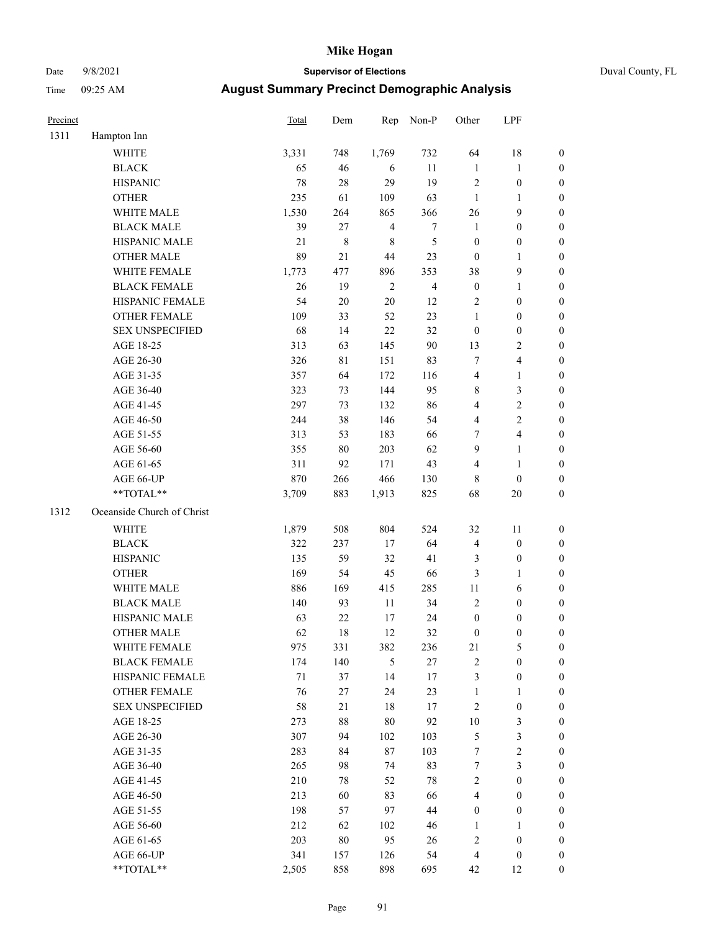# Date 9/8/2021 **Supervisor of Elections** Duval County, FL

| Precinct |                            | <b>Total</b> | Dem       | Rep            | Non-P            | Other                   | LPF                     |                  |
|----------|----------------------------|--------------|-----------|----------------|------------------|-------------------------|-------------------------|------------------|
| 1311     | Hampton Inn                |              |           |                |                  |                         |                         |                  |
|          | <b>WHITE</b>               | 3,331        | 748       | 1,769          | 732              | 64                      | 18                      | 0                |
|          | <b>BLACK</b>               | 65           | 46        | 6              | 11               | 1                       | $\mathbf{1}$            | 0                |
|          | <b>HISPANIC</b>            | 78           | 28        | 29             | 19               | $\mathbf{2}$            | $\boldsymbol{0}$        | $\boldsymbol{0}$ |
|          | <b>OTHER</b>               | 235          | 61        | 109            | 63               | $\mathbf{1}$            | 1                       | $\boldsymbol{0}$ |
|          | WHITE MALE                 | 1,530        | 264       | 865            | 366              | 26                      | 9                       | $\boldsymbol{0}$ |
|          | <b>BLACK MALE</b>          | 39           | 27        | $\overline{4}$ | $\boldsymbol{7}$ | $\mathbf{1}$            | $\boldsymbol{0}$        | $\boldsymbol{0}$ |
|          | HISPANIC MALE              | 21           | $\,$ $\,$ | $\,$ 8 $\,$    | 5                | $\boldsymbol{0}$        | $\boldsymbol{0}$        | $\boldsymbol{0}$ |
|          | <b>OTHER MALE</b>          | 89           | 21        | 44             | 23               | $\boldsymbol{0}$        | $\mathbf{1}$            | $\boldsymbol{0}$ |
|          | WHITE FEMALE               | 1,773        | 477       | 896            | 353              | 38                      | $\mathbf{9}$            | $\boldsymbol{0}$ |
|          | <b>BLACK FEMALE</b>        | 26           | 19        | $\sqrt{2}$     | $\overline{4}$   | $\boldsymbol{0}$        | $\mathbf{1}$            | 0                |
|          | HISPANIC FEMALE            | 54           | $20\,$    | 20             | 12               | $\mathbf{2}$            | $\boldsymbol{0}$        | 0                |
|          | <b>OTHER FEMALE</b>        | 109          | 33        | 52             | 23               | $\mathbf{1}$            | $\boldsymbol{0}$        | $\boldsymbol{0}$ |
|          | <b>SEX UNSPECIFIED</b>     | 68           | 14        | 22             | 32               | $\boldsymbol{0}$        | $\boldsymbol{0}$        | $\boldsymbol{0}$ |
|          | AGE 18-25                  | 313          | 63        | 145            | 90               | 13                      | $\sqrt{2}$              | $\boldsymbol{0}$ |
|          | AGE 26-30                  | 326          | 81        | 151            | 83               | 7                       | $\overline{\mathbf{4}}$ | $\boldsymbol{0}$ |
|          | AGE 31-35                  | 357          | 64        | 172            | 116              | 4                       | $\mathbf{1}$            | $\boldsymbol{0}$ |
|          | AGE 36-40                  | 323          | 73        | 144            | 95               | 8                       | $\mathfrak{Z}$          | $\boldsymbol{0}$ |
|          | AGE 41-45                  | 297          | 73        | 132            | 86               | 4                       | $\sqrt{2}$              | $\boldsymbol{0}$ |
|          | AGE 46-50                  | 244          | 38        | 146            | 54               | 4                       | $\sqrt{2}$              | $\boldsymbol{0}$ |
|          | AGE 51-55                  | 313          | 53        | 183            | 66               | 7                       | $\overline{4}$          | 0                |
|          | AGE 56-60                  | 355          | 80        | 203            | 62               | 9                       | $\mathbf{1}$            | 0                |
|          | AGE 61-65                  | 311          | 92        | 171            | 43               | 4                       | $\mathbf{1}$            | 0                |
|          | AGE 66-UP                  | 870          | 266       | 466            | 130              | 8                       | $\boldsymbol{0}$        | $\boldsymbol{0}$ |
|          | **TOTAL**                  | 3,709        | 883       | 1,913          | 825              | 68                      | $20\,$                  | $\boldsymbol{0}$ |
| 1312     | Oceanside Church of Christ |              |           |                |                  |                         |                         |                  |
|          | <b>WHITE</b>               | 1,879        | 508       | 804            | 524              | 32                      | 11                      | $\boldsymbol{0}$ |
|          | <b>BLACK</b>               | 322          | 237       | 17             | 64               | 4                       | $\boldsymbol{0}$        | $\boldsymbol{0}$ |
|          | <b>HISPANIC</b>            | 135          | 59        | 32             | 41               | 3                       | $\boldsymbol{0}$        | $\boldsymbol{0}$ |
|          | <b>OTHER</b>               | 169          | 54        | 45             | 66               | 3                       | $\mathbf{1}$            | $\boldsymbol{0}$ |
|          | WHITE MALE                 | 886          | 169       | 415            | 285              | $11\,$                  | 6                       | $\boldsymbol{0}$ |
|          | <b>BLACK MALE</b>          | 140          | 93        | $11\,$         | 34               | $\mathfrak{2}$          | $\boldsymbol{0}$        | $\boldsymbol{0}$ |
|          | HISPANIC MALE              | 63           | 22        | 17             | 24               | $\boldsymbol{0}$        | $\boldsymbol{0}$        | 0                |
|          | <b>OTHER MALE</b>          | 62           | 18        | 12             | 32               | $\boldsymbol{0}$        | $\boldsymbol{0}$        | $\boldsymbol{0}$ |
|          | WHITE FEMALE               | 975          | 331       | 382            | 236              | 21                      | 5                       | 0                |
|          | <b>BLACK FEMALE</b>        | 174          | 140       | 5              | $27\,$           | 2                       | $\boldsymbol{0}$        | $\overline{0}$   |
|          | HISPANIC FEMALE            | $71\,$       | 37        | 14             | 17               | 3                       | $\boldsymbol{0}$        | $\overline{0}$   |
|          | <b>OTHER FEMALE</b>        | 76           | 27        | 24             | 23               | $\mathbf{1}$            | $\mathbf{1}$            | $\overline{0}$   |
|          | <b>SEX UNSPECIFIED</b>     | 58           | 21        | 18             | 17               | 2                       | $\boldsymbol{0}$        | 0                |
|          | AGE 18-25                  | 273          | $88\,$    | $80\,$         | 92               | $10\,$                  | $\mathfrak{Z}$          | 0                |
|          | AGE 26-30                  | 307          | 94        | 102            | 103              | 5                       | $\mathfrak{Z}$          | 0                |
|          | AGE 31-35                  | 283          | 84        | 87             | 103              | 7                       | $\sqrt{2}$              | 0                |
|          | AGE 36-40                  | 265          | 98        | 74             | 83               | 7                       | $\mathfrak{Z}$          | 0                |
|          | AGE 41-45                  | 210          | 78        | 52             | $78\,$           | $\overline{2}$          | $\boldsymbol{0}$        | 0                |
|          | AGE 46-50                  | 213          | 60        | 83             | 66               | 4                       | $\boldsymbol{0}$        | 0                |
|          | AGE 51-55                  | 198          | 57        | 97             | 44               | $\boldsymbol{0}$        | $\boldsymbol{0}$        | 0                |
|          | AGE 56-60                  | 212          | 62        | 102            | 46               | 1                       | 1                       | $\overline{0}$   |
|          | AGE 61-65                  | 203          | $80\,$    | 95             | 26               | 2                       | $\boldsymbol{0}$        | 0                |
|          | AGE 66-UP                  | 341          | 157       | 126            | 54               | $\overline{\mathbf{4}}$ | $\boldsymbol{0}$        | 0                |
|          | $**TOTAL**$                | 2,505        | 858       | 898            | 695              | 42                      | 12                      | $\boldsymbol{0}$ |
|          |                            |              |           |                |                  |                         |                         |                  |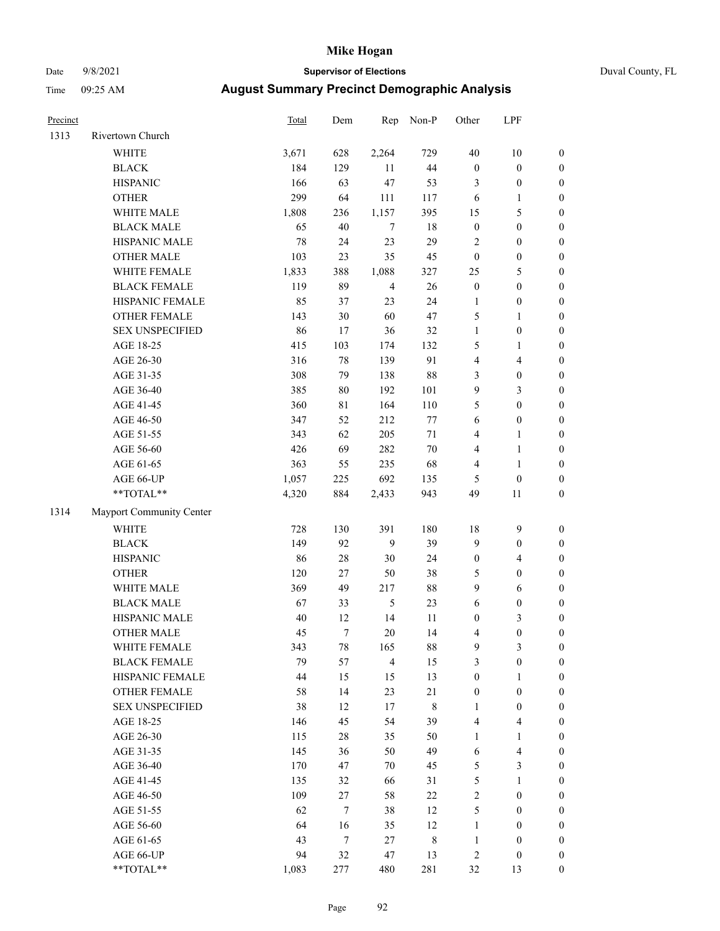# Date 9/8/2021 **Supervisor of Elections** Duval County, FL

| Precinct |                          | Total | Dem    | Rep            | Non-P  | Other            | LPF                     |                  |
|----------|--------------------------|-------|--------|----------------|--------|------------------|-------------------------|------------------|
| 1313     | Rivertown Church         |       |        |                |        |                  |                         |                  |
|          | <b>WHITE</b>             | 3,671 | 628    | 2,264          | 729    | 40               | $10\,$                  | $\boldsymbol{0}$ |
|          | <b>BLACK</b>             | 184   | 129    | 11             | 44     | $\boldsymbol{0}$ | $\boldsymbol{0}$        | $\boldsymbol{0}$ |
|          | <b>HISPANIC</b>          | 166   | 63     | 47             | 53     | 3                | $\boldsymbol{0}$        | $\boldsymbol{0}$ |
|          | <b>OTHER</b>             | 299   | 64     | 111            | 117    | 6                | 1                       | $\boldsymbol{0}$ |
|          | WHITE MALE               | 1,808 | 236    | 1,157          | 395    | 15               | $\mathfrak{S}$          | $\boldsymbol{0}$ |
|          | <b>BLACK MALE</b>        | 65    | 40     | $\tau$         | 18     | $\boldsymbol{0}$ | $\boldsymbol{0}$        | $\boldsymbol{0}$ |
|          | HISPANIC MALE            | 78    | 24     | 23             | 29     | $\mathfrak{2}$   | $\boldsymbol{0}$        | $\boldsymbol{0}$ |
|          | <b>OTHER MALE</b>        | 103   | 23     | 35             | 45     | $\boldsymbol{0}$ | $\boldsymbol{0}$        | $\boldsymbol{0}$ |
|          | WHITE FEMALE             | 1,833 | 388    | 1,088          | 327    | 25               | $\mathfrak{S}$          | $\boldsymbol{0}$ |
|          | <b>BLACK FEMALE</b>      | 119   | 89     | $\overline{4}$ | 26     | $\boldsymbol{0}$ | $\boldsymbol{0}$        | $\boldsymbol{0}$ |
|          | HISPANIC FEMALE          | 85    | 37     | 23             | 24     | $\mathbf{1}$     | $\boldsymbol{0}$        | 0                |
|          | <b>OTHER FEMALE</b>      | 143   | 30     | 60             | $47\,$ | 5                | $\mathbf{1}$            | $\boldsymbol{0}$ |
|          | <b>SEX UNSPECIFIED</b>   | 86    | 17     | 36             | 32     | $\mathbf{1}$     | $\boldsymbol{0}$        | $\boldsymbol{0}$ |
|          | AGE 18-25                | 415   | 103    | 174            | 132    | 5                | 1                       | $\boldsymbol{0}$ |
|          | AGE 26-30                | 316   | 78     | 139            | 91     | 4                | $\overline{\mathbf{4}}$ | $\boldsymbol{0}$ |
|          | AGE 31-35                | 308   | 79     | 138            | $88\,$ | 3                | $\boldsymbol{0}$        | $\boldsymbol{0}$ |
|          | AGE 36-40                | 385   | $80\,$ | 192            | 101    | 9                | $\mathfrak{Z}$          | $\boldsymbol{0}$ |
|          | AGE 41-45                | 360   | 81     | 164            | 110    | 5                | $\boldsymbol{0}$        | $\boldsymbol{0}$ |
|          | AGE 46-50                | 347   | 52     | 212            | $77\,$ | $\sqrt{6}$       | $\boldsymbol{0}$        | $\boldsymbol{0}$ |
|          | AGE 51-55                | 343   | 62     | 205            | $71\,$ | $\overline{4}$   | $\mathbf{1}$            | $\boldsymbol{0}$ |
|          | AGE 56-60                | 426   | 69     | 282            | $70\,$ | 4                | $\mathbf{1}$            | 0                |
|          | AGE 61-65                | 363   | 55     | 235            | 68     | 4                | $\mathbf{1}$            | 0                |
|          | AGE 66-UP                | 1,057 | 225    | 692            | 135    | 5                | $\boldsymbol{0}$        | $\boldsymbol{0}$ |
|          | **TOTAL**                | 4,320 | 884    | 2,433          | 943    | 49               | 11                      | $\boldsymbol{0}$ |
| 1314     | Mayport Community Center |       |        |                |        |                  |                         |                  |
|          | <b>WHITE</b>             | 728   | 130    | 391            | 180    | 18               | $\mathbf{9}$            | $\boldsymbol{0}$ |
|          | <b>BLACK</b>             | 149   | 92     | 9              | 39     | 9                | $\boldsymbol{0}$        | $\boldsymbol{0}$ |
|          | <b>HISPANIC</b>          | 86    | $28\,$ | 30             | 24     | $\boldsymbol{0}$ | $\overline{4}$          | $\boldsymbol{0}$ |
|          | <b>OTHER</b>             | 120   | 27     | 50             | 38     | 5                | $\boldsymbol{0}$        | $\boldsymbol{0}$ |
|          | WHITE MALE               | 369   | 49     | 217            | $88\,$ | 9                | 6                       | $\boldsymbol{0}$ |
|          | <b>BLACK MALE</b>        | 67    | 33     | $\mathfrak{H}$ | 23     | $\sqrt{6}$       | $\boldsymbol{0}$        | $\boldsymbol{0}$ |
|          | HISPANIC MALE            | 40    | 12     | 14             | 11     | $\boldsymbol{0}$ | $\mathfrak{Z}$          | $\boldsymbol{0}$ |
|          | OTHER MALE               | 45    | $\tau$ | 20             | 14     | 4                | $\boldsymbol{0}$        | $\boldsymbol{0}$ |
|          | WHITE FEMALE             | 343   | 78     | 165            | 88     | 9                | 3                       | 0                |
|          | <b>BLACK FEMALE</b>      | 79    | 57     | $\overline{4}$ | 15     | 3                | $\boldsymbol{0}$        | $\overline{0}$   |
|          | HISPANIC FEMALE          | 44    | 15     | 15             | 13     | $\boldsymbol{0}$ | 1                       | $\overline{0}$   |
|          | OTHER FEMALE             | 58    | 14     | 23             | $21\,$ | $\boldsymbol{0}$ | $\boldsymbol{0}$        | $\overline{0}$   |
|          | <b>SEX UNSPECIFIED</b>   | 38    | 12     | 17             | 8      | $\mathbf{1}$     | $\boldsymbol{0}$        | 0                |
|          | AGE 18-25                | 146   | 45     | 54             | 39     | 4                | $\overline{\mathbf{4}}$ | 0                |
|          | AGE 26-30                | 115   | $28\,$ | 35             | 50     | $\mathbf{1}$     | $\mathbf{1}$            | 0                |
|          | AGE 31-35                | 145   | 36     | 50             | 49     | 6                | $\overline{\mathbf{4}}$ | 0                |
|          | AGE 36-40                | 170   | 47     | 70             | 45     | 5                | $\mathfrak{Z}$          | 0                |
|          | AGE 41-45                | 135   | 32     | 66             | 31     | 5                | $\mathbf{1}$            | 0                |
|          | AGE 46-50                | 109   | 27     | 58             | 22     | 2                | $\boldsymbol{0}$        | 0                |
|          | AGE 51-55                | 62    | $\tau$ | 38             | 12     | 5                | $\boldsymbol{0}$        | 0                |
|          | AGE 56-60                | 64    | 16     | 35             | 12     | 1                | $\boldsymbol{0}$        | $\overline{0}$   |
|          | AGE 61-65                | 43    | 7      | 27             | 8      | $\mathbf{1}$     | $\boldsymbol{0}$        | 0                |
|          | AGE 66-UP                | 94    | 32     | 47             | 13     | 2                | $\boldsymbol{0}$        | 0                |
|          | **TOTAL**                | 1,083 | 277    | 480            | 281    | 32               | 13                      | $\boldsymbol{0}$ |
|          |                          |       |        |                |        |                  |                         |                  |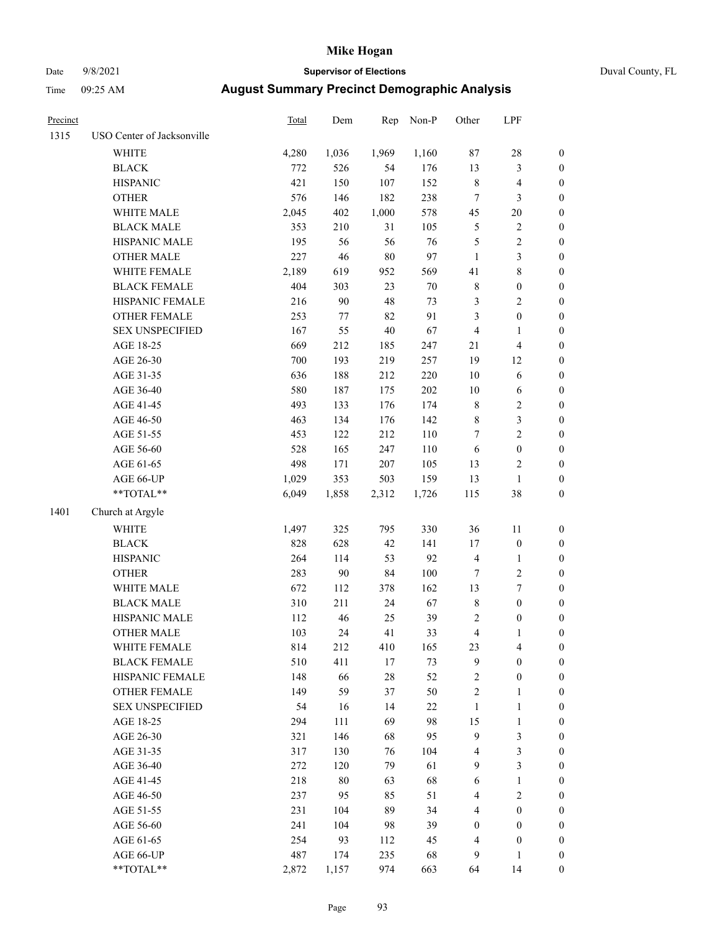# Date 9/8/2021 **Supervisor of Elections** Duval County, FL

| Precinct |                            | Total | Dem    | Rep    | Non-P  | Other                   | LPF              |                  |
|----------|----------------------------|-------|--------|--------|--------|-------------------------|------------------|------------------|
| 1315     | USO Center of Jacksonville |       |        |        |        |                         |                  |                  |
|          | <b>WHITE</b>               | 4,280 | 1,036  | 1,969  | 1,160  | 87                      | 28               | 0                |
|          | <b>BLACK</b>               | 772   | 526    | 54     | 176    | 13                      | $\mathfrak{Z}$   | $\boldsymbol{0}$ |
|          | <b>HISPANIC</b>            | 421   | 150    | 107    | 152    | 8                       | $\overline{4}$   | $\boldsymbol{0}$ |
|          | <b>OTHER</b>               | 576   | 146    | 182    | 238    | 7                       | 3                | $\boldsymbol{0}$ |
|          | WHITE MALE                 | 2,045 | 402    | 1,000  | 578    | 45                      | 20               | $\boldsymbol{0}$ |
|          | <b>BLACK MALE</b>          | 353   | 210    | 31     | 105    | 5                       | $\sqrt{2}$       | $\boldsymbol{0}$ |
|          | HISPANIC MALE              | 195   | 56     | 56     | 76     | 5                       | $\sqrt{2}$       | $\boldsymbol{0}$ |
|          | <b>OTHER MALE</b>          | 227   | 46     | $80\,$ | 97     | $\mathbf{1}$            | $\mathfrak{Z}$   | $\boldsymbol{0}$ |
|          | WHITE FEMALE               | 2,189 | 619    | 952    | 569    | 41                      | $\,$ $\,$        | $\boldsymbol{0}$ |
|          | <b>BLACK FEMALE</b>        | 404   | 303    | 23     | $70\,$ | 8                       | $\boldsymbol{0}$ | $\boldsymbol{0}$ |
|          | HISPANIC FEMALE            | 216   | 90     | 48     | 73     | 3                       | $\sqrt{2}$       | 0                |
|          | OTHER FEMALE               | 253   | 77     | 82     | 91     | 3                       | $\boldsymbol{0}$ | $\boldsymbol{0}$ |
|          | <b>SEX UNSPECIFIED</b>     | 167   | 55     | 40     | 67     | 4                       | $\mathbf{1}$     | $\boldsymbol{0}$ |
|          | AGE 18-25                  | 669   | 212    | 185    | 247    | 21                      | $\overline{4}$   | $\boldsymbol{0}$ |
|          | AGE 26-30                  | 700   | 193    | 219    | 257    | 19                      | 12               | $\boldsymbol{0}$ |
|          | AGE 31-35                  | 636   | 188    | 212    | 220    | 10                      | 6                | $\boldsymbol{0}$ |
|          | AGE 36-40                  | 580   | 187    | 175    | 202    | 10                      | 6                | $\boldsymbol{0}$ |
|          | AGE 41-45                  | 493   | 133    | 176    | 174    | 8                       | $\sqrt{2}$       | $\boldsymbol{0}$ |
|          | AGE 46-50                  | 463   | 134    | 176    | 142    | 8                       | $\mathfrak{Z}$   | $\boldsymbol{0}$ |
|          | AGE 51-55                  | 453   | 122    | 212    | 110    | 7                       | $\sqrt{2}$       | $\boldsymbol{0}$ |
|          | AGE 56-60                  | 528   | 165    | 247    | 110    | 6                       | $\boldsymbol{0}$ | 0                |
|          | AGE 61-65                  | 498   | 171    | 207    | 105    | 13                      | $\overline{c}$   | $\boldsymbol{0}$ |
|          | AGE 66-UP                  | 1,029 | 353    | 503    | 159    | 13                      | $\mathbf{1}$     | $\boldsymbol{0}$ |
|          | $**TOTAL**$                | 6,049 | 1,858  | 2,312  | 1,726  | 115                     | 38               | $\boldsymbol{0}$ |
| 1401     | Church at Argyle           |       |        |        |        |                         |                  |                  |
|          | <b>WHITE</b>               | 1,497 | 325    | 795    | 330    | 36                      | $11\,$           | $\boldsymbol{0}$ |
|          | <b>BLACK</b>               | 828   | 628    | 42     | 141    | 17                      | $\boldsymbol{0}$ | $\boldsymbol{0}$ |
|          | <b>HISPANIC</b>            | 264   | 114    | 53     | 92     | 4                       | $\mathbf{1}$     | $\boldsymbol{0}$ |
|          | <b>OTHER</b>               | 283   | $90\,$ | 84     | 100    | 7                       | $\sqrt{2}$       | $\boldsymbol{0}$ |
|          | WHITE MALE                 | 672   | 112    | 378    | 162    | 13                      | $\boldsymbol{7}$ | $\boldsymbol{0}$ |
|          | <b>BLACK MALE</b>          | 310   | 211    | 24     | 67     | 8                       | $\boldsymbol{0}$ | $\boldsymbol{0}$ |
|          | HISPANIC MALE              | 112   | 46     | 25     | 39     | 2                       | $\boldsymbol{0}$ | 0                |
|          | <b>OTHER MALE</b>          | 103   | 24     | 41     | 33     | 4                       | $\mathbf{1}$     | $\boldsymbol{0}$ |
|          | WHITE FEMALE               | 814   | 212    | 410    | 165    | 23                      | 4                | 0                |
|          | <b>BLACK FEMALE</b>        | 510   | 411    | $17\,$ | 73     | 9                       | $\boldsymbol{0}$ | $\overline{0}$   |
|          | HISPANIC FEMALE            | 148   | 66     | 28     | 52     | $\overline{\mathbf{c}}$ | $\boldsymbol{0}$ | $\overline{0}$   |
|          | OTHER FEMALE               | 149   | 59     | 37     | 50     | 2                       | $\mathbf{1}$     | 0                |
|          | <b>SEX UNSPECIFIED</b>     | 54    | 16     | 14     | $22\,$ | 1                       | $\mathbf{1}$     | 0                |
|          | AGE 18-25                  | 294   | 111    | 69     | 98     | 15                      | $\mathbf{1}$     | 0                |
|          | AGE 26-30                  | 321   | 146    | 68     | 95     | 9                       | 3                | 0                |
|          | AGE 31-35                  | 317   | 130    | 76     | 104    | 4                       | 3                | 0                |
|          | AGE 36-40                  | 272   | 120    | 79     | 61     | 9                       | 3                | 0                |
|          | AGE 41-45                  | 218   | 80     | 63     | 68     | 6                       | $\mathbf{1}$     | 0                |
|          | AGE 46-50                  | 237   | 95     | 85     | 51     | 4                       | $\sqrt{2}$       | 0                |
|          | AGE 51-55                  | 231   | 104    | 89     | 34     | 4                       | $\boldsymbol{0}$ | 0                |
|          | AGE 56-60                  | 241   | 104    | 98     | 39     | 0                       | $\boldsymbol{0}$ | 0                |
|          | AGE 61-65                  | 254   | 93     | 112    | 45     | 4                       | $\boldsymbol{0}$ | $\boldsymbol{0}$ |
|          | AGE 66-UP                  | 487   | 174    | 235    | 68     | 9                       | $\mathbf{1}$     | 0                |
|          | **TOTAL**                  | 2,872 | 1,157  | 974    | 663    | 64                      | 14               | $\boldsymbol{0}$ |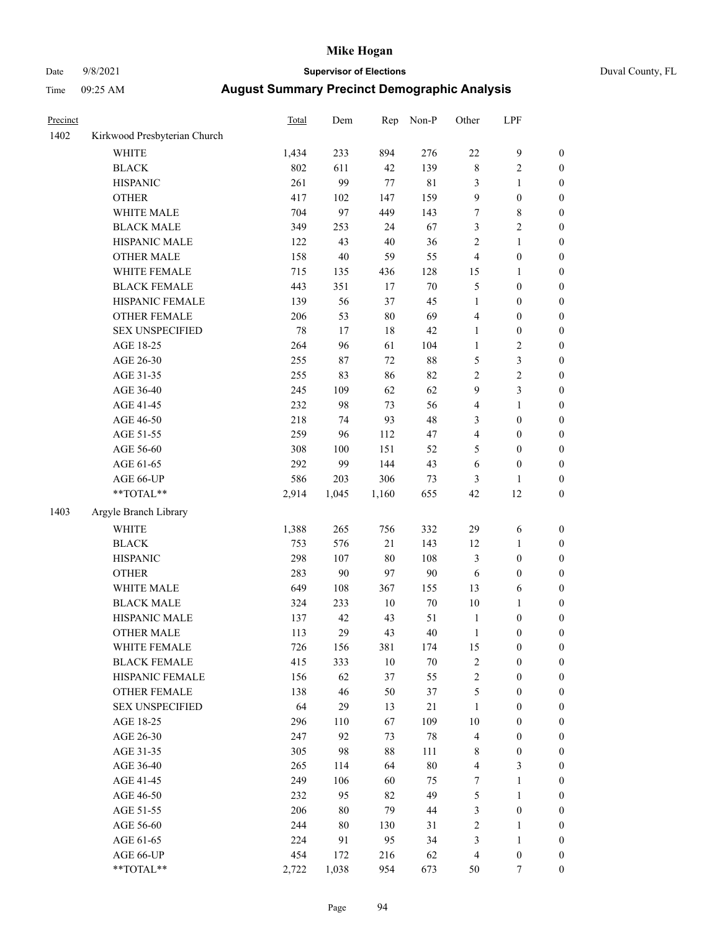# Date 9/8/2021 **Supervisor of Elections** Duval County, FL

| Precinct |                              | <b>Total</b> | Dem    | Rep    | Non-P       | Other                   | LPF              |                  |
|----------|------------------------------|--------------|--------|--------|-------------|-------------------------|------------------|------------------|
| 1402     | Kirkwood Presbyterian Church |              |        |        |             |                         |                  |                  |
|          | <b>WHITE</b>                 | 1,434        | 233    | 894    | 276         | $22\,$                  | $\boldsymbol{9}$ | 0                |
|          | <b>BLACK</b>                 | 802          | 611    | 42     | 139         | $\,$ 8 $\,$             | $\sqrt{2}$       | 0                |
|          | <b>HISPANIC</b>              | 261          | 99     | $77\,$ | $8\sqrt{1}$ | 3                       | $\mathbf{1}$     | $\boldsymbol{0}$ |
|          | <b>OTHER</b>                 | 417          | 102    | 147    | 159         | 9                       | $\boldsymbol{0}$ | $\boldsymbol{0}$ |
|          | WHITE MALE                   | 704          | 97     | 449    | 143         | 7                       | $\,$ 8 $\,$      | $\boldsymbol{0}$ |
|          | <b>BLACK MALE</b>            | 349          | 253    | 24     | 67          | 3                       | $\sqrt{2}$       | $\boldsymbol{0}$ |
|          | HISPANIC MALE                | 122          | 43     | $40\,$ | 36          | $\sqrt{2}$              | $\mathbf{1}$     | $\boldsymbol{0}$ |
|          | <b>OTHER MALE</b>            | 158          | $40\,$ | 59     | 55          | 4                       | $\boldsymbol{0}$ | $\boldsymbol{0}$ |
|          | WHITE FEMALE                 | 715          | 135    | 436    | 128         | 15                      | 1                | $\boldsymbol{0}$ |
|          | <b>BLACK FEMALE</b>          | 443          | 351    | 17     | $70\,$      | 5                       | $\boldsymbol{0}$ | 0                |
|          | HISPANIC FEMALE              | 139          | 56     | 37     | 45          | $\mathbf{1}$            | $\boldsymbol{0}$ | 0                |
|          | OTHER FEMALE                 | 206          | 53     | $80\,$ | 69          | 4                       | $\boldsymbol{0}$ | 0                |
|          | <b>SEX UNSPECIFIED</b>       | $78\,$       | 17     | 18     | $42\,$      | $\mathbf{1}$            | $\boldsymbol{0}$ | $\boldsymbol{0}$ |
|          | AGE 18-25                    | 264          | 96     | 61     | 104         | $\mathbf{1}$            | $\sqrt{2}$       | $\boldsymbol{0}$ |
|          | AGE 26-30                    | 255          | 87     | $72\,$ | $88\,$      | 5                       | 3                | $\boldsymbol{0}$ |
|          | AGE 31-35                    | 255          | 83     | 86     | 82          | $\sqrt{2}$              | $\sqrt{2}$       | $\boldsymbol{0}$ |
|          | AGE 36-40                    | 245          | 109    | 62     | 62          | 9                       | 3                | $\boldsymbol{0}$ |
|          | AGE 41-45                    | 232          | 98     | 73     | 56          | 4                       | $\mathbf{1}$     | $\boldsymbol{0}$ |
|          | AGE 46-50                    | 218          | 74     | 93     | $48\,$      | 3                       | $\boldsymbol{0}$ | $\boldsymbol{0}$ |
|          | AGE 51-55                    | 259          | 96     | 112    | 47          | 4                       | $\boldsymbol{0}$ | 0                |
|          | AGE 56-60                    | 308          | 100    | 151    | 52          | 5                       | $\boldsymbol{0}$ | 0                |
|          | AGE 61-65                    | 292          | 99     | 144    | 43          | 6                       | $\boldsymbol{0}$ | 0                |
|          | AGE 66-UP                    | 586          | 203    | 306    | 73          | 3                       | $\mathbf{1}$     | $\boldsymbol{0}$ |
|          | **TOTAL**                    | 2,914        | 1,045  | 1,160  | 655         | 42                      | 12               | $\boldsymbol{0}$ |
| 1403     | Argyle Branch Library        |              |        |        |             |                         |                  |                  |
|          | WHITE                        | 1,388        | 265    | 756    | 332         | 29                      | 6                | $\boldsymbol{0}$ |
|          | <b>BLACK</b>                 | 753          | 576    | 21     | 143         | 12                      | $\mathbf{1}$     | $\boldsymbol{0}$ |
|          | <b>HISPANIC</b>              | 298          | 107    | $80\,$ | 108         | 3                       | $\boldsymbol{0}$ | $\boldsymbol{0}$ |
|          | <b>OTHER</b>                 | 283          | $90\,$ | 97     | $90\,$      | 6                       | $\boldsymbol{0}$ | $\boldsymbol{0}$ |
|          | WHITE MALE                   | 649          | 108    | 367    | 155         | 13                      | 6                | $\boldsymbol{0}$ |
|          | <b>BLACK MALE</b>            | 324          | 233    | $10\,$ | $70\,$      | $10\,$                  | $\mathbf{1}$     | $\boldsymbol{0}$ |
|          | HISPANIC MALE                | 137          | 42     | 43     | 51          | $\mathbf{1}$            | $\boldsymbol{0}$ | 0                |
|          | <b>OTHER MALE</b>            | 113          | 29     | 43     | 40          | 1                       | $\boldsymbol{0}$ | $\boldsymbol{0}$ |
|          | WHITE FEMALE                 | 726          | 156    | 381    | 174         | 15                      | $\boldsymbol{0}$ | 0                |
|          | <b>BLACK FEMALE</b>          | 415          | 333    | $10\,$ | $70\,$      | $\sqrt{2}$              | $\boldsymbol{0}$ | 0                |
|          | HISPANIC FEMALE              | 156          | 62     | 37     | 55          | $\overline{c}$          | $\boldsymbol{0}$ | $\overline{0}$   |
|          | <b>OTHER FEMALE</b>          | 138          | 46     | 50     | 37          | 5                       | $\boldsymbol{0}$ | 0                |
|          | <b>SEX UNSPECIFIED</b>       | 64           | 29     | 13     | 21          | $\mathbf{1}$            | $\boldsymbol{0}$ | 0                |
|          | AGE 18-25                    | 296          | 110    | 67     | 109         | 10                      | $\boldsymbol{0}$ | 0                |
|          | AGE 26-30                    | 247          | 92     | 73     | 78          | 4                       | $\boldsymbol{0}$ | 0                |
|          | AGE 31-35                    | 305          | 98     | $88\,$ | 111         | 8                       | $\boldsymbol{0}$ | 0                |
|          | AGE 36-40                    | 265          | 114    | 64     | 80          | $\overline{\mathbf{4}}$ | $\mathfrak{Z}$   | 0                |
|          | AGE 41-45                    | 249          | 106    | 60     | 75          | 7                       | $\mathbf{1}$     | 0                |
|          | AGE 46-50                    | 232          | 95     | 82     | 49          | 5                       | $\mathbf{1}$     | 0                |
|          | AGE 51-55                    | 206          | $80\,$ | 79     | 44          | 3                       | $\boldsymbol{0}$ | 0                |
|          | AGE 56-60                    | 244          | $80\,$ | 130    | 31          | $\sqrt{2}$              | 1                | $\boldsymbol{0}$ |
|          | AGE 61-65                    | 224          | 91     | 95     | 34          | 3                       | $\mathbf{1}$     | $\overline{0}$   |
|          | AGE 66-UP                    | 454          | 172    | 216    | 62          | 4                       | $\boldsymbol{0}$ | 0                |
|          | **TOTAL**                    | 2,722        | 1,038  | 954    | 673         | 50                      | 7                | $\boldsymbol{0}$ |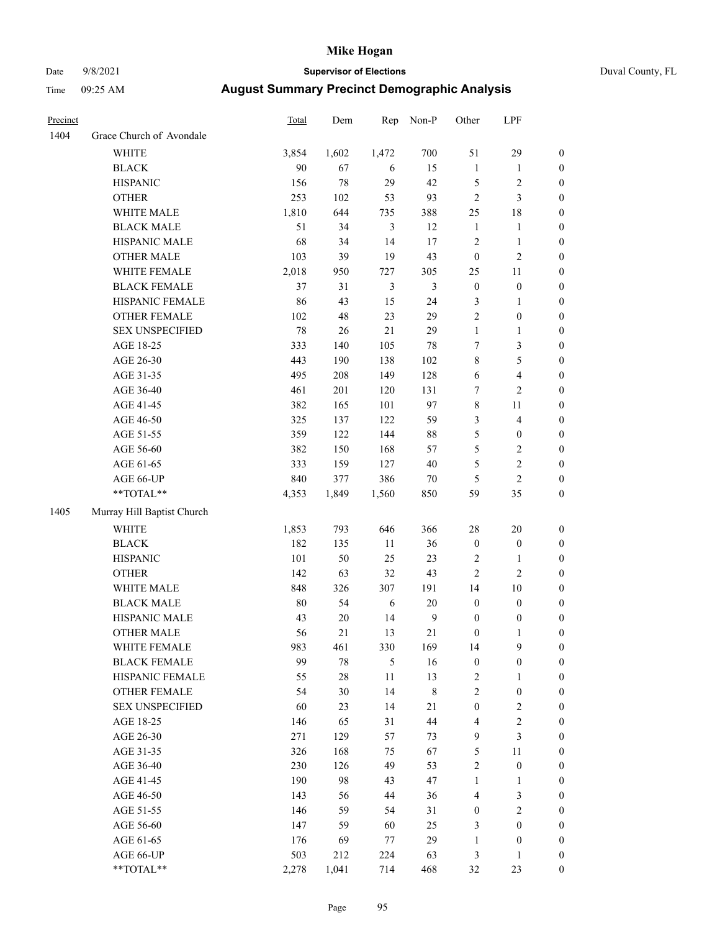# Date 9/8/2021 **Supervisor of Elections** Duval County, FL

| Precinct |                            | <b>Total</b> | Dem    | Rep            | Non-P            | Other            | LPF              |                  |
|----------|----------------------------|--------------|--------|----------------|------------------|------------------|------------------|------------------|
| 1404     | Grace Church of Avondale   |              |        |                |                  |                  |                  |                  |
|          | <b>WHITE</b>               | 3,854        | 1,602  | 1,472          | 700              | 51               | 29               | 0                |
|          | <b>BLACK</b>               | 90           | 67     | 6              | 15               | $\mathbf{1}$     | $\mathbf{1}$     | 0                |
|          | <b>HISPANIC</b>            | 156          | 78     | 29             | 42               | 5                | $\sqrt{2}$       | $\boldsymbol{0}$ |
|          | <b>OTHER</b>               | 253          | 102    | 53             | 93               | $\overline{c}$   | $\mathfrak{Z}$   | $\boldsymbol{0}$ |
|          | WHITE MALE                 | 1,810        | 644    | 735            | 388              | 25               | 18               | $\boldsymbol{0}$ |
|          | <b>BLACK MALE</b>          | 51           | 34     | 3              | 12               | $\mathbf{1}$     | 1                | $\boldsymbol{0}$ |
|          | HISPANIC MALE              | 68           | 34     | 14             | 17               | 2                | $\mathbf{1}$     | $\boldsymbol{0}$ |
|          | <b>OTHER MALE</b>          | 103          | 39     | 19             | 43               | $\boldsymbol{0}$ | $\mathbf{2}$     | $\boldsymbol{0}$ |
|          | WHITE FEMALE               | 2,018        | 950    | 727            | 305              | 25               | $11\,$           | $\boldsymbol{0}$ |
|          | <b>BLACK FEMALE</b>        | 37           | 31     | $\mathfrak{Z}$ | $\mathfrak{Z}$   | $\boldsymbol{0}$ | $\boldsymbol{0}$ | 0                |
|          | HISPANIC FEMALE            | 86           | 43     | 15             | 24               | 3                | $\mathbf{1}$     | 0                |
|          | OTHER FEMALE               | 102          | 48     | 23             | 29               | $\overline{c}$   | $\boldsymbol{0}$ | $\boldsymbol{0}$ |
|          | <b>SEX UNSPECIFIED</b>     | 78           | 26     | 21             | 29               | $\mathbf{1}$     | $\mathbf{1}$     | $\boldsymbol{0}$ |
|          | AGE 18-25                  | 333          | 140    | 105            | 78               | 7                | $\mathfrak{Z}$   | $\boldsymbol{0}$ |
|          | AGE 26-30                  | 443          | 190    | 138            | 102              | 8                | 5                | $\boldsymbol{0}$ |
|          | AGE 31-35                  | 495          | 208    | 149            | 128              | 6                | $\overline{4}$   | $\boldsymbol{0}$ |
|          | AGE 36-40                  | 461          | 201    | 120            | 131              | 7                | $\overline{2}$   | $\boldsymbol{0}$ |
|          | AGE 41-45                  | 382          | 165    | 101            | 97               | 8                | 11               | $\boldsymbol{0}$ |
|          | AGE 46-50                  | 325          | 137    | 122            | 59               | 3                | $\overline{4}$   | $\boldsymbol{0}$ |
|          | AGE 51-55                  | 359          | 122    | 144            | 88               | 5                | $\boldsymbol{0}$ | $\boldsymbol{0}$ |
|          | AGE 56-60                  | 382          | 150    | 168            | 57               | 5                | $\sqrt{2}$       | 0                |
|          | AGE 61-65                  | 333          | 159    | 127            | $40\,$           | 5                | $\sqrt{2}$       | $\boldsymbol{0}$ |
|          | AGE 66-UP                  | 840          | 377    | 386            | $70\,$           | 5                | $\overline{c}$   | $\boldsymbol{0}$ |
|          | $**TOTAL**$                | 4,353        | 1,849  | 1,560          | 850              | 59               | 35               | $\boldsymbol{0}$ |
| 1405     | Murray Hill Baptist Church |              |        |                |                  |                  |                  |                  |
|          | <b>WHITE</b>               | 1,853        | 793    | 646            | 366              | 28               | 20               | $\boldsymbol{0}$ |
|          | <b>BLACK</b>               | 182          | 135    | $11\,$         | 36               | $\boldsymbol{0}$ | $\boldsymbol{0}$ | $\boldsymbol{0}$ |
|          | <b>HISPANIC</b>            | 101          | 50     | 25             | 23               | $\mathbf{2}$     | $\mathbf{1}$     | $\boldsymbol{0}$ |
|          | <b>OTHER</b>               | 142          | 63     | 32             | 43               | $\overline{c}$   | $\mathfrak{2}$   | $\boldsymbol{0}$ |
|          | WHITE MALE                 | 848          | 326    | 307            | 191              | 14               | 10               | $\boldsymbol{0}$ |
|          | <b>BLACK MALE</b>          | $80\,$       | 54     | $\sqrt{6}$     | $20\,$           | $\boldsymbol{0}$ | $\boldsymbol{0}$ | $\boldsymbol{0}$ |
|          | HISPANIC MALE              | 43           | $20\,$ | 14             | $\boldsymbol{9}$ | $\boldsymbol{0}$ | $\boldsymbol{0}$ | 0                |
|          | <b>OTHER MALE</b>          | 56           | 21     | 13             | 21               | $\boldsymbol{0}$ | $\mathbf{1}$     | $\boldsymbol{0}$ |
|          | WHITE FEMALE               | 983          | 461    | 330            | 169              | 14               | 9                | 0                |
|          | <b>BLACK FEMALE</b>        | 99           | 78     | $\mathfrak{S}$ | 16               | $\boldsymbol{0}$ | $\boldsymbol{0}$ | $\overline{0}$   |
|          | HISPANIC FEMALE            | 55           | $28\,$ | $11\,$         | 13               | 2                | 1                | $\overline{0}$   |
|          | OTHER FEMALE               | 54           | 30     | 14             | $\,$ 8 $\,$      | 2                | $\boldsymbol{0}$ | 0                |
|          | <b>SEX UNSPECIFIED</b>     | 60           | 23     | 14             | $21\,$           | $\boldsymbol{0}$ | $\mathfrak{2}$   | 0                |
|          | AGE 18-25                  | 146          | 65     | 31             | 44               | 4                | $\sqrt{2}$       | 0                |
|          | AGE 26-30                  | 271          | 129    | 57             | 73               | 9                | 3                | 0                |
|          | AGE 31-35                  | 326          | 168    | 75             | 67               | 5                | $11\,$           | 0                |
|          | AGE 36-40                  | 230          | 126    | 49             | 53               | 2                | $\boldsymbol{0}$ | 0                |
|          | AGE 41-45                  | 190          | 98     | 43             | 47               | $\mathbf{1}$     | 1                | 0                |
|          | AGE 46-50                  | 143          | 56     | 44             | 36               | 4                | $\mathfrak{Z}$   | 0                |
|          | AGE 51-55                  | 146          | 59     | 54             | 31               | 0                | $\sqrt{2}$       | 0                |
|          | AGE 56-60                  | 147          | 59     | 60             | 25               | 3                | $\boldsymbol{0}$ | $\overline{0}$   |
|          | AGE 61-65                  | 176          | 69     | 77             | 29               | 1                | $\boldsymbol{0}$ | $\overline{0}$   |
|          | AGE 66-UP                  | 503          | 212    | 224            | 63               | 3                | $\mathbf{1}$     | 0                |
|          | **TOTAL**                  | 2,278        | 1,041  | 714            | 468              | 32               | 23               | $\boldsymbol{0}$ |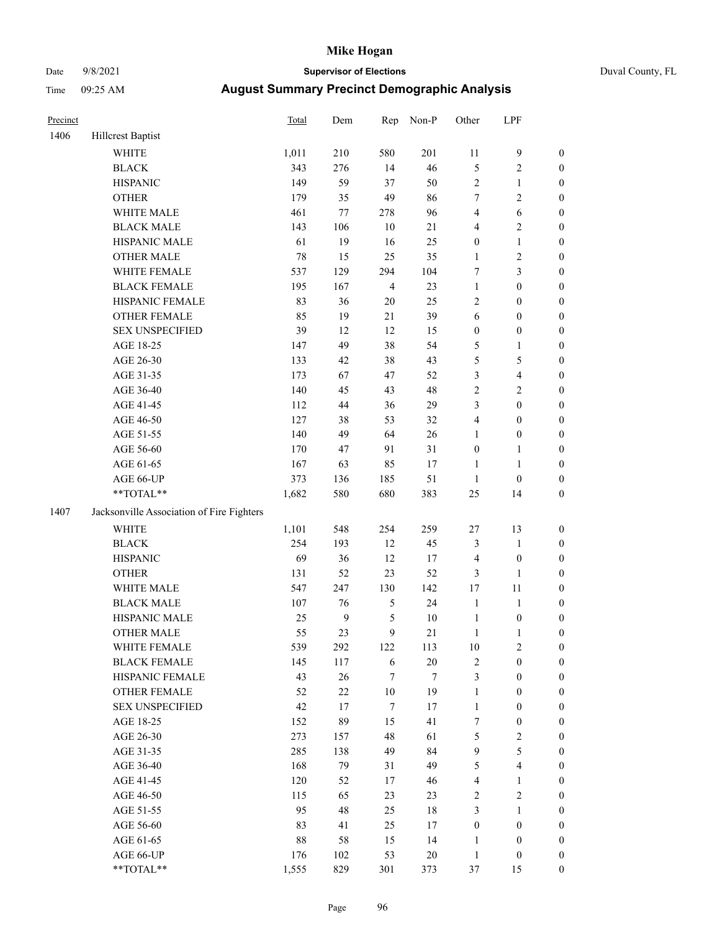# Date 9/8/2021 **Supervisor of Elections** Duval County, FL

| Precinct |                                           | <b>Total</b> | Dem              | Rep              | Non-P  | Other            | LPF              |                  |
|----------|-------------------------------------------|--------------|------------------|------------------|--------|------------------|------------------|------------------|
| 1406     | <b>Hillcrest Baptist</b>                  |              |                  |                  |        |                  |                  |                  |
|          | <b>WHITE</b>                              | 1,011        | 210              | 580              | 201    | $11\,$           | $\boldsymbol{9}$ | 0                |
|          | <b>BLACK</b>                              | 343          | 276              | 14               | 46     | 5                | $\sqrt{2}$       | $\boldsymbol{0}$ |
|          | <b>HISPANIC</b>                           | 149          | 59               | 37               | 50     | $\mathbf{2}$     | $\mathbf{1}$     | $\boldsymbol{0}$ |
|          | <b>OTHER</b>                              | 179          | 35               | 49               | 86     | 7                | $\sqrt{2}$       | $\boldsymbol{0}$ |
|          | WHITE MALE                                | 461          | 77               | 278              | 96     | 4                | 6                | $\boldsymbol{0}$ |
|          | <b>BLACK MALE</b>                         | 143          | 106              | 10               | 21     | 4                | $\sqrt{2}$       | $\boldsymbol{0}$ |
|          | HISPANIC MALE                             | 61           | 19               | 16               | 25     | $\boldsymbol{0}$ | $\mathbf{1}$     | $\boldsymbol{0}$ |
|          | <b>OTHER MALE</b>                         | 78           | 15               | 25               | 35     | $\mathbf{1}$     | $\sqrt{2}$       | $\boldsymbol{0}$ |
|          | WHITE FEMALE                              | 537          | 129              | 294              | 104    | 7                | 3                | $\boldsymbol{0}$ |
|          | <b>BLACK FEMALE</b>                       | 195          | 167              | $\overline{4}$   | 23     | $\mathbf{1}$     | $\boldsymbol{0}$ | $\boldsymbol{0}$ |
|          | HISPANIC FEMALE                           | 83           | 36               | $20\,$           | 25     | $\mathbf{2}$     | $\boldsymbol{0}$ | $\boldsymbol{0}$ |
|          | <b>OTHER FEMALE</b>                       | 85           | 19               | 21               | 39     | 6                | $\boldsymbol{0}$ | $\boldsymbol{0}$ |
|          | <b>SEX UNSPECIFIED</b>                    | 39           | 12               | 12               | 15     | $\boldsymbol{0}$ | $\boldsymbol{0}$ | $\boldsymbol{0}$ |
|          | AGE 18-25                                 | 147          | 49               | 38               | 54     | 5                | $\mathbf{1}$     | $\boldsymbol{0}$ |
|          | AGE 26-30                                 | 133          | 42               | 38               | 43     | 5                | 5                | $\boldsymbol{0}$ |
|          | AGE 31-35                                 | 173          | 67               | 47               | 52     | 3                | $\overline{4}$   | $\boldsymbol{0}$ |
|          | AGE 36-40                                 | 140          | 45               | 43               | 48     | $\overline{c}$   | $\sqrt{2}$       | $\boldsymbol{0}$ |
|          | AGE 41-45                                 | 112          | 44               | 36               | 29     | 3                | $\boldsymbol{0}$ | $\boldsymbol{0}$ |
|          | AGE 46-50                                 | 127          | 38               | 53               | 32     | 4                | $\boldsymbol{0}$ | $\boldsymbol{0}$ |
|          | AGE 51-55                                 | 140          | 49               | 64               | 26     | 1                | $\boldsymbol{0}$ | $\boldsymbol{0}$ |
|          | AGE 56-60                                 | 170          | 47               | 91               | 31     | $\boldsymbol{0}$ | 1                | $\boldsymbol{0}$ |
|          | AGE 61-65                                 | 167          | 63               | 85               | 17     | $\mathbf{1}$     | $\mathbf{1}$     | $\boldsymbol{0}$ |
|          | AGE 66-UP                                 | 373          | 136              | 185              | 51     | $\mathbf{1}$     | $\boldsymbol{0}$ | $\boldsymbol{0}$ |
|          | **TOTAL**                                 | 1,682        | 580              | 680              | 383    | 25               | 14               | $\boldsymbol{0}$ |
| 1407     | Jacksonville Association of Fire Fighters |              |                  |                  |        |                  |                  |                  |
|          | <b>WHITE</b>                              | 1,101        | 548              | 254              | 259    | $27\,$           | 13               | $\boldsymbol{0}$ |
|          | <b>BLACK</b>                              | 254          | 193              | 12               | 45     | 3                | $\mathbf{1}$     | $\boldsymbol{0}$ |
|          | <b>HISPANIC</b>                           | 69           | 36               | 12               | 17     | 4                | $\boldsymbol{0}$ | $\boldsymbol{0}$ |
|          | <b>OTHER</b>                              | 131          | 52               | 23               | 52     | 3                | $\mathbf{1}$     | $\boldsymbol{0}$ |
|          | WHITE MALE                                | 547          | 247              | 130              | 142    | 17               | 11               | $\boldsymbol{0}$ |
|          | <b>BLACK MALE</b>                         | 107          | 76               | $\mathfrak{S}$   | 24     | $\mathbf{1}$     | $\mathbf{1}$     | $\boldsymbol{0}$ |
|          | HISPANIC MALE                             | 25           | $\boldsymbol{9}$ | $\mathfrak s$    | $10\,$ | $\mathbf{1}$     | $\boldsymbol{0}$ | 0                |
|          | <b>OTHER MALE</b>                         | 55           | 23               | 9                | 21     | $\mathbf{1}$     | $\mathbf{1}$     | $\boldsymbol{0}$ |
|          | WHITE FEMALE                              | 539          | 292              | 122              | 113    | 10               | 2                | 0                |
|          | <b>BLACK FEMALE</b>                       | 145          | 117              | 6                | 20     | $\mathbf{2}$     | $\boldsymbol{0}$ | $\overline{0}$   |
|          | HISPANIC FEMALE                           | 43           | 26               | 7                | 7      | 3                | $\boldsymbol{0}$ | $\overline{0}$   |
|          | OTHER FEMALE                              | 52           | $22\,$           | $10\,$           | 19     | 1                | $\boldsymbol{0}$ | 0                |
|          | <b>SEX UNSPECIFIED</b>                    | 42           | 17               | $\boldsymbol{7}$ | 17     | $\mathbf{1}$     | $\boldsymbol{0}$ | 0                |
|          | AGE 18-25                                 | 152          | 89               | 15               | 41     | 7                | $\boldsymbol{0}$ | 0                |
|          | AGE 26-30                                 | 273          | 157              | 48               | 61     | 5                | $\sqrt{2}$       | 0                |
|          | AGE 31-35                                 | 285          | 138              | 49               | 84     | 9                | 5                | 0                |
|          | AGE 36-40                                 | 168          | 79               | 31               | 49     | 5                | $\overline{4}$   | 0                |
|          | AGE 41-45                                 | 120          | 52               | 17               | 46     | 4                | $\mathbf{1}$     | 0                |
|          | AGE 46-50                                 | 115          | 65               | 23               | 23     | $\mathbf{2}$     | $\sqrt{2}$       | 0                |
|          | AGE 51-55                                 | 95           | 48               | 25               | $18\,$ | 3                | $\mathbf{1}$     | 0                |
|          | AGE 56-60                                 | 83           | 41               | 25               | 17     | $\boldsymbol{0}$ | $\boldsymbol{0}$ | 0                |
|          | AGE 61-65                                 | $88\,$       | 58               | 15               | 14     | 1                | $\boldsymbol{0}$ | 0                |
|          | AGE 66-UP                                 | 176          | 102              | 53               | $20\,$ | $\mathbf{1}$     | $\boldsymbol{0}$ | 0                |
|          | **TOTAL**                                 | 1,555        | 829              | 301              | 373    | 37               | 15               | $\boldsymbol{0}$ |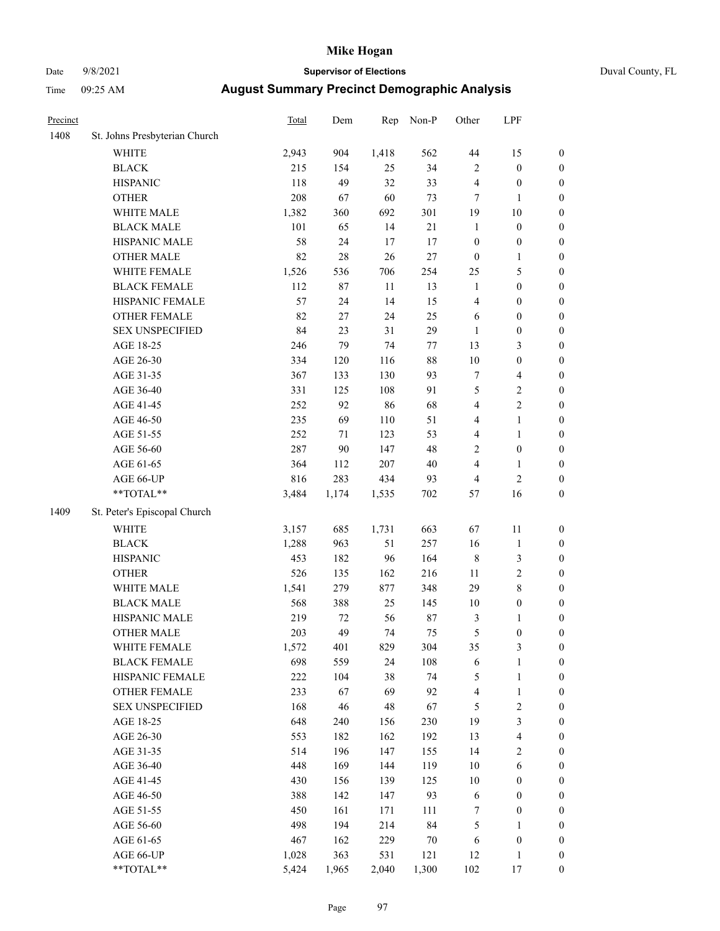# Date 9/8/2021 **Supervisor of Elections** Duval County, FL

| Precinct |                               | Total | Dem    | Rep    | Non-P   | Other                    | LPF                      |                  |
|----------|-------------------------------|-------|--------|--------|---------|--------------------------|--------------------------|------------------|
| 1408     | St. Johns Presbyterian Church |       |        |        |         |                          |                          |                  |
|          | <b>WHITE</b>                  | 2,943 | 904    | 1,418  | 562     | 44                       | 15                       | 0                |
|          | <b>BLACK</b>                  | 215   | 154    | 25     | 34      | $\mathbf{2}$             | $\boldsymbol{0}$         | 0                |
|          | <b>HISPANIC</b>               | 118   | 49     | 32     | 33      | 4                        | $\boldsymbol{0}$         | $\boldsymbol{0}$ |
|          | <b>OTHER</b>                  | 208   | 67     | 60     | 73      | 7                        | 1                        | $\boldsymbol{0}$ |
|          | WHITE MALE                    | 1,382 | 360    | 692    | 301     | 19                       | 10                       | $\boldsymbol{0}$ |
|          | <b>BLACK MALE</b>             | 101   | 65     | 14     | 21      | $\mathbf{1}$             | $\boldsymbol{0}$         | $\boldsymbol{0}$ |
|          | HISPANIC MALE                 | 58    | 24     | 17     | 17      | $\boldsymbol{0}$         | $\boldsymbol{0}$         | $\boldsymbol{0}$ |
|          | <b>OTHER MALE</b>             | 82    | $28\,$ | 26     | $27\,$  | $\boldsymbol{0}$         | $\mathbf{1}$             | $\boldsymbol{0}$ |
|          | WHITE FEMALE                  | 1,526 | 536    | 706    | 254     | 25                       | $\mathfrak s$            | $\boldsymbol{0}$ |
|          | <b>BLACK FEMALE</b>           | 112   | 87     | $11\,$ | 13      | $\mathbf{1}$             | $\boldsymbol{0}$         | $\boldsymbol{0}$ |
|          | HISPANIC FEMALE               | 57    | 24     | 14     | 15      | 4                        | $\boldsymbol{0}$         | 0                |
|          | OTHER FEMALE                  | 82    | $27\,$ | 24     | 25      | 6                        | $\boldsymbol{0}$         | $\boldsymbol{0}$ |
|          | <b>SEX UNSPECIFIED</b>        | 84    | 23     | 31     | 29      | $\mathbf{1}$             | $\boldsymbol{0}$         | $\boldsymbol{0}$ |
|          | AGE 18-25                     | 246   | 79     | 74     | $77 \,$ | 13                       | $\mathfrak{Z}$           | $\boldsymbol{0}$ |
|          | AGE 26-30                     | 334   | 120    | 116    | 88      | 10                       | $\boldsymbol{0}$         | $\boldsymbol{0}$ |
|          | AGE 31-35                     | 367   | 133    | 130    | 93      | 7                        | $\overline{4}$           | $\boldsymbol{0}$ |
|          | AGE 36-40                     | 331   | 125    | 108    | 91      | 5                        | $\sqrt{2}$               | $\boldsymbol{0}$ |
|          | AGE 41-45                     | 252   | 92     | 86     | 68      | 4                        | $\sqrt{2}$               | $\boldsymbol{0}$ |
|          | AGE 46-50                     | 235   | 69     | 110    | 51      | 4                        | $\mathbf{1}$             | $\boldsymbol{0}$ |
|          | AGE 51-55                     | 252   | 71     | 123    | 53      | 4                        | $\mathbf{1}$             | $\boldsymbol{0}$ |
|          | AGE 56-60                     | 287   | 90     | 147    | 48      | $\mathbf{2}$             | $\boldsymbol{0}$         | 0                |
|          | AGE 61-65                     | 364   | 112    | 207    | $40\,$  | 4                        | 1                        | 0                |
|          | AGE 66-UP                     | 816   | 283    | 434    | 93      | 4                        | $\sqrt{2}$               | $\boldsymbol{0}$ |
|          | $**TOTAL**$                   | 3,484 | 1,174  | 1,535  | 702     | 57                       | 16                       | $\boldsymbol{0}$ |
| 1409     | St. Peter's Episcopal Church  |       |        |        |         |                          |                          |                  |
|          | <b>WHITE</b>                  | 3,157 | 685    | 1,731  | 663     | 67                       | 11                       | $\boldsymbol{0}$ |
|          | <b>BLACK</b>                  | 1,288 | 963    | 51     | 257     | 16                       | $\mathbf{1}$             | $\boldsymbol{0}$ |
|          | <b>HISPANIC</b>               | 453   | 182    | 96     | 164     | $\,$ 8 $\,$              | $\mathfrak{Z}$           | $\boldsymbol{0}$ |
|          | <b>OTHER</b>                  | 526   | 135    | 162    | 216     | 11                       | $\sqrt{2}$               | $\boldsymbol{0}$ |
|          | WHITE MALE                    | 1,541 | 279    | 877    | 348     | 29                       | $\,$ 8 $\,$              | $\boldsymbol{0}$ |
|          | <b>BLACK MALE</b>             | 568   | 388    | 25     | 145     | $10\,$                   | $\boldsymbol{0}$         | $\boldsymbol{0}$ |
|          | HISPANIC MALE                 | 219   | 72     | 56     | $87\,$  | 3                        | 1                        | $\boldsymbol{0}$ |
|          | <b>OTHER MALE</b>             | 203   | 49     | 74     | 75      | 5                        | $\boldsymbol{0}$         | $\boldsymbol{0}$ |
|          | WHITE FEMALE                  | 1,572 | 401    | 829    | 304     | 35                       | 3                        | 0                |
|          | <b>BLACK FEMALE</b>           | 698   | 559    | 24     | 108     | 6                        | $\,1$                    | $\boldsymbol{0}$ |
|          | HISPANIC FEMALE               | 222   | 104    | 38     | 74      | 5                        | $\mathbf{1}$             | $\boldsymbol{0}$ |
|          | OTHER FEMALE                  | 233   | 67     | 69     | 92      | $\overline{\mathcal{L}}$ | $\mathbf{1}$             | $\overline{0}$   |
|          | <b>SEX UNSPECIFIED</b>        | 168   | 46     | 48     | 67      | 5                        | $\sqrt{2}$               | 0                |
|          | AGE 18-25                     | 648   | 240    | 156    | 230     | 19                       | 3                        | $\overline{0}$   |
|          | AGE 26-30                     | 553   | 182    | 162    | 192     | 13                       | $\overline{\mathcal{L}}$ | 0                |
|          | AGE 31-35                     | 514   | 196    | 147    | 155     | 14                       | $\sqrt{2}$               | 0                |
|          | AGE 36-40                     | 448   | 169    | 144    | 119     | 10                       | 6                        | 0                |
|          | AGE 41-45                     | 430   | 156    | 139    | 125     | 10                       | $\boldsymbol{0}$         | 0                |
|          | AGE 46-50                     | 388   | 142    | 147    | 93      | 6                        | $\boldsymbol{0}$         | 0                |
|          | AGE 51-55                     | 450   | 161    | 171    | 111     | 7                        | $\boldsymbol{0}$         | $\boldsymbol{0}$ |
|          | AGE 56-60                     | 498   | 194    | 214    | 84      | 5                        | 1                        | $\boldsymbol{0}$ |
|          | AGE 61-65                     | 467   | 162    | 229    | 70      | 6                        | $\boldsymbol{0}$         | $\boldsymbol{0}$ |
|          | AGE 66-UP                     | 1,028 | 363    | 531    | 121     | 12                       | $\mathbf{1}$             | 0                |
|          | **TOTAL**                     | 5,424 | 1,965  | 2,040  | 1,300   | 102                      | 17                       | $\boldsymbol{0}$ |
|          |                               |       |        |        |         |                          |                          |                  |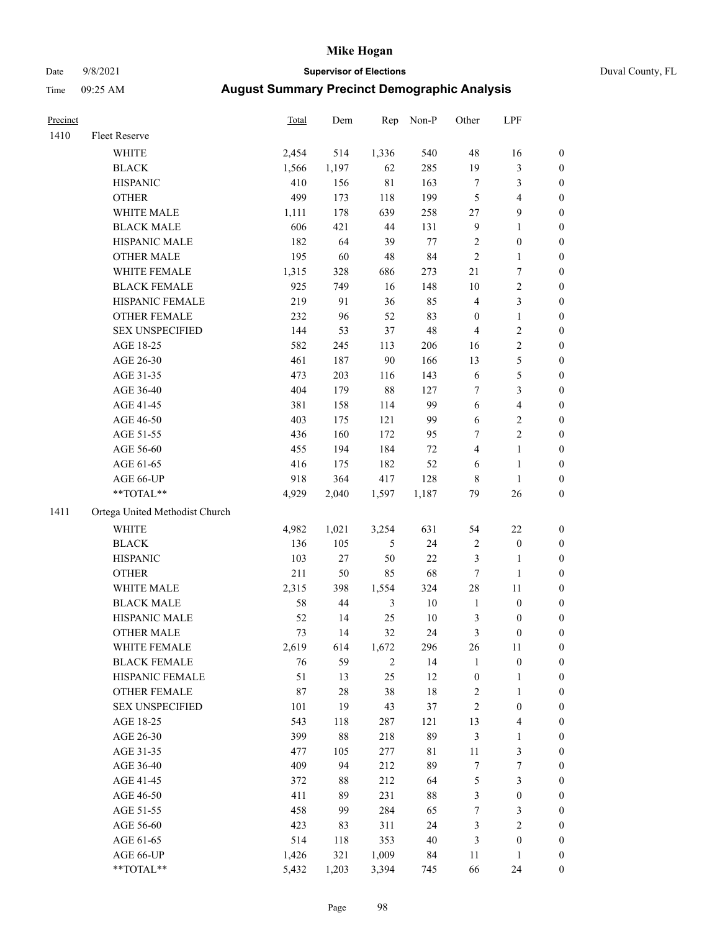# Date 9/8/2021 **Supervisor of Elections** Duval County, FL

| Precinct |                                                             | <b>Total</b> | Dem    |                | Rep Non-P   | Other                   | LPF              |                  |
|----------|-------------------------------------------------------------|--------------|--------|----------------|-------------|-------------------------|------------------|------------------|
| 1410     | Fleet Reserve                                               |              |        |                |             |                         |                  |                  |
|          | WHITE                                                       | 2,454        | 514    | 1,336          | 540         | 48                      | 16               | $\boldsymbol{0}$ |
|          | <b>BLACK</b>                                                | 1,566        | 1,197  | 62             | 285         | 19                      | $\mathfrak{Z}$   | 0                |
|          | <b>HISPANIC</b>                                             | 410          | 156    | $8\sqrt{1}$    | 163         | 7                       | $\mathfrak{Z}$   | $\boldsymbol{0}$ |
|          | <b>OTHER</b>                                                | 499          | 173    | 118            | 199         | 5                       | $\overline{4}$   | $\boldsymbol{0}$ |
|          | WHITE MALE                                                  | 1,111        | 178    | 639            | 258         | 27                      | $\boldsymbol{9}$ | $\boldsymbol{0}$ |
|          | <b>BLACK MALE</b>                                           | 606          | 421    | 44             | 131         | 9                       | $\mathbf{1}$     | $\boldsymbol{0}$ |
|          | HISPANIC MALE                                               | 182          | 64     | 39             | 77          | 2                       | $\boldsymbol{0}$ | $\boldsymbol{0}$ |
|          | <b>OTHER MALE</b>                                           | 195          | 60     | 48             | 84          | $\sqrt{2}$              | $\mathbf{1}$     | $\boldsymbol{0}$ |
|          | WHITE FEMALE                                                | 1,315        | 328    | 686            | 273         | 21                      | $\boldsymbol{7}$ | $\boldsymbol{0}$ |
|          | <b>BLACK FEMALE</b>                                         | 925          | 749    | 16             | 148         | 10                      | $\sqrt{2}$       | 0                |
|          | HISPANIC FEMALE                                             | 219          | 91     | 36             | 85          | 4                       | $\mathfrak{Z}$   | 0                |
|          | OTHER FEMALE                                                | 232          | 96     | 52             | 83          | $\boldsymbol{0}$        | $\mathbf{1}$     | 0                |
|          | <b>SEX UNSPECIFIED</b>                                      | 144          | 53     | 37             | 48          | 4                       | $\sqrt{2}$       | $\boldsymbol{0}$ |
|          | AGE 18-25                                                   | 582          | 245    | 113            | 206         | 16                      | $\sqrt{2}$       | $\boldsymbol{0}$ |
|          | AGE 26-30                                                   | 461          | 187    | 90             | 166         | 13                      | $\mathfrak s$    | $\boldsymbol{0}$ |
|          | AGE 31-35                                                   | 473          | 203    | 116            | 143         | 6                       | $\mathfrak s$    | $\boldsymbol{0}$ |
|          | AGE 36-40                                                   | 404          | 179    | 88             | 127         | 7                       | 3                | $\boldsymbol{0}$ |
|          | AGE 41-45                                                   | 381          | 158    | 114            | 99          | 6                       | $\overline{4}$   | $\boldsymbol{0}$ |
|          | AGE 46-50                                                   | 403          | 175    | 121            | 99          | 6                       | $\sqrt{2}$       | 0                |
|          | AGE 51-55                                                   | 436          | 160    | 172            | 95          | 7                       | $\sqrt{2}$       | 0                |
|          | AGE 56-60                                                   | 455          | 194    | 184            | $72\,$      | 4                       | $\mathbf{1}$     | 0                |
|          | AGE 61-65                                                   | 416          | 175    | 182            | 52          | 6                       | $\mathbf{1}$     | 0                |
|          | AGE 66-UP                                                   | 918          | 364    | 417            | 128         | 8                       | $\mathbf{1}$     | $\boldsymbol{0}$ |
|          | $\mathrm{*}\mathrm{*} \mathrm{TOTAL} \mathrm{*} \mathrm{*}$ | 4,929        | 2,040  | 1,597          | 1,187       | 79                      | 26               | $\boldsymbol{0}$ |
| 1411     | Ortega United Methodist Church                              |              |        |                |             |                         |                  |                  |
|          | WHITE                                                       | 4,982        | 1,021  | 3,254          | 631         | 54                      | 22               | $\boldsymbol{0}$ |
|          | <b>BLACK</b>                                                | 136          | 105    | 5              | 24          | 2                       | $\boldsymbol{0}$ | $\boldsymbol{0}$ |
|          | <b>HISPANIC</b>                                             | 103          | $27\,$ | 50             | $22\,$      | 3                       | $\mathbf{1}$     | $\boldsymbol{0}$ |
|          | <b>OTHER</b>                                                | 211          | 50     | 85             | 68          | 7                       | $\mathbf{1}$     | $\boldsymbol{0}$ |
|          | WHITE MALE                                                  | 2,315        | 398    | 1,554          | 324         | 28                      | 11               | $\boldsymbol{0}$ |
|          | <b>BLACK MALE</b>                                           | 58           | 44     | 3              | 10          | $\mathbf{1}$            | $\boldsymbol{0}$ | $\boldsymbol{0}$ |
|          | HISPANIC MALE                                               | 52           | 14     | 25             | 10          | 3                       | 0                | 0                |
|          | <b>OTHER MALE</b>                                           | 73           | 14     | 32             | 24          | 3                       | $\boldsymbol{0}$ | $\boldsymbol{0}$ |
|          | WHITE FEMALE                                                | 2,619        | 614    | 1,672          | 296         | 26                      | 11               | 0                |
|          | <b>BLACK FEMALE</b>                                         | 76           | 59     | $\overline{c}$ | 14          | 1                       | $\boldsymbol{0}$ | 0                |
|          | HISPANIC FEMALE                                             | 51           | 13     | 25             | 12          | $\boldsymbol{0}$        | 1                | $\boldsymbol{0}$ |
|          | <b>OTHER FEMALE</b>                                         | 87           | 28     | 38             | 18          | $\overline{\mathbf{c}}$ | $\mathbf{1}$     | 0                |
|          | <b>SEX UNSPECIFIED</b>                                      | 101          | 19     | 43             | 37          | $\overline{\mathbf{c}}$ | $\boldsymbol{0}$ | 0                |
|          | AGE 18-25                                                   | 543          | 118    | 287            | 121         | 13                      | $\overline{4}$   | 0                |
|          | AGE 26-30                                                   | 399          | $88\,$ | 218            | 89          | 3                       | $\mathbf{1}$     | 0                |
|          | AGE 31-35                                                   | 477          | 105    | 277            | $8\sqrt{1}$ | $11\,$                  | $\mathfrak z$    | 0                |
|          | AGE 36-40                                                   | 409          | 94     | 212            | 89          | 7                       | $\boldsymbol{7}$ | 0                |
|          | AGE 41-45                                                   | 372          | 88     | 212            | 64          | 5                       | $\mathfrak{Z}$   | 0                |
|          | AGE 46-50                                                   | 411          | 89     | 231            | 88          | 3                       | $\boldsymbol{0}$ | 0                |
|          | AGE 51-55                                                   | 458          | 99     | 284            | 65          | 7                       | $\mathfrak{Z}$   | $\boldsymbol{0}$ |
|          | AGE 56-60                                                   | 423          | 83     | 311            | 24          | 3                       | $\sqrt{2}$       | $\boldsymbol{0}$ |
|          | AGE 61-65                                                   | 514          | 118    | 353            | 40          | 3                       | $\boldsymbol{0}$ | $\boldsymbol{0}$ |
|          | AGE 66-UP                                                   | 1,426        | 321    | 1,009          | 84          | 11                      | $\mathbf{1}$     | 0                |
|          | **TOTAL**                                                   | 5,432        | 1,203  | 3,394          | 745         | 66                      | 24               | $\boldsymbol{0}$ |
|          |                                                             |              |        |                |             |                         |                  |                  |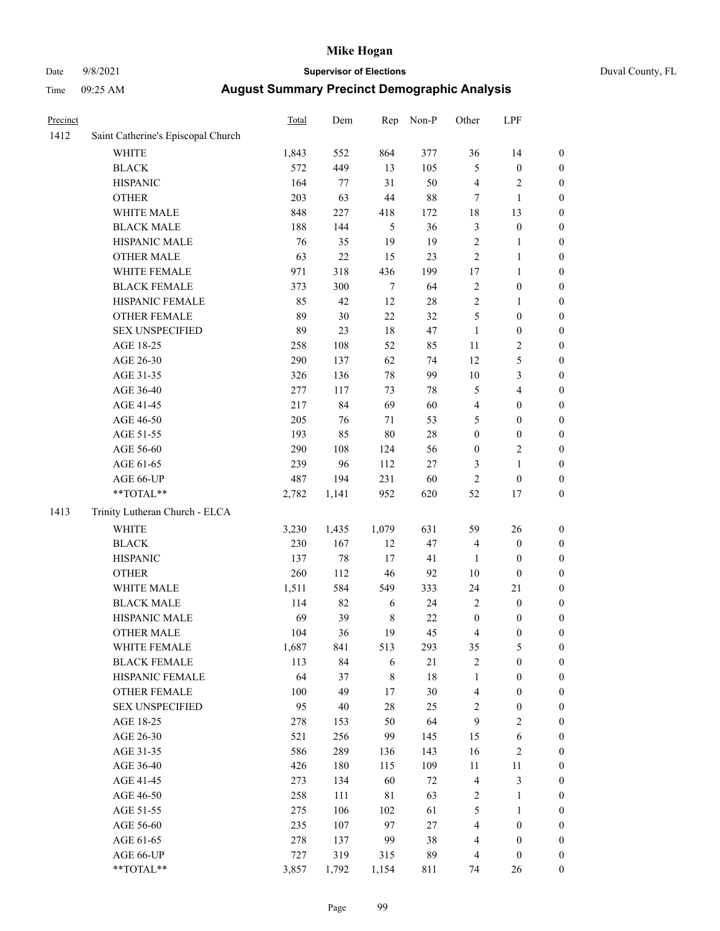# Date 9/8/2021 **Supervisor of Elections** Duval County, FL

| Precinct |                                    | <b>Total</b> | Dem    | Rep         | Non-P  | Other            | LPF              |                  |
|----------|------------------------------------|--------------|--------|-------------|--------|------------------|------------------|------------------|
| 1412     | Saint Catherine's Episcopal Church |              |        |             |        |                  |                  |                  |
|          | <b>WHITE</b>                       | 1,843        | 552    | 864         | 377    | 36               | 14               | 0                |
|          | <b>BLACK</b>                       | 572          | 449    | 13          | 105    | 5                | $\boldsymbol{0}$ | 0                |
|          | <b>HISPANIC</b>                    | 164          | 77     | 31          | 50     | 4                | $\sqrt{2}$       | $\boldsymbol{0}$ |
|          | <b>OTHER</b>                       | 203          | 63     | 44          | $88\,$ | 7                | $\mathbf{1}$     | $\boldsymbol{0}$ |
|          | WHITE MALE                         | 848          | 227    | 418         | 172    | 18               | 13               | $\boldsymbol{0}$ |
|          | <b>BLACK MALE</b>                  | 188          | 144    | 5           | 36     | 3                | $\boldsymbol{0}$ | $\boldsymbol{0}$ |
|          | HISPANIC MALE                      | 76           | 35     | 19          | 19     | $\overline{c}$   | $\mathbf{1}$     | $\boldsymbol{0}$ |
|          | <b>OTHER MALE</b>                  | 63           | 22     | 15          | 23     | $\overline{c}$   | $\mathbf{1}$     | $\boldsymbol{0}$ |
|          | WHITE FEMALE                       | 971          | 318    | 436         | 199    | $17$             | $\mathbf{1}$     | $\boldsymbol{0}$ |
|          | <b>BLACK FEMALE</b>                | 373          | 300    | $\tau$      | 64     | $\mathbf{2}$     | $\boldsymbol{0}$ | $\boldsymbol{0}$ |
|          | HISPANIC FEMALE                    | 85           | 42     | 12          | 28     | $\overline{c}$   | 1                | $\boldsymbol{0}$ |
|          | <b>OTHER FEMALE</b>                | 89           | 30     | 22          | 32     | 5                | $\boldsymbol{0}$ | $\boldsymbol{0}$ |
|          | <b>SEX UNSPECIFIED</b>             | 89           | 23     | 18          | 47     | $\mathbf{1}$     | $\boldsymbol{0}$ | $\boldsymbol{0}$ |
|          | AGE 18-25                          | 258          | 108    | 52          | 85     | $11\,$           | $\sqrt{2}$       | $\boldsymbol{0}$ |
|          | AGE 26-30                          | 290          | 137    | 62          | 74     | 12               | 5                | $\boldsymbol{0}$ |
|          | AGE 31-35                          | 326          | 136    | 78          | 99     | 10               | $\mathfrak{Z}$   | $\boldsymbol{0}$ |
|          | AGE 36-40                          | 277          | 117    | 73          | 78     | 5                | $\overline{4}$   | $\boldsymbol{0}$ |
|          | AGE 41-45                          | 217          | 84     | 69          | 60     | 4                | $\boldsymbol{0}$ | $\boldsymbol{0}$ |
|          | AGE 46-50                          | 205          | 76     | 71          | 53     | 5                | $\boldsymbol{0}$ | $\boldsymbol{0}$ |
|          | AGE 51-55                          | 193          | 85     | $80\,$      | $28\,$ | $\boldsymbol{0}$ | $\boldsymbol{0}$ | $\boldsymbol{0}$ |
|          | AGE 56-60                          | 290          | 108    | 124         | 56     | $\boldsymbol{0}$ | $\sqrt{2}$       | $\boldsymbol{0}$ |
|          | AGE 61-65                          | 239          | 96     | 112         | $27\,$ | 3                | $\mathbf{1}$     | $\boldsymbol{0}$ |
|          | AGE 66-UP                          | 487          | 194    | 231         | 60     | $\overline{c}$   | $\boldsymbol{0}$ | $\boldsymbol{0}$ |
|          | $**TOTAL**$                        | 2,782        | 1,141  | 952         | 620    | 52               | 17               | $\boldsymbol{0}$ |
| 1413     | Trinity Lutheran Church - ELCA     |              |        |             |        |                  |                  |                  |
|          | <b>WHITE</b>                       | 3,230        | 1,435  | 1,079       | 631    | 59               | 26               | $\boldsymbol{0}$ |
|          | <b>BLACK</b>                       | 230          | 167    | 12          | 47     | 4                | $\boldsymbol{0}$ | $\boldsymbol{0}$ |
|          | <b>HISPANIC</b>                    | 137          | 78     | 17          | 41     | $\mathbf{1}$     | $\boldsymbol{0}$ | $\boldsymbol{0}$ |
|          | <b>OTHER</b>                       | 260          | 112    | 46          | 92     | $10\,$           | $\boldsymbol{0}$ | $\boldsymbol{0}$ |
|          | WHITE MALE                         | 1,511        | 584    | 549         | 333    | 24               | 21               | $\boldsymbol{0}$ |
|          | <b>BLACK MALE</b>                  | 114          | 82     | 6           | 24     | $\overline{c}$   | $\boldsymbol{0}$ | $\boldsymbol{0}$ |
|          | HISPANIC MALE                      | 69           | 39     | $\,$ 8 $\,$ | $22\,$ | $\boldsymbol{0}$ | $\boldsymbol{0}$ | 0                |
|          | <b>OTHER MALE</b>                  | 104          | 36     | 19          | 45     | 4                | $\boldsymbol{0}$ | $\boldsymbol{0}$ |
|          | WHITE FEMALE                       | 1,687        | 841    | 513         | 293    | 35               | 5                | 0                |
|          | <b>BLACK FEMALE</b>                | 113          | 84     | 6           | 21     | 2                | $\boldsymbol{0}$ | $\overline{0}$   |
|          | HISPANIC FEMALE                    | 64           | 37     | 8           | 18     | $\mathbf{1}$     | $\boldsymbol{0}$ | $\overline{0}$   |
|          | OTHER FEMALE                       | 100          | 49     | $17$        | 30     | 4                | $\boldsymbol{0}$ | $\overline{0}$   |
|          | <b>SEX UNSPECIFIED</b>             | 95           | $40\,$ | 28          | 25     | 2                | $\boldsymbol{0}$ | 0                |
|          | AGE 18-25                          | 278          | 153    | 50          | 64     | 9                | $\sqrt{2}$       | 0                |
|          | AGE 26-30                          | 521          | 256    | 99          | 145    | 15               | 6                | 0                |
|          | AGE 31-35                          | 586          | 289    | 136         | 143    | 16               | $\sqrt{2}$       | 0                |
|          | AGE 36-40                          | 426          | 180    | 115         | 109    | 11               | $11\,$           | 0                |
|          | AGE 41-45                          | 273          | 134    | 60          | $72\,$ | 4                | $\mathfrak{Z}$   | 0                |
|          | AGE 46-50                          | 258          | 111    | 81          | 63     | 2                | $\mathbf{1}$     | 0                |
|          | AGE 51-55                          | 275          | 106    | 102         | 61     | 5                | $\mathbf{1}$     | 0                |
|          | AGE 56-60                          | 235          | 107    | 97          | $27\,$ | 4                | $\boldsymbol{0}$ | 0                |
|          | AGE 61-65                          | 278          | 137    | 99          | 38     | 4                | $\boldsymbol{0}$ | $\overline{0}$   |
|          | AGE 66-UP                          | 727          | 319    | 315         | 89     | 4                | $\boldsymbol{0}$ | $\boldsymbol{0}$ |
|          | **TOTAL**                          | 3,857        | 1,792  | 1,154       | 811    | 74               | 26               | $\boldsymbol{0}$ |